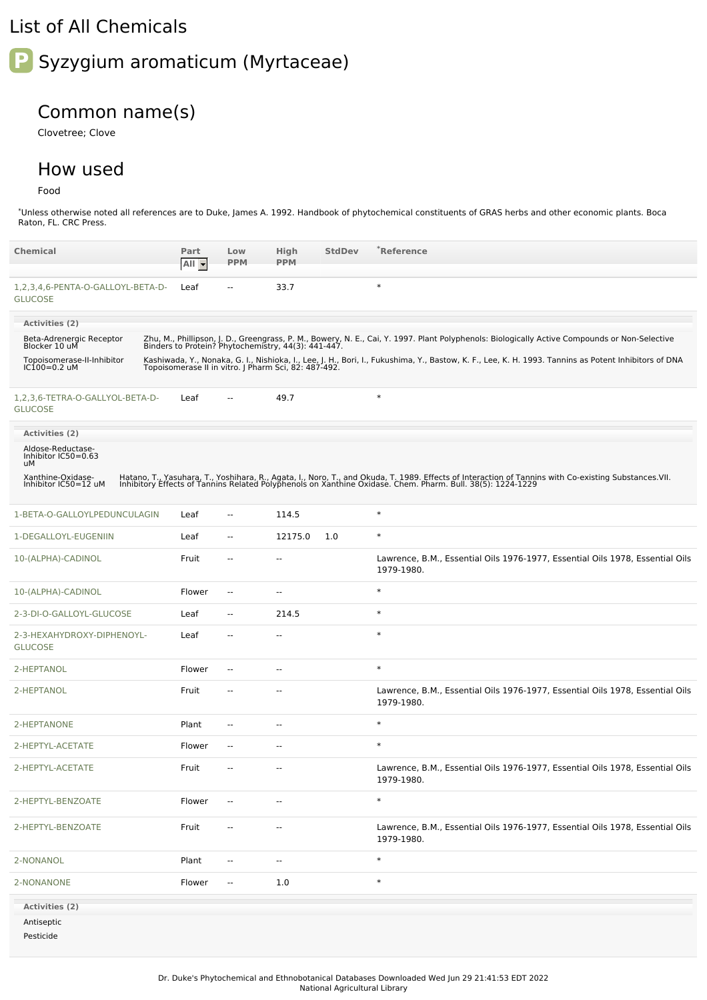## List of All Chemicals

## **P** Syzygium aromaticum (Myrtaceae)

## Common name(s)

Clovetree; Clove

## How used

Food

\*Unless otherwise noted all references are to Duke, James A. 1992. Handbook of phytochemical constituents of GRAS herbs and other economic plants. Boca Raton, FL. CRC Press.

| <b>Chemical</b>                                     | Part<br>All - | Low<br><b>PPM</b>        | High<br><b>PPM</b>       | <b>StdDev</b> | *Reference                                                                                                                                                                                                                        |
|-----------------------------------------------------|---------------|--------------------------|--------------------------|---------------|-----------------------------------------------------------------------------------------------------------------------------------------------------------------------------------------------------------------------------------|
| 1,2,3,4,6-PENTA-O-GALLOYL-BETA-D-<br><b>GLUCOSE</b> | Leaf          | $\overline{\phantom{a}}$ | 33.7                     |               | $\ast$                                                                                                                                                                                                                            |
| Activities (2)                                      |               |                          |                          |               |                                                                                                                                                                                                                                   |
| Beta-Adrenergic Receptor<br>Blocker 10 uM           |               |                          |                          |               | Zhu, M., Phillipson, J. D., Greengrass, P. M., Bowery, N. E., Cai, Y. 1997. Plant Polyphenols: Biologically Active Compounds or Non-Selective<br>Binders to Protein? Phytochemistry, 44(3): 441-447.                              |
| Topoisomerase-II-Inhibitor<br>IC100=0.2 uM          |               |                          |                          |               | Kashiwada, Y., Nonaka, G. I., Nishioka, I., Lee, J. H., Bori, I., Fukushima, Y., Bastow, K. F., Lee, K. H. 1993. Tannins as Potent Inhibitors of DNA<br>Topoisomerase II in vitro. J Pharm Sci, 82: 487-492.                      |
| 1,2,3,6-TETRA-O-GALLYOL-BETA-D-<br><b>GLUCOSE</b>   | Leaf          | $\overline{a}$           | 49.7                     |               | $\ast$                                                                                                                                                                                                                            |
| Activities (2)                                      |               |                          |                          |               |                                                                                                                                                                                                                                   |
| Aldose-Reductase-<br>Inhibitor IC50=0.63<br>uМ      |               |                          |                          |               |                                                                                                                                                                                                                                   |
| Xanthine-Oxidase-<br>Inhibitor IC50=12 uM           |               |                          |                          |               | Hatano, T., Yasuhara, T., Yoshihara, R., Agata, I., Noro, T., and Okuda, T. 1989. Effects of Interaction of Tannins with Co-existing Substances.VII.<br>Inhibitory Effects of Tannins Related Polyphenols on Xanthine Oxidase. Ch |
| 1-BETA-O-GALLOYLPEDUNCULAGIN                        | Leaf          | $\sim$                   | 114.5                    |               | $\ast$                                                                                                                                                                                                                            |
| 1-DEGALLOYL-EUGENIIN                                | Leaf          | ۰.                       | 12175.0                  | 1.0           | $\ast$                                                                                                                                                                                                                            |
| 10-(ALPHA)-CADINOL                                  | Fruit         | $\overline{\phantom{a}}$ | --                       |               | Lawrence, B.M., Essential Oils 1976-1977, Essential Oils 1978, Essential Oils<br>1979-1980.                                                                                                                                       |
| 10-(ALPHA)-CADINOL                                  | Flower        | $\sim$                   | $\overline{\phantom{a}}$ |               | $\ast$                                                                                                                                                                                                                            |
| 2-3-DI-O-GALLOYL-GLUCOSE                            | Leaf          | $\overline{\phantom{a}}$ | 214.5                    |               | $\ast$                                                                                                                                                                                                                            |
| 2-3-HEXAHYDROXY-DIPHENOYL-<br><b>GLUCOSE</b>        | Leaf          | $\sim$                   | --                       |               | $\ast$                                                                                                                                                                                                                            |
| 2-HEPTANOL                                          | Flower        | --                       | --                       |               | $\ast$                                                                                                                                                                                                                            |
| 2-HEPTANOL                                          | Fruit         | н.                       | --                       |               | Lawrence, B.M., Essential Oils 1976-1977, Essential Oils 1978, Essential Oils<br>1979-1980.                                                                                                                                       |
| 2-HEPTANONE                                         | Plant         | н.                       | --                       |               | $\ast$                                                                                                                                                                                                                            |
| 2-HEPTYL-ACETATE                                    | Flower        | $\sim$                   | --                       |               | $\ast$                                                                                                                                                                                                                            |
| 2-HEPTYL-ACETATE                                    | Fruit         | $\overline{\phantom{a}}$ | $\overline{\phantom{a}}$ |               | Lawrence, B.M., Essential Oils 1976-1977, Essential Oils 1978, Essential Oils<br>1979-1980.                                                                                                                                       |
| 2-HEPTYL-BENZOATE                                   | Flower        | $\overline{\phantom{a}}$ | --                       |               | $\ast$                                                                                                                                                                                                                            |
| 2-HEPTYL-BENZOATE                                   | Fruit         | ۰.                       |                          |               | Lawrence, B.M., Essential Oils 1976-1977, Essential Oils 1978, Essential Oils<br>1979-1980.                                                                                                                                       |
| 2-NONANOL                                           | Plant         | $\overline{a}$           | $\overline{\phantom{a}}$ |               | $\ast$                                                                                                                                                                                                                            |
| 2-NONANONE                                          | Flower        | $\overline{\phantom{a}}$ | 1.0                      |               | $\ast$                                                                                                                                                                                                                            |
| Activities (2)<br>Antiseptic<br>Pesticide           |               |                          |                          |               |                                                                                                                                                                                                                                   |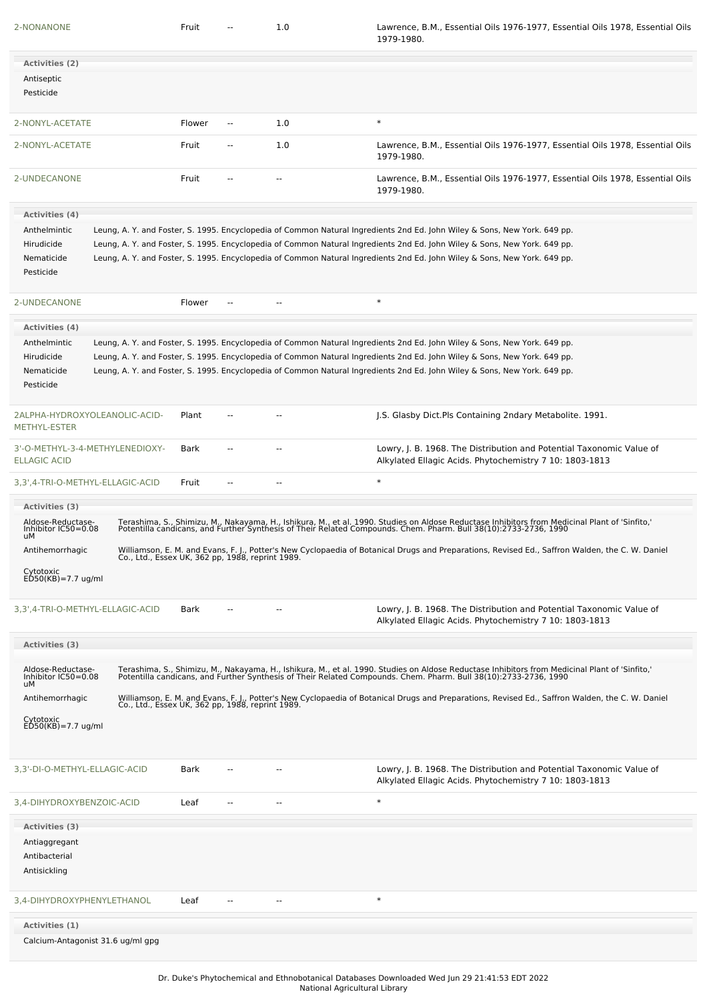| 2-NONANONE                                                                                           |                                                  | Fruit  |                          | 1.0 | Lawrence, B.M., Essential Oils 1976-1977, Essential Oils 1978, Essential Oils<br>1979-1980.                                                                                                                                                                                                                                                                                          |
|------------------------------------------------------------------------------------------------------|--------------------------------------------------|--------|--------------------------|-----|--------------------------------------------------------------------------------------------------------------------------------------------------------------------------------------------------------------------------------------------------------------------------------------------------------------------------------------------------------------------------------------|
| Activities (2)                                                                                       |                                                  |        |                          |     |                                                                                                                                                                                                                                                                                                                                                                                      |
| Antiseptic<br>Pesticide                                                                              |                                                  |        |                          |     |                                                                                                                                                                                                                                                                                                                                                                                      |
| 2-NONYL-ACETATE                                                                                      |                                                  | Flower | $\overline{\phantom{a}}$ | 1.0 | $\ast$                                                                                                                                                                                                                                                                                                                                                                               |
| 2-NONYL-ACETATE                                                                                      |                                                  | Fruit  | --                       | 1.0 | Lawrence, B.M., Essential Oils 1976-1977, Essential Oils 1978, Essential Oils<br>1979-1980.                                                                                                                                                                                                                                                                                          |
| 2-UNDECANONE                                                                                         |                                                  | Fruit  | $\overline{a}$           | --  | Lawrence, B.M., Essential Oils 1976-1977, Essential Oils 1978, Essential Oils<br>1979-1980.                                                                                                                                                                                                                                                                                          |
| <b>Activities (4)</b>                                                                                |                                                  |        |                          |     |                                                                                                                                                                                                                                                                                                                                                                                      |
| Anthelmintic<br>Hirudicide<br>Nematicide<br>Pesticide                                                |                                                  |        |                          |     | Leung, A. Y. and Foster, S. 1995. Encyclopedia of Common Natural Ingredients 2nd Ed. John Wiley & Sons, New York. 649 pp.<br>Leung, A. Y. and Foster, S. 1995. Encyclopedia of Common Natural Ingredients 2nd Ed. John Wiley & Sons, New York. 649 pp.<br>Leung, A. Y. and Foster, S. 1995. Encyclopedia of Common Natural Ingredients 2nd Ed. John Wiley & Sons, New York. 649 pp.  |
| 2-UNDECANONE                                                                                         |                                                  | Flower |                          |     | $\ast$                                                                                                                                                                                                                                                                                                                                                                               |
| Activities (4)                                                                                       |                                                  |        |                          |     |                                                                                                                                                                                                                                                                                                                                                                                      |
| Anthelmintic<br>Hirudicide<br>Nematicide<br>Pesticide                                                |                                                  |        |                          |     | Leung, A. Y. and Foster, S. 1995. Encyclopedia of Common Natural Ingredients 2nd Ed. John Wiley & Sons, New York. 649 pp.<br>Leung, A. Y. and Foster, S. 1995. Encyclopedia of Common Natural Ingredients 2nd Ed. John Wiley & Sons, New York. 649 pp.<br>Leung, A. Y. and Foster, S. 1995. Encyclopedia of Common Natural Ingredients 2nd Ed. John Wiley & Sons, New York. 649 pp.  |
| 2ALPHA-HYDROXYOLEANOLIC-ACID-<br>METHYL-ESTER                                                        |                                                  | Plant  |                          |     | J.S. Glasby Dict. Pls Containing 2ndary Metabolite. 1991.                                                                                                                                                                                                                                                                                                                            |
| 3'-O-METHYL-3-4-METHYLENEDIOXY-<br><b>ELLAGIC ACID</b>                                               |                                                  | Bark   |                          | --  | Lowry, J. B. 1968. The Distribution and Potential Taxonomic Value of<br>Alkylated Ellagic Acids. Phytochemistry 7 10: 1803-1813                                                                                                                                                                                                                                                      |
| 3,3',4-TRI-O-METHYL-ELLAGIC-ACID                                                                     |                                                  | Fruit  | --                       |     | $\ast$                                                                                                                                                                                                                                                                                                                                                                               |
| Aldose-Reductase-<br>Inhibitor IC50=0.08<br>uМ<br>Antihemorrhagic<br>Cytotoxic<br>ED50(KB)=7.7 ug/ml | Co., Ltd., ESSex UK, 362 pp, 1988, reprint 1989. |        |                          |     | Terashima, S., Shimizu, M., Nakayama, H., Ishikura, M., et al. 1990. Studies on Aldose Reductase Inhibitors from Medicinal Plant of 'Sinfito,'<br>Potentilla candicans, and Further Synthesis of Their Related Compounds. Chem. P<br>Williamson, E. M. and Evans, F. J., Potter's New Cyclopaedia of Botanical Drugs and Preparations, Revised Ed., Saffron Walden, the C. W. Daniel |
| 3,3',4-TRI-O-METHYL-ELLAGIC-ACID                                                                     |                                                  | Bark   |                          |     | Lowry, J. B. 1968. The Distribution and Potential Taxonomic Value of<br>Alkylated Ellagic Acids. Phytochemistry 7 10: 1803-1813                                                                                                                                                                                                                                                      |
| Activities (3)                                                                                       |                                                  |        |                          |     |                                                                                                                                                                                                                                                                                                                                                                                      |
| Aldose-Reductase-<br>Inhibitor IC50=0.08<br>uМ                                                       |                                                  |        |                          |     | Terashima, S., Shimizu, M., Nakayama, H., Ishikura, M., et al. 1990. Studies on Aldose Reductase Inhibitors from Medicinal Plant of 'Sinfito,'<br>Potentilla candicans, and Further Synthesis of Their Related Compounds. Chem. P                                                                                                                                                    |
| Antihemorrhagic                                                                                      |                                                  |        |                          |     | Williamson, E. M. and Evans, F. J., Potter's New Cyclopaedia of Botanical Drugs and Preparations, Revised Ed., Saffron Walden, the C. W. Daniel<br>Co., Ltd., Essex UK, 362 pp, 1988, reprint 1989.                                                                                                                                                                                  |
| Cytotoxic<br>ED50(KB)=7.7 ug/ml                                                                      |                                                  |        |                          |     |                                                                                                                                                                                                                                                                                                                                                                                      |
| 3,3'-DI-O-METHYL-ELLAGIC-ACID                                                                        |                                                  | Bark   |                          |     | Lowry, J. B. 1968. The Distribution and Potential Taxonomic Value of<br>Alkylated Ellagic Acids. Phytochemistry 7 10: 1803-1813                                                                                                                                                                                                                                                      |
| 3,4-DIHYDROXYBENZOIC-ACID                                                                            |                                                  | Leaf   |                          | Ξ.  | $\ast$                                                                                                                                                                                                                                                                                                                                                                               |
| Activities (3)                                                                                       |                                                  |        |                          |     |                                                                                                                                                                                                                                                                                                                                                                                      |
| Antiaggregant<br>Antibacterial<br>Antisickling                                                       |                                                  |        |                          |     |                                                                                                                                                                                                                                                                                                                                                                                      |
| 3,4-DIHYDROXYPHENYLETHANOL                                                                           |                                                  | Leaf   |                          |     | $\ast$                                                                                                                                                                                                                                                                                                                                                                               |
| Activities (1)<br>Calcium-Antagonist 31.6 ug/ml gpg                                                  |                                                  |        |                          |     |                                                                                                                                                                                                                                                                                                                                                                                      |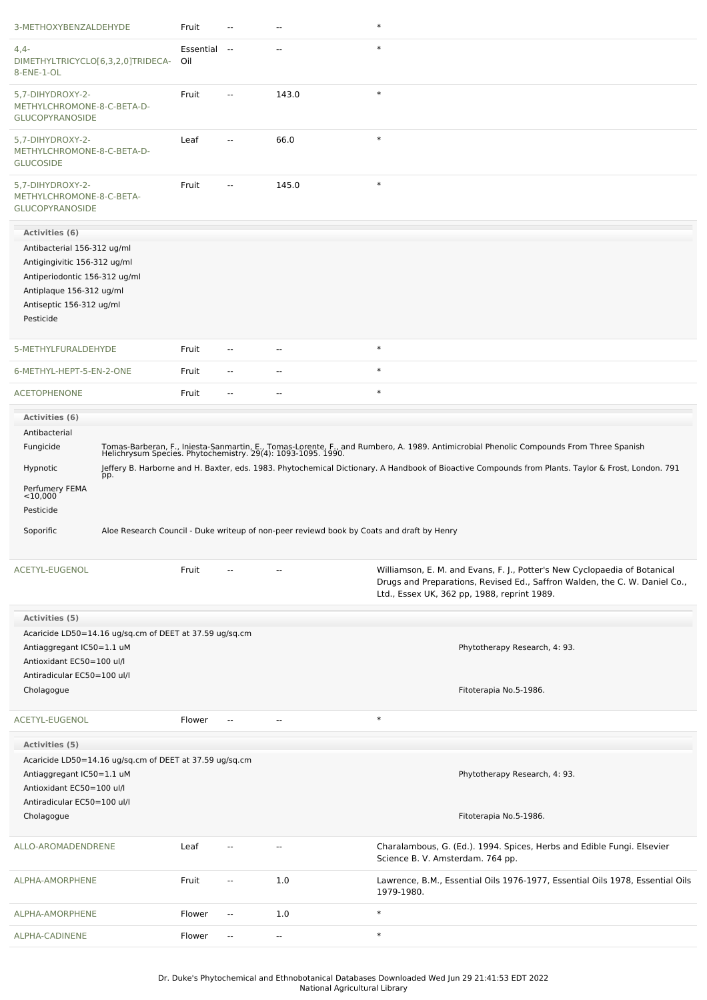| 3-METHOXYBENZALDEHYDE                                                                                                                                             | Fruit               |                          | --                                                                                        | $\ast$                                                                                                                                                                                                  |
|-------------------------------------------------------------------------------------------------------------------------------------------------------------------|---------------------|--------------------------|-------------------------------------------------------------------------------------------|---------------------------------------------------------------------------------------------------------------------------------------------------------------------------------------------------------|
| $4,4-$<br>DIMETHYLTRICYCLO[6,3,2,0]TRIDECA-<br>8-ENE-1-OL                                                                                                         | Essential --<br>Oil |                          | --                                                                                        | $\ast$                                                                                                                                                                                                  |
| 5,7-DIHYDROXY-2-<br>METHYLCHROMONE-8-C-BETA-D-<br><b>GLUCOPYRANOSIDE</b>                                                                                          | Fruit               |                          | 143.0                                                                                     | $\ast$                                                                                                                                                                                                  |
| 5,7-DIHYDROXY-2-<br>METHYLCHROMONE-8-C-BETA-D-<br><b>GLUCOSIDE</b>                                                                                                | Leaf                | --                       | 66.0                                                                                      | $\ast$                                                                                                                                                                                                  |
| 5,7-DIHYDROXY-2-<br>METHYLCHROMONE-8-C-BETA-<br><b>GLUCOPYRANOSIDE</b>                                                                                            | Fruit               |                          | 145.0                                                                                     | $\ast$                                                                                                                                                                                                  |
| Activities (6)                                                                                                                                                    |                     |                          |                                                                                           |                                                                                                                                                                                                         |
| Antibacterial 156-312 ug/ml<br>Antigingivitic 156-312 ug/ml<br>Antiperiodontic 156-312 ug/ml<br>Antiplaque 156-312 ug/ml<br>Antiseptic 156-312 ug/ml<br>Pesticide |                     |                          |                                                                                           |                                                                                                                                                                                                         |
|                                                                                                                                                                   |                     |                          |                                                                                           |                                                                                                                                                                                                         |
| 5-METHYLFURALDEHYDE                                                                                                                                               | Fruit               | $\overline{a}$           | --                                                                                        | $\ast$                                                                                                                                                                                                  |
| 6-METHYL-HEPT-5-EN-2-ONE                                                                                                                                          | Fruit               | $\overline{a}$           | $\overline{a}$                                                                            | $\ast$                                                                                                                                                                                                  |
| <b>ACETOPHENONE</b>                                                                                                                                               | Fruit               | $\overline{a}$           | $\overline{a}$                                                                            | $\ast$                                                                                                                                                                                                  |
| Fungicide                                                                                                                                                         |                     |                          |                                                                                           | Tomas-Barberan, F., Iniesta-Sanmartin, E., Tomas-Lorente, F., and Rumbero, A. 1989. Antimicrobial Phenolic Compounds From Three Spanish<br>Helichrysum Species. Phytochemistry. 29(4): 1093-1095. 1990. |
| Hypnotic<br>pp.<br>Perfumery FEMA<br><10,000<br>Pesticide<br>Soporific                                                                                            |                     |                          | Aloe Research Council - Duke writeup of non-peer reviewd book by Coats and draft by Henry | Jeffery B. Harborne and H. Baxter, eds. 1983. Phytochemical Dictionary. A Handbook of Bioactive Compounds from Plants. Taylor & Frost, London. 791                                                      |
| ACETYL-EUGENOL                                                                                                                                                    | Fruit               |                          |                                                                                           | Williamson, E. M. and Evans, F. J., Potter's New Cyclopaedia of Botanical<br>Drugs and Preparations, Revised Ed., Saffron Walden, the C. W. Daniel Co.,<br>Ltd., Essex UK, 362 pp, 1988, reprint 1989.  |
| Activities (5)                                                                                                                                                    |                     |                          |                                                                                           |                                                                                                                                                                                                         |
| Acaricide LD50=14.16 ug/sq.cm of DEET at 37.59 ug/sq.cm<br>Antiaggregant IC50=1.1 uM<br>Antioxidant EC50=100 ul/l<br>Antiradicular EC50=100 ul/l                  |                     |                          |                                                                                           | Phytotherapy Research, 4: 93.                                                                                                                                                                           |
| Cholagogue                                                                                                                                                        |                     |                          |                                                                                           | Fitoterapia No.5-1986.                                                                                                                                                                                  |
| ACETYL-EUGENOL                                                                                                                                                    | Flower              | $\overline{\phantom{a}}$ | ÷.                                                                                        | $\ast$                                                                                                                                                                                                  |
| Activities (5)                                                                                                                                                    |                     |                          |                                                                                           |                                                                                                                                                                                                         |
| Acaricide LD50=14.16 ug/sq.cm of DEET at 37.59 ug/sq.cm<br>Antiaggregant IC50=1.1 uM<br>Antioxidant EC50=100 ul/l<br>Antiradicular EC50=100 ul/l<br>Cholagogue    |                     |                          |                                                                                           | Phytotherapy Research, 4: 93.<br>Fitoterapia No.5-1986.                                                                                                                                                 |
| ALLO-AROMADENDRENE                                                                                                                                                | Leaf                |                          | $\overline{a}$                                                                            | Charalambous, G. (Ed.). 1994. Spices, Herbs and Edible Fungi. Elsevier<br>Science B. V. Amsterdam. 764 pp.                                                                                              |
| ALPHA-AMORPHENE                                                                                                                                                   | Fruit               | $\overline{\phantom{a}}$ | 1.0                                                                                       | Lawrence, B.M., Essential Oils 1976-1977, Essential Oils 1978, Essential Oils<br>1979-1980.                                                                                                             |
| ALPHA-AMORPHENE                                                                                                                                                   | Flower              | $\overline{\phantom{a}}$ | 1.0                                                                                       | $\ast$                                                                                                                                                                                                  |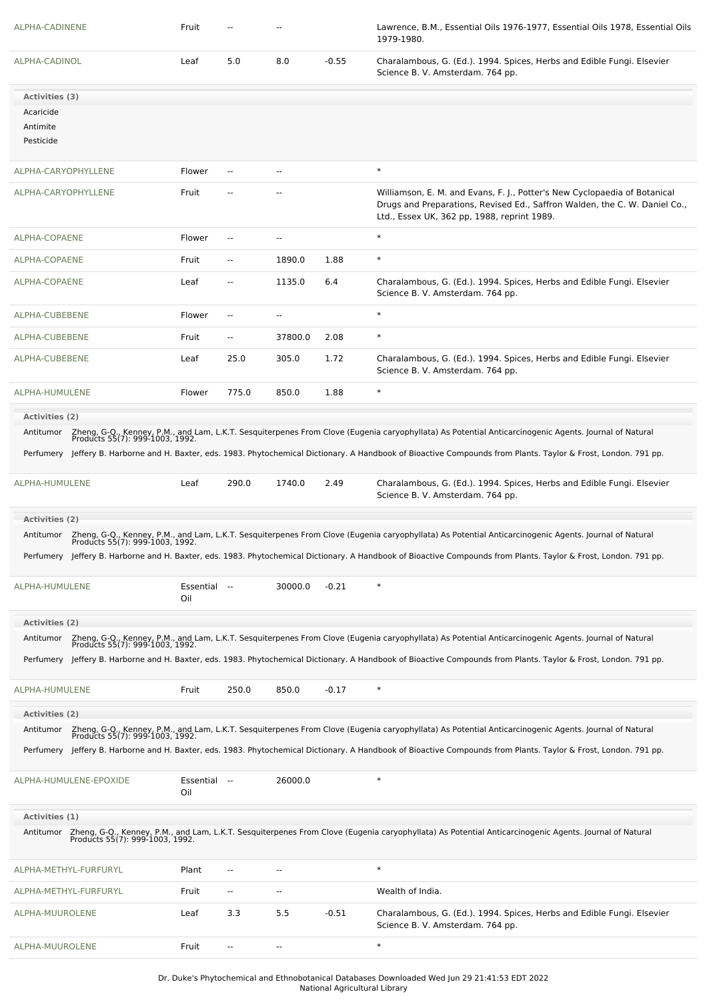| ALPHA-CADINENE        |                        | Fruit               |                          |                          |         | Lawrence, B.M., Essential Oils 1976-1977, Essential Oils 1978, Essential Oils<br>1979-1980.                                                                                                            |
|-----------------------|------------------------|---------------------|--------------------------|--------------------------|---------|--------------------------------------------------------------------------------------------------------------------------------------------------------------------------------------------------------|
| ALPHA-CADINOL         |                        | Leaf                | 5.0                      | 8.0                      | $-0.55$ | Charalambous, G. (Ed.). 1994. Spices, Herbs and Edible Fungi. Elsevier<br>Science B. V. Amsterdam. 764 pp.                                                                                             |
| Activities (3)        |                        |                     |                          |                          |         |                                                                                                                                                                                                        |
| Acaricide             |                        |                     |                          |                          |         |                                                                                                                                                                                                        |
| Antimite<br>Pesticide |                        |                     |                          |                          |         |                                                                                                                                                                                                        |
| ALPHA-CARYOPHYLLENE   |                        | Flower              | $\overline{\phantom{a}}$ | $\overline{a}$           |         | $\ast$                                                                                                                                                                                                 |
| ALPHA-CARYOPHYLLENE   |                        | Fruit               | $\sim$ $\sim$            | ٠.                       |         | Williamson, E. M. and Evans, F. J., Potter's New Cyclopaedia of Botanical<br>Drugs and Preparations, Revised Ed., Saffron Walden, the C. W. Daniel Co.,<br>Ltd., Essex UK, 362 pp, 1988, reprint 1989. |
| ALPHA-COPAENE         |                        | Flower              | $\overline{a}$           | $\overline{a}$           |         | $\ast$                                                                                                                                                                                                 |
| ALPHA-COPAENE         |                        | Fruit               | $\overline{a}$           | 1890.0                   | 1.88    | $\ast$                                                                                                                                                                                                 |
| ALPHA-COPAENE         |                        | Leaf                | $\sim$ $\sim$            | 1135.0                   | 6.4     | Charalambous, G. (Ed.). 1994. Spices, Herbs and Edible Fungi. Elsevier<br>Science B. V. Amsterdam. 764 pp.                                                                                             |
| ALPHA-CUBEBENE        |                        | Flower              | $\overline{\phantom{a}}$ | $\sim$                   |         | $\ast$                                                                                                                                                                                                 |
| ALPHA-CUBEBENE        |                        | Fruit               | $\overline{\phantom{a}}$ | 37800.0                  | 2.08    | $\ast$                                                                                                                                                                                                 |
| ALPHA-CUBEBENE        |                        | Leaf                | 25.0                     | 305.0                    | 1.72    | Charalambous, G. (Ed.). 1994. Spices, Herbs and Edible Fungi. Elsevier<br>Science B. V. Amsterdam. 764 pp.                                                                                             |
| ALPHA-HUMULENE        |                        | Flower              | 775.0                    | 850.0                    | 1.88    | $\ast$                                                                                                                                                                                                 |
| Activities (2)        |                        |                     |                          |                          |         |                                                                                                                                                                                                        |
| Antitumor             |                        |                     |                          |                          |         | Zheng, G-Q., Kenney, P.M., and Lam, L.K.T. Sesquiterpenes From Clove (Eugenia caryophyllata) As Potential Anticarcinogenic Agents. Journal of Natural<br>Products 55(7): 999-1003, 1992.               |
|                       |                        |                     |                          |                          |         | Perfumery Jeffery B. Harborne and H. Baxter, eds. 1983. Phytochemical Dictionary. A Handbook of Bioactive Compounds from Plants. Taylor & Frost, London. 791 pp.                                       |
| ALPHA-HUMULENE        |                        | Leaf                | 290.0                    | 1740.0                   | 2.49    | Charalambous, G. (Ed.). 1994. Spices, Herbs and Edible Fungi. Elsevier<br>Science B. V. Amsterdam. 764 pp.                                                                                             |
| Activities (2)        |                        |                     |                          |                          |         |                                                                                                                                                                                                        |
| Antitumor             |                        |                     |                          |                          |         | Zheng, G-Q., Kenney, P.M., and Lam, L.K.T. Sesquiterpenes From Clove (Eugenia caryophyllata) As Potential Anticarcinogenic Agents. Journal of Natural<br>Products 55(7): 999-1003, 1992.               |
|                       |                        |                     |                          |                          |         | Perfumery Jeffery B. Harborne and H. Baxter, eds. 1983. Phytochemical Dictionary. A Handbook of Bioactive Compounds from Plants. Taylor & Frost, London. 791 pp.                                       |
| ALPHA-HUMULENE        |                        | Essential --<br>Oil |                          | 30000.0                  | $-0.21$ | $\ast$                                                                                                                                                                                                 |
| <b>Activities (2)</b> |                        |                     |                          |                          |         |                                                                                                                                                                                                        |
| Antitumor             |                        |                     |                          |                          |         | Zheng, G-Q., Kenney, P.M., and Lam, L.K.T. Sesquiterpenes From Clove (Eugenia caryophyllata) As Potential Anticarcinogenic Agents. Journal of Natural<br>Products 55(7): 999-1003, 1992.               |
|                       |                        |                     |                          |                          |         | Perfumery Jeffery B. Harborne and H. Baxter, eds. 1983. Phytochemical Dictionary. A Handbook of Bioactive Compounds from Plants. Taylor & Frost, London. 791 pp.                                       |
| ALPHA-HUMULENE        |                        | Fruit               | 250.0                    | 850.0                    | $-0.17$ | $\ast$                                                                                                                                                                                                 |
| Activities (2)        |                        |                     |                          |                          |         |                                                                                                                                                                                                        |
| Antitumor             |                        |                     |                          |                          |         | Zheng, G-Q., Kenney, P.M., and Lam, L.K.T. Sesquiterpenes From Clove (Eugenia caryophyllata) As Potential Anticarcinogenic Agents. Journal of Natural<br>Products 55(7): 999-1003, 1992.               |
|                       |                        |                     |                          |                          |         | Perfumery Jeffery B. Harborne and H. Baxter, eds. 1983. Phytochemical Dictionary. A Handbook of Bioactive Compounds from Plants. Taylor & Frost, London. 791 pp.                                       |
|                       | ALPHA-HUMULENE-EPOXIDE | Essential --<br>Oil |                          | 26000.0                  |         |                                                                                                                                                                                                        |
| Activities (1)        |                        |                     |                          |                          |         |                                                                                                                                                                                                        |
|                       |                        |                     |                          |                          |         | Antitumor Zheng, G-Q., Kenney, P.M., and Lam, L.K.T. Sesquiterpenes From Clove (Eugenia caryophyllata) As Potential Anticarcinogenic Agents. Journal of Natural<br>Products 55(7): 999-1003, 1992.     |
|                       | ALPHA-METHYL-FURFURYL  | Plant               | $\sim$ $\sim$            | ٠.                       |         | $\ast$                                                                                                                                                                                                 |
|                       | ALPHA-METHYL-FURFURYL  | Fruit               | $\sim$                   | $\overline{\phantom{a}}$ |         | Wealth of India.                                                                                                                                                                                       |
| ALPHA-MUUROLENE       |                        | Leaf                | 3.3                      | 5.5                      | $-0.51$ | Charalambous, G. (Ed.). 1994. Spices, Herbs and Edible Fungi. Elsevier<br>Science B. V. Amsterdam. 764 pp.                                                                                             |
| ALPHA-MUUROLENE       |                        | Fruit               | $\sim$                   | $\overline{\phantom{a}}$ |         | $\ast$                                                                                                                                                                                                 |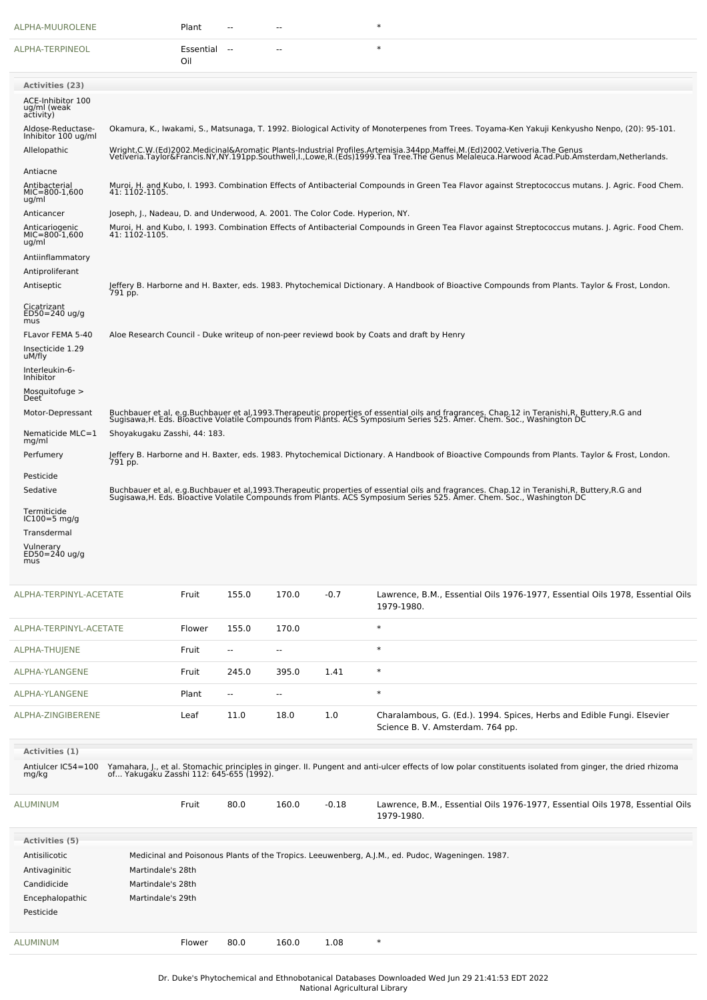| ALPHA-MUUROLENE                                                               |                                                                                                                                                                                                                                                      | Plant               | --                       | ٠.                       |         | ∗                                                                                                                                                                                                                                 |  |  |  |
|-------------------------------------------------------------------------------|------------------------------------------------------------------------------------------------------------------------------------------------------------------------------------------------------------------------------------------------------|---------------------|--------------------------|--------------------------|---------|-----------------------------------------------------------------------------------------------------------------------------------------------------------------------------------------------------------------------------------|--|--|--|
| ALPHA-TERPINEOL                                                               |                                                                                                                                                                                                                                                      | Essential --<br>Oil |                          | --                       |         | $\ast$                                                                                                                                                                                                                            |  |  |  |
| <b>Activities (23)</b>                                                        |                                                                                                                                                                                                                                                      |                     |                          |                          |         |                                                                                                                                                                                                                                   |  |  |  |
| ACE-Inhibitor 100<br>ug/ml (weak<br>activity)                                 |                                                                                                                                                                                                                                                      |                     |                          |                          |         |                                                                                                                                                                                                                                   |  |  |  |
| Aldose-Reductase-<br>Inhibitor 100 ug/ml                                      |                                                                                                                                                                                                                                                      |                     |                          |                          |         | Okamura, K., Iwakami, S., Matsunaga, T. 1992. Biological Activity of Monoterpenes from Trees. Toyama-Ken Yakuji Kenkyusho Nenpo, (20): 95-101.                                                                                    |  |  |  |
| Allelopathic                                                                  |                                                                                                                                                                                                                                                      |                     |                          |                          |         | Wright,C.W.(Ed)2002.Medicinal&Aromatic Plants-Industrial Profiles.Artemisia.344pp.Maffei,M.(Ed)2002.Vetiveria.The Genus<br>Vetiveria.Taylor&Francis.NY,NY.191pp.Southwell,I.,Lowe,R.(Eds)1999.Tea Tree.The Genus Melaleuca.Harwoo |  |  |  |
| Antiacne<br>Antibacterial                                                     |                                                                                                                                                                                                                                                      |                     |                          |                          |         | Muroi, H. and Kubo, I. 1993. Combination Effects of Antibacterial Compounds in Green Tea Flavor against Streptococcus mutans. J. Agric. Food Chem.                                                                                |  |  |  |
| $MIC=800-1,600$<br>ug/ml                                                      | 41: 1102-1105.                                                                                                                                                                                                                                       |                     |                          |                          |         |                                                                                                                                                                                                                                   |  |  |  |
| Anticancer<br>Anticariogenic<br>MIC=800-1,600<br>ug/ml                        | Joseph, J., Nadeau, D. and Underwood, A. 2001. The Color Code. Hyperion, NY.<br>Muroi, H. and Kubo, I. 1993. Combination Effects of Antibacterial Compounds in Green Tea Flavor against Streptococcus mutans. J. Agric. Food Chem.<br>41: 1102-1105. |                     |                          |                          |         |                                                                                                                                                                                                                                   |  |  |  |
| Antiinflammatory<br>Antiproliferant<br>Antiseptic                             |                                                                                                                                                                                                                                                      |                     |                          |                          |         | Jeffery B. Harborne and H. Baxter, eds. 1983. Phytochemical Dictionary. A Handbook of Bioactive Compounds from Plants. Taylor & Frost, London.                                                                                    |  |  |  |
| Cicatrizant<br>$ED50 = 240$ ug/g                                              | 791 pp.                                                                                                                                                                                                                                              |                     |                          |                          |         |                                                                                                                                                                                                                                   |  |  |  |
| mus<br>FLavor FEMA 5-40                                                       |                                                                                                                                                                                                                                                      |                     |                          |                          |         | Aloe Research Council - Duke writeup of non-peer reviewd book by Coats and draft by Henry                                                                                                                                         |  |  |  |
| Insecticide 1.29<br>uM/fly                                                    |                                                                                                                                                                                                                                                      |                     |                          |                          |         |                                                                                                                                                                                                                                   |  |  |  |
| Interleukin-6-<br>Inhibitor                                                   |                                                                                                                                                                                                                                                      |                     |                          |                          |         |                                                                                                                                                                                                                                   |  |  |  |
| Mosquitofuge ><br>Deet <sup>®</sup>                                           |                                                                                                                                                                                                                                                      |                     |                          |                          |         |                                                                                                                                                                                                                                   |  |  |  |
| Motor-Depressant                                                              |                                                                                                                                                                                                                                                      |                     |                          |                          |         | Buchbauer et al, e.g.Buchbauer et al,1993.Therapeutic properties of essential oils and fragrances. Chap.12 in Teranishi,R, Buttery,R.G and<br>Sugisawa,H. Eds. Bioactive Volatile Compounds from Plants. ACS Symposium Series 525 |  |  |  |
| Nematicide MLC=1<br>mg/ml<br>Perfumery                                        | Shoyakugaku Zasshi, 44: 183.                                                                                                                                                                                                                         |                     |                          |                          |         | Jeffery B. Harborne and H. Baxter, eds. 1983. Phytochemical Dictionary. A Handbook of Bioactive Compounds from Plants. Taylor & Frost, London.<br>791 pp.                                                                         |  |  |  |
| Pesticide                                                                     |                                                                                                                                                                                                                                                      |                     |                          |                          |         |                                                                                                                                                                                                                                   |  |  |  |
| Sedative                                                                      |                                                                                                                                                                                                                                                      |                     |                          |                          |         | Buchbauer et al, e.g.Buchbauer et al,1993.Therapeutic properties of essential oils and fragrances. Chap.12 in Teranishi,R, Buttery,R.G and<br>Sugisawa,H. Eds. Bioactive Volatile Compounds from Plants. ACS Symposium Series 525 |  |  |  |
| Termiticide<br>$IC100=5$ mg/g                                                 |                                                                                                                                                                                                                                                      |                     |                          |                          |         |                                                                                                                                                                                                                                   |  |  |  |
| Transdermal                                                                   |                                                                                                                                                                                                                                                      |                     |                          |                          |         |                                                                                                                                                                                                                                   |  |  |  |
| Vulnerary<br>ED50=240 ug/g<br>mus                                             |                                                                                                                                                                                                                                                      |                     |                          |                          |         |                                                                                                                                                                                                                                   |  |  |  |
| ALPHA-TERPINYL-ACETATE                                                        |                                                                                                                                                                                                                                                      | Fruit               | 155.0                    | 170.0                    | $-0.7$  | Lawrence, B.M., Essential Oils 1976-1977, Essential Oils 1978, Essential Oils<br>1979-1980.                                                                                                                                       |  |  |  |
| ALPHA-TERPINYL-ACETATE                                                        |                                                                                                                                                                                                                                                      | Flower              | 155.0                    | 170.0                    |         | $\ast$                                                                                                                                                                                                                            |  |  |  |
| ALPHA-THUJENE                                                                 |                                                                                                                                                                                                                                                      | Fruit               | $\overline{\phantom{a}}$ | --                       |         | $\ast$                                                                                                                                                                                                                            |  |  |  |
| ALPHA-YLANGENE                                                                |                                                                                                                                                                                                                                                      | Fruit               | 245.0                    | 395.0                    | 1.41    | $\ast$                                                                                                                                                                                                                            |  |  |  |
| ALPHA-YLANGENE                                                                |                                                                                                                                                                                                                                                      | Plant               | $\overline{\phantom{a}}$ | $\overline{\phantom{a}}$ |         | $\ast$                                                                                                                                                                                                                            |  |  |  |
| ALPHA-ZINGIBERENE                                                             |                                                                                                                                                                                                                                                      | Leaf                | 11.0                     | 18.0                     | 1.0     | Charalambous, G. (Ed.). 1994. Spices, Herbs and Edible Fungi. Elsevier<br>Science B. V. Amsterdam. 764 pp.                                                                                                                        |  |  |  |
| Activities (1)                                                                |                                                                                                                                                                                                                                                      |                     |                          |                          |         |                                                                                                                                                                                                                                   |  |  |  |
| Antiulcer IC54=100<br>mg/kg                                                   | of Yakugaku Zasshi 112: 645-655 (1992).                                                                                                                                                                                                              |                     |                          |                          |         | Yamahara, J., et al. Stomachic principles in ginger. II. Pungent and anti-ulcer effects of low polar constituents isolated from ginger, the dried rhizoma                                                                         |  |  |  |
| ALUMINUM                                                                      |                                                                                                                                                                                                                                                      | Fruit               | 80.0                     | 160.0                    | $-0.18$ | Lawrence, B.M., Essential Oils 1976-1977, Essential Oils 1978, Essential Oils<br>1979-1980.                                                                                                                                       |  |  |  |
| Activities (5)                                                                |                                                                                                                                                                                                                                                      |                     |                          |                          |         |                                                                                                                                                                                                                                   |  |  |  |
| Antisilicotic<br>Antivaginitic<br>Candidicide<br>Encephalopathic<br>Pesticide | Martindale's 28th<br>Martindale's 28th<br>Martindale's 29th                                                                                                                                                                                          |                     |                          |                          |         | Medicinal and Poisonous Plants of the Tropics. Leeuwenberg, A.J.M., ed. Pudoc, Wageningen. 1987.                                                                                                                                  |  |  |  |
| <b>ALUMINUM</b>                                                               |                                                                                                                                                                                                                                                      | Flower              | 80.0                     | 160.0                    | 1.08    | $\ast$                                                                                                                                                                                                                            |  |  |  |
|                                                                               |                                                                                                                                                                                                                                                      |                     |                          |                          |         |                                                                                                                                                                                                                                   |  |  |  |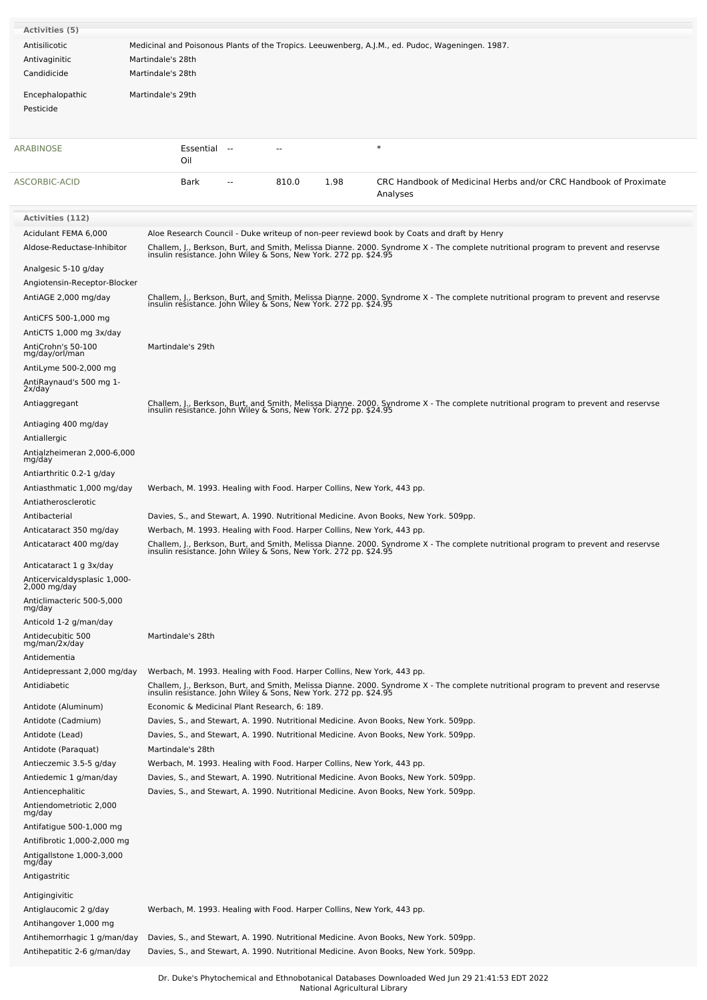| Activities (5)                               |                                                                        |       |      |                                                                                                                                                                                                        |
|----------------------------------------------|------------------------------------------------------------------------|-------|------|--------------------------------------------------------------------------------------------------------------------------------------------------------------------------------------------------------|
| Antisilicotic                                |                                                                        |       |      | Medicinal and Poisonous Plants of the Tropics. Leeuwenberg, A.J.M., ed. Pudoc, Wageningen. 1987.                                                                                                       |
| Antivaginitic                                | Martindale's 28th                                                      |       |      |                                                                                                                                                                                                        |
| Candidicide                                  | Martindale's 28th                                                      |       |      |                                                                                                                                                                                                        |
|                                              |                                                                        |       |      |                                                                                                                                                                                                        |
| Encephalopathic                              | Martindale's 29th                                                      |       |      |                                                                                                                                                                                                        |
| Pesticide                                    |                                                                        |       |      |                                                                                                                                                                                                        |
|                                              |                                                                        |       |      |                                                                                                                                                                                                        |
| ARABINOSE                                    | Essential<br>$-$                                                       |       |      | $\ast$                                                                                                                                                                                                 |
|                                              | Oil                                                                    |       |      |                                                                                                                                                                                                        |
| ASCORBIC-ACID                                | Bark                                                                   | 810.0 | 1.98 | CRC Handbook of Medicinal Herbs and/or CRC Handbook of Proximate                                                                                                                                       |
|                                              |                                                                        |       |      | Analyses                                                                                                                                                                                               |
|                                              |                                                                        |       |      |                                                                                                                                                                                                        |
| <b>Activities (112)</b>                      |                                                                        |       |      |                                                                                                                                                                                                        |
| Acidulant FEMA 6,000                         |                                                                        |       |      | Aloe Research Council - Duke writeup of non-peer reviewd book by Coats and draft by Henry                                                                                                              |
| Aldose-Reductase-Inhibitor                   |                                                                        |       |      | Challem, J., Berkson, Burt, and Smith, Melissa Dianne. 2000. Syndrome X - The complete nutritional program to prevent and reservse<br>insulin resistance. John Wiley & Sons, New York. 272 pp. \$24.95 |
| Analgesic 5-10 g/day                         |                                                                        |       |      |                                                                                                                                                                                                        |
| Angiotensin-Receptor-Blocker                 |                                                                        |       |      |                                                                                                                                                                                                        |
| AntiAGE 2,000 mg/day                         |                                                                        |       |      |                                                                                                                                                                                                        |
|                                              |                                                                        |       |      | Challem, J., Berkson, Burt, and Smith, Melissa Dianne. 2000. Syndrome X - The complete nutritional program to prevent and reservse<br>insulin resistance. John Wiley & Sons, New York. 272 pp. \$24.95 |
| AntiCFS 500-1,000 mg                         |                                                                        |       |      |                                                                                                                                                                                                        |
| AntiCTS 1,000 mg 3x/day                      |                                                                        |       |      |                                                                                                                                                                                                        |
| AntiCrohn's 50-100<br>mg/day/orl/man         | Martindale's 29th                                                      |       |      |                                                                                                                                                                                                        |
| AntiLyme 500-2,000 mg                        |                                                                        |       |      |                                                                                                                                                                                                        |
| AntiRaynaud's 500 mg 1-                      |                                                                        |       |      |                                                                                                                                                                                                        |
| 2x/day<br>Antiaggregant                      |                                                                        |       |      |                                                                                                                                                                                                        |
|                                              |                                                                        |       |      | Challem, J., Berkson, Burt, and Smith, Melissa Dianne. 2000. Syndrome X - The complete nutritional program to prevent and reservse<br>insulin resistance. John Wiley & Sons, New York. 272 pp. \$24.95 |
| Antiaging 400 mg/day                         |                                                                        |       |      |                                                                                                                                                                                                        |
| Antiallergic                                 |                                                                        |       |      |                                                                                                                                                                                                        |
| Antialzheimeran 2,000-6,000<br>mg/day        |                                                                        |       |      |                                                                                                                                                                                                        |
| Antiarthritic 0.2-1 g/day                    |                                                                        |       |      |                                                                                                                                                                                                        |
| Antiasthmatic 1,000 mg/day                   | Werbach, M. 1993. Healing with Food. Harper Collins, New York, 443 pp. |       |      |                                                                                                                                                                                                        |
| Antiatherosclerotic                          |                                                                        |       |      |                                                                                                                                                                                                        |
| Antibacterial                                |                                                                        |       |      | Davies, S., and Stewart, A. 1990. Nutritional Medicine. Avon Books, New York. 509pp.                                                                                                                   |
| Anticataract 350 mg/day                      | Werbach, M. 1993. Healing with Food. Harper Collins, New York, 443 pp. |       |      |                                                                                                                                                                                                        |
| Anticataract 400 mg/day                      |                                                                        |       |      | Challem, J., Berkson, Burt, and Smith, Melissa Dianne. 2000. Syndrome X - The complete nutritional program to prevent and reservse<br>insulin resistance. John Wiley & Sons, New York. 272 pp. \$24.95 |
| Anticataract 1 g 3x/day                      |                                                                        |       |      |                                                                                                                                                                                                        |
| Anticervicaldysplasic 1,000-<br>2,000 mg/day |                                                                        |       |      |                                                                                                                                                                                                        |
|                                              |                                                                        |       |      |                                                                                                                                                                                                        |
| Anticlimacteric 500-5,000<br>mg/day          |                                                                        |       |      |                                                                                                                                                                                                        |
| Anticold 1-2 g/man/day                       |                                                                        |       |      |                                                                                                                                                                                                        |
| Antidecubitic 500<br>mg/man/2x/day           | Martindale's 28th                                                      |       |      |                                                                                                                                                                                                        |
| Antidementia                                 |                                                                        |       |      |                                                                                                                                                                                                        |
| Antidepressant 2,000 mg/day                  | Werbach, M. 1993. Healing with Food. Harper Collins, New York, 443 pp. |       |      |                                                                                                                                                                                                        |
| Antidiabetic                                 |                                                                        |       |      | Challem, J., Berkson, Burt, and Smith, Melissa Dianne. 2000. Syndrome X - The complete nutritional program to prevent and reservse<br>insulin resistance. John Wiley & Sons, New York. 272 pp. \$24.95 |
|                                              |                                                                        |       |      |                                                                                                                                                                                                        |
| Antidote (Aluminum)                          | Economic & Medicinal Plant Research, 6: 189.                           |       |      |                                                                                                                                                                                                        |
| Antidote (Cadmium)                           |                                                                        |       |      | Davies, S., and Stewart, A. 1990. Nutritional Medicine. Avon Books, New York. 509pp.                                                                                                                   |
| Antidote (Lead)<br>Antidote (Paraquat)       | Martindale's 28th                                                      |       |      | Davies, S., and Stewart, A. 1990. Nutritional Medicine. Avon Books, New York. 509pp.                                                                                                                   |
| Antieczemic 3.5-5 g/day                      | Werbach, M. 1993. Healing with Food. Harper Collins, New York, 443 pp. |       |      |                                                                                                                                                                                                        |
| Antiedemic 1 g/man/day                       |                                                                        |       |      | Davies, S., and Stewart, A. 1990. Nutritional Medicine. Avon Books, New York. 509pp.                                                                                                                   |
| Antiencephalitic                             |                                                                        |       |      | Davies, S., and Stewart, A. 1990. Nutritional Medicine. Avon Books, New York. 509pp.                                                                                                                   |
| Antiendometriotic 2,000                      |                                                                        |       |      |                                                                                                                                                                                                        |
| mg/day                                       |                                                                        |       |      |                                                                                                                                                                                                        |
| Antifatigue 500-1,000 mg                     |                                                                        |       |      |                                                                                                                                                                                                        |
| Antifibrotic 1,000-2,000 mg                  |                                                                        |       |      |                                                                                                                                                                                                        |
| Antigallstone 1,000-3,000<br>mg/day          |                                                                        |       |      |                                                                                                                                                                                                        |
| Antigastritic                                |                                                                        |       |      |                                                                                                                                                                                                        |
| Antigingivitic                               |                                                                        |       |      |                                                                                                                                                                                                        |
| Antiglaucomic 2 g/day                        | Werbach, M. 1993. Healing with Food. Harper Collins, New York, 443 pp. |       |      |                                                                                                                                                                                                        |
| Antihangover 1,000 mg                        |                                                                        |       |      |                                                                                                                                                                                                        |
| Antihemorrhagic 1 g/man/day                  |                                                                        |       |      | Davies, S., and Stewart, A. 1990. Nutritional Medicine. Avon Books, New York. 509pp.                                                                                                                   |
| Antihepatitic 2-6 g/man/day                  |                                                                        |       |      | Davies, S., and Stewart, A. 1990. Nutritional Medicine. Avon Books, New York. 509pp.                                                                                                                   |
|                                              |                                                                        |       |      |                                                                                                                                                                                                        |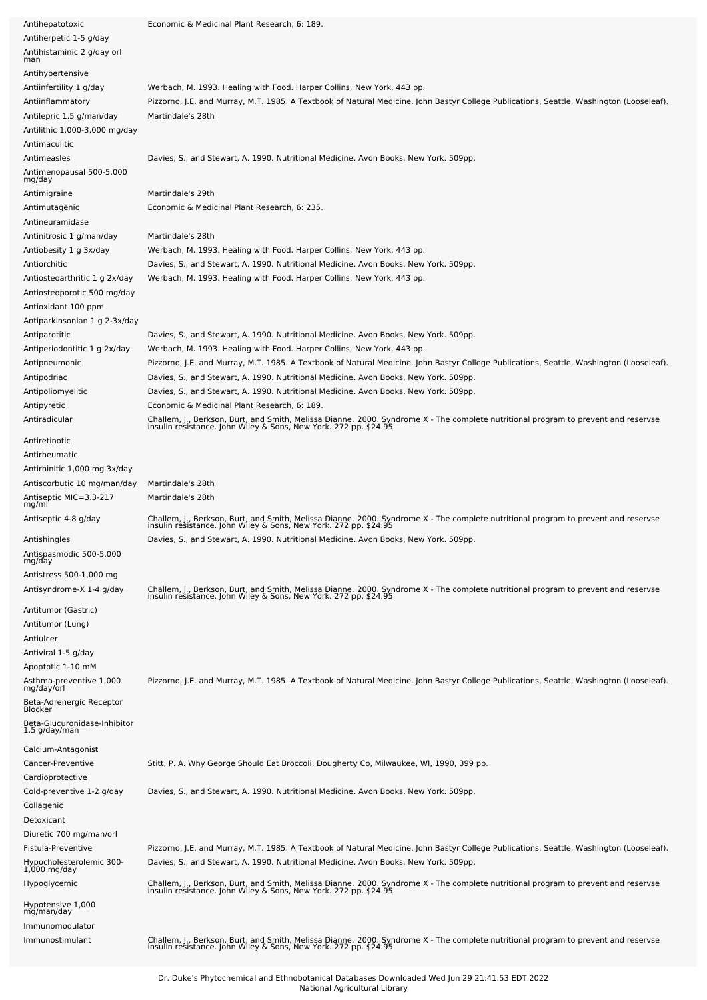| Antihepatotoxic                                                | Economic & Medicinal Plant Research, 6: 189.                                                                                                                                                           |
|----------------------------------------------------------------|--------------------------------------------------------------------------------------------------------------------------------------------------------------------------------------------------------|
| Antiherpetic 1-5 g/day                                         |                                                                                                                                                                                                        |
| Antihistaminic 2 g/day orl<br>man                              |                                                                                                                                                                                                        |
| Antihypertensive                                               |                                                                                                                                                                                                        |
| Antiinfertility 1 g/day                                        | Werbach, M. 1993. Healing with Food. Harper Collins, New York, 443 pp.                                                                                                                                 |
| Antiinflammatory                                               | Pizzorno, J.E. and Murray, M.T. 1985. A Textbook of Natural Medicine. John Bastyr College Publications, Seattle, Washington (Looseleaf).                                                               |
| Antilepric 1.5 g/man/day                                       | Martindale's 28th                                                                                                                                                                                      |
| Antilithic 1,000-3,000 mg/day                                  |                                                                                                                                                                                                        |
| Antimaculitic                                                  |                                                                                                                                                                                                        |
| Antimeasles                                                    | Davies, S., and Stewart, A. 1990. Nutritional Medicine. Avon Books, New York. 509pp.                                                                                                                   |
| Antimenopausal 500-5,000<br>mg/day                             |                                                                                                                                                                                                        |
| Antimigraine                                                   | Martindale's 29th                                                                                                                                                                                      |
| Antimutagenic                                                  | Economic & Medicinal Plant Research, 6: 235.                                                                                                                                                           |
| Antineuramidase                                                |                                                                                                                                                                                                        |
| Antinitrosic 1 g/man/day                                       | Martindale's 28th                                                                                                                                                                                      |
| Antiobesity 1 g 3x/day                                         | Werbach, M. 1993. Healing with Food. Harper Collins, New York, 443 pp.                                                                                                                                 |
| Antiorchitic                                                   | Davies, S., and Stewart, A. 1990. Nutritional Medicine. Avon Books, New York. 509pp.                                                                                                                   |
| Antiosteoarthritic 1 g 2x/day<br>Antiosteoporotic 500 mg/day   | Werbach, M. 1993. Healing with Food. Harper Collins, New York, 443 pp.                                                                                                                                 |
| Antioxidant 100 ppm                                            |                                                                                                                                                                                                        |
| Antiparkinsonian 1 g 2-3x/day                                  |                                                                                                                                                                                                        |
| Antiparotitic                                                  | Davies, S., and Stewart, A. 1990. Nutritional Medicine. Avon Books, New York. 509pp.                                                                                                                   |
| Antiperiodontitic 1 g 2x/day                                   | Werbach, M. 1993. Healing with Food. Harper Collins, New York, 443 pp.                                                                                                                                 |
| Antipneumonic                                                  | Pizzorno, J.E. and Murray, M.T. 1985. A Textbook of Natural Medicine. John Bastyr College Publications, Seattle, Washington (Looseleaf).                                                               |
| Antipodriac                                                    | Davies, S., and Stewart, A. 1990. Nutritional Medicine. Avon Books, New York. 509pp.                                                                                                                   |
| Antipoliomyelitic                                              | Davies, S., and Stewart, A. 1990. Nutritional Medicine. Avon Books, New York. 509pp.                                                                                                                   |
| Antipyretic                                                    | Economic & Medicinal Plant Research, 6: 189.                                                                                                                                                           |
| Antiradicular                                                  | Challem, J., Berkson, Burt, and Smith, Melissa Dianne. 2000. Syndrome X - The complete nutritional program to prevent and reservse<br>insulin resistance. John Wiley & Sons, New York. 272 pp. \$24.95 |
| Antiretinotic                                                  |                                                                                                                                                                                                        |
| Antirheumatic                                                  |                                                                                                                                                                                                        |
| Antirhinitic 1,000 mg 3x/day                                   |                                                                                                                                                                                                        |
| Antiscorbutic 10 mg/man/day<br>Antiseptic MIC=3.3-217<br>mg/ml | Martindale's 28th<br>Martindale's 28th                                                                                                                                                                 |
| Antiseptic 4-8 g/day                                           | Challem, J., Berkson, Burt, and Smith, Melissa Dianne. 2000. Syndrome X - The complete nutritional program to prevent and reservse<br>insulin resistance. John Wiley & Sons, New York. 272 pp. \$24.95 |
| Antishingles                                                   | Davies, S., and Stewart, A. 1990. Nutritional Medicine. Avon Books, New York. 509pp.                                                                                                                   |
| Antispasmodic 500-5,000<br>mg/day                              |                                                                                                                                                                                                        |
| Antistress 500-1,000 mg                                        |                                                                                                                                                                                                        |
| Antisyndrome-X 1-4 g/day                                       | Challem, J., Berkson, Burt, and Smith, Melissa Dianne. 2000. Syndrome X - The complete nutritional program to prevent and reservse<br>insulin resistance. John Wiley & Sons, New York. 272 pp. \$24.95 |
| Antitumor (Gastric)                                            |                                                                                                                                                                                                        |
| Antitumor (Lung)                                               |                                                                                                                                                                                                        |
| Antiulcer                                                      |                                                                                                                                                                                                        |
| Antiviral 1-5 g/day<br>Apoptotic 1-10 mM                       |                                                                                                                                                                                                        |
| Asthma-preventive 1,000                                        | Pizzorno, J.E. and Murray, M.T. 1985. A Textbook of Natural Medicine. John Bastyr College Publications, Seattle, Washington (Looseleaf).                                                               |
| mg/day/orl                                                     |                                                                                                                                                                                                        |
| Beta-Adrenergic Receptor<br>Blocker                            |                                                                                                                                                                                                        |
| Beta-Glucuronidase-Inhibitor<br>1.5 g/day/man                  |                                                                                                                                                                                                        |
| Calcium-Antagonist                                             |                                                                                                                                                                                                        |
| Cancer-Preventive                                              | Stitt, P. A. Why George Should Eat Broccoli. Dougherty Co, Milwaukee, WI, 1990, 399 pp.                                                                                                                |
| Cardioprotective                                               |                                                                                                                                                                                                        |
| Cold-preventive 1-2 g/day                                      | Davies, S., and Stewart, A. 1990. Nutritional Medicine. Avon Books, New York. 509pp.                                                                                                                   |
| Collagenic                                                     |                                                                                                                                                                                                        |
| Detoxicant                                                     |                                                                                                                                                                                                        |
| Diuretic 700 mg/man/orl                                        |                                                                                                                                                                                                        |
| Fistula-Preventive                                             | Pizzorno, J.E. and Murray, M.T. 1985. A Textbook of Natural Medicine. John Bastyr College Publications, Seattle, Washington (Looseleaf).                                                               |
| Hypocholesterolemic 300-<br>$1,000$ mg/day                     | Davies, S., and Stewart, A. 1990. Nutritional Medicine. Avon Books, New York. 509pp.                                                                                                                   |
| Hypoglycemic                                                   | Challem, J., Berkson, Burt, and Smith, Melissa Dianne. 2000. Syndrome X - The complete nutritional program to prevent and reservse<br>insulin resistance. John Wiley & Sons, New York. 272 pp. \$24.95 |
| Hypotensive 1,000<br>mg/man/day                                |                                                                                                                                                                                                        |
| Immunomodulator                                                |                                                                                                                                                                                                        |
| Immunostimulant                                                | Challem, J., Berkson, Burt, and Smith, Melissa Dianne. 2000. Syndrome X - The complete nutritional program to prevent and reservse<br>insulin resistance. John Wiley & Sons, New York. 272 pp. \$24.95 |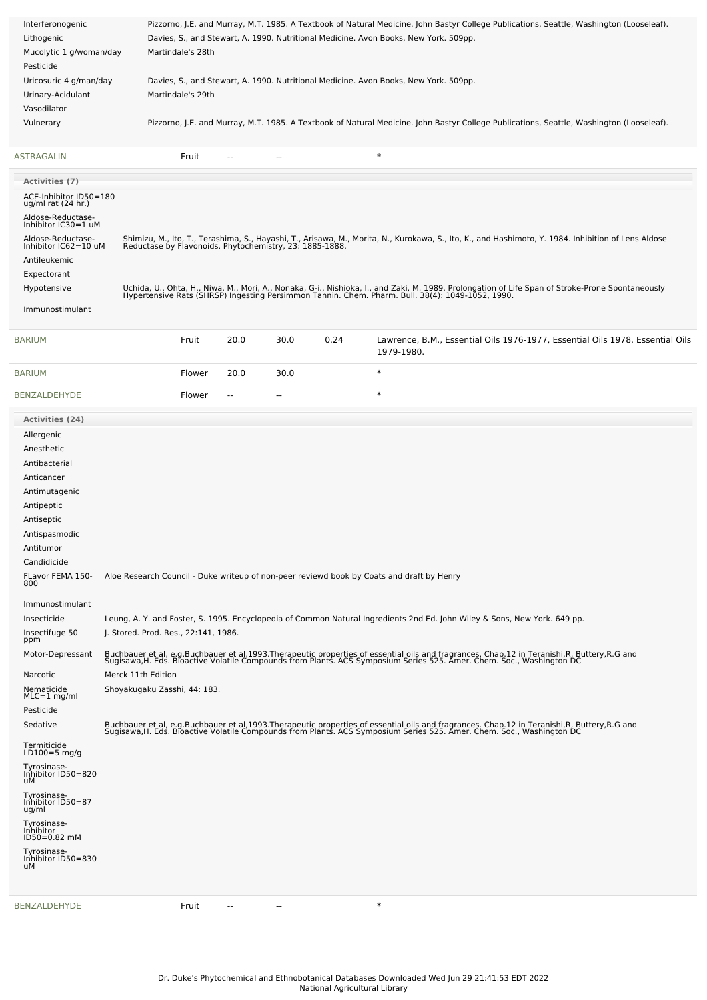| Interferonogenic<br>Lithogenic<br>Mucolytic 1 g/woman/day<br>Pesticide                                                                                                                                                                                                                                                                                                                                                                                                                                                               |                                                                                            | Pizzorno, J.E. and Murray, M.T. 1985. A Textbook of Natural Medicine. John Bastyr College Publications, Seattle, Washington (Looseleaf).<br>Davies, S., and Stewart, A. 1990. Nutritional Medicine. Avon Books, New York. 509pp.<br>Martindale's 28th |                          |                          |      |                                                                                           |                                                                                                                                                                                                                                                                                                                                                                                                                                                                                                                                                                                                     |  |
|--------------------------------------------------------------------------------------------------------------------------------------------------------------------------------------------------------------------------------------------------------------------------------------------------------------------------------------------------------------------------------------------------------------------------------------------------------------------------------------------------------------------------------------|--------------------------------------------------------------------------------------------|-------------------------------------------------------------------------------------------------------------------------------------------------------------------------------------------------------------------------------------------------------|--------------------------|--------------------------|------|-------------------------------------------------------------------------------------------|-----------------------------------------------------------------------------------------------------------------------------------------------------------------------------------------------------------------------------------------------------------------------------------------------------------------------------------------------------------------------------------------------------------------------------------------------------------------------------------------------------------------------------------------------------------------------------------------------------|--|
| Uricosuric 4 g/man/day<br>Urinary-Acidulant<br>Vasodilator                                                                                                                                                                                                                                                                                                                                                                                                                                                                           |                                                                                            | Martindale's 29th                                                                                                                                                                                                                                     |                          |                          |      | Davies, S., and Stewart, A. 1990. Nutritional Medicine. Avon Books, New York. 509pp.      |                                                                                                                                                                                                                                                                                                                                                                                                                                                                                                                                                                                                     |  |
| Vulnerary                                                                                                                                                                                                                                                                                                                                                                                                                                                                                                                            |                                                                                            |                                                                                                                                                                                                                                                       |                          |                          |      |                                                                                           | Pizzorno, J.E. and Murray, M.T. 1985. A Textbook of Natural Medicine. John Bastyr College Publications, Seattle, Washington (Looseleaf).                                                                                                                                                                                                                                                                                                                                                                                                                                                            |  |
| ASTRAGALIN                                                                                                                                                                                                                                                                                                                                                                                                                                                                                                                           |                                                                                            | Fruit                                                                                                                                                                                                                                                 |                          |                          |      | $\ast$                                                                                    |                                                                                                                                                                                                                                                                                                                                                                                                                                                                                                                                                                                                     |  |
| <b>Activities (7)</b>                                                                                                                                                                                                                                                                                                                                                                                                                                                                                                                |                                                                                            |                                                                                                                                                                                                                                                       |                          |                          |      |                                                                                           |                                                                                                                                                                                                                                                                                                                                                                                                                                                                                                                                                                                                     |  |
| ACE-Inhibitor ID50=180<br>ug/ml rat (24 hr.)                                                                                                                                                                                                                                                                                                                                                                                                                                                                                         |                                                                                            |                                                                                                                                                                                                                                                       |                          |                          |      |                                                                                           |                                                                                                                                                                                                                                                                                                                                                                                                                                                                                                                                                                                                     |  |
| Aldose-Reductase-<br>Inhibitor IC30=1 uM<br>Aldose-Reductase-<br>Inhibitor IC62=10 uM<br>Antileukemic<br>Expectorant                                                                                                                                                                                                                                                                                                                                                                                                                 |                                                                                            |                                                                                                                                                                                                                                                       |                          |                          |      |                                                                                           | Shimizu, M., Ito, T., Terashima, S., Hayashi, T., Arisawa, M., Morita, N., Kurokawa, S., Ito, K., and Hashimoto, Y. 1984. Inhibition of Lens Aldose<br>Reductase by Flavonoids. Phytochemistry, 23: 1885-1888.                                                                                                                                                                                                                                                                                                                                                                                      |  |
| Hypotensive<br>Immunostimulant                                                                                                                                                                                                                                                                                                                                                                                                                                                                                                       |                                                                                            |                                                                                                                                                                                                                                                       |                          |                          |      |                                                                                           | Uchida, U., Ohta, H., Niwa, M., Mori, A., Nonaka, G-i., Nishioka, I., and Zaki, M. 1989. Prolongation of Life Span of Stroke-Prone Spontaneously<br>Hypertensive Rats (SHRSP) Ingesting Persimmon Tannin. Chem. Pharm. Bull. 38(4                                                                                                                                                                                                                                                                                                                                                                   |  |
| <b>BARIUM</b>                                                                                                                                                                                                                                                                                                                                                                                                                                                                                                                        |                                                                                            | Fruit                                                                                                                                                                                                                                                 | 20.0                     | 30.0                     | 0.24 | 1979-1980.                                                                                | Lawrence, B.M., Essential Oils 1976-1977, Essential Oils 1978, Essential Oils                                                                                                                                                                                                                                                                                                                                                                                                                                                                                                                       |  |
| <b>BARIUM</b>                                                                                                                                                                                                                                                                                                                                                                                                                                                                                                                        |                                                                                            | Flower                                                                                                                                                                                                                                                | 20.0                     | 30.0                     |      | $\ast$                                                                                    |                                                                                                                                                                                                                                                                                                                                                                                                                                                                                                                                                                                                     |  |
| BENZALDEHYDE                                                                                                                                                                                                                                                                                                                                                                                                                                                                                                                         |                                                                                            | Flower                                                                                                                                                                                                                                                | $\overline{\phantom{a}}$ | --                       |      | $\ast$                                                                                    |                                                                                                                                                                                                                                                                                                                                                                                                                                                                                                                                                                                                     |  |
| <b>Activities (24)</b>                                                                                                                                                                                                                                                                                                                                                                                                                                                                                                               |                                                                                            |                                                                                                                                                                                                                                                       |                          |                          |      |                                                                                           |                                                                                                                                                                                                                                                                                                                                                                                                                                                                                                                                                                                                     |  |
| Anesthetic<br>Antibacterial<br>Anticancer<br>Antimutagenic<br>Antipeptic<br>Antiseptic<br>Antispasmodic<br>Antitumor<br>Candidicide<br>FLavor FEMA 150-<br>800<br>Immunostimulant<br>Insecticide<br>Insectifuge 50<br>ppm<br>Motor-Depressant<br>Narcotic<br>Nematicide<br>$MLC = 1$ mg/ml<br>Pesticide<br>Sedative<br>Termiticide<br>LD $100=5$ mg/g<br>Tyrosinase-<br>Inhibitor ID50=820<br>uМ<br>Tyrosinase-<br>Inhibitor ID50=87<br>ug/ml<br>Tyrosinase-<br>Inhibitor<br>ID50=0.82 mM<br>Tyrosinase-<br>Inhibitor ID50=830<br>uМ | J. Stored. Prod. Res., 22:141, 1986.<br>Merck 11th Edition<br>Shoyakugaku Zasshi, 44: 183. |                                                                                                                                                                                                                                                       |                          |                          |      | Aloe Research Council - Duke writeup of non-peer reviewd book by Coats and draft by Henry | Leung, A. Y. and Foster, S. 1995. Encyclopedia of Common Natural Ingredients 2nd Ed. John Wiley & Sons, New York. 649 pp.<br>Buchbauer et al, e.g.Buchbauer et al,1993.Therapeutic properties of essential oils and fragrances. Chap.12 in Teranishi,R, Buttery,R.G and<br>Sugisawa,H. Eds. Bioactive Volatile Compounds from Plants. ACS Symposium Series 525<br>Buchbauer et al, e.g.Buchbauer et al,1993.Therapeutic properties of essential oils and fragrances. Chap.12 in Teranishi,R, Buttery,R.G and<br>Sugisawa,H. Eds. Bioactive Volatile Compounds from Plants. ACS Symposium Series 525 |  |
| BENZALDEHYDE                                                                                                                                                                                                                                                                                                                                                                                                                                                                                                                         |                                                                                            | Fruit                                                                                                                                                                                                                                                 | $\sim$                   | $\overline{\phantom{m}}$ |      | $\ast$                                                                                    |                                                                                                                                                                                                                                                                                                                                                                                                                                                                                                                                                                                                     |  |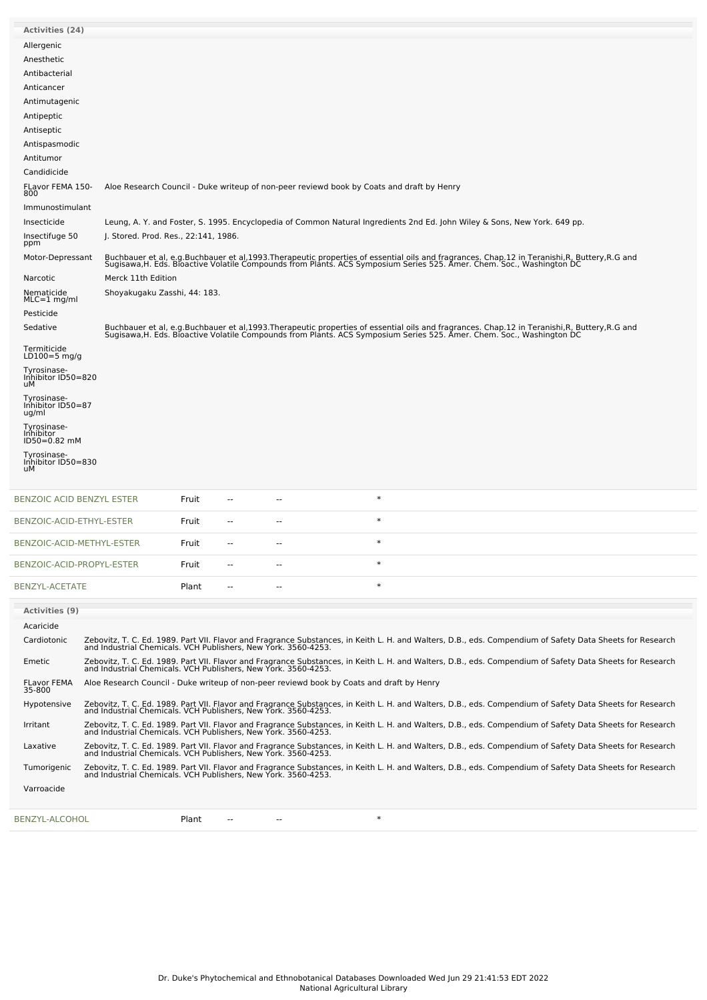| <b>Activities (24)</b>                          |                                                                |       |    |                                                                                           |        |                                                                                                                                                                                                                                   |  |
|-------------------------------------------------|----------------------------------------------------------------|-------|----|-------------------------------------------------------------------------------------------|--------|-----------------------------------------------------------------------------------------------------------------------------------------------------------------------------------------------------------------------------------|--|
| Allergenic                                      |                                                                |       |    |                                                                                           |        |                                                                                                                                                                                                                                   |  |
| Anesthetic                                      |                                                                |       |    |                                                                                           |        |                                                                                                                                                                                                                                   |  |
| Antibacterial<br>Anticancer                     |                                                                |       |    |                                                                                           |        |                                                                                                                                                                                                                                   |  |
| Antimutagenic                                   |                                                                |       |    |                                                                                           |        |                                                                                                                                                                                                                                   |  |
| Antipeptic                                      |                                                                |       |    |                                                                                           |        |                                                                                                                                                                                                                                   |  |
| Antiseptic                                      |                                                                |       |    |                                                                                           |        |                                                                                                                                                                                                                                   |  |
| Antispasmodic                                   |                                                                |       |    |                                                                                           |        |                                                                                                                                                                                                                                   |  |
| Antitumor                                       |                                                                |       |    |                                                                                           |        |                                                                                                                                                                                                                                   |  |
| Candidicide                                     |                                                                |       |    |                                                                                           |        |                                                                                                                                                                                                                                   |  |
| FLavor FEMA 150-<br>800                         |                                                                |       |    | Aloe Research Council - Duke writeup of non-peer reviewd book by Coats and draft by Henry |        |                                                                                                                                                                                                                                   |  |
| Immunostimulant                                 |                                                                |       |    |                                                                                           |        |                                                                                                                                                                                                                                   |  |
| Insecticide                                     |                                                                |       |    |                                                                                           |        | Leung, A. Y. and Foster, S. 1995. Encyclopedia of Common Natural Ingredients 2nd Ed. John Wiley & Sons, New York. 649 pp.                                                                                                         |  |
| Insectifuge 50<br>ppm                           | J. Stored. Prod. Res., 22:141, 1986.                           |       |    |                                                                                           |        |                                                                                                                                                                                                                                   |  |
| Motor-Depressant                                |                                                                |       |    |                                                                                           |        | Buchbauer et al, e.g.Buchbauer et al,1993.Therapeutic properties of essential oils and fragrances. Chap.12 in Teranishi,R, Buttery,R.G and<br>Sugisawa,H. Eds. Bioactive Volatile Compounds from Plants. ACS Symposium Series 525 |  |
| Narcotic<br>Nematicide<br>$MLC = 1$ mg/ml       | Merck 11th Edition<br>Shoyakugaku Zasshi, 44: 183.             |       |    |                                                                                           |        |                                                                                                                                                                                                                                   |  |
| Pesticide                                       |                                                                |       |    |                                                                                           |        |                                                                                                                                                                                                                                   |  |
| Sedative                                        |                                                                |       |    |                                                                                           |        | Buchbauer et al, e.g.Buchbauer et al,1993.Therapeutic properties of essential oils and fragrances. Chap.12 in Teranishi,R, Buttery,R.G and<br>Sugisawa,H. Eds. Bioactive Volatile Compounds from Plants. ACS Symposium Series 525 |  |
| Termiticide<br>$LD100=5$ mg/g                   |                                                                |       |    |                                                                                           |        |                                                                                                                                                                                                                                   |  |
| Tyrosinase-<br>Inhibitor ID50=820<br>uМ         |                                                                |       |    |                                                                                           |        |                                                                                                                                                                                                                                   |  |
| Tyrosinase-<br>Inhibitor ID50=87<br>ug/ml       |                                                                |       |    |                                                                                           |        |                                                                                                                                                                                                                                   |  |
| Tyrosinase-<br><i>Inhibitor</i><br>ID50=0.82 mM |                                                                |       |    |                                                                                           |        |                                                                                                                                                                                                                                   |  |
| Tyrosinase-<br>Inhibitor ID50=830               |                                                                |       |    |                                                                                           |        |                                                                                                                                                                                                                                   |  |
| uМ                                              |                                                                |       |    |                                                                                           |        |                                                                                                                                                                                                                                   |  |
| BENZOIC ACID BENZYL ESTER                       |                                                                | Fruit |    |                                                                                           | $\ast$ |                                                                                                                                                                                                                                   |  |
| BENZOIC-ACID-ETHYL-ESTER                        |                                                                | Fruit |    |                                                                                           | $\ast$ |                                                                                                                                                                                                                                   |  |
| BENZOIC-ACID-METHYL-ESTER                       |                                                                | Fruit | -- | --                                                                                        | $\ast$ |                                                                                                                                                                                                                                   |  |
| BENZOIC-ACID-PROPYL-ESTER                       |                                                                | Fruit |    |                                                                                           | $\ast$ |                                                                                                                                                                                                                                   |  |
| <b>BENZYL-ACETATE</b>                           |                                                                | Plant |    |                                                                                           | $\ast$ |                                                                                                                                                                                                                                   |  |
| <b>Activities (9)</b>                           |                                                                |       |    |                                                                                           |        |                                                                                                                                                                                                                                   |  |
| Acaricide<br>Cardiotonic                        |                                                                |       |    |                                                                                           |        | Zebovitz, T. C. Ed. 1989. Part VII. Flavor and Fragrance Substances, in Keith L. H. and Walters, D.B., eds. Compendium of Safety Data Sheets for Research<br>and Industrial Chemicals. VCH Publishers, New York. 3560-4253.       |  |
| Emetic                                          |                                                                |       |    |                                                                                           |        | Zebovitz, T. C. Ed. 1989. Part VII. Flavor and Fragrance Substances, in Keith L. H. and Walters, D.B., eds. Compendium of Safety Data Sheets for Research and Industrial Chemicals. VCH Publishers, New York. 3560-4253.          |  |
| FLavor FEMA<br>35-800                           |                                                                |       |    | Aloe Research Council - Duke writeup of non-peer reviewd book by Coats and draft by Henry |        |                                                                                                                                                                                                                                   |  |
| Hypotensive                                     |                                                                |       |    |                                                                                           |        | Zebovitz, T. C. Ed. 1989. Part VII. Flavor and Fragrance Substances, in Keith L. H. and Walters, D.B., eds. Compendium of Safety Data Sheets for Research<br>and Industrial Chemicals. VCH Publishers, New York. 3560-4253.       |  |
| Irritant                                        | and Industrial Chemicals. VCH Publishers, New York. 3560-4253. |       |    |                                                                                           |        | Zebovitz, T. C. Ed. 1989. Part VII. Flavor and Fragrance Substances, in Keith L. H. and Walters, D.B., eds. Compendium of Safety Data Sheets for Research                                                                         |  |
| Laxative                                        | and Industrial Chemicals. VCH Publishers, New York. 3560-4253. |       |    |                                                                                           |        | Zebovitz, T. C. Ed. 1989. Part VII. Flavor and Fragrance Substances, in Keith L. H. and Walters, D.B., eds. Compendium of Safety Data Sheets for Research                                                                         |  |
| Tumorigenic                                     |                                                                |       |    |                                                                                           |        | Zebovitz, T. C. Ed. 1989. Part VII. Flavor and Fragrance Substances, in Keith L. H. and Walters, D.B., eds. Compendium of Safety Data Sheets for Research and Industrial Chemicals. VCH Publishers, New York. 3560-4253.          |  |
| Varroacide                                      |                                                                |       |    |                                                                                           |        |                                                                                                                                                                                                                                   |  |
| BENZYL-ALCOHOL                                  |                                                                | Plant |    |                                                                                           | $\ast$ |                                                                                                                                                                                                                                   |  |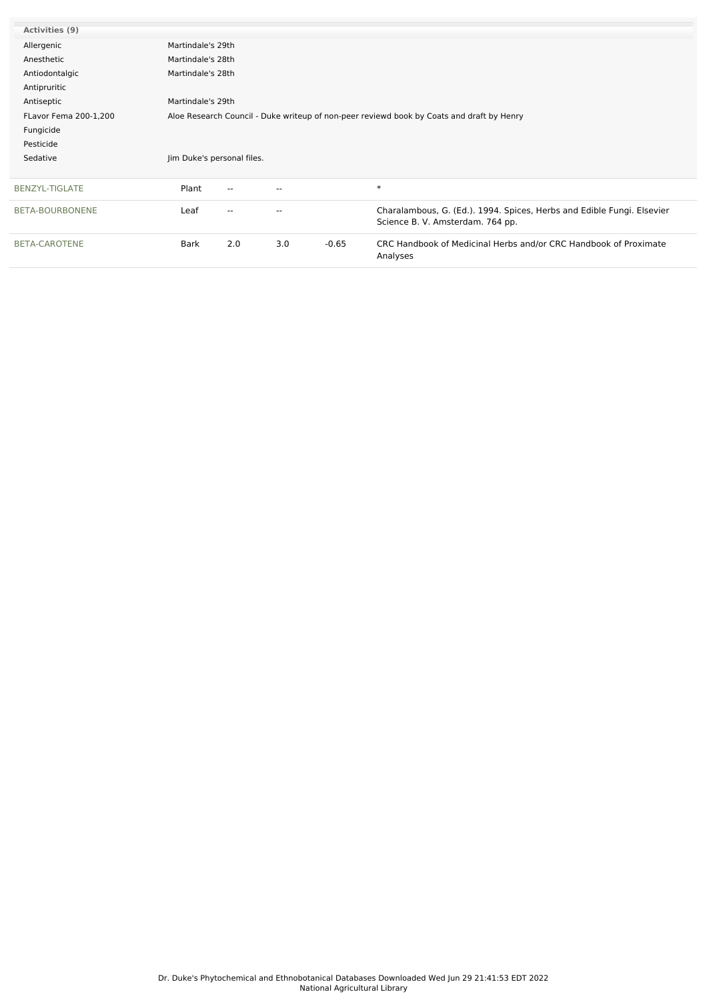| Activities (9)        |                            |                                                                                           |                          |         |                                                                                                            |  |  |  |  |
|-----------------------|----------------------------|-------------------------------------------------------------------------------------------|--------------------------|---------|------------------------------------------------------------------------------------------------------------|--|--|--|--|
| Allergenic            |                            | Martindale's 29th                                                                         |                          |         |                                                                                                            |  |  |  |  |
| Anesthetic            |                            | Martindale's 28th                                                                         |                          |         |                                                                                                            |  |  |  |  |
| Antiodontalgic        |                            | Martindale's 28th                                                                         |                          |         |                                                                                                            |  |  |  |  |
| Antipruritic          |                            |                                                                                           |                          |         |                                                                                                            |  |  |  |  |
| Antiseptic            |                            | Martindale's 29th                                                                         |                          |         |                                                                                                            |  |  |  |  |
| FLavor Fema 200-1,200 |                            | Aloe Research Council - Duke writeup of non-peer reviewd book by Coats and draft by Henry |                          |         |                                                                                                            |  |  |  |  |
| Fungicide             |                            |                                                                                           |                          |         |                                                                                                            |  |  |  |  |
| Pesticide             |                            |                                                                                           |                          |         |                                                                                                            |  |  |  |  |
| Sedative              | Jim Duke's personal files. |                                                                                           |                          |         |                                                                                                            |  |  |  |  |
|                       |                            |                                                                                           |                          |         |                                                                                                            |  |  |  |  |
| <b>BENZYL-TIGLATE</b> | Plant                      | $-$                                                                                       | $\overline{\phantom{a}}$ |         | $\ast$                                                                                                     |  |  |  |  |
| BETA-BOURBONENE       | Leaf                       | ۰.                                                                                        | $\overline{\phantom{m}}$ |         | Charalambous, G. (Ed.). 1994. Spices, Herbs and Edible Fungi. Elsevier<br>Science B. V. Amsterdam. 764 pp. |  |  |  |  |
| <b>BETA-CAROTENE</b>  | Bark                       | 2.0                                                                                       | 3.0                      | $-0.65$ | CRC Handbook of Medicinal Herbs and/or CRC Handbook of Proximate<br>Analyses                               |  |  |  |  |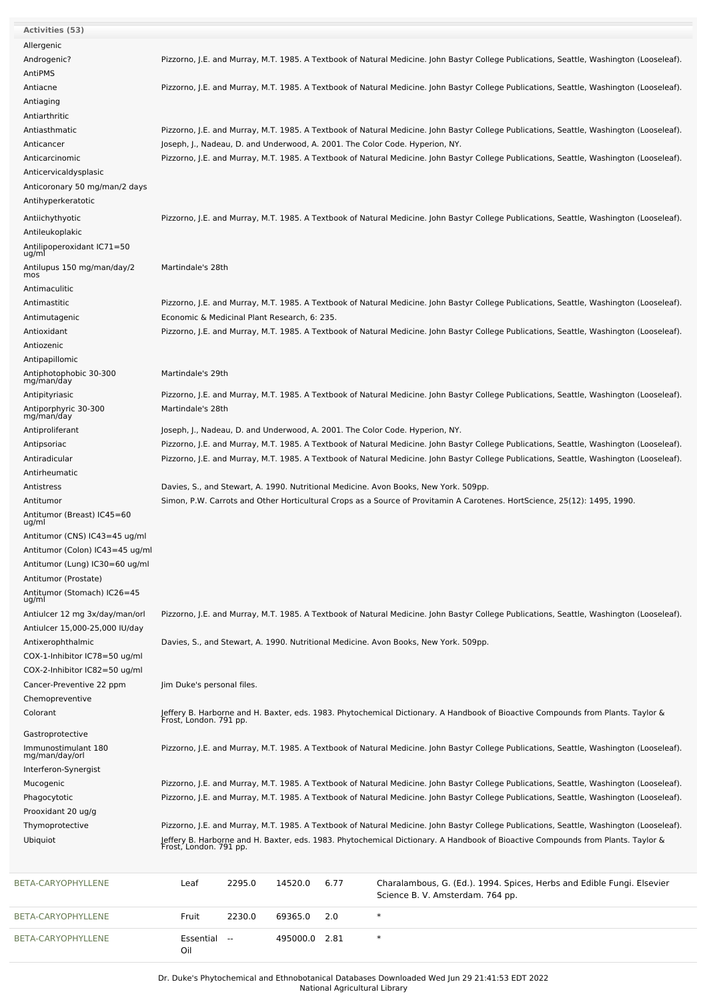| BETA-CARYOPHYLLENE                                               | 2295.0<br>14520.0<br>6.77<br>Charalambous, G. (Ed.). 1994. Spices, Herbs and Edible Fungi. Elsevier<br>Leaf<br>Science B. V. Amsterdam. 764 pp.                                                                          |
|------------------------------------------------------------------|--------------------------------------------------------------------------------------------------------------------------------------------------------------------------------------------------------------------------|
|                                                                  |                                                                                                                                                                                                                          |
|                                                                  |                                                                                                                                                                                                                          |
| Ubiquiot                                                         | Jeffery B. Harborne and H. Baxter, eds. 1983. Phytochemical Dictionary. A Handbook of Bioactive Compounds from Plants. Taylor &<br>Frost, London. 791 pp.                                                                |
| Thymoprotective                                                  | Pizzorno, J.E. and Murray, M.T. 1985. A Textbook of Natural Medicine. John Bastyr College Publications, Seattle, Washington (Looseleaf).                                                                                 |
| Prooxidant 20 ug/g                                               |                                                                                                                                                                                                                          |
| Phagocytotic                                                     | Pizzorno, J.E. and Murray, M.T. 1985. A Textbook of Natural Medicine. John Bastyr College Publications, Seattle, Washington (Looseleaf).                                                                                 |
| Mucogenic                                                        | Pizzorno, J.E. and Murray, M.T. 1985. A Textbook of Natural Medicine. John Bastyr College Publications, Seattle, Washington (Looseleaf).                                                                                 |
| Interferon-Synergist                                             |                                                                                                                                                                                                                          |
| Immunostimulant 180<br>mg/man/day/orl                            | Pizzorno, J.E. and Murray, M.T. 1985. A Textbook of Natural Medicine. John Bastyr College Publications, Seattle, Washington (Looseleaf).                                                                                 |
| Gastroprotective                                                 |                                                                                                                                                                                                                          |
| Colorant                                                         | Jeffery B. Harborne and H. Baxter, eds. 1983. Phytochemical Dictionary. A Handbook of Bioactive Compounds from Plants. Taylor &<br>Frost, London. 791 pp.                                                                |
| Chemopreventive                                                  |                                                                                                                                                                                                                          |
| Cancer-Preventive 22 ppm                                         | Jim Duke's personal files.                                                                                                                                                                                               |
| COX-2-Inhibitor IC82=50 ug/ml                                    |                                                                                                                                                                                                                          |
| COX-1-Inhibitor IC78=50 ug/ml                                    |                                                                                                                                                                                                                          |
| Antixerophthalmic                                                | Davies, S., and Stewart, A. 1990. Nutritional Medicine. Avon Books, New York. 509pp.                                                                                                                                     |
| Antiulcer 12 mg 3x/day/man/orl<br>Antiulcer 15,000-25,000 IU/day | Pizzorno, J.E. and Murray, M.T. 1985. A Textbook of Natural Medicine. John Bastyr College Publications, Seattle, Washington (Looseleaf).                                                                                 |
| Antitumor (Stomach) IC26=45<br>ug/ml                             |                                                                                                                                                                                                                          |
| Antitumor (Prostate)                                             |                                                                                                                                                                                                                          |
| Antitumor (Lung) IC30=60 ug/ml                                   |                                                                                                                                                                                                                          |
| Antitumor (Colon) IC43=45 ug/ml                                  |                                                                                                                                                                                                                          |
| Antitumor (CNS) IC43=45 ug/ml                                    |                                                                                                                                                                                                                          |
| Antitumor (Breast) IC45=60<br>ug/ml                              |                                                                                                                                                                                                                          |
| Antitumor                                                        | Simon, P.W. Carrots and Other Horticultural Crops as a Source of Provitamin A Carotenes. HortScience, 25(12): 1495, 1990.                                                                                                |
| Antistress                                                       | Davies, S., and Stewart, A. 1990. Nutritional Medicine. Avon Books, New York. 509pp.                                                                                                                                     |
| Antirheumatic                                                    |                                                                                                                                                                                                                          |
| Antiradicular                                                    | Pizzorno, J.E. and Murray, M.T. 1985. A Textbook of Natural Medicine. John Bastyr College Publications, Seattle, Washington (Looseleaf).                                                                                 |
| Antipsoriac                                                      | Pizzorno, J.E. and Murray, M.T. 1985. A Textbook of Natural Medicine. John Bastyr College Publications, Seattle, Washington (Looseleaf).                                                                                 |
| Antiproliferant                                                  | Joseph, J., Nadeau, D. and Underwood, A. 2001. The Color Code. Hyperion, NY.                                                                                                                                             |
| Antiporphyric 30-300<br>mg/man/day                               | Martindale's 28th                                                                                                                                                                                                        |
| Antipityriasic                                                   | Pizzorno, J.E. and Murray, M.T. 1985. A Textbook of Natural Medicine. John Bastyr College Publications, Seattle, Washington (Looseleaf).                                                                                 |
| Antiphotophobic 30-300<br>mg/man/day                             | Martindale's 29th                                                                                                                                                                                                        |
| Antipapillomic                                                   |                                                                                                                                                                                                                          |
| Antiozenic                                                       |                                                                                                                                                                                                                          |
| Antioxidant                                                      | Pizzorno, J.E. and Murray, M.T. 1985. A Textbook of Natural Medicine. John Bastyr College Publications, Seattle, Washington (Looseleaf).                                                                                 |
| Antimutagenic                                                    | Economic & Medicinal Plant Research, 6: 235.                                                                                                                                                                             |
| Antimastitic                                                     | Pizzorno, J.E. and Murray, M.T. 1985. A Textbook of Natural Medicine. John Bastyr College Publications, Seattle, Washington (Looseleaf).                                                                                 |
| mos<br>Antimaculitic                                             |                                                                                                                                                                                                                          |
| Antilupus 150 mg/man/day/2                                       | Martindale's 28th                                                                                                                                                                                                        |
| Antilipoperoxidant IC71=50<br>ug/ml                              |                                                                                                                                                                                                                          |
| Antileukoplakic                                                  |                                                                                                                                                                                                                          |
| Antiichythyotic                                                  | Pizzorno, J.E. and Murray, M.T. 1985. A Textbook of Natural Medicine. John Bastyr College Publications, Seattle, Washington (Looseleaf).                                                                                 |
| Antihyperkeratotic                                               |                                                                                                                                                                                                                          |
| Anticoronary 50 mg/man/2 days                                    |                                                                                                                                                                                                                          |
| Anticervicaldysplasic                                            |                                                                                                                                                                                                                          |
| Anticarcinomic                                                   | Pizzorno, J.E. and Murray, M.T. 1985. A Textbook of Natural Medicine. John Bastyr College Publications, Seattle, Washington (Looseleaf).                                                                                 |
| Anticancer                                                       | Pizzorno, J.E. and Murray, M.T. 1985. A Textbook of Natural Medicine. John Bastyr College Publications, Seattle, Washington (Looseleaf).<br>Joseph, J., Nadeau, D. and Underwood, A. 2001. The Color Code. Hyperion, NY. |
| Antiarthritic<br>Antiasthmatic                                   |                                                                                                                                                                                                                          |
| Antiaging                                                        |                                                                                                                                                                                                                          |
| Antiacne                                                         | Pizzorno, J.E. and Murray, M.T. 1985. A Textbook of Natural Medicine. John Bastyr College Publications, Seattle, Washington (Looseleaf).                                                                                 |
| AntiPMS                                                          |                                                                                                                                                                                                                          |
| Androgenic?                                                      | Pizzorno, J.E. and Murray, M.T. 1985. A Textbook of Natural Medicine. John Bastyr College Publications, Seattle, Washington (Looseleaf).                                                                                 |
| Allergenic                                                       |                                                                                                                                                                                                                          |
| <b>Activities (53)</b>                                           |                                                                                                                                                                                                                          |

Essential -- 495000.0 2.81 \*

[BETA-CARYOPHYLLENE](file:///phytochem/chemicals/show/4566)

Oil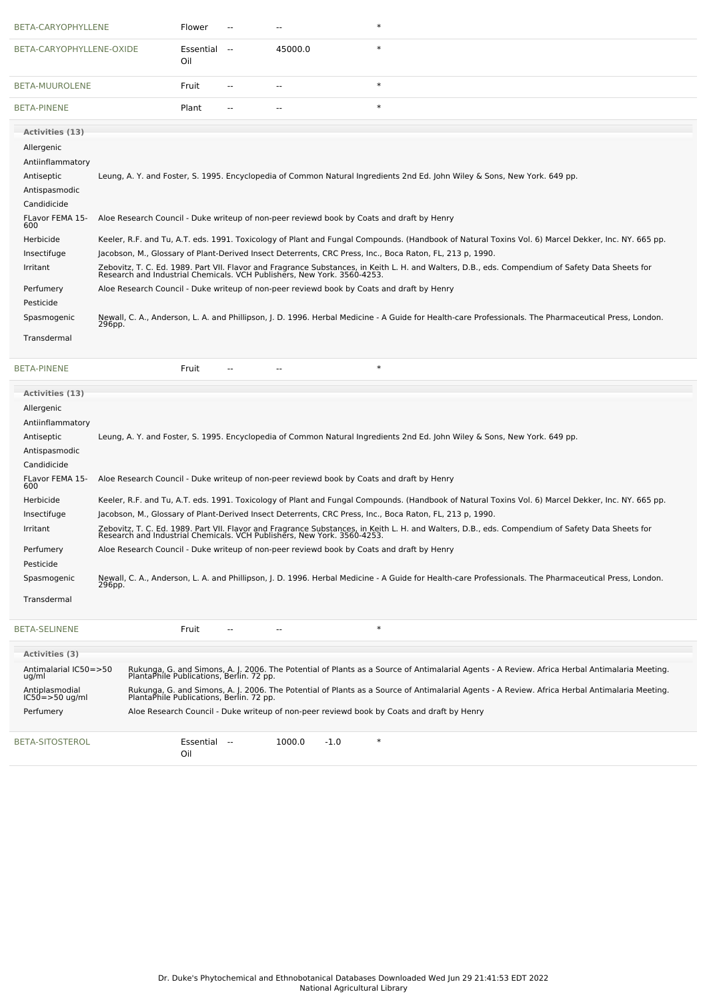| BETA-CARYOPHYLLENE       |        | Flower              |                                                                                           | $\ast$                                                                                                                                                                                                                      |
|--------------------------|--------|---------------------|-------------------------------------------------------------------------------------------|-----------------------------------------------------------------------------------------------------------------------------------------------------------------------------------------------------------------------------|
| BETA-CARYOPHYLLENE-OXIDE |        | Essential --<br>Oil | 45000.0                                                                                   | $\ast$                                                                                                                                                                                                                      |
| <b>BETA-MUUROLENE</b>    |        | Fruit               |                                                                                           | $\ast$                                                                                                                                                                                                                      |
| <b>BETA-PINENE</b>       |        | Plant               |                                                                                           | $\ast$                                                                                                                                                                                                                      |
| <b>Activities (13)</b>   |        |                     |                                                                                           |                                                                                                                                                                                                                             |
| Allergenic               |        |                     |                                                                                           |                                                                                                                                                                                                                             |
| Antiinflammatory         |        |                     |                                                                                           |                                                                                                                                                                                                                             |
| Antiseptic               |        |                     |                                                                                           | Leung, A. Y. and Foster, S. 1995. Encyclopedia of Common Natural Ingredients 2nd Ed. John Wiley & Sons, New York. 649 pp.                                                                                                   |
| Antispasmodic            |        |                     |                                                                                           |                                                                                                                                                                                                                             |
| Candidicide              |        |                     |                                                                                           |                                                                                                                                                                                                                             |
| FLavor FEMA 15-<br>600   |        |                     | Aloe Research Council - Duke writeup of non-peer reviewd book by Coats and draft by Henry |                                                                                                                                                                                                                             |
| Herbicide                |        |                     |                                                                                           | Keeler, R.F. and Tu, A.T. eds. 1991. Toxicology of Plant and Fungal Compounds. (Handbook of Natural Toxins Vol. 6) Marcel Dekker, Inc. NY. 665 pp.                                                                          |
| Insectifuge              |        |                     |                                                                                           | Jacobson, M., Glossary of Plant-Derived Insect Deterrents, CRC Press, Inc., Boca Raton, FL, 213 p, 1990.                                                                                                                    |
| Irritant                 |        |                     |                                                                                           | Zebovitz, T. C. Ed. 1989. Part VII. Flavor and Fragrance Substances, in Keith L. H. and Walters, D.B., eds. Compendium of Safety Data Sheets for<br>Research and Industrial Chemicals. VCH Publishers, New York. 3560-4253. |
| Perfumery                |        |                     | Aloe Research Council - Duke writeup of non-peer reviewd book by Coats and draft by Henry |                                                                                                                                                                                                                             |
| Pesticide                |        |                     |                                                                                           |                                                                                                                                                                                                                             |
| Spasmogenic              | 296pp. |                     |                                                                                           | Newall, C. A., Anderson, L. A. and Phillipson, J. D. 1996. Herbal Medicine - A Guide for Health-care Professionals. The Pharmaceutical Press, London.                                                                       |
| Transdermal              |        |                     |                                                                                           |                                                                                                                                                                                                                             |

**Activities (3)**

Antiplasmodial IC50=>50 ug/ml

Antimalarial IC50=>50 ug/ml

[BETA-SITOSTEROL](file:///phytochem/chemicals/show/4726) **Essential** --

Oil

| <b>BETA-PINENE</b>     | $\ast$<br>Fruit                                                                                                                                                                                                             |  |  |  |  |  |
|------------------------|-----------------------------------------------------------------------------------------------------------------------------------------------------------------------------------------------------------------------------|--|--|--|--|--|
| <b>Activities (13)</b> |                                                                                                                                                                                                                             |  |  |  |  |  |
| Allergenic             |                                                                                                                                                                                                                             |  |  |  |  |  |
| Antiinflammatory       |                                                                                                                                                                                                                             |  |  |  |  |  |
| Antiseptic             | Leung, A. Y. and Foster, S. 1995. Encyclopedia of Common Natural Ingredients 2nd Ed. John Wiley & Sons, New York. 649 pp.                                                                                                   |  |  |  |  |  |
| Antispasmodic          |                                                                                                                                                                                                                             |  |  |  |  |  |
| Candidicide            |                                                                                                                                                                                                                             |  |  |  |  |  |
| FLavor FEMA 15-<br>600 | Aloe Research Council - Duke writeup of non-peer reviewd book by Coats and draft by Henry                                                                                                                                   |  |  |  |  |  |
| Herbicide              | Keeler, R.F. and Tu, A.T. eds. 1991. Toxicology of Plant and Fungal Compounds. (Handbook of Natural Toxins Vol. 6) Marcel Dekker, Inc. NY. 665 pp.                                                                          |  |  |  |  |  |
| Insectifuge            | Jacobson, M., Glossary of Plant-Derived Insect Deterrents, CRC Press, Inc., Boca Raton, FL, 213 p, 1990.                                                                                                                    |  |  |  |  |  |
| Irritant               | Zebovitz, T. C. Ed. 1989. Part VII. Flavor and Fragrance Substances, in Keith L. H. and Walters, D.B., eds. Compendium of Safety Data Sheets for<br>Research and Industrial Chemicals. VCH Publishers, New York. 3560-4253. |  |  |  |  |  |
| Perfumery              | Aloe Research Council - Duke writeup of non-peer reviewd book by Coats and draft by Henry                                                                                                                                   |  |  |  |  |  |
| Pesticide              |                                                                                                                                                                                                                             |  |  |  |  |  |
| Spasmogenic            | Newall, C. A., Anderson, L. A. and Phillipson, J. D. 1996. Herbal Medicine - A Guide for Health-care Professionals. The Pharmaceutical Press, London.<br>296pp.                                                             |  |  |  |  |  |
| Transdermal            |                                                                                                                                                                                                                             |  |  |  |  |  |
| <b>BETA-SELINENE</b>   | $\ast$<br>Fruit<br>--                                                                                                                                                                                                       |  |  |  |  |  |

Perfumery Aloe Research Council - Duke writeup of non-peer reviewd book by Coats and draft by Henry

 $1000.0$   $-1.0$  \*

Rukunga, G. and Simons, A. J. 2006. The Potential of Plants as a Source of Antimalarial Agents - A Review. Africa Herbal Antimalaria Meeting. PlantaPhile Publications, Berlin. 72 pp.

Rukunga, G. and Simons, A. J. 2006. The Potential of Plants as a Source of Antimalarial Agents - A Review. Africa Herbal Antimalaria Meeting. PlantaPhile Publications, Berlin. 72 pp.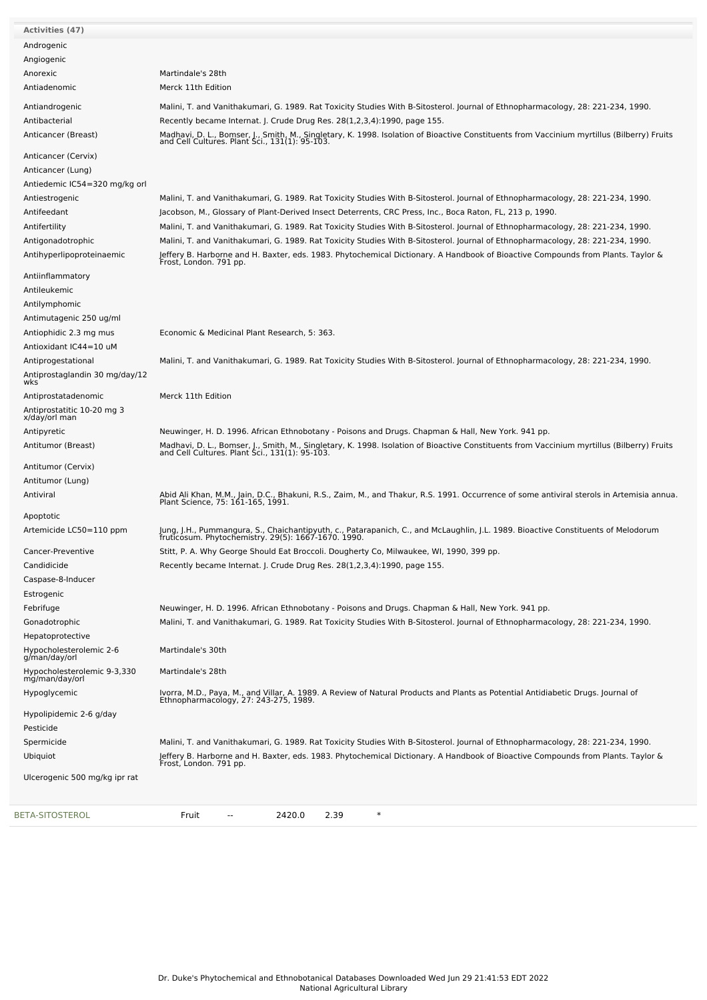| Activities (47)                               |                                                                                                                                                                                           |
|-----------------------------------------------|-------------------------------------------------------------------------------------------------------------------------------------------------------------------------------------------|
| Androgenic                                    |                                                                                                                                                                                           |
| Angiogenic                                    |                                                                                                                                                                                           |
| Anorexic                                      | Martindale's 28th                                                                                                                                                                         |
| Antiadenomic                                  | Merck 11th Edition                                                                                                                                                                        |
| Antiandrogenic                                | Malini, T. and Vanithakumari, G. 1989. Rat Toxicity Studies With B-Sitosterol. Journal of Ethnopharmacology, 28: 221-234, 1990.                                                           |
| Antibacterial                                 | Recently became Internat. J. Crude Drug Res. 28(1,2,3,4):1990, page 155.                                                                                                                  |
| Anticancer (Breast)                           |                                                                                                                                                                                           |
|                                               | Madhavi, D. L., Bomser, J., Smith, M., Singletary, K. 1998. Isolation of Bioactive Constituents from Vaccinium myrtillus (Bilberry) Fruits and Cell Cultures. Plant Sci., 131(1): 95-103. |
| Anticancer (Cervix)                           |                                                                                                                                                                                           |
| Anticancer (Lung)                             |                                                                                                                                                                                           |
| Antiedemic IC54=320 mg/kg orl                 |                                                                                                                                                                                           |
| Antiestrogenic                                | Malini, T. and Vanithakumari, G. 1989. Rat Toxicity Studies With B-Sitosterol. Journal of Ethnopharmacology, 28: 221-234, 1990.                                                           |
| Antifeedant                                   | Jacobson, M., Glossary of Plant-Derived Insect Deterrents, CRC Press, Inc., Boca Raton, FL, 213 p, 1990.                                                                                  |
| Antifertility                                 | Malini, T. and Vanithakumari, G. 1989. Rat Toxicity Studies With B-Sitosterol. Journal of Ethnopharmacology, 28: 221-234, 1990.                                                           |
| Antigonadotrophic                             | Malini, T. and Vanithakumari, G. 1989. Rat Toxicity Studies With B-Sitosterol. Journal of Ethnopharmacology, 28: 221-234, 1990.                                                           |
| Antihyperlipoproteinaemic                     | Jeffery B. Harborne and H. Baxter, eds. 1983. Phytochemical Dictionary. A Handbook of Bioactive Compounds from Plants. Taylor &<br>Frost, London. 791 pp.                                 |
| Antiinflammatory                              |                                                                                                                                                                                           |
| Antileukemic                                  |                                                                                                                                                                                           |
| Antilymphomic                                 |                                                                                                                                                                                           |
| Antimutagenic 250 ug/ml                       |                                                                                                                                                                                           |
| Antiophidic 2.3 mg mus                        | Economic & Medicinal Plant Research, 5: 363.                                                                                                                                              |
| Antioxidant IC44=10 uM                        |                                                                                                                                                                                           |
| Antiprogestational                            | Malini, T. and Vanithakumari, G. 1989. Rat Toxicity Studies With B-Sitosterol. Journal of Ethnopharmacology, 28: 221-234, 1990.                                                           |
| Antiprostaglandin 30 mg/day/12<br>wks         |                                                                                                                                                                                           |
| Antiprostatadenomic                           | Merck 11th Edition                                                                                                                                                                        |
| Antiprostatitic 10-20 mg 3<br>x/day/orl man   |                                                                                                                                                                                           |
| Antipyretic                                   | Neuwinger, H. D. 1996. African Ethnobotany - Poisons and Drugs. Chapman & Hall, New York. 941 pp.                                                                                         |
| Antitumor (Breast)                            | Madhavi, D. L., Bomser, J., Smith, M., Singletary, K. 1998. Isolation of Bioactive Constituents from Vaccinium myrtillus (Bilberry) Fruits and Cell Cultures. Plant Sci., 131(1): 95-103. |
| Antitumor (Cervix)                            |                                                                                                                                                                                           |
| Antitumor (Lung)                              |                                                                                                                                                                                           |
| Antiviral                                     | Abid Ali Khan, M.M., Jain, D.C., Bhakuni, R.S., Zaim, M., and Thakur, R.S. 1991. Occurrence of some antiviral sterols in Artemisia annua.<br>Plant Science, 75: 161-165, 1991.            |
| Apoptotic                                     |                                                                                                                                                                                           |
| Artemicide LC50=110 ppm                       | Jung, J.H., Pummangura, S., Chaichantipyuth, c., Patarapanich, C., and McLaughlin, J.L. 1989. Bioactive Constituents of Melodorum<br>fruticosum. Phytochemistry. 29(5): 1667-1670. 1990.  |
| Cancer-Preventive                             | Stitt, P. A. Why George Should Eat Broccoli. Dougherty Co, Milwaukee, WI, 1990, 399 pp.                                                                                                   |
| Candidicide                                   | Recently became Internat. J. Crude Drug Res. 28(1,2,3,4):1990, page 155.                                                                                                                  |
| Caspase-8-Inducer                             |                                                                                                                                                                                           |
| Estrogenic                                    |                                                                                                                                                                                           |
| Febrifuge                                     | Neuwinger, H. D. 1996. African Ethnobotany - Poisons and Drugs. Chapman & Hall, New York. 941 pp.                                                                                         |
| Gonadotrophic                                 | Malini, T. and Vanithakumari, G. 1989. Rat Toxicity Studies With B-Sitosterol. Journal of Ethnopharmacology, 28: 221-234, 1990.                                                           |
| Hepatoprotective                              |                                                                                                                                                                                           |
| Hypocholesterolemic 2-6<br>g/man/day/orl      | Martindale's 30th                                                                                                                                                                         |
| Hypocholesterolemic 9-3,330<br>mg/man/day/orl | Martindale's 28th                                                                                                                                                                         |
| Hypoglycemic                                  | Ivorra, M.D., Paya, M., and Villar, A. 1989. A Review of Natural Products and Plants as Potential Antidiabetic Drugs. Journal of<br>Ethnopharmacology, 27: 243-275, 1989.                 |
| Hypolipidemic 2-6 g/day                       |                                                                                                                                                                                           |
| Pesticide                                     |                                                                                                                                                                                           |
| Spermicide                                    | Malini, T. and Vanithakumari, G. 1989. Rat Toxicity Studies With B-Sitosterol. Journal of Ethnopharmacology, 28: 221-234, 1990.                                                           |
| Ubiquiot                                      | Jeffery B. Harborne and H. Baxter, eds. 1983. Phytochemical Dictionary. A Handbook of Bioactive Compounds from Plants. Taylor &<br>Frost, London. 791 pp.                                 |
| Ulcerogenic 500 mg/kg ipr rat                 |                                                                                                                                                                                           |
|                                               | $\ast$                                                                                                                                                                                    |
| BETA-SITOSTEROL                               | 2420.0<br>2.39<br>Fruit<br>--                                                                                                                                                             |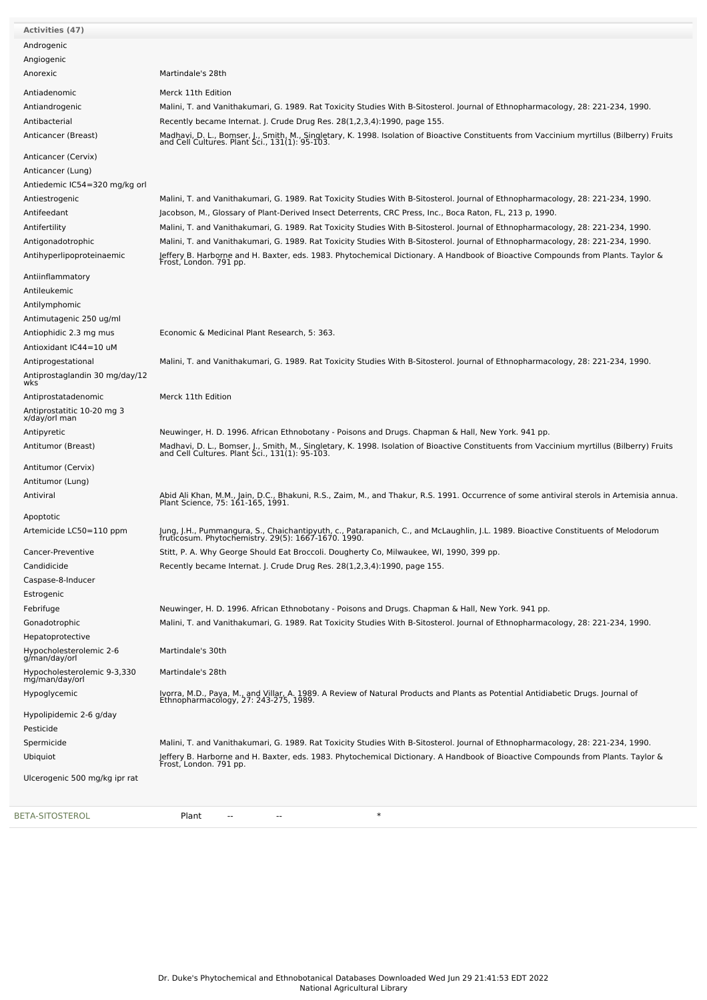| Activities (47)                                |                                                                                                                                                                                           |
|------------------------------------------------|-------------------------------------------------------------------------------------------------------------------------------------------------------------------------------------------|
| Androgenic                                     |                                                                                                                                                                                           |
| Angiogenic                                     |                                                                                                                                                                                           |
| Anorexic                                       | Martindale's 28th                                                                                                                                                                         |
| Antiadenomic                                   | Merck 11th Edition                                                                                                                                                                        |
| Antiandrogenic                                 | Malini, T. and Vanithakumari, G. 1989. Rat Toxicity Studies With B-Sitosterol. Journal of Ethnopharmacology, 28: 221-234, 1990.                                                           |
| Antibacterial                                  | Recently became Internat. J. Crude Drug Res. 28(1,2,3,4):1990, page 155.                                                                                                                  |
| Anticancer (Breast)                            | Madhavi, D. L., Bomser, J., Smith, M., Singletary, K. 1998. Isolation of Bioactive Constituents from Vaccinium myrtillus (Bilberry) Fruits and Cell Cultures. Plant Sci., 131(1): 95-103. |
|                                                |                                                                                                                                                                                           |
| Anticancer (Cervix)                            |                                                                                                                                                                                           |
| Anticancer (Lung)                              |                                                                                                                                                                                           |
| Antiedemic IC54=320 mg/kg orl                  |                                                                                                                                                                                           |
| Antiestrogenic                                 | Malini, T. and Vanithakumari, G. 1989. Rat Toxicity Studies With B-Sitosterol. Journal of Ethnopharmacology, 28: 221-234, 1990.                                                           |
| Antifeedant                                    | Jacobson, M., Glossary of Plant-Derived Insect Deterrents, CRC Press, Inc., Boca Raton, FL, 213 p, 1990.                                                                                  |
| Antifertility                                  | Malini, T. and Vanithakumari, G. 1989. Rat Toxicity Studies With B-Sitosterol. Journal of Ethnopharmacology, 28: 221-234, 1990.                                                           |
| Antigonadotrophic<br>Antihyperlipoproteinaemic | Malini, T. and Vanithakumari, G. 1989. Rat Toxicity Studies With B-Sitosterol. Journal of Ethnopharmacology, 28: 221-234, 1990.                                                           |
|                                                | Jeffery B. Harborne and H. Baxter, eds. 1983. Phytochemical Dictionary. A Handbook of Bioactive Compounds from Plants. Taylor &<br>Frost, London. 791 pp.                                 |
| Antiinflammatory                               |                                                                                                                                                                                           |
| Antileukemic                                   |                                                                                                                                                                                           |
| Antilymphomic                                  |                                                                                                                                                                                           |
| Antimutagenic 250 ug/ml                        |                                                                                                                                                                                           |
| Antiophidic 2.3 mg mus                         | Economic & Medicinal Plant Research, 5: 363.                                                                                                                                              |
| Antioxidant IC44=10 uM                         |                                                                                                                                                                                           |
| Antiprogestational                             | Malini, T. and Vanithakumari, G. 1989. Rat Toxicity Studies With B-Sitosterol. Journal of Ethnopharmacology, 28: 221-234, 1990.                                                           |
| Antiprostaglandin 30 mg/day/12<br>wks          |                                                                                                                                                                                           |
| Antiprostatadenomic                            | Merck 11th Edition                                                                                                                                                                        |
| Antiprostatitic 10-20 mg 3<br>x/day/orl man    |                                                                                                                                                                                           |
| Antipyretic                                    | Neuwinger, H. D. 1996. African Ethnobotany - Poisons and Drugs. Chapman & Hall, New York. 941 pp.                                                                                         |
| Antitumor (Breast)                             | Madhavi, D. L., Bomser, J., Smith, M., Singletary, K. 1998. Isolation of Bioactive Constituents from Vaccinium myrtillus (Bilberry) Fruits and Cell Cultures. Plant Sci., 131(1): 95-103. |
| Antitumor (Cervix)                             |                                                                                                                                                                                           |
| Antitumor (Lung)                               |                                                                                                                                                                                           |
| Antiviral                                      | Abid Ali Khan, M.M., Jain, D.C., Bhakuni, R.S., Zaim, M., and Thakur, R.S. 1991. Occurrence of some antiviral sterols in Artemisia annua.<br>Plant Science, 75: 161-165, 1991.            |
| Apoptotic                                      |                                                                                                                                                                                           |
| Artemicide LC50=110 ppm                        | Jung, J.H., Pummangura, S., Chaichantipyuth, c., Patarapanich, C., and McLaughlin, J.L. 1989. Bioactive Constituents of Melodorum<br>fruticosum. Phytochemistry. 29(5): 1667-1670. 1990.  |
| Cancer-Preventive                              | Stitt, P. A. Why George Should Eat Broccoli. Dougherty Co, Milwaukee, WI, 1990, 399 pp.                                                                                                   |
| Candidicide                                    | Recently became Internat. J. Crude Drug Res. 28(1,2,3,4):1990, page 155.                                                                                                                  |
| Caspase-8-Inducer                              |                                                                                                                                                                                           |
| Estrogenic                                     |                                                                                                                                                                                           |
| Febrifuge                                      | Neuwinger, H. D. 1996. African Ethnobotany - Poisons and Drugs. Chapman & Hall, New York. 941 pp.                                                                                         |
| Gonadotrophic                                  | Malini, T. and Vanithakumari, G. 1989. Rat Toxicity Studies With B-Sitosterol. Journal of Ethnopharmacology, 28: 221-234, 1990.                                                           |
| Hepatoprotective                               |                                                                                                                                                                                           |
| Hypocholesterolemic 2-6<br>g/man/day/orl       | Martindale's 30th                                                                                                                                                                         |
| Hypocholesterolemic 9-3,330<br>mg/man/day/orl  | Martindale's 28th                                                                                                                                                                         |
| Hypoglycemic                                   | Ivorra, M.D., Paya, M., and Villar, A. 1989. A Review of Natural Products and Plants as Potential Antidiabetic Drugs. Journal of<br>Ethnopharmacology, 27: 243-275, 1989.                 |
| Hypolipidemic 2-6 g/day                        |                                                                                                                                                                                           |
| Pesticide                                      |                                                                                                                                                                                           |
| Spermicide                                     | Malini, T. and Vanithakumari, G. 1989. Rat Toxicity Studies With B-Sitosterol. Journal of Ethnopharmacology, 28: 221-234, 1990.                                                           |
| Ubiquiot                                       | Jeffery B. Harborne and H. Baxter, eds. 1983. Phytochemical Dictionary. A Handbook of Bioactive Compounds from Plants. Taylor &                                                           |
| Ulcerogenic 500 mg/kg ipr rat                  | Frost, London. 791 pp.                                                                                                                                                                    |
| BETA-SITOSTEROL                                | $\ast$<br>Plant<br>$\overline{\phantom{m}}$<br>$\overline{\phantom{a}}$                                                                                                                   |

Dr. Duke's Phytochemical and Ethnobotanical Databases Downloaded Wed Jun 29 21:41:53 EDT 2022 National Agricultural Library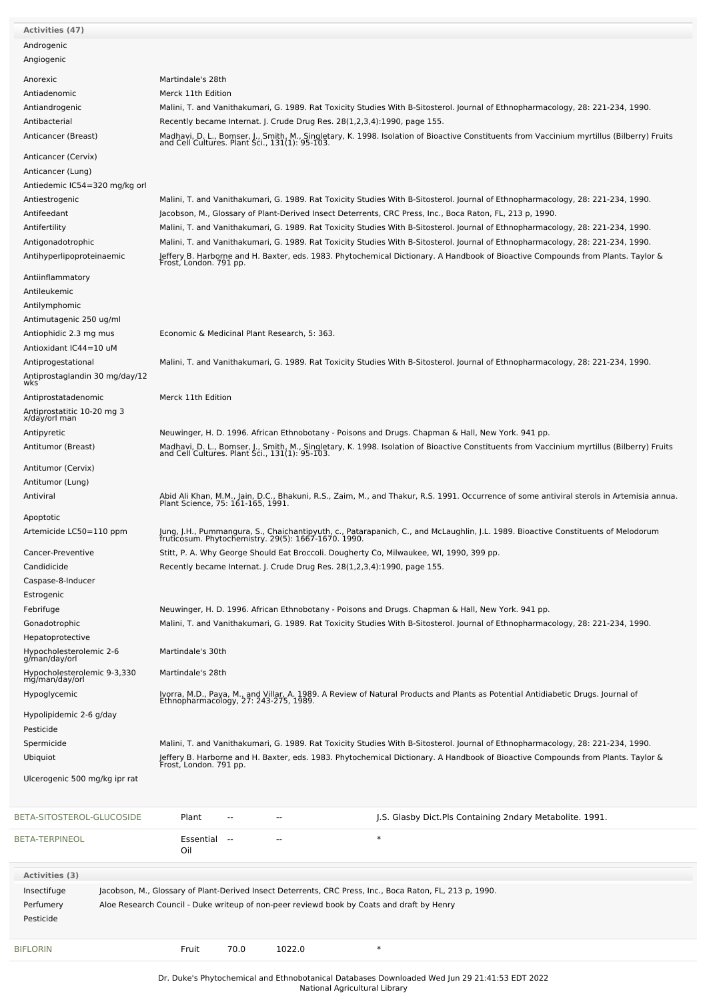| <b>Activities (47)</b>                        |                                              |        |        |                                                                                                                                                                                           |
|-----------------------------------------------|----------------------------------------------|--------|--------|-------------------------------------------------------------------------------------------------------------------------------------------------------------------------------------------|
| Androgenic                                    |                                              |        |        |                                                                                                                                                                                           |
| Angiogenic                                    |                                              |        |        |                                                                                                                                                                                           |
| Anorexic                                      | Martindale's 28th                            |        |        |                                                                                                                                                                                           |
| Antiadenomic                                  | Merck 11th Edition                           |        |        |                                                                                                                                                                                           |
|                                               |                                              |        |        |                                                                                                                                                                                           |
| Antiandrogenic                                |                                              |        |        | Malini, T. and Vanithakumari, G. 1989. Rat Toxicity Studies With B-Sitosterol. Journal of Ethnopharmacology, 28: 221-234, 1990.                                                           |
| Antibacterial                                 |                                              |        |        | Recently became Internat. J. Crude Drug Res. 28(1,2,3,4):1990, page 155.                                                                                                                  |
| Anticancer (Breast)                           |                                              |        |        | Madhavi, D. L., Bomser, J., Smith, M., Singletary, K. 1998. Isolation of Bioactive Constituents from Vaccinium myrtillus (Bilberry) Fruits and Cell Cultures. Plant Sci., 131(1): 95-103. |
| Anticancer (Cervix)                           |                                              |        |        |                                                                                                                                                                                           |
| Anticancer (Lung)                             |                                              |        |        |                                                                                                                                                                                           |
| Antiedemic IC54=320 mg/kg orl                 |                                              |        |        |                                                                                                                                                                                           |
|                                               |                                              |        |        |                                                                                                                                                                                           |
| Antiestrogenic                                |                                              |        |        | Malini, T. and Vanithakumari, G. 1989. Rat Toxicity Studies With B-Sitosterol. Journal of Ethnopharmacology, 28: 221-234, 1990.                                                           |
| Antifeedant                                   |                                              |        |        | Jacobson, M., Glossary of Plant-Derived Insect Deterrents, CRC Press, Inc., Boca Raton, FL, 213 p, 1990.                                                                                  |
| Antifertility                                 |                                              |        |        | Malini, T. and Vanithakumari, G. 1989. Rat Toxicity Studies With B-Sitosterol. Journal of Ethnopharmacology, 28: 221-234, 1990.                                                           |
| Antigonadotrophic                             |                                              |        |        | Malini, T. and Vanithakumari, G. 1989. Rat Toxicity Studies With B-Sitosterol. Journal of Ethnopharmacology, 28: 221-234, 1990.                                                           |
| Antihyperlipoproteinaemic                     |                                              |        |        | Jeffery B. Harborne and H. Baxter, eds. 1983. Phytochemical Dictionary. A Handbook of Bioactive Compounds from Plants. Taylor &<br>Frost, London. 791 pp.                                 |
|                                               |                                              |        |        |                                                                                                                                                                                           |
| Antiinflammatory                              |                                              |        |        |                                                                                                                                                                                           |
| Antileukemic                                  |                                              |        |        |                                                                                                                                                                                           |
| Antilymphomic                                 |                                              |        |        |                                                                                                                                                                                           |
| Antimutagenic 250 ug/ml                       |                                              |        |        |                                                                                                                                                                                           |
| Antiophidic 2.3 mg mus                        | Economic & Medicinal Plant Research, 5: 363. |        |        |                                                                                                                                                                                           |
| Antioxidant IC44=10 uM                        |                                              |        |        |                                                                                                                                                                                           |
| Antiprogestational                            |                                              |        |        | Malini, T. and Vanithakumari, G. 1989. Rat Toxicity Studies With B-Sitosterol. Journal of Ethnopharmacology, 28: 221-234, 1990.                                                           |
| Antiprostaglandin 30 mg/day/12                |                                              |        |        |                                                                                                                                                                                           |
| wks                                           |                                              |        |        |                                                                                                                                                                                           |
| Antiprostatadenomic                           | Merck 11th Edition                           |        |        |                                                                                                                                                                                           |
| Antiprostatitic 10-20 mg 3<br>x/day/orl man   |                                              |        |        |                                                                                                                                                                                           |
| Antipyretic                                   |                                              |        |        | Neuwinger, H. D. 1996. African Ethnobotany - Poisons and Drugs. Chapman & Hall, New York. 941 pp.                                                                                         |
|                                               |                                              |        |        |                                                                                                                                                                                           |
| Antitumor (Breast)                            |                                              |        |        | Madhavi, D. L., Bomser, J., Smith, M., Singletary, K. 1998. Isolation of Bioactive Constituents from Vaccinium myrtillus (Bilberry) Fruits and Cell Cultures. Plant Sci., 131(1): 95-103. |
| Antitumor (Cervix)                            |                                              |        |        |                                                                                                                                                                                           |
| Antitumor (Lung)                              |                                              |        |        |                                                                                                                                                                                           |
| Antiviral                                     |                                              |        |        |                                                                                                                                                                                           |
|                                               |                                              |        |        | Abid Ali Khan, M.M., Jain, D.C., Bhakuni, R.S., Zaim, M., and Thakur, R.S. 1991. Occurrence of some antiviral sterols in Artemisia annua.<br>Plant Science, 75: 161-165, 1991.            |
| Apoptotic                                     |                                              |        |        |                                                                                                                                                                                           |
| Artemicide LC50=110 ppm                       |                                              |        |        | Jung, J.H., Pummangura, S., Chaichantipyuth, c., Patarapanich, C., and McLaughlin, J.L. 1989. Bioactive Constituents of Melodorum<br>fruticosum. Phytochemistry. 29(5): 1667-1670. 1990.  |
|                                               |                                              |        |        |                                                                                                                                                                                           |
| Cancer-Preventive                             |                                              |        |        | Stitt, P. A. Why George Should Eat Broccoli. Dougherty Co, Milwaukee, WI, 1990, 399 pp.                                                                                                   |
| Candidicide                                   |                                              |        |        | Recently became Internat. J. Crude Drug Res. 28(1,2,3,4):1990, page 155.                                                                                                                  |
| Caspase-8-Inducer                             |                                              |        |        |                                                                                                                                                                                           |
| Estrogenic                                    |                                              |        |        |                                                                                                                                                                                           |
| Febrifuge                                     |                                              |        |        | Neuwinger, H. D. 1996. African Ethnobotany - Poisons and Drugs. Chapman & Hall, New York. 941 pp.                                                                                         |
| Gonadotrophic                                 |                                              |        |        | Malini, T. and Vanithakumari, G. 1989. Rat Toxicity Studies With B-Sitosterol. Journal of Ethnopharmacology, 28: 221-234, 1990.                                                           |
| Hepatoprotective                              |                                              |        |        |                                                                                                                                                                                           |
| Hypocholesterolemic 2-6<br>g/man/day/orl      | Martindale's 30th                            |        |        |                                                                                                                                                                                           |
|                                               |                                              |        |        |                                                                                                                                                                                           |
| Hypocholesterolemic 9-3,330<br>mg/man/day/orl | Martindale's 28th                            |        |        |                                                                                                                                                                                           |
|                                               |                                              |        |        |                                                                                                                                                                                           |
| Hypoglycemic                                  |                                              |        |        | Ivorra, M.D., Paya, M., and Villar, A. 1989. A Review of Natural Products and Plants as Potential Antidiabetic Drugs. Journal of<br>Ethnopharmacology, 27: 243-275, 1989.                 |
| Hypolipidemic 2-6 g/day                       |                                              |        |        |                                                                                                                                                                                           |
| Pesticide                                     |                                              |        |        |                                                                                                                                                                                           |
| Spermicide                                    |                                              |        |        | Malini, T. and Vanithakumari, G. 1989. Rat Toxicity Studies With B-Sitosterol. Journal of Ethnopharmacology, 28: 221-234, 1990.                                                           |
| Ubiquiot                                      |                                              |        |        |                                                                                                                                                                                           |
|                                               |                                              |        |        | Jeffery B. Harborne and H. Baxter, eds. 1983. Phytochemical Dictionary. A Handbook of Bioactive Compounds from Plants. Taylor &<br>Frost, London. 791 pp.                                 |
| Ulcerogenic 500 mg/kg ipr rat                 |                                              |        |        |                                                                                                                                                                                           |
|                                               |                                              |        |        |                                                                                                                                                                                           |
|                                               |                                              |        |        |                                                                                                                                                                                           |
| BETA-SITOSTEROL-GLUCOSIDE                     | Plant                                        |        |        | J.S. Glasby Dict.Pls Containing 2ndary Metabolite. 1991.                                                                                                                                  |
|                                               |                                              |        |        |                                                                                                                                                                                           |
| BETA-TERPINEOL                                | Essential                                    | $\sim$ |        | $\ast$                                                                                                                                                                                    |
|                                               | Oil                                          |        |        |                                                                                                                                                                                           |
| Activities (3)                                |                                              |        |        |                                                                                                                                                                                           |
|                                               |                                              |        |        |                                                                                                                                                                                           |
| Insectifuge                                   |                                              |        |        | Jacobson, M., Glossary of Plant-Derived Insect Deterrents, CRC Press, Inc., Boca Raton, FL, 213 p, 1990.                                                                                  |
| Perfumery                                     |                                              |        |        | Aloe Research Council - Duke writeup of non-peer reviewd book by Coats and draft by Henry                                                                                                 |
| Pesticide                                     |                                              |        |        |                                                                                                                                                                                           |
|                                               |                                              |        |        |                                                                                                                                                                                           |
| BIFLORIN                                      | Fruit                                        | 70.0   | 1022.0 | $\ast$                                                                                                                                                                                    |
|                                               |                                              |        |        |                                                                                                                                                                                           |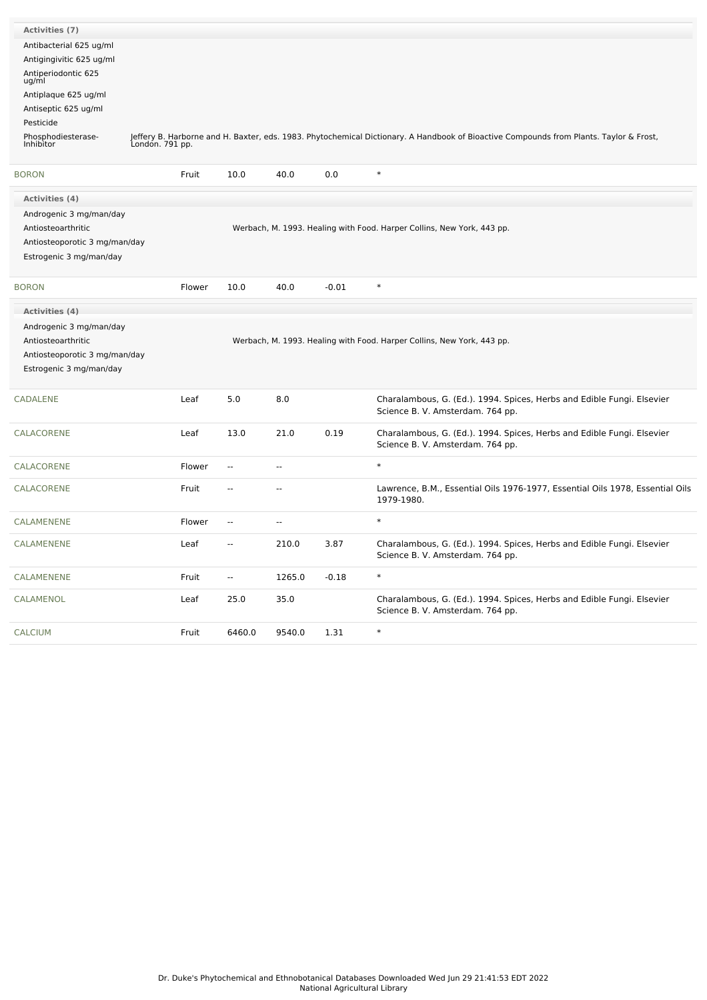| Activities (7)                                                                                            |                 |                          |                          |         |                                                                                                                                        |
|-----------------------------------------------------------------------------------------------------------|-----------------|--------------------------|--------------------------|---------|----------------------------------------------------------------------------------------------------------------------------------------|
| Antibacterial 625 ug/ml                                                                                   |                 |                          |                          |         |                                                                                                                                        |
| Antigingivitic 625 ug/ml                                                                                  |                 |                          |                          |         |                                                                                                                                        |
| Antiperiodontic 625<br>ug/ml                                                                              |                 |                          |                          |         |                                                                                                                                        |
| Antiplaque 625 ug/ml                                                                                      |                 |                          |                          |         |                                                                                                                                        |
| Antiseptic 625 ug/ml                                                                                      |                 |                          |                          |         |                                                                                                                                        |
| Pesticide                                                                                                 |                 |                          |                          |         |                                                                                                                                        |
| Phosphodiesterase-<br>Inhibitor                                                                           | London. 791 pp. |                          |                          |         | Jeffery B. Harborne and H. Baxter, eds. 1983. Phytochemical Dictionary. A Handbook of Bioactive Compounds from Plants. Taylor & Frost, |
| <b>BORON</b>                                                                                              | Fruit           | 10.0                     | 40.0                     | 0.0     | $\ast$                                                                                                                                 |
| <b>Activities (4)</b>                                                                                     |                 |                          |                          |         |                                                                                                                                        |
| Androgenic 3 mg/man/day<br>Antiosteoarthritic<br>Antiosteoporotic 3 mg/man/day<br>Estrogenic 3 mg/man/day |                 |                          |                          |         | Werbach, M. 1993. Healing with Food. Harper Collins, New York, 443 pp.                                                                 |
| <b>BORON</b>                                                                                              | Flower          | 10.0                     | 40.0                     | $-0.01$ | $\ast$                                                                                                                                 |
| Activities (4)                                                                                            |                 |                          |                          |         |                                                                                                                                        |
| Androgenic 3 mg/man/day<br>Antiosteoarthritic<br>Antiosteoporotic 3 mg/man/day<br>Estrogenic 3 mg/man/day |                 |                          |                          |         | Werbach, M. 1993. Healing with Food. Harper Collins, New York, 443 pp.                                                                 |
| <b>CADALENE</b>                                                                                           | Leaf            | 5.0                      | 8.0                      |         | Charalambous, G. (Ed.). 1994. Spices, Herbs and Edible Fungi. Elsevier<br>Science B. V. Amsterdam. 764 pp.                             |
| CALACORENE                                                                                                | Leaf            | 13.0                     | 21.0                     | 0.19    | Charalambous, G. (Ed.). 1994. Spices, Herbs and Edible Fungi. Elsevier<br>Science B. V. Amsterdam. 764 pp.                             |
| CALACORENE                                                                                                | Flower          | $\overline{a}$           | --                       |         | $\ast$                                                                                                                                 |
| CALACORENE                                                                                                | Fruit           | $\overline{\phantom{a}}$ | --                       |         | Lawrence, B.M., Essential Oils 1976-1977, Essential Oils 1978, Essential Oils<br>1979-1980.                                            |
| CALAMENENE                                                                                                | Flower          | $\overline{\phantom{a}}$ | $\overline{\phantom{a}}$ |         | $\ast$                                                                                                                                 |
| CALAMENENE                                                                                                | Leaf            | $\overline{\phantom{a}}$ | 210.0                    | 3.87    | Charalambous, G. (Ed.). 1994. Spices, Herbs and Edible Fungi. Elsevier<br>Science B. V. Amsterdam. 764 pp.                             |
| CALAMENENE                                                                                                | Fruit           | $\overline{\phantom{a}}$ | 1265.0                   | $-0.18$ | $\ast$                                                                                                                                 |
| CALAMENOL                                                                                                 | Leaf            | 25.0                     | 35.0                     |         | Charalambous, G. (Ed.). 1994. Spices, Herbs and Edible Fungi. Elsevier<br>Science B. V. Amsterdam. 764 pp.                             |
| <b>CALCIUM</b>                                                                                            | Fruit           | 6460.0                   | 9540.0                   | 1.31    | $\ast$                                                                                                                                 |
|                                                                                                           |                 |                          |                          |         |                                                                                                                                        |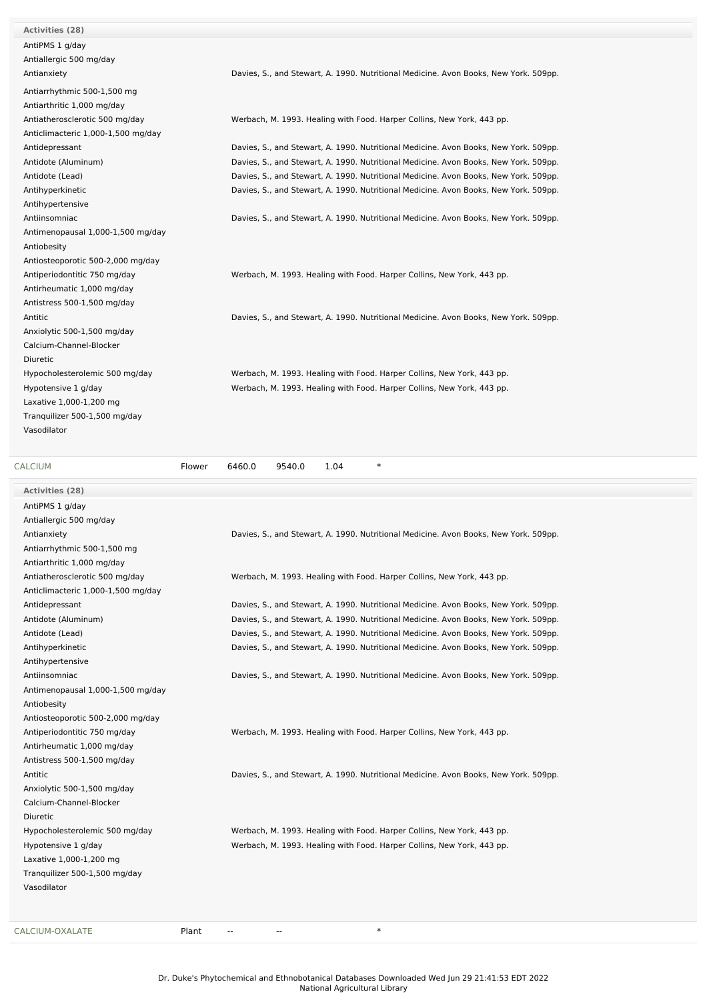| <b>Activities (28)</b>             |                                                                                      |
|------------------------------------|--------------------------------------------------------------------------------------|
| AntiPMS 1 g/day                    |                                                                                      |
| Antiallergic 500 mg/day            |                                                                                      |
| Antianxiety                        | Davies, S., and Stewart, A. 1990. Nutritional Medicine. Avon Books, New York. 509pp. |
| Antiarrhythmic 500-1,500 mg        |                                                                                      |
| Antiarthritic 1,000 mg/day         |                                                                                      |
| Antiatherosclerotic 500 mg/day     | Werbach, M. 1993. Healing with Food. Harper Collins, New York, 443 pp.               |
| Anticlimacteric 1,000-1,500 mg/day |                                                                                      |
| Antidepressant                     | Davies, S., and Stewart, A. 1990. Nutritional Medicine. Avon Books, New York. 509pp. |
| Antidote (Aluminum)                | Davies, S., and Stewart, A. 1990. Nutritional Medicine. Avon Books, New York. 509pp. |
| Antidote (Lead)                    | Davies, S., and Stewart, A. 1990. Nutritional Medicine. Avon Books, New York. 509pp. |
| Antihyperkinetic                   | Davies, S., and Stewart, A. 1990. Nutritional Medicine. Avon Books, New York. 509pp. |
| Antihypertensive                   |                                                                                      |
| Antiinsomniac                      | Davies, S., and Stewart, A. 1990. Nutritional Medicine. Avon Books, New York. 509pp. |
| Antimenopausal 1,000-1,500 mg/day  |                                                                                      |
| Antiobesity                        |                                                                                      |
| Antiosteoporotic 500-2,000 mg/day  |                                                                                      |
| Antiperiodontitic 750 mg/day       | Werbach, M. 1993. Healing with Food. Harper Collins, New York, 443 pp.               |
| Antirheumatic 1,000 mg/day         |                                                                                      |
| Antistress 500-1,500 mg/day        |                                                                                      |
| Antitic                            | Davies, S., and Stewart, A. 1990. Nutritional Medicine. Avon Books, New York. 509pp. |
| Anxiolytic 500-1,500 mg/day        |                                                                                      |
| Calcium-Channel-Blocker            |                                                                                      |
| Diuretic                           |                                                                                      |
| Hypocholesterolemic 500 mg/day     | Werbach, M. 1993. Healing with Food. Harper Collins, New York, 443 pp.               |
| Hypotensive 1 g/day                | Werbach, M. 1993. Healing with Food. Harper Collins, New York, 443 pp.               |
| Laxative 1,000-1,200 mg            |                                                                                      |
| Tranquilizer 500-1,500 mg/day      |                                                                                      |
| Vasodilator                        |                                                                                      |
|                                    |                                                                                      |

| <b>CALCIUM</b>                     | Flower | 6460.0 | 9540.0 | 1.04 | $\ast$ |                                                                                      |  |  |
|------------------------------------|--------|--------|--------|------|--------|--------------------------------------------------------------------------------------|--|--|
| Activities (28)                    |        |        |        |      |        |                                                                                      |  |  |
| AntiPMS 1 g/day                    |        |        |        |      |        |                                                                                      |  |  |
| Antiallergic 500 mg/day            |        |        |        |      |        |                                                                                      |  |  |
| Antianxiety                        |        |        |        |      |        | Davies, S., and Stewart, A. 1990. Nutritional Medicine. Avon Books, New York. 509pp. |  |  |
| Antiarrhythmic 500-1,500 mg        |        |        |        |      |        |                                                                                      |  |  |
| Antiarthritic 1,000 mg/day         |        |        |        |      |        |                                                                                      |  |  |
| Antiatherosclerotic 500 mg/day     |        |        |        |      |        | Werbach, M. 1993. Healing with Food. Harper Collins, New York, 443 pp.               |  |  |
| Anticlimacteric 1,000-1,500 mg/day |        |        |        |      |        |                                                                                      |  |  |
| Antidepressant                     |        |        |        |      |        | Davies, S., and Stewart, A. 1990. Nutritional Medicine. Avon Books, New York. 509pp. |  |  |
| Antidote (Aluminum)                |        |        |        |      |        | Davies, S., and Stewart, A. 1990. Nutritional Medicine. Avon Books, New York. 509pp. |  |  |
| Antidote (Lead)                    |        |        |        |      |        | Davies, S., and Stewart, A. 1990. Nutritional Medicine. Avon Books, New York. 509pp. |  |  |
| Antihyperkinetic                   |        |        |        |      |        | Davies, S., and Stewart, A. 1990. Nutritional Medicine. Avon Books, New York. 509pp. |  |  |
| Antihypertensive                   |        |        |        |      |        |                                                                                      |  |  |
| Antiinsomniac                      |        |        |        |      |        | Davies, S., and Stewart, A. 1990. Nutritional Medicine. Avon Books, New York. 509pp. |  |  |
| Antimenopausal 1,000-1,500 mg/day  |        |        |        |      |        |                                                                                      |  |  |
| Antiobesity                        |        |        |        |      |        |                                                                                      |  |  |
| Antiosteoporotic 500-2,000 mg/day  |        |        |        |      |        |                                                                                      |  |  |
| Antiperiodontitic 750 mg/day       |        |        |        |      |        | Werbach, M. 1993. Healing with Food. Harper Collins, New York, 443 pp.               |  |  |
| Antirheumatic 1,000 mg/day         |        |        |        |      |        |                                                                                      |  |  |
| Antistress 500-1,500 mg/day        |        |        |        |      |        |                                                                                      |  |  |
| Antitic                            |        |        |        |      |        | Davies, S., and Stewart, A. 1990. Nutritional Medicine. Avon Books, New York. 509pp. |  |  |
| Anxiolytic 500-1,500 mg/day        |        |        |        |      |        |                                                                                      |  |  |
| Calcium-Channel-Blocker            |        |        |        |      |        |                                                                                      |  |  |
| Diuretic                           |        |        |        |      |        |                                                                                      |  |  |
| Hypocholesterolemic 500 mg/day     |        |        |        |      |        | Werbach, M. 1993. Healing with Food. Harper Collins, New York, 443 pp.               |  |  |
| Hypotensive 1 g/day                |        |        |        |      |        | Werbach, M. 1993. Healing with Food. Harper Collins, New York, 443 pp.               |  |  |
| Laxative 1,000-1,200 mg            |        |        |        |      |        |                                                                                      |  |  |
| Tranquilizer 500-1,500 mg/day      |        |        |        |      |        |                                                                                      |  |  |
| Vasodilator                        |        |        |        |      |        |                                                                                      |  |  |
|                                    |        |        |        |      |        |                                                                                      |  |  |
| CALCIUM-OXALATE                    | Plant  |        | --     |      | $\ast$ |                                                                                      |  |  |
|                                    |        |        |        |      |        |                                                                                      |  |  |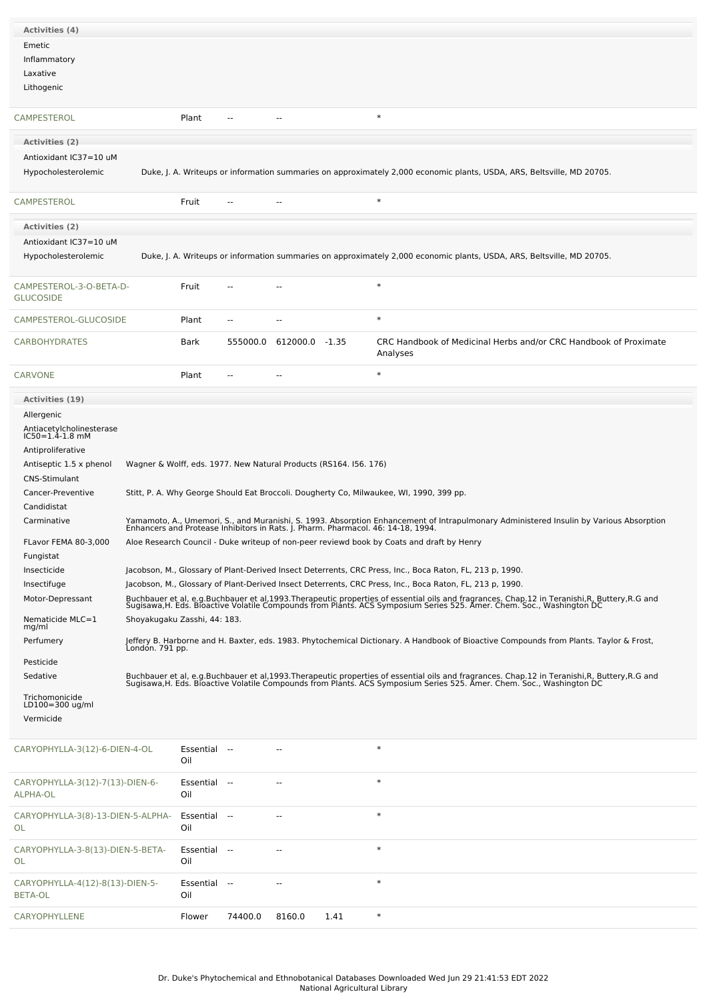| <b>Activities (4)</b>                             |                              |                     |          |                |                                                                   |                                                                                                                                                                                                                                   |
|---------------------------------------------------|------------------------------|---------------------|----------|----------------|-------------------------------------------------------------------|-----------------------------------------------------------------------------------------------------------------------------------------------------------------------------------------------------------------------------------|
| Emetic                                            |                              |                     |          |                |                                                                   |                                                                                                                                                                                                                                   |
| Inflammatory                                      |                              |                     |          |                |                                                                   |                                                                                                                                                                                                                                   |
| Laxative                                          |                              |                     |          |                |                                                                   |                                                                                                                                                                                                                                   |
| Lithogenic                                        |                              |                     |          |                |                                                                   |                                                                                                                                                                                                                                   |
|                                                   |                              |                     |          |                |                                                                   |                                                                                                                                                                                                                                   |
| <b>CAMPESTEROL</b>                                |                              | Plant               | $\sim$   | $-$            |                                                                   | $\ast$                                                                                                                                                                                                                            |
|                                                   |                              |                     |          |                |                                                                   |                                                                                                                                                                                                                                   |
| Activities (2)                                    |                              |                     |          |                |                                                                   |                                                                                                                                                                                                                                   |
| Antioxidant IC37=10 uM                            |                              |                     |          |                |                                                                   |                                                                                                                                                                                                                                   |
| Hypocholesterolemic                               |                              |                     |          |                |                                                                   | Duke, J. A. Writeups or information summaries on approximately 2,000 economic plants, USDA, ARS, Beltsville, MD 20705.                                                                                                            |
| <b>CAMPESTEROL</b>                                |                              | Fruit               |          |                |                                                                   | $\ast$                                                                                                                                                                                                                            |
| <b>Activities (2)</b>                             |                              |                     |          |                |                                                                   |                                                                                                                                                                                                                                   |
| Antioxidant IC37=10 uM                            |                              |                     |          |                |                                                                   |                                                                                                                                                                                                                                   |
| Hypocholesterolemic                               |                              |                     |          |                |                                                                   | Duke, J. A. Writeups or information summaries on approximately 2,000 economic plants, USDA, ARS, Beltsville, MD 20705.                                                                                                            |
|                                                   |                              |                     |          |                |                                                                   |                                                                                                                                                                                                                                   |
| CAMPESTEROL-3-O-BETA-D-<br><b>GLUCOSIDE</b>       |                              | Fruit               |          |                |                                                                   | $\ast$                                                                                                                                                                                                                            |
| CAMPESTEROL-GLUCOSIDE                             |                              | Plant               |          |                |                                                                   | $\ast$                                                                                                                                                                                                                            |
| <b>CARBOHYDRATES</b>                              |                              | Bark                | 555000.0 | 612000.0 -1.35 |                                                                   | CRC Handbook of Medicinal Herbs and/or CRC Handbook of Proximate<br>Analyses                                                                                                                                                      |
| <b>CARVONE</b>                                    |                              | Plant               |          |                |                                                                   | $\ast$                                                                                                                                                                                                                            |
| Activities (19)                                   |                              |                     |          |                |                                                                   |                                                                                                                                                                                                                                   |
| Allergenic                                        |                              |                     |          |                |                                                                   |                                                                                                                                                                                                                                   |
| Antiacetylcholinesterase<br>IC50=1.4-1.8 mM       |                              |                     |          |                |                                                                   |                                                                                                                                                                                                                                   |
|                                                   |                              |                     |          |                |                                                                   |                                                                                                                                                                                                                                   |
| Antiproliferative                                 |                              |                     |          |                |                                                                   |                                                                                                                                                                                                                                   |
| Antiseptic 1.5 x phenol<br><b>CNS-Stimulant</b>   |                              |                     |          |                | Wagner & Wolff, eds. 1977. New Natural Products (RS164. I56. 176) |                                                                                                                                                                                                                                   |
| Cancer-Preventive                                 |                              |                     |          |                |                                                                   | Stitt, P. A. Why George Should Eat Broccoli. Dougherty Co, Milwaukee, WI, 1990, 399 pp.                                                                                                                                           |
| Candidistat                                       |                              |                     |          |                |                                                                   |                                                                                                                                                                                                                                   |
| Carminative                                       |                              |                     |          |                |                                                                   | Yamamoto, A., Umemori, S., and Muranishi, S. 1993. Absorption Enhancement of Intrapulmonary Administered Insulin by Various Absorption<br>Enhancers and Protease Inhibitors in Rats. J. Pharm. Pharmacol. 46: 14-18, 1994.        |
|                                                   |                              |                     |          |                |                                                                   |                                                                                                                                                                                                                                   |
| FLavor FEMA 80-3,000                              |                              |                     |          |                |                                                                   | Aloe Research Council - Duke writeup of non-peer reviewd book by Coats and draft by Henry                                                                                                                                         |
| Fungistat<br>Insecticide                          |                              |                     |          |                |                                                                   | Jacobson, M., Glossary of Plant-Derived Insect Deterrents, CRC Press, Inc., Boca Raton, FL, 213 p, 1990.                                                                                                                          |
| Insectifuge                                       |                              |                     |          |                |                                                                   | Jacobson, M., Glossary of Plant-Derived Insect Deterrents, CRC Press, Inc., Boca Raton, FL, 213 p, 1990.                                                                                                                          |
| Motor-Depressant                                  |                              |                     |          |                |                                                                   |                                                                                                                                                                                                                                   |
| Nematicide MLC=1                                  |                              |                     |          |                |                                                                   | Buchbauer et al, e.g.Buchbauer et al,1993.Therapeutic properties of essential oils and fragrances. Chap.12 in Teranishi,R, Buttery,R.G and<br>Sugisawa,H. Eds. Bioactive Volatile Compounds from Plants. ACS Symposium Series 525 |
| mg/ml                                             | Shoyakugaku Zasshi, 44: 183. |                     |          |                |                                                                   |                                                                                                                                                                                                                                   |
| Perfumery                                         | Londón. 791 pp.              |                     |          |                |                                                                   | Jeffery B. Harborne and H. Baxter, eds. 1983. Phytochemical Dictionary. A Handbook of Bioactive Compounds from Plants. Taylor & Frost,                                                                                            |
| Pesticide                                         |                              |                     |          |                |                                                                   |                                                                                                                                                                                                                                   |
| Sedative                                          |                              |                     |          |                |                                                                   | Buchbauer et al, e.g.Buchbauer et al,1993.Therapeutic properties of essential oils and fragrances. Chap.12 in Teranishi,R, Buttery,R.G and<br>Sugisawa,H. Eds. Bioactive Volatile Compounds from Plants. ACS Symposium Series 525 |
|                                                   |                              |                     |          |                |                                                                   |                                                                                                                                                                                                                                   |
| Trichomonicide<br>LD100=300 ug/ml                 |                              |                     |          |                |                                                                   |                                                                                                                                                                                                                                   |
| Vermicide                                         |                              |                     |          |                |                                                                   |                                                                                                                                                                                                                                   |
| CARYOPHYLLA-3(12)-6-DIEN-4-OL                     |                              | Essential --<br>Oil |          |                |                                                                   | $\ast$                                                                                                                                                                                                                            |
| CARYOPHYLLA-3(12)-7(13)-DIEN-6-<br>ALPHA-OL       |                              | Essential --<br>Oil |          |                |                                                                   | $\ast$                                                                                                                                                                                                                            |
| CARYOPHYLLA-3(8)-13-DIEN-5-ALPHA-<br>OL           |                              | Essential --<br>Oil |          | --             |                                                                   | $\ast$                                                                                                                                                                                                                            |
| CARYOPHYLLA-3-8(13)-DIEN-5-BETA-<br>OL            |                              | Essential --<br>Oil |          |                |                                                                   | $\ast$                                                                                                                                                                                                                            |
| CARYOPHYLLA-4(12)-8(13)-DIEN-5-<br><b>BETA-OL</b> |                              | Essential<br>Oil    | $\sim$   |                |                                                                   | $\ast$                                                                                                                                                                                                                            |
| CARYOPHYLLENE                                     |                              | Flower              | 74400.0  | 8160.0         | 1.41                                                              | $\ast$                                                                                                                                                                                                                            |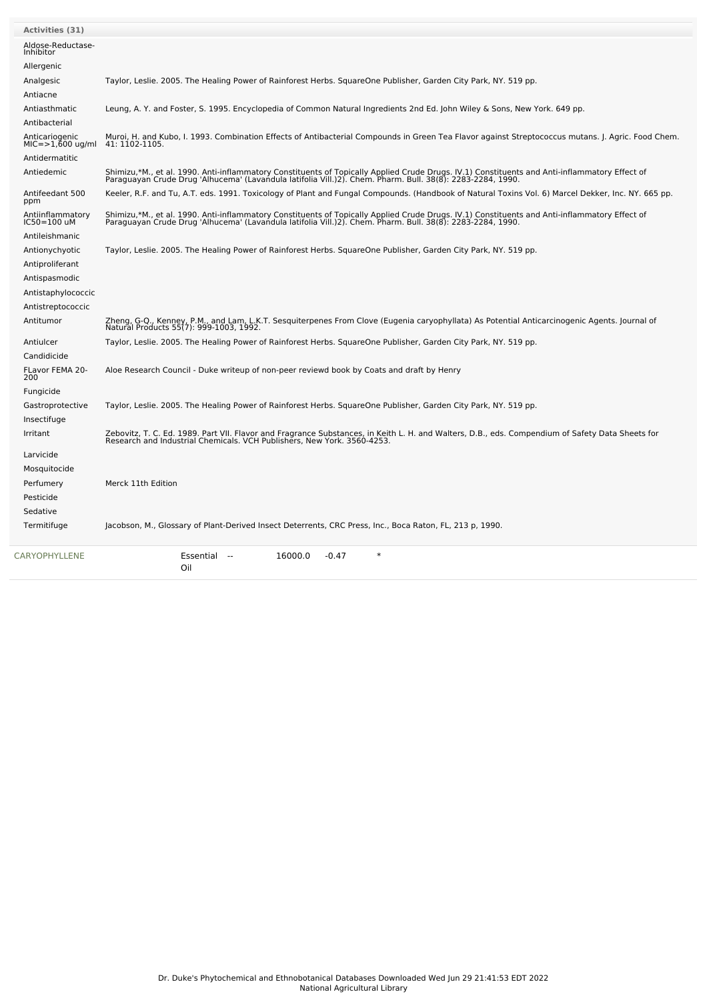| <b>Activities (31)</b>                 |                                                                                                                                                                                                                                   |
|----------------------------------------|-----------------------------------------------------------------------------------------------------------------------------------------------------------------------------------------------------------------------------------|
| Aldose-Reductase-<br>Inhibitor         |                                                                                                                                                                                                                                   |
| Allergenic                             |                                                                                                                                                                                                                                   |
| Analgesic                              | Taylor, Leslie. 2005. The Healing Power of Rainforest Herbs. SquareOne Publisher, Garden City Park, NY. 519 pp.                                                                                                                   |
| Antiacne                               |                                                                                                                                                                                                                                   |
| Antiasthmatic                          | Leung, A. Y. and Foster, S. 1995. Encyclopedia of Common Natural Ingredients 2nd Ed. John Wiley & Sons, New York. 649 pp.                                                                                                         |
| Antibacterial                          |                                                                                                                                                                                                                                   |
| Anticariogenic<br>$MIC = >1,600 uq/ml$ | Muroi, H. and Kubo, I. 1993. Combination Effects of Antibacterial Compounds in Green Tea Flavor against Streptococcus mutans. J. Agric. Food Chem.<br>41: 1102-1105.                                                              |
| Antidermatitic                         |                                                                                                                                                                                                                                   |
| Antiedemic                             | Shimizu,*M., et al. 1990. Anti-inflammatory Constituents of Topically Applied Crude Drugs. IV.1) Constituents and Anti-inflammatory Effect of<br>Paraguayan Crude Drug 'Alhucema' (Lavandula latifolia Vill.)2). Chem. Pharm. Bul |
| Antifeedant 500<br>ppm                 | Keeler, R.F. and Tu, A.T. eds. 1991. Toxicology of Plant and Fungal Compounds. (Handbook of Natural Toxins Vol. 6) Marcel Dekker, Inc. NY. 665 pp.                                                                                |
| Antiinflammatory<br>$IC50=100$ uM      | Shimizu,*M., et al. 1990. Anti-inflammatory Constituents of Topically Applied Crude Drugs. IV.1) Constituents and Anti-inflammatory Effect of<br>Paraguayan Crude Drug 'Alhucema' (Lavandula latifolia Vill.)2). Chem. Pharm. Bul |
| Antileishmanic                         |                                                                                                                                                                                                                                   |
| Antionychyotic                         | Taylor, Leslie. 2005. The Healing Power of Rainforest Herbs. SquareOne Publisher, Garden City Park, NY. 519 pp.                                                                                                                   |
| Antiproliferant                        |                                                                                                                                                                                                                                   |
| Antispasmodic                          |                                                                                                                                                                                                                                   |
| Antistaphylococcic                     |                                                                                                                                                                                                                                   |
| Antistreptococcic                      |                                                                                                                                                                                                                                   |
| Antitumor                              | Zheng, G-Q., Kenney, P.M., and Lam, L.K.T. Sesquiterpenes From Clove (Eugenia caryophyllata) As Potential Anticarcinogenic Agents. Journal of<br>Natural Products 55(7): 999-1003, 1992.                                          |
| Antiulcer                              | Taylor, Leslie. 2005. The Healing Power of Rainforest Herbs. SquareOne Publisher, Garden City Park, NY. 519 pp.                                                                                                                   |
| Candidicide                            |                                                                                                                                                                                                                                   |
| FLavor FEMA 20-<br>200                 | Aloe Research Council - Duke writeup of non-peer reviewd book by Coats and draft by Henry                                                                                                                                         |
| Fungicide                              |                                                                                                                                                                                                                                   |
| Gastroprotective                       | Taylor, Leslie. 2005. The Healing Power of Rainforest Herbs. SquareOne Publisher, Garden City Park, NY. 519 pp.                                                                                                                   |
| Insectifuge                            |                                                                                                                                                                                                                                   |
| Irritant                               | Zebovitz, T. C. Ed. 1989. Part VII. Flavor and Fragrance Substances, in Keith L. H. and Walters, D.B., eds. Compendium of Safety Data Sheets for<br>Research and Industrial Chemicals. VCH Publishers, New York. 3560-4253.       |
| Larvicide                              |                                                                                                                                                                                                                                   |
| Mosquitocide                           |                                                                                                                                                                                                                                   |
| Perfumery                              | Merck 11th Edition                                                                                                                                                                                                                |
| Pesticide                              |                                                                                                                                                                                                                                   |
| Sedative                               |                                                                                                                                                                                                                                   |
| Termitifuge                            | Jacobson, M., Glossary of Plant-Derived Insect Deterrents, CRC Press, Inc., Boca Raton, FL, 213 p, 1990.                                                                                                                          |
| <b>CARYOPHYLLENE</b>                   | Essential --<br>16000.0<br>$-0.47$<br>$\ast$<br>Oil                                                                                                                                                                               |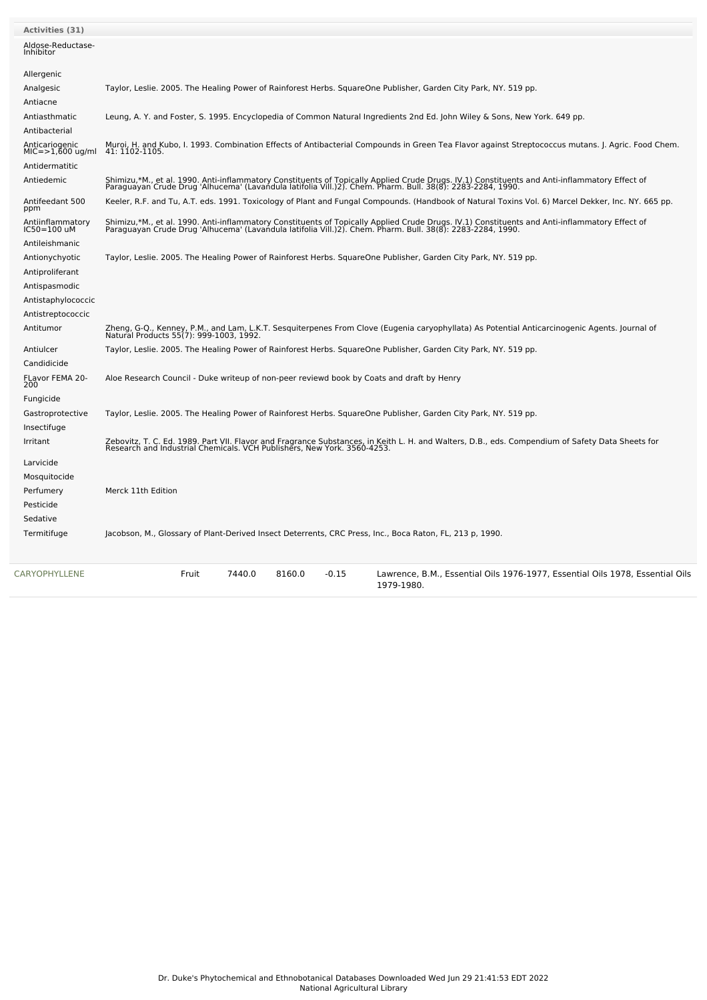| <b>Activities (31)</b>             |                                                                                                                                                                                                                                   |
|------------------------------------|-----------------------------------------------------------------------------------------------------------------------------------------------------------------------------------------------------------------------------------|
| Aldose-Reductase-<br>Inhibitor     |                                                                                                                                                                                                                                   |
| Allergenic                         |                                                                                                                                                                                                                                   |
| Analgesic                          | Taylor, Leslie. 2005. The Healing Power of Rainforest Herbs. SquareOne Publisher, Garden City Park, NY. 519 pp.                                                                                                                   |
| Antiacne                           |                                                                                                                                                                                                                                   |
| Antiasthmatic                      | Leung, A. Y. and Foster, S. 1995. Encyclopedia of Common Natural Ingredients 2nd Ed. John Wiley & Sons, New York. 649 pp.                                                                                                         |
| Antibacterial                      |                                                                                                                                                                                                                                   |
| Anticariogenic<br>MIC=>1,600 ug/ml | Muroi, H. and Kubo, I. 1993. Combination Effects of Antibacterial Compounds in Green Tea Flavor against Streptococcus mutans. J. Agric. Food Chem.<br>41: 1102-1105.                                                              |
| Antidermatitic                     |                                                                                                                                                                                                                                   |
| Antiedemic                         | Shimizu,*M., et al. 1990. Anti-inflammatory Constituents of Topically Applied Crude Drugs. IV.1) Constituents and Anti-inflammatory Effect of<br>Paraguayan Crude Drug 'Alhucema' (Lavandula latifolia Vill.)2). Chem. Pharm. Bul |
| Antifeedant 500<br>ppm             | Keeler, R.F. and Tu, A.T. eds. 1991. Toxicology of Plant and Fungal Compounds. (Handbook of Natural Toxins Vol. 6) Marcel Dekker, Inc. NY. 665 pp.                                                                                |
| Antiinflammatory<br>IC50=100 uM    | Shimizu,*M., et al. 1990. Anti-inflammatory Constituents of Topically Applied Crude Drugs. IV.1) Constituents and Anti-inflammatory Effect of<br>Paraguayan Crude Drug 'Alhucema' (Lavandula latifolia Vill.)2). Chem. Pharm. Bul |
| Antileishmanic                     |                                                                                                                                                                                                                                   |
| Antionychyotic                     | Taylor, Leslie. 2005. The Healing Power of Rainforest Herbs. SquareOne Publisher, Garden City Park, NY. 519 pp.                                                                                                                   |
| Antiproliferant                    |                                                                                                                                                                                                                                   |
| Antispasmodic                      |                                                                                                                                                                                                                                   |
| Antistaphylococcic                 |                                                                                                                                                                                                                                   |
| Antistreptococcic                  |                                                                                                                                                                                                                                   |
| Antitumor                          | Zheng, G-Q., Kenney, P.M., and Lam, L.K.T. Sesquiterpenes From Clove (Eugenia caryophyllata) As Potential Anticarcinogenic Agents. Journal of<br>Natural Products 55(7): 999-1003, 1992.                                          |
| Antiulcer                          | Taylor, Leslie. 2005. The Healing Power of Rainforest Herbs. SquareOne Publisher, Garden City Park, NY. 519 pp.                                                                                                                   |
| Candidicide                        |                                                                                                                                                                                                                                   |
| FLavor FEMA 20-<br>200             | Aloe Research Council - Duke writeup of non-peer reviewd book by Coats and draft by Henry                                                                                                                                         |
| Fungicide                          |                                                                                                                                                                                                                                   |
| Gastroprotective                   | Taylor, Leslie. 2005. The Healing Power of Rainforest Herbs. SquareOne Publisher, Garden City Park, NY. 519 pp.                                                                                                                   |
| Insectifuge                        |                                                                                                                                                                                                                                   |
| Irritant                           | Zebovitz, T. C. Ed. 1989. Part VII. Flavor and Fragrance Substances, in Keith L. H. and Walters, D.B., eds. Compendium of Safety Data Sheets for<br>Research and Industrial Chemicals. VCH Publishers, New York. 3560-4253.       |
| Larvicide                          |                                                                                                                                                                                                                                   |
| Mosquitocide                       |                                                                                                                                                                                                                                   |
| Perfumery                          | Merck 11th Edition                                                                                                                                                                                                                |
| Pesticide                          |                                                                                                                                                                                                                                   |
| Sedative                           |                                                                                                                                                                                                                                   |
| Termitifuge                        | Jacobson, M., Glossary of Plant-Derived Insect Deterrents, CRC Press, Inc., Boca Raton, FL, 213 p, 1990.                                                                                                                          |
| CARYOPHYLLENE                      | Fruit<br>7440.0<br>8160.0<br>$-0.15$<br>Lawrence, B.M., Essential Oils 1976-1977, Essential Oils 1978, Essential Oils<br>1979-1980.                                                                                               |

 $\sim$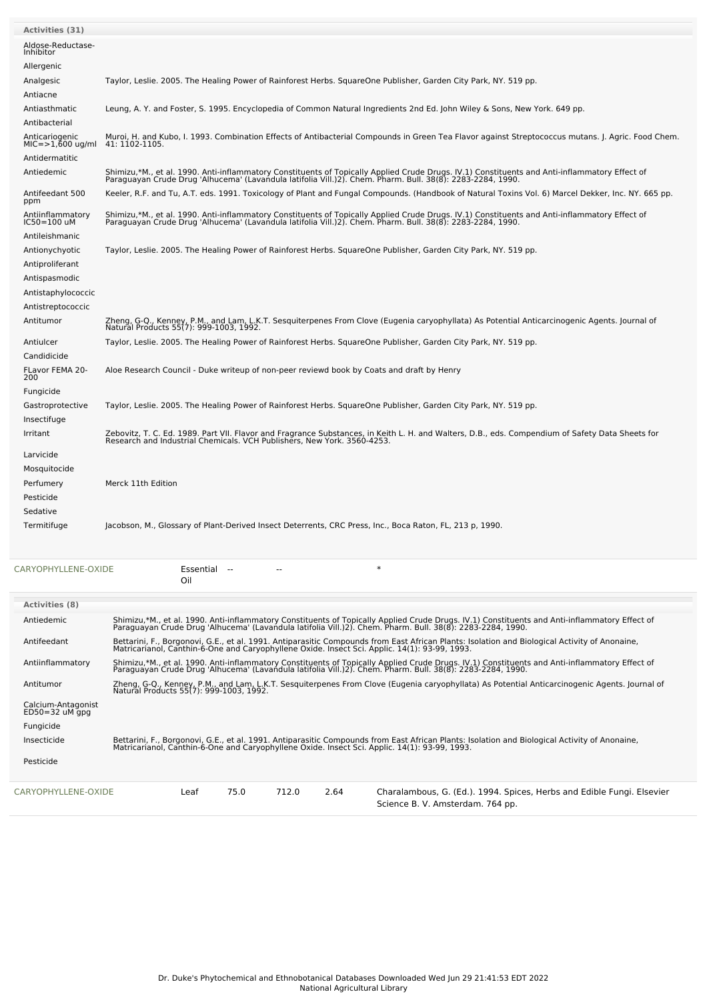| <b>Activities (31)</b>             |                                                                                                                                                                                                                                                             |
|------------------------------------|-------------------------------------------------------------------------------------------------------------------------------------------------------------------------------------------------------------------------------------------------------------|
| Aldose-Reductase-<br>Inhibitor     |                                                                                                                                                                                                                                                             |
| Allergenic                         |                                                                                                                                                                                                                                                             |
| Analgesic                          | Taylor, Leslie. 2005. The Healing Power of Rainforest Herbs. SquareOne Publisher, Garden City Park, NY. 519 pp.                                                                                                                                             |
| Antiacne                           |                                                                                                                                                                                                                                                             |
| Antiasthmatic                      | Leung, A. Y. and Foster, S. 1995. Encyclopedia of Common Natural Ingredients 2nd Ed. John Wiley & Sons, New York. 649 pp.                                                                                                                                   |
| Antibacterial                      |                                                                                                                                                                                                                                                             |
| Anticariogenic<br>MIC=>1,600 ug/ml | Muroi, H. and Kubo, I. 1993. Combination Effects of Antibacterial Compounds in Green Tea Flavor against Streptococcus mutans. J. Agric. Food Chem.<br>41: 1102-1105.                                                                                        |
| Antidermatitic                     |                                                                                                                                                                                                                                                             |
| Antiedemic                         | Shimizu,*M., et al. 1990. Anti-inflammatory Constituents of Topically Applied Crude Drugs. IV.1) Constituents and Anti-inflammatory Effect of<br>Paraguayan Crude Drug 'Alhucema' (Lavandula latifolia Vill.)2). Chem. Pharm. Bul                           |
| Antifeedant 500<br>ppm             | Keeler, R.F. and Tu, A.T. eds. 1991. Toxicology of Plant and Fungal Compounds. (Handbook of Natural Toxins Vol. 6) Marcel Dekker, Inc. NY. 665 pp.                                                                                                          |
| Antiinflammatory<br>IC50=100 uM    | Shimizu,*M., et al. 1990. Anti-inflammatory Constituents of Topically Applied Crude Drugs. IV.1) Constituents and Anti-inflammatory Effect of<br>Paraguayan Crude Drug 'Alhucema' (Lavandula latifolia Vill.)2). Chem. Pharm. Bull. 38(8): 2283-2284, 1990. |
| Antileishmanic                     |                                                                                                                                                                                                                                                             |
| Antionychyotic                     | Taylor, Leslie. 2005. The Healing Power of Rainforest Herbs. SquareOne Publisher, Garden City Park, NY. 519 pp.                                                                                                                                             |
| Antiproliferant                    |                                                                                                                                                                                                                                                             |
| Antispasmodic                      |                                                                                                                                                                                                                                                             |
| Antistaphylococcic                 |                                                                                                                                                                                                                                                             |
| Antistreptococcic                  |                                                                                                                                                                                                                                                             |
| Antitumor                          | Zheng, G-Q., Kenney, P.M., and Lam, L.K.T. Sesquiterpenes From Clove (Eugenia caryophyllata) As Potential Anticarcinogenic Agents. Journal of<br>Natural Products 55(7): 999-1003, 1992.                                                                    |
| Antiulcer                          | Taylor, Leslie. 2005. The Healing Power of Rainforest Herbs. SquareOne Publisher, Garden City Park, NY. 519 pp.                                                                                                                                             |
| Candidicide                        |                                                                                                                                                                                                                                                             |
| FLavor FEMA 20-<br>200             | Aloe Research Council - Duke writeup of non-peer reviewd book by Coats and draft by Henry                                                                                                                                                                   |
| Fungicide                          |                                                                                                                                                                                                                                                             |
| Gastroprotective                   | Taylor, Leslie. 2005. The Healing Power of Rainforest Herbs. SquareOne Publisher, Garden City Park, NY. 519 pp.                                                                                                                                             |
| Insectifuge                        |                                                                                                                                                                                                                                                             |
| Irritant                           | Zebovitz, T. C. Ed. 1989. Part VII. Flavor and Fragrance Substances, in Keith L. H. and Walters, D.B., eds. Compendium of Safety Data Sheets for<br>Research and Industrial Chemicals. VCH Publishers, New York. 3560-4253.                                 |
| Larvicide                          |                                                                                                                                                                                                                                                             |
| Mosquitocide                       |                                                                                                                                                                                                                                                             |
| Perfumery                          | Merck 11th Edition                                                                                                                                                                                                                                          |
| Pesticide                          |                                                                                                                                                                                                                                                             |
| Sedative                           |                                                                                                                                                                                                                                                             |
| Termitifuge                        | Jacobson, M., Glossary of Plant-Derived Insect Deterrents, CRC Press, Inc., Boca Raton, FL, 213 p, 1990.                                                                                                                                                    |

| CARYOPHYLLENE-OXIDE |  |  |
|---------------------|--|--|
|                     |  |  |

E<br>CARYOPHYLLESSential -- -- \*

|                                            |                                                                                                                                                                                                                                   | Oil                                                                                                                                                                                                                                            |      |       |      |                                                                                                                                                                                                                                                |  |  |  |
|--------------------------------------------|-----------------------------------------------------------------------------------------------------------------------------------------------------------------------------------------------------------------------------------|------------------------------------------------------------------------------------------------------------------------------------------------------------------------------------------------------------------------------------------------|------|-------|------|------------------------------------------------------------------------------------------------------------------------------------------------------------------------------------------------------------------------------------------------|--|--|--|
| <b>Activities (8)</b>                      |                                                                                                                                                                                                                                   |                                                                                                                                                                                                                                                |      |       |      |                                                                                                                                                                                                                                                |  |  |  |
| Antiedemic                                 | Shimizu,*M., et al. 1990. Anti-inflammatory Constituents of Topically Applied Crude Drugs. IV.1) Constituents and Anti-inflammatory Effect of<br>Paraguayan Crude Drug 'Alhucema' (Lavandula latifolia Vill.)2). Chem. Pharm. Bul |                                                                                                                                                                                                                                                |      |       |      |                                                                                                                                                                                                                                                |  |  |  |
| Antifeedant                                |                                                                                                                                                                                                                                   | Bettarini, F., Borgonovi, G.E., et al. 1991. Antiparasitic Compounds from East African Plants: Isolation and Biological Activity of Anonaine,<br>Matricarianol, Canthin-6-One and Caryophyllene Oxide. Insect Sci. Applic. 14(1): 93-99, 1993. |      |       |      |                                                                                                                                                                                                                                                |  |  |  |
| Antiinflammatory                           |                                                                                                                                                                                                                                   |                                                                                                                                                                                                                                                |      |       |      | Shimizu,*M., et al. 1990. Anti-inflammatory Constituents of Topically Applied Crude Drugs. IV.1) Constituents and Anti-inflammatory Effect of<br>Paraguayan Crude Drug 'Alhucema' (Lavandula latifolia Vill.)2). Chem. Pharm. Bul              |  |  |  |
| Antitumor                                  |                                                                                                                                                                                                                                   |                                                                                                                                                                                                                                                |      |       |      | Zheng, G-Q., Kenney, P.M., and Lam, L.K.T. Sesquiterpenes From Clove (Eugenia caryophyllata) As Potential Anticarcinogenic Agents. Journal of<br>Natural Products 55(7): 999-1003, 1992.                                                       |  |  |  |
| Calcium-Antagonist<br>$ED50 = 32$ uM $qpq$ |                                                                                                                                                                                                                                   |                                                                                                                                                                                                                                                |      |       |      |                                                                                                                                                                                                                                                |  |  |  |
| Fungicide                                  |                                                                                                                                                                                                                                   |                                                                                                                                                                                                                                                |      |       |      |                                                                                                                                                                                                                                                |  |  |  |
| Insecticide                                |                                                                                                                                                                                                                                   |                                                                                                                                                                                                                                                |      |       |      | Bettarini, F., Borgonovi, G.E., et al. 1991. Antiparasitic Compounds from East African Plants: Isolation and Biological Activity of Anonaine,<br>Matricarianol, Canthin-6-One and Caryophyllene Oxide. Insect Sci. Applic. 14(1): 93-99, 1993. |  |  |  |
| Pesticide                                  |                                                                                                                                                                                                                                   |                                                                                                                                                                                                                                                |      |       |      |                                                                                                                                                                                                                                                |  |  |  |
| CARYOPHYLLENE-OXIDE                        |                                                                                                                                                                                                                                   | Leaf                                                                                                                                                                                                                                           | 75.0 | 712.0 | 2.64 | Charalambous, G. (Ed.). 1994. Spices, Herbs and Edible Fungi. Elsevier<br>Science B. V. Amsterdam. 764 pp.                                                                                                                                     |  |  |  |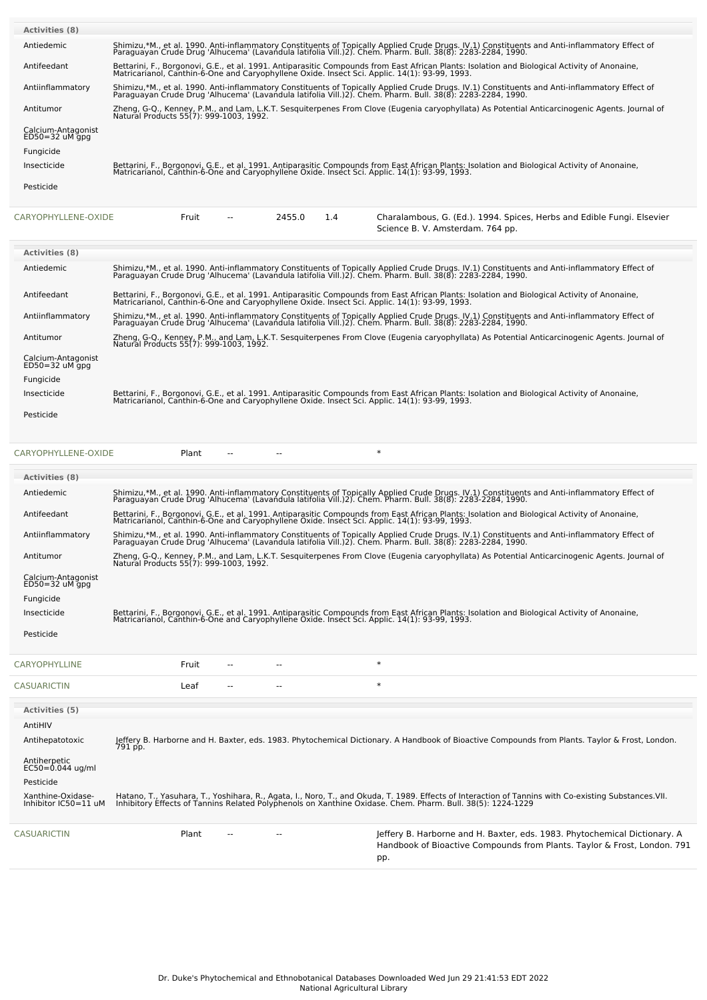| <b>Activities (8)</b>                      |                                                                                                                                                                                                                                   |
|--------------------------------------------|-----------------------------------------------------------------------------------------------------------------------------------------------------------------------------------------------------------------------------------|
| Antiedemic                                 | Shimizu,*M., et al. 1990. Anti-inflammatory Constituents of Topically Applied Crude Drugs. IV.1) Constituents and Anti-inflammatory Effect of<br>Paraguayan Crude Drug 'Alhucema' (Lavandula latifolia Vill.)2). Chem. Pharm. Bul |
| Antifeedant                                | Bettarini, F., Borgonovi, G.E., et al. 1991. Antiparasitic Compounds from East African Plants: Isolation and Biological Activity of Anonaine,<br>Matricarianol, Canthin-6-One and Caryophyllene Oxide. Insect Sci. Applic. 14(1): |
| Antiinflammatory                           | Shimizu,*M., et al. 1990. Anti-inflammatory Constituents of Topically Applied Crude Drugs. IV.1) Constituents and Anti-inflammatory Effect of<br>Paraguayan Crude Drug 'Alhucema' (Lavandula latifolia Vill.)2). Chem. Pharm. Bul |
| Antitumor                                  | Zheng, G-Q., Kenney, P.M., and Lam, L.K.T. Sesguiterpenes From Clove (Eugenia caryophyllata) As Potential Anticarcinogenic Agents. Journal of<br>Natural Products 55(7): 999-1003, 1992.                                          |
| Calcium-Antagonist<br>$ED50 = 32$ uM $qpq$ |                                                                                                                                                                                                                                   |
| Fungicide                                  |                                                                                                                                                                                                                                   |
| Insecticide                                | Bettarini, F., Borgonovi, G.E., et al. 1991. Antiparasitic Compounds from East African Plants: Isolation and Biological Activity of Anonaine,<br>Matricarianol, Canthin-6-One and Caryophyllene Oxide. Insect Sci. Applic. 14(1): |
| Pesticide                                  |                                                                                                                                                                                                                                   |
|                                            |                                                                                                                                                                                                                                   |

[CARYOPHYLLENE-OXIDE](file:///phytochem/chemicals/show/5412) Fruit -- 2455.0 1.4 Charalambous, G. (Ed.). 1994. Spices, Herbs and Edible Fungi. Elsevier

|                                          | Science B. V. Amsterdam. 764 pp.                                                                                                                                                                                                                            |
|------------------------------------------|-------------------------------------------------------------------------------------------------------------------------------------------------------------------------------------------------------------------------------------------------------------|
|                                          |                                                                                                                                                                                                                                                             |
| <b>Activities (8)</b>                    |                                                                                                                                                                                                                                                             |
| Antiedemic                               | Shimizu,*M., et al. 1990. Anti-inflammatory Constituents of Topically Applied Crude Drugs. IV.1) Constituents and Anti-inflammatory Effect of<br>Paraguayan Crude Drug 'Alhucema' (Lavandula latifolia Vill.)2). Chem. Pharm. Bull. 38(8): 2283-2284, 1990. |
| Antifeedant                              | Bettarini, F., Borgonovi, G.E., et al. 1991. Antiparasitic Compounds from East African Plants: Isolation and Biological Activity of Anonaine,<br>Matricarianol, Canthin-6-One and Caryophyllene Oxide. Insect Sci. Applic. 14(1):                           |
| Antiinflammatory                         | Shimizu,*M., et al. 1990. Anti-inflammatory Constituents of Topically Applied Crude Drugs. IV.1) Constituents and Anti-inflammatory Effect of<br>Paraguayan Crude Drug 'Alhucema' (Lavandula latifolia Vill.)2). Chem. Pharm. Bul                           |
| Antitumor                                | Zheng, G-Q., Kenney, P.M., and Lam, L.K.T. Sesguiterpenes From Clove (Eugenia caryophyllata) As Potential Anticarcinogenic Agents. Journal of<br>Natural Products 55(7): 999-1003, 1992.                                                                    |
| Calcium-Antagonist<br>$ED50 = 32$ uM gpg |                                                                                                                                                                                                                                                             |
| Fungicide                                |                                                                                                                                                                                                                                                             |
| Insecticide                              | Bettarini, F., Borgonovi, G.E., et al. 1991. Antiparasitic Compounds from East African Plants: Isolation and Biological Activity of Anonaine,<br>Matricarianol, Canthin-6-One and Caryophyllene Oxide. Insect Sci. Applic. 14(1): 93-99, 1993.              |
| Pesticide                                |                                                                                                                                                                                                                                                             |

| CARYOPHYLLENE-OXIDE                       |         | Plant |        |  | $\ast$                                                                                                                                                                                                                            |
|-------------------------------------------|---------|-------|--------|--|-----------------------------------------------------------------------------------------------------------------------------------------------------------------------------------------------------------------------------------|
| Activities (8)                            |         |       |        |  |                                                                                                                                                                                                                                   |
| Antiedemic                                |         |       |        |  | Shimizu,*M., et al. 1990. Anti-inflammatory Constituents of Topically Applied Crude Drugs. IV.1) Constituents and Anti-inflammatory Effect of<br>Paraguayan Crude Drug 'Alhucema' (Lavandula latifolia Vill.)2). Chem. Pharm. Bul |
| Antifeedant                               |         |       |        |  | Bettarini, F., Borgonovi, G.E., et al. 1991. Antiparasitic Compounds from East African Plants: Isolation and Biological Activity of Anonaine,<br>Matricarianol, Canthin-6-One and Caryophyllene Oxide. Insect Sci. Applic. 14(1): |
| Antiinflammatory                          |         |       |        |  | Shimizu,*M., et al. 1990. Anti-inflammatory Constituents of Topically Applied Crude Drugs. IV.1) Constituents and Anti-inflammatory Effect of<br>Paraguayan Crude Drug 'Alhucema' (Lavandula latifolia Vill.)2). Chem. Pharm. Bul |
| Antitumor                                 |         |       |        |  | Zheng, G-Q., Kenney, P.M., and Lam, L.K.T. Sesquiterpenes From Clove (Eugenia caryophyllata) As Potential Anticarcinogenic Agents. Journal of<br>Natural Products 55(7): 999-1003, 1992.                                          |
| Calcium-Antagonist<br>$ED50 = 32$ uM gpg  |         |       |        |  |                                                                                                                                                                                                                                   |
| Fungicide                                 |         |       |        |  |                                                                                                                                                                                                                                   |
| Insecticide                               |         |       |        |  | Bettarini, F., Borgonovi, G.E., et al. 1991. Antiparasitic Compounds from East African Plants: Isolation and Biological Activity of Anonaine,<br>Matricarianol, Canthin-6-One and Caryophyllene Oxide. Insect Sci. Applic. 14(1): |
| Pesticide                                 |         |       |        |  |                                                                                                                                                                                                                                   |
| <b>CARYOPHYLLINE</b>                      | Fruit   |       |        |  | $\ast$                                                                                                                                                                                                                            |
| <b>CASUARICTIN</b>                        | Leaf    |       |        |  | $\ast$                                                                                                                                                                                                                            |
| <b>Activities</b> (5)                     |         |       |        |  |                                                                                                                                                                                                                                   |
| AntiHIV                                   |         |       |        |  |                                                                                                                                                                                                                                   |
| Antihepatotoxic                           | 791 pp. |       |        |  | Jeffery B. Harborne and H. Baxter, eds. 1983. Phytochemical Dictionary. A Handbook of Bioactive Compounds from Plants. Taylor & Frost, London.                                                                                    |
| Antiherpetic<br>$EC50 = 0.044$ ug/ml      |         |       |        |  |                                                                                                                                                                                                                                   |
| Pesticide                                 |         |       |        |  |                                                                                                                                                                                                                                   |
| Xanthine-Oxidase-<br>Inhibitor IC50=11 uM |         |       |        |  | Hatano, T., Yasuhara, T., Yoshihara, R., Agata, I., Noro, T., and Okuda, T. 1989. Effects of Interaction of Tannins with Co-existing Substances.VII.<br>Inhibitory Effects of Tannins Related Polyphenols on Xanthine Oxidase. Ch |
| <b>CASUARICTIN</b>                        | Plant   |       | $\sim$ |  | Jeffery B. Harborne and H. Baxter, eds. 1983. Phytochemical Dictionary. A<br>Handbook of Bioactive Compounds from Plants, Taylor & Frost, London, 791<br>pp.                                                                      |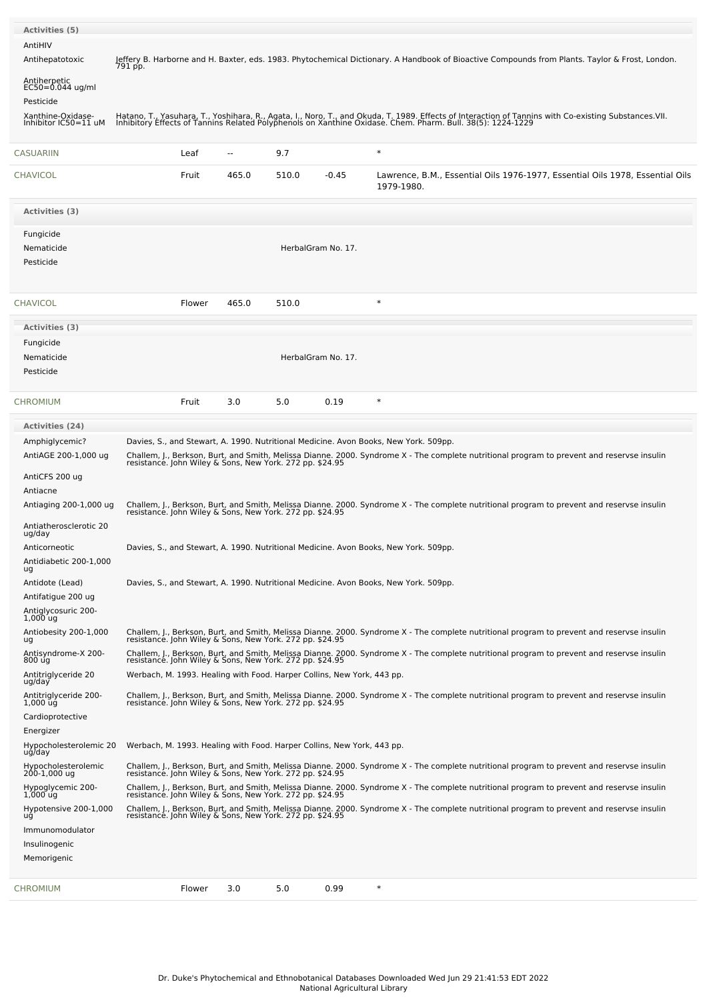| Activities (5)                                    |         |        |                                                                                      |       |                    |            |                                                                                                                                                                                                                                   |  |                                                                               |
|---------------------------------------------------|---------|--------|--------------------------------------------------------------------------------------|-------|--------------------|------------|-----------------------------------------------------------------------------------------------------------------------------------------------------------------------------------------------------------------------------------|--|-------------------------------------------------------------------------------|
| AntiHIV                                           |         |        |                                                                                      |       |                    |            |                                                                                                                                                                                                                                   |  |                                                                               |
| Antihepatotoxic                                   | 791 pp. |        |                                                                                      |       |                    |            | Jeffery B. Harborne and H. Baxter, eds. 1983. Phytochemical Dictionary. A Handbook of Bioactive Compounds from Plants. Taylor & Frost, London.                                                                                    |  |                                                                               |
| Antiherpetic<br>$EC50=0.044$ ug/ml                |         |        |                                                                                      |       |                    |            |                                                                                                                                                                                                                                   |  |                                                                               |
| Pesticide<br>Xanthine-Oxidase-                    |         |        |                                                                                      |       |                    |            |                                                                                                                                                                                                                                   |  |                                                                               |
| Inhibitor IC50=11 uM                              |         |        |                                                                                      |       |                    |            | Hatano, T., Yasuhara, T., Yoshihara, R., Agata, I., Noro, T., and Okuda, T. 1989. Effects of Interaction of Tannins with Co-existing Substances.VII.<br>Inhibitory Effects of Tannins Related Polyphenols on Xanthine Oxidase. Ch |  |                                                                               |
| <b>CASUARIIN</b>                                  |         | Leaf   | $\sim$                                                                               | 9.7   |                    | $\ast$     |                                                                                                                                                                                                                                   |  |                                                                               |
| <b>CHAVICOL</b>                                   |         | Fruit  | 465.0                                                                                | 510.0 | $-0.45$            | 1979-1980. |                                                                                                                                                                                                                                   |  | Lawrence, B.M., Essential Oils 1976-1977, Essential Oils 1978, Essential Oils |
| Activities (3)                                    |         |        |                                                                                      |       |                    |            |                                                                                                                                                                                                                                   |  |                                                                               |
| Fungicide                                         |         |        |                                                                                      |       |                    |            |                                                                                                                                                                                                                                   |  |                                                                               |
| Nematicide                                        |         |        |                                                                                      |       | HerbalGram No. 17. |            |                                                                                                                                                                                                                                   |  |                                                                               |
| Pesticide                                         |         |        |                                                                                      |       |                    |            |                                                                                                                                                                                                                                   |  |                                                                               |
| <b>CHAVICOL</b>                                   |         | Flower | 465.0                                                                                | 510.0 |                    | $\ast$     |                                                                                                                                                                                                                                   |  |                                                                               |
| Activities (3)                                    |         |        |                                                                                      |       |                    |            |                                                                                                                                                                                                                                   |  |                                                                               |
| Fungicide                                         |         |        |                                                                                      |       |                    |            |                                                                                                                                                                                                                                   |  |                                                                               |
| Nematicide                                        |         |        |                                                                                      |       | HerbalGram No. 17. |            |                                                                                                                                                                                                                                   |  |                                                                               |
| Pesticide                                         |         |        |                                                                                      |       |                    |            |                                                                                                                                                                                                                                   |  |                                                                               |
| <b>CHROMIUM</b>                                   |         | Fruit  | 3.0                                                                                  | 5.0   | 0.19               | ∗          |                                                                                                                                                                                                                                   |  |                                                                               |
| <b>Activities (24)</b>                            |         |        |                                                                                      |       |                    |            |                                                                                                                                                                                                                                   |  |                                                                               |
| Amphiglycemic?                                    |         |        | Davies, S., and Stewart, A. 1990. Nutritional Medicine. Avon Books, New York. 509pp. |       |                    |            |                                                                                                                                                                                                                                   |  |                                                                               |
| AntiAGE 200-1,000 ug                              |         |        |                                                                                      |       |                    |            | Challem, J., Berkson, Burt, and Smith, Melissa Dianne. 2000. Syndrome X - The complete nutritional program to prevent and reservse insulin<br>resistance. John Wiley & Sons, New York. 272 pp. \$24.95                            |  |                                                                               |
| AntiCFS 200 ug                                    |         |        |                                                                                      |       |                    |            |                                                                                                                                                                                                                                   |  |                                                                               |
| Antiacne                                          |         |        |                                                                                      |       |                    |            |                                                                                                                                                                                                                                   |  |                                                                               |
| Antiaging 200-1,000 ug                            |         |        |                                                                                      |       |                    |            | Challem, J., Berkson, Burt, and Smith, Melissa Dianne. 2000. Syndrome X - The complete nutritional program to prevent and reservse insulin<br>resistance. John Wiley & Sons, New York. 272 pp. \$24.95                            |  |                                                                               |
| Antiatherosclerotic 20<br>ug/day                  |         |        |                                                                                      |       |                    |            |                                                                                                                                                                                                                                   |  |                                                                               |
| Anticorneotic                                     |         |        | Davies, S., and Stewart, A. 1990. Nutritional Medicine. Avon Books, New York. 509pp. |       |                    |            |                                                                                                                                                                                                                                   |  |                                                                               |
| Antidiabetic 200-1,000<br>ug                      |         |        |                                                                                      |       |                    |            |                                                                                                                                                                                                                                   |  |                                                                               |
| Antidote (Lead)                                   |         |        |                                                                                      |       |                    |            | Davies, S., and Stewart, A. 1990. Nutritional Medicine. Avon Books, New York. 509pp.                                                                                                                                              |  |                                                                               |
| Antifatigue 200 ug                                |         |        |                                                                                      |       |                    |            |                                                                                                                                                                                                                                   |  |                                                                               |
| Antiglycosuric 200-<br>1,000 ug                   |         |        |                                                                                      |       |                    |            |                                                                                                                                                                                                                                   |  |                                                                               |
| Antiobesity 200-1,000<br>ug                       |         |        |                                                                                      |       |                    |            | Challem, J., Berkson, Burt, and Smith, Melissa Dianne. 2000. Syndrome X - The complete nutritional program to prevent and reservse insulin resistance. John Wiley & Sons, New York. 272 pp. \$24.95                               |  |                                                                               |
| Antisyndrome-X 200-<br>800 ug                     |         |        |                                                                                      |       |                    |            | Challem, J., Berkson, Burt, and Smith, Melissa Dianne. 2000. Syndrome X - The complete nutritional program to prevent and reservse insulin<br>resistance. John Wiley & Sons, New York. 272 pp. \$24.95                            |  |                                                                               |
| Antitriglyceride 20<br>ug/day                     |         |        | Werbach, M. 1993. Healing with Food. Harper Collins, New York, 443 pp.               |       |                    |            |                                                                                                                                                                                                                                   |  |                                                                               |
| Antitriglyceride 200-<br>$1,000$ $\bar{u}\dot{q}$ |         |        |                                                                                      |       |                    |            | Challem, J., Berkson, Burt, and Smith, Melissa Dianne. 2000. Syndrome X - The complete nutritional program to prevent and reservse insulin<br>resistance. John Wiley & Sons, New York. 272 pp. \$24.95                            |  |                                                                               |
| Cardioprotective                                  |         |        |                                                                                      |       |                    |            |                                                                                                                                                                                                                                   |  |                                                                               |
| Energizer<br>Hypocholesterolemic 20               |         |        | Werbach, M. 1993. Healing with Food. Harper Collins, New York, 443 pp.               |       |                    |            |                                                                                                                                                                                                                                   |  |                                                                               |
| ug/day<br>Hypocholesterolemic<br>200-1,000 ug     |         |        |                                                                                      |       |                    |            | Challem, J., Berkson, Burt, and Smith, Melissa Dianne. 2000. Syndrome X - The complete nutritional program to prevent and reservse insulin<br>resistance. John Wiley & Sons, New York. 272 pp. \$24.95                            |  |                                                                               |
| Hypoglycemic 200-                                 |         |        |                                                                                      |       |                    |            |                                                                                                                                                                                                                                   |  |                                                                               |
| $1,000$ ug                                        |         |        |                                                                                      |       |                    |            | Challem, J., Berkson, Burt, and Smith, Melissa Dianne. 2000. Syndrome X - The complete nutritional program to prevent and reservse insulin<br>resistance. John Wiley & Sons, New York. 272 pp. \$24.95                            |  |                                                                               |
| Hypotensive 200-1,000<br>ug                       |         |        | resistance. John Wiley & Sons, New York. 272 pp. \$24.95                             |       |                    |            | Challem, J., Berkson, Burt, and Smith, Melissa Dianne. 2000. Syndrome X - The complete nutritional program to prevent and reservse insulin                                                                                        |  |                                                                               |
| Immunomodulator<br>Insulinogenic                  |         |        |                                                                                      |       |                    |            |                                                                                                                                                                                                                                   |  |                                                                               |
| Memorigenic                                       |         |        |                                                                                      |       |                    |            |                                                                                                                                                                                                                                   |  |                                                                               |
|                                                   |         |        |                                                                                      |       |                    |            |                                                                                                                                                                                                                                   |  |                                                                               |
| <b>CHROMIUM</b>                                   |         | Flower | 3.0                                                                                  | 5.0   | 0.99               | $\ast$     |                                                                                                                                                                                                                                   |  |                                                                               |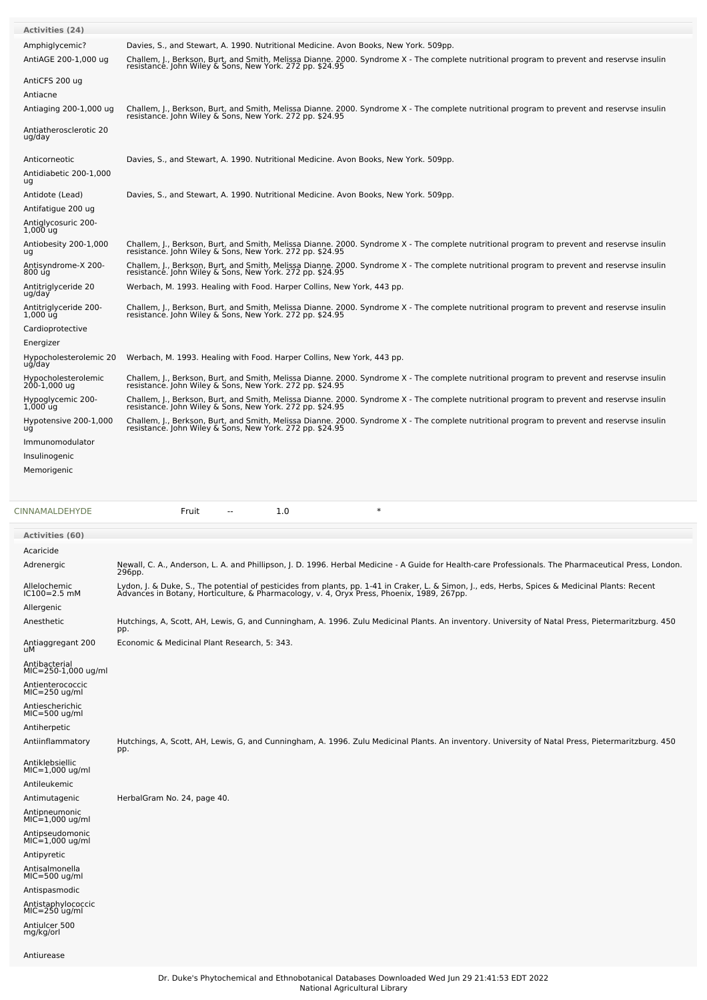| <b>Activities (24)</b>                                                                                                                                                                                  |                                                                                                                                                                                                                                                                                             |
|---------------------------------------------------------------------------------------------------------------------------------------------------------------------------------------------------------|---------------------------------------------------------------------------------------------------------------------------------------------------------------------------------------------------------------------------------------------------------------------------------------------|
| Amphiglycemic?<br>AntiAGE 200-1,000 ug                                                                                                                                                                  | Davies, S., and Stewart, A. 1990. Nutritional Medicine. Avon Books, New York. 509pp.<br>Challem, J., Berkson, Burt, and Smith, Melissa Dianne. 2000. Syndrome X - The complete nutritional program to prevent and reservse insulin resistance. John Wiley & Sons, New York. 272 pp. \$24.95 |
| AntiCFS 200 ug<br>Antiacne                                                                                                                                                                              |                                                                                                                                                                                                                                                                                             |
| Antiaging 200-1,000 ug                                                                                                                                                                                  | Challem, J., Berkson, Burt, and Smith, Melissa Dianne. 2000. Syndrome X - The complete nutritional program to prevent and reservse insulin<br>resistance. John Wiley & Sons, New York. 272 pp. \$24.95                                                                                      |
| Antiatherosclerotic 20<br>ug/day                                                                                                                                                                        |                                                                                                                                                                                                                                                                                             |
| Anticorneotic<br>Antidiabetic 200-1,000<br>ug                                                                                                                                                           | Davies, S., and Stewart, A. 1990. Nutritional Medicine. Avon Books, New York. 509pp.                                                                                                                                                                                                        |
| Antidote (Lead)<br>Antifatigue 200 ug<br>Antiglycosuric 200-<br>$1,000$ ug                                                                                                                              | Davies, S., and Stewart, A. 1990. Nutritional Medicine. Avon Books, New York. 509pp.                                                                                                                                                                                                        |
| Antiobesity 200-1,000<br>ug                                                                                                                                                                             | Challem, J., Berkson, Burt, and Smith, Melissa Dianne. 2000. Syndrome X - The complete nutritional program to prevent and reservse insulin<br>resistance. John Wiley & Sons, New York. 272 pp. \$24.95                                                                                      |
| Antisyndrome-X 200-<br>800 úg                                                                                                                                                                           | Challem, J., Berkson, Burt, and Smith, Melissa Dianne. 2000. Syndrome X - The complete nutritional program to prevent and reservse insulin<br>resistance. John Wiley & Sons, New York. 272 pp. \$24.95                                                                                      |
| Antitriglyceride 20<br>ug/day                                                                                                                                                                           | Werbach, M. 1993. Healing with Food. Harper Collins, New York, 443 pp.                                                                                                                                                                                                                      |
| Antitriglyceride 200-<br>1,000 ug<br>Cardioprotective                                                                                                                                                   | Challem, J., Berkson, Burt, and Smith, Melissa Dianne. 2000. Syndrome X - The complete nutritional program to prevent and reservse insulin<br>resistance. John Wiley & Sons, New York. 272 pp. \$24.95                                                                                      |
| Energizer                                                                                                                                                                                               |                                                                                                                                                                                                                                                                                             |
| Hypocholesterolemic 20<br>ug/day                                                                                                                                                                        | Werbach, M. 1993. Healing with Food. Harper Collins, New York, 443 pp.                                                                                                                                                                                                                      |
| Hypocholesterolemic<br>200-1,000 ug                                                                                                                                                                     | Challem, J., Berkson, Burt, and Smith, Melissa Dianne. 2000. Syndrome X - The complete nutritional program to prevent and reservse insulin<br>resistance. John Wiley & Sons, New York. 272 pp. \$24.95                                                                                      |
| Hypoglycemic 200-<br>$1,000$ ug                                                                                                                                                                         | Challem, J., Berkson, Burt, and Smith, Melissa Dianne. 2000. Syndrome X - The complete nutritional program to prevent and reservse insulin<br>resistance. John Wiley & Sons, New York. 272 pp. \$24.95                                                                                      |
| Hypotensive 200-1,000<br>uğ<br>Immunomodulator                                                                                                                                                          | Challem, J., Berkson, Burt, and Smith, Melissa Dianne. 2000. Syndrome X - The complete nutritional program to prevent and reservse insulin resistance. John Wiley & Sons, New York. 272 pp. \$24.95                                                                                         |
| Insulinogenic<br>Memorigenic                                                                                                                                                                            |                                                                                                                                                                                                                                                                                             |
|                                                                                                                                                                                                         |                                                                                                                                                                                                                                                                                             |
|                                                                                                                                                                                                         |                                                                                                                                                                                                                                                                                             |
|                                                                                                                                                                                                         | $\ast$<br>1.0<br>Fruit<br>--                                                                                                                                                                                                                                                                |
| CINNAMALDEHYDE<br><b>Activities (60)</b>                                                                                                                                                                |                                                                                                                                                                                                                                                                                             |
| Acaricide<br>Adrenergic                                                                                                                                                                                 | Newall, C. A., Anderson, L. A. and Phillipson, J. D. 1996. Herbal Medicine - A Guide for Health-care Professionals. The Pharmaceutical Press, London.<br>296pp.                                                                                                                             |
| Allelochemic<br>IC100=2.5 mM                                                                                                                                                                            | Lydon, J. & Duke, S., The potential of pesticides from plants, pp. 1-41 in Craker, L. & Simon, J., eds, Herbs, Spices & Medicinal Plants: Recent<br>Advances in Botany, Horticulture, & Pharmacology, v. 4, Oryx Press, Phoenix,                                                            |
| Allergenic<br>Anesthetic                                                                                                                                                                                | Hutchings, A, Scott, AH, Lewis, G, and Cunningham, A. 1996. Zulu Medicinal Plants. An inventory. University of Natal Press, Pietermaritzburg. 450                                                                                                                                           |
| Antiaggregant 200<br>uМ                                                                                                                                                                                 | pp.<br>Economic & Medicinal Plant Research, 5: 343.                                                                                                                                                                                                                                         |
| Antibacterial<br>MIC=250-1,000 ug/ml<br>Antienterococcic<br>$MIC=250$ ug/ml<br>Antiescherichic<br>$MIC=500$ ug/ml                                                                                       |                                                                                                                                                                                                                                                                                             |
| Antiherpetic<br>Antiinflammatory                                                                                                                                                                        | Hutchings, A, Scott, AH, Lewis, G, and Cunningham, A. 1996. Zulu Medicinal Plants. An inventory. University of Natal Press, Pietermaritzburg. 450<br>pp.                                                                                                                                    |
| Antiklebsiellic<br>$MIC=1,000$ ug/ml<br>Antileukemic<br>Antimutagenic<br>Antipneumonic<br>$MIC=1,000$ ug/ml<br>Antipseudomonic<br>$MIC=1,000$ ug/ml<br>Antipyretic<br>Antisalmonella<br>$MIC=500$ ug/ml | HerbalGram No. 24, page 40.                                                                                                                                                                                                                                                                 |
| Antispasmodic<br>Antistaphylococcic<br>MIC=250 ug/ml<br>Antiulcer 500<br>mg/kg/orl                                                                                                                      |                                                                                                                                                                                                                                                                                             |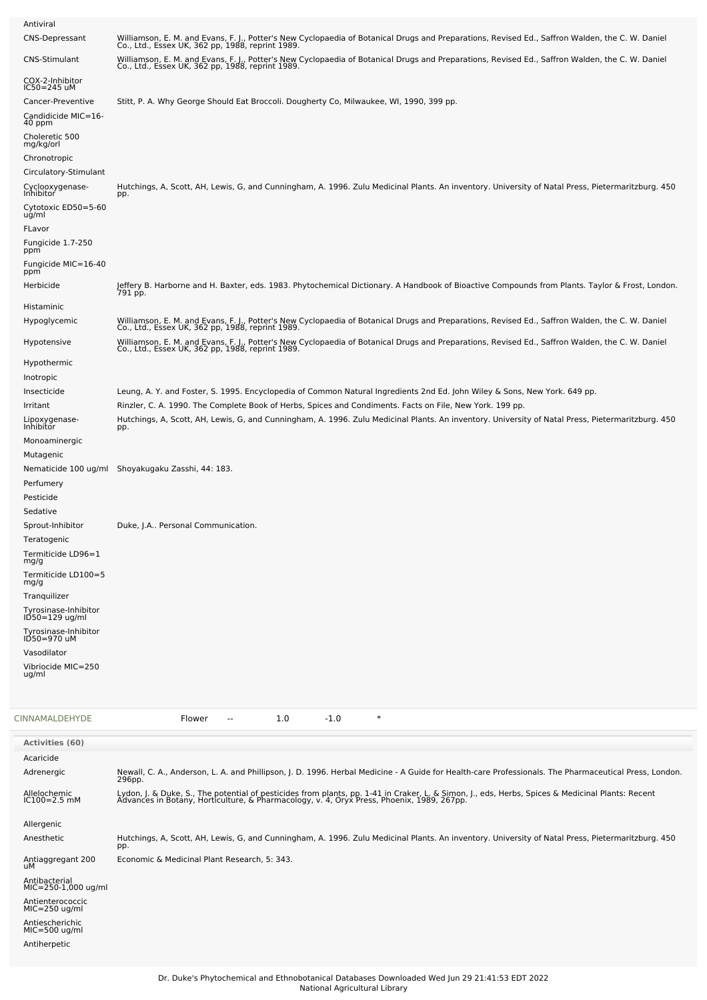| Antiviral                                                                                                                                                                                                                                                                                                                                                                                              |                                                                                                                                                                                                                                                                                                                                                                                                                                                                                             |
|--------------------------------------------------------------------------------------------------------------------------------------------------------------------------------------------------------------------------------------------------------------------------------------------------------------------------------------------------------------------------------------------------------|---------------------------------------------------------------------------------------------------------------------------------------------------------------------------------------------------------------------------------------------------------------------------------------------------------------------------------------------------------------------------------------------------------------------------------------------------------------------------------------------|
| CNS-Depressant                                                                                                                                                                                                                                                                                                                                                                                         | Williamson, E. M. and Evans, F. J., Potter's New Cyclopaedia of Botanical Drugs and Preparations, Revised Ed., Saffron Walden, the C. W. Daniel<br>Co., Ltd., Essex UK, 362 pp, 1988, reprint 1989.                                                                                                                                                                                                                                                                                         |
| CNS-Stimulant                                                                                                                                                                                                                                                                                                                                                                                          | Williamson, E. M. and Evans, F. J., Potter's New Cyclopaedia of Botanical Drugs and Preparations, Revised Ed., Saffron Walden, the C. W. Daniel<br>Co., Ltd., Essex UK, 362 pp, 1988, reprint 1989.                                                                                                                                                                                                                                                                                         |
| COX-2-Inhibitor<br>$IC50 = 245$ uM                                                                                                                                                                                                                                                                                                                                                                     |                                                                                                                                                                                                                                                                                                                                                                                                                                                                                             |
| Cancer-Preventive<br>Candidicide MIC=16-<br>40 ppm<br>Choleretic 500<br>mg/kg/orl<br>Chronotropic                                                                                                                                                                                                                                                                                                      | Stitt, P. A. Why George Should Eat Broccoli. Dougherty Co, Milwaukee, WI, 1990, 399 pp.                                                                                                                                                                                                                                                                                                                                                                                                     |
| Circulatory-Stimulant<br>Cyclooxygenase-                                                                                                                                                                                                                                                                                                                                                               | Hutchings, A, Scott, AH, Lewis, G, and Cunningham, A. 1996. Zulu Medicinal Plants. An inventory. University of Natal Press, Pietermaritzburg. 450                                                                                                                                                                                                                                                                                                                                           |
| Inhibitor<br>Cytotoxic ED50=5-60<br>ug/ml<br>FLavor<br>Fungicide 1.7-250<br>ppm<br>Fungicide MIC=16-40                                                                                                                                                                                                                                                                                                 | pp.                                                                                                                                                                                                                                                                                                                                                                                                                                                                                         |
| ppm<br>Herbicide                                                                                                                                                                                                                                                                                                                                                                                       | Jeffery B. Harborne and H. Baxter, eds. 1983. Phytochemical Dictionary. A Handbook of Bioactive Compounds from Plants. Taylor & Frost, London.                                                                                                                                                                                                                                                                                                                                              |
| Histaminic                                                                                                                                                                                                                                                                                                                                                                                             | 791 pp.                                                                                                                                                                                                                                                                                                                                                                                                                                                                                     |
| Hypoglycemic                                                                                                                                                                                                                                                                                                                                                                                           | Williamson, E. M. and Evans, F. J., Potter's New Cyclopaedia of Botanical Drugs and Preparations, Revised Ed., Saffron Walden, the C. W. Daniel<br>Co., Ltd., Essex UK, 362 pp, 1988, reprint 1989.                                                                                                                                                                                                                                                                                         |
| Hypotensive                                                                                                                                                                                                                                                                                                                                                                                            | Williamson, E. M. and Evans, F. J., Potter's New Cyclopaedia of Botanical Drugs and Preparations, Revised Ed., Saffron Walden, the C. W. Daniel<br>Co., Ltd., Essex UK, 362 pp, 1988, reprint 1989.                                                                                                                                                                                                                                                                                         |
| Hypothermic<br>Inotropic<br>Insecticide<br>Irritant<br>Lipoxygenase-<br>Inhibitor<br>Monoaminergic<br>Mutagenic<br>Perfumery<br>Pesticide<br>Sedative<br>Sprout-Inhibitor<br>Teratogenic<br>Termiticide LD96=1<br>mg/g<br>Termiticide LD100=5<br>mg/g<br>Tranquilizer<br>Tyrosinase-Inhibitor<br>$1D50=129$ ug/ml<br>Tyrosinase-Inhibitor<br>ID50=970 uM<br>Vasodilator<br>Vibriocide MIC=250<br>ug/ml | Leung, A. Y. and Foster, S. 1995. Encyclopedia of Common Natural Ingredients 2nd Ed. John Wiley & Sons, New York. 649 pp.<br>Rinzler, C. A. 1990. The Complete Book of Herbs, Spices and Condiments. Facts on File, New York. 199 pp.<br>Hutchings, A, Scott, AH, Lewis, G, and Cunningham, A. 1996. Zulu Medicinal Plants. An inventory. University of Natal Press, Pietermaritzburg. 450<br>pp.<br>Nematicide 100 ug/ml Shoyakugaku Zasshi, 44: 183.<br>Duke, J.A Personal Communication. |
| CINNAMALDEHYDE                                                                                                                                                                                                                                                                                                                                                                                         | $-1.0$<br>$\ast$<br>Flower<br>1.0<br>$\overline{\phantom{a}}$                                                                                                                                                                                                                                                                                                                                                                                                                               |
| Activities (60)                                                                                                                                                                                                                                                                                                                                                                                        |                                                                                                                                                                                                                                                                                                                                                                                                                                                                                             |
| Acaricide                                                                                                                                                                                                                                                                                                                                                                                              |                                                                                                                                                                                                                                                                                                                                                                                                                                                                                             |
| Adrenergic                                                                                                                                                                                                                                                                                                                                                                                             | Newall, C. A., Anderson, L. A. and Phillipson, J. D. 1996. Herbal Medicine - A Guide for Health-care Professionals. The Pharmaceutical Press, London.<br>296pp.                                                                                                                                                                                                                                                                                                                             |
| Allelochemic<br>$IC100 = 2.5$ mM                                                                                                                                                                                                                                                                                                                                                                       | Lydon, J. & Duke, S., The potential of pesticides from plants, pp. 1-41 in Craker, L. & Simon, J., eds, Herbs, Spices & Medicinal Plants: Recent<br>Advances in Botany, Horticulture, & Pharmacology, v. 4, Oryx Press, Phoenix,                                                                                                                                                                                                                                                            |
| Allergenic                                                                                                                                                                                                                                                                                                                                                                                             |                                                                                                                                                                                                                                                                                                                                                                                                                                                                                             |
| Anesthetic                                                                                                                                                                                                                                                                                                                                                                                             | Hutchings, A, Scott, AH, Lewis, G, and Cunningham, A. 1996. Zulu Medicinal Plants. An inventory. University of Natal Press, Pietermaritzburg. 450<br>pp.                                                                                                                                                                                                                                                                                                                                    |
| Antiaggregant 200<br>uМ                                                                                                                                                                                                                                                                                                                                                                                | Economic & Medicinal Plant Research, 5: 343.                                                                                                                                                                                                                                                                                                                                                                                                                                                |
| Antibacterial<br>MIC=250-1,000 ug/ml                                                                                                                                                                                                                                                                                                                                                                   |                                                                                                                                                                                                                                                                                                                                                                                                                                                                                             |
| Antienterococcic<br>$MIC=250$ ug/ml                                                                                                                                                                                                                                                                                                                                                                    |                                                                                                                                                                                                                                                                                                                                                                                                                                                                                             |
| Antiescherichic<br>$MIC=500$ ug/ml                                                                                                                                                                                                                                                                                                                                                                     |                                                                                                                                                                                                                                                                                                                                                                                                                                                                                             |
| Antiherpetic                                                                                                                                                                                                                                                                                                                                                                                           |                                                                                                                                                                                                                                                                                                                                                                                                                                                                                             |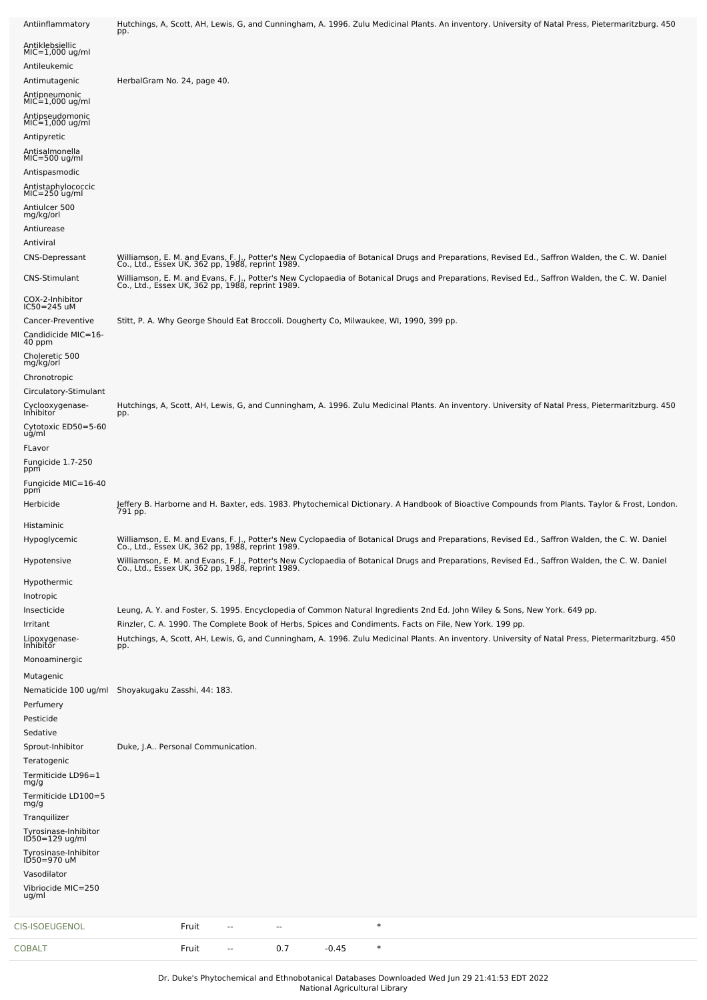| Antiinflammatory                       | Hutchings, A, Scott, AH, Lewis, G, and Cunningham, A. 1996. Zulu Medicinal Plants. An inventory. University of Natal Press, Pietermaritzburg. 450<br>pp.                                                                              |
|----------------------------------------|---------------------------------------------------------------------------------------------------------------------------------------------------------------------------------------------------------------------------------------|
| Antiklebsiellic                        |                                                                                                                                                                                                                                       |
| $MIC=1,000$ ug/ml<br>Antileukemic      |                                                                                                                                                                                                                                       |
| Antimutagenic                          | HerbalGram No. 24, page 40.                                                                                                                                                                                                           |
| Antipneumonic<br>MIC=1,000 ug/ml       |                                                                                                                                                                                                                                       |
| Antipseudomonic                        |                                                                                                                                                                                                                                       |
| $MIC=1,000$ ug/ml                      |                                                                                                                                                                                                                                       |
| Antipyretic<br>Antisalmonella          |                                                                                                                                                                                                                                       |
| $MIC=500$ ug/ml                        |                                                                                                                                                                                                                                       |
| Antispasmodic                          |                                                                                                                                                                                                                                       |
| Antistaphylococcic<br>$MIC=250$ ug/ml  |                                                                                                                                                                                                                                       |
| Antiulcer 500<br>mg/kg/orl             |                                                                                                                                                                                                                                       |
| Antiurease                             |                                                                                                                                                                                                                                       |
| Antiviral                              |                                                                                                                                                                                                                                       |
| CNS-Depressant                         | Williamson, E. M. and Evans, F. J., Potter's New Cyclopaedia of Botanical Drugs and Preparations, Revised Ed., Saffron Walden, the C. W. Daniel Co., Leaniel Co., Leaniel Co., Leaniel Co., Leaniel Co., Leaniel Co., Leaniel         |
| CNS-Stimulant                          | Williamson, E. M. and Evans, F. J., Potter's New Cyclopaedia of Botanical Drugs and Preparations, Revised Ed., Saffron Walden, the C. W. Daniel<br>Co., Ltd., Essex UK, 362 pp, 1988, reprint 1989.                                   |
| COX-2-Inhibitor<br>$IC50 = 245$ uM     |                                                                                                                                                                                                                                       |
| Cancer-Preventive                      | Stitt, P. A. Why George Should Eat Broccoli. Dougherty Co, Milwaukee, WI, 1990, 399 pp.                                                                                                                                               |
| Candidicide MIC=16-<br>40 ppm          |                                                                                                                                                                                                                                       |
| Choleretic 500<br>mg/kg/orl            |                                                                                                                                                                                                                                       |
| Chronotropic                           |                                                                                                                                                                                                                                       |
| Circulatory-Stimulant                  |                                                                                                                                                                                                                                       |
| Cyclooxygenase-<br>Inhibitor           | Hutchings, A, Scott, AH, Lewis, G, and Cunningham, A. 1996. Zulu Medicinal Plants. An inventory. University of Natal Press, Pietermaritzburg. 450<br>pp.                                                                              |
| Cytotoxic ED50=5-60                    |                                                                                                                                                                                                                                       |
| ug/ml<br>FLavor                        |                                                                                                                                                                                                                                       |
| Fungicide 1.7-250<br>ppm               |                                                                                                                                                                                                                                       |
| Fungicide MIC=16-40<br>ppm             |                                                                                                                                                                                                                                       |
| Herbicide                              | Jeffery B. Harborne and H. Baxter, eds. 1983. Phytochemical Dictionary. A Handbook of Bioactive Compounds from Plants. Taylor & Frost, London.<br>791 pp.                                                                             |
| Histaminic                             |                                                                                                                                                                                                                                       |
| Hypoglycemic                           | Williamson, E. M. and Evans, F. J., Potter's New Cyclopaedia of Botanical Drugs and Preparations, Revised Ed., Saffron Walden, the C. W. Daniel<br>Co., Ltd., Essex UK, 362 pp, 1988, reprint 1989.                                   |
| Hypotensive                            | Williamson, E. M. and Evans, F. J., Potter's New Cyclopaedia of Botanical Drugs and Preparations, Revised Ed., Saffron Walden, the C. W. Daniel<br>Co., Ltd., Essex UK, 362 pp, 1988, reprint 1989.                                   |
| Hypothermic                            |                                                                                                                                                                                                                                       |
| Inotropic                              |                                                                                                                                                                                                                                       |
| Insecticide<br>Irritant                | Leung, A. Y. and Foster, S. 1995. Encyclopedia of Common Natural Ingredients 2nd Ed. John Wiley & Sons, New York. 649 pp.<br>Rinzler, C. A. 1990. The Complete Book of Herbs, Spices and Condiments. Facts on File, New York. 199 pp. |
|                                        | Hutchings, A, Scott, AH, Lewis, G, and Cunningham, A. 1996. Zulu Medicinal Plants. An inventory. University of Natal Press, Pietermaritzburg. 450                                                                                     |
| Lipoxygenase-<br>Inhibitor             | pp.                                                                                                                                                                                                                                   |
| Monoaminergic                          |                                                                                                                                                                                                                                       |
| Mutagenic                              | Nematicide 100 ug/ml Shoyakugaku Zasshi, 44: 183.                                                                                                                                                                                     |
| Perfumery                              |                                                                                                                                                                                                                                       |
| Pesticide                              |                                                                                                                                                                                                                                       |
| Sedative                               |                                                                                                                                                                                                                                       |
| Sprout-Inhibitor                       | Duke, J.A Personal Communication.                                                                                                                                                                                                     |
| Teratogenic                            |                                                                                                                                                                                                                                       |
| Termiticide LD96=1<br>mg/g             |                                                                                                                                                                                                                                       |
| Termiticide LD100=5<br>mg/g            |                                                                                                                                                                                                                                       |
| Tranquilizer                           |                                                                                                                                                                                                                                       |
| Tyrosinase-Inhibitor<br>ID50=129 ug/ml |                                                                                                                                                                                                                                       |
| Tyrosinase-Inhibitor                   |                                                                                                                                                                                                                                       |
| ID50=970 uM<br>Vasodilator             |                                                                                                                                                                                                                                       |
| Vibriocide MIC=250                     |                                                                                                                                                                                                                                       |
| ug/ml                                  |                                                                                                                                                                                                                                       |
| CIS-ISOEUGENOL                         | $\ast$<br>Fruit<br>--<br>--                                                                                                                                                                                                           |
|                                        |                                                                                                                                                                                                                                       |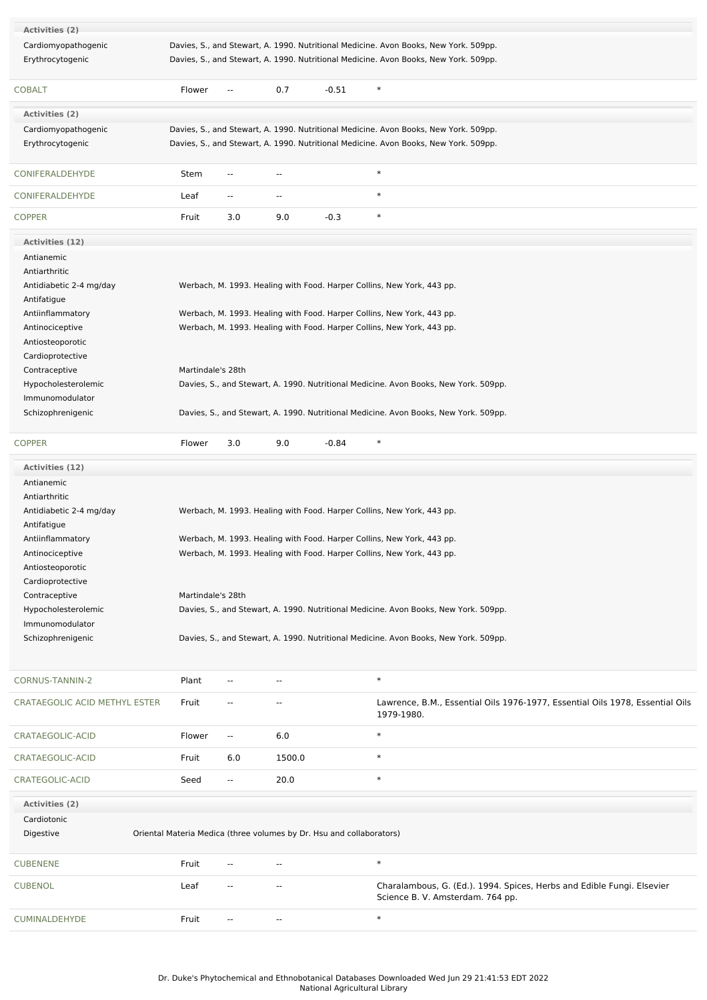| <b>Activities (2)</b>         |                   |                          |                          |                                                                      |                                                                                      |                                                                               |
|-------------------------------|-------------------|--------------------------|--------------------------|----------------------------------------------------------------------|--------------------------------------------------------------------------------------|-------------------------------------------------------------------------------|
| Cardiomyopathogenic           |                   |                          |                          |                                                                      | Davies, S., and Stewart, A. 1990. Nutritional Medicine. Avon Books, New York. 509pp. |                                                                               |
| Erythrocytogenic              |                   |                          |                          |                                                                      | Davies, S., and Stewart, A. 1990. Nutritional Medicine. Avon Books, New York. 509pp. |                                                                               |
|                               |                   |                          |                          |                                                                      |                                                                                      |                                                                               |
| <b>COBALT</b>                 | Flower            | $\overline{\phantom{a}}$ | 0.7                      | $-0.51$                                                              | $\ast$                                                                               |                                                                               |
| <b>Activities (2)</b>         |                   |                          |                          |                                                                      |                                                                                      |                                                                               |
| Cardiomyopathogenic           |                   |                          |                          |                                                                      | Davies, S., and Stewart, A. 1990. Nutritional Medicine. Avon Books, New York. 509pp. |                                                                               |
| Erythrocytogenic              |                   |                          |                          |                                                                      | Davies, S., and Stewart, A. 1990. Nutritional Medicine. Avon Books, New York. 509pp. |                                                                               |
|                               |                   |                          |                          |                                                                      |                                                                                      |                                                                               |
| CONIFERALDEHYDE               | Stem              | $\overline{\phantom{a}}$ | $\overline{\phantom{a}}$ |                                                                      | $\ast$                                                                               |                                                                               |
| CONIFERALDEHYDE               | Leaf              | --                       | $\overline{\phantom{a}}$ |                                                                      | $\ast$                                                                               |                                                                               |
| <b>COPPER</b>                 | Fruit             | 3.0                      | 9.0                      | $-0.3$                                                               | $\ast$                                                                               |                                                                               |
| <b>Activities (12)</b>        |                   |                          |                          |                                                                      |                                                                                      |                                                                               |
| Antianemic                    |                   |                          |                          |                                                                      |                                                                                      |                                                                               |
| Antiarthritic                 |                   |                          |                          |                                                                      |                                                                                      |                                                                               |
| Antidiabetic 2-4 mg/day       |                   |                          |                          |                                                                      | Werbach, M. 1993. Healing with Food. Harper Collins, New York, 443 pp.               |                                                                               |
| Antifatigue                   |                   |                          |                          |                                                                      |                                                                                      |                                                                               |
| Antiinflammatory              |                   |                          |                          |                                                                      | Werbach, M. 1993. Healing with Food. Harper Collins, New York, 443 pp.               |                                                                               |
| Antinociceptive               |                   |                          |                          |                                                                      | Werbach, M. 1993. Healing with Food. Harper Collins, New York, 443 pp.               |                                                                               |
|                               |                   |                          |                          |                                                                      |                                                                                      |                                                                               |
| Antiosteoporotic              |                   |                          |                          |                                                                      |                                                                                      |                                                                               |
| Cardioprotective              |                   |                          |                          |                                                                      |                                                                                      |                                                                               |
| Contraceptive                 | Martindale's 28th |                          |                          |                                                                      |                                                                                      |                                                                               |
| Hypocholesterolemic           |                   |                          |                          |                                                                      | Davies, S., and Stewart, A. 1990. Nutritional Medicine. Avon Books, New York. 509pp. |                                                                               |
| Immunomodulator               |                   |                          |                          |                                                                      |                                                                                      |                                                                               |
| Schizophrenigenic             |                   |                          |                          |                                                                      | Davies, S., and Stewart, A. 1990. Nutritional Medicine. Avon Books, New York. 509pp. |                                                                               |
| <b>COPPER</b>                 | Flower            | 3.0                      | 9.0                      | $-0.84$                                                              | $\ast$                                                                               |                                                                               |
| Activities (12)               |                   |                          |                          |                                                                      |                                                                                      |                                                                               |
| Antianemic                    |                   |                          |                          |                                                                      |                                                                                      |                                                                               |
| Antiarthritic                 |                   |                          |                          |                                                                      |                                                                                      |                                                                               |
|                               |                   |                          |                          |                                                                      |                                                                                      |                                                                               |
| Antidiabetic 2-4 mg/day       |                   |                          |                          |                                                                      | Werbach, M. 1993. Healing with Food. Harper Collins, New York, 443 pp.               |                                                                               |
| Antifatigue                   |                   |                          |                          |                                                                      |                                                                                      |                                                                               |
| Antiinflammatory              |                   |                          |                          |                                                                      | Werbach, M. 1993. Healing with Food. Harper Collins, New York, 443 pp.               |                                                                               |
| Antinociceptive               |                   |                          |                          |                                                                      | Werbach, M. 1993. Healing with Food. Harper Collins, New York, 443 pp.               |                                                                               |
| Antiosteoporotic              |                   |                          |                          |                                                                      |                                                                                      |                                                                               |
| Cardioprotective              |                   |                          |                          |                                                                      |                                                                                      |                                                                               |
| Contraceptive                 | Martindale's 28th |                          |                          |                                                                      |                                                                                      |                                                                               |
| Hypocholesterolemic           |                   |                          |                          |                                                                      | Davies, S., and Stewart, A. 1990. Nutritional Medicine. Avon Books, New York. 509pp. |                                                                               |
| Immunomodulator               |                   |                          |                          |                                                                      |                                                                                      |                                                                               |
| Schizophrenigenic             |                   |                          |                          |                                                                      | Davies, S., and Stewart, A. 1990. Nutritional Medicine. Avon Books, New York. 509pp. |                                                                               |
|                               |                   |                          |                          |                                                                      |                                                                                      |                                                                               |
| CORNUS-TANNIN-2               | Plant             |                          | ٠.                       |                                                                      | $\ast$                                                                               |                                                                               |
| CRATAEGOLIC ACID METHYL ESTER | Fruit             |                          |                          |                                                                      |                                                                                      | Lawrence, B.M., Essential Oils 1976-1977, Essential Oils 1978, Essential Oils |
|                               |                   |                          |                          |                                                                      | 1979-1980.                                                                           |                                                                               |
| CRATAEGOLIC-ACID              | Flower            | --                       | 6.0                      |                                                                      | $\ast$                                                                               |                                                                               |
| CRATAEGOLIC-ACID              | Fruit             | 6.0                      | 1500.0                   |                                                                      | $\ast$                                                                               |                                                                               |
| CRATEGOLIC-ACID               | Seed              | $\overline{\phantom{a}}$ | 20.0                     |                                                                      | $\ast$                                                                               |                                                                               |
|                               |                   |                          |                          |                                                                      |                                                                                      |                                                                               |
| Activities (2)                |                   |                          |                          |                                                                      |                                                                                      |                                                                               |
| Cardiotonic                   |                   |                          |                          |                                                                      |                                                                                      |                                                                               |
| Digestive                     |                   |                          |                          | Oriental Materia Medica (three volumes by Dr. Hsu and collaborators) |                                                                                      |                                                                               |
| <b>CUBENENE</b>               | Fruit             | $-$                      | $\sim$ $\sim$            |                                                                      | $\ast$                                                                               |                                                                               |
| <b>CUBENOL</b>                | Leaf              | $\overline{\phantom{a}}$ | $\overline{a}$           |                                                                      | Science B. V. Amsterdam. 764 pp.                                                     | Charalambous, G. (Ed.). 1994. Spices, Herbs and Edible Fungi. Elsevier        |
| CUMINALDEHYDE                 | Fruit             | $\overline{\phantom{a}}$ | $\overline{\phantom{a}}$ |                                                                      | $\ast$                                                                               |                                                                               |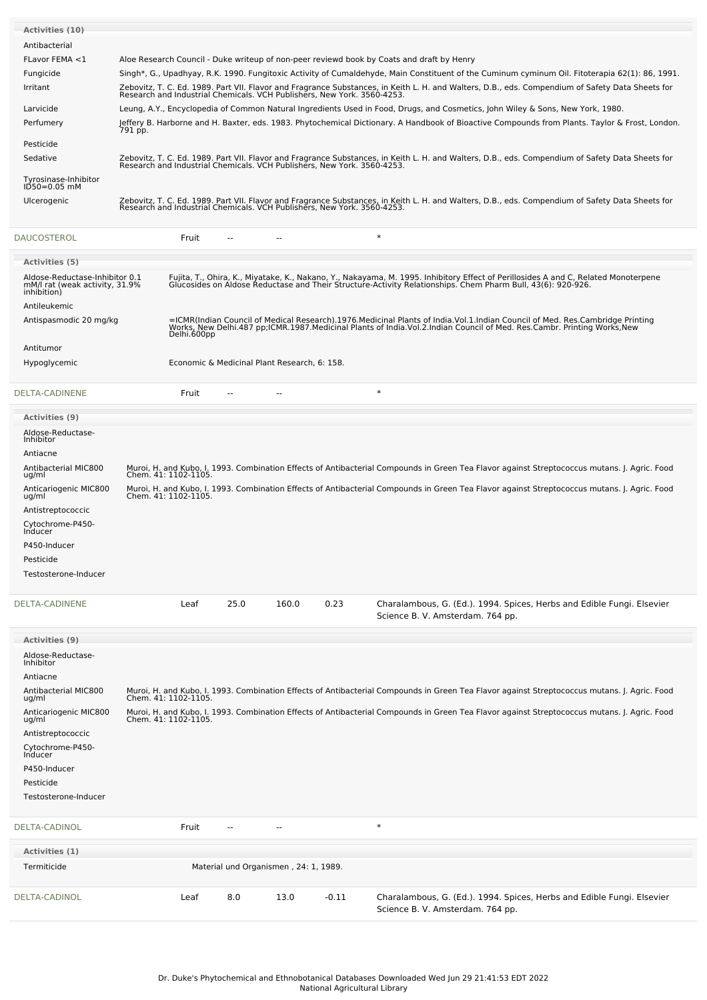| <b>Activities (10)</b>                 |                                                                                                                                                                                                                             |
|----------------------------------------|-----------------------------------------------------------------------------------------------------------------------------------------------------------------------------------------------------------------------------|
| Antibacterial                          |                                                                                                                                                                                                                             |
| FLavor FEMA <1                         | Aloe Research Council - Duke writeup of non-peer reviewd book by Coats and draft by Henry                                                                                                                                   |
| Fungicide                              | Singh*, G., Upadhyay, R.K. 1990. Fungitoxic Activity of Cumaldehyde, Main Constituent of the Cuminum cyminum Oil. Fitoterapia 62(1): 86, 1991.                                                                              |
| Irritant                               | Zebovitz, T. C. Ed. 1989. Part VII. Flavor and Fragrance Substances, in Keith L. H. and Walters, D.B., eds. Compendium of Safety Data Sheets for<br>Research and Industrial Chemicals. VCH Publishers, New York. 3560-4253. |
| Larvicide                              | Leung, A.Y., Encyclopedia of Common Natural Ingredients Used in Food, Drugs, and Cosmetics, John Wiley & Sons, New York, 1980.                                                                                              |
| Perfumery                              | Jeffery B. Harborne and H. Baxter, eds. 1983. Phytochemical Dictionary. A Handbook of Bioactive Compounds from Plants. Taylor & Frost, London.<br>791 pp.                                                                   |
| Pesticide                              |                                                                                                                                                                                                                             |
| Sedative                               | Zebovitz, T. C. Ed. 1989. Part VII. Flavor and Fragrance Substances, in Keith L. H. and Walters, D.B., eds. Compendium of Safety Data Sheets for<br>Research and Industrial Chemicals, VCH Publishers, New York, 3560-4253. |
| Tyrosinase-Inhibitor<br>$ID50=0.05$ mM |                                                                                                                                                                                                                             |
| Ulcerogenic                            | Zebovitz, T. C. Ed. 1989. Part VII. Flavor and Fragrance Substances, in Keith L. H. and Walters, D.B., eds. Compendium of Safety Data Sheets for<br>Research and Industrial Chemicals, VCH Publishers, New York, 3560-4253. |
| <b>DAUCOSTEROL</b>                     | $\ast$<br>Fruit                                                                                                                                                                                                             |

| <b>Activities (5)</b>                                                           |                                                                                                                                                                                                                                                  |
|---------------------------------------------------------------------------------|--------------------------------------------------------------------------------------------------------------------------------------------------------------------------------------------------------------------------------------------------|
| Aldose-Reductase-Inhibitor 0.1<br>mM/l rat (weak activity, 31.9%<br>inhibition) | Fujita, T., Ohira, K., Miyatake, K., Nakano, Y., Nakayama, M. 1995. Inhibitory Effect of Perillosides A and C, Related Monoterpene<br>Glucosides on Aldose Reductase and Their Structure-Activity Relationships. Chem Pharm Bull,                |
| Antileukemic                                                                    |                                                                                                                                                                                                                                                  |
| Antispasmodic 20 mg/kg                                                          | =ICMR(Indian Council of Medical Research).1976.Medicinal Plants of India.Vol.1.Indian Council of Med. Res.Cambridge Printing<br>Works, New Delhi.487 pp;ICMR.1987.Medicinal Plants of India.Vol.2.Indian Council of Med. Res.Camb<br>Delhi.600pp |
| Antitumor                                                                       |                                                                                                                                                                                                                                                  |
| Hypoglycemic                                                                    | Economic & Medicinal Plant Research, 6: 158.                                                                                                                                                                                                     |
|                                                                                 |                                                                                                                                                                                                                                                  |

| DELTA-CADINENE | Fruit |  |  |  |  |
|----------------|-------|--|--|--|--|
|----------------|-------|--|--|--|--|

| <b>Activities (9)</b>          |                                                                                                                                                                      |
|--------------------------------|----------------------------------------------------------------------------------------------------------------------------------------------------------------------|
| Aldose-Reductase-<br>Inhibitor |                                                                                                                                                                      |
| Antiacne                       |                                                                                                                                                                      |
| Antibacterial MIC800<br>ug/ml  | Muroi, H. and Kubo, I. 1993. Combination Effects of Antibacterial Compounds in Green Tea Flavor against Streptococcus mutans. J. Agric. Food<br>Chem. 41: 1102-1105. |
| Anticariogenic MIC800<br>ug/ml | Muroi, H. and Kubo, I. 1993. Combination Effects of Antibacterial Compounds in Green Tea Flavor against Streptococcus mutans. J. Agric. Food<br>Chem. 41: 1102-1105. |
| Antistreptococcic              |                                                                                                                                                                      |
| Cytochrome-P450-<br>Inducer    |                                                                                                                                                                      |
| P450-Inducer                   |                                                                                                                                                                      |
| Pesticide                      |                                                                                                                                                                      |
| Testosterone-Inducer           |                                                                                                                                                                      |

| IENE | Leaf |
|------|------|
|      |      |

[DELTA-CADINENE](file:///phytochem/chemicals/show/7012) Leaf 25.0 160.0 0.23 Charalambous, G. (Ed.). 1994. Spices, Herbs and Edible Fungi. Elsevier Science B. V. Amsterdam. 764 pp.

| <b>Activities (9)</b>                |                      |                          |                                       |         |                                                                                                                                                                      |
|--------------------------------------|----------------------|--------------------------|---------------------------------------|---------|----------------------------------------------------------------------------------------------------------------------------------------------------------------------|
| Aldose-Reductase-<br>Inhibitor       |                      |                          |                                       |         |                                                                                                                                                                      |
| Antiacne                             |                      |                          |                                       |         |                                                                                                                                                                      |
| <b>Antibacterial MIC800</b><br>ug/ml |                      |                          |                                       |         | Muroi, H. and Kubo, I. 1993. Combination Effects of Antibacterial Compounds in Green Tea Flavor against Streptococcus mutans. J. Agric. Food<br>Chem. 41: 1102-1105. |
| Anticariogenic MIC800<br>ug/ml       | Chem. 41: 1102-1105. |                          |                                       |         | Muroi, H. and Kubo, I. 1993. Combination Effects of Antibacterial Compounds in Green Tea Flavor against Streptococcus mutans. J. Agric. Food                         |
| Antistreptococcic                    |                      |                          |                                       |         |                                                                                                                                                                      |
| Cytochrome-P450-<br>Inducer          |                      |                          |                                       |         |                                                                                                                                                                      |
| P450-Inducer                         |                      |                          |                                       |         |                                                                                                                                                                      |
| Pesticide                            |                      |                          |                                       |         |                                                                                                                                                                      |
| Testosterone-Inducer                 |                      |                          |                                       |         |                                                                                                                                                                      |
|                                      |                      |                          |                                       |         |                                                                                                                                                                      |
| <b>DELTA-CADINOL</b>                 | Fruit                | $\overline{\phantom{a}}$ | $\overline{\phantom{a}}$              |         | $\ast$                                                                                                                                                               |
| Activities (1)                       |                      |                          |                                       |         |                                                                                                                                                                      |
| Termiticide                          |                      |                          | Material und Organismen, 24: 1, 1989. |         |                                                                                                                                                                      |
| <b>DELTA-CADINOL</b>                 | Leaf                 | 8.0                      | 13.0                                  | $-0.11$ | Charalambous, G. (Ed.). 1994. Spices, Herbs and Edible Fungi. Elsevier<br>Science B. V. Amsterdam. 764 pp.                                                           |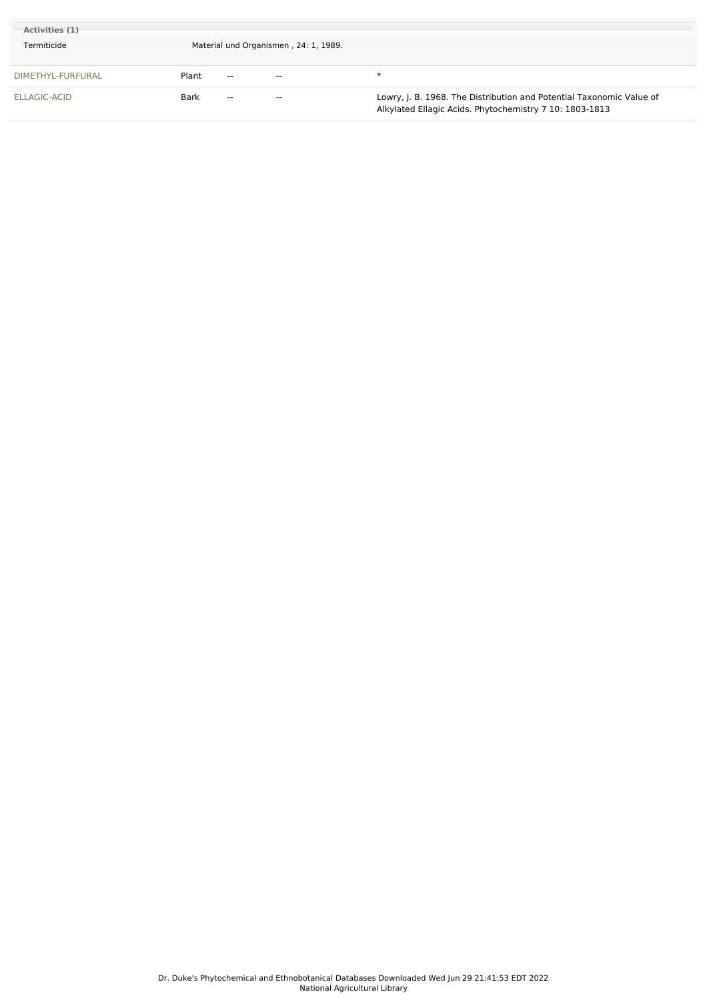| Activities (1)<br>Termiticide |       |               | Material und Organismen, 24: 1, 1989. |                                                                                                                                 |
|-------------------------------|-------|---------------|---------------------------------------|---------------------------------------------------------------------------------------------------------------------------------|
| DIMETHYL-FURFURAL             | Plant | $\sim$        | $\sim$ $\sim$                         | ж                                                                                                                               |
| ELLAGIC-ACID                  | Bark  | $\sim$ $\sim$ | $- -$                                 | Lowry, J. B. 1968. The Distribution and Potential Taxonomic Value of<br>Alkylated Ellagic Acids. Phytochemistry 7 10: 1803-1813 |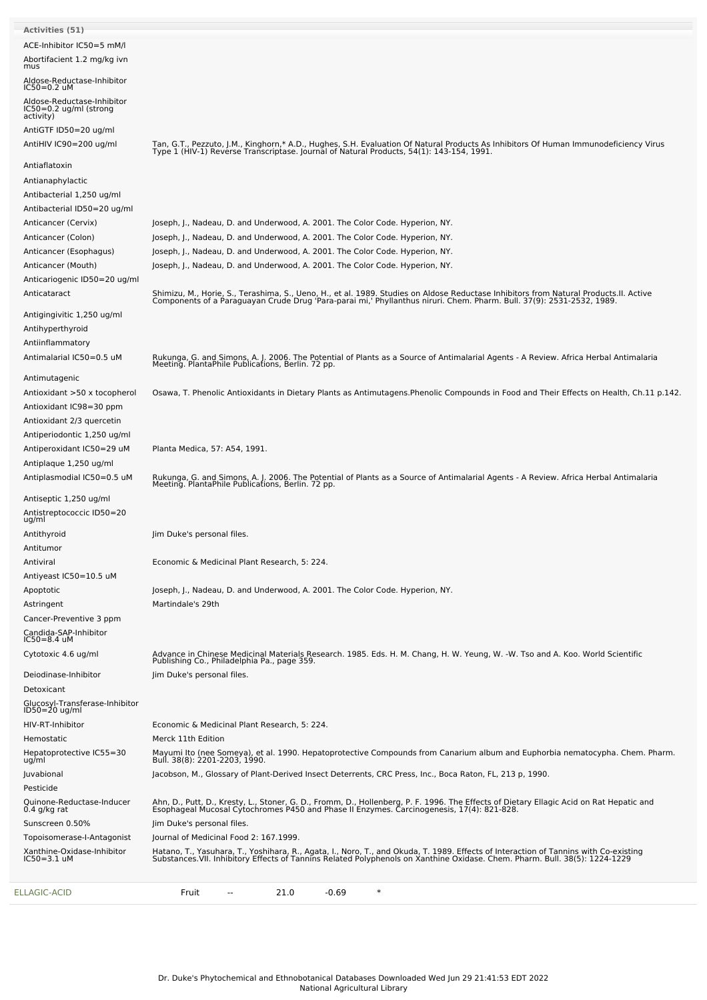| ELLAGIC-ACID                                             | $\ast$<br>Fruit<br>21.0<br>$-0.69$<br>--                                                                                                                                                                                          |
|----------------------------------------------------------|-----------------------------------------------------------------------------------------------------------------------------------------------------------------------------------------------------------------------------------|
| $IC50 = 3.1$ uM                                          | Hatano, T., Yasuhara, T., Yoshihara, R., Agata, I., Noro, T., and Okuda, T. 1989. Effects of Interaction of Tannins with Co-existing<br>Substances.VII. Inhibitory Effects of Tannins Related Polyphenols on Xanthine Oxidase. Ch |
| Topoisomerase-I-Antagonist<br>Xanthine-Oxidase-Inhibitor | Journal of Medicinal Food 2: 167.1999.                                                                                                                                                                                            |
| Sunscreen 0.50%                                          | Jim Duke's personal files.                                                                                                                                                                                                        |
| Quinone-Reductase-Inducer<br>$0.4$ g/kg rat              | Ahn, D., Putt, D., Kresty, L., Stoner, G. D., Fromm, D., Hollenberg, P. F. 1996. The Effects of Dietary Ellagic Acid on Rat Hepatic and<br>Esophageal Mucosal Cytochromes P450 and Phase II Enzymes. Carcinogenesis, 17(4): 821-8 |
| Pesticide                                                |                                                                                                                                                                                                                                   |
| uq/ml<br>Juvabional                                      | Jacobson, M., Glossary of Plant-Derived Insect Deterrents, CRC Press, Inc., Boca Raton, FL, 213 p, 1990.                                                                                                                          |
| Hemostatic<br>Hepatoprotective IC55=30                   | Merck 11th Edition<br>Mayumi Ito (nee Someya), et al. 1990. Hepatoprotective Compounds from Canarium album and Euphorbia nematocypha. Chem. Pharm.<br>Bull. 38(8): 2201-2203, 1990.                                               |
| HIV-RT-Inhibitor                                         | Economic & Medicinal Plant Research, 5: 224.                                                                                                                                                                                      |
| Glucosyl-Transferase-Inhibitor<br>ID50=20 ug/ml          |                                                                                                                                                                                                                                   |
| Detoxicant                                               |                                                                                                                                                                                                                                   |
| Deiodinase-Inhibitor                                     | Jim Duke's personal files.                                                                                                                                                                                                        |
| Cytotoxic 4.6 ug/ml                                      | Advance in Chinese Medicinal Materials Research. 1985. Eds. H. M. Chang, H. W. Yeung, W. -W. Tso and A. Koo. World Scientific<br>Publishing Co., Philadelphia Pa., page 359.                                                      |
| Candida-SAP-Inhibitor<br>IC50=8.4 uM                     |                                                                                                                                                                                                                                   |
| Cancer-Preventive 3 ppm                                  |                                                                                                                                                                                                                                   |
| Astringent                                               | Martindale's 29th                                                                                                                                                                                                                 |
| Apoptotic                                                | Joseph, J., Nadeau, D. and Underwood, A. 2001. The Color Code. Hyperion, NY.                                                                                                                                                      |
| Antiviral<br>Antiyeast IC50=10.5 uM                      | Economic & Medicinal Plant Research, 5: 224.                                                                                                                                                                                      |
| Antitumor                                                |                                                                                                                                                                                                                                   |
| Antithyroid                                              | Jim Duke's personal files.                                                                                                                                                                                                        |
| Antistreptococcic ID50=20<br>ug/ml                       |                                                                                                                                                                                                                                   |
| Antiseptic 1,250 ug/ml                                   |                                                                                                                                                                                                                                   |
|                                                          | Rukunga, G. and Simons, A. J. 2006. The Potential of Plants as a Source of Antimalarial Agents - A Review. Africa Herbal Antimalaria<br>Meeting. PlantaPhile Publications, Berlin. 72 pp.                                         |
| Antiplaque 1,250 ug/ml<br>Antiplasmodial IC50=0.5 uM     |                                                                                                                                                                                                                                   |
| Antiperoxidant IC50=29 uM                                | Planta Medica, 57: A54, 1991.                                                                                                                                                                                                     |
| Antiperiodontic 1,250 ug/ml                              |                                                                                                                                                                                                                                   |
| Antioxidant 2/3 quercetin                                |                                                                                                                                                                                                                                   |
| Antioxidant IC98=30 ppm                                  |                                                                                                                                                                                                                                   |
| Antimutagenic<br>Antioxidant >50 x tocopherol            | Osawa, T. Phenolic Antioxidants in Dietary Plants as Antimutagens. Phenolic Compounds in Food and Their Effects on Health, Ch.11 p.142.                                                                                           |
|                                                          | Rukunga, G. and Simons, A. J. 2006. The Potential of Plants as a Source of Antimalarial Agents - A Review. Africa Herbal Antimalaria<br>Meeting. PlantaPhile Publications, Berlin. 72 pp.                                         |
| Antiinflammatory<br>Antimalarial IC50=0.5 uM             |                                                                                                                                                                                                                                   |
| Antihyperthyroid                                         |                                                                                                                                                                                                                                   |
| Antigingivitic 1,250 ug/ml                               |                                                                                                                                                                                                                                   |
| Anticataract                                             | Shimizu, M., Horie, S., Terashima, S., Ueno, H., et al. 1989. Studies on Aldose Reductase Inhibitors from Natural Products.II. Active<br>Components of a Paraguayan Crude Drug 'Para-parai mi,' Phyllanthus niruri. Chem. Pharm.  |
| Anticariogenic ID50=20 ug/ml                             |                                                                                                                                                                                                                                   |
| Anticancer (Mouth)                                       | Joseph, J., Nadeau, D. and Underwood, A. 2001. The Color Code. Hyperion, NY.                                                                                                                                                      |
| Anticancer (Esophagus)                                   | Joseph, J., Nadeau, D. and Underwood, A. 2001. The Color Code. Hyperion, NY.                                                                                                                                                      |
| Anticancer (Colon)                                       | Joseph, J., Nadeau, D. and Underwood, A. 2001. The Color Code. Hyperion, NY.                                                                                                                                                      |
| Anticancer (Cervix)                                      | Joseph, J., Nadeau, D. and Underwood, A. 2001. The Color Code. Hyperion, NY.                                                                                                                                                      |
| Antibacterial ID50=20 ug/ml                              |                                                                                                                                                                                                                                   |
| Antianaphylactic<br>Antibacterial 1,250 ug/ml            |                                                                                                                                                                                                                                   |
| Antiaflatoxin                                            |                                                                                                                                                                                                                                   |
|                                                          | Tan, G.T., Pezzuto, J.M., Kinghorn,* A.D., Hughes, S.H. Evaluation Of Natural Products As Inhibitors Of Human Immunodeficiency Virus<br>Type 1 (HIV-1) Reverse Transcriptase. Journal of Natural Products, 54(1): 143-154, 1991.  |
| AntiGTF ID50=20 ug/ml<br>AntiHIV IC90=200 ug/ml          |                                                                                                                                                                                                                                   |
| activity)                                                |                                                                                                                                                                                                                                   |
| Aldose-Reductase-Inhibitor<br>$IC50=0.2$ ug/ml (strong   |                                                                                                                                                                                                                                   |
| Aldose-Reductase-Inhibitor<br>$IC50=0.2$ uM              |                                                                                                                                                                                                                                   |
| mus                                                      |                                                                                                                                                                                                                                   |
| ACE-Inhibitor IC50=5 mM/l<br>Abortifacient 1.2 mg/kg ivn |                                                                                                                                                                                                                                   |
| <b>Activities (51)</b>                                   |                                                                                                                                                                                                                                   |
|                                                          |                                                                                                                                                                                                                                   |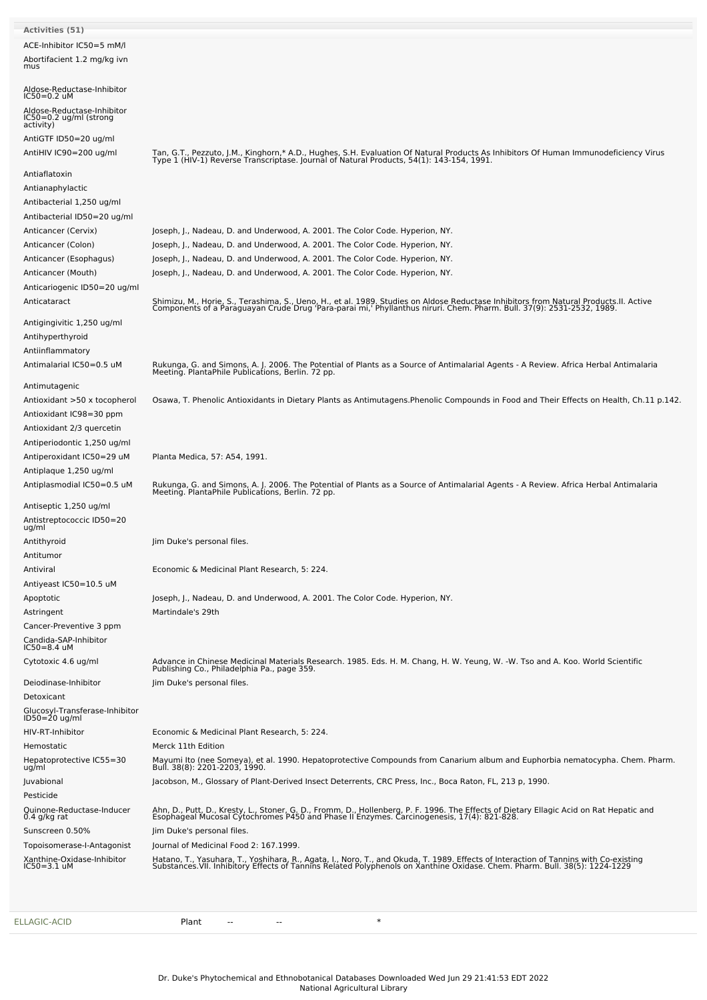| <b>Activities (51)</b>                                            |                                                                                                                                                                                                                                   |
|-------------------------------------------------------------------|-----------------------------------------------------------------------------------------------------------------------------------------------------------------------------------------------------------------------------------|
| ACE-Inhibitor IC50=5 mM/l                                         |                                                                                                                                                                                                                                   |
| Abortifacient 1.2 mg/kg ivn                                       |                                                                                                                                                                                                                                   |
| mus                                                               |                                                                                                                                                                                                                                   |
| Aldose-Reductase-Inhibitor<br>IC50=0.2 uM                         |                                                                                                                                                                                                                                   |
| Aldose-Reductase-Inhibitor<br>IC50=0.2 ug/ml (strong<br>activity) |                                                                                                                                                                                                                                   |
| AntiGTF ID50=20 ug/ml                                             |                                                                                                                                                                                                                                   |
| AntiHIV IC90=200 ug/ml                                            | Tan, G.T., Pezzuto, J.M., Kinghorn,* A.D., Hughes, S.H. Evaluation Of Natural Products As Inhibitors Of Human Immunodeficiency Virus<br>Type 1 (HIV-1) Reverse Transcriptase. Journal of Natural Products, 54(1): 143-154, 1991.  |
| Antiaflatoxin                                                     |                                                                                                                                                                                                                                   |
| Antianaphylactic                                                  |                                                                                                                                                                                                                                   |
| Antibacterial 1,250 ug/ml                                         |                                                                                                                                                                                                                                   |
| Antibacterial ID50=20 ug/ml                                       |                                                                                                                                                                                                                                   |
| Anticancer (Cervix)                                               | Joseph, J., Nadeau, D. and Underwood, A. 2001. The Color Code. Hyperion, NY.                                                                                                                                                      |
| Anticancer (Colon)                                                | Joseph, J., Nadeau, D. and Underwood, A. 2001. The Color Code. Hyperion, NY.                                                                                                                                                      |
| Anticancer (Esophagus)                                            | Joseph, J., Nadeau, D. and Underwood, A. 2001. The Color Code. Hyperion, NY.                                                                                                                                                      |
| Anticancer (Mouth)                                                | Joseph, J., Nadeau, D. and Underwood, A. 2001. The Color Code. Hyperion, NY.                                                                                                                                                      |
| Anticariogenic ID50=20 ug/ml                                      |                                                                                                                                                                                                                                   |
| Anticataract                                                      |                                                                                                                                                                                                                                   |
|                                                                   | Shimizu, M., Horie, S., Terashima, S., Ueno, H., et al. 1989. Studies on Aldose Reductase Inhibitors from Natural Products. II. Active<br>Components of a Paraguayan Crude Drug 'Para-parai mi,' Phyllanthus niruri. Chem. Pharm. |
| Antigingivitic 1,250 ug/ml                                        |                                                                                                                                                                                                                                   |
| Antihyperthyroid                                                  |                                                                                                                                                                                                                                   |
| Antiinflammatory                                                  |                                                                                                                                                                                                                                   |
| Antimalarial IC50=0.5 uM                                          | Rukunga, G. and Simons, A. J. 2006. The Potential of Plants as a Source of Antimalarial Agents - A Review. Africa Herbal Antimalaria<br>Meeting. PlantaPhile Publications, Berlin. 72 pp.                                         |
| Antimutagenic                                                     |                                                                                                                                                                                                                                   |
| Antioxidant >50 x tocopherol                                      | Osawa, T. Phenolic Antioxidants in Dietary Plants as Antimutagens. Phenolic Compounds in Food and Their Effects on Health, Ch.11 p.142.                                                                                           |
| Antioxidant IC98=30 ppm                                           |                                                                                                                                                                                                                                   |
| Antioxidant 2/3 quercetin                                         |                                                                                                                                                                                                                                   |
| Antiperiodontic 1,250 ug/ml                                       |                                                                                                                                                                                                                                   |
| Antiperoxidant IC50=29 uM                                         | Planta Medica, 57: A54, 1991.                                                                                                                                                                                                     |
| Antiplaque 1,250 ug/ml                                            |                                                                                                                                                                                                                                   |
| Antiplasmodial IC50=0.5 uM                                        |                                                                                                                                                                                                                                   |
|                                                                   | Rukunga, G. and Simons, A. J. 2006. The Potential of Plants as a Source of Antimalarial Agents - A Review. Africa Herbal Antimalaria<br>Meeting. PlantaPhile Publications, Berlin. 72 pp.                                         |
| Antiseptic 1,250 ug/ml                                            |                                                                                                                                                                                                                                   |
| Antistreptococcic ID50=20<br>ug/ml                                |                                                                                                                                                                                                                                   |
| Antithyroid                                                       | Jim Duke's personal files.                                                                                                                                                                                                        |
| Antitumor                                                         |                                                                                                                                                                                                                                   |
| Antiviral                                                         | Economic & Medicinal Plant Research, 5: 224.                                                                                                                                                                                      |
| Antiyeast IC50=10.5 uM                                            |                                                                                                                                                                                                                                   |
| Apoptotic                                                         | Joseph, J., Nadeau, D. and Underwood, A. 2001. The Color Code. Hyperion, NY.                                                                                                                                                      |
| Astringent                                                        | Martindale's 29th                                                                                                                                                                                                                 |
| Cancer-Preventive 3 ppm                                           |                                                                                                                                                                                                                                   |
| Candida-SAP-Inhibitor<br>$IC50 = 8.4$ uM                          |                                                                                                                                                                                                                                   |
| Cytotoxic 4.6 ug/ml                                               | Advance in Chinese Medicinal Materials Research. 1985. Eds. H. M. Chang, H. W. Yeung, W. -W. Tso and A. Koo. World Scientific<br>Publishing Co., Philadelphia Pa., page 359.                                                      |
| Deiodinase-Inhibitor                                              | Jim Duke's personal files.                                                                                                                                                                                                        |
| Detoxicant                                                        |                                                                                                                                                                                                                                   |
| Glucosyl-Transferase-Inhibitor<br>ID50=20 ug/ml                   |                                                                                                                                                                                                                                   |
|                                                                   |                                                                                                                                                                                                                                   |
| HIV-RT-Inhibitor                                                  | Economic & Medicinal Plant Research, 5: 224.                                                                                                                                                                                      |
| Hemostatic                                                        | Merck 11th Edition                                                                                                                                                                                                                |
| Hepatoprotective IC55=30<br>ug/ml                                 | Mayumi Ito (nee Someya), et al. 1990. Hepatoprotective Compounds from Canarium album and Euphorbia nematocypha. Chem. Pharm.<br>Bull. 38(8): 2201-2203, 1990.                                                                     |
| Juvabional<br>Pesticide                                           | Jacobson, M., Glossary of Plant-Derived Insect Deterrents, CRC Press, Inc., Boca Raton, FL, 213 p, 1990.                                                                                                                          |
| Quinone-Reductase-Inducer<br>$0.4$ g/kg rat                       | Ahn, D., Putt, D., Kresty, L., Stoner, G. D., Fromm, D., Hollenberg, P. F. 1996. The Effects of Dietary Ellagic Acid on Rat Hepatic and<br>Esophageal Mucosal Cytochromes P450 and Phase II Enzymes. Carcinogenesis, 17(4): 821-8 |
| Sunscreen 0.50%                                                   | Jim Duke's personal files.                                                                                                                                                                                                        |
| Topoisomerase-I-Antagonist                                        | Journal of Medicinal Food 2: 167.1999.                                                                                                                                                                                            |
| Xanthine-Oxidase-Inhibitor<br>$IC50 = 3.1$ uM                     | Hatano, T., Yasuhara, T., Yoshihara, R., Agata, I., Noro, T., and Okuda, T. 1989. Effects of Interaction of Tannins with Co-existing<br>Substances.VII. Inhibitory Effects of Tannins Related Polyphenols on Xanthine Oxidase. Ch |
|                                                                   |                                                                                                                                                                                                                                   |
|                                                                   |                                                                                                                                                                                                                                   |

[ELLAGIC-ACID](file:///phytochem/chemicals/show/7840) **Plant** -- - - + \*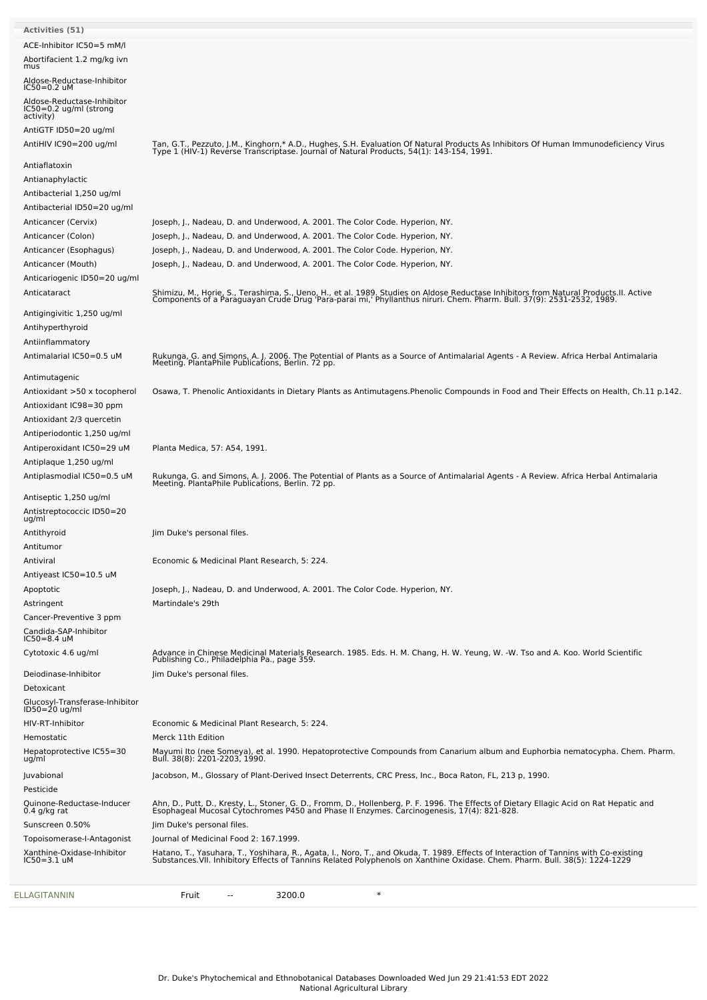| ACE-Inhibitor IC50=5 mM/l<br>Abortifacient 1.2 mg/kg ivn<br>mus<br>Aldose-Reductase-Inhibitor<br>$IC50=0.2$ uM<br>Aldose-Reductase-Inhibitor<br>IC50=0.2 ug/ml (strong<br>activity)<br>AntiGTF ID50=20 ug/ml<br>Tan, G.T., Pezzuto, J.M., Kinghorn,* A.D., Hughes, S.H. Evaluation Of Natural Products As Inhibitors Of Human Immunodeficiency Virus<br>Type 1 (HIV-1) Reverse Transcriptase. Journal of Natural Products, 54(1): 143-154, 1991.<br>AntiHIV IC90=200 ug/ml<br>Antiaflatoxin<br>Antianaphylactic<br>Antibacterial 1,250 ug/ml<br>Antibacterial ID50=20 ug/ml<br>Anticancer (Cervix)<br>Joseph, J., Nadeau, D. and Underwood, A. 2001. The Color Code. Hyperion, NY.<br>Joseph, J., Nadeau, D. and Underwood, A. 2001. The Color Code. Hyperion, NY.<br>Anticancer (Colon)<br>Joseph, J., Nadeau, D. and Underwood, A. 2001. The Color Code. Hyperion, NY.<br>Anticancer (Esophagus)<br>Joseph, J., Nadeau, D. and Underwood, A. 2001. The Color Code. Hyperion, NY.<br>Anticancer (Mouth)<br>Anticariogenic ID50=20 ug/ml<br>Shimizu, M., Horie, S., Terashima, S., Ueno, H., et al. 1989. Studies on Aldose Reductase Inhibitors from Natural Products.II. Active<br>Components of a Paraguayan Crude Drug 'Para-parai mi,' Phyllanthus niruri. Chem. Pharm.<br>Anticataract<br>Antigingivitic 1,250 ug/ml<br>Antihyperthyroid<br>Antiinflammatory<br>Antimalarial IC50=0.5 uM<br>Rukunga, G. and Simons, A. J. 2006. The Potential of Plants as a Source of Antimalarial Agents - A Review. Africa Herbal Antimalaria<br>Meeting. PlantaPhile Publications, Berlin. 72 pp.<br>Antimutagenic<br>Osawa, T. Phenolic Antioxidants in Dietary Plants as Antimutagens. Phenolic Compounds in Food and Their Effects on Health, Ch.11 p.142.<br>Antioxidant >50 x tocopherol<br>Antioxidant IC98=30 ppm<br>Antioxidant 2/3 quercetin<br>Antiperiodontic 1,250 ug/ml<br>Antiperoxidant IC50=29 uM<br>Planta Medica, 57: A54, 1991.<br>Antiplaque 1,250 ug/ml<br>Antiplasmodial IC50=0.5 uM<br>Rukunga, G. and Simons, A. J. 2006. The Potential of Plants as a Source of Antimalarial Agents - A Review. Africa Herbal Antimalaria<br>Meeting. PlantaPhile Publications, Berlin. 72 pp.<br>Antiseptic 1,250 ug/ml<br>Antistreptococcic ID50=20<br>ug/ml<br>Antithyroid<br>Jim Duke's personal files.<br>Antitumor<br>Economic & Medicinal Plant Research, 5: 224.<br>Antiviral<br>Antiyeast IC50=10.5 uM<br>Joseph, J., Nadeau, D. and Underwood, A. 2001. The Color Code. Hyperion, NY.<br>Apoptotic<br>Martindale's 29th<br>Astringent<br>Cancer-Preventive 3 ppm<br>Candida-SAP-Inhibitor<br>$IC50 = 8.4$ uM<br>Advance in Chinese Medicinal Materials Research. 1985. Eds. H. M. Chang, H. W. Yeung, W. -W. Tso and A. Koo. World Scientific<br>Cytotoxic 4.6 ug/ml<br>Publishing Co., Philadelphia Pa., page 359.<br>Jim Duke's personal files.<br>Deiodinase-Inhibitor<br>Detoxicant<br>Glucosyl-Transferase-Inhibitor<br>ID50=20 ug/ml<br>HIV-RT-Inhibitor<br>Economic & Medicinal Plant Research, 5: 224.<br>Merck 11th Edition<br>Hemostatic<br>Hepatoprotective IC55=30<br>ug/ml<br>Mayumi Ito (nee Someya), et al. 1990. Hepatoprotective Compounds from Canarium album and Euphorbia nematocypha. Chem. Pharm.<br>Bull. 38(8): 2201-2203, 1990.<br>Jacobson, M., Glossary of Plant-Derived Insect Deterrents, CRC Press, Inc., Boca Raton, FL, 213 p, 1990.<br>Juvabional<br>Pesticide<br>Ahn, D., Putt, D., Kresty, L., Stoner, G. D., Fromm, D., Hollenberg, P. F. 1996. The Effects of Dietary Ellagic Acid on Rat Hepatic and<br>Esophageal Mucosal Cytochromes P450 and Phase II Enzymes. Carcinogenesis, 17(4): 821-8<br>Quinone-Reductase-Inducer<br>$0.4$ g/kg rat<br>Jim Duke's personal files.<br>Sunscreen 0.50%<br>Journal of Medicinal Food 2: 167.1999.<br>Topoisomerase-I-Antagonist<br>Xanthine-Oxidase-Inhibitor<br>Hatano, T., Yasuhara, T., Yoshihara, R., Agata, I., Noro, T., and Okuda, T. 1989. Effects of Interaction of Tannins with Co-existing<br>Substances.VII. Inhibitory Effects of Tannins Related Polyphenols on Xanthine Oxidase. Ch<br>IC50=3.1 uM<br>$\ast$<br>3200.0<br>Fruit | <b>Activities (51)</b> |  |
|------------------------------------------------------------------------------------------------------------------------------------------------------------------------------------------------------------------------------------------------------------------------------------------------------------------------------------------------------------------------------------------------------------------------------------------------------------------------------------------------------------------------------------------------------------------------------------------------------------------------------------------------------------------------------------------------------------------------------------------------------------------------------------------------------------------------------------------------------------------------------------------------------------------------------------------------------------------------------------------------------------------------------------------------------------------------------------------------------------------------------------------------------------------------------------------------------------------------------------------------------------------------------------------------------------------------------------------------------------------------------------------------------------------------------------------------------------------------------------------------------------------------------------------------------------------------------------------------------------------------------------------------------------------------------------------------------------------------------------------------------------------------------------------------------------------------------------------------------------------------------------------------------------------------------------------------------------------------------------------------------------------------------------------------------------------------------------------------------------------------------------------------------------------------------------------------------------------------------------------------------------------------------------------------------------------------------------------------------------------------------------------------------------------------------------------------------------------------------------------------------------------------------------------------------------------------------------------------------------------------------------------------------------------------------------------------------------------------------------------------------------------------------------------------------------------------------------------------------------------------------------------------------------------------------------------------------------------------------------------------------------------------------------------------------------------------------------------------------------------------------------------------------------------------------------------------------------------------------------------------------------------------------------------------------------------------------------------------------------------------------------------------------------------------------------------------------------------------------------------------------------------------------------------------------------------------------------------------------------------------------------------------------------------------------------------------------------------------------------------------------------------------------------------------------------------------------------------------------------------------------------------------------------------------------------------------------------------------------------------------------------------------------------------------------------------------------------------------------------------------------------------|------------------------|--|
|                                                                                                                                                                                                                                                                                                                                                                                                                                                                                                                                                                                                                                                                                                                                                                                                                                                                                                                                                                                                                                                                                                                                                                                                                                                                                                                                                                                                                                                                                                                                                                                                                                                                                                                                                                                                                                                                                                                                                                                                                                                                                                                                                                                                                                                                                                                                                                                                                                                                                                                                                                                                                                                                                                                                                                                                                                                                                                                                                                                                                                                                                                                                                                                                                                                                                                                                                                                                                                                                                                                                                                                                                                                                                                                                                                                                                                                                                                                                                                                                                                                                                                                                          |                        |  |
|                                                                                                                                                                                                                                                                                                                                                                                                                                                                                                                                                                                                                                                                                                                                                                                                                                                                                                                                                                                                                                                                                                                                                                                                                                                                                                                                                                                                                                                                                                                                                                                                                                                                                                                                                                                                                                                                                                                                                                                                                                                                                                                                                                                                                                                                                                                                                                                                                                                                                                                                                                                                                                                                                                                                                                                                                                                                                                                                                                                                                                                                                                                                                                                                                                                                                                                                                                                                                                                                                                                                                                                                                                                                                                                                                                                                                                                                                                                                                                                                                                                                                                                                          |                        |  |
|                                                                                                                                                                                                                                                                                                                                                                                                                                                                                                                                                                                                                                                                                                                                                                                                                                                                                                                                                                                                                                                                                                                                                                                                                                                                                                                                                                                                                                                                                                                                                                                                                                                                                                                                                                                                                                                                                                                                                                                                                                                                                                                                                                                                                                                                                                                                                                                                                                                                                                                                                                                                                                                                                                                                                                                                                                                                                                                                                                                                                                                                                                                                                                                                                                                                                                                                                                                                                                                                                                                                                                                                                                                                                                                                                                                                                                                                                                                                                                                                                                                                                                                                          |                        |  |
|                                                                                                                                                                                                                                                                                                                                                                                                                                                                                                                                                                                                                                                                                                                                                                                                                                                                                                                                                                                                                                                                                                                                                                                                                                                                                                                                                                                                                                                                                                                                                                                                                                                                                                                                                                                                                                                                                                                                                                                                                                                                                                                                                                                                                                                                                                                                                                                                                                                                                                                                                                                                                                                                                                                                                                                                                                                                                                                                                                                                                                                                                                                                                                                                                                                                                                                                                                                                                                                                                                                                                                                                                                                                                                                                                                                                                                                                                                                                                                                                                                                                                                                                          |                        |  |
|                                                                                                                                                                                                                                                                                                                                                                                                                                                                                                                                                                                                                                                                                                                                                                                                                                                                                                                                                                                                                                                                                                                                                                                                                                                                                                                                                                                                                                                                                                                                                                                                                                                                                                                                                                                                                                                                                                                                                                                                                                                                                                                                                                                                                                                                                                                                                                                                                                                                                                                                                                                                                                                                                                                                                                                                                                                                                                                                                                                                                                                                                                                                                                                                                                                                                                                                                                                                                                                                                                                                                                                                                                                                                                                                                                                                                                                                                                                                                                                                                                                                                                                                          |                        |  |
|                                                                                                                                                                                                                                                                                                                                                                                                                                                                                                                                                                                                                                                                                                                                                                                                                                                                                                                                                                                                                                                                                                                                                                                                                                                                                                                                                                                                                                                                                                                                                                                                                                                                                                                                                                                                                                                                                                                                                                                                                                                                                                                                                                                                                                                                                                                                                                                                                                                                                                                                                                                                                                                                                                                                                                                                                                                                                                                                                                                                                                                                                                                                                                                                                                                                                                                                                                                                                                                                                                                                                                                                                                                                                                                                                                                                                                                                                                                                                                                                                                                                                                                                          |                        |  |
|                                                                                                                                                                                                                                                                                                                                                                                                                                                                                                                                                                                                                                                                                                                                                                                                                                                                                                                                                                                                                                                                                                                                                                                                                                                                                                                                                                                                                                                                                                                                                                                                                                                                                                                                                                                                                                                                                                                                                                                                                                                                                                                                                                                                                                                                                                                                                                                                                                                                                                                                                                                                                                                                                                                                                                                                                                                                                                                                                                                                                                                                                                                                                                                                                                                                                                                                                                                                                                                                                                                                                                                                                                                                                                                                                                                                                                                                                                                                                                                                                                                                                                                                          |                        |  |
|                                                                                                                                                                                                                                                                                                                                                                                                                                                                                                                                                                                                                                                                                                                                                                                                                                                                                                                                                                                                                                                                                                                                                                                                                                                                                                                                                                                                                                                                                                                                                                                                                                                                                                                                                                                                                                                                                                                                                                                                                                                                                                                                                                                                                                                                                                                                                                                                                                                                                                                                                                                                                                                                                                                                                                                                                                                                                                                                                                                                                                                                                                                                                                                                                                                                                                                                                                                                                                                                                                                                                                                                                                                                                                                                                                                                                                                                                                                                                                                                                                                                                                                                          |                        |  |
|                                                                                                                                                                                                                                                                                                                                                                                                                                                                                                                                                                                                                                                                                                                                                                                                                                                                                                                                                                                                                                                                                                                                                                                                                                                                                                                                                                                                                                                                                                                                                                                                                                                                                                                                                                                                                                                                                                                                                                                                                                                                                                                                                                                                                                                                                                                                                                                                                                                                                                                                                                                                                                                                                                                                                                                                                                                                                                                                                                                                                                                                                                                                                                                                                                                                                                                                                                                                                                                                                                                                                                                                                                                                                                                                                                                                                                                                                                                                                                                                                                                                                                                                          |                        |  |
|                                                                                                                                                                                                                                                                                                                                                                                                                                                                                                                                                                                                                                                                                                                                                                                                                                                                                                                                                                                                                                                                                                                                                                                                                                                                                                                                                                                                                                                                                                                                                                                                                                                                                                                                                                                                                                                                                                                                                                                                                                                                                                                                                                                                                                                                                                                                                                                                                                                                                                                                                                                                                                                                                                                                                                                                                                                                                                                                                                                                                                                                                                                                                                                                                                                                                                                                                                                                                                                                                                                                                                                                                                                                                                                                                                                                                                                                                                                                                                                                                                                                                                                                          |                        |  |
|                                                                                                                                                                                                                                                                                                                                                                                                                                                                                                                                                                                                                                                                                                                                                                                                                                                                                                                                                                                                                                                                                                                                                                                                                                                                                                                                                                                                                                                                                                                                                                                                                                                                                                                                                                                                                                                                                                                                                                                                                                                                                                                                                                                                                                                                                                                                                                                                                                                                                                                                                                                                                                                                                                                                                                                                                                                                                                                                                                                                                                                                                                                                                                                                                                                                                                                                                                                                                                                                                                                                                                                                                                                                                                                                                                                                                                                                                                                                                                                                                                                                                                                                          |                        |  |
|                                                                                                                                                                                                                                                                                                                                                                                                                                                                                                                                                                                                                                                                                                                                                                                                                                                                                                                                                                                                                                                                                                                                                                                                                                                                                                                                                                                                                                                                                                                                                                                                                                                                                                                                                                                                                                                                                                                                                                                                                                                                                                                                                                                                                                                                                                                                                                                                                                                                                                                                                                                                                                                                                                                                                                                                                                                                                                                                                                                                                                                                                                                                                                                                                                                                                                                                                                                                                                                                                                                                                                                                                                                                                                                                                                                                                                                                                                                                                                                                                                                                                                                                          |                        |  |
|                                                                                                                                                                                                                                                                                                                                                                                                                                                                                                                                                                                                                                                                                                                                                                                                                                                                                                                                                                                                                                                                                                                                                                                                                                                                                                                                                                                                                                                                                                                                                                                                                                                                                                                                                                                                                                                                                                                                                                                                                                                                                                                                                                                                                                                                                                                                                                                                                                                                                                                                                                                                                                                                                                                                                                                                                                                                                                                                                                                                                                                                                                                                                                                                                                                                                                                                                                                                                                                                                                                                                                                                                                                                                                                                                                                                                                                                                                                                                                                                                                                                                                                                          |                        |  |
|                                                                                                                                                                                                                                                                                                                                                                                                                                                                                                                                                                                                                                                                                                                                                                                                                                                                                                                                                                                                                                                                                                                                                                                                                                                                                                                                                                                                                                                                                                                                                                                                                                                                                                                                                                                                                                                                                                                                                                                                                                                                                                                                                                                                                                                                                                                                                                                                                                                                                                                                                                                                                                                                                                                                                                                                                                                                                                                                                                                                                                                                                                                                                                                                                                                                                                                                                                                                                                                                                                                                                                                                                                                                                                                                                                                                                                                                                                                                                                                                                                                                                                                                          |                        |  |
|                                                                                                                                                                                                                                                                                                                                                                                                                                                                                                                                                                                                                                                                                                                                                                                                                                                                                                                                                                                                                                                                                                                                                                                                                                                                                                                                                                                                                                                                                                                                                                                                                                                                                                                                                                                                                                                                                                                                                                                                                                                                                                                                                                                                                                                                                                                                                                                                                                                                                                                                                                                                                                                                                                                                                                                                                                                                                                                                                                                                                                                                                                                                                                                                                                                                                                                                                                                                                                                                                                                                                                                                                                                                                                                                                                                                                                                                                                                                                                                                                                                                                                                                          |                        |  |
|                                                                                                                                                                                                                                                                                                                                                                                                                                                                                                                                                                                                                                                                                                                                                                                                                                                                                                                                                                                                                                                                                                                                                                                                                                                                                                                                                                                                                                                                                                                                                                                                                                                                                                                                                                                                                                                                                                                                                                                                                                                                                                                                                                                                                                                                                                                                                                                                                                                                                                                                                                                                                                                                                                                                                                                                                                                                                                                                                                                                                                                                                                                                                                                                                                                                                                                                                                                                                                                                                                                                                                                                                                                                                                                                                                                                                                                                                                                                                                                                                                                                                                                                          |                        |  |
|                                                                                                                                                                                                                                                                                                                                                                                                                                                                                                                                                                                                                                                                                                                                                                                                                                                                                                                                                                                                                                                                                                                                                                                                                                                                                                                                                                                                                                                                                                                                                                                                                                                                                                                                                                                                                                                                                                                                                                                                                                                                                                                                                                                                                                                                                                                                                                                                                                                                                                                                                                                                                                                                                                                                                                                                                                                                                                                                                                                                                                                                                                                                                                                                                                                                                                                                                                                                                                                                                                                                                                                                                                                                                                                                                                                                                                                                                                                                                                                                                                                                                                                                          |                        |  |
|                                                                                                                                                                                                                                                                                                                                                                                                                                                                                                                                                                                                                                                                                                                                                                                                                                                                                                                                                                                                                                                                                                                                                                                                                                                                                                                                                                                                                                                                                                                                                                                                                                                                                                                                                                                                                                                                                                                                                                                                                                                                                                                                                                                                                                                                                                                                                                                                                                                                                                                                                                                                                                                                                                                                                                                                                                                                                                                                                                                                                                                                                                                                                                                                                                                                                                                                                                                                                                                                                                                                                                                                                                                                                                                                                                                                                                                                                                                                                                                                                                                                                                                                          |                        |  |
|                                                                                                                                                                                                                                                                                                                                                                                                                                                                                                                                                                                                                                                                                                                                                                                                                                                                                                                                                                                                                                                                                                                                                                                                                                                                                                                                                                                                                                                                                                                                                                                                                                                                                                                                                                                                                                                                                                                                                                                                                                                                                                                                                                                                                                                                                                                                                                                                                                                                                                                                                                                                                                                                                                                                                                                                                                                                                                                                                                                                                                                                                                                                                                                                                                                                                                                                                                                                                                                                                                                                                                                                                                                                                                                                                                                                                                                                                                                                                                                                                                                                                                                                          |                        |  |
|                                                                                                                                                                                                                                                                                                                                                                                                                                                                                                                                                                                                                                                                                                                                                                                                                                                                                                                                                                                                                                                                                                                                                                                                                                                                                                                                                                                                                                                                                                                                                                                                                                                                                                                                                                                                                                                                                                                                                                                                                                                                                                                                                                                                                                                                                                                                                                                                                                                                                                                                                                                                                                                                                                                                                                                                                                                                                                                                                                                                                                                                                                                                                                                                                                                                                                                                                                                                                                                                                                                                                                                                                                                                                                                                                                                                                                                                                                                                                                                                                                                                                                                                          |                        |  |
|                                                                                                                                                                                                                                                                                                                                                                                                                                                                                                                                                                                                                                                                                                                                                                                                                                                                                                                                                                                                                                                                                                                                                                                                                                                                                                                                                                                                                                                                                                                                                                                                                                                                                                                                                                                                                                                                                                                                                                                                                                                                                                                                                                                                                                                                                                                                                                                                                                                                                                                                                                                                                                                                                                                                                                                                                                                                                                                                                                                                                                                                                                                                                                                                                                                                                                                                                                                                                                                                                                                                                                                                                                                                                                                                                                                                                                                                                                                                                                                                                                                                                                                                          |                        |  |
|                                                                                                                                                                                                                                                                                                                                                                                                                                                                                                                                                                                                                                                                                                                                                                                                                                                                                                                                                                                                                                                                                                                                                                                                                                                                                                                                                                                                                                                                                                                                                                                                                                                                                                                                                                                                                                                                                                                                                                                                                                                                                                                                                                                                                                                                                                                                                                                                                                                                                                                                                                                                                                                                                                                                                                                                                                                                                                                                                                                                                                                                                                                                                                                                                                                                                                                                                                                                                                                                                                                                                                                                                                                                                                                                                                                                                                                                                                                                                                                                                                                                                                                                          |                        |  |
|                                                                                                                                                                                                                                                                                                                                                                                                                                                                                                                                                                                                                                                                                                                                                                                                                                                                                                                                                                                                                                                                                                                                                                                                                                                                                                                                                                                                                                                                                                                                                                                                                                                                                                                                                                                                                                                                                                                                                                                                                                                                                                                                                                                                                                                                                                                                                                                                                                                                                                                                                                                                                                                                                                                                                                                                                                                                                                                                                                                                                                                                                                                                                                                                                                                                                                                                                                                                                                                                                                                                                                                                                                                                                                                                                                                                                                                                                                                                                                                                                                                                                                                                          |                        |  |
|                                                                                                                                                                                                                                                                                                                                                                                                                                                                                                                                                                                                                                                                                                                                                                                                                                                                                                                                                                                                                                                                                                                                                                                                                                                                                                                                                                                                                                                                                                                                                                                                                                                                                                                                                                                                                                                                                                                                                                                                                                                                                                                                                                                                                                                                                                                                                                                                                                                                                                                                                                                                                                                                                                                                                                                                                                                                                                                                                                                                                                                                                                                                                                                                                                                                                                                                                                                                                                                                                                                                                                                                                                                                                                                                                                                                                                                                                                                                                                                                                                                                                                                                          |                        |  |
|                                                                                                                                                                                                                                                                                                                                                                                                                                                                                                                                                                                                                                                                                                                                                                                                                                                                                                                                                                                                                                                                                                                                                                                                                                                                                                                                                                                                                                                                                                                                                                                                                                                                                                                                                                                                                                                                                                                                                                                                                                                                                                                                                                                                                                                                                                                                                                                                                                                                                                                                                                                                                                                                                                                                                                                                                                                                                                                                                                                                                                                                                                                                                                                                                                                                                                                                                                                                                                                                                                                                                                                                                                                                                                                                                                                                                                                                                                                                                                                                                                                                                                                                          |                        |  |
|                                                                                                                                                                                                                                                                                                                                                                                                                                                                                                                                                                                                                                                                                                                                                                                                                                                                                                                                                                                                                                                                                                                                                                                                                                                                                                                                                                                                                                                                                                                                                                                                                                                                                                                                                                                                                                                                                                                                                                                                                                                                                                                                                                                                                                                                                                                                                                                                                                                                                                                                                                                                                                                                                                                                                                                                                                                                                                                                                                                                                                                                                                                                                                                                                                                                                                                                                                                                                                                                                                                                                                                                                                                                                                                                                                                                                                                                                                                                                                                                                                                                                                                                          |                        |  |
|                                                                                                                                                                                                                                                                                                                                                                                                                                                                                                                                                                                                                                                                                                                                                                                                                                                                                                                                                                                                                                                                                                                                                                                                                                                                                                                                                                                                                                                                                                                                                                                                                                                                                                                                                                                                                                                                                                                                                                                                                                                                                                                                                                                                                                                                                                                                                                                                                                                                                                                                                                                                                                                                                                                                                                                                                                                                                                                                                                                                                                                                                                                                                                                                                                                                                                                                                                                                                                                                                                                                                                                                                                                                                                                                                                                                                                                                                                                                                                                                                                                                                                                                          |                        |  |
|                                                                                                                                                                                                                                                                                                                                                                                                                                                                                                                                                                                                                                                                                                                                                                                                                                                                                                                                                                                                                                                                                                                                                                                                                                                                                                                                                                                                                                                                                                                                                                                                                                                                                                                                                                                                                                                                                                                                                                                                                                                                                                                                                                                                                                                                                                                                                                                                                                                                                                                                                                                                                                                                                                                                                                                                                                                                                                                                                                                                                                                                                                                                                                                                                                                                                                                                                                                                                                                                                                                                                                                                                                                                                                                                                                                                                                                                                                                                                                                                                                                                                                                                          |                        |  |
|                                                                                                                                                                                                                                                                                                                                                                                                                                                                                                                                                                                                                                                                                                                                                                                                                                                                                                                                                                                                                                                                                                                                                                                                                                                                                                                                                                                                                                                                                                                                                                                                                                                                                                                                                                                                                                                                                                                                                                                                                                                                                                                                                                                                                                                                                                                                                                                                                                                                                                                                                                                                                                                                                                                                                                                                                                                                                                                                                                                                                                                                                                                                                                                                                                                                                                                                                                                                                                                                                                                                                                                                                                                                                                                                                                                                                                                                                                                                                                                                                                                                                                                                          |                        |  |
|                                                                                                                                                                                                                                                                                                                                                                                                                                                                                                                                                                                                                                                                                                                                                                                                                                                                                                                                                                                                                                                                                                                                                                                                                                                                                                                                                                                                                                                                                                                                                                                                                                                                                                                                                                                                                                                                                                                                                                                                                                                                                                                                                                                                                                                                                                                                                                                                                                                                                                                                                                                                                                                                                                                                                                                                                                                                                                                                                                                                                                                                                                                                                                                                                                                                                                                                                                                                                                                                                                                                                                                                                                                                                                                                                                                                                                                                                                                                                                                                                                                                                                                                          |                        |  |
|                                                                                                                                                                                                                                                                                                                                                                                                                                                                                                                                                                                                                                                                                                                                                                                                                                                                                                                                                                                                                                                                                                                                                                                                                                                                                                                                                                                                                                                                                                                                                                                                                                                                                                                                                                                                                                                                                                                                                                                                                                                                                                                                                                                                                                                                                                                                                                                                                                                                                                                                                                                                                                                                                                                                                                                                                                                                                                                                                                                                                                                                                                                                                                                                                                                                                                                                                                                                                                                                                                                                                                                                                                                                                                                                                                                                                                                                                                                                                                                                                                                                                                                                          |                        |  |
|                                                                                                                                                                                                                                                                                                                                                                                                                                                                                                                                                                                                                                                                                                                                                                                                                                                                                                                                                                                                                                                                                                                                                                                                                                                                                                                                                                                                                                                                                                                                                                                                                                                                                                                                                                                                                                                                                                                                                                                                                                                                                                                                                                                                                                                                                                                                                                                                                                                                                                                                                                                                                                                                                                                                                                                                                                                                                                                                                                                                                                                                                                                                                                                                                                                                                                                                                                                                                                                                                                                                                                                                                                                                                                                                                                                                                                                                                                                                                                                                                                                                                                                                          |                        |  |
|                                                                                                                                                                                                                                                                                                                                                                                                                                                                                                                                                                                                                                                                                                                                                                                                                                                                                                                                                                                                                                                                                                                                                                                                                                                                                                                                                                                                                                                                                                                                                                                                                                                                                                                                                                                                                                                                                                                                                                                                                                                                                                                                                                                                                                                                                                                                                                                                                                                                                                                                                                                                                                                                                                                                                                                                                                                                                                                                                                                                                                                                                                                                                                                                                                                                                                                                                                                                                                                                                                                                                                                                                                                                                                                                                                                                                                                                                                                                                                                                                                                                                                                                          |                        |  |
|                                                                                                                                                                                                                                                                                                                                                                                                                                                                                                                                                                                                                                                                                                                                                                                                                                                                                                                                                                                                                                                                                                                                                                                                                                                                                                                                                                                                                                                                                                                                                                                                                                                                                                                                                                                                                                                                                                                                                                                                                                                                                                                                                                                                                                                                                                                                                                                                                                                                                                                                                                                                                                                                                                                                                                                                                                                                                                                                                                                                                                                                                                                                                                                                                                                                                                                                                                                                                                                                                                                                                                                                                                                                                                                                                                                                                                                                                                                                                                                                                                                                                                                                          |                        |  |
|                                                                                                                                                                                                                                                                                                                                                                                                                                                                                                                                                                                                                                                                                                                                                                                                                                                                                                                                                                                                                                                                                                                                                                                                                                                                                                                                                                                                                                                                                                                                                                                                                                                                                                                                                                                                                                                                                                                                                                                                                                                                                                                                                                                                                                                                                                                                                                                                                                                                                                                                                                                                                                                                                                                                                                                                                                                                                                                                                                                                                                                                                                                                                                                                                                                                                                                                                                                                                                                                                                                                                                                                                                                                                                                                                                                                                                                                                                                                                                                                                                                                                                                                          |                        |  |
|                                                                                                                                                                                                                                                                                                                                                                                                                                                                                                                                                                                                                                                                                                                                                                                                                                                                                                                                                                                                                                                                                                                                                                                                                                                                                                                                                                                                                                                                                                                                                                                                                                                                                                                                                                                                                                                                                                                                                                                                                                                                                                                                                                                                                                                                                                                                                                                                                                                                                                                                                                                                                                                                                                                                                                                                                                                                                                                                                                                                                                                                                                                                                                                                                                                                                                                                                                                                                                                                                                                                                                                                                                                                                                                                                                                                                                                                                                                                                                                                                                                                                                                                          |                        |  |
|                                                                                                                                                                                                                                                                                                                                                                                                                                                                                                                                                                                                                                                                                                                                                                                                                                                                                                                                                                                                                                                                                                                                                                                                                                                                                                                                                                                                                                                                                                                                                                                                                                                                                                                                                                                                                                                                                                                                                                                                                                                                                                                                                                                                                                                                                                                                                                                                                                                                                                                                                                                                                                                                                                                                                                                                                                                                                                                                                                                                                                                                                                                                                                                                                                                                                                                                                                                                                                                                                                                                                                                                                                                                                                                                                                                                                                                                                                                                                                                                                                                                                                                                          |                        |  |
|                                                                                                                                                                                                                                                                                                                                                                                                                                                                                                                                                                                                                                                                                                                                                                                                                                                                                                                                                                                                                                                                                                                                                                                                                                                                                                                                                                                                                                                                                                                                                                                                                                                                                                                                                                                                                                                                                                                                                                                                                                                                                                                                                                                                                                                                                                                                                                                                                                                                                                                                                                                                                                                                                                                                                                                                                                                                                                                                                                                                                                                                                                                                                                                                                                                                                                                                                                                                                                                                                                                                                                                                                                                                                                                                                                                                                                                                                                                                                                                                                                                                                                                                          |                        |  |
|                                                                                                                                                                                                                                                                                                                                                                                                                                                                                                                                                                                                                                                                                                                                                                                                                                                                                                                                                                                                                                                                                                                                                                                                                                                                                                                                                                                                                                                                                                                                                                                                                                                                                                                                                                                                                                                                                                                                                                                                                                                                                                                                                                                                                                                                                                                                                                                                                                                                                                                                                                                                                                                                                                                                                                                                                                                                                                                                                                                                                                                                                                                                                                                                                                                                                                                                                                                                                                                                                                                                                                                                                                                                                                                                                                                                                                                                                                                                                                                                                                                                                                                                          |                        |  |
|                                                                                                                                                                                                                                                                                                                                                                                                                                                                                                                                                                                                                                                                                                                                                                                                                                                                                                                                                                                                                                                                                                                                                                                                                                                                                                                                                                                                                                                                                                                                                                                                                                                                                                                                                                                                                                                                                                                                                                                                                                                                                                                                                                                                                                                                                                                                                                                                                                                                                                                                                                                                                                                                                                                                                                                                                                                                                                                                                                                                                                                                                                                                                                                                                                                                                                                                                                                                                                                                                                                                                                                                                                                                                                                                                                                                                                                                                                                                                                                                                                                                                                                                          |                        |  |
|                                                                                                                                                                                                                                                                                                                                                                                                                                                                                                                                                                                                                                                                                                                                                                                                                                                                                                                                                                                                                                                                                                                                                                                                                                                                                                                                                                                                                                                                                                                                                                                                                                                                                                                                                                                                                                                                                                                                                                                                                                                                                                                                                                                                                                                                                                                                                                                                                                                                                                                                                                                                                                                                                                                                                                                                                                                                                                                                                                                                                                                                                                                                                                                                                                                                                                                                                                                                                                                                                                                                                                                                                                                                                                                                                                                                                                                                                                                                                                                                                                                                                                                                          |                        |  |
|                                                                                                                                                                                                                                                                                                                                                                                                                                                                                                                                                                                                                                                                                                                                                                                                                                                                                                                                                                                                                                                                                                                                                                                                                                                                                                                                                                                                                                                                                                                                                                                                                                                                                                                                                                                                                                                                                                                                                                                                                                                                                                                                                                                                                                                                                                                                                                                                                                                                                                                                                                                                                                                                                                                                                                                                                                                                                                                                                                                                                                                                                                                                                                                                                                                                                                                                                                                                                                                                                                                                                                                                                                                                                                                                                                                                                                                                                                                                                                                                                                                                                                                                          |                        |  |
|                                                                                                                                                                                                                                                                                                                                                                                                                                                                                                                                                                                                                                                                                                                                                                                                                                                                                                                                                                                                                                                                                                                                                                                                                                                                                                                                                                                                                                                                                                                                                                                                                                                                                                                                                                                                                                                                                                                                                                                                                                                                                                                                                                                                                                                                                                                                                                                                                                                                                                                                                                                                                                                                                                                                                                                                                                                                                                                                                                                                                                                                                                                                                                                                                                                                                                                                                                                                                                                                                                                                                                                                                                                                                                                                                                                                                                                                                                                                                                                                                                                                                                                                          |                        |  |
|                                                                                                                                                                                                                                                                                                                                                                                                                                                                                                                                                                                                                                                                                                                                                                                                                                                                                                                                                                                                                                                                                                                                                                                                                                                                                                                                                                                                                                                                                                                                                                                                                                                                                                                                                                                                                                                                                                                                                                                                                                                                                                                                                                                                                                                                                                                                                                                                                                                                                                                                                                                                                                                                                                                                                                                                                                                                                                                                                                                                                                                                                                                                                                                                                                                                                                                                                                                                                                                                                                                                                                                                                                                                                                                                                                                                                                                                                                                                                                                                                                                                                                                                          |                        |  |
|                                                                                                                                                                                                                                                                                                                                                                                                                                                                                                                                                                                                                                                                                                                                                                                                                                                                                                                                                                                                                                                                                                                                                                                                                                                                                                                                                                                                                                                                                                                                                                                                                                                                                                                                                                                                                                                                                                                                                                                                                                                                                                                                                                                                                                                                                                                                                                                                                                                                                                                                                                                                                                                                                                                                                                                                                                                                                                                                                                                                                                                                                                                                                                                                                                                                                                                                                                                                                                                                                                                                                                                                                                                                                                                                                                                                                                                                                                                                                                                                                                                                                                                                          |                        |  |
|                                                                                                                                                                                                                                                                                                                                                                                                                                                                                                                                                                                                                                                                                                                                                                                                                                                                                                                                                                                                                                                                                                                                                                                                                                                                                                                                                                                                                                                                                                                                                                                                                                                                                                                                                                                                                                                                                                                                                                                                                                                                                                                                                                                                                                                                                                                                                                                                                                                                                                                                                                                                                                                                                                                                                                                                                                                                                                                                                                                                                                                                                                                                                                                                                                                                                                                                                                                                                                                                                                                                                                                                                                                                                                                                                                                                                                                                                                                                                                                                                                                                                                                                          |                        |  |
|                                                                                                                                                                                                                                                                                                                                                                                                                                                                                                                                                                                                                                                                                                                                                                                                                                                                                                                                                                                                                                                                                                                                                                                                                                                                                                                                                                                                                                                                                                                                                                                                                                                                                                                                                                                                                                                                                                                                                                                                                                                                                                                                                                                                                                                                                                                                                                                                                                                                                                                                                                                                                                                                                                                                                                                                                                                                                                                                                                                                                                                                                                                                                                                                                                                                                                                                                                                                                                                                                                                                                                                                                                                                                                                                                                                                                                                                                                                                                                                                                                                                                                                                          |                        |  |
|                                                                                                                                                                                                                                                                                                                                                                                                                                                                                                                                                                                                                                                                                                                                                                                                                                                                                                                                                                                                                                                                                                                                                                                                                                                                                                                                                                                                                                                                                                                                                                                                                                                                                                                                                                                                                                                                                                                                                                                                                                                                                                                                                                                                                                                                                                                                                                                                                                                                                                                                                                                                                                                                                                                                                                                                                                                                                                                                                                                                                                                                                                                                                                                                                                                                                                                                                                                                                                                                                                                                                                                                                                                                                                                                                                                                                                                                                                                                                                                                                                                                                                                                          |                        |  |
|                                                                                                                                                                                                                                                                                                                                                                                                                                                                                                                                                                                                                                                                                                                                                                                                                                                                                                                                                                                                                                                                                                                                                                                                                                                                                                                                                                                                                                                                                                                                                                                                                                                                                                                                                                                                                                                                                                                                                                                                                                                                                                                                                                                                                                                                                                                                                                                                                                                                                                                                                                                                                                                                                                                                                                                                                                                                                                                                                                                                                                                                                                                                                                                                                                                                                                                                                                                                                                                                                                                                                                                                                                                                                                                                                                                                                                                                                                                                                                                                                                                                                                                                          |                        |  |
|                                                                                                                                                                                                                                                                                                                                                                                                                                                                                                                                                                                                                                                                                                                                                                                                                                                                                                                                                                                                                                                                                                                                                                                                                                                                                                                                                                                                                                                                                                                                                                                                                                                                                                                                                                                                                                                                                                                                                                                                                                                                                                                                                                                                                                                                                                                                                                                                                                                                                                                                                                                                                                                                                                                                                                                                                                                                                                                                                                                                                                                                                                                                                                                                                                                                                                                                                                                                                                                                                                                                                                                                                                                                                                                                                                                                                                                                                                                                                                                                                                                                                                                                          |                        |  |
|                                                                                                                                                                                                                                                                                                                                                                                                                                                                                                                                                                                                                                                                                                                                                                                                                                                                                                                                                                                                                                                                                                                                                                                                                                                                                                                                                                                                                                                                                                                                                                                                                                                                                                                                                                                                                                                                                                                                                                                                                                                                                                                                                                                                                                                                                                                                                                                                                                                                                                                                                                                                                                                                                                                                                                                                                                                                                                                                                                                                                                                                                                                                                                                                                                                                                                                                                                                                                                                                                                                                                                                                                                                                                                                                                                                                                                                                                                                                                                                                                                                                                                                                          |                        |  |
|                                                                                                                                                                                                                                                                                                                                                                                                                                                                                                                                                                                                                                                                                                                                                                                                                                                                                                                                                                                                                                                                                                                                                                                                                                                                                                                                                                                                                                                                                                                                                                                                                                                                                                                                                                                                                                                                                                                                                                                                                                                                                                                                                                                                                                                                                                                                                                                                                                                                                                                                                                                                                                                                                                                                                                                                                                                                                                                                                                                                                                                                                                                                                                                                                                                                                                                                                                                                                                                                                                                                                                                                                                                                                                                                                                                                                                                                                                                                                                                                                                                                                                                                          |                        |  |
|                                                                                                                                                                                                                                                                                                                                                                                                                                                                                                                                                                                                                                                                                                                                                                                                                                                                                                                                                                                                                                                                                                                                                                                                                                                                                                                                                                                                                                                                                                                                                                                                                                                                                                                                                                                                                                                                                                                                                                                                                                                                                                                                                                                                                                                                                                                                                                                                                                                                                                                                                                                                                                                                                                                                                                                                                                                                                                                                                                                                                                                                                                                                                                                                                                                                                                                                                                                                                                                                                                                                                                                                                                                                                                                                                                                                                                                                                                                                                                                                                                                                                                                                          |                        |  |
|                                                                                                                                                                                                                                                                                                                                                                                                                                                                                                                                                                                                                                                                                                                                                                                                                                                                                                                                                                                                                                                                                                                                                                                                                                                                                                                                                                                                                                                                                                                                                                                                                                                                                                                                                                                                                                                                                                                                                                                                                                                                                                                                                                                                                                                                                                                                                                                                                                                                                                                                                                                                                                                                                                                                                                                                                                                                                                                                                                                                                                                                                                                                                                                                                                                                                                                                                                                                                                                                                                                                                                                                                                                                                                                                                                                                                                                                                                                                                                                                                                                                                                                                          |                        |  |
|                                                                                                                                                                                                                                                                                                                                                                                                                                                                                                                                                                                                                                                                                                                                                                                                                                                                                                                                                                                                                                                                                                                                                                                                                                                                                                                                                                                                                                                                                                                                                                                                                                                                                                                                                                                                                                                                                                                                                                                                                                                                                                                                                                                                                                                                                                                                                                                                                                                                                                                                                                                                                                                                                                                                                                                                                                                                                                                                                                                                                                                                                                                                                                                                                                                                                                                                                                                                                                                                                                                                                                                                                                                                                                                                                                                                                                                                                                                                                                                                                                                                                                                                          |                        |  |
|                                                                                                                                                                                                                                                                                                                                                                                                                                                                                                                                                                                                                                                                                                                                                                                                                                                                                                                                                                                                                                                                                                                                                                                                                                                                                                                                                                                                                                                                                                                                                                                                                                                                                                                                                                                                                                                                                                                                                                                                                                                                                                                                                                                                                                                                                                                                                                                                                                                                                                                                                                                                                                                                                                                                                                                                                                                                                                                                                                                                                                                                                                                                                                                                                                                                                                                                                                                                                                                                                                                                                                                                                                                                                                                                                                                                                                                                                                                                                                                                                                                                                                                                          |                        |  |
|                                                                                                                                                                                                                                                                                                                                                                                                                                                                                                                                                                                                                                                                                                                                                                                                                                                                                                                                                                                                                                                                                                                                                                                                                                                                                                                                                                                                                                                                                                                                                                                                                                                                                                                                                                                                                                                                                                                                                                                                                                                                                                                                                                                                                                                                                                                                                                                                                                                                                                                                                                                                                                                                                                                                                                                                                                                                                                                                                                                                                                                                                                                                                                                                                                                                                                                                                                                                                                                                                                                                                                                                                                                                                                                                                                                                                                                                                                                                                                                                                                                                                                                                          |                        |  |
|                                                                                                                                                                                                                                                                                                                                                                                                                                                                                                                                                                                                                                                                                                                                                                                                                                                                                                                                                                                                                                                                                                                                                                                                                                                                                                                                                                                                                                                                                                                                                                                                                                                                                                                                                                                                                                                                                                                                                                                                                                                                                                                                                                                                                                                                                                                                                                                                                                                                                                                                                                                                                                                                                                                                                                                                                                                                                                                                                                                                                                                                                                                                                                                                                                                                                                                                                                                                                                                                                                                                                                                                                                                                                                                                                                                                                                                                                                                                                                                                                                                                                                                                          |                        |  |
|                                                                                                                                                                                                                                                                                                                                                                                                                                                                                                                                                                                                                                                                                                                                                                                                                                                                                                                                                                                                                                                                                                                                                                                                                                                                                                                                                                                                                                                                                                                                                                                                                                                                                                                                                                                                                                                                                                                                                                                                                                                                                                                                                                                                                                                                                                                                                                                                                                                                                                                                                                                                                                                                                                                                                                                                                                                                                                                                                                                                                                                                                                                                                                                                                                                                                                                                                                                                                                                                                                                                                                                                                                                                                                                                                                                                                                                                                                                                                                                                                                                                                                                                          |                        |  |
|                                                                                                                                                                                                                                                                                                                                                                                                                                                                                                                                                                                                                                                                                                                                                                                                                                                                                                                                                                                                                                                                                                                                                                                                                                                                                                                                                                                                                                                                                                                                                                                                                                                                                                                                                                                                                                                                                                                                                                                                                                                                                                                                                                                                                                                                                                                                                                                                                                                                                                                                                                                                                                                                                                                                                                                                                                                                                                                                                                                                                                                                                                                                                                                                                                                                                                                                                                                                                                                                                                                                                                                                                                                                                                                                                                                                                                                                                                                                                                                                                                                                                                                                          |                        |  |
|                                                                                                                                                                                                                                                                                                                                                                                                                                                                                                                                                                                                                                                                                                                                                                                                                                                                                                                                                                                                                                                                                                                                                                                                                                                                                                                                                                                                                                                                                                                                                                                                                                                                                                                                                                                                                                                                                                                                                                                                                                                                                                                                                                                                                                                                                                                                                                                                                                                                                                                                                                                                                                                                                                                                                                                                                                                                                                                                                                                                                                                                                                                                                                                                                                                                                                                                                                                                                                                                                                                                                                                                                                                                                                                                                                                                                                                                                                                                                                                                                                                                                                                                          | ELLAGITANNIN           |  |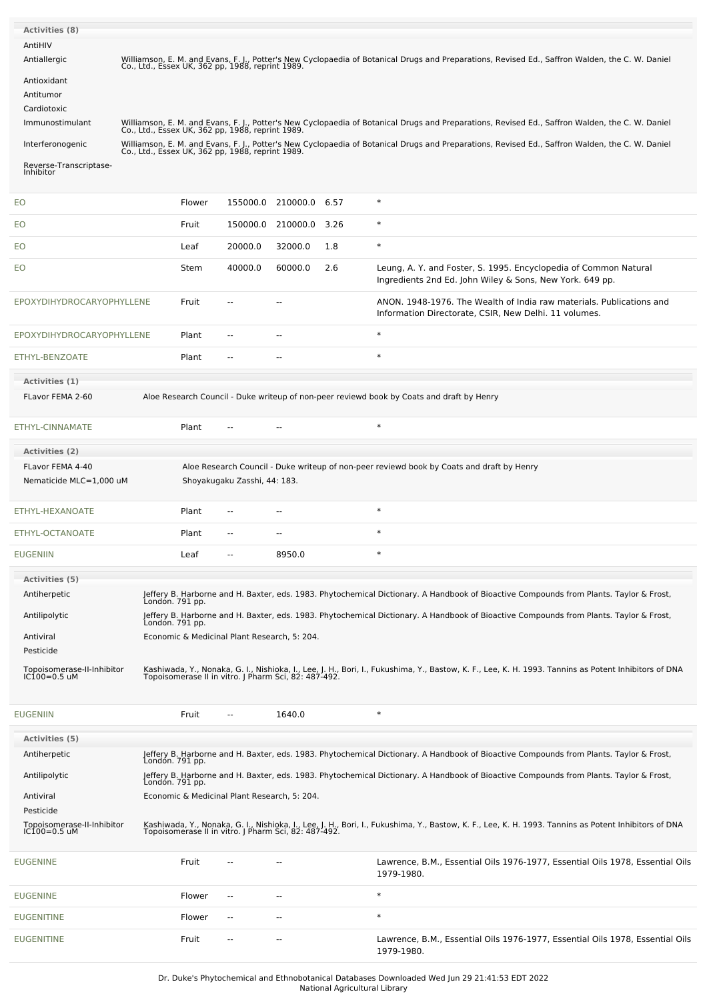| <b>Activities (8)</b><br>AntiHIV            |                                                                                                                                                                                                     |        |                                              |                          |      |                                                                                                                                                                                                              |
|---------------------------------------------|-----------------------------------------------------------------------------------------------------------------------------------------------------------------------------------------------------|--------|----------------------------------------------|--------------------------|------|--------------------------------------------------------------------------------------------------------------------------------------------------------------------------------------------------------------|
| Antiallergic<br>Antioxidant                 | Williamson, E. M. and Evans, F. J., Potter's New Cyclopaedia of Botanical Drugs and Preparations, Revised Ed., Saffron Walden, the C. W. Daniel<br>Co., Ltd., Essex UK, 362 pp, 1988, reprint 1989. |        |                                              |                          |      |                                                                                                                                                                                                              |
| Antitumor<br>Cardiotoxic<br>Immunostimulant | Williamson, E. M. and Evans, F. J., Potter's New Cyclopaedia of Botanical Drugs and Preparations, Revised Ed., Saffron Walden, the C. W. Daniel<br>Co., Ltd., Essex UK, 362 pp, 1988, reprint 1989. |        |                                              |                          |      |                                                                                                                                                                                                              |
| Interferonogenic                            |                                                                                                                                                                                                     |        |                                              |                          |      | Williamson, E. M. and Evans, F. J., Potter's New Cyclopaedia of Botanical Drugs and Preparations, Revised Ed., Saffron Walden, the C. W. Daniel<br>Co., Ltd., Essex UK, 362 pp, 1988, reprint 1989.          |
| Reverse-Transcriptase-<br>Inhibitor         |                                                                                                                                                                                                     |        |                                              |                          |      |                                                                                                                                                                                                              |
| EO                                          |                                                                                                                                                                                                     | Flower | 155000.0                                     | 210000.0 6.57            |      | $\ast$                                                                                                                                                                                                       |
| EO                                          |                                                                                                                                                                                                     | Fruit  | 150000.0                                     | 210000.0                 | 3.26 | $\ast$                                                                                                                                                                                                       |
| EO                                          |                                                                                                                                                                                                     | Leaf   | 20000.0                                      | 32000.0                  | 1.8  | $\ast$                                                                                                                                                                                                       |
| EO                                          |                                                                                                                                                                                                     | Stem   | 40000.0                                      | 60000.0                  | 2.6  | Leung, A. Y. and Foster, S. 1995. Encyclopedia of Common Natural<br>Ingredients 2nd Ed. John Wiley & Sons, New York. 649 pp.                                                                                 |
| EPOXYDIHYDROCARYOPHYLLENE                   |                                                                                                                                                                                                     | Fruit  |                                              | $\overline{a}$           |      | ANON. 1948-1976. The Wealth of India raw materials. Publications and<br>Information Directorate, CSIR, New Delhi. 11 volumes.                                                                                |
| EPOXYDIHYDROCARYOPHYLLENE                   |                                                                                                                                                                                                     | Plant  |                                              |                          |      | $\ast$                                                                                                                                                                                                       |
| ETHYL-BENZOATE                              |                                                                                                                                                                                                     | Plant  | $\overline{a}$                               | $\overline{a}$           |      | $\ast$                                                                                                                                                                                                       |
| Activities (1)<br>FLavor FEMA 2-60          |                                                                                                                                                                                                     |        |                                              |                          |      | Aloe Research Council - Duke writeup of non-peer reviewd book by Coats and draft by Henry                                                                                                                    |
| ETHYL-CINNAMATE                             |                                                                                                                                                                                                     | Plant  |                                              |                          |      | $\ast$                                                                                                                                                                                                       |
| Activities (2)                              |                                                                                                                                                                                                     |        |                                              |                          |      |                                                                                                                                                                                                              |
| FLavor FEMA 4-40<br>Nematicide MLC=1,000 uM |                                                                                                                                                                                                     |        | Shoyakugaku Zasshi, 44: 183.                 |                          |      | Aloe Research Council - Duke writeup of non-peer reviewd book by Coats and draft by Henry                                                                                                                    |
| ETHYL-HEXANOATE                             |                                                                                                                                                                                                     | Plant  |                                              |                          |      | $\ast$                                                                                                                                                                                                       |
| ETHYL-OCTANOATE                             |                                                                                                                                                                                                     | Plant  |                                              |                          |      | $\ast$                                                                                                                                                                                                       |
| <b>EUGENIIN</b>                             |                                                                                                                                                                                                     | Leaf   |                                              | 8950.0                   |      |                                                                                                                                                                                                              |
| <b>Activities (5)</b>                       |                                                                                                                                                                                                     |        |                                              |                          |      |                                                                                                                                                                                                              |
| Antiherpetic                                | London. 791 pp.                                                                                                                                                                                     |        |                                              |                          |      | Jeffery B. Harborne and H. Baxter, eds. 1983. Phytochemical Dictionary. A Handbook of Bioactive Compounds from Plants. Taylor & Frost,                                                                       |
| Antilipolytic                               | Londón. 791 pp.                                                                                                                                                                                     |        |                                              |                          |      | Jeffery B. Harborne and H. Baxter, eds. 1983. Phytochemical Dictionary. A Handbook of Bioactive Compounds from Plants. Taylor & Frost,                                                                       |
| Antiviral<br>Pesticide                      |                                                                                                                                                                                                     |        | Economic & Medicinal Plant Research, 5: 204. |                          |      |                                                                                                                                                                                                              |
| Topoisomerase-II-Inhibitor<br>IC100=0.5 uM  |                                                                                                                                                                                                     |        |                                              |                          |      | Kashiwada, Y., Nonaka, G. I., Nishioka, I., Lee, J. H., Bori, I., Fukushima, Y., Bastow, K. F., Lee, K. H. 1993. Tannins as Potent Inhibitors of DNA<br>Topoisomerase II in vitro. J Pharm Sci, 82: 487-492. |
| <b>EUGENIIN</b>                             |                                                                                                                                                                                                     | Fruit  | $\overline{a}$                               | 1640.0                   |      | $\ast$                                                                                                                                                                                                       |
| <b>Activities (5)</b>                       |                                                                                                                                                                                                     |        |                                              |                          |      |                                                                                                                                                                                                              |
| Antiherpetic                                | Londón. 791 pp.                                                                                                                                                                                     |        |                                              |                          |      | Jeffery B. Harborne and H. Baxter, eds. 1983. Phytochemical Dictionary. A Handbook of Bioactive Compounds from Plants. Taylor & Frost,                                                                       |
| Antilipolytic                               |                                                                                                                                                                                                     |        |                                              |                          |      | Jeffery B. Harborne and H. Baxter, eds. 1983. Phytochemical Dictionary. A Handbook of Bioactive Compounds from Plants. Taylor & Frost,<br>London. 791 pp.                                                    |
| Antiviral<br>Pesticide                      |                                                                                                                                                                                                     |        | Economic & Medicinal Plant Research, 5: 204. |                          |      |                                                                                                                                                                                                              |
| Topoisomerase-II-Inhibitor<br>IC100=0.5 uM  |                                                                                                                                                                                                     |        |                                              |                          |      | Kashiwada, Y., Nonaka, G. I., Nishioka, I., Lee, J. H., Bori, I., Fukushima, Y., Bastow, K. F., Lee, K. H. 1993. Tannins as Potent Inhibitors of DNA<br>Topoisomerase II in vitro. J Pharm Sci, 82: 487-492. |
| <b>EUGENINE</b>                             |                                                                                                                                                                                                     | Fruit  |                                              |                          |      | Lawrence, B.M., Essential Oils 1976-1977, Essential Oils 1978, Essential Oils<br>1979-1980.                                                                                                                  |
| <b>EUGENINE</b>                             |                                                                                                                                                                                                     | Flower | --                                           | $\sim$ $\sim$            |      | $\ast$                                                                                                                                                                                                       |
| <b>EUGENITINE</b>                           |                                                                                                                                                                                                     | Flower | --                                           | --                       |      | $\ast$                                                                                                                                                                                                       |
| <b>EUGENITINE</b>                           |                                                                                                                                                                                                     | Fruit  | --                                           | $\overline{\phantom{a}}$ |      | Lawrence, B.M., Essential Oils 1976-1977, Essential Oils 1978, Essential Oils<br>1979-1980.                                                                                                                  |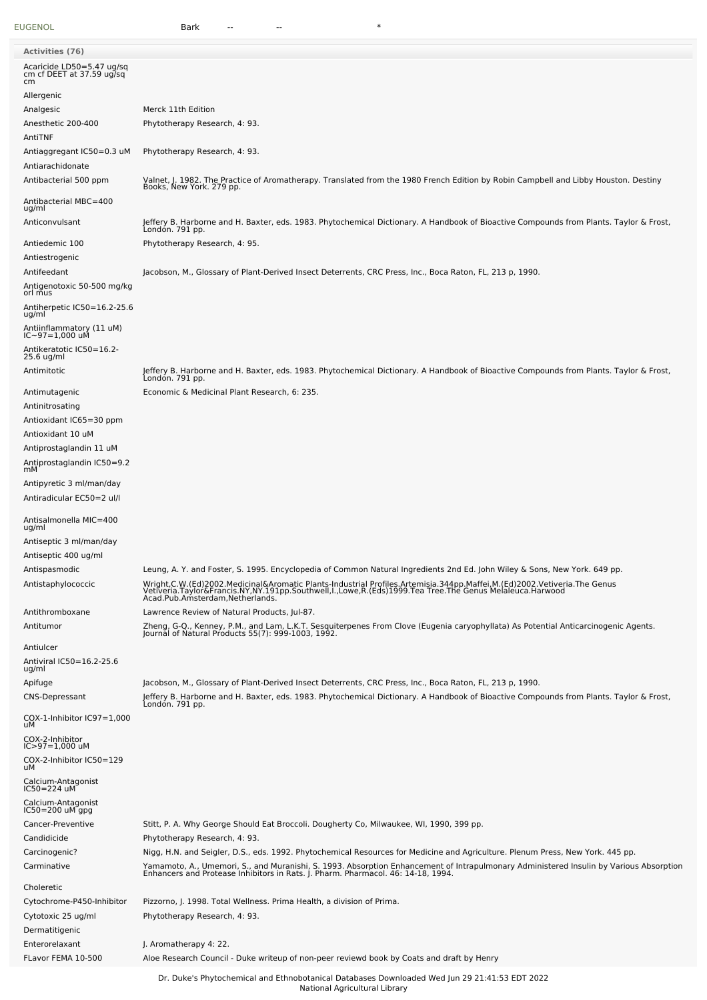[EUGENOL](file:///phytochem/chemicals/show/8298) Bark -- -- \*

| <b>Activities (76)</b>                                        |                                                                                                                                                                                                                                   |
|---------------------------------------------------------------|-----------------------------------------------------------------------------------------------------------------------------------------------------------------------------------------------------------------------------------|
| Acaricide LD50=5.47 ug/sq                                     |                                                                                                                                                                                                                                   |
| cm cf DEET at 37.59 ug/sq<br>cm                               |                                                                                                                                                                                                                                   |
| Allergenic                                                    |                                                                                                                                                                                                                                   |
| Analgesic                                                     | Merck 11th Edition                                                                                                                                                                                                                |
| Anesthetic 200-400<br>AntiTNF                                 | Phytotherapy Research, 4: 93.                                                                                                                                                                                                     |
| Antiaggregant IC50=0.3 uM<br>Antiarachidonate                 | Phytotherapy Research, 4: 93.                                                                                                                                                                                                     |
| Antibacterial 500 ppm                                         | Valnet, J. 1982. The Practice of Aromatherapy. Translated from the 1980 French Edition by Robin Campbell and Libby Houston. Destiny<br>Books, New York. 279 pp.                                                                   |
| Antibacterial MBC=400<br>ug/ml                                |                                                                                                                                                                                                                                   |
| Anticonvulsant                                                | Jeffery B. Harborne and H. Baxter, eds. 1983. Phytochemical Dictionary. A Handbook of Bioactive Compounds from Plants. Taylor & Frost,<br>Londón. 791 pp.                                                                         |
| Antiedemic 100<br>Antiestrogenic                              | Phytotherapy Research, 4: 95.                                                                                                                                                                                                     |
| Antifeedant<br>Antigenotoxic 50-500 mg/kg                     | Jacobson, M., Glossary of Plant-Derived Insect Deterrents, CRC Press, Inc., Boca Raton, FL, 213 p, 1990.                                                                                                                          |
| orl mus<br>Antiherpetic IC50=16.2-25.6                        |                                                                                                                                                                                                                                   |
| ug/ml<br>Antiinflammatory (11 uM)                             |                                                                                                                                                                                                                                   |
| IC~97=1,000 uM<br>Antikeratotic IC50=16.2-                    |                                                                                                                                                                                                                                   |
| 25.6 ug/ml<br>Antimitotic                                     | Jeffery B. Harborne and H. Baxter, eds. 1983. Phytochemical Dictionary. A Handbook of Bioactive Compounds from Plants. Taylor & Frost,                                                                                            |
|                                                               | Londón. 791 pp.                                                                                                                                                                                                                   |
| Antimutagenic                                                 | Economic & Medicinal Plant Research, 6: 235.                                                                                                                                                                                      |
| Antinitrosating                                               |                                                                                                                                                                                                                                   |
| Antioxidant IC65=30 ppm                                       |                                                                                                                                                                                                                                   |
| Antioxidant 10 uM<br>Antiprostaglandin 11 uM                  |                                                                                                                                                                                                                                   |
| Antiprostaglandin IC50=9.2<br>mМ                              |                                                                                                                                                                                                                                   |
| Antipyretic 3 ml/man/day<br>Antiradicular EC50=2 ul/l         |                                                                                                                                                                                                                                   |
| Antisalmonella MIC=400<br>ug/ml                               |                                                                                                                                                                                                                                   |
| Antiseptic 3 ml/man/day                                       |                                                                                                                                                                                                                                   |
| Antiseptic 400 ug/ml<br>Antispasmodic                         | Leung, A. Y. and Foster, S. 1995. Encyclopedia of Common Natural Ingredients 2nd Ed. John Wiley & Sons, New York. 649 pp.                                                                                                         |
| Antistaphylococcic                                            | Wright,C.W.(Ed)2002.Medicinal&Aromatic Plants-Industrial Profiles.Artemisia.344pp.Maffei,M.(Ed)2002.Vetiveria.The Genus<br>Vetiveria.Taylor&Francis.NY,NY.191pp.Southwell,I.,Lowe,R.(Eds)1999.Tea Tree.The Genus Melaleuca.Harwoo |
| Antithromboxane                                               | Lawrence Review of Natural Products, Jul-87.                                                                                                                                                                                      |
| Antitumor                                                     | Zheng, G-Q., Kenney, P.M., and Lam, L.K.T. Sesquiterpenes From Clove (Eugenia caryophyllata) As Potential Anticarcinogenic Agents.<br>Journal of Natural Products 55(7): 999-1003, 1992.                                          |
| Antiulcer                                                     |                                                                                                                                                                                                                                   |
| Antiviral IC50=16.2-25.6<br>ug/ml                             |                                                                                                                                                                                                                                   |
| Apifuge                                                       | Jacobson, M., Glossary of Plant-Derived Insect Deterrents, CRC Press, Inc., Boca Raton, FL, 213 p, 1990.                                                                                                                          |
| <b>CNS-Depressant</b><br>COX-1-Inhibitor IC97=1,000           | Jeffery B. Harborne and H. Baxter, eds. 1983. Phytochemical Dictionary. A Handbook of Bioactive Compounds from Plants. Taylor & Frost,<br>London. 791 pp.                                                                         |
| uМ                                                            |                                                                                                                                                                                                                                   |
| COX-2-Inhibitor<br>IC>97=1,000 uM<br>COX-2-Inhibitor IC50=129 |                                                                                                                                                                                                                                   |
| uМ<br>Calcium-Antagonist                                      |                                                                                                                                                                                                                                   |
| IC50=224 uM                                                   |                                                                                                                                                                                                                                   |
| Calcium-Antagonist<br>IC50=200 uM gpg                         |                                                                                                                                                                                                                                   |
| Cancer-Preventive<br>Candidicide                              | Stitt, P. A. Why George Should Eat Broccoli. Dougherty Co, Milwaukee, WI, 1990, 399 pp.<br>Phytotherapy Research, 4: 93.                                                                                                          |
| Carcinogenic?                                                 | Nigg, H.N. and Seigler, D.S., eds. 1992. Phytochemical Resources for Medicine and Agriculture. Plenum Press, New York. 445 pp.                                                                                                    |
| Carminative                                                   | Yamamoto, A., Umemori, S., and Muranishi, S. 1993. Absorption Enhancement of Intrapulmonary Administered Insulin by Various Absorption<br>Enhancers and Protease Inhibitors in Rats. J. Pharm. Pharmacol. 46: 14-18, 1994.        |
| Choleretic                                                    |                                                                                                                                                                                                                                   |
| Cytochrome-P450-Inhibitor                                     | Pizzorno, J. 1998. Total Wellness. Prima Health, a division of Prima.                                                                                                                                                             |
| Cytotoxic 25 ug/ml                                            | Phytotherapy Research, 4: 93.                                                                                                                                                                                                     |
| Dermatitigenic                                                |                                                                                                                                                                                                                                   |
| Enterorelaxant                                                | J. Aromatherapy 4: 22.                                                                                                                                                                                                            |
| FLavor FEMA 10-500                                            | Aloe Research Council - Duke writeup of non-peer reviewd book by Coats and draft by Henry                                                                                                                                         |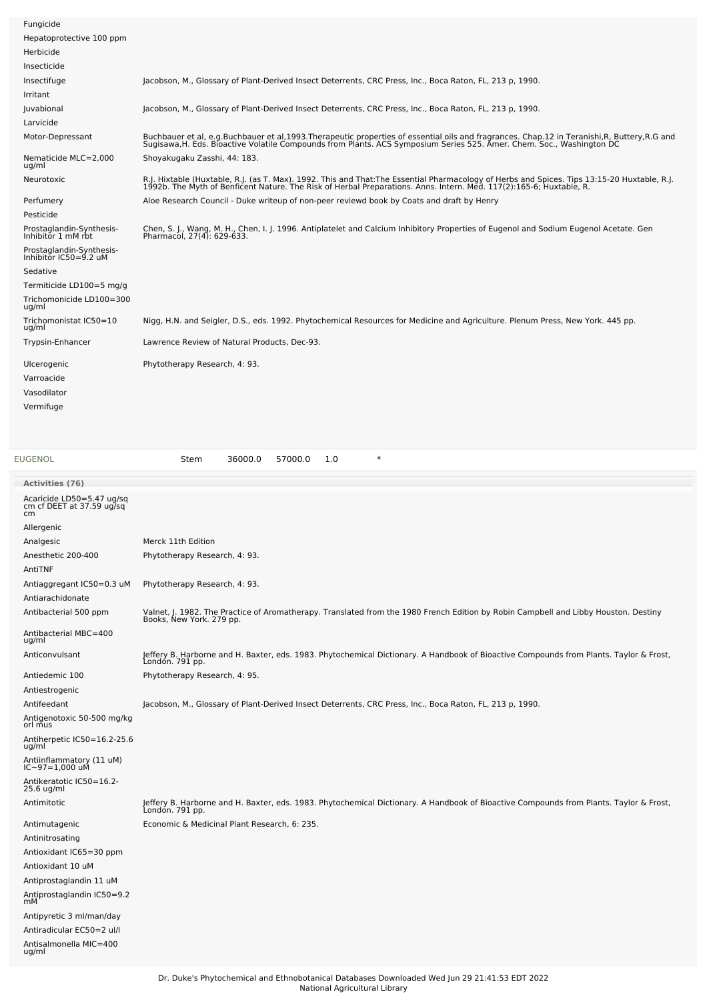| Fungicide                                         |                                                                                                                                                                                                                                   |
|---------------------------------------------------|-----------------------------------------------------------------------------------------------------------------------------------------------------------------------------------------------------------------------------------|
| Hepatoprotective 100 ppm                          |                                                                                                                                                                                                                                   |
| Herbicide                                         |                                                                                                                                                                                                                                   |
| Insecticide                                       |                                                                                                                                                                                                                                   |
| Insectifuge                                       | Jacobson, M., Glossary of Plant-Derived Insect Deterrents, CRC Press, Inc., Boca Raton, FL, 213 p, 1990.                                                                                                                          |
| Irritant                                          |                                                                                                                                                                                                                                   |
| Juvabional                                        | Jacobson, M., Glossary of Plant-Derived Insect Deterrents, CRC Press, Inc., Boca Raton, FL, 213 p, 1990.                                                                                                                          |
| Larvicide                                         |                                                                                                                                                                                                                                   |
| Motor-Depressant                                  | Buchbauer et al, e.g.Buchbauer et al,1993.Therapeutic properties of essential oils and fragrances. Chap.12 in Teranishi,R, Buttery,R.G and<br>Sugisawa,H. Eds. Bioactive Volatile Compounds from Plants. ACS Symposium Series 525 |
| Nematicide MLC=2,000<br>ug/ml                     | Shoyakugaku Zasshi, 44: 183.                                                                                                                                                                                                      |
| Neurotoxic                                        | R.J. Hixtable (Huxtable, R.J. (as T. Max). 1992. This and That:The Essential Pharmacology of Herbs and Spices. Tips 13:15-20 Huxtable, R.J.<br>1992b. The Myth of Benficent Nature. The Risk of Herbal Preparations. Anns. Intern |
| Perfumery                                         | Aloe Research Council - Duke writeup of non-peer reviewd book by Coats and draft by Henry                                                                                                                                         |
| Pesticide                                         |                                                                                                                                                                                                                                   |
| Prostaglandin-Synthesis-<br>Inhibitor 1 mM rbt    | Chen, S. J., Wang, M. H., Chen, I. J. 1996. Antiplatelet and Calcium Inhibitory Properties of Eugenol and Sodium Eugenol Acetate. Gen<br>Pharmacol, 27(4): 629-633.                                                               |
| Prostaglandin-Synthesis-<br>Inhibitor IC50=9.2 uM |                                                                                                                                                                                                                                   |
| Sedative                                          |                                                                                                                                                                                                                                   |
| Termiticide LD100=5 mg/g                          |                                                                                                                                                                                                                                   |
| Trichomonicide LD100=300<br>ug/ml                 |                                                                                                                                                                                                                                   |
| Trichomonistat IC50=10<br>ug/ml                   | Nigg, H.N. and Seigler, D.S., eds. 1992. Phytochemical Resources for Medicine and Agriculture. Plenum Press, New York. 445 pp.                                                                                                    |
| Trypsin-Enhancer                                  | Lawrence Review of Natural Products, Dec-93.                                                                                                                                                                                      |
| Ulcerogenic                                       | Phytotherapy Research, 4: 93.                                                                                                                                                                                                     |
| Varroacide                                        |                                                                                                                                                                                                                                   |
| Vasodilator                                       |                                                                                                                                                                                                                                   |
| Vermifuge                                         |                                                                                                                                                                                                                                   |
|                                                   |                                                                                                                                                                                                                                   |
|                                                   |                                                                                                                                                                                                                                   |

Antisalmonella MIC=400 ug/ml

[EUGENOL](file:///phytochem/chemicals/show/8298) Stem 36000.0 57000.0 1.0 \* **Activities (76)** Acaricide LD50=5.47 ug/sq cm cf DEET at 37.59 ug/sq cm Allergenic Analgesic Merck 11th Edition Anesthetic 200-400 Phytotherapy Research, 4: 93. AntiTNF Antiaggregant IC50=0.3 uM Phytotherapy Research, 4: 93. Antiarachidonate Antibacterial 500 ppm Valnet, J. 1982. The Practice of Aromatherapy. Translated from the 1980 French Edition by Robin Campbell and Libby Houston. Destiny Books, New York. 279 pp. Antibacterial MBC=400 ug/ml Anticonvulsant Jeffery B. Harborne and H. Baxter, eds. 1983. Phytochemical Dictionary. A Handbook of Bioactive Compounds from Plants. Taylor & Frost, London. 791 pp. Antiedemic 100 Phytotherapy Research, 4: 95. Antiestrogenic Antifeedant Jacobson, M., Glossary of Plant-Derived Insect Deterrents, CRC Press, Inc., Boca Raton, FL, 213 p, 1990. Antigenotoxic 50-500 mg/kg orl mus Antiherpetic IC50=16.2-25.6 ug/ml Antiinflammatory (11 uM) IC~97=1,000 uM Antikeratotic IC50=16.2- 25.6 ug/ml Antimitotic Jeffery B. Harborne and H. Baxter, eds. 1983. Phytochemical Dictionary. A Handbook of Bioactive Compounds from Plants. Taylor & Frost, London. 791 pp. Antimutagenic Economic & Medicinal Plant Research, 6: 235. Antinitrosating Antioxidant IC65=30 ppm Antioxidant 10 uM Antiprostaglandin 11 uM Antiprostaglandin IC50=9.2 mM Antipyretic 3 ml/man/day Antiradicular EC50=2 ul/l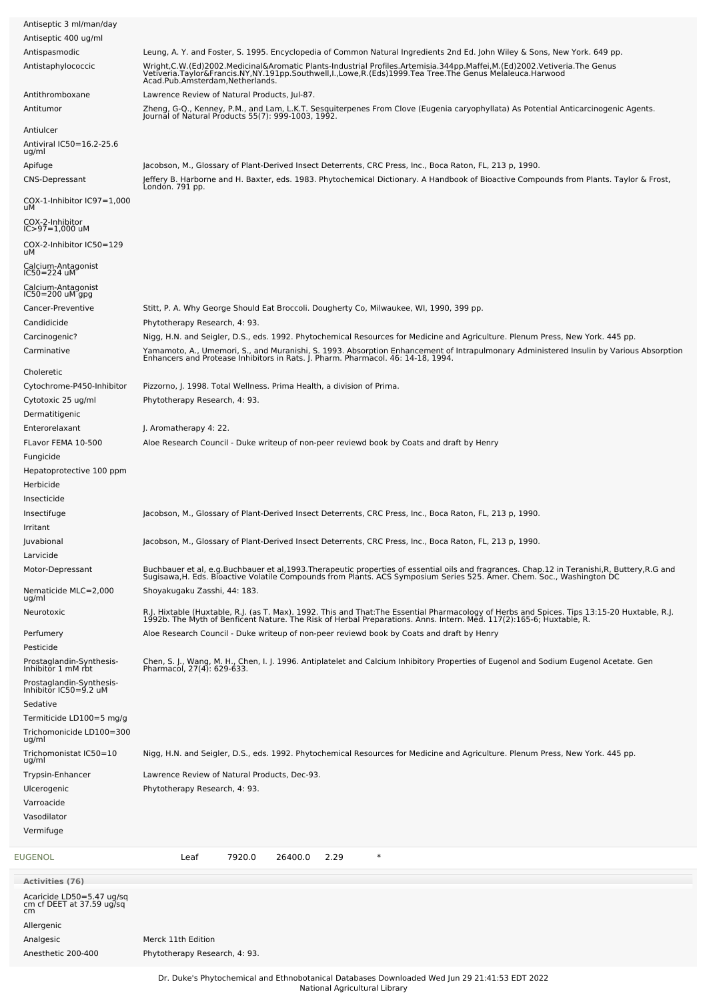| Antiseptic 3 ml/man/day                                  |                                                                                                                                                                                                                                                                   |
|----------------------------------------------------------|-------------------------------------------------------------------------------------------------------------------------------------------------------------------------------------------------------------------------------------------------------------------|
| Antiseptic 400 ug/ml                                     |                                                                                                                                                                                                                                                                   |
| Antispasmodic                                            | Leung, A. Y. and Foster, S. 1995. Encyclopedia of Common Natural Ingredients 2nd Ed. John Wiley & Sons, New York. 649 pp.                                                                                                                                         |
| Antistaphylococcic                                       | Wright,C.W.(Ed)2002.Medicinal&Aromatic Plants-Industrial Profiles.Artemisia.344pp.Maffei,M.(Ed)2002.Vetiveria.The Genus<br>Vetiveria.Taylor&Francis.NY,NY.191pp.Southwell,I.,Lowe,R.(Eds)1999.Tea Tree.The Genus Melaleuca.Harwoo                                 |
| Antithromboxane                                          | Lawrence Review of Natural Products, Jul-87.                                                                                                                                                                                                                      |
| Antitumor                                                | Zheng, G-Q., Kenney, P.M., and Lam, L.K.T. Sesquiterpenes From Clove (Eugenia caryophyllata) As Potential Anticarcinogenic Agents.<br>Journal of Natural Products 55(7): 999-1003, 1992.                                                                          |
|                                                          |                                                                                                                                                                                                                                                                   |
| Antiulcer<br>Antiviral IC50=16.2-25.6                    |                                                                                                                                                                                                                                                                   |
| ug/ml                                                    |                                                                                                                                                                                                                                                                   |
| Apifuge                                                  | Jacobson, M., Glossary of Plant-Derived Insect Deterrents, CRC Press, Inc., Boca Raton, FL, 213 p, 1990.                                                                                                                                                          |
| <b>CNS-Depressant</b><br>$COX-1$ -Inhibitor $IC97=1,000$ | Jeffery B. Harborne and H. Baxter, eds. 1983. Phytochemical Dictionary. A Handbook of Bioactive Compounds from Plants. Taylor & Frost,<br>London. 791 pp.                                                                                                         |
| uМ<br>COX-2-Inhibitor                                    |                                                                                                                                                                                                                                                                   |
| $IC > 97 = 1,000$ uM                                     |                                                                                                                                                                                                                                                                   |
| COX-2-Inhibitor IC50=129<br>uМ                           |                                                                                                                                                                                                                                                                   |
| Calcium-Antagonist<br>IC50=224 uM                        |                                                                                                                                                                                                                                                                   |
| Calcium-Antagonist<br>IC50=200 uM gpg                    |                                                                                                                                                                                                                                                                   |
| Cancer-Preventive                                        | Stitt, P. A. Why George Should Eat Broccoli. Dougherty Co, Milwaukee, WI, 1990, 399 pp.                                                                                                                                                                           |
| Candidicide                                              | Phytotherapy Research, 4: 93.                                                                                                                                                                                                                                     |
| Carcinogenic?                                            | Nigg, H.N. and Seigler, D.S., eds. 1992. Phytochemical Resources for Medicine and Agriculture. Plenum Press, New York. 445 pp.                                                                                                                                    |
| Carminative                                              |                                                                                                                                                                                                                                                                   |
|                                                          | Yamamoto, A., Umemori, S., and Muranishi, S. 1993. Absorption Enhancement of Intrapulmonary Administered Insulin by Various Absorption<br>Enhancers and Protease Inhibitors in Rats. J. Pharm. Pharmacol. 46: 14-18, 1994.                                        |
| Choleretic                                               |                                                                                                                                                                                                                                                                   |
| Cytochrome-P450-Inhibitor                                | Pizzorno, J. 1998. Total Wellness. Prima Health, a division of Prima.                                                                                                                                                                                             |
| Cytotoxic 25 ug/ml                                       | Phytotherapy Research, 4: 93.                                                                                                                                                                                                                                     |
| Dermatitigenic                                           |                                                                                                                                                                                                                                                                   |
| Enterorelaxant                                           | J. Aromatherapy 4: 22.                                                                                                                                                                                                                                            |
| FLavor FEMA 10-500                                       | Aloe Research Council - Duke writeup of non-peer reviewd book by Coats and draft by Henry                                                                                                                                                                         |
| Fungicide                                                |                                                                                                                                                                                                                                                                   |
| Hepatoprotective 100 ppm                                 |                                                                                                                                                                                                                                                                   |
| Herbicide<br>Insecticide                                 |                                                                                                                                                                                                                                                                   |
| Insectifuge                                              |                                                                                                                                                                                                                                                                   |
| Irritant                                                 | Jacobson, M., Glossary of Plant-Derived Insect Deterrents, CRC Press, Inc., Boca Raton, FL, 213 p, 1990.                                                                                                                                                          |
| Juvabional                                               | Jacobson, M., Glossary of Plant-Derived Insect Deterrents, CRC Press, Inc., Boca Raton, FL, 213 p, 1990.                                                                                                                                                          |
| Larvicide                                                |                                                                                                                                                                                                                                                                   |
| Motor-Depressant                                         |                                                                                                                                                                                                                                                                   |
| Nematicide MLC=2,000                                     | Buchbauer et al, e.g.Buchbauer et al,1993.Therapeutic properties of essential oils and fragrances. Chap.12 in Teranishi,R, Buttery,R.G and<br>Sugisawa,H. Eds. Bioactive Volatile Compounds from Plants. ACS Symposium Series 525<br>Shoyakugaku Zasshi, 44: 183. |
| ug/ml<br>Neurotoxic                                      |                                                                                                                                                                                                                                                                   |
|                                                          | R.J. Hixtable (Huxtable, R.J. (as T. Max). 1992. This and That:The Essential Pharmacology of Herbs and Spices. Tips 13:15-20 Huxtable, R.J.<br>1992b. The Myth of Benficent Nature. The Risk of Herbal Preparations. Anns. Intern                                 |
| Perfumery<br>Pesticide                                   | Aloe Research Council - Duke writeup of non-peer reviewd book by Coats and draft by Henry                                                                                                                                                                         |
| Prostaglandin-Synthesis-                                 | Chen, S. J., Wang, M. H., Chen, I. J. 1996. Antiplatelet and Calcium Inhibitory Properties of Eugenol and Sodium Eugenol Acetate. Gen                                                                                                                             |
| Inhibitor 1 mM rbt<br>Prostaglandin-Synthesis-           | Pharmacol, 27(4): 629-633.                                                                                                                                                                                                                                        |
| Inhibitor IC50=9.2 uM<br>Sedative                        |                                                                                                                                                                                                                                                                   |
| Termiticide LD100=5 mg/g                                 |                                                                                                                                                                                                                                                                   |
| Trichomonicide LD100=300                                 |                                                                                                                                                                                                                                                                   |
| ug/ml<br>Trichomonistat IC50=10<br>ug/ml                 | Nigg, H.N. and Seigler, D.S., eds. 1992. Phytochemical Resources for Medicine and Agriculture. Plenum Press, New York. 445 pp.                                                                                                                                    |
| Trypsin-Enhancer                                         | Lawrence Review of Natural Products, Dec-93.                                                                                                                                                                                                                      |
| Ulcerogenic                                              | Phytotherapy Research, 4: 93.                                                                                                                                                                                                                                     |
| Varroacide                                               |                                                                                                                                                                                                                                                                   |
| Vasodilator                                              |                                                                                                                                                                                                                                                                   |
| Vermifuge                                                |                                                                                                                                                                                                                                                                   |
|                                                          | $\ast$<br>Leaf<br>7920.0<br>26400.0                                                                                                                                                                                                                               |
| EUGENOL                                                  | 2.29                                                                                                                                                                                                                                                              |
| <b>Activities (76)</b><br>Acaricide LD50=5.47 ug/sq      |                                                                                                                                                                                                                                                                   |
| cm cf DEET at 37.59 ug/sq<br>cm                          |                                                                                                                                                                                                                                                                   |
| Allergenic                                               |                                                                                                                                                                                                                                                                   |
| Analgesic                                                | Merck 11th Edition                                                                                                                                                                                                                                                |
| Anesthetic 200-400                                       | Phytotherapy Research, 4: 93.                                                                                                                                                                                                                                     |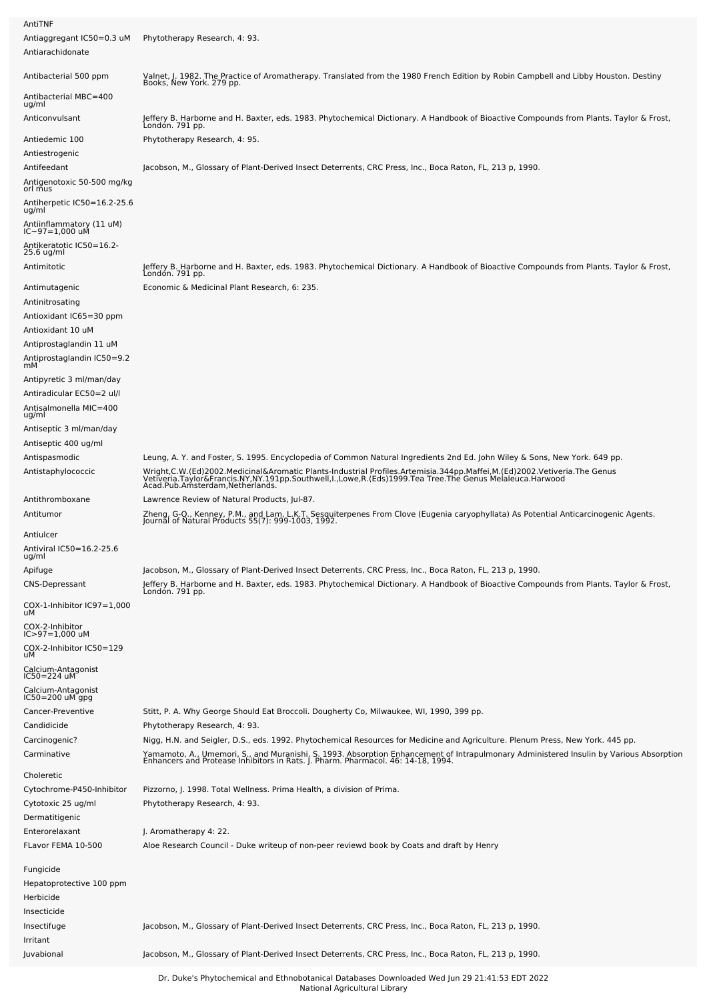| AntiTNF                                                                                  |                                                                                                                                                                                                                                                                                                                                                                |  |  |  |  |  |
|------------------------------------------------------------------------------------------|----------------------------------------------------------------------------------------------------------------------------------------------------------------------------------------------------------------------------------------------------------------------------------------------------------------------------------------------------------------|--|--|--|--|--|
| Antiaggregant IC50=0.3 uM<br>Antiarachidonate                                            | Phytotherapy Research, 4: 93.                                                                                                                                                                                                                                                                                                                                  |  |  |  |  |  |
| Antibacterial 500 ppm                                                                    | Valnet, J. 1982. The Practice of Aromatherapy. Translated from the 1980 French Edition by Robin Campbell and Libby Houston. Destiny<br>Books, New York. 279 pp.                                                                                                                                                                                                |  |  |  |  |  |
| Antibacterial MBC=400<br>ug/ml                                                           |                                                                                                                                                                                                                                                                                                                                                                |  |  |  |  |  |
| Anticonvulsant                                                                           | Jeffery B. Harborne and H. Baxter, eds. 1983. Phytochemical Dictionary. A Handbook of Bioactive Compounds from Plants. Taylor & Frost,<br>Londón. 791 pp.                                                                                                                                                                                                      |  |  |  |  |  |
| Antiedemic 100<br>Antiestrogenic                                                         | Phytotherapy Research, 4: 95.                                                                                                                                                                                                                                                                                                                                  |  |  |  |  |  |
| Antifeedant<br>Antigenotoxic 50-500 mg/kg<br>orl mus                                     | Jacobson, M., Glossary of Plant-Derived Insect Deterrents, CRC Press, Inc., Boca Raton, FL, 213 p, 1990.                                                                                                                                                                                                                                                       |  |  |  |  |  |
| Antiherpetic IC50=16.2-25.6<br>ug/ml                                                     |                                                                                                                                                                                                                                                                                                                                                                |  |  |  |  |  |
| Antiinflammatory (11 uM)<br>IC~97=1,000 uM                                               |                                                                                                                                                                                                                                                                                                                                                                |  |  |  |  |  |
| Antikeratotic IC50=16.2-<br>25.6 ug/ml                                                   |                                                                                                                                                                                                                                                                                                                                                                |  |  |  |  |  |
| Antimitotic                                                                              | Jeffery B. Harborne and H. Baxter, eds. 1983. Phytochemical Dictionary. A Handbook of Bioactive Compounds from Plants. Taylor & Frost,<br>London. 791 pp.                                                                                                                                                                                                      |  |  |  |  |  |
| Antimutagenic<br>Antinitrosating<br>Antioxidant IC65=30 ppm<br>Antioxidant 10 uM         | Economic & Medicinal Plant Research, 6: 235.                                                                                                                                                                                                                                                                                                                   |  |  |  |  |  |
| Antiprostaglandin 11 uM<br>Antiprostaglandin IC50=9.2<br>mМ                              |                                                                                                                                                                                                                                                                                                                                                                |  |  |  |  |  |
| Antipyretic 3 ml/man/day<br>Antiradicular EC50=2 ul/l<br>Antisalmonella MIC=400<br>ug/ml |                                                                                                                                                                                                                                                                                                                                                                |  |  |  |  |  |
| Antiseptic 3 ml/man/day                                                                  |                                                                                                                                                                                                                                                                                                                                                                |  |  |  |  |  |
| Antiseptic 400 ug/ml                                                                     |                                                                                                                                                                                                                                                                                                                                                                |  |  |  |  |  |
| Antispasmodic<br>Antistaphylococcic                                                      | Leung, A. Y. and Foster, S. 1995. Encyclopedia of Common Natural Ingredients 2nd Ed. John Wiley & Sons, New York. 649 pp.<br>Wright,C.W.(Ed)2002.Medicinal&Aromatic Plants-Industrial Profiles.Artemisia.344pp.Maffei,M.(Ed)2002.Vetiveria.The Genus<br>Vetiveria.Taylor&Francis.NY,NY.191pp.Southwell,I.,Lowe,R.(Eds)1999.Tea Tree.The Genus Melaleuca.Harwoo |  |  |  |  |  |
| Antithromboxane<br>Antitumor                                                             | Lawrence Review of Natural Products, Jul-87.<br>Zheng, G-Q., Kenney, P.M., and Lam, L.K.T. Sesquiterpenes From Clove (Eugenia caryophyllata) As Potential Anticarcinogenic Agents.<br>Journal of Natural Products 55(7): 999-1003, 1992.                                                                                                                       |  |  |  |  |  |
| Antiulcer<br>Antiviral IC50=16.2-25.6<br>ug/ml                                           |                                                                                                                                                                                                                                                                                                                                                                |  |  |  |  |  |
| Apifuge                                                                                  | Jacobson, M., Glossary of Plant-Derived Insect Deterrents, CRC Press, Inc., Boca Raton, FL, 213 p, 1990.                                                                                                                                                                                                                                                       |  |  |  |  |  |
| <b>CNS-Depressant</b>                                                                    | Jeffery B. Harborne and H. Baxter, eds. 1983. Phytochemical Dictionary. A Handbook of Bioactive Compounds from Plants. Taylor & Frost,<br>London. 791 pp.                                                                                                                                                                                                      |  |  |  |  |  |
| COX-1-Inhibitor IC97=1,000<br>uМ                                                         |                                                                                                                                                                                                                                                                                                                                                                |  |  |  |  |  |
| COX-2-Inhibitor<br>$IC > 97 = 1,000$ uM<br>COX-2-Inhibitor IC50=129<br>uМ                |                                                                                                                                                                                                                                                                                                                                                                |  |  |  |  |  |
| Calcium-Antagonist<br>IC50=224 uM                                                        |                                                                                                                                                                                                                                                                                                                                                                |  |  |  |  |  |
| Calcium-Antagonist                                                                       |                                                                                                                                                                                                                                                                                                                                                                |  |  |  |  |  |
| IC50=200 uM gpg<br>Cancer-Preventive                                                     | Stitt, P. A. Why George Should Eat Broccoli. Dougherty Co, Milwaukee, WI, 1990, 399 pp.                                                                                                                                                                                                                                                                        |  |  |  |  |  |
| Candidicide                                                                              | Phytotherapy Research, 4: 93.                                                                                                                                                                                                                                                                                                                                  |  |  |  |  |  |
| Carcinogenic?                                                                            | Nigg, H.N. and Seigler, D.S., eds. 1992. Phytochemical Resources for Medicine and Agriculture. Plenum Press, New York. 445 pp.                                                                                                                                                                                                                                 |  |  |  |  |  |
| Carminative                                                                              | Yamamoto, A., Umemori, S., and Muranishi, S. 1993. Absorption Enhancement of Intrapulmonary Administered Insulin by Various Absorption<br>Enhancers and Protease Inhibitors in Rats. J. Pharm. Pharmacol. 46: 14-18, 1994.                                                                                                                                     |  |  |  |  |  |
| Choleretic<br>Cytochrome-P450-Inhibitor                                                  | Pizzorno, J. 1998. Total Wellness. Prima Health, a division of Prima.                                                                                                                                                                                                                                                                                          |  |  |  |  |  |
| Cytotoxic 25 ug/ml                                                                       | Phytotherapy Research, 4: 93.                                                                                                                                                                                                                                                                                                                                  |  |  |  |  |  |
| Dermatitigenic                                                                           |                                                                                                                                                                                                                                                                                                                                                                |  |  |  |  |  |
| Enterorelaxant<br>FLavor FEMA 10-500                                                     | J. Aromatherapy 4: 22.<br>Aloe Research Council - Duke writeup of non-peer reviewd book by Coats and draft by Henry                                                                                                                                                                                                                                            |  |  |  |  |  |
| Fungicide                                                                                |                                                                                                                                                                                                                                                                                                                                                                |  |  |  |  |  |
| Hepatoprotective 100 ppm<br>Herbicide<br>Insecticide                                     |                                                                                                                                                                                                                                                                                                                                                                |  |  |  |  |  |
| Insectifuge<br>Irritant                                                                  | Jacobson, M., Glossary of Plant-Derived Insect Deterrents, CRC Press, Inc., Boca Raton, FL, 213 p, 1990.                                                                                                                                                                                                                                                       |  |  |  |  |  |
| Juvabional                                                                               | Jacobson, M., Glossary of Plant-Derived Insect Deterrents, CRC Press, Inc., Boca Raton, FL, 213 p, 1990.                                                                                                                                                                                                                                                       |  |  |  |  |  |
|                                                                                          |                                                                                                                                                                                                                                                                                                                                                                |  |  |  |  |  |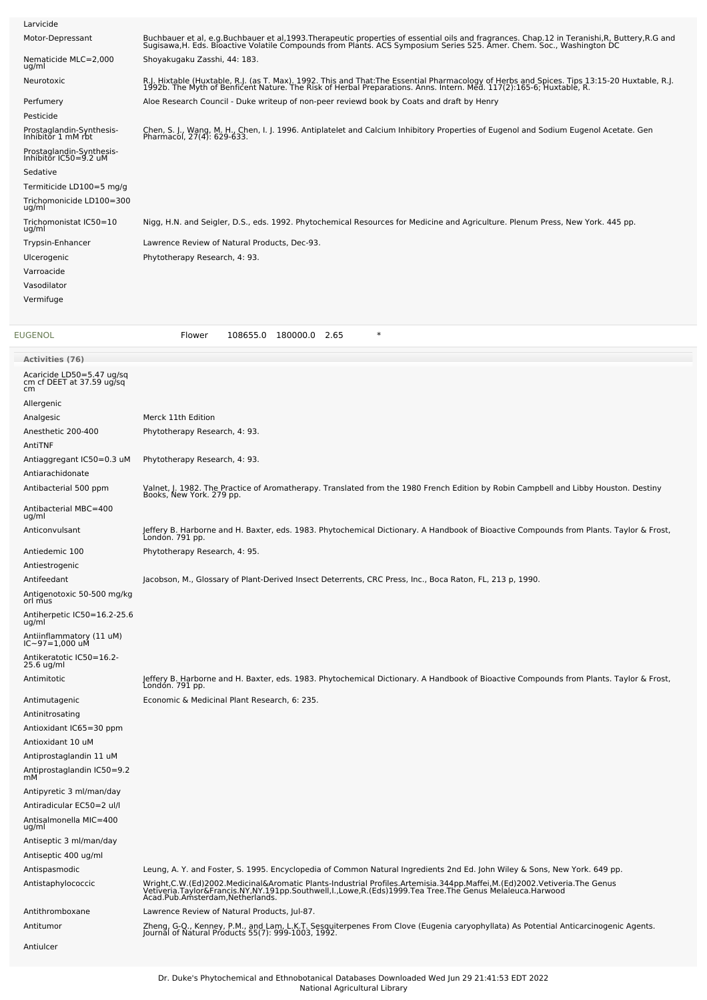| Larvicide                                                     |                                                                                                                                                                                                                                   |  |  |  |  |
|---------------------------------------------------------------|-----------------------------------------------------------------------------------------------------------------------------------------------------------------------------------------------------------------------------------|--|--|--|--|
| Motor-Depressant                                              | Buchbauer et al, e.g.Buchbauer et al,1993.Therapeutic properties of essential oils and fragrances. Chap.12 in Teranishi,R, Buttery,R.G and<br>Sugisawa,H. Eds. Bioactive Volatile Compounds from Plants. ACS Symposium Series 525 |  |  |  |  |
| Nematicide MLC=2,000<br>ug/ml                                 | Shoyakugaku Zasshi, 44: 183.                                                                                                                                                                                                      |  |  |  |  |
| Neurotoxic                                                    | R.J. Hixtable (Huxtable, R.J. (as T. Max). 1992. This and That:The Essential Pharmacology of Herbs and Spices. Tips 13:15-20 Huxtable, R.J.<br>1992b. The Myth of Benficent Nature. The Risk of Herbal Preparations. Anns. Intern |  |  |  |  |
| Perfumery                                                     | Aloe Research Council - Duke writeup of non-peer reviewd book by Coats and draft by Henry                                                                                                                                         |  |  |  |  |
| Pesticide                                                     |                                                                                                                                                                                                                                   |  |  |  |  |
| Prostaglandin-Synthesis-<br>Inhibitor 1 mM rbt                | Chen, S. J., Wang, M. H., Chen, I. J. 1996. Antiplatelet and Calcium Inhibitory Properties of Eugenol and Sodium Eugenol Acetate. Gen<br>Pharmacol, 27(4): 629-633.                                                               |  |  |  |  |
| Prostaglandin-Synthesis-<br>Inhibitor IC50=9.2 uM<br>Sedative |                                                                                                                                                                                                                                   |  |  |  |  |
| Termiticide LD100=5 mg/g                                      |                                                                                                                                                                                                                                   |  |  |  |  |
| Trichomonicide LD100=300<br>ug/ml                             |                                                                                                                                                                                                                                   |  |  |  |  |
| Trichomonistat IC50=10<br>ug/ml                               | Nigg, H.N. and Seigler, D.S., eds. 1992. Phytochemical Resources for Medicine and Agriculture. Plenum Press, New York. 445 pp.                                                                                                    |  |  |  |  |
| Trypsin-Enhancer                                              | Lawrence Review of Natural Products, Dec-93.                                                                                                                                                                                      |  |  |  |  |
| Ulcerogenic                                                   | Phytotherapy Research, 4: 93.                                                                                                                                                                                                     |  |  |  |  |
| Varroacide                                                    |                                                                                                                                                                                                                                   |  |  |  |  |
| Vasodilator                                                   |                                                                                                                                                                                                                                   |  |  |  |  |
| Vermifuge                                                     |                                                                                                                                                                                                                                   |  |  |  |  |
| EUGENOL                                                       | $\ast$<br>Flower<br>108655.0 180000.0 2.65                                                                                                                                                                                        |  |  |  |  |
| Activities (76)                                               |                                                                                                                                                                                                                                   |  |  |  |  |
| Acaricide LD50=5.47 ug/sq<br>cm cf DEET at 37.59 ug/sq<br>cm  |                                                                                                                                                                                                                                   |  |  |  |  |
| Allergenic                                                    |                                                                                                                                                                                                                                   |  |  |  |  |
| Analgesic                                                     | Merck 11th Edition                                                                                                                                                                                                                |  |  |  |  |
| Anesthetic 200-400                                            | Phytotherapy Research, 4: 93.                                                                                                                                                                                                     |  |  |  |  |
| AntiTNF                                                       | Phytotherapy Research, 4: 93.                                                                                                                                                                                                     |  |  |  |  |
| Antiaggregant IC50=0.3 uM<br>Antiarachidonate                 |                                                                                                                                                                                                                                   |  |  |  |  |
| Antibacterial 500 ppm                                         | Valnet, J. 1982. The Practice of Aromatherapy. Translated from the 1980 French Edition by Robin Campbell and Libby Houston. Destiny<br>Books, New York. 279 pp.                                                                   |  |  |  |  |
| Antibacterial MBC=400<br>ug/ml                                |                                                                                                                                                                                                                                   |  |  |  |  |
| Anticonvulsant                                                | Jeffery B. Harborne and H. Baxter, eds. 1983. Phytochemical Dictionary. A Handbook of Bioactive Compounds from Plants. Taylor & Frost,<br>Londón. 791 pp.                                                                         |  |  |  |  |
| Antiedemic 100                                                | Phytotherapy Research, 4: 95.                                                                                                                                                                                                     |  |  |  |  |
| Antiestrogenic                                                |                                                                                                                                                                                                                                   |  |  |  |  |
| Antifeedant<br>Antigenotoxic 50-500 mg/kg                     | Jacobson, M., Glossary of Plant-Derived Insect Deterrents, CRC Press, Inc., Boca Raton, FL, 213 p, 1990.                                                                                                                          |  |  |  |  |
| orl mus<br>Antiherpetic IC50=16.2-25.6                        |                                                                                                                                                                                                                                   |  |  |  |  |
| ug/ml<br>Antiinflammatory (11 uM)<br>IC~97=1,000 uM           |                                                                                                                                                                                                                                   |  |  |  |  |
| Antikeratotic IC50=16.2-                                      |                                                                                                                                                                                                                                   |  |  |  |  |
| 25.6 ug/ml                                                    |                                                                                                                                                                                                                                   |  |  |  |  |
| Antimitotic                                                   | Jeffery B. Harborne and H. Baxter, eds. 1983. Phytochemical Dictionary. A Handbook of Bioactive Compounds from Plants. Taylor & Frost,<br>London. 791 pp.                                                                         |  |  |  |  |
| Antimutagenic                                                 | Economic & Medicinal Plant Research, 6: 235.                                                                                                                                                                                      |  |  |  |  |
| Antinitrosating                                               |                                                                                                                                                                                                                                   |  |  |  |  |
| Antioxidant IC65=30 ppm<br>Antioxidant 10 uM                  |                                                                                                                                                                                                                                   |  |  |  |  |
| Antiprostaglandin 11 uM                                       |                                                                                                                                                                                                                                   |  |  |  |  |
| Antiprostaglandin IC50=9.2                                    |                                                                                                                                                                                                                                   |  |  |  |  |
| mМ                                                            |                                                                                                                                                                                                                                   |  |  |  |  |
| Antipyretic 3 ml/man/day                                      |                                                                                                                                                                                                                                   |  |  |  |  |
| Antiradicular EC50=2 ul/l                                     |                                                                                                                                                                                                                                   |  |  |  |  |
| Antisalmonella MIC=400<br>ug/ml                               |                                                                                                                                                                                                                                   |  |  |  |  |
| Antiseptic 3 ml/man/day                                       |                                                                                                                                                                                                                                   |  |  |  |  |
| Antiseptic 400 ug/ml                                          |                                                                                                                                                                                                                                   |  |  |  |  |
| Antispasmodic                                                 | Leung, A. Y. and Foster, S. 1995. Encyclopedia of Common Natural Ingredients 2nd Ed. John Wiley & Sons, New York. 649 pp.                                                                                                         |  |  |  |  |
| Antistaphylococcic                                            | Wright,C.W.(Ed)2002.Medicinal&Aromatic Plants-Industrial Profiles.Artemisia.344pp.Maffei,M.(Ed)2002.Vetiveria.The Genus<br>Vetiveria.Taylor&Francis.NY,NY.191pp.Southwell,I.,Lowe,R.(Eds)1999.Tea Tree.The Genus Melaleuca.Harwoo |  |  |  |  |
| Antithromboxane                                               | Lawrence Review of Natural Products, Jul-87.                                                                                                                                                                                      |  |  |  |  |
| Antitumor                                                     | Zheng, G-Q., Kenney, P.M., and Lam, L.K.T. Sesquiterpenes From Clove (Eugenia caryophyllata) As Potential Anticarcinogenic Agents.<br>Journal of Natural Products 55(7): 999-1003, 1992.                                          |  |  |  |  |

Antiulcer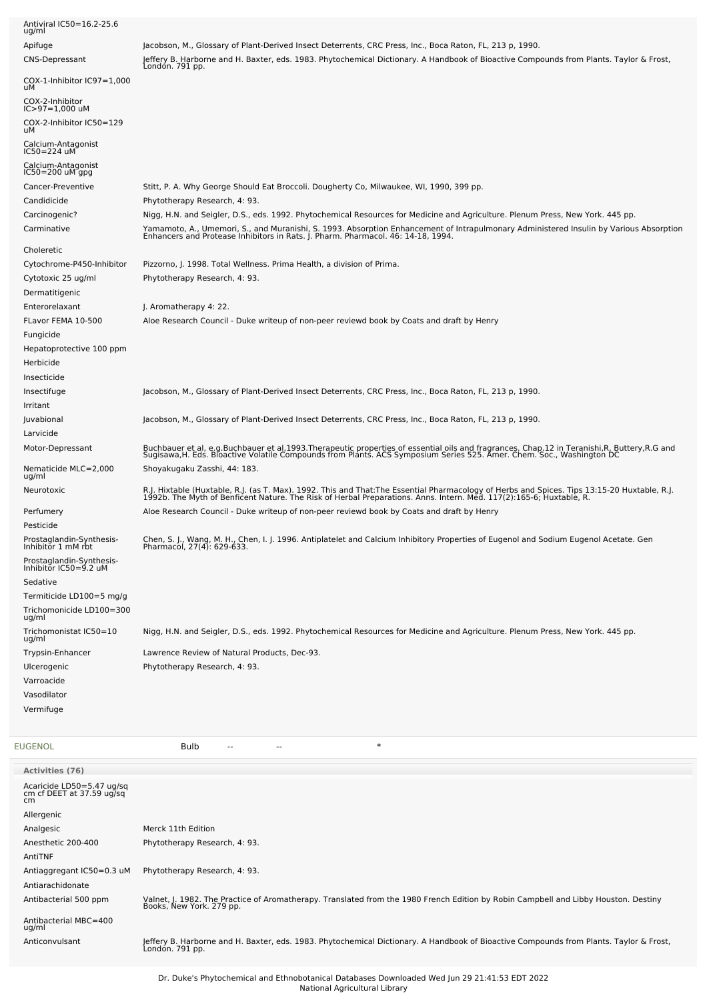| Antiviral IC50=16.2-25.6<br>ug/ml                 |                                                                                                                                                                                                                                   |
|---------------------------------------------------|-----------------------------------------------------------------------------------------------------------------------------------------------------------------------------------------------------------------------------------|
| Apifuge                                           | Jacobson, M., Glossary of Plant-Derived Insect Deterrents, CRC Press, Inc., Boca Raton, FL, 213 p, 1990.                                                                                                                          |
| <b>CNS-Depressant</b>                             | Jeffery B. Harborne and H. Baxter, eds. 1983. Phytochemical Dictionary. A Handbook of Bioactive Compounds from Plants. Taylor & Frost,<br>London. 791 pp.                                                                         |
| $COX-1$ -Inhibitor $IC97=1,000$<br>uМ             |                                                                                                                                                                                                                                   |
| COX-2-Inhibitor<br>$IC > 97 = 1,000$ uM           |                                                                                                                                                                                                                                   |
| COX-2-Inhibitor IC50=129                          |                                                                                                                                                                                                                                   |
| uМ                                                |                                                                                                                                                                                                                                   |
| Calcium-Antagonist<br>IC50=224 uM                 |                                                                                                                                                                                                                                   |
| Calcium-Antagonist<br>$IC50 = 200$ uM gpg         |                                                                                                                                                                                                                                   |
| Cancer-Preventive                                 | Stitt, P. A. Why George Should Eat Broccoli. Dougherty Co, Milwaukee, WI, 1990, 399 pp.                                                                                                                                           |
| Candidicide                                       | Phytotherapy Research, 4: 93.                                                                                                                                                                                                     |
| Carcinogenic?                                     | Nigg, H.N. and Seigler, D.S., eds. 1992. Phytochemical Resources for Medicine and Agriculture. Plenum Press, New York. 445 pp.                                                                                                    |
| Carminative                                       | Yamamoto, A., Umemori, S., and Muranishi, S. 1993. Absorption Enhancement of Intrapulmonary Administered Insulin by Various Absorption<br>Enhancers and Protease Inhibitors in Rats. J. Pharm. Pharmacol. 46: 14-18, 1994.        |
| Choleretic                                        |                                                                                                                                                                                                                                   |
| Cytochrome-P450-Inhibitor                         | Pizzorno, J. 1998. Total Wellness. Prima Health, a division of Prima.                                                                                                                                                             |
| Cytotoxic 25 ug/ml                                | Phytotherapy Research, 4: 93.                                                                                                                                                                                                     |
| Dermatitigenic                                    |                                                                                                                                                                                                                                   |
| Enterorelaxant                                    | J. Aromatherapy 4: 22.                                                                                                                                                                                                            |
| FLavor FEMA 10-500                                | Aloe Research Council - Duke writeup of non-peer reviewd book by Coats and draft by Henry                                                                                                                                         |
| Fungicide                                         |                                                                                                                                                                                                                                   |
| Hepatoprotective 100 ppm                          |                                                                                                                                                                                                                                   |
| Herbicide                                         |                                                                                                                                                                                                                                   |
| Insecticide                                       |                                                                                                                                                                                                                                   |
| Insectifuge<br>Irritant                           | Jacobson, M., Glossary of Plant-Derived Insect Deterrents, CRC Press, Inc., Boca Raton, FL, 213 p, 1990.                                                                                                                          |
| Juvabional                                        | Jacobson, M., Glossary of Plant-Derived Insect Deterrents, CRC Press, Inc., Boca Raton, FL, 213 p, 1990.                                                                                                                          |
| Larvicide                                         |                                                                                                                                                                                                                                   |
| Motor-Depressant                                  |                                                                                                                                                                                                                                   |
|                                                   | Buchbauer et al, e.g.Buchbauer et al,1993.Therapeutic properties of essential oils and fragrances. Chap.12 in Teranishi,R, Buttery,R.G and<br>Sugisawa,H. Eds. Bioactive Volatile Compounds from Plants. ACS Symposium Series 525 |
| Nematicide MLC=2,000<br>ug/ml                     | Shoyakugaku Zasshi, 44: 183.                                                                                                                                                                                                      |
| Neurotoxic                                        | R.J. Hixtable (Huxtable, R.J. (as T. Max). 1992. This and That:The Essential Pharmacology of Herbs and Spices. Tips 13:15-20 Huxtable, R.J.<br>1992b. The Myth of Benficent Nature. The Risk of Herbal Preparations. Anns. Intern |
| Perfumery                                         | Aloe Research Council - Duke writeup of non-peer reviewd book by Coats and draft by Henry                                                                                                                                         |
| Pesticide                                         |                                                                                                                                                                                                                                   |
| Prostaglandin-Synthesis-<br>Inhibitor 1 mM rbt    | Chen, S. J., Wang, M. H., Chen, I. J. 1996. Antiplatelet and Calcium Inhibitory Properties of Eugenol and Sodium Eugenol Acetate. Gen<br>Pharmacol, 27(4): 629-633.                                                               |
| Prostaglandin-Synthesis-<br>Inhibitor IC50=9.2 uM |                                                                                                                                                                                                                                   |
| Sedative                                          |                                                                                                                                                                                                                                   |
| Termiticide LD100=5 mg/g                          |                                                                                                                                                                                                                                   |
| Trichomonicide LD100=300                          |                                                                                                                                                                                                                                   |
| ug/ml<br>Trichomonistat IC50=10                   | Nigg, H.N. and Seigler, D.S., eds. 1992. Phytochemical Resources for Medicine and Agriculture. Plenum Press, New York. 445 pp.                                                                                                    |
| ug/ml                                             |                                                                                                                                                                                                                                   |
| Trypsin-Enhancer<br>Ulcerogenic                   | Lawrence Review of Natural Products, Dec-93.<br>Phytotherapy Research, 4: 93.                                                                                                                                                     |
| Varroacide                                        |                                                                                                                                                                                                                                   |
| Vasodilator                                       |                                                                                                                                                                                                                                   |
| Vermifuge                                         |                                                                                                                                                                                                                                   |
|                                                   |                                                                                                                                                                                                                                   |
|                                                   |                                                                                                                                                                                                                                   |
| EUGENOL                                           | $\ast$<br><b>Bulb</b><br>$\overline{a}$                                                                                                                                                                                           |
|                                                   |                                                                                                                                                                                                                                   |

| <b>Activities (76)</b>                                       |                                                                                                                                                                 |
|--------------------------------------------------------------|-----------------------------------------------------------------------------------------------------------------------------------------------------------------|
| Acaricide LD50=5.47 ug/sq<br>cm cf DEET at 37.59 ug/sq<br>cm |                                                                                                                                                                 |
| Allergenic                                                   |                                                                                                                                                                 |
| Analgesic                                                    | Merck 11th Edition                                                                                                                                              |
| Anesthetic 200-400                                           | Phytotherapy Research, 4: 93.                                                                                                                                   |
| AntiTNF                                                      |                                                                                                                                                                 |
| Antiaggregant IC50=0.3 uM                                    | Phytotherapy Research, 4: 93.                                                                                                                                   |
| Antiarachidonate                                             |                                                                                                                                                                 |
| Antibacterial 500 ppm                                        | Valnet, J. 1982. The Practice of Aromatherapy. Translated from the 1980 French Edition by Robin Campbell and Libby Houston. Destiny<br>Books, New York. 279 pp. |
| Antibacterial MBC=400<br>ug/ml                               |                                                                                                                                                                 |
| Anticonvulsant                                               | Jeffery B. Harborne and H. Baxter, eds. 1983. Phytochemical Dictionary. A Handbook of Bioactive Compounds from Plants. Taylor & Frost,<br>Londón. 791 pp.       |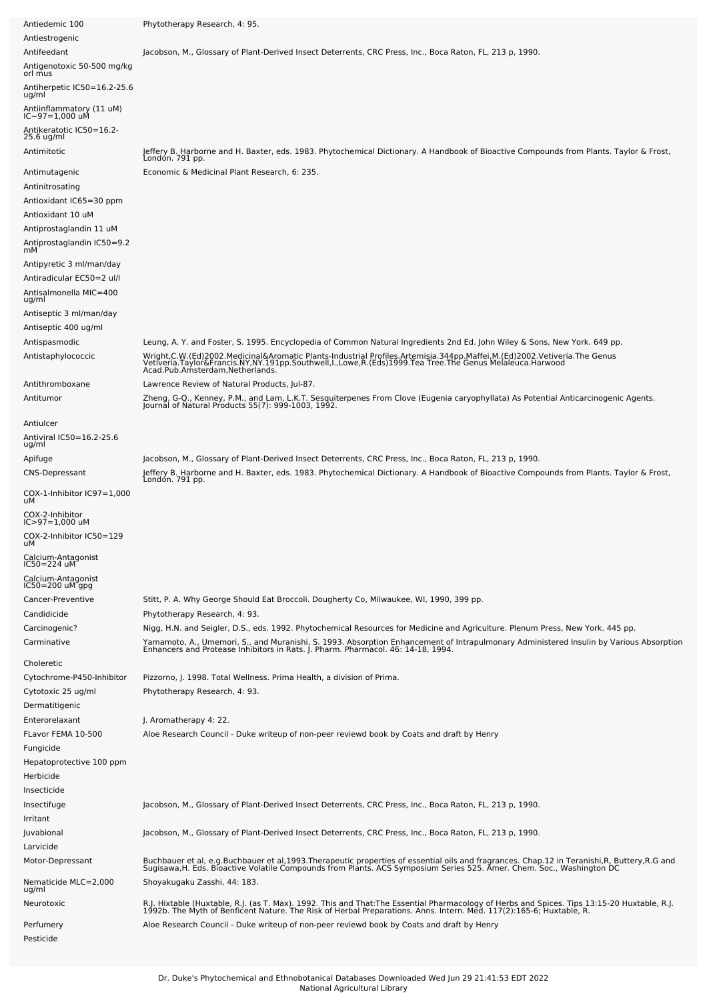| Antiedemic 100                             | Phytotherapy Research, 4: 95.                                                                                                                                                                                                                                        |
|--------------------------------------------|----------------------------------------------------------------------------------------------------------------------------------------------------------------------------------------------------------------------------------------------------------------------|
| Antiestrogenic                             |                                                                                                                                                                                                                                                                      |
| Antifeedant                                | Jacobson, M., Glossary of Plant-Derived Insect Deterrents, CRC Press, Inc., Boca Raton, FL, 213 p, 1990.                                                                                                                                                             |
| Antigenotoxic 50-500 mg/kg<br>orl mus      |                                                                                                                                                                                                                                                                      |
| Antiherpetic IC50=16.2-25.6<br>ug/ml       |                                                                                                                                                                                                                                                                      |
| Antiinflammatory (11 uM)<br>IC~97=1,000 uM |                                                                                                                                                                                                                                                                      |
| Antikeratotic IC50=16.2-<br>25.6 ug/ml     |                                                                                                                                                                                                                                                                      |
| Antimitotic                                | Jeffery B. Harborne and H. Baxter, eds. 1983. Phytochemical Dictionary. A Handbook of Bioactive Compounds from Plants. Taylor & Frost,<br>Londón. 791 pp.                                                                                                            |
| Antimutagenic<br>Antinitrosating           | Economic & Medicinal Plant Research, 6: 235.                                                                                                                                                                                                                         |
| Antioxidant IC65=30 ppm                    |                                                                                                                                                                                                                                                                      |
| Antioxidant 10 uM                          |                                                                                                                                                                                                                                                                      |
| Antiprostaglandin 11 uM                    |                                                                                                                                                                                                                                                                      |
| Antiprostaglandin IC50=9.2<br>mМ           |                                                                                                                                                                                                                                                                      |
| Antipyretic 3 ml/man/day                   |                                                                                                                                                                                                                                                                      |
| Antiradicular EC50=2 ul/l                  |                                                                                                                                                                                                                                                                      |
| Antisalmonella MIC=400<br>ug/ml            |                                                                                                                                                                                                                                                                      |
| Antiseptic 3 ml/man/day                    |                                                                                                                                                                                                                                                                      |
| Antiseptic 400 ug/ml                       |                                                                                                                                                                                                                                                                      |
| Antispasmodic                              | Leung, A. Y. and Foster, S. 1995. Encyclopedia of Common Natural Ingredients 2nd Ed. John Wiley & Sons, New York. 649 pp.                                                                                                                                            |
| Antistaphylococcic                         | Wright,C.W.(Ed)2002.Medicinal&Aromatic Plants-Industrial Profiles.Artemisia.344pp.Maffei,M.(Ed)2002.Vetiveria.The Genus<br>Vetiveria.Taylor&Francis.NY,NY.191pp.Southwell,I.,Lowe,R.(Eds)1999.Tea Tree.The Genus Melaleuca.Harwoo<br>Acad.Pub.Amsterdam,Netherlands. |
| Antithromboxane                            | Lawrence Review of Natural Products, Jul-87.                                                                                                                                                                                                                         |
| Antitumor                                  | Zheng, G-Q., Kenney, P.M., and Lam, L.K.T. Sesquiterpenes From Clove (Eugenia caryophyllata) As Potential Anticarcinogenic Agents.<br>Journal of Natural Products 55(7): 999-1003, 1992.                                                                             |
| Antiulcer                                  |                                                                                                                                                                                                                                                                      |
| Antiviral IC50=16.2-25.6<br>ug/ml          |                                                                                                                                                                                                                                                                      |
| Apifuge                                    | Jacobson, M., Glossary of Plant-Derived Insect Deterrents, CRC Press, Inc., Boca Raton, FL, 213 p, 1990.                                                                                                                                                             |
| CNS-Depressant                             | Jeffery B. Harborne and H. Baxter, eds. 1983. Phytochemical Dictionary. A Handbook of Bioactive Compounds from Plants. Taylor & Frost,<br>London. 791 pp.                                                                                                            |
| COX-1-Inhibitor IC97=1,000<br>uМ           |                                                                                                                                                                                                                                                                      |
| COX-2-Inhibitor<br>$IC > 97 = 1,000$ uM    |                                                                                                                                                                                                                                                                      |
| COX-2-Inhibitor IC50=129<br>uМ             |                                                                                                                                                                                                                                                                      |
| Calcium-Antagonist<br>IC50=224 uM          |                                                                                                                                                                                                                                                                      |
| Calcium-Antagonist                         |                                                                                                                                                                                                                                                                      |
| $IC50 = 200$ uM gpg                        |                                                                                                                                                                                                                                                                      |
| Cancer-Preventive                          | Stitt, P. A. Why George Should Eat Broccoli. Dougherty Co, Milwaukee, WI, 1990, 399 pp.                                                                                                                                                                              |
| Candidicide<br>Carcinogenic?               | Phytotherapy Research, 4: 93.<br>Nigg, H.N. and Seigler, D.S., eds. 1992. Phytochemical Resources for Medicine and Agriculture. Plenum Press, New York. 445 pp.                                                                                                      |
| Carminative                                | Yamamoto, A., Umemori, S., and Muranishi, S. 1993. Absorption Enhancement of Intrapulmonary Administered Insulin by Various Absorption<br>Enhancers and Protease Inhibitors in Rats. J. Pharm. Pharmacol. 46: 14-18, 1994.                                           |
| Choleretic                                 |                                                                                                                                                                                                                                                                      |
| Cytochrome-P450-Inhibitor                  | Pizzorno, J. 1998. Total Wellness. Prima Health, a division of Prima.                                                                                                                                                                                                |
| Cytotoxic 25 ug/ml                         | Phytotherapy Research, 4: 93.                                                                                                                                                                                                                                        |
| Dermatitigenic                             |                                                                                                                                                                                                                                                                      |
| Enterorelaxant                             | J. Aromatherapy 4: 22.                                                                                                                                                                                                                                               |
| FLavor FEMA 10-500                         | Aloe Research Council - Duke writeup of non-peer reviewd book by Coats and draft by Henry                                                                                                                                                                            |
| Fungicide                                  |                                                                                                                                                                                                                                                                      |
| Hepatoprotective 100 ppm                   |                                                                                                                                                                                                                                                                      |
| Herbicide                                  |                                                                                                                                                                                                                                                                      |
| Insecticide                                |                                                                                                                                                                                                                                                                      |
| Insectifuge<br>Irritant                    | Jacobson, M., Glossary of Plant-Derived Insect Deterrents, CRC Press, Inc., Boca Raton, FL, 213 p, 1990.                                                                                                                                                             |
| Juvabional                                 | Jacobson, M., Glossary of Plant-Derived Insect Deterrents, CRC Press, Inc., Boca Raton, FL, 213 p, 1990.                                                                                                                                                             |
| Larvicide                                  |                                                                                                                                                                                                                                                                      |
| Motor-Depressant                           |                                                                                                                                                                                                                                                                      |
| Nematicide MLC=2,000                       | Buchbauer et al, e.g.Buchbauer et al,1993.Therapeutic properties of essential oils and fragrances. Chap.12 in Teranishi,R, Buttery,R.G and<br>Sugisawa,H. Eds. Bioactive Volatile Compounds from Plants. ACS Symposium Series 525<br>Shoyakugaku Zasshi, 44: 183.    |
| ug/ml<br>Neurotoxic                        | R.J. Hixtable (Huxtable, R.J. (as T. Max). 1992. This and That:The Essential Pharmacology of Herbs and Spices. Tips 13:15-20 Huxtable, R.J.<br>1992b. The Myth of Benficent Nature. The Risk of Herbal Preparations. Anns. Intern                                    |
| Perfumery                                  | Aloe Research Council - Duke writeup of non-peer reviewd book by Coats and draft by Henry                                                                                                                                                                            |
| Pesticide                                  |                                                                                                                                                                                                                                                                      |
|                                            |                                                                                                                                                                                                                                                                      |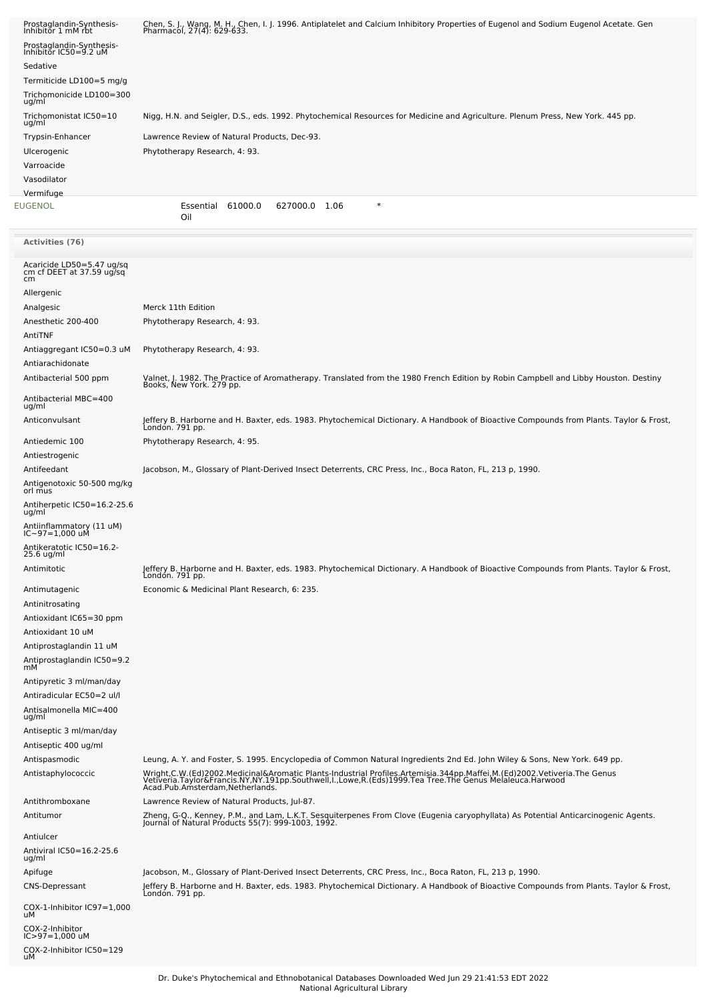| Prostaglandin-Synthesis-<br>Inhibitor 1 mM rbt<br>Prostaglandin-Synthesis-<br>Inhibitor IC50=9.2 uM<br>Sedative<br>Termiticide LD100=5 mg/g<br>Trichomonicide LD100=300<br>ug/ml | Chen, S. J., Wang, M. H., Chen, I. J. 1996. Antiplatelet and Calcium Inhibitory Properties of Eugenol and Sodium Eugenol Acetate. Gen<br>Pharmacol, 27(4): 629-633.                                                               |  |  |  |  |  |
|----------------------------------------------------------------------------------------------------------------------------------------------------------------------------------|-----------------------------------------------------------------------------------------------------------------------------------------------------------------------------------------------------------------------------------|--|--|--|--|--|
| Trichomonistat IC50=10                                                                                                                                                           | Nigg, H.N. and Seigler, D.S., eds. 1992. Phytochemical Resources for Medicine and Agriculture. Plenum Press, New York. 445 pp.                                                                                                    |  |  |  |  |  |
| ug/ml<br>Trypsin-Enhancer<br>Ulcerogenic<br>Varroacide<br>Vasodilator                                                                                                            | Lawrence Review of Natural Products, Dec-93.<br>Phytotherapy Research, 4: 93.                                                                                                                                                     |  |  |  |  |  |
| Vermifuge                                                                                                                                                                        | $\ast$                                                                                                                                                                                                                            |  |  |  |  |  |
| EUGENOL                                                                                                                                                                          | Essential 61000.0<br>627000.0 1.06<br>Oil                                                                                                                                                                                         |  |  |  |  |  |
| <b>Activities (76)</b>                                                                                                                                                           |                                                                                                                                                                                                                                   |  |  |  |  |  |
| Acaricide LD50=5.47 ug/sq<br>cm cf DEET at 37.59 ug/sq<br>cm                                                                                                                     |                                                                                                                                                                                                                                   |  |  |  |  |  |
| Allergenic                                                                                                                                                                       |                                                                                                                                                                                                                                   |  |  |  |  |  |
| Analgesic<br>Anesthetic 200-400                                                                                                                                                  | Merck 11th Edition<br>Phytotherapy Research, 4: 93.                                                                                                                                                                               |  |  |  |  |  |
| AntiTNF                                                                                                                                                                          |                                                                                                                                                                                                                                   |  |  |  |  |  |
| Antiaggregant IC50=0.3 uM<br>Antiarachidonate                                                                                                                                    | Phytotherapy Research, 4: 93.                                                                                                                                                                                                     |  |  |  |  |  |
| Antibacterial 500 ppm                                                                                                                                                            | Valnet, J. 1982. The Practice of Aromatherapy. Translated from the 1980 French Edition by Robin Campbell and Libby Houston. Destiny<br>Books, New York. 279 pp.                                                                   |  |  |  |  |  |
| Antibacterial MBC=400<br>ug/ml                                                                                                                                                   |                                                                                                                                                                                                                                   |  |  |  |  |  |
| Anticonvulsant                                                                                                                                                                   | Jeffery B. Harborne and H. Baxter, eds. 1983. Phytochemical Dictionary. A Handbook of Bioactive Compounds from Plants. Taylor & Frost,<br>Londón. 791 pp.                                                                         |  |  |  |  |  |
| Antiedemic 100                                                                                                                                                                   | Phytotherapy Research, 4: 95.                                                                                                                                                                                                     |  |  |  |  |  |
| Antiestrogenic                                                                                                                                                                   |                                                                                                                                                                                                                                   |  |  |  |  |  |
| Antifeedant<br>Antigenotoxic 50-500 mg/kg<br>orl mus                                                                                                                             | Jacobson, M., Glossary of Plant-Derived Insect Deterrents, CRC Press, Inc., Boca Raton, FL, 213 p, 1990.                                                                                                                          |  |  |  |  |  |
| Antiherpetic IC50=16.2-25.6                                                                                                                                                      |                                                                                                                                                                                                                                   |  |  |  |  |  |
| ug/ml<br>Antiinflammatory (11 uM)<br>IC~97=1,000 uM                                                                                                                              |                                                                                                                                                                                                                                   |  |  |  |  |  |
| Antikeratotic IC50=16.2-<br>25.6 ug/ml                                                                                                                                           |                                                                                                                                                                                                                                   |  |  |  |  |  |
| Antimitotic                                                                                                                                                                      | Jeffery B. Harborne and H. Baxter, eds. 1983. Phytochemical Dictionary. A Handbook of Bioactive Compounds from Plants. Taylor & Frost,<br>London. 791 pp.                                                                         |  |  |  |  |  |
| Antimutagenic                                                                                                                                                                    | Economic & Medicinal Plant Research, 6: 235.                                                                                                                                                                                      |  |  |  |  |  |
| Antinitrosating                                                                                                                                                                  |                                                                                                                                                                                                                                   |  |  |  |  |  |
| Antioxidant IC65=30 ppm                                                                                                                                                          |                                                                                                                                                                                                                                   |  |  |  |  |  |
| Antioxidant 10 uM<br>Antiprostaglandin 11 uM                                                                                                                                     |                                                                                                                                                                                                                                   |  |  |  |  |  |
| Antiprostaglandin IC50=9.2<br>m <sub>M</sub>                                                                                                                                     |                                                                                                                                                                                                                                   |  |  |  |  |  |
| Antipyretic 3 ml/man/day                                                                                                                                                         |                                                                                                                                                                                                                                   |  |  |  |  |  |
| Antiradicular EC50=2 ul/l                                                                                                                                                        |                                                                                                                                                                                                                                   |  |  |  |  |  |
| Antisalmonella MIC=400<br>ug/ml                                                                                                                                                  |                                                                                                                                                                                                                                   |  |  |  |  |  |
| Antiseptic 3 ml/man/day<br>Antiseptic 400 ug/ml                                                                                                                                  |                                                                                                                                                                                                                                   |  |  |  |  |  |
| Antispasmodic                                                                                                                                                                    | Leung, A. Y. and Foster, S. 1995. Encyclopedia of Common Natural Ingredients 2nd Ed. John Wiley & Sons, New York. 649 pp.                                                                                                         |  |  |  |  |  |
| Antistaphylococcic                                                                                                                                                               | Wright,C.W.(Ed)2002.Medicinal&Aromatic Plants-Industrial Profiles.Artemisia.344pp.Maffei,M.(Ed)2002.Vetiveria.The Genus<br>Vetiveria.Taylor&Francis.NY,NY.191pp.Southwell,l.,Lowe,R.(Eds)1999.Tea Tree.The Genus Melaleuca.Harwoo |  |  |  |  |  |
| Antithromboxane<br>Antitumor                                                                                                                                                     | Lawrence Review of Natural Products, Jul-87.                                                                                                                                                                                      |  |  |  |  |  |
|                                                                                                                                                                                  | Zheng, G-Q., Kenney, P.M., and Lam, L.K.T. Sesquiterpenes From Clove (Eugenia caryophyllata) As Potential Anticarcinogenic Agents.<br>Journal of Natural Products 55(7): 999-1003, 1992.                                          |  |  |  |  |  |
| Antiulcer<br>Antiviral IC50=16.2-25.6<br>ug/ml                                                                                                                                   |                                                                                                                                                                                                                                   |  |  |  |  |  |
| Apifuge                                                                                                                                                                          | Jacobson, M., Glossary of Plant-Derived Insect Deterrents, CRC Press, Inc., Boca Raton, FL, 213 p, 1990.                                                                                                                          |  |  |  |  |  |
| <b>CNS-Depressant</b>                                                                                                                                                            | Jeffery B. Harborne and H. Baxter, eds. 1983. Phytochemical Dictionary. A Handbook of Bioactive Compounds from Plants. Taylor & Frost,<br>London. 791 pp.                                                                         |  |  |  |  |  |
| COX-1-Inhibitor IC97=1,000<br>uМ                                                                                                                                                 |                                                                                                                                                                                                                                   |  |  |  |  |  |
| COX-2-Inhibitor<br>IC>97=1,000 uM                                                                                                                                                |                                                                                                                                                                                                                                   |  |  |  |  |  |
| COX-2-Inhibitor IC50=129<br>uM                                                                                                                                                   |                                                                                                                                                                                                                                   |  |  |  |  |  |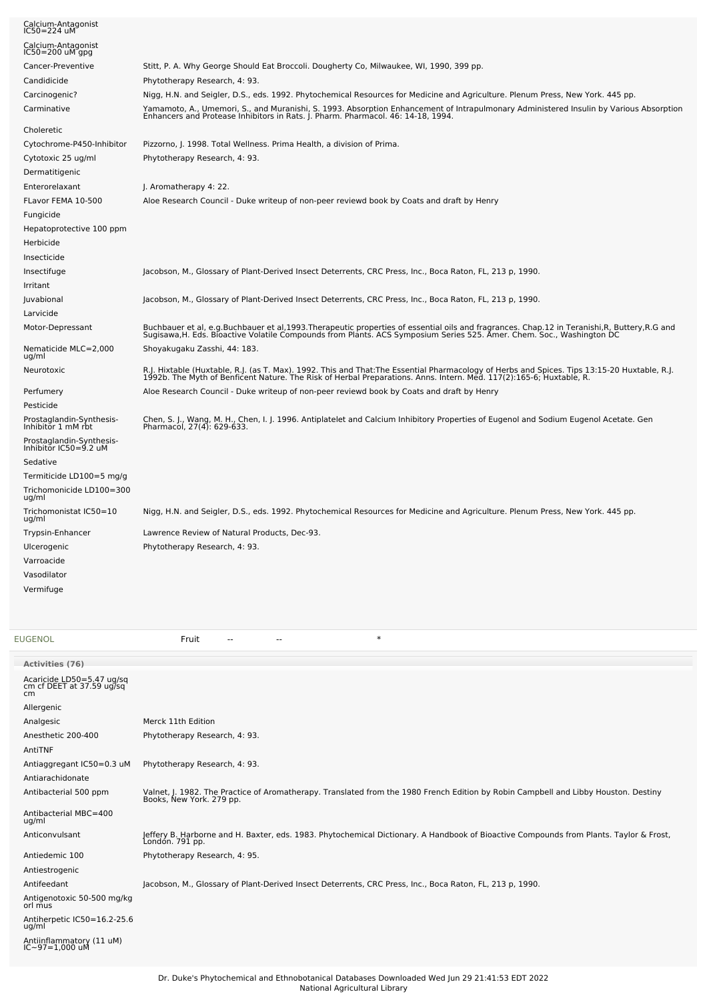| Calcium-Antagonist<br>IC50=224 uM                 |                                                                                                                                                                                                                                   |  |  |  |  |
|---------------------------------------------------|-----------------------------------------------------------------------------------------------------------------------------------------------------------------------------------------------------------------------------------|--|--|--|--|
| Calcium-Antagonist<br>$IC50 = 200$ uM gpg         |                                                                                                                                                                                                                                   |  |  |  |  |
| Cancer-Preventive                                 | Stitt, P. A. Why George Should Eat Broccoli. Dougherty Co, Milwaukee, WI, 1990, 399 pp.                                                                                                                                           |  |  |  |  |
| Candidicide                                       | Phytotherapy Research, 4: 93.                                                                                                                                                                                                     |  |  |  |  |
| Carcinogenic?                                     | Nigg, H.N. and Seigler, D.S., eds. 1992. Phytochemical Resources for Medicine and Agriculture. Plenum Press, New York. 445 pp.                                                                                                    |  |  |  |  |
| Carminative                                       | Yamamoto, A., Umemori, S., and Muranishi, S. 1993. Absorption Enhancement of Intrapulmonary Administered Insulin by Various Absorption<br>Enhancers and Protease Inhibitors in Rats. J. Pharm. Pharmacol. 46: 14-18, 1994.        |  |  |  |  |
| Choleretic                                        |                                                                                                                                                                                                                                   |  |  |  |  |
| Cytochrome-P450-Inhibitor                         | Pizzorno, J. 1998. Total Wellness. Prima Health, a division of Prima.                                                                                                                                                             |  |  |  |  |
| Cytotoxic 25 ug/ml                                | Phytotherapy Research, 4: 93.                                                                                                                                                                                                     |  |  |  |  |
| Dermatitigenic                                    |                                                                                                                                                                                                                                   |  |  |  |  |
| Enterorelaxant                                    | J. Aromatherapy 4: 22.                                                                                                                                                                                                            |  |  |  |  |
| FLavor FEMA 10-500                                | Aloe Research Council - Duke writeup of non-peer reviewd book by Coats and draft by Henry                                                                                                                                         |  |  |  |  |
| Fungicide                                         |                                                                                                                                                                                                                                   |  |  |  |  |
| Hepatoprotective 100 ppm                          |                                                                                                                                                                                                                                   |  |  |  |  |
| Herbicide                                         |                                                                                                                                                                                                                                   |  |  |  |  |
| Insecticide                                       |                                                                                                                                                                                                                                   |  |  |  |  |
| Insectifuge                                       | Jacobson, M., Glossary of Plant-Derived Insect Deterrents, CRC Press, Inc., Boca Raton, FL, 213 p, 1990.                                                                                                                          |  |  |  |  |
| Irritant                                          |                                                                                                                                                                                                                                   |  |  |  |  |
| Juvabional                                        | Jacobson, M., Glossary of Plant-Derived Insect Deterrents, CRC Press, Inc., Boca Raton, FL, 213 p, 1990.                                                                                                                          |  |  |  |  |
| Larvicide                                         |                                                                                                                                                                                                                                   |  |  |  |  |
| Motor-Depressant                                  | Buchbauer et al, e.g.Buchbauer et al,1993.Therapeutic properties of essential oils and fragrances. Chap.12 in Teranishi,R, Buttery,R.G and<br>Sugisawa,H. Eds. Bioactive Volatile Compounds from Plants. ACS Symposium Series 525 |  |  |  |  |
| Nematicide MLC=2,000<br>ug/ml                     | Shoyakugaku Zasshi, 44: 183.                                                                                                                                                                                                      |  |  |  |  |
| Neurotoxic                                        | R.J. Hixtable (Huxtable, R.J. (as T. Max). 1992. This and That:The Essential Pharmacology of Herbs and Spices. Tips 13:15-20 Huxtable, R.J.<br>1992b. The Myth of Benficent Nature. The Risk of Herbal Preparations. Anns. Intern |  |  |  |  |
| Perfumery                                         | Aloe Research Council - Duke writeup of non-peer reviewd book by Coats and draft by Henry                                                                                                                                         |  |  |  |  |
| Pesticide                                         |                                                                                                                                                                                                                                   |  |  |  |  |
| Prostaglandin-Synthesis-<br>Inhibitor 1 mM rbt    | Chen, S. J., Wang, M. H., Chen, I. J. 1996. Antiplatelet and Calcium Inhibitory Properties of Eugenol and Sodium Eugenol Acetate. Gen<br>Pharmacol, 27(4): 629-633.                                                               |  |  |  |  |
| Prostaglandin-Synthesis-<br>Inhibitor IC50=9.2 uM |                                                                                                                                                                                                                                   |  |  |  |  |
| Sedative                                          |                                                                                                                                                                                                                                   |  |  |  |  |
| Termiticide LD100=5 mg/g                          |                                                                                                                                                                                                                                   |  |  |  |  |
| Trichomonicide LD100=300<br>ug/ml                 |                                                                                                                                                                                                                                   |  |  |  |  |
| Trichomonistat IC50=10<br>ug/ml                   | Nigg, H.N. and Seigler, D.S., eds. 1992. Phytochemical Resources for Medicine and Agriculture. Plenum Press, New York. 445 pp.                                                                                                    |  |  |  |  |
| Trypsin-Enhancer                                  | Lawrence Review of Natural Products, Dec-93.                                                                                                                                                                                      |  |  |  |  |
| Ulcerogenic                                       | Phytotherapy Research, 4: 93.                                                                                                                                                                                                     |  |  |  |  |
| Varroacide                                        |                                                                                                                                                                                                                                   |  |  |  |  |
| Vasodilator                                       |                                                                                                                                                                                                                                   |  |  |  |  |
| Vermifuge                                         |                                                                                                                                                                                                                                   |  |  |  |  |
|                                                   |                                                                                                                                                                                                                                   |  |  |  |  |

[EUGENOL](file:///phytochem/chemicals/show/8298) Fruit -- -- \*

| <b>Activities (76)</b>                                       |                                                                                                                                                                 |
|--------------------------------------------------------------|-----------------------------------------------------------------------------------------------------------------------------------------------------------------|
| Acaricide LD50=5.47 ug/sq<br>cm cf DEET at 37.59 ug/sq<br>cm |                                                                                                                                                                 |
| Allergenic                                                   |                                                                                                                                                                 |
| Analgesic                                                    | Merck 11th Edition                                                                                                                                              |
| Anesthetic 200-400                                           | Phytotherapy Research, 4: 93.                                                                                                                                   |
| AntiTNF                                                      |                                                                                                                                                                 |
| Antiaggregant IC50=0.3 uM                                    | Phytotherapy Research, 4: 93.                                                                                                                                   |
| Antiarachidonate                                             |                                                                                                                                                                 |
| Antibacterial 500 ppm                                        | Valnet, J. 1982. The Practice of Aromatherapy. Translated from the 1980 French Edition by Robin Campbell and Libby Houston. Destiny<br>Books, New York. 279 pp. |
| Antibacterial MBC=400<br>ug/ml                               |                                                                                                                                                                 |
| Anticonvulsant                                               | Jeffery B. Harborne and H. Baxter, eds. 1983. Phytochemical Dictionary. A Handbook of Bioactive Compounds from Plants. Taylor & Frost,<br>London. 791 pp.       |
| Antiedemic 100                                               | Phytotherapy Research, 4: 95.                                                                                                                                   |
| Antiestrogenic                                               |                                                                                                                                                                 |
| Antifeedant                                                  | Jacobson, M., Glossary of Plant-Derived Insect Deterrents, CRC Press, Inc., Boca Raton, FL, 213 p, 1990.                                                        |
| Antigenotoxic 50-500 mg/kg<br>orl mus                        |                                                                                                                                                                 |
| Antiherpetic IC50=16.2-25.6<br>ug/ml                         |                                                                                                                                                                 |
| Antiinflammatory (11 uM)<br>IC~97=1,000 uM                   |                                                                                                                                                                 |
|                                                              |                                                                                                                                                                 |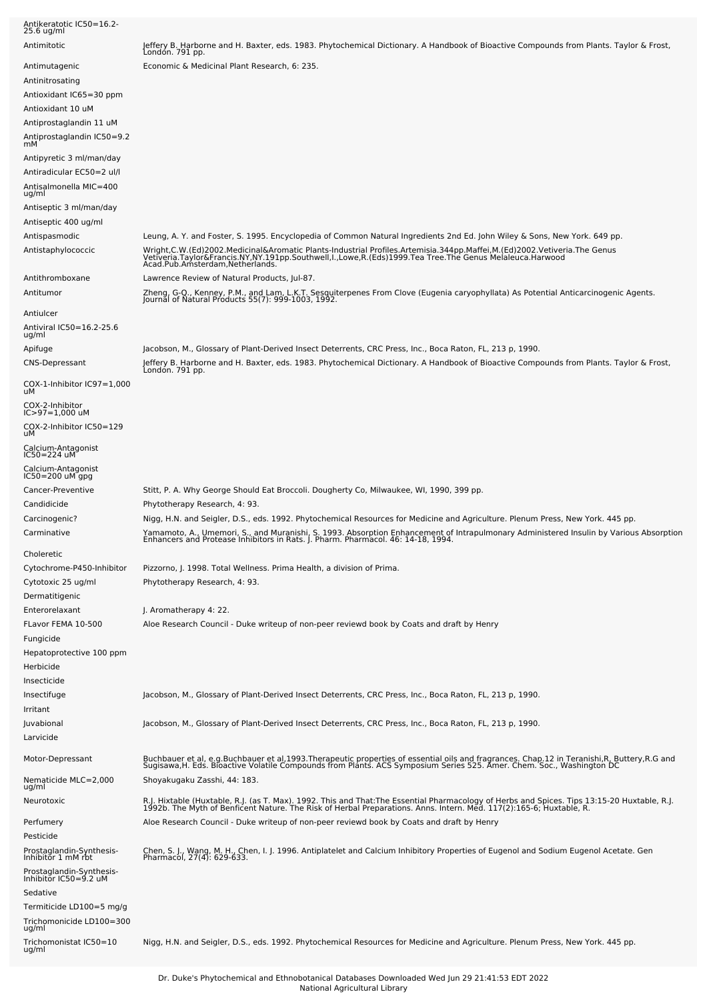| Antikeratotic IC50=16.2-<br>25.6 ug/ml               |                                                                                                                                                                                                                                                                                                                                                              |
|------------------------------------------------------|--------------------------------------------------------------------------------------------------------------------------------------------------------------------------------------------------------------------------------------------------------------------------------------------------------------------------------------------------------------|
| Antimitotic                                          | Jeffery B. Harborne and H. Baxter, eds. 1983. Phytochemical Dictionary. A Handbook of Bioactive Compounds from Plants. Taylor & Frost,<br>Londón. 791 pp.                                                                                                                                                                                                    |
| Antimutagenic                                        | Economic & Medicinal Plant Research, 6: 235.                                                                                                                                                                                                                                                                                                                 |
| Antinitrosating                                      |                                                                                                                                                                                                                                                                                                                                                              |
| Antioxidant IC65=30 ppm                              |                                                                                                                                                                                                                                                                                                                                                              |
| Antioxidant 10 uM                                    |                                                                                                                                                                                                                                                                                                                                                              |
| Antiprostaglandin 11 uM                              |                                                                                                                                                                                                                                                                                                                                                              |
| Antiprostaglandin IC50=9.2<br>mМ                     |                                                                                                                                                                                                                                                                                                                                                              |
| Antipyretic 3 ml/man/day                             |                                                                                                                                                                                                                                                                                                                                                              |
| Antiradicular EC50=2 ul/l                            |                                                                                                                                                                                                                                                                                                                                                              |
| Antisalmonella MIC=400<br>ug/ml                      |                                                                                                                                                                                                                                                                                                                                                              |
| Antiseptic 3 ml/man/day                              |                                                                                                                                                                                                                                                                                                                                                              |
| Antiseptic 400 ug/ml                                 |                                                                                                                                                                                                                                                                                                                                                              |
| Antispasmodic                                        | Leung, A. Y. and Foster, S. 1995. Encyclopedia of Common Natural Ingredients 2nd Ed. John Wiley & Sons, New York. 649 pp.                                                                                                                                                                                                                                    |
| Antistaphylococcic                                   | Wright,C.W.(Ed)2002.Medicinal&Aromatic Plants-Industrial Profiles.Artemisia.344pp.Maffei,M.(Ed)2002.Vetiveria.The Genus<br>Vetiveria.Taylor&Francis.NY,NY.191pp.Southwell,I.,Lowe,R.(Eds)1999.Tea Tree.The Genus Melaleuca.Harwoo<br>Acad.Pub.Amsterdam,Netherlands.                                                                                         |
| Antithromboxane                                      | Lawrence Review of Natural Products, Jul-87.                                                                                                                                                                                                                                                                                                                 |
| Antitumor                                            | Zheng, G-Q., Kenney, P.M., and Lam, L.K.T. Sesquiterpenes From Clove (Eugenia caryophyllata) As Potential Anticarcinogenic Agents.<br>Journal of Natural Products 55(7): 999-1003, 1992.                                                                                                                                                                     |
| Antiulcer                                            |                                                                                                                                                                                                                                                                                                                                                              |
| Antiviral IC50=16.2-25.6<br>ug/ml                    |                                                                                                                                                                                                                                                                                                                                                              |
| Apifuge                                              | Jacobson, M., Glossary of Plant-Derived Insect Deterrents, CRC Press, Inc., Boca Raton, FL, 213 p, 1990.                                                                                                                                                                                                                                                     |
| <b>CNS-Depressant</b>                                | Jeffery B. Harborne and H. Baxter, eds. 1983. Phytochemical Dictionary. A Handbook of Bioactive Compounds from Plants. Taylor & Frost,<br>London. 791 pp.                                                                                                                                                                                                    |
| COX-1-Inhibitor IC97=1,000<br>uМ                     |                                                                                                                                                                                                                                                                                                                                                              |
| COX-2-Inhibitor<br>IC>97=1,000 uM                    |                                                                                                                                                                                                                                                                                                                                                              |
| COX-2-Inhibitor IC50=129<br>uМ                       |                                                                                                                                                                                                                                                                                                                                                              |
| Calcium-Antagonist<br>IC50=224 uM                    |                                                                                                                                                                                                                                                                                                                                                              |
| Calcium-Antagonist<br>$IC50 = 200$ uM gpg            |                                                                                                                                                                                                                                                                                                                                                              |
| Cancer-Preventive                                    | Stitt, P. A. Why George Should Eat Broccoli. Dougherty Co, Milwaukee, WI, 1990, 399 pp.                                                                                                                                                                                                                                                                      |
| Candidicide                                          | Phytotherapy Research, 4: 93.                                                                                                                                                                                                                                                                                                                                |
| Carcinogenic?<br>Carminative                         | Nigg, H.N. and Seigler, D.S., eds. 1992. Phytochemical Resources for Medicine and Agriculture. Plenum Press, New York. 445 pp.<br>Yamamoto, A., Umemori, S., and Muranishi, S. 1993. Absorption Enhancement of Intrapulmonary Administered Insulin by Various Absorption<br>Enhancers and Protease Inhibitors in Rats. J. Pharm. Pharmacol. 46: 14-18, 1994. |
| Choleretic                                           |                                                                                                                                                                                                                                                                                                                                                              |
| Cytochrome-P450-Inhibitor                            | Pizzorno, J. 1998. Total Wellness. Prima Health, a division of Prima.                                                                                                                                                                                                                                                                                        |
| Cytotoxic 25 ug/ml                                   | Phytotherapy Research, 4: 93.                                                                                                                                                                                                                                                                                                                                |
| Dermatitigenic                                       |                                                                                                                                                                                                                                                                                                                                                              |
| Enterorelaxant                                       | J. Aromatherapy 4: 22.                                                                                                                                                                                                                                                                                                                                       |
| FLavor FEMA 10-500                                   | Aloe Research Council - Duke writeup of non-peer reviewd book by Coats and draft by Henry                                                                                                                                                                                                                                                                    |
| Fungicide                                            |                                                                                                                                                                                                                                                                                                                                                              |
| Hepatoprotective 100 ppm                             |                                                                                                                                                                                                                                                                                                                                                              |
| Herbicide                                            |                                                                                                                                                                                                                                                                                                                                                              |
| Insecticide                                          |                                                                                                                                                                                                                                                                                                                                                              |
| Insectifuge<br>Irritant                              | Jacobson, M., Glossary of Plant-Derived Insect Deterrents, CRC Press, Inc., Boca Raton, FL, 213 p, 1990.                                                                                                                                                                                                                                                     |
| Juvabional                                           | Jacobson, M., Glossary of Plant-Derived Insect Deterrents, CRC Press, Inc., Boca Raton, FL, 213 p, 1990.                                                                                                                                                                                                                                                     |
| Larvicide                                            |                                                                                                                                                                                                                                                                                                                                                              |
| Motor-Depressant                                     | Buchbauer et al, e.g.Buchbauer et al,1993.Therapeutic properties of essential oils and fragrances. Chap.12 in Teranishi,R, Buttery,R.G and<br>Sugisawa,H. Eds. Bioactive Volatile Compounds from Plants. ACS Symposium Series 525                                                                                                                            |
| Nematicide MLC=2,000<br>ug/ml                        | Shoyakugaku Zasshi, 44: 183.                                                                                                                                                                                                                                                                                                                                 |
| Neurotoxic                                           | R.J. Hixtable (Huxtable, R.J. (as T. Max). 1992. This and That:The Essential Pharmacology of Herbs and Spices. Tips 13:15-20 Huxtable, R.J.<br>1992b. The Myth of Benficent Nature. The Risk of Herbal Preparations. Anns. Intern                                                                                                                            |
| Perfumery                                            | Aloe Research Council - Duke writeup of non-peer reviewd book by Coats and draft by Henry                                                                                                                                                                                                                                                                    |
| Pesticide                                            |                                                                                                                                                                                                                                                                                                                                                              |
| Prostaglandin-Synthesis-<br>Inhibitŏr 1 mM rbt       | Chen, S. J., Wang, M. H., Chen, I. J. 1996. Antiplatelet and Calcium Inhibitory Properties of Eugenol and Sodium Eugenol Acetate. Gen<br>Pharmacol, 27(4): 629-633.                                                                                                                                                                                          |
| Prostaglandin-Synthesis-<br>Inhibitor IC50=9.2 uM    |                                                                                                                                                                                                                                                                                                                                                              |
| Sedative                                             |                                                                                                                                                                                                                                                                                                                                                              |
| Termiticide LD100=5 mg/g<br>Trichomonicide LD100=300 |                                                                                                                                                                                                                                                                                                                                                              |
| ug/ml<br>Trichomonistat IC50=10<br>ug/ml             | Nigg, H.N. and Seigler, D.S., eds. 1992. Phytochemical Resources for Medicine and Agriculture. Plenum Press, New York. 445 pp.                                                                                                                                                                                                                               |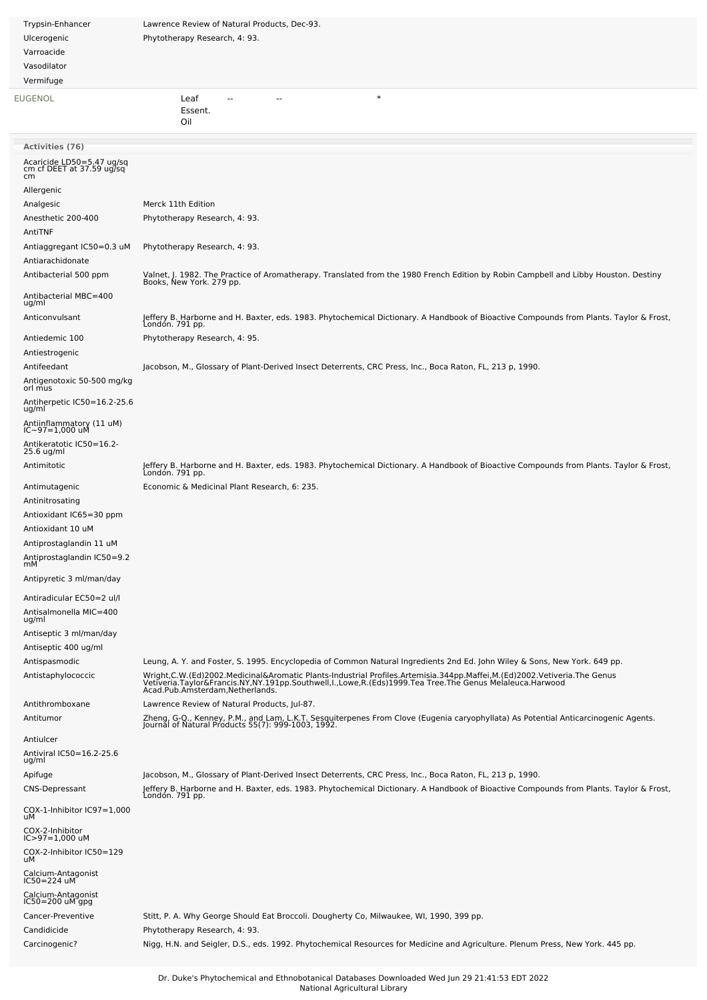| Trypsin-Enhancer                                             | Lawrence Review of Natural Products, Dec-93.                                                                                                                                                                                      |  |  |  |
|--------------------------------------------------------------|-----------------------------------------------------------------------------------------------------------------------------------------------------------------------------------------------------------------------------------|--|--|--|
| Ulcerogenic                                                  | Phytotherapy Research, 4: 93.                                                                                                                                                                                                     |  |  |  |
| Varroacide                                                   |                                                                                                                                                                                                                                   |  |  |  |
| Vasodilator                                                  |                                                                                                                                                                                                                                   |  |  |  |
| Vermifuge                                                    |                                                                                                                                                                                                                                   |  |  |  |
| EUGENOL                                                      | $\ast$<br>Leaf                                                                                                                                                                                                                    |  |  |  |
|                                                              | Essent.<br>Oil                                                                                                                                                                                                                    |  |  |  |
|                                                              |                                                                                                                                                                                                                                   |  |  |  |
| <b>Activities (76)</b>                                       |                                                                                                                                                                                                                                   |  |  |  |
| Acaricide LD50=5.47 ug/sq<br>cm cf DEET at 37.59 ug/sq<br>cm |                                                                                                                                                                                                                                   |  |  |  |
| Allergenic                                                   |                                                                                                                                                                                                                                   |  |  |  |
| Analgesic                                                    | Merck 11th Edition                                                                                                                                                                                                                |  |  |  |
| Anesthetic 200-400<br>AntiTNF                                | Phytotherapy Research, 4: 93.                                                                                                                                                                                                     |  |  |  |
| Antiaggregant IC50=0.3 uM                                    | Phytotherapy Research, 4: 93.                                                                                                                                                                                                     |  |  |  |
| Antiarachidonate                                             |                                                                                                                                                                                                                                   |  |  |  |
| Antibacterial 500 ppm                                        | Valnet, J. 1982. The Practice of Aromatherapy. Translated from the 1980 French Edition by Robin Campbell and Libby Houston. Destiny<br>Books, New York. 279 pp.                                                                   |  |  |  |
| Antibacterial MBC=400<br>ug/ml                               |                                                                                                                                                                                                                                   |  |  |  |
| Anticonvulsant                                               | Jeffery B. Harborne and H. Baxter, eds. 1983. Phytochemical Dictionary. A Handbook of Bioactive Compounds from Plants. Taylor & Frost,<br>Londón. 791 pp.                                                                         |  |  |  |
| Antiedemic 100                                               | Phytotherapy Research, 4: 95.                                                                                                                                                                                                     |  |  |  |
| Antiestrogenic                                               |                                                                                                                                                                                                                                   |  |  |  |
| Antifeedant<br>Antigenotoxic 50-500 mg/kg                    | Jacobson, M., Glossary of Plant-Derived Insect Deterrents, CRC Press, Inc., Boca Raton, FL, 213 p, 1990.                                                                                                                          |  |  |  |
| orl mus<br>Antiherpetic IC50=16.2-25.6                       |                                                                                                                                                                                                                                   |  |  |  |
| ug/ml<br>Antiinflammatory (11 uM)<br>IC~97=1,000 uM          |                                                                                                                                                                                                                                   |  |  |  |
| Antikeratotic IC50=16.2-                                     |                                                                                                                                                                                                                                   |  |  |  |
| 25.6 ug/ml                                                   |                                                                                                                                                                                                                                   |  |  |  |
| Antimitotic                                                  | Jeffery B. Harborne and H. Baxter, eds. 1983. Phytochemical Dictionary. A Handbook of Bioactive Compounds from Plants. Taylor & Frost,<br>London. 791 pp.                                                                         |  |  |  |
| Antimutagenic                                                | Economic & Medicinal Plant Research, 6: 235.                                                                                                                                                                                      |  |  |  |
| Antinitrosating<br>Antioxidant IC65=30 ppm                   |                                                                                                                                                                                                                                   |  |  |  |
| Antioxidant 10 uM                                            |                                                                                                                                                                                                                                   |  |  |  |
| Antiprostaglandin 11 uM                                      |                                                                                                                                                                                                                                   |  |  |  |
| Antiprostaglandin IC50=9.2<br>mМ                             |                                                                                                                                                                                                                                   |  |  |  |
| Antipyretic 3 ml/man/day                                     |                                                                                                                                                                                                                                   |  |  |  |
| Antiradicular EC50=2 ul/l                                    |                                                                                                                                                                                                                                   |  |  |  |
| Antisalmonella MIC=400                                       |                                                                                                                                                                                                                                   |  |  |  |
| ug/ml<br>Antiseptic 3 ml/man/day                             |                                                                                                                                                                                                                                   |  |  |  |
| Antiseptic 400 ug/ml                                         |                                                                                                                                                                                                                                   |  |  |  |
| Antispasmodic                                                | Leung, A. Y. and Foster, S. 1995. Encyclopedia of Common Natural Ingredients 2nd Ed. John Wiley & Sons, New York. 649 pp.                                                                                                         |  |  |  |
| Antistaphylococcic                                           | Wright,C.W.(Ed)2002.Medicinal&Aromatic Plants-Industrial Profiles.Artemisia.344pp.Maffei,M.(Ed)2002.Vetiveria.The Genus<br>Vetiveria.Taylor&Francis.NY,NY.191pp.Southwell,I.,Lowe,R.(Eds)1999.Tea Tree.The Genus Melaleuca.Harwoo |  |  |  |
|                                                              |                                                                                                                                                                                                                                   |  |  |  |
| Antithromboxane<br>Antitumor                                 | Lawrence Review of Natural Products, Jul-87.                                                                                                                                                                                      |  |  |  |
|                                                              | Zheng, G-Q., Kenney, P.M., and Lam, L.K.T. Sesquiterpenes From Clove (Eugenia caryophyllata) As Potential Anticarcinogenic Agents.<br>Journal of Natural Products 55(7): 999-1003, 1992.                                          |  |  |  |
| Antiulcer                                                    |                                                                                                                                                                                                                                   |  |  |  |
| Antiviral IC50=16.2-25.6<br>ug/ml                            |                                                                                                                                                                                                                                   |  |  |  |
| Apifuge                                                      | Jacobson, M., Glossary of Plant-Derived Insect Deterrents, CRC Press, Inc., Boca Raton, FL, 213 p, 1990.                                                                                                                          |  |  |  |
| <b>CNS-Depressant</b>                                        | Jeffery B. Harborne and H. Baxter, eds. 1983. Phytochemical Dictionary. A Handbook of Bioactive Compounds from Plants. Taylor & Frost,<br>London. 791 pp.                                                                         |  |  |  |
| COX-1-Inhibitor IC97=1,000<br>uМ                             |                                                                                                                                                                                                                                   |  |  |  |
| COX-2-Inhibitor<br>IC>97=1,000 uM                            |                                                                                                                                                                                                                                   |  |  |  |
| COX-2-Inhibitor IC50=129                                     |                                                                                                                                                                                                                                   |  |  |  |
| uМ                                                           |                                                                                                                                                                                                                                   |  |  |  |
| Calcium-Antagonist<br>IC50=224 uM                            |                                                                                                                                                                                                                                   |  |  |  |
| Calcium-Antagonist<br>$IC50 = 200$ uM gpg                    |                                                                                                                                                                                                                                   |  |  |  |
| Cancer-Preventive                                            | Stitt, P. A. Why George Should Eat Broccoli. Dougherty Co, Milwaukee, WI, 1990, 399 pp.                                                                                                                                           |  |  |  |
| Candidicide                                                  | Phytotherapy Research, 4: 93.                                                                                                                                                                                                     |  |  |  |
| Carcinogenic?                                                | Nigg, H.N. and Seigler, D.S., eds. 1992. Phytochemical Resources for Medicine and Agriculture. Plenum Press, New York. 445 pp.                                                                                                    |  |  |  |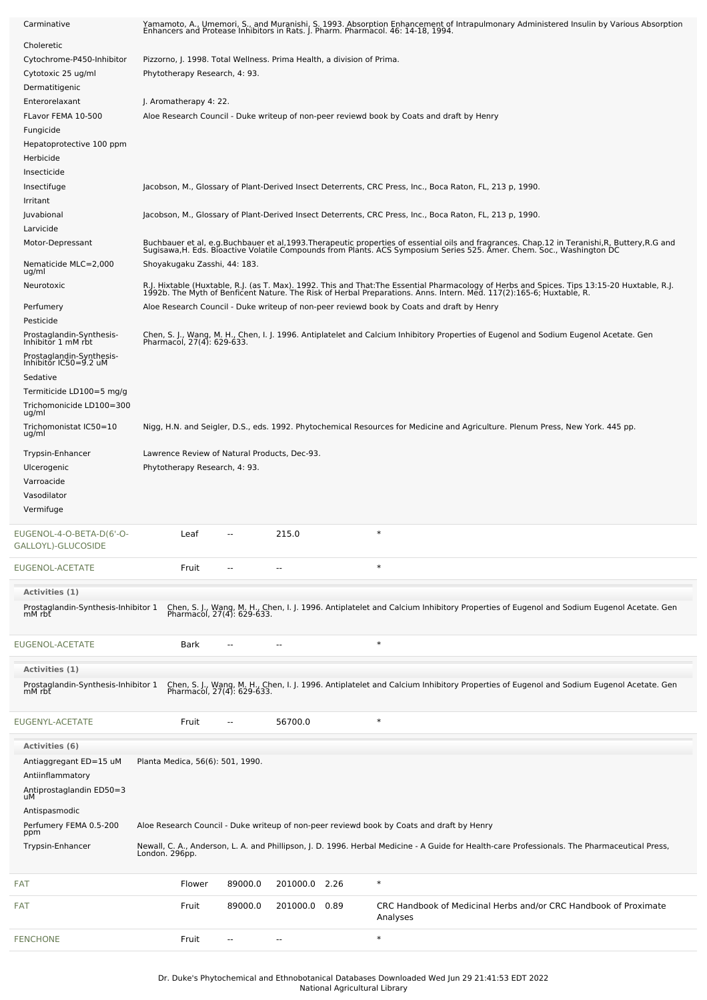| Carminative                                    | Yamamoto, A., Umemori, S., and Muranishi, S. 1993. Absorption Enhancement of Intrapulmonary Administered Insulin by Various Absorption<br>Enhancers and Protease Inhibitors in Rats. J. Pharm. Pharmacol. 46: 14-18, 1994.        |                |          |      |                                                                                                                                                                                                                                   |  |  |
|------------------------------------------------|-----------------------------------------------------------------------------------------------------------------------------------------------------------------------------------------------------------------------------------|----------------|----------|------|-----------------------------------------------------------------------------------------------------------------------------------------------------------------------------------------------------------------------------------|--|--|
| Choleretic                                     |                                                                                                                                                                                                                                   |                |          |      |                                                                                                                                                                                                                                   |  |  |
| Cytochrome-P450-Inhibitor                      | Pizzorno, J. 1998. Total Wellness. Prima Health, a division of Prima.                                                                                                                                                             |                |          |      |                                                                                                                                                                                                                                   |  |  |
| Cytotoxic 25 ug/ml<br>Dermatitigenic           | Phytotherapy Research, 4: 93.                                                                                                                                                                                                     |                |          |      |                                                                                                                                                                                                                                   |  |  |
| Enterorelaxant                                 | J. Aromatherapy 4: 22.                                                                                                                                                                                                            |                |          |      |                                                                                                                                                                                                                                   |  |  |
| FLavor FEMA 10-500                             |                                                                                                                                                                                                                                   |                |          |      | Aloe Research Council - Duke writeup of non-peer reviewd book by Coats and draft by Henry                                                                                                                                         |  |  |
| Fungicide                                      |                                                                                                                                                                                                                                   |                |          |      |                                                                                                                                                                                                                                   |  |  |
| Hepatoprotective 100 ppm<br>Herbicide          |                                                                                                                                                                                                                                   |                |          |      |                                                                                                                                                                                                                                   |  |  |
| Insecticide                                    |                                                                                                                                                                                                                                   |                |          |      |                                                                                                                                                                                                                                   |  |  |
| Insectifuge                                    |                                                                                                                                                                                                                                   |                |          |      | Jacobson, M., Glossary of Plant-Derived Insect Deterrents, CRC Press, Inc., Boca Raton, FL, 213 p, 1990.                                                                                                                          |  |  |
| Irritant<br>Juvabional                         |                                                                                                                                                                                                                                   |                |          |      | Jacobson, M., Glossary of Plant-Derived Insect Deterrents, CRC Press, Inc., Boca Raton, FL, 213 p, 1990.                                                                                                                          |  |  |
| Larvicide                                      |                                                                                                                                                                                                                                   |                |          |      |                                                                                                                                                                                                                                   |  |  |
| Motor-Depressant                               | Buchbauer et al, e.g.Buchbauer et al,1993.Therapeutic properties of essential oils and fragrances. Chap.12 in Teranishi,R, Buttery,R.G and<br>Sugisawa,H. Eds. Bioactive Volatile Compounds from Plants. ACS Symposium Series 525 |                |          |      |                                                                                                                                                                                                                                   |  |  |
| Nematicide MLC=2,000                           | Shoyakugaku Zasshi, 44: 183.                                                                                                                                                                                                      |                |          |      |                                                                                                                                                                                                                                   |  |  |
| ug/ml<br>Neurotoxic                            |                                                                                                                                                                                                                                   |                |          |      | R.J. Hixtable (Huxtable, R.J. (as T. Max). 1992. This and That:The Essential Pharmacology of Herbs and Spices. Tips 13:15-20 Huxtable, R.J.<br>1992b. The Myth of Benficent Nature. The Risk of Herbal Preparations. Anns. Intern |  |  |
| Perfumery                                      |                                                                                                                                                                                                                                   |                |          |      | Aloe Research Council - Duke writeup of non-peer reviewd book by Coats and draft by Henry                                                                                                                                         |  |  |
| Pesticide                                      |                                                                                                                                                                                                                                   |                |          |      |                                                                                                                                                                                                                                   |  |  |
| Prostaglandin-Synthesis-<br>Inhibitor 1 mM rbt |                                                                                                                                                                                                                                   |                |          |      | Chen, S. J., Wang, M. H., Chen, I. J. 1996. Antiplatelet and Calcium Inhibitory Properties of Eugenol and Sodium Eugenol Acetate. Gen<br>Pharmacol, 27(4): 629-633.                                                               |  |  |
| Prostaglandin-Synthesis-                       |                                                                                                                                                                                                                                   |                |          |      |                                                                                                                                                                                                                                   |  |  |
| Inhibitor IC50=9.2 uM<br>Sedative              |                                                                                                                                                                                                                                   |                |          |      |                                                                                                                                                                                                                                   |  |  |
| Termiticide LD100=5 mg/g                       |                                                                                                                                                                                                                                   |                |          |      |                                                                                                                                                                                                                                   |  |  |
| Trichomonicide LD100=300<br>ug/ml              |                                                                                                                                                                                                                                   |                |          |      |                                                                                                                                                                                                                                   |  |  |
| Trichomonistat IC50=10<br>ug/ml                |                                                                                                                                                                                                                                   |                |          |      | Nigg, H.N. and Seigler, D.S., eds. 1992. Phytochemical Resources for Medicine and Agriculture. Plenum Press, New York. 445 pp.                                                                                                    |  |  |
| Trypsin-Enhancer                               | Lawrence Review of Natural Products, Dec-93.                                                                                                                                                                                      |                |          |      |                                                                                                                                                                                                                                   |  |  |
| Ulcerogenic                                    | Phytotherapy Research, 4: 93.                                                                                                                                                                                                     |                |          |      |                                                                                                                                                                                                                                   |  |  |
| Varroacide<br>Vasodilator                      |                                                                                                                                                                                                                                   |                |          |      |                                                                                                                                                                                                                                   |  |  |
| Vermifuge                                      |                                                                                                                                                                                                                                   |                |          |      |                                                                                                                                                                                                                                   |  |  |
| EUGENOL-4-O-BETA-D(6'-O-                       | Leaf                                                                                                                                                                                                                              | --             | 215.0    |      | $\ast$                                                                                                                                                                                                                            |  |  |
| GALLOYL)-GLUCOSIDE                             |                                                                                                                                                                                                                                   |                |          |      |                                                                                                                                                                                                                                   |  |  |
| EUGENOL-ACETATE                                | Fruit                                                                                                                                                                                                                             |                |          |      | $\ast$                                                                                                                                                                                                                            |  |  |
| Activities (1)                                 |                                                                                                                                                                                                                                   |                |          |      |                                                                                                                                                                                                                                   |  |  |
| Prostaglandin-Synthesis-Inhibitor 1<br>mM rbt  |                                                                                                                                                                                                                                   |                |          |      | Chen, S. J., Wang, M. H., Chen, I. J. 1996. Antiplatelet and Calcium Inhibitory Properties of Eugenol and Sodium Eugenol Acetate. Gen<br>Pharmacol, 27(4): 629-633.                                                               |  |  |
|                                                |                                                                                                                                                                                                                                   |                |          |      |                                                                                                                                                                                                                                   |  |  |
| EUGENOL-ACETATE                                | Bark                                                                                                                                                                                                                              |                |          |      | $\ast$                                                                                                                                                                                                                            |  |  |
| Activities (1)                                 |                                                                                                                                                                                                                                   |                |          |      |                                                                                                                                                                                                                                   |  |  |
| Prostaglandin-Synthesis-Inhibitor 1<br>mM rbt  |                                                                                                                                                                                                                                   |                |          |      | Chen, S. J., Wang, M. H., Chen, I. J. 1996. Antiplatelet and Calcium Inhibitory Properties of Eugenol and Sodium Eugenol Acetate. Gen<br>Pharmacol, 27(4): 629-633.                                                               |  |  |
|                                                |                                                                                                                                                                                                                                   |                |          |      |                                                                                                                                                                                                                                   |  |  |
| EUGENYL-ACETATE                                | Fruit                                                                                                                                                                                                                             | $\overline{a}$ | 56700.0  |      | $\ast$                                                                                                                                                                                                                            |  |  |
| <b>Activities (6)</b>                          |                                                                                                                                                                                                                                   |                |          |      |                                                                                                                                                                                                                                   |  |  |
| Antiaggregant ED=15 uM                         | Planta Medica, 56(6): 501, 1990.                                                                                                                                                                                                  |                |          |      |                                                                                                                                                                                                                                   |  |  |
| Antiinflammatory                               |                                                                                                                                                                                                                                   |                |          |      |                                                                                                                                                                                                                                   |  |  |
| Antiprostaglandin ED50=3<br>uМ                 |                                                                                                                                                                                                                                   |                |          |      |                                                                                                                                                                                                                                   |  |  |
| Antispasmodic                                  |                                                                                                                                                                                                                                   |                |          |      |                                                                                                                                                                                                                                   |  |  |
| Perfumery FEMA 0.5-200<br>ppm                  | Aloe Research Council - Duke writeup of non-peer reviewd book by Coats and draft by Henry                                                                                                                                         |                |          |      |                                                                                                                                                                                                                                   |  |  |
| Trypsin-Enhancer                               | Newall, C. A., Anderson, L. A. and Phillipson, J. D. 1996. Herbal Medicine - A Guide for Health-care Professionals. The Pharmaceutical Press,<br>London. 296pp.                                                                   |                |          |      |                                                                                                                                                                                                                                   |  |  |
| FAT                                            | Flower                                                                                                                                                                                                                            | 89000.0        | 201000.0 | 2.26 | $\ast$                                                                                                                                                                                                                            |  |  |
| FAT                                            |                                                                                                                                                                                                                                   |                |          |      |                                                                                                                                                                                                                                   |  |  |
|                                                | Fruit                                                                                                                                                                                                                             | 89000.0        | 201000.0 | 0.89 | CRC Handbook of Medicinal Herbs and/or CRC Handbook of Proximate<br>Analyses                                                                                                                                                      |  |  |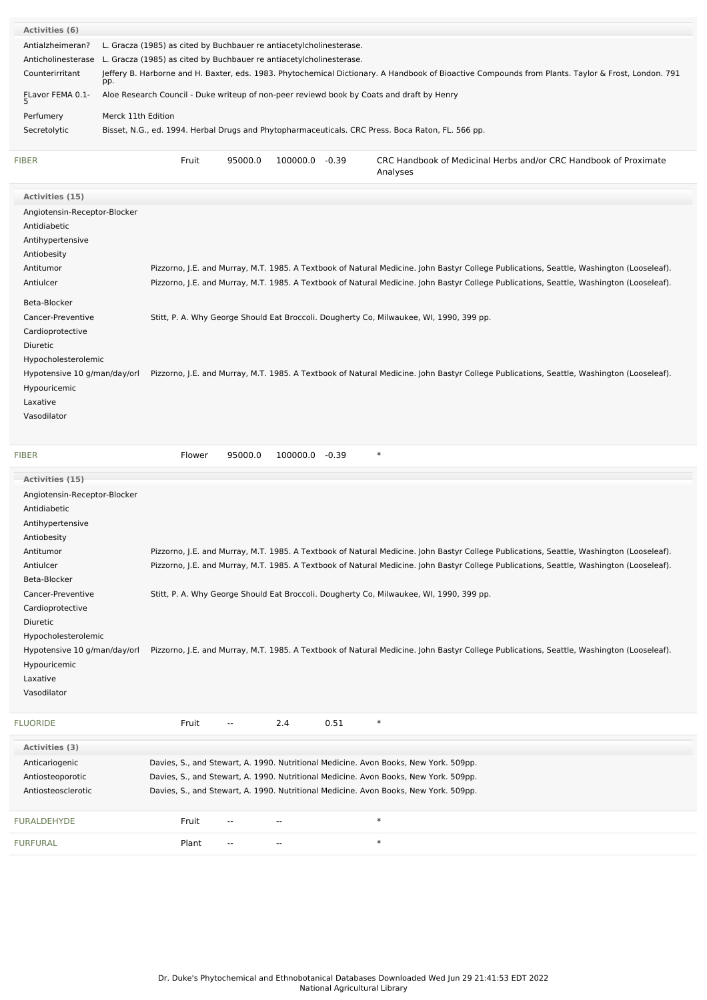| <b>Activities (6)</b>        |                                                                                                                                                           |  |  |  |  |
|------------------------------|-----------------------------------------------------------------------------------------------------------------------------------------------------------|--|--|--|--|
| Antialzheimeran?             | L. Gracza (1985) as cited by Buchbauer re antiacetylcholinesterase.                                                                                       |  |  |  |  |
| Anticholinesterase           | L. Gracza (1985) as cited by Buchbauer re antiacetylcholinesterase.                                                                                       |  |  |  |  |
| Counterirritant              | Jeffery B. Harborne and H. Baxter, eds. 1983. Phytochemical Dictionary. A Handbook of Bioactive Compounds from Plants. Taylor & Frost, London. 791<br>pp. |  |  |  |  |
| FLavor FEMA 0.1-<br>5        | Aloe Research Council - Duke writeup of non-peer reviewd book by Coats and draft by Henry                                                                 |  |  |  |  |
| Perfumery                    | Merck 11th Edition                                                                                                                                        |  |  |  |  |
| Secretolytic                 | Bisset, N.G., ed. 1994. Herbal Drugs and Phytopharmaceuticals. CRC Press. Boca Raton, FL. 566 pp.                                                         |  |  |  |  |
|                              |                                                                                                                                                           |  |  |  |  |
| <b>FIBER</b>                 | Fruit<br>95000.0<br>100000.0 -0.39<br>CRC Handbook of Medicinal Herbs and/or CRC Handbook of Proximate<br>Analyses                                        |  |  |  |  |
| Activities (15)              |                                                                                                                                                           |  |  |  |  |
| Angiotensin-Receptor-Blocker |                                                                                                                                                           |  |  |  |  |
| Antidiabetic                 |                                                                                                                                                           |  |  |  |  |
| Antihypertensive             |                                                                                                                                                           |  |  |  |  |
| Antiobesity                  |                                                                                                                                                           |  |  |  |  |
| Antitumor                    | Pizzorno, J.E. and Murray, M.T. 1985. A Textbook of Natural Medicine. John Bastyr College Publications, Seattle, Washington (Looseleaf).                  |  |  |  |  |
| Antiulcer                    | Pizzorno, J.E. and Murray, M.T. 1985. A Textbook of Natural Medicine. John Bastyr College Publications, Seattle, Washington (Looseleaf).                  |  |  |  |  |
| Beta-Blocker                 |                                                                                                                                                           |  |  |  |  |
| Cancer-Preventive            | Stitt, P. A. Why George Should Eat Broccoli. Dougherty Co, Milwaukee, WI, 1990, 399 pp.                                                                   |  |  |  |  |
| Cardioprotective             |                                                                                                                                                           |  |  |  |  |
| Diuretic                     |                                                                                                                                                           |  |  |  |  |
| Hypocholesterolemic          |                                                                                                                                                           |  |  |  |  |
| Hypotensive 10 g/man/day/orl | Pizzorno, J.E. and Murray, M.T. 1985. A Textbook of Natural Medicine. John Bastyr College Publications, Seattle, Washington (Looseleaf).                  |  |  |  |  |
| Hypouricemic                 |                                                                                                                                                           |  |  |  |  |
| Laxative                     |                                                                                                                                                           |  |  |  |  |
| Vasodilator                  |                                                                                                                                                           |  |  |  |  |
| <b>FIBER</b>                 | $\ast$<br>95000.0<br>100000.0 -0.39<br>Flower                                                                                                             |  |  |  |  |
| Activities (15)              |                                                                                                                                                           |  |  |  |  |
| Angiotensin-Receptor-Blocker |                                                                                                                                                           |  |  |  |  |
| Antidiabetic                 |                                                                                                                                                           |  |  |  |  |
| Antihypertensive             |                                                                                                                                                           |  |  |  |  |

| Antiobesity                  |                                                                                                                                          |
|------------------------------|------------------------------------------------------------------------------------------------------------------------------------------|
| Antitumor                    | Pizzorno, J.E. and Murray, M.T. 1985. A Textbook of Natural Medicine. John Bastyr College Publications, Seattle, Washington (Looseleaf). |
| Antiulcer                    | Pizzorno, J.E. and Murray, M.T. 1985. A Textbook of Natural Medicine. John Bastyr College Publications, Seattle, Washington (Looseleaf). |
| Beta-Blocker                 |                                                                                                                                          |
| Cancer-Preventive            | Stitt, P. A. Why George Should Eat Broccoli. Dougherty Co, Milwaukee, WI, 1990, 399 pp.                                                  |
| Cardioprotective             |                                                                                                                                          |
| <b>Diuretic</b>              |                                                                                                                                          |
| Hypocholesterolemic          |                                                                                                                                          |
| Hypotensive 10 g/man/day/orl | Pizzorno, J.E. and Murray, M.T. 1985. A Textbook of Natural Medicine. John Bastyr College Publications, Seattle, Washington (Looseleaf). |
| Hypouricemic                 |                                                                                                                                          |
| Laxative                     |                                                                                                                                          |
| Vasodilator                  |                                                                                                                                          |
|                              |                                                                                                                                          |
| <b>FLUORIDE</b>              | 2.4<br>0.51<br>$\ast$<br>Fruit<br>$\overline{\phantom{a}}$                                                                               |
| Activities (3)               |                                                                                                                                          |
| Anticariogenic               | Davies, S., and Stewart, A. 1990. Nutritional Medicine. Avon Books, New York. 509pp.                                                     |
| Antiosteoporotic             | Davies, S., and Stewart, A. 1990. Nutritional Medicine. Avon Books, New York. 509pp.                                                     |
| Antiosteosclerotic           | Davies, S., and Stewart, A. 1990. Nutritional Medicine. Avon Books, New York. 509pp.                                                     |
|                              |                                                                                                                                          |
| <b>FURALDEHYDE</b>           | $\ast$<br>Fruit                                                                                                                          |
|                              |                                                                                                                                          |

Dr. Duke's Phytochemical and Ethnobotanical Databases Downloaded Wed Jun 29 21:41:53 EDT 2022 National Agricultural Library

[FURFURAL](file:///phytochem/chemicals/show/8624) **Plant** -- - - - \* \*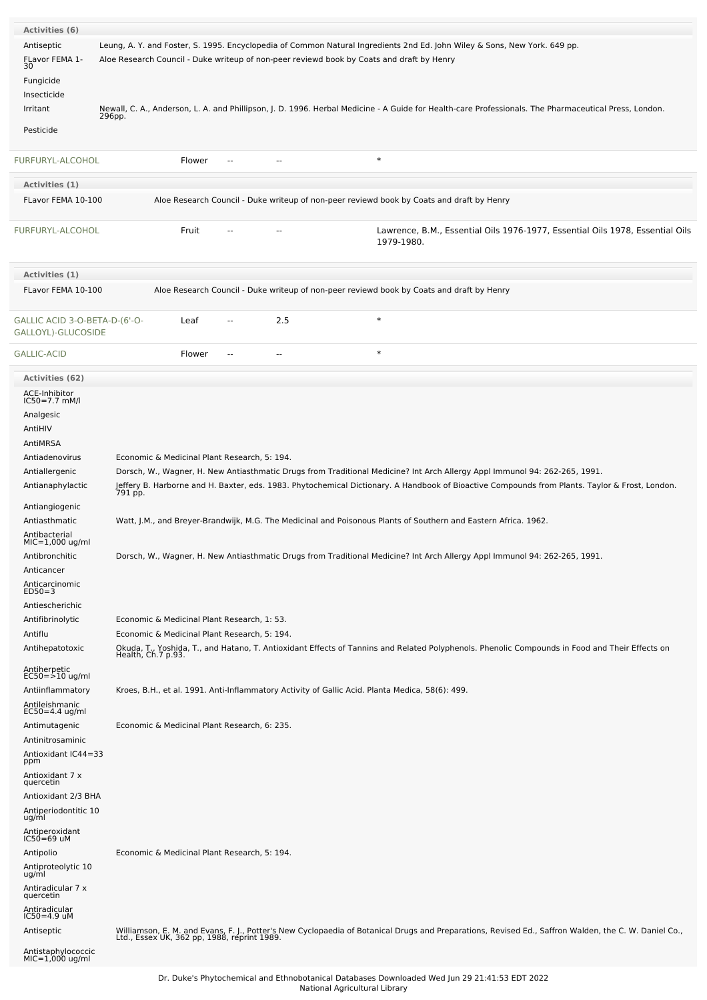| <b>Activities (6)</b>                               |                                                                                                                                                                                                                                                                                         |
|-----------------------------------------------------|-----------------------------------------------------------------------------------------------------------------------------------------------------------------------------------------------------------------------------------------------------------------------------------------|
| Antiseptic                                          | Leung, A. Y. and Foster, S. 1995. Encyclopedia of Common Natural Ingredients 2nd Ed. John Wiley & Sons, New York. 649 pp.                                                                                                                                                               |
| FLavor FEMA 1-<br>30                                | Aloe Research Council - Duke writeup of non-peer reviewd book by Coats and draft by Henry                                                                                                                                                                                               |
| Fungicide                                           |                                                                                                                                                                                                                                                                                         |
| Insecticide<br>Irritant                             | Newall, C. A., Anderson, L. A. and Phillipson, J. D. 1996. Herbal Medicine - A Guide for Health-care Professionals. The Pharmaceutical Press, London.                                                                                                                                   |
|                                                     | 296pp.                                                                                                                                                                                                                                                                                  |
| Pesticide                                           |                                                                                                                                                                                                                                                                                         |
| FURFURYL-ALCOHOL                                    | $\ast$<br>Flower<br>$\sim$ $\sim$<br>$\overline{a}$                                                                                                                                                                                                                                     |
| Activities (1)                                      |                                                                                                                                                                                                                                                                                         |
| FLavor FEMA 10-100                                  | Aloe Research Council - Duke writeup of non-peer reviewd book by Coats and draft by Henry                                                                                                                                                                                               |
| FURFURYL-ALCOHOL                                    | Fruit<br>Lawrence, B.M., Essential Oils 1976-1977, Essential Oils 1978, Essential Oils<br>1979-1980.                                                                                                                                                                                    |
| Activities (1)                                      |                                                                                                                                                                                                                                                                                         |
| FLavor FEMA 10-100                                  | Aloe Research Council - Duke writeup of non-peer reviewd book by Coats and draft by Henry                                                                                                                                                                                               |
| GALLIC ACID 3-O-BETA-D-(6'-O-<br>GALLOYL)-GLUCOSIDE | $\ast$<br>2.5<br>Leaf<br>$-$                                                                                                                                                                                                                                                            |
| <b>GALLIC-ACID</b>                                  | $\ast$<br>Flower<br>$\sim$<br>$-$                                                                                                                                                                                                                                                       |
| <b>Activities (62)</b>                              |                                                                                                                                                                                                                                                                                         |
| ACE-Inhibitor<br>$IC50 = 7.7$ mM/l                  |                                                                                                                                                                                                                                                                                         |
| Analgesic                                           |                                                                                                                                                                                                                                                                                         |
| AntiHIV                                             |                                                                                                                                                                                                                                                                                         |
| AntiMRSA                                            |                                                                                                                                                                                                                                                                                         |
| Antiadenovirus                                      | Economic & Medicinal Plant Research, 5: 194.                                                                                                                                                                                                                                            |
| Antiallergenic<br>Antianaphylactic                  | Dorsch, W., Wagner, H. New Antiasthmatic Drugs from Traditional Medicine? Int Arch Allergy Appl Immunol 94: 262-265, 1991.<br>Jeffery B. Harborne and H. Baxter, eds. 1983. Phytochemical Dictionary. A Handbook of Bioactive Compounds from Plants. Taylor & Frost, London.<br>791 pp. |
| Antiangiogenic                                      |                                                                                                                                                                                                                                                                                         |
| Antiasthmatic                                       | Watt, J.M., and Breyer-Brandwijk, M.G. The Medicinal and Poisonous Plants of Southern and Eastern Africa. 1962.                                                                                                                                                                         |
| Antibacterial<br>MIC=1,000 ug/ml                    |                                                                                                                                                                                                                                                                                         |
| Antibronchitic                                      | Dorsch, W., Wagner, H. New Antiasthmatic Drugs from Traditional Medicine? Int Arch Allergy Appl Immunol 94: 262-265, 1991                                                                                                                                                               |
| Anticancer                                          |                                                                                                                                                                                                                                                                                         |
| Anticarcinomic<br>$ED50=3$                          |                                                                                                                                                                                                                                                                                         |
| Antiescherichic                                     |                                                                                                                                                                                                                                                                                         |
| Antifibrinolytic                                    | Economic & Medicinal Plant Research, 1: 53.                                                                                                                                                                                                                                             |
| Antiflu<br>Antihepatotoxic                          | Economic & Medicinal Plant Research, 5: 194.                                                                                                                                                                                                                                            |
|                                                     | Okuda, T., Yoshida, T., and Hatano, T. Antioxidant Effects of Tannins and Related Polyphenols. Phenolic Compounds in Food and Their Effects on<br>Health, Ch.7 p.93.                                                                                                                    |
| Antiherpetic<br>EC50=>10 ug/ml                      |                                                                                                                                                                                                                                                                                         |
| Antiinflammatory                                    | Kroes, B.H., et al. 1991. Anti-Inflammatory Activity of Gallic Acid. Planta Medica, 58(6): 499.                                                                                                                                                                                         |
| Antileishmanic<br>EC50=4.4 ug/ml                    |                                                                                                                                                                                                                                                                                         |
| Antimutagenic                                       | Economic & Medicinal Plant Research, 6: 235.                                                                                                                                                                                                                                            |
| Antinitrosaminic                                    |                                                                                                                                                                                                                                                                                         |
| Antioxidant IC44=33<br>ppm                          |                                                                                                                                                                                                                                                                                         |
| Antioxidant 7 x<br>quercetin                        |                                                                                                                                                                                                                                                                                         |
| Antioxidant 2/3 BHA                                 |                                                                                                                                                                                                                                                                                         |
| Antiperiodontitic 10<br>ug/ml                       |                                                                                                                                                                                                                                                                                         |
| Antiperoxidant<br>IC50=69 uM                        |                                                                                                                                                                                                                                                                                         |
|                                                     | Economic & Medicinal Plant Research, 5: 194.                                                                                                                                                                                                                                            |
| Antipolio<br>Antiproteolytic 10                     |                                                                                                                                                                                                                                                                                         |
| ug/ml                                               |                                                                                                                                                                                                                                                                                         |
| Antiradicular 7 x<br>quercetin                      |                                                                                                                                                                                                                                                                                         |
| Antiradicular<br>IC50=4.9 uM                        |                                                                                                                                                                                                                                                                                         |
| Antiseptic                                          | Williamson, E. M. and Evans, F. J., Potter's New Cyclopaedia of Botanical Drugs and Preparations, Revised Ed., Saffron Walden, the C. W. Daniel Co., Ltd., Essex UK, 362 pp, 1988, reprint 1989.                                                                                        |
| Antistaphylococcic<br>MIC=1,000 ug/ml               |                                                                                                                                                                                                                                                                                         |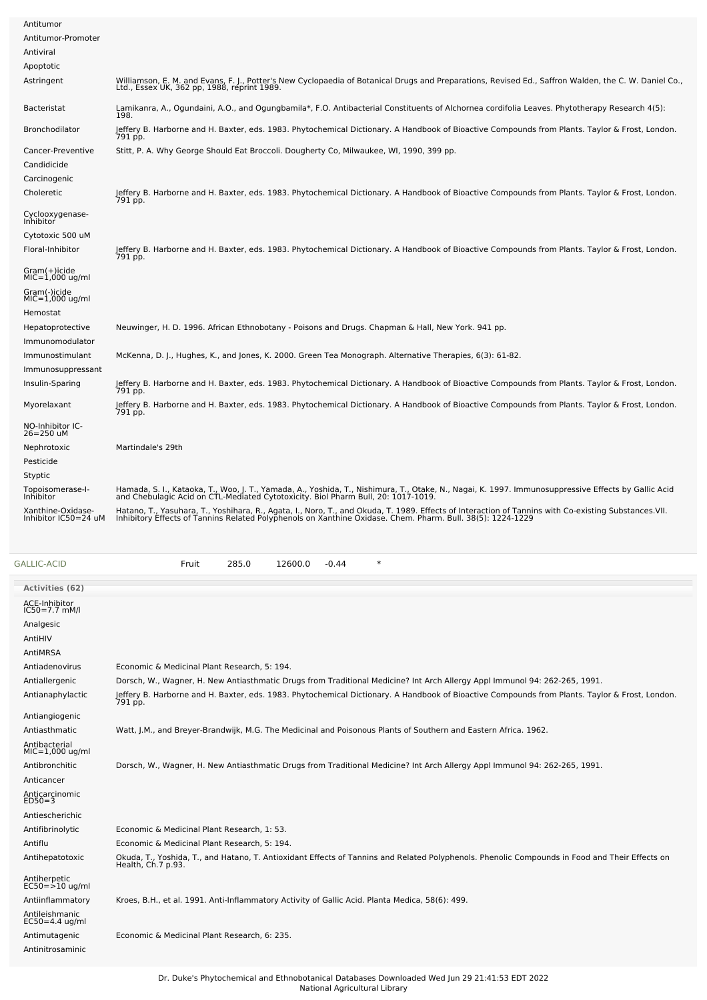| Antitumor                                 |                                                                                                                                                                                                                                          |
|-------------------------------------------|------------------------------------------------------------------------------------------------------------------------------------------------------------------------------------------------------------------------------------------|
| Antitumor-Promoter                        |                                                                                                                                                                                                                                          |
| Antiviral                                 |                                                                                                                                                                                                                                          |
| Apoptotic                                 |                                                                                                                                                                                                                                          |
| Astringent                                | Williamson, E. M. and Evans, F. J., Potter's New Cyclopaedia of Botanical Drugs and Preparations, Revised Ed., Saffron Walden, the C. W. Daniel Co.,<br>Ltd., Essex UK, 362 pp, 1988, reprint 1989.                                      |
| <b>Bacteristat</b>                        | Lamikanra, A., Ogundaini, A.O., and Ogungbamila*, F.O. Antibacterial Constituents of Alchornea cordifolia Leaves. Phytotherapy Research 4(5):<br>198.                                                                                    |
| Bronchodilator                            | Jeffery B. Harborne and H. Baxter, eds. 1983. Phytochemical Dictionary. A Handbook of Bioactive Compounds from Plants. Taylor & Frost, London.<br>791 pp.                                                                                |
| Cancer-Preventive                         | Stitt, P. A. Why George Should Eat Broccoli. Dougherty Co, Milwaukee, WI, 1990, 399 pp.                                                                                                                                                  |
| Candidicide                               |                                                                                                                                                                                                                                          |
| Carcinogenic                              |                                                                                                                                                                                                                                          |
| Choleretic                                | Jeffery B. Harborne and H. Baxter, eds. 1983. Phytochemical Dictionary. A Handbook of Bioactive Compounds from Plants. Taylor & Frost, London.<br>791 pp.                                                                                |
| Cyclooxygenase-<br>Inhibitor              |                                                                                                                                                                                                                                          |
| Cytotoxic 500 uM                          |                                                                                                                                                                                                                                          |
| Floral-Inhibitor                          | Jeffery B. Harborne and H. Baxter, eds. 1983. Phytochemical Dictionary. A Handbook of Bioactive Compounds from Plants. Taylor & Frost, London.<br>791 pp.                                                                                |
| Gram(+)icide<br>$MIC=1,000$ ug/ml         |                                                                                                                                                                                                                                          |
| Gram(-)icide<br>$MIC=1,000$ ug/ml         |                                                                                                                                                                                                                                          |
| Hemostat                                  |                                                                                                                                                                                                                                          |
| Hepatoprotective                          | Neuwinger, H. D. 1996. African Ethnobotany - Poisons and Drugs. Chapman & Hall, New York. 941 pp.                                                                                                                                        |
| Immunomodulator                           |                                                                                                                                                                                                                                          |
| Immunostimulant                           | McKenna, D. J., Hughes, K., and Jones, K. 2000. Green Tea Monograph. Alternative Therapies, 6(3): 61-82.                                                                                                                                 |
| Immunosuppressant                         |                                                                                                                                                                                                                                          |
| Insulin-Sparing                           | Jeffery B. Harborne and H. Baxter, eds. 1983. Phytochemical Dictionary. A Handbook of Bioactive Compounds from Plants. Taylor & Frost, London.<br>791 pp.                                                                                |
| Myorelaxant                               | Jeffery B. Harborne and H. Baxter, eds. 1983. Phytochemical Dictionary. A Handbook of Bioactive Compounds from Plants. Taylor & Frost, London.<br>791 pp.                                                                                |
| NO-Inhibitor IC-<br>26=250 uM             |                                                                                                                                                                                                                                          |
| Nephrotoxic                               | Martindale's 29th                                                                                                                                                                                                                        |
| Pesticide                                 |                                                                                                                                                                                                                                          |
| Styptic                                   |                                                                                                                                                                                                                                          |
| Topoisomerase-I-<br>Inhibitor             | Hamada, S. I., Kataoka, T., Woo, J. T., Yamada, A., Yoshida, T., Nishimura, T., Otake, N., Nagai, K. 1997. Immunosuppressive Effects by Gallic Acid<br>and Chebulagic Acid on CTL-Mediated Cytotoxicity. Biol Pharm Bull, 20: 1017-1019. |
| Xanthine-Oxidase-<br>Inhibitor IC50=24 uM | Hatano, T., Yasuhara, T., Yoshihara, R., Agata, I., Noro, T., and Okuda, T. 1989. Effects of Interaction of Tannins with Co-existing Substances.VII.<br>Inhibitory Effects of Tannins Related Polyphenols on Xanthine Oxidase. Ch        |
|                                           |                                                                                                                                                                                                                                          |

| <b>GALLIC-ACID</b> |  |  |
|--------------------|--|--|
|                    |  |  |

Fruit 285.0 12600.0 -0.44 \*

| Activities (62)                    |                                                                                                                                                                      |
|------------------------------------|----------------------------------------------------------------------------------------------------------------------------------------------------------------------|
| ACE-Inhibitor<br>$IC50 = 7.7$ mM/l |                                                                                                                                                                      |
| Analgesic                          |                                                                                                                                                                      |
| AntiHIV                            |                                                                                                                                                                      |
| AntiMRSA                           |                                                                                                                                                                      |
| Antiadenovirus                     | Economic & Medicinal Plant Research, 5: 194.                                                                                                                         |
| Antiallergenic                     | Dorsch, W., Wagner, H. New Antiasthmatic Drugs from Traditional Medicine? Int Arch Allergy Appl Immunol 94: 262-265, 1991.                                           |
| Antianaphylactic                   | Jeffery B. Harborne and H. Baxter, eds. 1983. Phytochemical Dictionary. A Handbook of Bioactive Compounds from Plants. Taylor & Frost, London.<br>791 pp.            |
| Antiangiogenic                     |                                                                                                                                                                      |
| Antiasthmatic                      | Watt, J.M., and Breyer-Brandwijk, M.G. The Medicinal and Poisonous Plants of Southern and Eastern Africa. 1962.                                                      |
| Antibacterial<br>$MIC=1,000 uq/ml$ |                                                                                                                                                                      |
| Antibronchitic                     | Dorsch, W., Wagner, H. New Antiasthmatic Drugs from Traditional Medicine? Int Arch Allergy Appl Immunol 94: 262-265, 1991.                                           |
| Anticancer                         |                                                                                                                                                                      |
| Anticarcinomic<br>$ED50=3$         |                                                                                                                                                                      |
| Antiescherichic                    |                                                                                                                                                                      |
| Antifibrinolytic                   | Economic & Medicinal Plant Research, 1: 53.                                                                                                                          |
| Antiflu                            | Economic & Medicinal Plant Research, 5: 194.                                                                                                                         |
| Antihepatotoxic                    | Okuda, T., Yoshida, T., and Hatano, T. Antioxidant Effects of Tannins and Related Polyphenols. Phenolic Compounds in Food and Their Effects on<br>Health, Ch.7 p.93. |
| Antiherpetic<br>$EC50 = 10$ ug/ml  |                                                                                                                                                                      |
| Antiinflammatory                   | Kroes, B.H., et al. 1991. Anti-Inflammatory Activity of Gallic Acid. Planta Medica, 58(6): 499.                                                                      |
| Antileishmanic<br>$EC50=4.4$ ug/ml |                                                                                                                                                                      |
| Antimutagenic                      | Economic & Medicinal Plant Research, 6: 235.                                                                                                                         |
| Antinitrosaminic                   |                                                                                                                                                                      |
|                                    |                                                                                                                                                                      |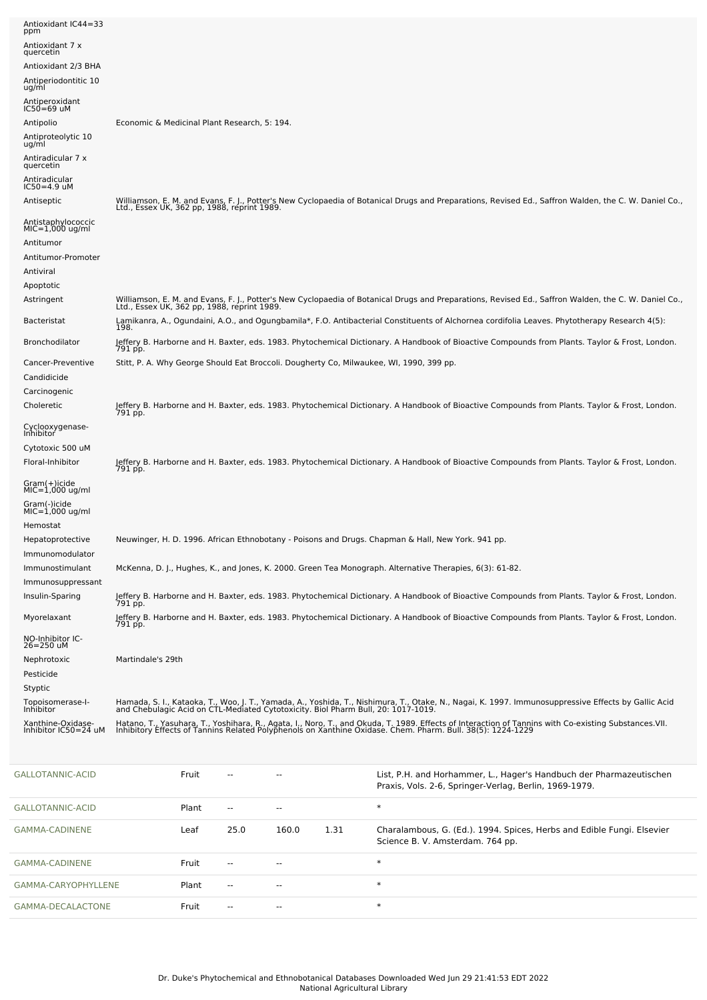| Antioxidant IC44=33<br>ppm              |                                                                                                                                                                                                                                   |
|-----------------------------------------|-----------------------------------------------------------------------------------------------------------------------------------------------------------------------------------------------------------------------------------|
| Antioxidant 7 x<br>quercetin            |                                                                                                                                                                                                                                   |
| Antioxidant 2/3 BHA                     |                                                                                                                                                                                                                                   |
| Antiperiodontitic 10<br>ug/ml           |                                                                                                                                                                                                                                   |
| Antiperoxidant<br>$IC50=69$ uM          |                                                                                                                                                                                                                                   |
| Antipolio                               | Economic & Medicinal Plant Research, 5: 194.                                                                                                                                                                                      |
| Antiproteolytic 10<br>ug/ml             |                                                                                                                                                                                                                                   |
| Antiradicular 7 x<br>quercetin          |                                                                                                                                                                                                                                   |
| Antiradicular<br>$IC50=4.9$ uM          |                                                                                                                                                                                                                                   |
| Antiseptic                              | Williamson, E. M. and Evans, F. J., Potter's New Cyclopaedia of Botanical Drugs and Preparations, Revised Ed., Saffron Walden, the C. W. Daniel Co.,<br>Ltd., Essex UK, 362 pp, 1988, reprint 1989.                               |
| Antistaphylococcic<br>$MIC=1,000$ ug/ml |                                                                                                                                                                                                                                   |
| Antitumor                               |                                                                                                                                                                                                                                   |
| Antitumor-Promoter                      |                                                                                                                                                                                                                                   |
| Antiviral                               |                                                                                                                                                                                                                                   |
| Apoptotic                               |                                                                                                                                                                                                                                   |
| Astringent                              | Williamson, E. M. and Evans, F. J., Potter's New Cyclopaedia of Botanical Drugs and Preparations, Revised Ed., Saffron Walden, the C. W. Daniel Co.,<br>Ltd., Essex UK, 362 pp, 1988, reprint 1989.                               |
| <b>Bacteristat</b>                      | Lamikanra, A., Ogundaini, A.O., and Ogungbamila*, F.O. Antibacterial Constituents of Alchornea cordifolia Leaves. Phytotherapy Research 4(5):<br>198.                                                                             |
| Bronchodilator                          | Jeffery B. Harborne and H. Baxter, eds. 1983. Phytochemical Dictionary. A Handbook of Bioactive Compounds from Plants. Taylor & Frost, London.<br>791 pp.                                                                         |
| Cancer-Preventive                       | Stitt, P. A. Why George Should Eat Broccoli. Dougherty Co, Milwaukee, WI, 1990, 399 pp.                                                                                                                                           |
| Candidicide                             |                                                                                                                                                                                                                                   |
| Carcinogenic                            |                                                                                                                                                                                                                                   |
| Choleretic                              | Jeffery B. Harborne and H. Baxter, eds. 1983. Phytochemical Dictionary. A Handbook of Bioactive Compounds from Plants. Taylor & Frost, London.<br>791 pp.                                                                         |
| Cyclooxygenase-<br>Inhibitor            |                                                                                                                                                                                                                                   |
| Cytotoxic 500 uM                        |                                                                                                                                                                                                                                   |
| Floral-Inhibitor                        | Jeffery B. Harborne and H. Baxter, eds. 1983. Phytochemical Dictionary. A Handbook of Bioactive Compounds from Plants. Taylor & Frost, London.<br>791 pp.                                                                         |
| Gram(+)icide<br>$MIC=1,000$ ug/ml       |                                                                                                                                                                                                                                   |
| Gram(-)icide<br>MIC=1,000 ug/ml         |                                                                                                                                                                                                                                   |
| Hemostat                                |                                                                                                                                                                                                                                   |
| Hepatoprotective<br>Immunomodulator     | Neuwinger, H. D. 1996. African Ethnobotany - Poisons and Drugs. Chapman & Hall, New York. 941 pp.                                                                                                                                 |
| Immunostimulant                         | McKenna, D. J., Hughes, K., and Jones, K. 2000. Green Tea Monograph. Alternative Therapies, 6(3): 61-82.                                                                                                                          |
| Immunosuppressant                       |                                                                                                                                                                                                                                   |
| Insulin-Sparing                         | Jeffery B. Harborne and H. Baxter, eds. 1983. Phytochemical Dictionary. A Handbook of Bioactive Compounds from Plants. Taylor & Frost, London.<br>791 pp.                                                                         |
| Myorelaxant                             | Jeffery B. Harborne and H. Baxter, eds. 1983. Phytochemical Dictionary. A Handbook of Bioactive Compounds from Plants. Taylor & Frost, London.<br>791 pp.                                                                         |
| NO-Inhibitor IC-<br>26=250 uM           |                                                                                                                                                                                                                                   |
| Nephrotoxic                             | Martindale's 29th                                                                                                                                                                                                                 |
| Pesticide                               |                                                                                                                                                                                                                                   |
| Styptic                                 |                                                                                                                                                                                                                                   |
| Topoisomerase-I-<br>Inhibitor           | Hamada, S. I., Kataoka, T., Woo, J. T., Yamada, A., Yoshida, T., Nishimura, T., Otake, N., Nagai, K. 1997. Immunosuppressive Effects by Gallic Acid<br>and Chebulagic Acid on CTL-Mediated Cytotoxicity. Biol Pharm Bull, 20: 101 |
| Xanthine-Oxidase-                       | Hatano, T., Yasuhara, T., Yoshihara, R., Agata, I., Noro, T., and Okuda, T. 1989. Effects of Interaction of Tannins with Co-existing Substances VII.                                                                              |
| Inhibitor IC50=24 uM                    | Inhibitory Effects of Tannins Related Polyphenols on Xanthine Oxidase. Chem. Pharm. Bull. 38(5): 1224-1229                                                                                                                        |

| GALLOTANNIC-ACID    | Fruit | $ -$          | --    |      | List, P.H. and Horhammer, L., Hager's Handbuch der Pharmazeutischen<br>Praxis, Vols. 2-6, Springer-Verlag, Berlin, 1969-1979. |
|---------------------|-------|---------------|-------|------|-------------------------------------------------------------------------------------------------------------------------------|
| GALLOTANNIC-ACID    | Plant | $\sim$ $\sim$ | $-$   |      | $\ast$                                                                                                                        |
| GAMMA-CADINENE      | Leaf  | 25.0          | 160.0 | 1.31 | Charalambous, G. (Ed.). 1994. Spices, Herbs and Edible Fungi. Elsevier<br>Science B. V. Amsterdam. 764 pp.                    |
| GAMMA-CADINENE      | Fruit | $\sim$ $\sim$ | $-$   |      | $\ast$                                                                                                                        |
| GAMMA-CARYOPHYLLENE | Plant | $\sim$ $\sim$ | $- -$ |      | $\ast$                                                                                                                        |
| GAMMA-DECALACTONE   | Fruit | $\sim$ $\sim$ | $- -$ |      | $\ast$                                                                                                                        |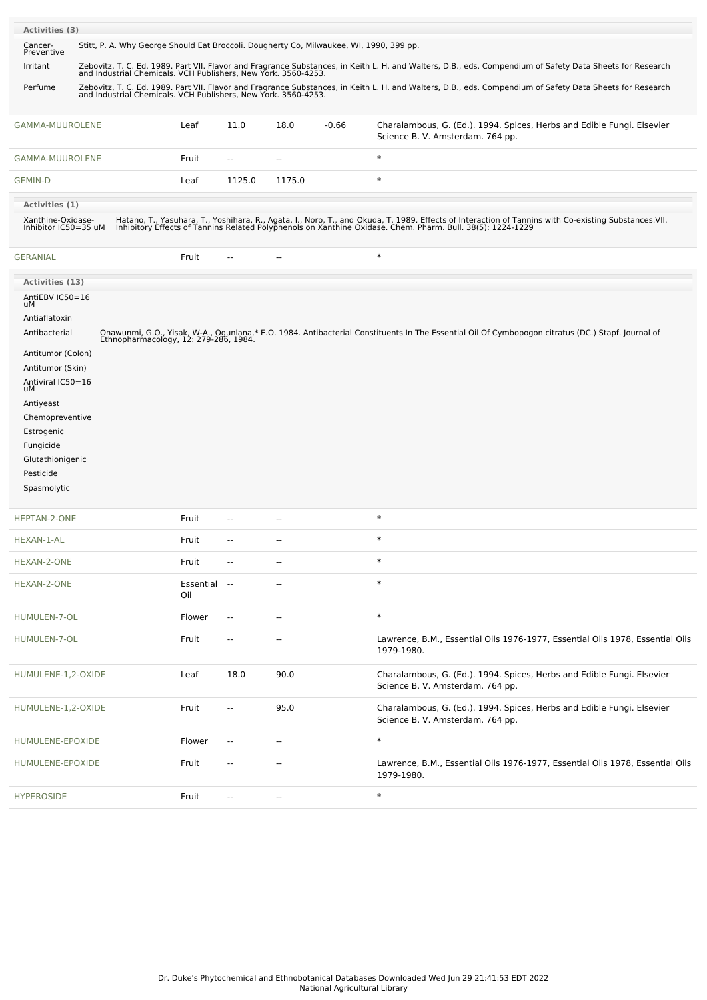| Activities (3)                            |                                                                                                                                                                                                                          |                                                                                         |                     |                |                          |         |                                                                                                                                                                                                                                   |
|-------------------------------------------|--------------------------------------------------------------------------------------------------------------------------------------------------------------------------------------------------------------------------|-----------------------------------------------------------------------------------------|---------------------|----------------|--------------------------|---------|-----------------------------------------------------------------------------------------------------------------------------------------------------------------------------------------------------------------------------------|
| Cancer-<br>Preventive                     |                                                                                                                                                                                                                          | Stitt, P. A. Why George Should Eat Broccoli. Dougherty Co, Milwaukee, WI, 1990, 399 pp. |                     |                |                          |         |                                                                                                                                                                                                                                   |
| Irritant                                  | Zebovitz, T. C. Ed. 1989. Part VII. Flavor and Fragrance Substances, in Keith L. H. and Walters, D.B., eds. Compendium of Safety Data Sheets for Research and Industrial Chemicals. VCH Publishers, New York. 3560-4253. |                                                                                         |                     |                |                          |         |                                                                                                                                                                                                                                   |
| Perfume                                   |                                                                                                                                                                                                                          |                                                                                         |                     |                |                          |         | Zebovitz, T. C. Ed. 1989. Part VII. Flavor and Fragrance Substances, in Keith L. H. and Walters, D.B., eds. Compendium of Safety Data Sheets for Research and Industrial Chemicals. VCH Publishers, New York. 3560-4253.          |
|                                           |                                                                                                                                                                                                                          |                                                                                         |                     |                |                          |         |                                                                                                                                                                                                                                   |
| GAMMA-MUUROLENE                           |                                                                                                                                                                                                                          |                                                                                         | Leaf                | 11.0           | 18.0                     | $-0.66$ | Charalambous, G. (Ed.). 1994. Spices, Herbs and Edible Fungi. Elsevier<br>Science B. V. Amsterdam. 764 pp.                                                                                                                        |
| GAMMA-MUUROLENE                           |                                                                                                                                                                                                                          |                                                                                         | Fruit               | $\overline{a}$ | $\overline{\phantom{a}}$ |         | $\ast$                                                                                                                                                                                                                            |
| <b>GEMIN-D</b>                            |                                                                                                                                                                                                                          |                                                                                         | Leaf                | 1125.0         | 1175.0                   |         | $\ast$                                                                                                                                                                                                                            |
| Activities (1)                            |                                                                                                                                                                                                                          |                                                                                         |                     |                |                          |         |                                                                                                                                                                                                                                   |
| Xanthine-Oxidase-<br>Inhibitor IC50=35 uM |                                                                                                                                                                                                                          |                                                                                         |                     |                |                          |         | Hatano, T., Yasuhara, T., Yoshihara, R., Agata, I., Noro, T., and Okuda, T. 1989. Effects of Interaction of Tannins with Co-existing Substances.VII.<br>Inhibitory Effects of Tannins Related Polyphenols on Xanthine Oxidase. Ch |
| <b>GERANIAL</b>                           |                                                                                                                                                                                                                          |                                                                                         | Fruit               |                | Ц.                       |         | $\ast$                                                                                                                                                                                                                            |
| Activities (13)                           |                                                                                                                                                                                                                          |                                                                                         |                     |                |                          |         |                                                                                                                                                                                                                                   |
| AntiEBV IC50=16                           |                                                                                                                                                                                                                          |                                                                                         |                     |                |                          |         |                                                                                                                                                                                                                                   |
| uМ<br>Antiaflatoxin                       |                                                                                                                                                                                                                          |                                                                                         |                     |                |                          |         |                                                                                                                                                                                                                                   |
| Antibacterial                             |                                                                                                                                                                                                                          |                                                                                         |                     |                |                          |         | Onawunmi, G.O., Yisak, W-A., Ogunlana,* E.O. 1984. Antibacterial Constituents In The Essential Oil Of Cymbopogon citratus (DC.) Stapf. Journal of<br>Ethnopharmacology, 12: 279-286, 1984.                                        |
| Antitumor (Colon)                         |                                                                                                                                                                                                                          |                                                                                         |                     |                |                          |         |                                                                                                                                                                                                                                   |
| Antitumor (Skin)                          |                                                                                                                                                                                                                          |                                                                                         |                     |                |                          |         |                                                                                                                                                                                                                                   |
| Antiviral IC50=16<br>uМ                   |                                                                                                                                                                                                                          |                                                                                         |                     |                |                          |         |                                                                                                                                                                                                                                   |
| Antiyeast                                 |                                                                                                                                                                                                                          |                                                                                         |                     |                |                          |         |                                                                                                                                                                                                                                   |
| Chemopreventive                           |                                                                                                                                                                                                                          |                                                                                         |                     |                |                          |         |                                                                                                                                                                                                                                   |
| Estrogenic<br>Fungicide                   |                                                                                                                                                                                                                          |                                                                                         |                     |                |                          |         |                                                                                                                                                                                                                                   |
| Glutathionigenic                          |                                                                                                                                                                                                                          |                                                                                         |                     |                |                          |         |                                                                                                                                                                                                                                   |
| Pesticide                                 |                                                                                                                                                                                                                          |                                                                                         |                     |                |                          |         |                                                                                                                                                                                                                                   |
| Spasmolytic                               |                                                                                                                                                                                                                          |                                                                                         |                     |                |                          |         |                                                                                                                                                                                                                                   |
| HEPTAN-2-ONE                              |                                                                                                                                                                                                                          |                                                                                         | Fruit               |                | --                       |         | $\ast$                                                                                                                                                                                                                            |
| HEXAN-1-AL                                |                                                                                                                                                                                                                          |                                                                                         | Fruit               |                | ٠.                       |         | $\ast$                                                                                                                                                                                                                            |
| HEXAN-2-ONE                               |                                                                                                                                                                                                                          |                                                                                         | Fruit               |                | $-$                      |         | $\ast$                                                                                                                                                                                                                            |
| HEXAN-2-ONE                               |                                                                                                                                                                                                                          |                                                                                         | Essential --<br>Oil |                | $\overline{a}$           |         | $\ast$                                                                                                                                                                                                                            |
| HUMULEN-7-OL                              |                                                                                                                                                                                                                          |                                                                                         | Flower              | $\sim$         | --                       |         | $\ast$                                                                                                                                                                                                                            |
| HUMULEN-7-OL                              |                                                                                                                                                                                                                          |                                                                                         | Fruit               |                | --                       |         | Lawrence, B.M., Essential Oils 1976-1977, Essential Oils 1978, Essential Oils<br>1979-1980.                                                                                                                                       |
| HUMULENE-1,2-OXIDE                        |                                                                                                                                                                                                                          |                                                                                         | Leaf                | 18.0           | 90.0                     |         | Charalambous, G. (Ed.). 1994. Spices, Herbs and Edible Fungi. Elsevier<br>Science B. V. Amsterdam. 764 pp.                                                                                                                        |
| HUMULENE-1,2-OXIDE                        |                                                                                                                                                                                                                          |                                                                                         | Fruit               | $-$            | 95.0                     |         | Charalambous, G. (Ed.). 1994. Spices, Herbs and Edible Fungi. Elsevier<br>Science B. V. Amsterdam. 764 pp.                                                                                                                        |
| HUMULENE-EPOXIDE                          |                                                                                                                                                                                                                          |                                                                                         | Flower              | $\sim$         | --                       |         | $\ast$                                                                                                                                                                                                                            |
| HUMULENE-EPOXIDE                          |                                                                                                                                                                                                                          |                                                                                         | Fruit               | --             | --                       |         | Lawrence, B.M., Essential Oils 1976-1977, Essential Oils 1978, Essential Oils<br>1979-1980.                                                                                                                                       |
| <b>HYPEROSIDE</b>                         |                                                                                                                                                                                                                          |                                                                                         | Fruit               |                | --                       |         | $\ast$                                                                                                                                                                                                                            |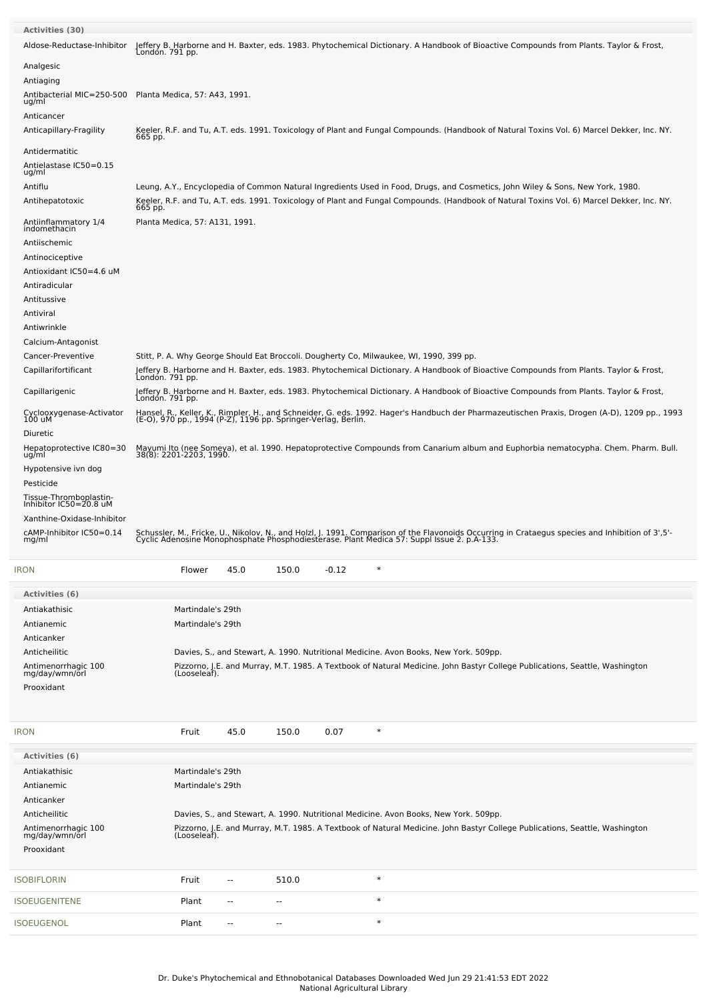| <b>Activities (30)</b><br>Aldose-Reductase-Inhibitor                                                                                                                                            | Londón. 791 pp.                                                                         |                          |       |         |        | Jeffery B. Harborne and H. Baxter, eds. 1983. Phytochemical Dictionary. A Handbook of Bioactive Compounds from Plants. Taylor & Frost,                                                                                                                                       |
|-------------------------------------------------------------------------------------------------------------------------------------------------------------------------------------------------|-----------------------------------------------------------------------------------------|--------------------------|-------|---------|--------|------------------------------------------------------------------------------------------------------------------------------------------------------------------------------------------------------------------------------------------------------------------------------|
| Analgesic<br>Antiaging<br>Antibacterial MIC=250-500<br>ug/ml<br>Anticancer                                                                                                                      | Planta Medica, 57: A43, 1991.                                                           |                          |       |         |        |                                                                                                                                                                                                                                                                              |
| Anticapillary-Fragility                                                                                                                                                                         | 665 pp.                                                                                 |                          |       |         |        | Keeler, R.F. and Tu, A.T. eds. 1991. Toxicology of Plant and Fungal Compounds. (Handbook of Natural Toxins Vol. 6) Marcel Dekker, Inc. NY.                                                                                                                                   |
| Antidermatitic<br>Antielastase IC50=0.15<br>ug/ml<br>Antiflu<br>Antihepatotoxic                                                                                                                 |                                                                                         |                          |       |         |        | Leung, A.Y., Encyclopedia of Common Natural Ingredients Used in Food, Drugs, and Cosmetics, John Wiley & Sons, New York, 1980.<br>Keeler, R.F. and Tu, A.T. eds. 1991. Toxicology of Plant and Fungal Compounds. (Handbook of Natural Toxins Vol. 6) Marcel Dekker, Inc. NY. |
| Antiinflammatory 1/4<br>indomethacin                                                                                                                                                            | 665 pp.<br>Planta Medica, 57: A131, 1991.                                               |                          |       |         |        |                                                                                                                                                                                                                                                                              |
| Antiischemic<br>Antinociceptive<br>Antioxidant IC50=4.6 uM<br>Antiradicular<br>Antitussive<br>Antiviral<br>Antiwrinkle                                                                          |                                                                                         |                          |       |         |        |                                                                                                                                                                                                                                                                              |
| Calcium-Antagonist<br>Cancer-Preventive<br>Capillarifortificant                                                                                                                                 | Stitt, P. A. Why George Should Eat Broccoli. Dougherty Co, Milwaukee, WI, 1990, 399 pp. |                          |       |         |        | Jeffery B. Harborne and H. Baxter, eds. 1983. Phytochemical Dictionary. A Handbook of Bioactive Compounds from Plants. Taylor & Frost,                                                                                                                                       |
| Capillarigenic                                                                                                                                                                                  | Londón. 791 pp.<br>Londón. 791 pp.                                                      |                          |       |         |        | Jeffery B. Harborne and H. Baxter, eds. 1983. Phytochemical Dictionary. A Handbook of Bioactive Compounds from Plants. Taylor & Frost,                                                                                                                                       |
| Cyclooxygenase-Activator<br>100 uM                                                                                                                                                              |                                                                                         |                          |       |         |        | Hansel, R., Keller, K., Rimpler, H., and Schneider, G. eds. 1992. Hager's Handbuch der Pharmazeutischen Praxis, Drogen (A-D), 1209 pp., 1993<br>(E-O), 970 pp., 1994 (P-Z), 1196 pp. Springer-Verlag, Berlin.                                                                |
| Diuretic<br>Hepatoprotective IC80=30<br>ug/ml<br>Hypotensive ivn dog<br>Pesticide<br>Tissue-Thromboplastin-<br>Inhibitor IC50=20.8 uM<br>Xanthine-Oxidase-Inhibitor<br>cAMP-Inhibitor IC50=0.14 |                                                                                         |                          |       |         |        | Mayumi Ito (nee Someya), et al. 1990. Hepatoprotective Compounds from Canarium album and Euphorbia nematocypha. Chem. Pharm. Bull.<br>38(8): 2201-2203, 1990.                                                                                                                |
| mg/ml                                                                                                                                                                                           |                                                                                         |                          |       |         | $\ast$ | Schussler, M., Fricke, U., Nikolov, N., and Holzl, J. 1991. Comparison of the Flavonoids Occurring in Crataegus species and Inhibition of 3',5'-<br>Cyclic Adenosine Monophosphate Phosphodiesterase. Plant Medica 57: Suppl Issu                                            |
| <b>IRON</b>                                                                                                                                                                                     | Flower                                                                                  | 45.0                     | 150.0 | $-0.12$ |        |                                                                                                                                                                                                                                                                              |
| <b>Activities (6)</b><br>Antiakathisic<br>Antianemic<br>Anticanker                                                                                                                              | Martindale's 29th<br>Martindale's 29th                                                  |                          |       |         |        |                                                                                                                                                                                                                                                                              |
| Anticheilitic<br>Antimenorrhagic 100<br>mg/day/wmn/orl<br>Prooxidant                                                                                                                            | (Looseleaf).                                                                            |                          |       |         |        | Davies, S., and Stewart, A. 1990. Nutritional Medicine. Avon Books, New York. 509pp.<br>Pizzorno, J.E. and Murray, M.T. 1985. A Textbook of Natural Medicine. John Bastyr College Publications, Seattle, Washington                                                          |
| <b>IRON</b>                                                                                                                                                                                     | Fruit                                                                                   | 45.0                     | 150.0 | 0.07    | $\ast$ |                                                                                                                                                                                                                                                                              |
| Activities (6)                                                                                                                                                                                  |                                                                                         |                          |       |         |        |                                                                                                                                                                                                                                                                              |
| Antiakathisic<br>Antianemic<br>Anticanker                                                                                                                                                       | Martindale's 29th<br>Martindale's 29th                                                  |                          |       |         |        |                                                                                                                                                                                                                                                                              |
| Anticheilitic<br>Antimenorrhagic 100<br>mg/day/wmn/orl<br>Prooxidant                                                                                                                            | (Looseleaf).                                                                            |                          |       |         |        | Davies, S., and Stewart, A. 1990. Nutritional Medicine. Avon Books, New York. 509pp.<br>Pizzorno, J.E. and Murray, M.T. 1985. A Textbook of Natural Medicine. John Bastyr College Publications, Seattle, Washington                                                          |
| <b>SOBIFLORIN</b>                                                                                                                                                                               | Fruit                                                                                   | $-$                      | 510.0 |         | $\ast$ |                                                                                                                                                                                                                                                                              |
| SOEUGENITENE                                                                                                                                                                                    | Plant                                                                                   | н.                       | --    |         | $\ast$ |                                                                                                                                                                                                                                                                              |
| SOEUGENOL                                                                                                                                                                                       | Plant                                                                                   | $\overline{\phantom{a}}$ | --    |         | $\ast$ |                                                                                                                                                                                                                                                                              |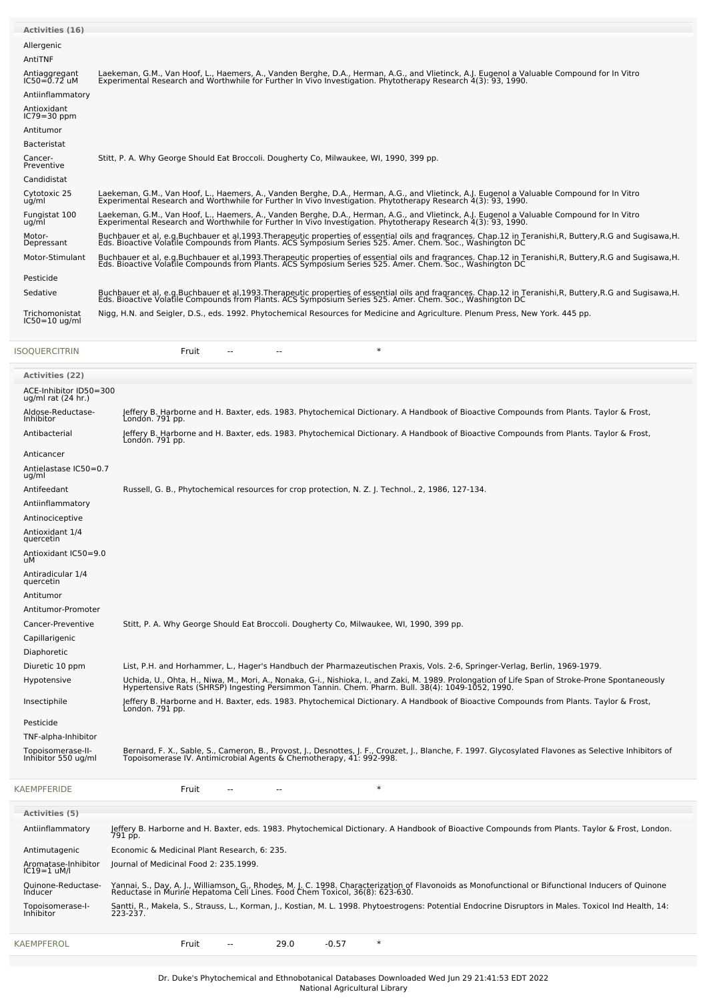| <b>Activities (16)</b>            |                                                                                                                                                                                                                                   |
|-----------------------------------|-----------------------------------------------------------------------------------------------------------------------------------------------------------------------------------------------------------------------------------|
| Allergenic                        |                                                                                                                                                                                                                                   |
| AntiTNF                           |                                                                                                                                                                                                                                   |
| Antiaggregant<br>IC50=0.72 uM     | Laekeman, G.M., Van Hoof, L., Haemers, A., Vanden Berghe, D.A., Herman, A.G., and Vlietinck, A.J. Eugenol a Valuable Compound for In Vitro<br>Experimental Research and Worthwhile for Further In Vivo Investigation. Phytotherap |
| Antiinflammatory                  |                                                                                                                                                                                                                                   |
| Antioxidant<br>$IC79=30$ ppm      |                                                                                                                                                                                                                                   |
| Antitumor                         |                                                                                                                                                                                                                                   |
| <b>Bacteristat</b>                |                                                                                                                                                                                                                                   |
| Cancer-<br>Preventive             | Stitt, P. A. Why George Should Eat Broccoli. Dougherty Co, Milwaukee, WI, 1990, 399 pp.                                                                                                                                           |
| Candidistat                       |                                                                                                                                                                                                                                   |
| Cytotoxic 25<br>ug/ml             | Laekeman, G.M., Van Hoof, L., Haemers, A., Vanden Berghe, D.A., Herman, A.G., and Vlietinck, A.J. Eugenol a Valuable Compound for In Vitro<br>Experimental Research and Worthwhile for Further In Vivo Investigation. Phytotherap |
| Fungistat 100<br>ug/ml            | Laekeman, G.M., Van Hoof, L., Haemers, A., Vanden Berghe, D.A., Herman, A.G., and Vlietinck, A.J. Eugenol a Valuable Compound for In Vitro<br>Experimental Research and Worthwhile for Further In Vivo Investigation. Phytotherap |
| Motor-<br>Depressant              | Buchbauer et al, e.g.Buchbauer et al,1993.Therapeutic properties of essential oils and fragrances. Chap.12 in Teranishi, R, Buttery, R.G and Sugisawa, H.<br>Eds. Bioactive Volatile Compounds from Plants. ACS Symposium Series  |
| Motor-Stimulant                   | Buchbauer et al, e.g.Buchbauer et al,1993.Therapeutic properties of essential oils and fragrances. Chap.12 in Teranishi, R, Buttery, R.G and Sugisawa, H.<br>Eds. Bioactive Volatile Compounds from Plants. ACS Symposium Series  |
| Pesticide                         |                                                                                                                                                                                                                                   |
| Sedative                          | Buchbauer et al, e.g.Buchbauer et al,1993.Therapeutic properties of essential oils and fragrances. Chap.12 in Teranishi, R, Buttery, R.G and Sugisawa, H.<br>Eds. Bioactive Volatile Compounds from Plants. ACS Symposium Series  |
| Trichomonistat<br>$IC50=10$ ug/ml | Nigg, H.N. and Seigler, D.S., eds. 1992. Phytochemical Resources for Medicine and Agriculture. Plenum Press, New York. 445 pp.                                                                                                    |
| <b>ISOOUERCITRIN</b>              | $\ast$<br>Fruit<br>--<br>$-$                                                                                                                                                                                                      |

| Activities (22)                                |                                                                                                                                                                                                                                    |
|------------------------------------------------|------------------------------------------------------------------------------------------------------------------------------------------------------------------------------------------------------------------------------------|
| ACE-Inhibitor ID50=300<br>ug/ml rat $(24$ hr.) |                                                                                                                                                                                                                                    |
| Aldose-Reductase-<br>Inhibitor                 | Jeffery B. Harborne and H. Baxter, eds. 1983. Phytochemical Dictionary. A Handbook of Bioactive Compounds from Plants. Taylor & Frost,<br>Londón. 791 pp.                                                                          |
| Antibacterial                                  | Jeffery B. Harborne and H. Baxter, eds. 1983. Phytochemical Dictionary. A Handbook of Bioactive Compounds from Plants. Taylor & Frost,<br>Londón. 791 pp.                                                                          |
| Anticancer                                     |                                                                                                                                                                                                                                    |
| Antielastase IC50=0.7<br>ug/ml                 |                                                                                                                                                                                                                                    |
| Antifeedant                                    | Russell, G. B., Phytochemical resources for crop protection, N. Z. J. Technol., 2, 1986, 127-134.                                                                                                                                  |
| Antiinflammatory                               |                                                                                                                                                                                                                                    |
| Antinociceptive                                |                                                                                                                                                                                                                                    |
| Antioxidant 1/4<br>quercetin                   |                                                                                                                                                                                                                                    |
| Antioxidant IC50=9.0<br>uМ                     |                                                                                                                                                                                                                                    |
| Antiradicular 1/4<br>quercetin                 |                                                                                                                                                                                                                                    |
| Antitumor                                      |                                                                                                                                                                                                                                    |
| Antitumor-Promoter                             |                                                                                                                                                                                                                                    |
| Cancer-Preventive                              | Stitt, P. A. Why George Should Eat Broccoli. Dougherty Co, Milwaukee, WI, 1990, 399 pp.                                                                                                                                            |
| Capillarigenic                                 |                                                                                                                                                                                                                                    |
| Diaphoretic                                    |                                                                                                                                                                                                                                    |
| Diuretic 10 ppm                                | List, P.H. and Horhammer, L., Hager's Handbuch der Pharmazeutischen Praxis, Vols. 2-6, Springer-Verlag, Berlin, 1969-1979.                                                                                                         |
| Hypotensive                                    | Uchida, U., Ohta, H., Niwa, M., Mori, A., Nonaka, G-i., Nishioka, I., and Zaki, M. 1989. Prolongation of Life Span of Stroke-Prone Spontaneously<br>Hypertensive Rats (SHRSP) Ingesting Persimmon Tannin. Chem. Pharm. Bull. 38(4  |
| Insectiphile                                   | Jeffery B. Harborne and H. Baxter, eds. 1983. Phytochemical Dictionary. A Handbook of Bioactive Compounds from Plants. Taylor & Frost,<br>Londón. 791 pp.                                                                          |
| Pesticide                                      |                                                                                                                                                                                                                                    |
| TNF-alpha-Inhibitor                            |                                                                                                                                                                                                                                    |
| Topoisomerase-II-<br>Inhibitor 550 ug/ml       | Bernard, F. X., Sable, S., Cameron, B., Provost, J., Desnottes, J. F., Crouzet, J., Blanche, F. 1997. Glycosylated Flavones as Selective Inhibitors of<br>Topoisomerase IV. Antimicrobial Agents & Chemotherapy, 41: 992-998.      |
| <b>KAEMPFERIDE</b>                             | $\ast$<br>Fruit                                                                                                                                                                                                                    |
| <b>Activities</b> (5)                          |                                                                                                                                                                                                                                    |
| Antiinflammatory                               | Jeffery B. Harborne and H. Baxter, eds. 1983. Phytochemical Dictionary. A Handbook of Bioactive Compounds from Plants. Taylor & Frost, London.<br>791 pp.                                                                          |
| Antimutagenic                                  | Economic & Medicinal Plant Research, 6: 235.                                                                                                                                                                                       |
| Aromatase-Inhibitor<br>$IC19=1$ uM/l           | Journal of Medicinal Food 2: 235.1999.                                                                                                                                                                                             |
| Quinone-Reductase-<br>Inducer                  | Yannai, S., Day, A. J., Williamson, G., Rhodes, M. J. C. 1998. Characterization of Flavonoids as Monofunctional or Bifunctional Inducers of Quinone<br>Reductase in Murine Hepatoma Cell Lines. Food Chem Toxicol, 36(8): 623-630. |
| Topoisomerase-I-<br>Inhibitor                  | Santti, R., Makela, S., Strauss, L., Korman, J., Kostian, M. L. 1998. Phytoestrogens: Potential Endocrine Disruptors in Males. Toxicol Ind Health, 14:<br>223-237.                                                                 |
| <b>KAEMPFEROL</b>                              | $\ast$<br>29.0<br>$-0.57$<br>Fruit                                                                                                                                                                                                 |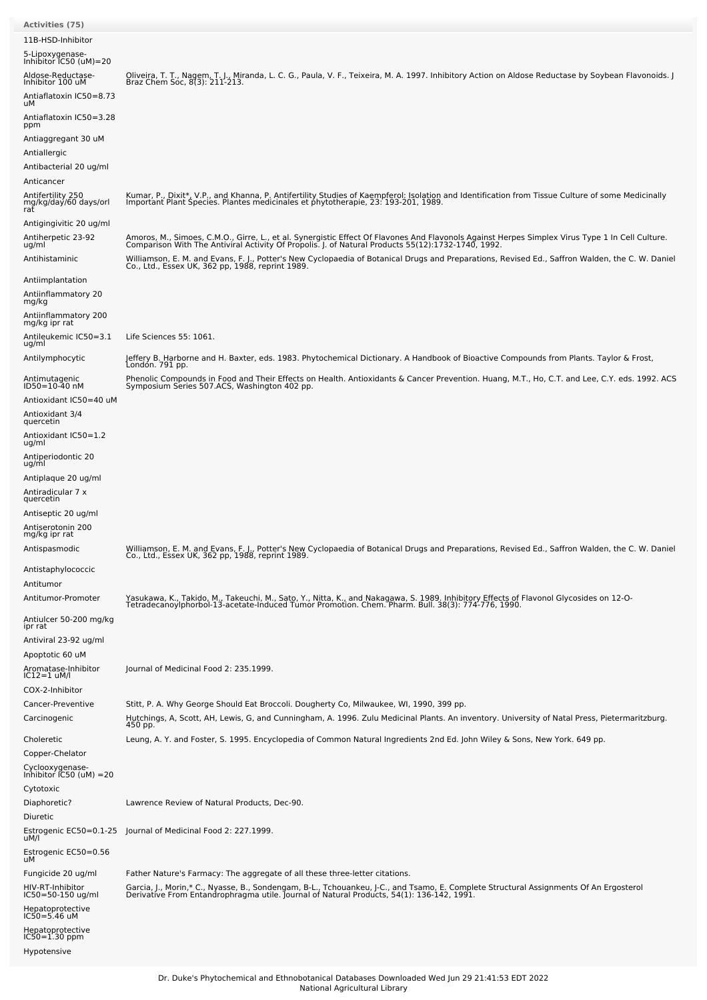| Activities (75)<br>11B-HSD-Inhibitor<br>5-Lipoxygenase-<br>Inhibitor IC50 (uM)=20                             |                                                                                                                                                                                                                                                     |
|---------------------------------------------------------------------------------------------------------------|-----------------------------------------------------------------------------------------------------------------------------------------------------------------------------------------------------------------------------------------------------|
| Aldose-Reductase-<br>Inhibitor 100 uM<br>Antiaflatoxin IC50=8.73<br>uМ                                        | Oliveira, T. T., Nagem, T. J., Miranda, L. C. G., Paula, V. F., Teixeira, M. A. 1997. Inhibitory Action on Aldose Reductase by Soybean Flavonoids. J<br>Braz Chem Soc, 8(3): 211-213.                                                               |
| Antiaflatoxin IC50=3.28<br>ppm<br>Antiaggregant 30 uM<br>Antiallergic<br>Antibacterial 20 ug/ml<br>Anticancer |                                                                                                                                                                                                                                                     |
| Antifertility 250<br>mg/kg/day/60 days/orl<br>rat                                                             | Kumar, P., Dixit*, V.P., and Khanna, P. Antifertility Studies of Kaempferol: Isolation and Identification from Tissue Culture of some Medicinally<br>Important Plant Species. Plantes medicinales et phytotherapie, 23: 193-201, 1989.              |
| Antigingivitic 20 ug/ml<br>Antiherpetic 23-92<br>ug/ml                                                        | Amoros, M., Simoes, C.M.O., Girre, L., et al. Synergistic Effect Of Flavones And Flavonols Against Herpes Simplex Virus Type 1 In Cell Culture.<br>Comparison With The Antiviral Activity Of Propolis. J. of Natural Products 55(                   |
| Antihistaminic                                                                                                | Williamson, E. M. and Evans, F. J., Potter's New Cyclopaedia of Botanical Drugs and Preparations, Revised Ed., Saffron Walden, the C. W. Daniel<br>Co., Ltd., Essex UK, 362 pp, 1988, reprint 1989.                                                 |
| Antiimplantation<br>Antiinflammatory 20<br>mg/kg                                                              |                                                                                                                                                                                                                                                     |
| Antiinflammatory 200<br>mg/kg ipr rat                                                                         |                                                                                                                                                                                                                                                     |
| Antileukemic IC50=3.1<br>ug/ml                                                                                | Life Sciences 55: 1061.                                                                                                                                                                                                                             |
| Antilymphocytic                                                                                               | Jeffery B. Harborne and H. Baxter, eds. 1983. Phytochemical Dictionary. A Handbook of Bioactive Compounds from Plants. Taylor & Frost,<br>London. 791 pp.                                                                                           |
| Antimutagenic<br>ID50=10-40 nM<br>Antioxidant IC50=40 uM                                                      | Phenolic Compounds in Food and Their Effects on Health. Antioxidants & Cancer Prevention. Huang, M.T., Ho, C.T. and Lee, C.Y. eds. 1992. ACS<br>Symposium Series 507.ACS, Washington 402 pp.                                                        |
| Antioxidant 3/4<br>quercetin                                                                                  |                                                                                                                                                                                                                                                     |
| Antioxidant IC50=1.2<br>ug/ml                                                                                 |                                                                                                                                                                                                                                                     |
| Antiperiodontic 20<br>ug/ml                                                                                   |                                                                                                                                                                                                                                                     |
| Antiplaque 20 ug/ml                                                                                           |                                                                                                                                                                                                                                                     |
| Antiradicular 7 x<br>quercetin                                                                                |                                                                                                                                                                                                                                                     |
| Antiseptic 20 ug/ml                                                                                           |                                                                                                                                                                                                                                                     |
| Antiserotonin 200<br>mg/kg ipr rat                                                                            |                                                                                                                                                                                                                                                     |
| Antispasmodic                                                                                                 | Williamson, E. M. and Evans, F. J., Potter's New Cyclopaedia of Botanical Drugs and Preparations, Revised Ed., Saffron Walden, the C. W. Daniel<br>Co., Ltd., Essex UK, 362 pp, 1988, reprint 1989.                                                 |
| Antistaphylococcic                                                                                            |                                                                                                                                                                                                                                                     |
| Antitumor<br>Antitumor-Promoter                                                                               |                                                                                                                                                                                                                                                     |
| Antiulcer 50-200 mg/kg                                                                                        | Yasukawa, K., Takido, M., Takeuchi, M., Sato, Y., Nitta, K., and Nakagawa, S. 1989. Inhibitory Effects of Flavonol Glycosides on 12-O-<br>TetradecanoyIphorbol-13-acetate-Induced Tumor Promotion. Chem. Pharm. Bull. 38(3): 774-                   |
| ipr rat                                                                                                       |                                                                                                                                                                                                                                                     |
| Antiviral 23-92 ug/ml<br>Apoptotic 60 uM                                                                      |                                                                                                                                                                                                                                                     |
| Aromatase-Inhibitor<br>$IC12=1$ uM/l<br>COX-2-Inhibitor                                                       | Journal of Medicinal Food 2: 235.1999.                                                                                                                                                                                                              |
| Cancer-Preventive<br>Carcinogenic                                                                             | Stitt, P. A. Why George Should Eat Broccoli. Dougherty Co, Milwaukee, WI, 1990, 399 pp.<br>Hutchings, A, Scott, AH, Lewis, G, and Cunningham, A. 1996. Zulu Medicinal Plants. An inventory. University of Natal Press, Pietermaritzburg.<br>450 pp. |
| Choleretic<br>Copper-Chelator                                                                                 | Leung, A. Y. and Foster, S. 1995. Encyclopedia of Common Natural Ingredients 2nd Ed. John Wiley & Sons, New York. 649 pp.                                                                                                                           |
| Cyclooxygenase-<br>Inhibitor IC50 (uM) =20                                                                    |                                                                                                                                                                                                                                                     |
| Cytotoxic<br>Diaphoretic?<br>Diuretic                                                                         | Lawrence Review of Natural Products, Dec-90.                                                                                                                                                                                                        |
| Estrogenic EC50=0.1-25<br>uM/l                                                                                | Journal of Medicinal Food 2: 227.1999.                                                                                                                                                                                                              |
| Estrogenic EC50=0.56<br>uМ                                                                                    |                                                                                                                                                                                                                                                     |
| Fungicide 20 ug/ml                                                                                            | Father Nature's Farmacy: The aggregate of all these three-letter citations.                                                                                                                                                                         |
| HIV-RT-Inhibitor<br>IC50=50-150 ug/ml                                                                         | Garcia, J., Morin,* C., Nyasse, B., Sondengam, B-L., Tchouankeu, J-C., and Tsamo, E. Complete Structural Assignments Of An Ergosterol<br>Derivative From Entandrophragma utile. Journal of Natural Products, 54(1): 136-142, 1991                   |
| Hepatoprotective<br>IC50=5.46 uM<br>Hepatoprotective                                                          |                                                                                                                                                                                                                                                     |
| $IC50 = 1.30$ ppm                                                                                             |                                                                                                                                                                                                                                                     |
| Hypotensive                                                                                                   |                                                                                                                                                                                                                                                     |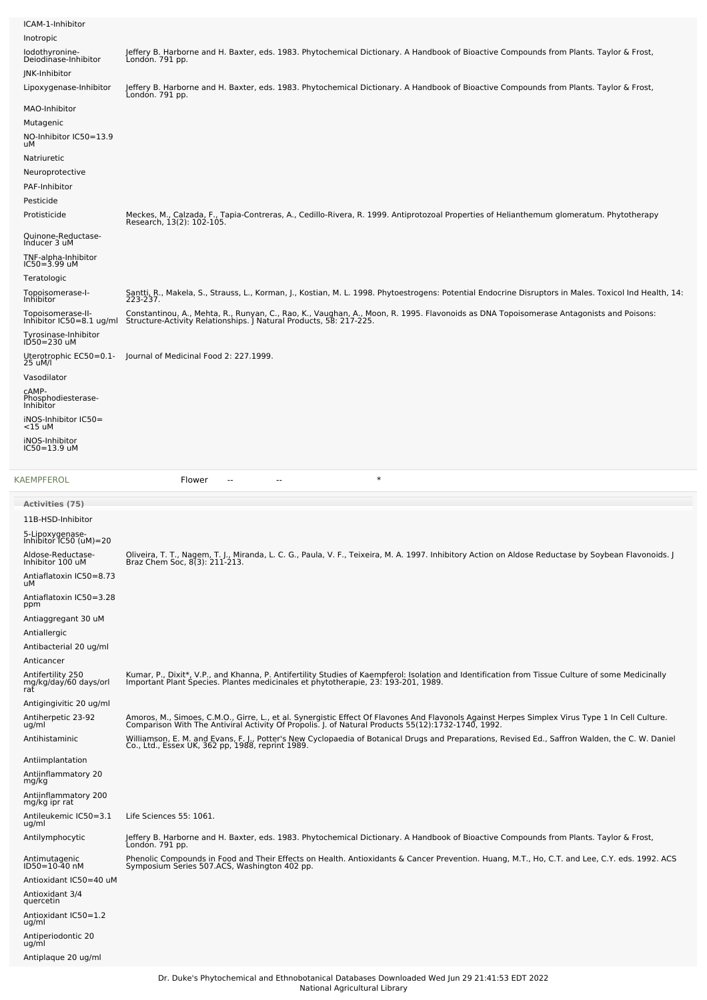| ICAM-1-Inhibitor<br>Inotropic                                            |                                                                                                                                                                                                                                                                                                                                                                                                                                          |
|--------------------------------------------------------------------------|------------------------------------------------------------------------------------------------------------------------------------------------------------------------------------------------------------------------------------------------------------------------------------------------------------------------------------------------------------------------------------------------------------------------------------------|
| lodothyronine-<br>Deiodinase-Inhibitor                                   | Jeffery B. Harborne and H. Baxter, eds. 1983. Phytochemical Dictionary. A Handbook of Bioactive Compounds from Plants. Taylor & Frost,<br>Londón. 791 pp.                                                                                                                                                                                                                                                                                |
| JNK-Inhibitor<br>Lipoxygenase-Inhibitor                                  | Jeffery B. Harborne and H. Baxter, eds. 1983. Phytochemical Dictionary. A Handbook of Bioactive Compounds from Plants. Taylor & Frost,                                                                                                                                                                                                                                                                                                   |
| MAO-Inhibitor<br>Mutagenic<br>NO-Inhibitor IC50=13.9<br>uМ               | Londón. 791 pp.                                                                                                                                                                                                                                                                                                                                                                                                                          |
| Natriuretic<br>Neuroprotective<br>PAF-Inhibitor<br>Pesticide             |                                                                                                                                                                                                                                                                                                                                                                                                                                          |
| Protisticide                                                             | Meckes, M., Calzada, F., Tapia-Contreras, A., Cedillo-Rivera, R. 1999. Antiprotozoal Properties of Helianthemum glomeratum. Phytotherapy<br>Research, 13(2): 102-105.                                                                                                                                                                                                                                                                    |
| Quinone-Reductase-<br>Inducer 3 uM                                       |                                                                                                                                                                                                                                                                                                                                                                                                                                          |
| TNF-alpha-Inhibitor<br>$IC50 = 3.99$ uM<br>Teratologic                   |                                                                                                                                                                                                                                                                                                                                                                                                                                          |
| Topoisomerase-I-<br>Inhibitor                                            | Santti, R., Makela, S., Strauss, L., Korman, J., Kostian, M. L. 1998. Phytoestrogens: Potential Endocrine Disruptors in Males. Toxicol Ind Health, 14:<br>223-237.                                                                                                                                                                                                                                                                       |
| Topoisomerase-II-<br>Tyrosinase-Inhibitor<br>ID50=230 uM                 | Constantinou, A., Mehta, R., Runyan, C., Rao, K., Vaughan, A., Moon, R. 1995. Flavonoids as DNA Topoisomerase Antagonists and Poisons:<br>Inhibitor IC50=8.1 ug/ml Structure-Activity Relationships. J Natural Products, 58: 217-225.                                                                                                                                                                                                    |
| 25 uM/l                                                                  | Uterotrophic EC50=0.1- Journal of Medicinal Food 2: 227.1999.                                                                                                                                                                                                                                                                                                                                                                            |
| Vasodilator                                                              |                                                                                                                                                                                                                                                                                                                                                                                                                                          |
| CAMP-<br>Phosphodiesterase-<br>Inhibitor                                 |                                                                                                                                                                                                                                                                                                                                                                                                                                          |
| iNOS-Inhibitor IC50=<br>$<$ 15 uM                                        |                                                                                                                                                                                                                                                                                                                                                                                                                                          |
| iNOS-Inhibitor<br>$IC50 = 13.9$ uM                                       |                                                                                                                                                                                                                                                                                                                                                                                                                                          |
|                                                                          |                                                                                                                                                                                                                                                                                                                                                                                                                                          |
| KAEMPFEROL                                                               | $\ast$<br>Flower<br>٠.                                                                                                                                                                                                                                                                                                                                                                                                                   |
| <b>Activities (75)</b>                                                   |                                                                                                                                                                                                                                                                                                                                                                                                                                          |
| 11B-HSD-Inhibitor                                                        |                                                                                                                                                                                                                                                                                                                                                                                                                                          |
| 5-Lipoxygenase-<br>Inhibitor IC50 (uM)=20                                |                                                                                                                                                                                                                                                                                                                                                                                                                                          |
| Aldose-Reductase-<br>Inhibitor 100 uM                                    | Oliveira, T. T., Nagem, T. J., Miranda, L. C. G., Paula, V. F., Teixeira, M. A. 1997. Inhibitory Action on Aldose Reductase by Soybean Flavonoids. J<br>Braz Chem Soc, 8(3): 211-213.                                                                                                                                                                                                                                                    |
| Antiaflatoxin IC50=8.73<br>uМ                                            |                                                                                                                                                                                                                                                                                                                                                                                                                                          |
| Antiaflatoxin IC50=3.28<br>ppm                                           |                                                                                                                                                                                                                                                                                                                                                                                                                                          |
| Antiaggregant 30 uM<br>Antiallergic<br>Antibacterial 20 ug/ml            |                                                                                                                                                                                                                                                                                                                                                                                                                                          |
| Anticancer<br>Antifertility 250<br>mg/kg/daý/60 days/orl<br>rat          | Kumar, P., Dixit*, V.P., and Khanna, P. Antifertility Studies of Kaempferol: Isolation and Identification from Tissue Culture of some Medicinally<br>Important Plant Species. Plantes medicinales et phytotherapie, 23: 193-201,                                                                                                                                                                                                         |
| Antigingivitic 20 ug/ml<br>Antiherpetic 23-92<br>ug/ml<br>Antihistaminic | Amoros, M., Simoes, C.M.O., Girre, L., et al. Synergistic Effect Of Flavones And Flavonols Against Herpes Simplex Virus Type 1 In Cell Culture.<br>Comparison With The Antiviral Activity Of Propolis. J. of Natural Products 55(<br>Williamson, E. M. and Evans, F. J., Potter's New Cyclopaedia of Botanical Drugs and Preparations, Revised Ed., Saffron Walden, the C. W. Daniel<br>Co., Ltd., Essex UK, 362 pp, 1988, reprint 1989. |
| Antiimplantation<br>Antiinflammatory 20<br>mg/kg                         |                                                                                                                                                                                                                                                                                                                                                                                                                                          |
| Antiinflammatory 200<br>mg/kg ipr rat<br>Antileukemic IC50=3.1           | Life Sciences 55: 1061.                                                                                                                                                                                                                                                                                                                                                                                                                  |
| ug/ml<br>Antilymphocytic                                                 | Jeffery B. Harborne and H. Baxter, eds. 1983. Phytochemical Dictionary. A Handbook of Bioactive Compounds from Plants. Taylor & Frost,                                                                                                                                                                                                                                                                                                   |
| Antimutagenic<br>ID50=10-40 nM                                           | Londón. 791 pp.<br>Phenolic Compounds in Food and Their Effects on Health. Antioxidants & Cancer Prevention. Huang, M.T., Ho, C.T. and Lee, C.Y. eds. 1992. ACS<br>Symposium Series 507.ACS, Washington 402 pp.                                                                                                                                                                                                                          |

Antioxidant 3/4 quercetin

Antioxidant IC50=1.2 ug/ml Antiperiodontic 20 ug/ml Antiplaque 20 ug/ml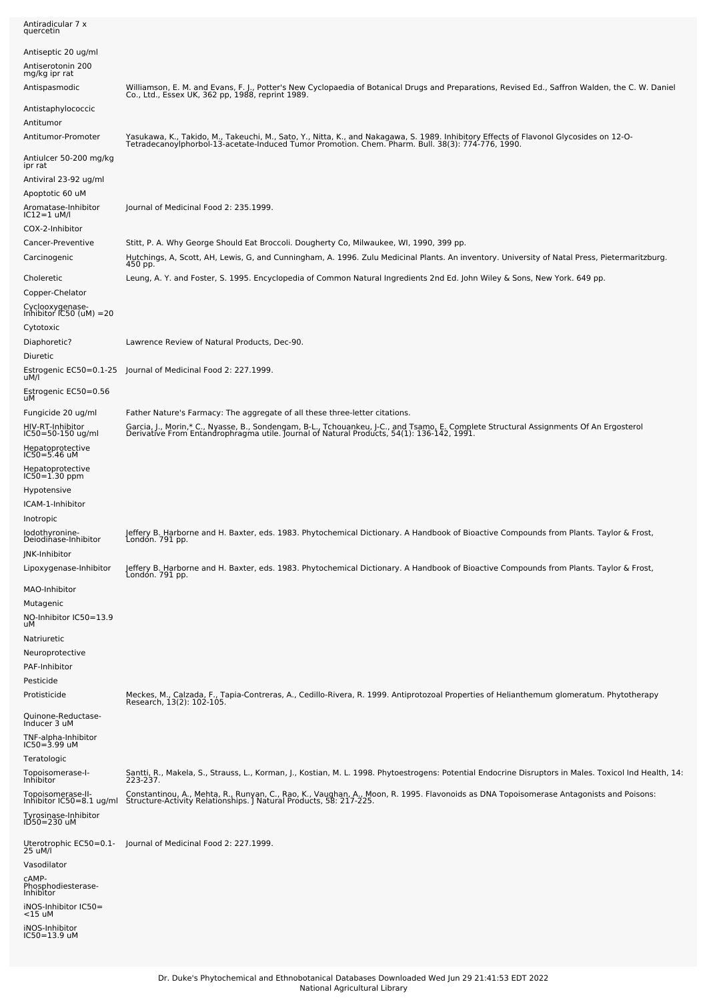| quercetin                                                       |                                                                                                                                                                                                                                                     |
|-----------------------------------------------------------------|-----------------------------------------------------------------------------------------------------------------------------------------------------------------------------------------------------------------------------------------------------|
| Antiseptic 20 ug/ml<br>Antiserotonin 200<br>mg/kg ipr rat       |                                                                                                                                                                                                                                                     |
| Antispasmodic                                                   | Williamson, E. M. and Evans, F. J., Potter's New Cyclopaedia of Botanical Drugs and Preparations, Revised Ed., Saffron Walden, the C. W. Daniel<br>Co., Ltd., Essex UK, 362 pp, 1988, reprint 1989.                                                 |
| Antistaphylococcic<br>Antitumor                                 |                                                                                                                                                                                                                                                     |
| Antitumor-Promoter                                              | Yasukawa, K., Takido, M., Takeuchi, M., Sato, Y., Nitta, K., and Nakagawa, S. 1989. Inhibitory Effects of Flavonol Glycosides on 12-O-<br>Tetradecanoylphorbol-13-acetate-Induced Tumor Promotion. Chem. Pharm. Bull. 38(3): 774-                   |
| Antiulcer 50-200 mg/kg<br>ipr rat                               |                                                                                                                                                                                                                                                     |
| Antiviral 23-92 ug/ml                                           |                                                                                                                                                                                                                                                     |
| Apoptotic 60 uM                                                 |                                                                                                                                                                                                                                                     |
| Aromatase-Inhibitor<br>IC12=1 uM/l                              | Journal of Medicinal Food 2: 235.1999.                                                                                                                                                                                                              |
| COX-2-Inhibitor                                                 |                                                                                                                                                                                                                                                     |
| Cancer-Preventive<br>Carcinogenic                               | Stitt, P. A. Why George Should Eat Broccoli. Dougherty Co, Milwaukee, WI, 1990, 399 pp.<br>Hutchings, A, Scott, AH, Lewis, G, and Cunningham, A. 1996. Zulu Medicinal Plants. An inventory. University of Natal Press, Pietermaritzburg.<br>450 pp. |
| Choleretic<br>Copper-Chelator                                   | Leung, A. Y. and Foster, S. 1995. Encyclopedia of Common Natural Ingredients 2nd Ed. John Wiley & Sons, New York. 649 pp.                                                                                                                           |
| Cyclooxygenase-<br>Inhibitor IC50 (uM) =20                      |                                                                                                                                                                                                                                                     |
| Cytotoxic                                                       |                                                                                                                                                                                                                                                     |
| Diaphoretic?<br>Diuretic                                        | Lawrence Review of Natural Products, Dec-90.                                                                                                                                                                                                        |
| Estrogenic EC50=0.1-25<br>uM/l                                  | Journal of Medicinal Food 2: 227.1999.                                                                                                                                                                                                              |
| Estrogenic EC50=0.56<br>uМ                                      |                                                                                                                                                                                                                                                     |
| Fungicide 20 ug/ml                                              | Father Nature's Farmacy: The aggregate of all these three-letter citations.                                                                                                                                                                         |
| HIV-RT-Inhibitor<br>IC50=50-150 ug/ml                           | Garcia, J., Morin,* C., Nyasse, B., Sondengam, B-L., Tchouankeu, J-C., and Tsamo, E. Complete Structural Assignments Of An Ergosterol<br>Derivative From Entandrophragma utile. Journal of Natural Products, 54(1): 136-142, 1991                   |
| Hepatoprotective<br>IC50=5.46 uM                                |                                                                                                                                                                                                                                                     |
| Hepatoprotective<br>IC50=1.30 ppm                               |                                                                                                                                                                                                                                                     |
| Hypotensive                                                     |                                                                                                                                                                                                                                                     |
| ICAM-1-Inhibitor<br>Inotropic                                   |                                                                                                                                                                                                                                                     |
| lodothyronine-<br>Deiodinase-Inhibitor<br><b>INK-Inhibitor</b>  | Jeffery B. Harborne and H. Baxter, eds. 1983. Phytochemical Dictionary. A Handbook of Bioactive Compounds from Plants. Taylor & Frost,<br>London. 791 pp.                                                                                           |
| Lipoxygenase-Inhibitor                                          | Jeffery B. Harborne and H. Baxter, eds. 1983. Phytochemical Dictionary. A Handbook of Bioactive Compounds from Plants. Taylor & Frost,<br>London. 791 pp.                                                                                           |
| MAO-Inhibitor<br>Mutagenic<br>NO-Inhibitor IC50=13.9<br>uМ      |                                                                                                                                                                                                                                                     |
| Natriuretic                                                     |                                                                                                                                                                                                                                                     |
| Neuroprotective                                                 |                                                                                                                                                                                                                                                     |
| PAF-Inhibitor                                                   |                                                                                                                                                                                                                                                     |
| Pesticide<br>Protisticide                                       | Meckes, M., Calzada, F., Tapia-Contreras, A., Cedillo-Rivera, R. 1999. Antiprotozoal Properties of Helianthemum glomeratum. Phytotherapy                                                                                                            |
| Quinone-Reductase-                                              | Research, 13(2): 102-105.                                                                                                                                                                                                                           |
| Inducer 3 uM<br>TNF-alpha-Inhibitor<br>IC50=3.99 uM             |                                                                                                                                                                                                                                                     |
| Teratologic                                                     |                                                                                                                                                                                                                                                     |
| Topoisomerase-I-<br>Inhibitor                                   | Santti, R., Makela, S., Strauss, L., Korman, J., Kostian, M. L. 1998. Phytoestrogens: Potential Endocrine Disruptors in Males. Toxicol Ind Health, 14:<br>223-237.                                                                                  |
| Topoisomerase-II-                                               | Constantinou, A., Mehta, R., Runyan, C., Rao, K., Vaughan, A., Moon, R. 1995. Flavonoids as DNA Topoisomerase Antagonists and Poisons:                                                                                                              |
| Inhibitor IC50=8.1 ug/ml<br>Tyrosinase-Inhibitor<br>ID50=230 uM | Structure-Activity Relationships. J Natural Products, 58: 217-225.                                                                                                                                                                                  |
| Uterotrophic EC50=0.1-<br>25 uM/l                               | Journal of Medicinal Food 2: 227.1999.                                                                                                                                                                                                              |
| Vasodilator                                                     |                                                                                                                                                                                                                                                     |
| cAMP-<br>Phosphodiesterase-<br>Inhibitor                        |                                                                                                                                                                                                                                                     |
| iNOS-Inhibitor IC50=<br><15 uM                                  |                                                                                                                                                                                                                                                     |
| iNOS-Inhibitor<br>IC50=13.9 uM                                  |                                                                                                                                                                                                                                                     |

Antiradicular 7 x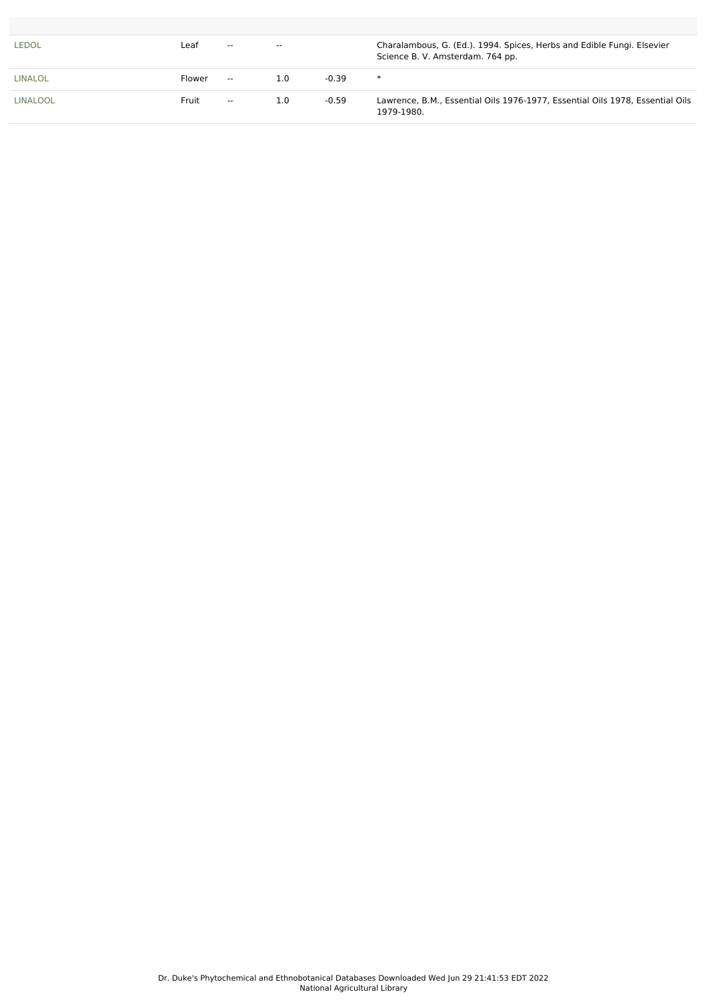| <b>LEDOL</b>    | Leaf   | $- -$                    | $- -$ |         | Charalambous, G. (Ed.). 1994. Spices, Herbs and Edible Fungi. Elsevier<br>Science B. V. Amsterdam. 764 pp. |
|-----------------|--------|--------------------------|-------|---------|------------------------------------------------------------------------------------------------------------|
| LINALOL         | Flower | $\sim$                   | 1.0   | $-0.39$ | $\ast$                                                                                                     |
| <b>LINALOOL</b> | Fruit  | $\overline{\phantom{a}}$ | 1.0   | $-0.59$ | Lawrence, B.M., Essential Oils 1976-1977, Essential Oils 1978, Essential Oils<br>1979-1980.                |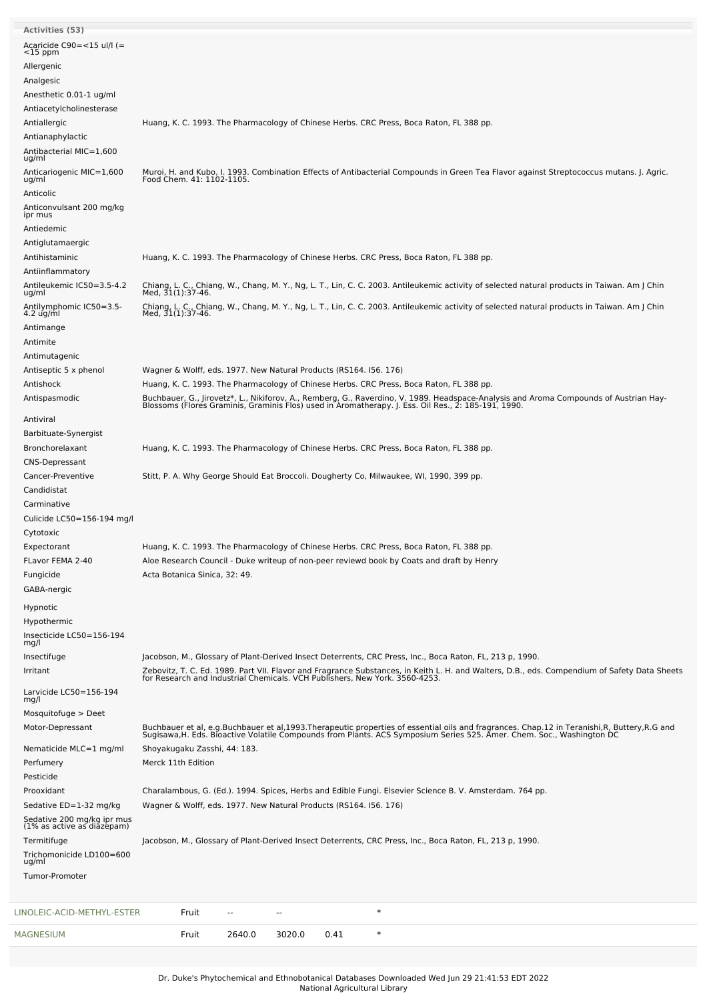| <b>Activities (53)</b>                                   |                                                                                                                                                                                                                                   |
|----------------------------------------------------------|-----------------------------------------------------------------------------------------------------------------------------------------------------------------------------------------------------------------------------------|
| Acaricide $C90 = <15$ ul/l (=                            |                                                                                                                                                                                                                                   |
| $<$ 15 ppm                                               |                                                                                                                                                                                                                                   |
| Allergenic                                               |                                                                                                                                                                                                                                   |
| Analgesic<br>Anesthetic 0.01-1 ug/ml                     |                                                                                                                                                                                                                                   |
| Antiacetylcholinesterase                                 |                                                                                                                                                                                                                                   |
| Antiallergic                                             | Huang, K. C. 1993. The Pharmacology of Chinese Herbs. CRC Press, Boca Raton, FL 388 pp.                                                                                                                                           |
| Antianaphylactic                                         |                                                                                                                                                                                                                                   |
| Antibacterial MIC=1,600                                  |                                                                                                                                                                                                                                   |
| ug/ml                                                    |                                                                                                                                                                                                                                   |
| Anticariogenic MIC=1,600<br>ug/ml                        | Muroi, H. and Kubo, I. 1993. Combination Effects of Antibacterial Compounds in Green Tea Flavor against Streptococcus mutans. J. Agric.<br>Food Chem. 41: 1102-1105.                                                              |
| Anticolic                                                |                                                                                                                                                                                                                                   |
| Anticonvulsant 200 mg/kg                                 |                                                                                                                                                                                                                                   |
| ipr mus<br>Antiedemic                                    |                                                                                                                                                                                                                                   |
| Antiglutamaergic                                         |                                                                                                                                                                                                                                   |
| Antihistaminic                                           | Huang, K. C. 1993. The Pharmacology of Chinese Herbs. CRC Press, Boca Raton, FL 388 pp.                                                                                                                                           |
| Antiinflammatory                                         |                                                                                                                                                                                                                                   |
| Antileukemic IC50=3.5-4.2                                | Chiang, L. C., Chiang, W., Chang, M. Y., Ng, L. T., Lin, C. C. 2003. Antileukemic activity of selected natural products in Taiwan. Am J Chin                                                                                      |
| ug/ml<br>Antilymphomic IC50=3.5-                         | Med, 31(1):37-46.                                                                                                                                                                                                                 |
| $4.2$ ug/ml                                              | Chiang, L. C., Chiang, W., Chang, M. Y., Ng, L. T., Lin, C. C. 2003. Antileukemic activity of selected natural products in Taiwan. Am J Chin<br>Med, 31(1):37-46.                                                                 |
| Antimange                                                |                                                                                                                                                                                                                                   |
| Antimite                                                 |                                                                                                                                                                                                                                   |
| Antimutagenic                                            |                                                                                                                                                                                                                                   |
| Antiseptic 5 x phenol                                    | Wagner & Wolff, eds. 1977. New Natural Products (RS164. 156. 176)                                                                                                                                                                 |
| Antishock                                                | Huang, K. C. 1993. The Pharmacology of Chinese Herbs. CRC Press, Boca Raton, FL 388 pp.                                                                                                                                           |
| Antispasmodic                                            | Buchbauer, G., Jirovetz*, L., Nikiforov, A., Remberg, G., Raverdino, V. 1989. Headspace-Analysis and Aroma Compounds of Austrian Hay-<br>Blossoms (Flores Graminis, Graminis Flos) used in Aromatherapy. J. Ess. Oil Res., 2: 185 |
| Antiviral                                                |                                                                                                                                                                                                                                   |
| Barbituate-Synergist                                     |                                                                                                                                                                                                                                   |
| Bronchorelaxant                                          | Huang, K. C. 1993. The Pharmacology of Chinese Herbs. CRC Press, Boca Raton, FL 388 pp.                                                                                                                                           |
| <b>CNS-Depressant</b><br>Cancer-Preventive               | Stitt, P. A. Why George Should Eat Broccoli. Dougherty Co, Milwaukee, WI, 1990, 399 pp.                                                                                                                                           |
| Candidistat                                              |                                                                                                                                                                                                                                   |
| Carminative                                              |                                                                                                                                                                                                                                   |
| Culicide LC50=156-194 mg/l                               |                                                                                                                                                                                                                                   |
| Cytotoxic                                                |                                                                                                                                                                                                                                   |
| Expectorant                                              | Huang, K. C. 1993. The Pharmacology of Chinese Herbs. CRC Press, Boca Raton, FL 388 pp.                                                                                                                                           |
| FLavor FEMA 2-40                                         | Aloe Research Council - Duke writeup of non-peer reviewd book by Coats and draft by Henry                                                                                                                                         |
| Fungicide                                                | Acta Botanica Sinica, 32: 49.                                                                                                                                                                                                     |
| GABA-nergic                                              |                                                                                                                                                                                                                                   |
| Hypnotic                                                 |                                                                                                                                                                                                                                   |
| Hypothermic                                              |                                                                                                                                                                                                                                   |
| Insecticide LC50=156-194<br>mg/l                         |                                                                                                                                                                                                                                   |
| Insectifuge                                              | Jacobson, M., Glossary of Plant-Derived Insect Deterrents, CRC Press, Inc., Boca Raton, FL, 213 p, 1990.                                                                                                                          |
| Irritant                                                 | Zebovitz, T. C. Ed. 1989. Part VII. Flavor and Fragrance Substances, in Keith L. H. and Walters, D.B., eds. Compendium of Safety Data Sheets<br>for Research and Industrial Chemicals. VCH Publishers, New York. 3560-4253.       |
|                                                          |                                                                                                                                                                                                                                   |
| Larvicide LC50=156-194<br>mg/l                           |                                                                                                                                                                                                                                   |
| Mosquitofuge > Deet                                      |                                                                                                                                                                                                                                   |
| Motor-Depressant                                         | Buchbauer et al, e.g.Buchbauer et al,1993.Therapeutic properties of essential oils and fragrances. Chap.12 in Teranishi,R, Buttery,R.G and<br>Sugisawa,H. Eds. Bioactive Volatile Compounds from Plants. ACS Symposium Series 525 |
| Nematicide MLC=1 mg/ml                                   | Shoyakugaku Zasshi, 44: 183.                                                                                                                                                                                                      |
| Perfumery                                                | Merck 11th Edition                                                                                                                                                                                                                |
| Pesticide                                                |                                                                                                                                                                                                                                   |
| Prooxidant                                               | Charalambous, G. (Ed.). 1994. Spices, Herbs and Edible Fungi. Elsevier Science B. V. Amsterdam. 764 pp.                                                                                                                           |
| Sedative ED=1-32 mg/kg                                   | Wagner & Wolff, eds. 1977. New Natural Products (RS164. 156. 176)                                                                                                                                                                 |
| Sedative 200 mg/kg ipr mus<br>(1% as active as diazepam) |                                                                                                                                                                                                                                   |
| Termitifuge                                              | Jacobson, M., Glossary of Plant-Derived Insect Deterrents, CRC Press, Inc., Boca Raton, FL, 213 p, 1990.                                                                                                                          |
| Trichomonicide LD100=600                                 |                                                                                                                                                                                                                                   |
| ug/ml                                                    |                                                                                                                                                                                                                                   |
| Tumor-Promoter                                           |                                                                                                                                                                                                                                   |
| LINOLEIC-ACID-METHYL-ESTER                               | $\ast$<br>Fruit<br>$\overline{\phantom{a}}$                                                                                                                                                                                       |
| <b>MAGNESIUM</b>                                         | $\ast$<br>2640.0<br>0.41<br>Fruit<br>3020.0                                                                                                                                                                                       |
|                                                          |                                                                                                                                                                                                                                   |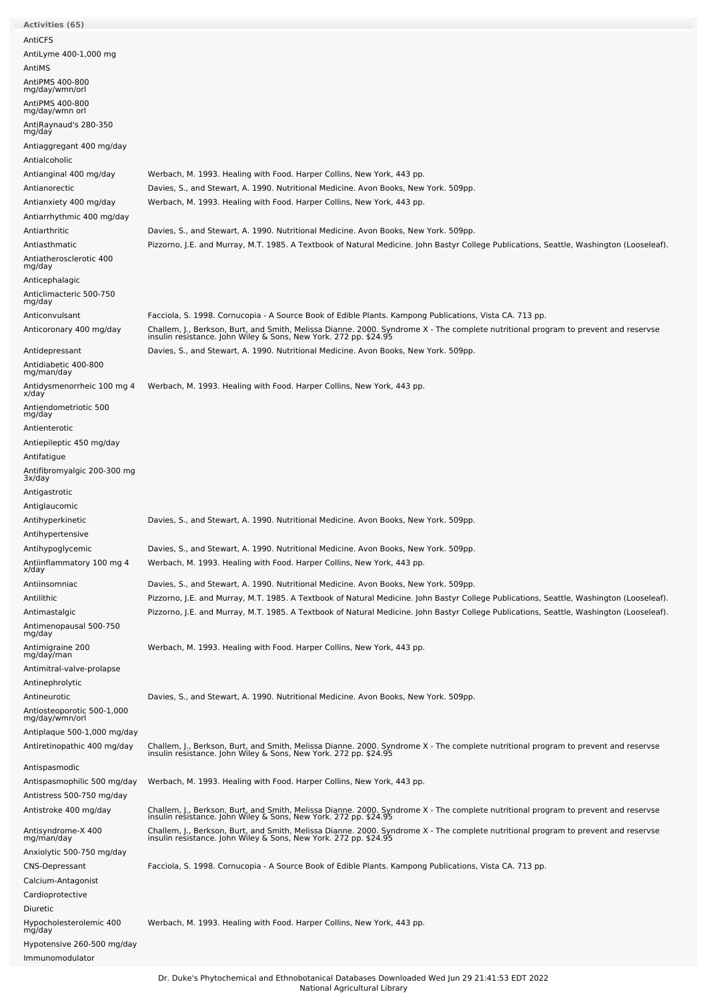| AntiCFS                                                      |                                                                                                                                                                                                        |
|--------------------------------------------------------------|--------------------------------------------------------------------------------------------------------------------------------------------------------------------------------------------------------|
| AntiLyme 400-1,000 mg                                        |                                                                                                                                                                                                        |
| AntiMS                                                       |                                                                                                                                                                                                        |
| AntiPMS 400-800<br>mg/day/wmn/orl                            |                                                                                                                                                                                                        |
| AntiPMS 400-800<br>mg/day/wmn orl                            |                                                                                                                                                                                                        |
| AntiRaynaud's 280-350<br>mg/day                              |                                                                                                                                                                                                        |
| Antiaggregant 400 mg/day                                     |                                                                                                                                                                                                        |
| Antialcoholic                                                |                                                                                                                                                                                                        |
| Antianginal 400 mg/day                                       | Werbach, M. 1993. Healing with Food. Harper Collins, New York, 443 pp.                                                                                                                                 |
| Antianorectic                                                | Davies, S., and Stewart, A. 1990. Nutritional Medicine. Avon Books, New York. 509pp.                                                                                                                   |
| Antianxiety 400 mg/day<br>Antiarrhythmic 400 mg/day          | Werbach, M. 1993. Healing with Food. Harper Collins, New York, 443 pp.                                                                                                                                 |
| Antiarthritic                                                | Davies, S., and Stewart, A. 1990. Nutritional Medicine. Avon Books, New York. 509pp.                                                                                                                   |
| Antiasthmatic                                                | Pizzorno, J.E. and Murray, M.T. 1985. A Textbook of Natural Medicine. John Bastyr College Publications, Seattle, Washington (Looseleaf).                                                               |
| Antiatherosclerotic 400<br>mg/day                            |                                                                                                                                                                                                        |
| Anticephalagic                                               |                                                                                                                                                                                                        |
| Anticlimacteric 500-750<br>mg/day                            |                                                                                                                                                                                                        |
| Anticonvulsant                                               | Facciola, S. 1998. Cornucopia - A Source Book of Edible Plants. Kampong Publications, Vista CA. 713 pp.                                                                                                |
| Anticoronary 400 mg/day                                      | Challem, J., Berkson, Burt, and Smith, Melissa Dianne. 2000. Syndrome X - The complete nutritional program to prevent and reservse<br>insulin resistance. John Wiley & Sons, New York. 272 pp. \$24.95 |
| Antidepressant                                               | Davies, S., and Stewart, A. 1990. Nutritional Medicine. Avon Books, New York. 509pp.                                                                                                                   |
| Antidiabetic 400-800<br>mg/man/day                           |                                                                                                                                                                                                        |
| Antidysmenorrheic 100 mg 4<br>x/day                          | Werbach, M. 1993. Healing with Food. Harper Collins, New York, 443 pp.                                                                                                                                 |
| Antiendometriotic 500<br>mg/day                              |                                                                                                                                                                                                        |
| Antienterotic                                                |                                                                                                                                                                                                        |
| Antiepileptic 450 mg/day                                     |                                                                                                                                                                                                        |
| Antifatigue                                                  |                                                                                                                                                                                                        |
| Antifibromyalgic 200-300 mg<br>3x/day                        |                                                                                                                                                                                                        |
| Antigastrotic                                                |                                                                                                                                                                                                        |
| Antiglaucomic                                                |                                                                                                                                                                                                        |
| Antihyperkinetic                                             | Davies, S., and Stewart, A. 1990. Nutritional Medicine. Avon Books, New York. 509pp.                                                                                                                   |
| Antihypertensive                                             |                                                                                                                                                                                                        |
|                                                              |                                                                                                                                                                                                        |
| Antihypoglycemic<br>Antiinflammatory 100 mg 4                | Davies, S., and Stewart, A. 1990. Nutritional Medicine. Avon Books, New York. 509pp.                                                                                                                   |
| x/day                                                        | Werbach, M. 1993. Healing with Food. Harper Collins, New York, 443 pp.                                                                                                                                 |
| Antiinsomniac                                                | Davies, S., and Stewart, A. 1990. Nutritional Medicine. Avon Books, New York. 509pp.                                                                                                                   |
| Antilithic                                                   | Pizzorno, J.E. and Murray, M.T. 1985. A Textbook of Natural Medicine. John Bastyr College Publications, Seattle, Washington (Looseleaf).                                                               |
| Antimastalgic                                                | Pizzorno, J.E. and Murray, M.T. 1985. A Textbook of Natural Medicine. John Bastyr College Publications, Seattle, Washington (Looseleaf).                                                               |
| Antimenopausal 500-750<br>mg/day                             | Werbach, M. 1993. Healing with Food. Harper Collins, New York, 443 pp.                                                                                                                                 |
| Antimigraine 200<br>mg/day/man                               |                                                                                                                                                                                                        |
| Antimitral-valve-prolapse                                    |                                                                                                                                                                                                        |
| Antinephrolytic                                              |                                                                                                                                                                                                        |
| Antineurotic<br>Antiosteoporotic 500-1,000<br>mg/day/wmn/orl | Davies, S., and Stewart, A. 1990. Nutritional Medicine. Avon Books, New York. 509pp.                                                                                                                   |
| Antiplaque 500-1,000 mg/day                                  |                                                                                                                                                                                                        |
| Antiretinopathic 400 mg/day                                  | Challem, J., Berkson, Burt, and Smith, Melissa Dianne. 2000. Syndrome X - The complete nutritional program to prevent and reservse<br>insulin resistance. John Wiley & Sons, New York. 272 pp. \$24.95 |
| Antispasmodic                                                |                                                                                                                                                                                                        |
| Antispasmophilic 500 mg/day                                  | Werbach, M. 1993. Healing with Food. Harper Collins, New York, 443 pp.                                                                                                                                 |
| Antistress 500-750 mg/day                                    |                                                                                                                                                                                                        |
| Antistroke 400 mg/day                                        | Challem, J., Berkson, Burt, and Smith, Melissa Dianne. 2000. Syndrome X - The complete nutritional program to prevent and reservse<br>insulin resistance. John Wiley & Sons, New York. 272 pp. \$24.95 |
| Antisyndrome-X 400<br>mg/man/day                             | Challem, J., Berkson, Burt, and Smith, Melissa Dianne. 2000. Syndrome X - The complete nutritional program to prevent and reservse<br>insulin resistance. John Wiley & Sons, New York. 272 pp. \$24.95 |
| Anxiolytic 500-750 mg/day                                    |                                                                                                                                                                                                        |
| <b>CNS-Depressant</b>                                        | Facciola, S. 1998. Cornucopia - A Source Book of Edible Plants. Kampong Publications, Vista CA. 713 pp.                                                                                                |
| Calcium-Antagonist                                           |                                                                                                                                                                                                        |
| Cardioprotective<br>Diuretic                                 |                                                                                                                                                                                                        |
| Hypocholesterolemic 400<br>mg/day                            | Werbach, M. 1993. Healing with Food. Harper Collins, New York, 443 pp.                                                                                                                                 |
| Hypotensive 260-500 mg/day                                   |                                                                                                                                                                                                        |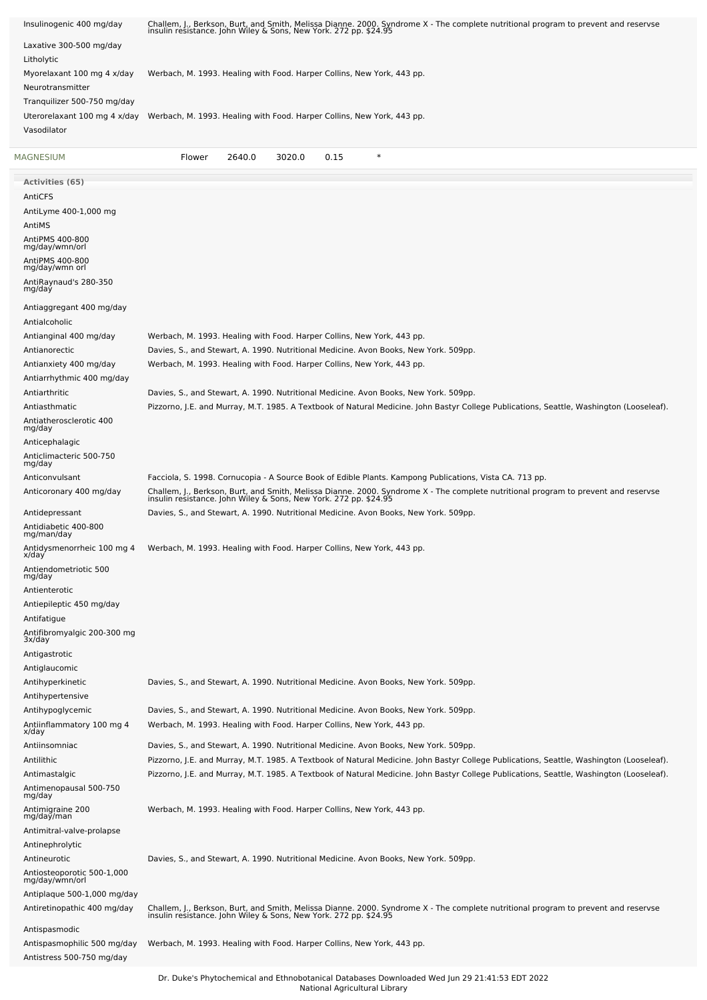| Insulinogenic 400 mg/day                                    | Challem, J., Berkson, Burt, and Smith, Melissa Dianne. 2000. Syndrome X - The complete nutritional program to prevent and reservse<br>insulin resistance. John Wiley & Sons, New York. 272 pp. \$24.95                           |
|-------------------------------------------------------------|----------------------------------------------------------------------------------------------------------------------------------------------------------------------------------------------------------------------------------|
| Laxative 300-500 mg/day                                     |                                                                                                                                                                                                                                  |
| Litholytic                                                  |                                                                                                                                                                                                                                  |
| Myorelaxant 100 mg 4 x/day                                  | Werbach, M. 1993. Healing with Food. Harper Collins, New York, 443 pp.                                                                                                                                                           |
| Neurotransmitter                                            |                                                                                                                                                                                                                                  |
| Tranquilizer 500-750 mg/day<br>Uterorelaxant 100 mg 4 x/day | Werbach, M. 1993. Healing with Food. Harper Collins, New York, 443 pp.                                                                                                                                                           |
| Vasodilator                                                 |                                                                                                                                                                                                                                  |
|                                                             |                                                                                                                                                                                                                                  |
| MAGNESIUM                                                   | $\ast$<br>2640.0<br>3020.0<br>0.15<br>Flower                                                                                                                                                                                     |
| <b>Activities (65)</b>                                      |                                                                                                                                                                                                                                  |
| AntiCFS                                                     |                                                                                                                                                                                                                                  |
| AntiLyme 400-1,000 mg<br>AntiMS                             |                                                                                                                                                                                                                                  |
| AntiPMS 400-800                                             |                                                                                                                                                                                                                                  |
| mg/day/wmn/orl                                              |                                                                                                                                                                                                                                  |
| AntiPMS 400-800<br>mg/day/wmn orl                           |                                                                                                                                                                                                                                  |
| AntiRaynaud's 280-350<br>mg/day                             |                                                                                                                                                                                                                                  |
| Antiaggregant 400 mg/day                                    |                                                                                                                                                                                                                                  |
| Antialcoholic                                               |                                                                                                                                                                                                                                  |
| Antianginal 400 mg/day                                      | Werbach, M. 1993. Healing with Food. Harper Collins, New York, 443 pp.                                                                                                                                                           |
| Antianorectic                                               | Davies, S., and Stewart, A. 1990. Nutritional Medicine. Avon Books, New York. 509pp.                                                                                                                                             |
| Antianxiety 400 mg/day                                      | Werbach, M. 1993. Healing with Food. Harper Collins, New York, 443 pp.                                                                                                                                                           |
| Antiarrhythmic 400 mg/day<br>Antiarthritic                  |                                                                                                                                                                                                                                  |
| Antiasthmatic                                               | Davies, S., and Stewart, A. 1990. Nutritional Medicine. Avon Books, New York. 509pp.<br>Pizzorno, J.E. and Murray, M.T. 1985. A Textbook of Natural Medicine. John Bastyr College Publications, Seattle, Washington (Looseleaf). |
| Antiatherosclerotic 400                                     |                                                                                                                                                                                                                                  |
| mg/day                                                      |                                                                                                                                                                                                                                  |
| Anticephalagic<br>Anticlimacteric 500-750                   |                                                                                                                                                                                                                                  |
| mg/day                                                      |                                                                                                                                                                                                                                  |
| Anticonvulsant                                              | Facciola, S. 1998. Cornucopia - A Source Book of Edible Plants. Kampong Publications, Vista CA. 713 pp.                                                                                                                          |
| Anticoronary 400 mg/day                                     | Challem, J., Berkson, Burt, and Smith, Melissa Dianne. 2000. Syndrome X - The complete nutritional program to prevent and reservse<br>insulin resistance. John Wiley & Sons, New York. 272 pp. \$24.95                           |
| Antidepressant                                              | Davies, S., and Stewart, A. 1990. Nutritional Medicine. Avon Books, New York. 509pp.                                                                                                                                             |
| Antidiabetic 400-800<br>mg/man/day                          |                                                                                                                                                                                                                                  |
| Antidysmenorrheic 100 mg 4<br>x/uay                         | Werbach, M. 1993. Healing with Food. Harper Collins, New York, 443 pp.                                                                                                                                                           |
| Antiendometriotic 500<br>mg/day                             |                                                                                                                                                                                                                                  |
| Antienterotic                                               |                                                                                                                                                                                                                                  |
| Antiepileptic 450 mg/day                                    |                                                                                                                                                                                                                                  |
| Antifatigue                                                 |                                                                                                                                                                                                                                  |
| Antifibromyalgic 200-300 mg<br>3x/day                       |                                                                                                                                                                                                                                  |
| Antigastrotic                                               |                                                                                                                                                                                                                                  |
| Antiglaucomic                                               |                                                                                                                                                                                                                                  |
| Antihyperkinetic                                            | Davies, S., and Stewart, A. 1990. Nutritional Medicine. Avon Books, New York. 509pp.                                                                                                                                             |
| Antihypertensive<br>Antihypoglycemic                        | Davies, S., and Stewart, A. 1990. Nutritional Medicine. Avon Books, New York. 509pp.                                                                                                                                             |
| Antiinflammatory 100 mg 4                                   | Werbach, M. 1993. Healing with Food. Harper Collins, New York, 443 pp.                                                                                                                                                           |
| x/day                                                       |                                                                                                                                                                                                                                  |
| Antiinsomniac<br>Antilithic                                 | Davies, S., and Stewart, A. 1990. Nutritional Medicine. Avon Books, New York. 509pp.<br>Pizzorno, J.E. and Murray, M.T. 1985. A Textbook of Natural Medicine. John Bastyr College Publications, Seattle, Washington (Looseleaf). |
| Antimastalgic                                               | Pizzorno, J.E. and Murray, M.T. 1985. A Textbook of Natural Medicine. John Bastyr College Publications, Seattle, Washington (Looseleaf).                                                                                         |
| Antimenopausal 500-750                                      |                                                                                                                                                                                                                                  |
| mg/day<br>Antimigraine 200                                  | Werbach, M. 1993. Healing with Food. Harper Collins, New York, 443 pp.                                                                                                                                                           |
| mg/day/man                                                  |                                                                                                                                                                                                                                  |
| Antimitral-valve-prolapse                                   |                                                                                                                                                                                                                                  |
| Antinephrolytic<br>Antineurotic                             | Davies, S., and Stewart, A. 1990. Nutritional Medicine. Avon Books, New York. 509pp.                                                                                                                                             |
| Antiosteoporotic 500-1,000                                  |                                                                                                                                                                                                                                  |
| mg/day/wmn/orl                                              |                                                                                                                                                                                                                                  |
| Antiplaque 500-1,000 mg/day<br>Antiretinopathic 400 mg/day  |                                                                                                                                                                                                                                  |
|                                                             | Challem, J., Berkson, Burt, and Smith, Melissa Dianne. 2000. Syndrome X - The complete nutritional program to prevent and reservse<br>insulin resistance. John Wiley & Sons, New York. 272 pp. \$24.95                           |
| Antispasmodic<br>Antispasmophilic 500 mg/day                | Werbach, M. 1993. Healing with Food. Harper Collins, New York, 443 pp.                                                                                                                                                           |
| Antistress 500-750 mg/day                                   |                                                                                                                                                                                                                                  |
|                                                             |                                                                                                                                                                                                                                  |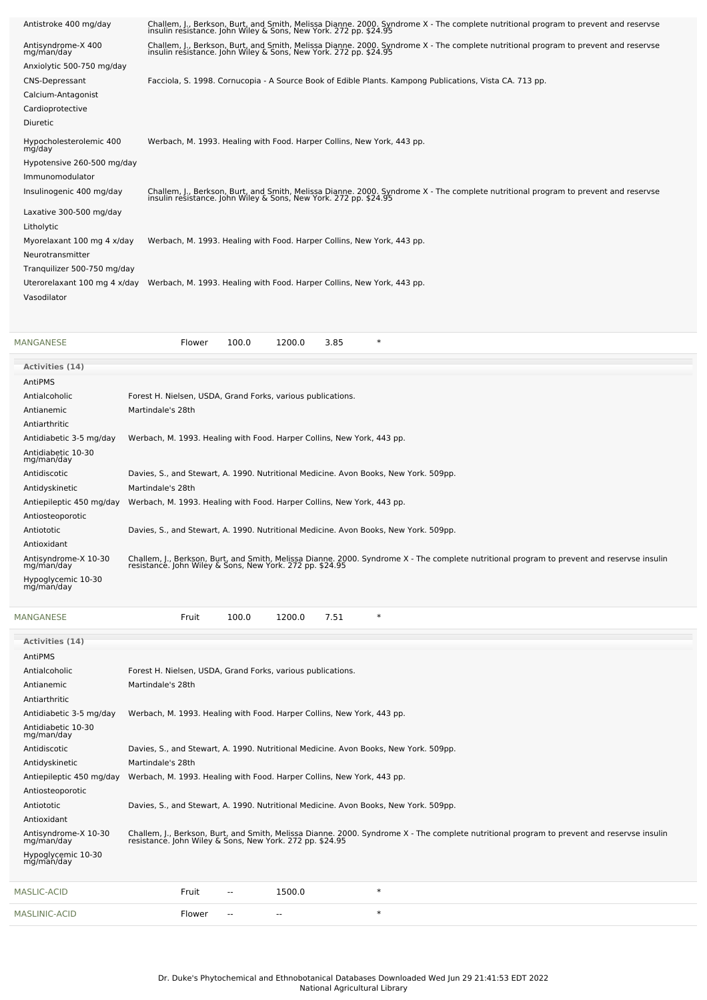| Antistroke 400 mg/day             | Challem, J., Berkson, Burt, and Smith, Melissa Dianne. 2000. Syndrome X - The complete nutritional program to prevent and reservse<br>insulin resistance. John Wiley & Sons, New York. 272 pp. \$24.95 |
|-----------------------------------|--------------------------------------------------------------------------------------------------------------------------------------------------------------------------------------------------------|
| Antisyndrome-X 400<br>mg/man/day  | Challem, J., Berkson, Burt, and Smith, Melissa Dianne. 2000. Syndrome X - The complete nutritional program to prevent and reservse<br>insulin resistance. John Wiley & Sons, New York. 272 pp. \$24.95 |
| Anxiolytic 500-750 mg/day         |                                                                                                                                                                                                        |
| <b>CNS-Depressant</b>             | Facciola, S. 1998. Cornucopia - A Source Book of Edible Plants. Kampong Publications, Vista CA. 713 pp.                                                                                                |
| Calcium-Antagonist                |                                                                                                                                                                                                        |
| Cardioprotective                  |                                                                                                                                                                                                        |
| <b>Diuretic</b>                   |                                                                                                                                                                                                        |
| Hypocholesterolemic 400<br>mg/day | Werbach, M. 1993. Healing with Food. Harper Collins, New York, 443 pp.                                                                                                                                 |
| Hypotensive 260-500 mg/day        |                                                                                                                                                                                                        |
| Immunomodulator                   |                                                                                                                                                                                                        |
| Insulinogenic 400 mg/day          | Challem, J., Berkson, Burt, and Smith, Melissa Dianne. 2000. Syndrome X - The complete nutritional program to prevent and reservse<br>insulin resistance. John Wiley & Sons, New York. 272 pp. \$24.95 |
| Laxative 300-500 mg/day           |                                                                                                                                                                                                        |
| Litholytic                        |                                                                                                                                                                                                        |
| Myorelaxant 100 mg 4 x/day        | Werbach, M. 1993. Healing with Food. Harper Collins, New York, 443 pp.                                                                                                                                 |
| Neurotransmitter                  |                                                                                                                                                                                                        |
| Tranguilizer 500-750 mg/day       |                                                                                                                                                                                                        |
|                                   | Uterorelaxant 100 mg 4 x/day Werbach, M. 1993. Healing with Food. Harper Collins, New York, 443 pp.                                                                                                    |
| Vasodilator                       |                                                                                                                                                                                                        |
|                                   |                                                                                                                                                                                                        |

| MANGANESE                          | 100.0<br>3.85<br>$\ast$<br>1200.0<br>Flower                                                                                                                                                            |
|------------------------------------|--------------------------------------------------------------------------------------------------------------------------------------------------------------------------------------------------------|
| <b>Activities (14)</b>             |                                                                                                                                                                                                        |
| AntiPMS                            |                                                                                                                                                                                                        |
| Antialcoholic                      | Forest H. Nielsen, USDA, Grand Forks, various publications.                                                                                                                                            |
| Antianemic                         | Martindale's 28th                                                                                                                                                                                      |
| Antiarthritic                      |                                                                                                                                                                                                        |
| Antidiabetic 3-5 mg/day            | Werbach, M. 1993. Healing with Food. Harper Collins, New York, 443 pp.                                                                                                                                 |
| Antidiabetic 10-30<br>mg/man/day   |                                                                                                                                                                                                        |
| Antidiscotic                       | Davies, S., and Stewart, A. 1990. Nutritional Medicine. Avon Books, New York. 509pp.                                                                                                                   |
| Antidyskinetic                     | Martindale's 28th                                                                                                                                                                                      |
| Antiepileptic 450 mg/day           | Werbach, M. 1993. Healing with Food. Harper Collins, New York, 443 pp.                                                                                                                                 |
| Antiosteoporotic                   |                                                                                                                                                                                                        |
| Antiototic                         | Davies, S., and Stewart, A. 1990. Nutritional Medicine. Avon Books, New York. 509pp.                                                                                                                   |
| Antioxidant                        |                                                                                                                                                                                                        |
| Antisyndrome-X 10-30<br>mg/man/day | Challem, J., Berkson, Burt, and Smith, Melissa Dianne. 2000. Syndrome X - The complete nutritional program to prevent and reservse insulin<br>resistance. John Wiley & Sons, New York. 272 pp. \$24.95 |
| Hypoglycemic 10-30<br>mg/man/day   |                                                                                                                                                                                                        |

| <b>MANGANESE</b>                   | Fruit                                                                  | 100.0  | 1200.0 | 7.51 | $\ast$                                                                                                                                                                                              |
|------------------------------------|------------------------------------------------------------------------|--------|--------|------|-----------------------------------------------------------------------------------------------------------------------------------------------------------------------------------------------------|
| <b>Activities (14)</b>             |                                                                        |        |        |      |                                                                                                                                                                                                     |
| AntiPMS                            |                                                                        |        |        |      |                                                                                                                                                                                                     |
| Antialcoholic                      | Forest H. Nielsen, USDA, Grand Forks, various publications.            |        |        |      |                                                                                                                                                                                                     |
| Antianemic                         | Martindale's 28th                                                      |        |        |      |                                                                                                                                                                                                     |
| Antiarthritic                      |                                                                        |        |        |      |                                                                                                                                                                                                     |
| Antidiabetic 3-5 mg/day            | Werbach, M. 1993. Healing with Food. Harper Collins, New York, 443 pp. |        |        |      |                                                                                                                                                                                                     |
| Antidiabetic 10-30<br>mg/man/day   |                                                                        |        |        |      |                                                                                                                                                                                                     |
| Antidiscotic                       |                                                                        |        |        |      | Davies, S., and Stewart, A. 1990. Nutritional Medicine. Avon Books, New York. 509pp.                                                                                                                |
| Antidyskinetic                     | Martindale's 28th                                                      |        |        |      |                                                                                                                                                                                                     |
| Antiepileptic 450 mg/day           | Werbach, M. 1993. Healing with Food. Harper Collins, New York, 443 pp. |        |        |      |                                                                                                                                                                                                     |
| Antiosteoporotic                   |                                                                        |        |        |      |                                                                                                                                                                                                     |
| Antiototic                         |                                                                        |        |        |      | Davies, S., and Stewart, A. 1990. Nutritional Medicine. Avon Books, New York. 509pp.                                                                                                                |
| Antioxidant                        |                                                                        |        |        |      |                                                                                                                                                                                                     |
| Antisyndrome-X 10-30<br>mg/man/day |                                                                        |        |        |      | Challem, J., Berkson, Burt, and Smith, Melissa Dianne. 2000. Syndrome X - The complete nutritional program to prevent and reservse insulin resistance. John Wiley & Sons, New York. 272 pp. \$24.95 |
| Hypoglycemic 10-30<br>mg/man/day   |                                                                        |        |        |      |                                                                                                                                                                                                     |
| <b>MASLIC-ACID</b>                 | Fruit                                                                  | $\sim$ | 1500.0 |      | $\ast$                                                                                                                                                                                              |
| <b>MASLINIC-ACID</b>               | Flower                                                                 |        | --     |      | $\ast$                                                                                                                                                                                              |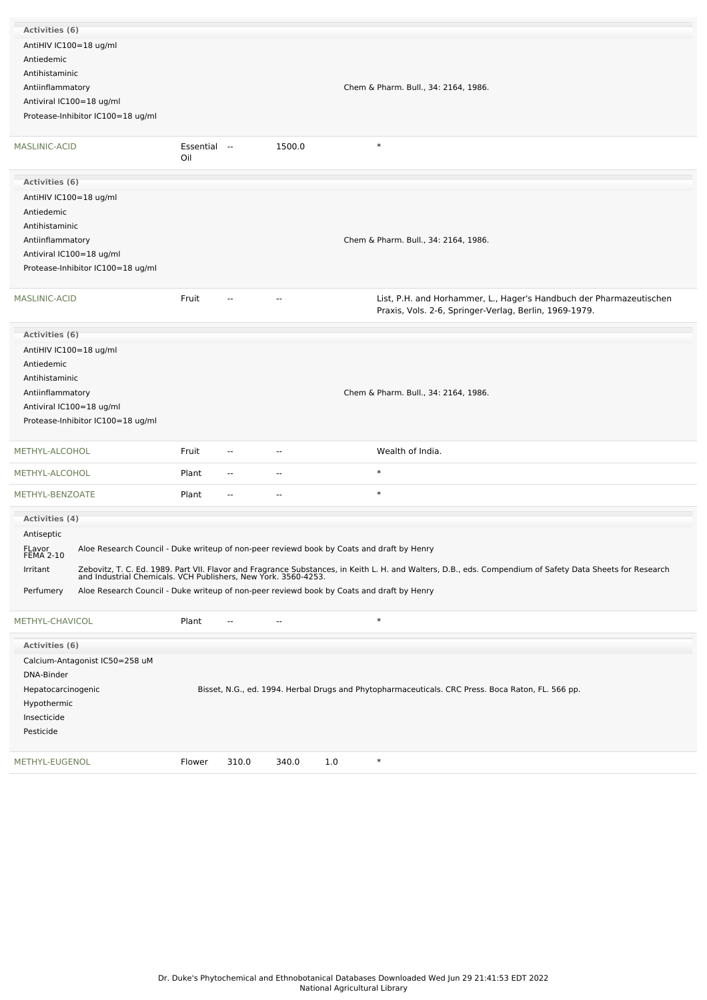| Activities (6)             |                                   |                     |                          |              |                                                                                                                                                                                                                          |
|----------------------------|-----------------------------------|---------------------|--------------------------|--------------|--------------------------------------------------------------------------------------------------------------------------------------------------------------------------------------------------------------------------|
| AntiHIV IC100=18 ug/ml     |                                   |                     |                          |              |                                                                                                                                                                                                                          |
| Antiedemic                 |                                   |                     |                          |              |                                                                                                                                                                                                                          |
| Antihistaminic             |                                   |                     |                          |              |                                                                                                                                                                                                                          |
| Antiinflammatory           |                                   |                     |                          |              | Chem & Pharm. Bull., 34: 2164, 1986.                                                                                                                                                                                     |
| Antiviral IC100=18 ug/ml   |                                   |                     |                          |              |                                                                                                                                                                                                                          |
|                            | Protease-Inhibitor IC100=18 ug/ml |                     |                          |              |                                                                                                                                                                                                                          |
|                            |                                   |                     |                          |              |                                                                                                                                                                                                                          |
| MASLINIC-ACID              |                                   | Essential --<br>Oil |                          | 1500.0       | $\ast$                                                                                                                                                                                                                   |
| Activities (6)             |                                   |                     |                          |              |                                                                                                                                                                                                                          |
| AntiHIV IC100=18 ug/ml     |                                   |                     |                          |              |                                                                                                                                                                                                                          |
| Antiedemic                 |                                   |                     |                          |              |                                                                                                                                                                                                                          |
| Antihistaminic             |                                   |                     |                          |              |                                                                                                                                                                                                                          |
| Antiinflammatory           |                                   |                     |                          |              | Chem & Pharm. Bull., 34: 2164, 1986.                                                                                                                                                                                     |
|                            |                                   |                     |                          |              |                                                                                                                                                                                                                          |
| Antiviral IC100=18 ug/ml   |                                   |                     |                          |              |                                                                                                                                                                                                                          |
|                            | Protease-Inhibitor IC100=18 ug/ml |                     |                          |              |                                                                                                                                                                                                                          |
| MASLINIC-ACID              |                                   | Fruit               |                          | ٠.           | List, P.H. and Horhammer, L., Hager's Handbuch der Pharmazeutischen<br>Praxis, Vols. 2-6, Springer-Verlag, Berlin, 1969-1979.                                                                                            |
| Activities (6)             |                                   |                     |                          |              |                                                                                                                                                                                                                          |
|                            |                                   |                     |                          |              |                                                                                                                                                                                                                          |
| AntiHIV IC100=18 ug/ml     |                                   |                     |                          |              |                                                                                                                                                                                                                          |
| Antiedemic                 |                                   |                     |                          |              |                                                                                                                                                                                                                          |
| Antihistaminic             |                                   |                     |                          |              |                                                                                                                                                                                                                          |
| Antiinflammatory           |                                   |                     |                          |              | Chem & Pharm. Bull., 34: 2164, 1986.                                                                                                                                                                                     |
| Antiviral IC100=18 ug/ml   |                                   |                     |                          |              |                                                                                                                                                                                                                          |
|                            | Protease-Inhibitor IC100=18 ug/ml |                     |                          |              |                                                                                                                                                                                                                          |
| METHYL-ALCOHOL             |                                   | Fruit               |                          | ٠.           | Wealth of India.                                                                                                                                                                                                         |
| METHYL-ALCOHOL             |                                   | Plant               | $\sim$                   | --           | $\ast$                                                                                                                                                                                                                   |
| METHYL-BENZOATE            |                                   | Plant               | $\overline{\phantom{a}}$ | --           | $\ast$                                                                                                                                                                                                                   |
|                            |                                   |                     |                          |              |                                                                                                                                                                                                                          |
| <b>Activities (4)</b>      |                                   |                     |                          |              |                                                                                                                                                                                                                          |
| Antiseptic                 |                                   |                     |                          |              |                                                                                                                                                                                                                          |
| FLavor<br><b>FEMA 2-10</b> |                                   |                     |                          |              | Aloe Research Council - Duke writeup of non-peer reviewd book by Coats and draft by Henry                                                                                                                                |
| Irritant                   |                                   |                     |                          |              | Zebovitz, T. C. Ed. 1989. Part VII. Flavor and Fragrance Substances, in Keith L. H. and Walters, D.B., eds. Compendium of Safety Data Sheets for Research and Industrial Chemicals. VCH Publishers, New York. 3560-4253. |
|                            |                                   |                     |                          |              |                                                                                                                                                                                                                          |
| Perfumery                  |                                   |                     |                          |              | Aloe Research Council - Duke writeup of non-peer reviewd book by Coats and draft by Henry                                                                                                                                |
| METHYL-CHAVICOL            |                                   | Plant               | $-$                      | --           | $\ast$                                                                                                                                                                                                                   |
| Activities (6)             |                                   |                     |                          |              |                                                                                                                                                                                                                          |
|                            | Calcium-Antagonist IC50=258 uM    |                     |                          |              |                                                                                                                                                                                                                          |
| DNA-Binder                 |                                   |                     |                          |              |                                                                                                                                                                                                                          |
| Hepatocarcinogenic         |                                   |                     |                          |              | Bisset, N.G., ed. 1994. Herbal Drugs and Phytopharmaceuticals. CRC Press. Boca Raton, FL. 566 pp.                                                                                                                        |
|                            |                                   |                     |                          |              |                                                                                                                                                                                                                          |
| Hypothermic                |                                   |                     |                          |              |                                                                                                                                                                                                                          |
| Insecticide                |                                   |                     |                          |              |                                                                                                                                                                                                                          |
| Pesticide                  |                                   |                     |                          |              |                                                                                                                                                                                                                          |
| METHYL-EUGENOL             |                                   | Flower              | 310.0                    | 340.0<br>1.0 | $\ast$                                                                                                                                                                                                                   |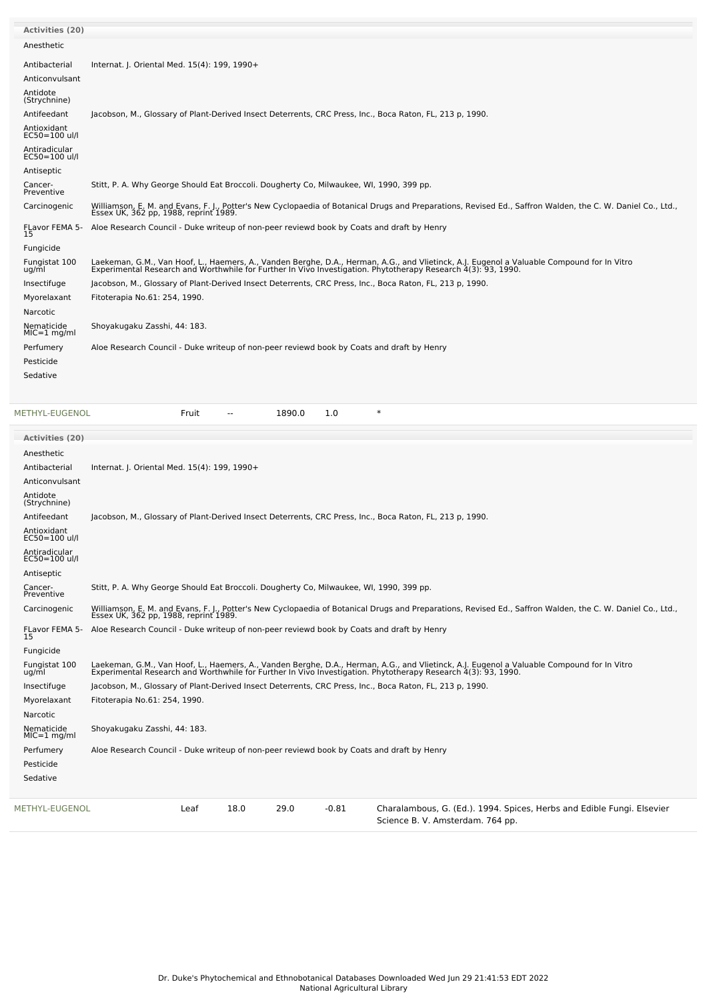| <b>Activities (20)</b>         |                                                                                                                                                                                                                                   |
|--------------------------------|-----------------------------------------------------------------------------------------------------------------------------------------------------------------------------------------------------------------------------------|
| Anesthetic                     |                                                                                                                                                                                                                                   |
| Antibacterial                  | Internat. J. Oriental Med. 15(4): 199, 1990+                                                                                                                                                                                      |
| Anticonvulsant                 |                                                                                                                                                                                                                                   |
| Antidote<br>(Strychnine)       |                                                                                                                                                                                                                                   |
| Antifeedant                    | Jacobson, M., Glossary of Plant-Derived Insect Deterrents, CRC Press, Inc., Boca Raton, FL, 213 p, 1990.                                                                                                                          |
| Antioxidant<br>EC50=100 ul/l   |                                                                                                                                                                                                                                   |
| Antiradicular<br>EC50=100 ul/l |                                                                                                                                                                                                                                   |
| Antiseptic                     |                                                                                                                                                                                                                                   |
| Cancer-<br>Preventive          | Stitt, P. A. Why George Should Eat Broccoli. Dougherty Co, Milwaukee, WI, 1990, 399 pp.                                                                                                                                           |
| Carcinogenic                   | Williamson, E. M. and Evans, F. J., Potter's New Cyclopaedia of Botanical Drugs and Preparations, Revised Ed., Saffron Walden, the C. W. Daniel Co., Ltd., Essex UK, 362 pp, 1988, reprint 1989.                                  |
| FLavor FEMA 5-<br>15           | Aloe Research Council - Duke writeup of non-peer reviewd book by Coats and draft by Henry                                                                                                                                         |
| Fungicide                      |                                                                                                                                                                                                                                   |
| Fungistat 100<br>ug/ml         | Laekeman, G.M., Van Hoof, L., Haemers, A., Vanden Berghe, D.A., Herman, A.G., and Vlietinck, A.J. Eugenol a Valuable Compound for In Vitro<br>Experimental Research and Worthwhile for Further In Vivo Investigation. Phytotherap |
| Insectifuge                    | Jacobson, M., Glossary of Plant-Derived Insect Deterrents, CRC Press, Inc., Boca Raton, FL, 213 p, 1990.                                                                                                                          |
| Myorelaxant                    | Fitoterapia No.61: 254, 1990.                                                                                                                                                                                                     |
| Narcotic                       |                                                                                                                                                                                                                                   |
| Nematicide<br>$MIC=1$ mg/ml    | Shoyakugaku Zasshi, 44: 183.                                                                                                                                                                                                      |
| Perfumery                      | Aloe Research Council - Duke writeup of non-peer reviewd book by Coats and draft by Henry                                                                                                                                         |
| Pesticide                      |                                                                                                                                                                                                                                   |
| Sedative                       |                                                                                                                                                                                                                                   |

[METHYL-EUGENOL](file:///phytochem/chemicals/show/12288) **Fruit** -- 1890.0 1.0 \*

| Activities (20)                |                                                                                                                                                                                                                                   |
|--------------------------------|-----------------------------------------------------------------------------------------------------------------------------------------------------------------------------------------------------------------------------------|
| Anesthetic                     |                                                                                                                                                                                                                                   |
| Antibacterial                  | Internat. J. Oriental Med. 15(4): 199, 1990+                                                                                                                                                                                      |
| Anticonvulsant                 |                                                                                                                                                                                                                                   |
| Antidote<br>(Strychnine)       |                                                                                                                                                                                                                                   |
| Antifeedant                    | Jacobson, M., Glossary of Plant-Derived Insect Deterrents, CRC Press, Inc., Boca Raton, FL, 213 p, 1990.                                                                                                                          |
| Antioxidant<br>EC50=100 ul/l   |                                                                                                                                                                                                                                   |
| Antiradicular<br>EC50=100 ul/l |                                                                                                                                                                                                                                   |
| Antiseptic                     |                                                                                                                                                                                                                                   |
| Cancer-<br>Preventive          | Stitt, P. A. Why George Should Eat Broccoli. Dougherty Co, Milwaukee, WI, 1990, 399 pp.                                                                                                                                           |
| Carcinogenic                   | Williamson, E. M. and Evans, F. J., Potter's New Cyclopaedia of Botanical Drugs and Preparations, Revised Ed., Saffron Walden, the C. W. Daniel Co., Ltd., Essex UK, 362 pp, 1988, reprint 1989.                                  |
| FLavor FEMA 5-<br>15           | Aloe Research Council - Duke writeup of non-peer reviewd book by Coats and draft by Henry                                                                                                                                         |
| Fungicide                      |                                                                                                                                                                                                                                   |
| Fungistat 100<br>ug/ml         | Laekeman, G.M., Van Hoof, L., Haemers, A., Vanden Berghe, D.A., Herman, A.G., and Vlietinck, A.J. Eugenol a Valuable Compound for In Vitro<br>Experimental Research and Worthwhile for Further In Vivo Investigation. Phytotherap |
| Insectifuge                    | Jacobson, M., Glossary of Plant-Derived Insect Deterrents, CRC Press, Inc., Boca Raton, FL, 213 p, 1990.                                                                                                                          |
| Myorelaxant                    | Fitoterapia No.61: 254, 1990.                                                                                                                                                                                                     |
| Narcotic                       |                                                                                                                                                                                                                                   |
| Nematicide<br>$MIC=1$ mg/ml    | Shoyakugaku Zasshi, 44: 183.                                                                                                                                                                                                      |
| Perfumery                      | Aloe Research Council - Duke writeup of non-peer reviewd book by Coats and draft by Henry                                                                                                                                         |
| Pesticide                      |                                                                                                                                                                                                                                   |
| Sedative                       |                                                                                                                                                                                                                                   |
| METHYL-EUGENOL                 | 18.0<br>29.0<br>$-0.81$<br>Charalambous, G. (Ed.). 1994. Spices, Herbs and Edible Fungi. Elsevier<br>Leaf<br>Science B. V. Amsterdam. 764 pp.                                                                                     |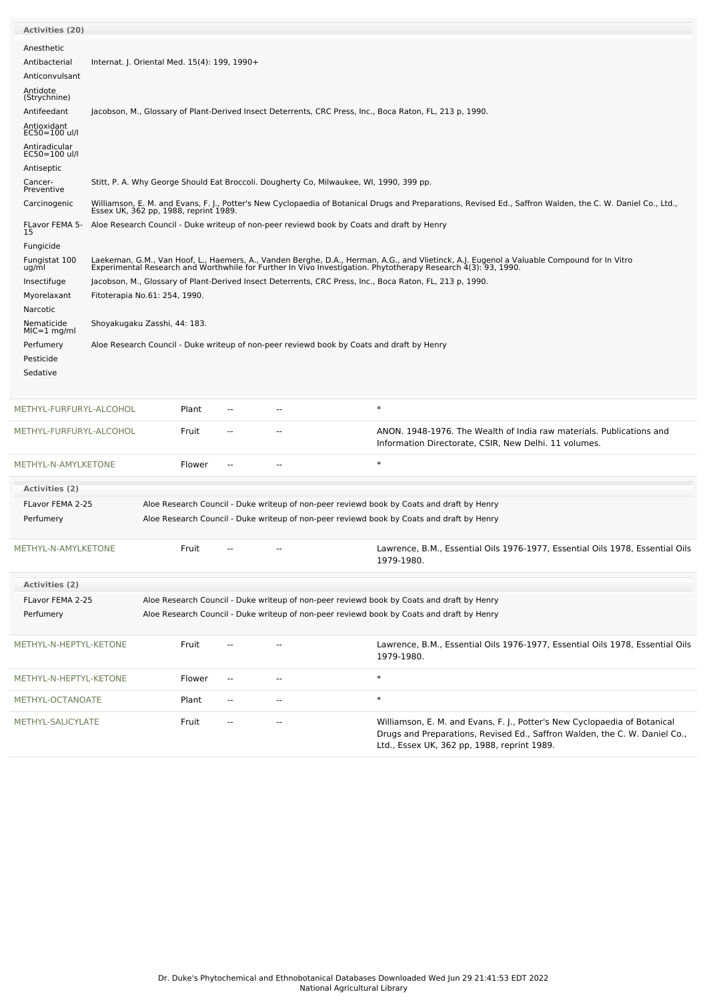| <b>Activities (20)</b>          |                                       |                                                                                                                                                            |                                                                                                          |                                                                                           |                                                                                                                                                                                                                                   |  |  |  |  |
|---------------------------------|---------------------------------------|------------------------------------------------------------------------------------------------------------------------------------------------------------|----------------------------------------------------------------------------------------------------------|-------------------------------------------------------------------------------------------|-----------------------------------------------------------------------------------------------------------------------------------------------------------------------------------------------------------------------------------|--|--|--|--|
| Anesthetic                      |                                       |                                                                                                                                                            |                                                                                                          |                                                                                           |                                                                                                                                                                                                                                   |  |  |  |  |
| Antibacterial<br>Anticonvulsant |                                       | Internat. J. Oriental Med. 15(4): 199, 1990+                                                                                                               |                                                                                                          |                                                                                           |                                                                                                                                                                                                                                   |  |  |  |  |
| Antidote<br>(Strychnine)        |                                       |                                                                                                                                                            |                                                                                                          |                                                                                           |                                                                                                                                                                                                                                   |  |  |  |  |
| Antifeedant                     |                                       |                                                                                                                                                            | Jacobson, M., Glossary of Plant-Derived Insect Deterrents, CRC Press, Inc., Boca Raton, FL, 213 p, 1990. |                                                                                           |                                                                                                                                                                                                                                   |  |  |  |  |
| Antioxidant<br>EC50=100 ul/l    |                                       |                                                                                                                                                            |                                                                                                          |                                                                                           |                                                                                                                                                                                                                                   |  |  |  |  |
| Antiradicular<br>EC50=100 ul/l  |                                       |                                                                                                                                                            |                                                                                                          |                                                                                           |                                                                                                                                                                                                                                   |  |  |  |  |
| Antiseptic<br>Cancer-           |                                       |                                                                                                                                                            |                                                                                                          |                                                                                           |                                                                                                                                                                                                                                   |  |  |  |  |
| Preventive                      |                                       |                                                                                                                                                            | Stitt, P. A. Why George Should Eat Broccoli. Dougherty Co, Milwaukee, WI, 1990, 399 pp.                  |                                                                                           |                                                                                                                                                                                                                                   |  |  |  |  |
| Carcinogenic                    | Essex UK, 362 pp, 1988, reprint 1989. | Williamson, E. M. and Evans, F. J., Potter's New Cyclopaedia of Botanical Drugs and Preparations, Revised Ed., Saffron Walden, the C. W. Daniel Co., Ltd., |                                                                                                          |                                                                                           |                                                                                                                                                                                                                                   |  |  |  |  |
| FLavor FEMA 5-<br>15            |                                       |                                                                                                                                                            |                                                                                                          | Aloe Research Council - Duke writeup of non-peer reviewd book by Coats and draft by Henry |                                                                                                                                                                                                                                   |  |  |  |  |
| Fungicide                       |                                       |                                                                                                                                                            |                                                                                                          |                                                                                           |                                                                                                                                                                                                                                   |  |  |  |  |
| Fungistat 100<br>ug/ml          |                                       |                                                                                                                                                            |                                                                                                          |                                                                                           | Laekeman, G.M., Van Hoof, L., Haemers, A., Vanden Berghe, D.A., Herman, A.G., and Vlietinck, A.J. Eugenol a Valuable Compound for In Vitro<br>Experimental Research and Worthwhile for Further In Vivo Investigation. Phytotherap |  |  |  |  |
| Insectifuge                     |                                       |                                                                                                                                                            |                                                                                                          |                                                                                           | Jacobson, M., Glossary of Plant-Derived Insect Deterrents, CRC Press, Inc., Boca Raton, FL, 213 p, 1990.                                                                                                                          |  |  |  |  |
| Myorelaxant                     | Fitoterapia No.61: 254, 1990.         |                                                                                                                                                            |                                                                                                          |                                                                                           |                                                                                                                                                                                                                                   |  |  |  |  |
| Narcotic<br>Nematicide          | Shoyakugaku Zasshi, 44: 183.          |                                                                                                                                                            |                                                                                                          |                                                                                           |                                                                                                                                                                                                                                   |  |  |  |  |
| $MIC=1$ mg/ml                   |                                       |                                                                                                                                                            |                                                                                                          |                                                                                           |                                                                                                                                                                                                                                   |  |  |  |  |
| Perfumery<br>Pesticide          |                                       |                                                                                                                                                            |                                                                                                          | Aloe Research Council - Duke writeup of non-peer reviewd book by Coats and draft by Henry |                                                                                                                                                                                                                                   |  |  |  |  |
| Sedative                        |                                       |                                                                                                                                                            |                                                                                                          |                                                                                           |                                                                                                                                                                                                                                   |  |  |  |  |
|                                 |                                       |                                                                                                                                                            |                                                                                                          |                                                                                           |                                                                                                                                                                                                                                   |  |  |  |  |
| METHYL-FURFURYL-ALCOHOL         |                                       | Plant                                                                                                                                                      |                                                                                                          |                                                                                           | $\ast$                                                                                                                                                                                                                            |  |  |  |  |
| METHYL-FURFURYL-ALCOHOL         |                                       | Fruit                                                                                                                                                      |                                                                                                          |                                                                                           | ANON. 1948-1976. The Wealth of India raw materials. Publications and<br>Information Directorate, CSIR, New Delhi. 11 volumes.                                                                                                     |  |  |  |  |
| METHYL-N-AMYLKETONE             |                                       | Flower                                                                                                                                                     | н.                                                                                                       |                                                                                           | $\ast$                                                                                                                                                                                                                            |  |  |  |  |
| Activities (2)                  |                                       |                                                                                                                                                            |                                                                                                          |                                                                                           |                                                                                                                                                                                                                                   |  |  |  |  |
| FLavor FEMA 2-25                |                                       |                                                                                                                                                            |                                                                                                          |                                                                                           | Aloe Research Council - Duke writeup of non-peer reviewd book by Coats and draft by Henry                                                                                                                                         |  |  |  |  |
| Perfumery                       |                                       |                                                                                                                                                            |                                                                                                          |                                                                                           | Aloe Research Council - Duke writeup of non-peer reviewd book by Coats and draft by Henry                                                                                                                                         |  |  |  |  |
| METHYL-N-AMYLKETONE             |                                       | Fruit                                                                                                                                                      | --                                                                                                       |                                                                                           | Lawrence, B.M., Essential Oils 1976-1977, Essential Oils 1978, Essential Oils                                                                                                                                                     |  |  |  |  |
|                                 |                                       |                                                                                                                                                            |                                                                                                          |                                                                                           | 1979-1980.                                                                                                                                                                                                                        |  |  |  |  |
| Activities (2)                  |                                       |                                                                                                                                                            |                                                                                                          |                                                                                           |                                                                                                                                                                                                                                   |  |  |  |  |
| FLavor FEMA 2-25                |                                       |                                                                                                                                                            |                                                                                                          |                                                                                           | Aloe Research Council - Duke writeup of non-peer reviewd book by Coats and draft by Henry                                                                                                                                         |  |  |  |  |
| Perfumery                       |                                       |                                                                                                                                                            |                                                                                                          |                                                                                           | Aloe Research Council - Duke writeup of non-peer reviewd book by Coats and draft by Henry                                                                                                                                         |  |  |  |  |
|                                 |                                       |                                                                                                                                                            |                                                                                                          |                                                                                           |                                                                                                                                                                                                                                   |  |  |  |  |
| METHYL-N-HEPTYL-KETONE          |                                       | Fruit                                                                                                                                                      |                                                                                                          |                                                                                           | Lawrence, B.M., Essential Oils 1976-1977, Essential Oils 1978, Essential Oils<br>1979-1980.                                                                                                                                       |  |  |  |  |
| METHYL-N-HEPTYL-KETONE          |                                       | Flower                                                                                                                                                     | $\overline{\phantom{a}}$                                                                                 | --                                                                                        | $\ast$                                                                                                                                                                                                                            |  |  |  |  |
| METHYL-OCTANOATE                |                                       | Plant                                                                                                                                                      | $\overline{\phantom{a}}$                                                                                 | --                                                                                        | $\ast$                                                                                                                                                                                                                            |  |  |  |  |
| METHYL-SALICYLATE               |                                       | Fruit                                                                                                                                                      | ٠.                                                                                                       | ۰.                                                                                        | Williamson, E. M. and Evans, F. J., Potter's New Cyclopaedia of Botanical<br>Drugs and Preparations, Revised Ed., Saffron Walden, the C. W. Daniel Co.,<br>Ltd., Essex UK, 362 pp, 1988, reprint 1989.                            |  |  |  |  |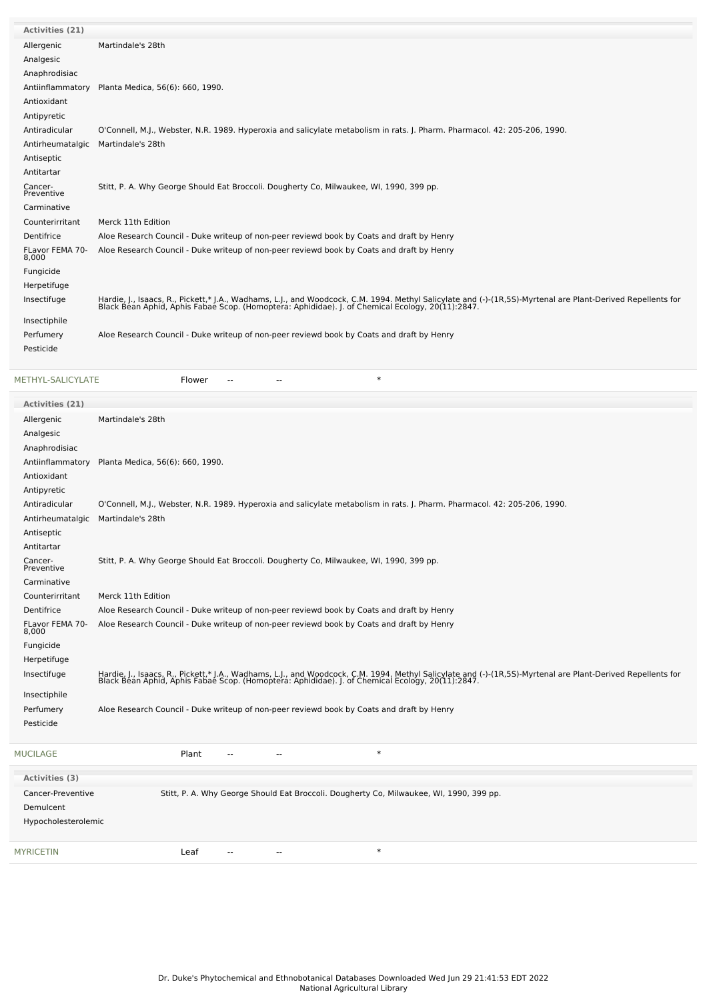| Activities (21)          |                                                                                                                                                                                                                                  |
|--------------------------|----------------------------------------------------------------------------------------------------------------------------------------------------------------------------------------------------------------------------------|
| Allergenic               | Martindale's 28th                                                                                                                                                                                                                |
| Analgesic                |                                                                                                                                                                                                                                  |
| Anaphrodisiac            |                                                                                                                                                                                                                                  |
| Antiinflammatory         | Planta Medica, 56(6): 660, 1990.                                                                                                                                                                                                 |
| Antioxidant              |                                                                                                                                                                                                                                  |
| Antipyretic              |                                                                                                                                                                                                                                  |
| Antiradicular            | O'Connell, M.J., Webster, N.R. 1989. Hyperoxia and salicylate metabolism in rats. J. Pharm. Pharmacol. 42: 205-206, 1990.                                                                                                        |
| Antirheumatalgic         | Martindale's 28th                                                                                                                                                                                                                |
| Antiseptic               |                                                                                                                                                                                                                                  |
| Antitartar               |                                                                                                                                                                                                                                  |
| Cancer-<br>Preventive    | Stitt, P. A. Why George Should Eat Broccoli. Dougherty Co, Milwaukee, WI, 1990, 399 pp.                                                                                                                                          |
| Carminative              |                                                                                                                                                                                                                                  |
| Counterirritant          | Merck 11th Edition                                                                                                                                                                                                               |
| Dentifrice               | Aloe Research Council - Duke writeup of non-peer reviewd book by Coats and draft by Henry                                                                                                                                        |
| FLavor FEMA 70-<br>8,000 | Aloe Research Council - Duke writeup of non-peer reviewd book by Coats and draft by Henry                                                                                                                                        |
| Fungicide                |                                                                                                                                                                                                                                  |
| Herpetifuge              |                                                                                                                                                                                                                                  |
| Insectifuge              | Hardie, J., Isaacs, R., Pickett,* J.A., Wadhams, L.J., and Woodcock, C.M. 1994. Methyl Salicylate and (-)-(1R,5S)-Myrtenal are Plant-Derived Repellents for<br>Black Bean Aphid, Aphis Fabae Scop. (Homoptera: Aphididae). J. of |
| Insectiphile             |                                                                                                                                                                                                                                  |
| Perfumery                | Aloe Research Council - Duke writeup of non-peer reviewd book by Coats and draft by Henry                                                                                                                                        |
| Pesticide                |                                                                                                                                                                                                                                  |
|                          |                                                                                                                                                                                                                                  |

[METHYL-SALICYLATE](file:///phytochem/chemicals/show/12393) **Flower** -- - - - \* \* \*

| Activities (21)          |                                                                                                                                                                                                                                  |
|--------------------------|----------------------------------------------------------------------------------------------------------------------------------------------------------------------------------------------------------------------------------|
| Allergenic               | Martindale's 28th                                                                                                                                                                                                                |
| Analgesic                |                                                                                                                                                                                                                                  |
| Anaphrodisiac            |                                                                                                                                                                                                                                  |
| Antiinflammatory         | Planta Medica, 56(6): 660, 1990.                                                                                                                                                                                                 |
| Antioxidant              |                                                                                                                                                                                                                                  |
| Antipyretic              |                                                                                                                                                                                                                                  |
| Antiradicular            | O'Connell, M.J., Webster, N.R. 1989. Hyperoxia and salicylate metabolism in rats. J. Pharm. Pharmacol. 42: 205-206, 1990.                                                                                                        |
| Antirheumatalgic         | Martindale's 28th                                                                                                                                                                                                                |
| Antiseptic               |                                                                                                                                                                                                                                  |
| Antitartar               |                                                                                                                                                                                                                                  |
| Cancer-<br>Preventive    | Stitt, P. A. Why George Should Eat Broccoli. Dougherty Co, Milwaukee, WI, 1990, 399 pp.                                                                                                                                          |
| Carminative              |                                                                                                                                                                                                                                  |
| Counterirritant          | Merck 11th Edition                                                                                                                                                                                                               |
| Dentifrice               | Aloe Research Council - Duke writeup of non-peer reviewd book by Coats and draft by Henry                                                                                                                                        |
| FLavor FEMA 70-<br>8,000 | Aloe Research Council - Duke writeup of non-peer reviewd book by Coats and draft by Henry                                                                                                                                        |
| Fungicide                |                                                                                                                                                                                                                                  |
| Herpetifuge              |                                                                                                                                                                                                                                  |
| Insectifuge              | Hardie, J., Isaacs, R., Pickett,* J.A., Wadhams, L.J., and Woodcock, C.M. 1994. Methyl Salicylate and (-)-(1R,5S)-Myrtenal are Plant-Derived Repellents for<br>Black Bean Aphid, Aphis Fabae Scop. (Homoptera: Aphididae). J. of |
| Insectiphile             |                                                                                                                                                                                                                                  |
| Perfumery                | Aloe Research Council - Duke writeup of non-peer reviewd book by Coats and draft by Henry                                                                                                                                        |
| Pesticide                |                                                                                                                                                                                                                                  |
| <b>MUCILAGE</b>          | $\ast$<br>Plant<br>--                                                                                                                                                                                                            |
| <b>Activities (3)</b>    |                                                                                                                                                                                                                                  |
| Cancer-Preventive        | Stitt, P. A. Why George Should Eat Broccoli. Dougherty Co, Milwaukee, WI, 1990, 399 pp.                                                                                                                                          |
| Demulcent                |                                                                                                                                                                                                                                  |
| Hypocholesterolemic      |                                                                                                                                                                                                                                  |
| <b>MYRICETIN</b>         | $\ast$<br>Leaf                                                                                                                                                                                                                   |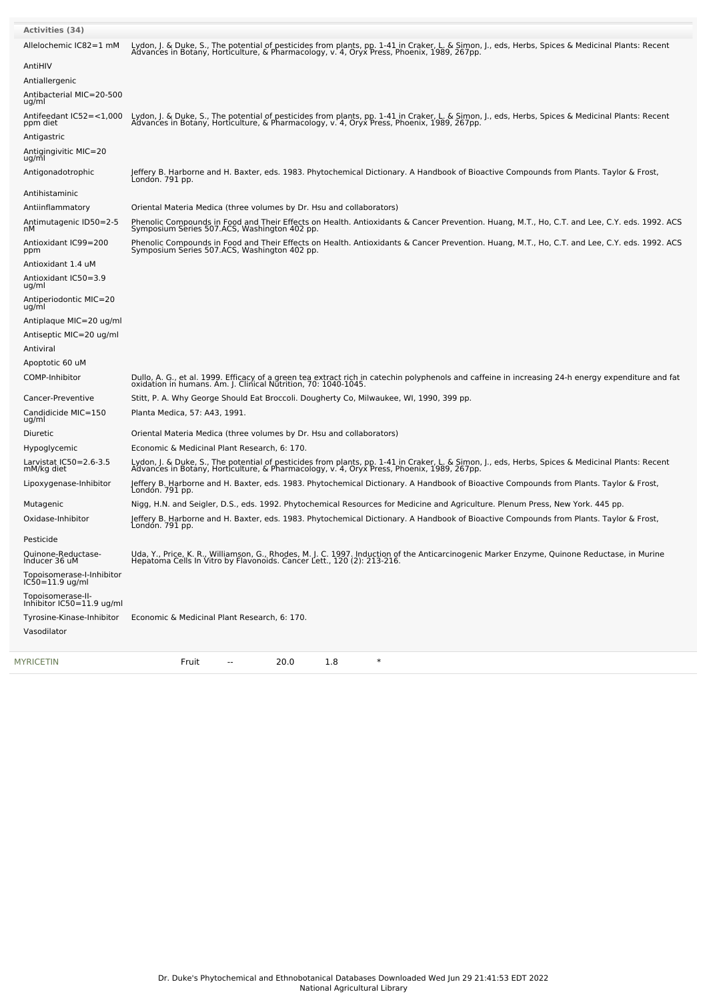| <b>Activities (34)</b>                           |                                                                                                                                                                                                                                               |
|--------------------------------------------------|-----------------------------------------------------------------------------------------------------------------------------------------------------------------------------------------------------------------------------------------------|
| Allelochemic IC82=1 mM                           | Lydon, J. & Duke, S., The potential of pesticides from plants, pp. 1-41 in Craker, L. & Simon, J., eds, Herbs, Spices & Medicinal Plants: Recent<br>Advances in Botany, Horticulture, & Pharmacology, v. 4, Oryx Press, Phoenix,              |
| AntiHIV                                          |                                                                                                                                                                                                                                               |
| Antiallergenic                                   |                                                                                                                                                                                                                                               |
| Antibacterial MIC=20-500<br>ug/ml                |                                                                                                                                                                                                                                               |
| Antifeedant IC52=<1,000<br>ppm diet              | Lydon, J. & Duke, S., The potential of pesticides from plants, pp. 1-41 in Craker, L. & Simon, J., eds, Herbs, Spices & Medicinal Plants: Recent<br>Advances in Botany, Horticulture, & Pharmacology, v. 4, Oryx Press, Phoenix,              |
| Antigastric                                      |                                                                                                                                                                                                                                               |
| Antigingivitic MIC=20<br>ug/ml                   |                                                                                                                                                                                                                                               |
| Antigonadotrophic                                | Jeffery B. Harborne and H. Baxter, eds. 1983. Phytochemical Dictionary. A Handbook of Bioactive Compounds from Plants. Taylor & Frost,<br>London. 791 pp.                                                                                     |
| Antihistaminic                                   |                                                                                                                                                                                                                                               |
| Antiinflammatory                                 | Oriental Materia Medica (three volumes by Dr. Hsu and collaborators)                                                                                                                                                                          |
| Antimutagenic ID50=2-5<br>nМ                     | Phenolic Compounds in Food and Their Effects on Health. Antioxidants & Cancer Prevention. Huang, M.T., Ho, C.T. and Lee, C.Y. eds. 1992. ACS<br>Symposium Series 507.ACS, Washington 402 pp.                                                  |
| Antioxidant IC99=200<br>ppm                      | Phenolic Compounds in Food and Their Effects on Health. Antioxidants & Cancer Prevention. Huang, M.T., Ho, C.T. and Lee, C.Y. eds. 1992. ACS<br>Symposium Series 507.ACS, Washington 402 pp.                                                  |
| Antioxidant 1.4 uM                               |                                                                                                                                                                                                                                               |
| Antioxidant IC50=3.9<br>ug/ml                    |                                                                                                                                                                                                                                               |
| Antiperiodontic MIC=20<br>ug/ml                  |                                                                                                                                                                                                                                               |
| Antiplaque MIC=20 ug/ml                          |                                                                                                                                                                                                                                               |
| Antiseptic MIC=20 ug/ml                          |                                                                                                                                                                                                                                               |
| Antiviral                                        |                                                                                                                                                                                                                                               |
| Apoptotic 60 uM                                  |                                                                                                                                                                                                                                               |
| COMP-Inhibitor                                   | Dullo, A. G., et al. 1999. Efficacy of a green tea extract rich in catechin polyphenols and caffeine in increasing 24-h energy expenditure and fat<br>oxidation in humans. Am. J. Clinical Nutrition, 70: 1040-1045.                          |
| Cancer-Preventive                                | Stitt, P. A. Why George Should Eat Broccoli. Dougherty Co, Milwaukee, WI, 1990, 399 pp.                                                                                                                                                       |
| Candidicide MIC=150<br>ug/ml                     | Planta Medica, 57: A43, 1991.                                                                                                                                                                                                                 |
| Diuretic                                         | Oriental Materia Medica (three volumes by Dr. Hsu and collaborators)                                                                                                                                                                          |
| Hypoglycemic                                     | Economic & Medicinal Plant Research, 6: 170.                                                                                                                                                                                                  |
| Larvistat IC50=2.6-3.5<br>mM/kg diet             | Lydon, J. & Duke, S., The potential of pesticides from plants, pp. 1-41 in Craker, L. & Simon, J., eds, Herbs, Spices & Medicinal Plants: Recent<br>Advances in Botany, Horticulture, & Pharmacology, v. 4, Oryx Press, Phoenix, 1989, 267pp. |
| Lipoxygenase-Inhibitor                           | Jeffery B. Harborne and H. Baxter, eds. 1983. Phytochemical Dictionary. A Handbook of Bioactive Compounds from Plants. Taylor & Frost,<br>Londón. 791 pp.                                                                                     |
| Mutagenic                                        | Nigg, H.N. and Seigler, D.S., eds. 1992. Phytochemical Resources for Medicine and Agriculture. Plenum Press, New York. 445 pp.                                                                                                                |
| Oxidase-Inhibitor                                | Jeffery B. Harborne and H. Baxter, eds. 1983. Phytochemical Dictionary. A Handbook of Bioactive Compounds from Plants. Taylor & Frost,<br>Londón. 791 pp.                                                                                     |
| Pesticide                                        |                                                                                                                                                                                                                                               |
| Ouinone-Reductase-<br>Inducer 36 uM              | Uda, Y., Price, K. R., Williamson, G., Rhodes, M. J. C. 1997. Induction of the Anticarcinogenic Marker Enzyme, Quinone Reductase, in Murine<br>Hepatoma Cells In Vitro by Flavonoids. Cancer Lett., 120 (2): 213-216.                         |
| Topoisomerase-I-Inhibitor<br>$IC50 = 11.9$ ug/ml |                                                                                                                                                                                                                                               |
| Topoisomerase-II-<br>Inhibitor IC50=11.9 ug/ml   |                                                                                                                                                                                                                                               |
| Tyrosine-Kinase-Inhibitor                        | Economic & Medicinal Plant Research, 6: 170.                                                                                                                                                                                                  |
| Vasodilator                                      |                                                                                                                                                                                                                                               |
| MYRICETIN                                        | 20.0<br>$\ast$<br>Fruit<br>1.8<br>--                                                                                                                                                                                                          |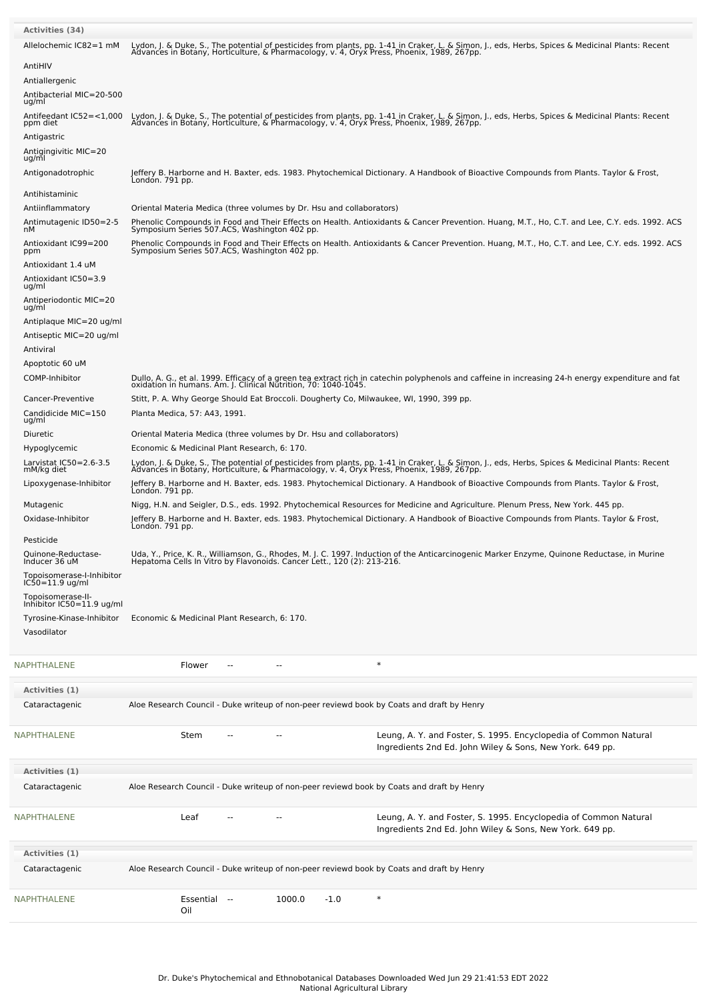| <b>Activities (34)</b>                                         |                                                                                                                      |                |        |        |                                                                                                                                                                                                                                                                                             |
|----------------------------------------------------------------|----------------------------------------------------------------------------------------------------------------------|----------------|--------|--------|---------------------------------------------------------------------------------------------------------------------------------------------------------------------------------------------------------------------------------------------------------------------------------------------|
| Allelochemic IC82=1 mM                                         |                                                                                                                      |                |        |        | Lydon, J. & Duke, S., The potential of pesticides from plants, pp. 1-41 in Craker, L. & Simon, J., eds, Herbs, Spices & Medicinal Plants: Recent<br>Advances in Botany, Horticulture, & Pharmacology, v. 4, Oryx Press, Phoenix,                                                            |
| AntiHIV<br>Antiallergenic<br>Antibacterial MIC=20-500<br>ug/ml |                                                                                                                      |                |        |        |                                                                                                                                                                                                                                                                                             |
| Antifeedant IC52=<1,000<br>ppm diet<br>Antigastric             |                                                                                                                      |                |        |        | Lydon, J. & Duke, S., The potential of pesticides from plants, pp. 1-41 in Craker, L. & Simon, J., eds, Herbs, Spices & Medicinal Plants: Recent<br>Advances in Botany, Horticulture, & Pharmacology, v. 4, Oryx Press, Phoenix,                                                            |
| Antigingivitic MIC=20<br>ug/ml                                 |                                                                                                                      |                |        |        |                                                                                                                                                                                                                                                                                             |
| Antigonadotrophic                                              | London. 791 pp.                                                                                                      |                |        |        | Jeffery B. Harborne and H. Baxter, eds. 1983. Phytochemical Dictionary. A Handbook of Bioactive Compounds from Plants. Taylor & Frost,                                                                                                                                                      |
| Antihistaminic<br>Antiinflammatory<br>Antimutagenic ID50=2-5   | Oriental Materia Medica (three volumes by Dr. Hsu and collaborators)                                                 |                |        |        | Phenolic Compounds in Food and Their Effects on Health. Antioxidants & Cancer Prevention. Huang, M.T., Ho, C.T. and Lee, C.Y. eds. 1992. ACS<br>Symposium Series 507.ACS, Washington 402 pp.                                                                                                |
| nМ<br>Antioxidant IC99=200<br>ppm                              |                                                                                                                      |                |        |        | Phenolic Compounds in Food and Their Effects on Health. Antioxidants & Cancer Prevention. Huang, M.T., Ho, C.T. and Lee, C.Y. eds. 1992. ACS<br>Symposium Series 507.ACS, Washington 402 pp.                                                                                                |
| Antioxidant 1.4 uM<br>Antioxidant IC50=3.9<br>ug/ml            |                                                                                                                      |                |        |        |                                                                                                                                                                                                                                                                                             |
| Antiperiodontic MIC=20<br>ug/ml                                |                                                                                                                      |                |        |        |                                                                                                                                                                                                                                                                                             |
| Antiplaque MIC=20 ug/ml<br>Antiseptic MIC=20 ug/ml             |                                                                                                                      |                |        |        |                                                                                                                                                                                                                                                                                             |
| Antiviral                                                      |                                                                                                                      |                |        |        |                                                                                                                                                                                                                                                                                             |
| Apoptotic 60 uM<br>COMP-Inhibitor                              | oxidation in humans. Am. J. Clinical Nutrition, 70: 1040-1045.                                                       |                |        |        | Dullo, A. G., et al. 1999. Efficacy of a green tea extract rich in catechin polyphenols and caffeine in increasing 24-h energy expenditure and fat                                                                                                                                          |
| Cancer-Preventive                                              |                                                                                                                      |                |        |        | Stitt, P. A. Why George Should Eat Broccoli. Dougherty Co, Milwaukee, WI, 1990, 399 pp.                                                                                                                                                                                                     |
| Candidicide MIC=150<br>ug/ml                                   | Planta Medica, 57: A43, 1991.                                                                                        |                |        |        |                                                                                                                                                                                                                                                                                             |
| Diuretic<br>Hypoglycemic                                       | Oriental Materia Medica (three volumes by Dr. Hsu and collaborators)<br>Economic & Medicinal Plant Research, 6: 170. |                |        |        |                                                                                                                                                                                                                                                                                             |
| Larvistat IC50=2.6-3.5<br>mM/kg diet                           |                                                                                                                      |                |        |        | Lydon, J. & Duke, S., The potential of pesticides from plants, pp. 1-41 in Craker, L. & Simon, J., eds, Herbs, Spices & Medicinal Plants: Recent<br>Advances in Botany, Horticulture, & Pharmacology, v. 4, Oryx Press, Phoenix,                                                            |
| Lipoxygenase-Inhibitor                                         | London. 791 pp.                                                                                                      |                |        |        | Jeffery B. Harborne and H. Baxter, eds. 1983. Phytochemical Dictionary. A Handbook of Bioactive Compounds from Plants. Taylor & Frost,                                                                                                                                                      |
| Mutagenic<br>Oxidase-Inhibitor                                 |                                                                                                                      |                |        |        | Nigg, H.N. and Seigler, D.S., eds. 1992. Phytochemical Resources for Medicine and Agriculture. Plenum Press, New York. 445 pp.<br>Jeffery B. Harborne and H. Baxter, eds. 1983. Phytochemical Dictionary. A Handbook of Bioactive Compounds from Plants. Taylor & Frost,<br>London. 791 pp. |
| Pesticide                                                      |                                                                                                                      |                |        |        |                                                                                                                                                                                                                                                                                             |
| Quinone-Reductase-<br>Inducer 36 uM                            | Hepatoma Cells In Vitro by Flavonoids. Cancer Lett., 120 (2): 213-216.                                               |                |        |        | Uda, Y., Price, K. R., Williamson, G., Rhodes, M. J. C. 1997. Induction of the Anticarcinogenic Marker Enzyme, Quinone Reductase, in Murine                                                                                                                                                 |
| Topoisomerase-I-Inhibitor<br>IC50=11.9 ug/ml                   |                                                                                                                      |                |        |        |                                                                                                                                                                                                                                                                                             |
| Topoisomerase-II-<br>Inhibitor IC50=11.9 ug/ml                 |                                                                                                                      |                |        |        |                                                                                                                                                                                                                                                                                             |
| Tyrosine-Kinase-Inhibitor<br>Vasodilator                       | Economic & Medicinal Plant Research, 6: 170.                                                                         |                |        |        |                                                                                                                                                                                                                                                                                             |
| NAPHTHALENE                                                    | Flower                                                                                                               | $\overline{a}$ |        |        | $\ast$                                                                                                                                                                                                                                                                                      |
| Activities (1)                                                 |                                                                                                                      |                |        |        |                                                                                                                                                                                                                                                                                             |
| Cataractagenic                                                 |                                                                                                                      |                |        |        | Aloe Research Council - Duke writeup of non-peer reviewd book by Coats and draft by Henry                                                                                                                                                                                                   |
| NAPHTHALENE                                                    | Stem                                                                                                                 |                |        |        | Leung, A. Y. and Foster, S. 1995. Encyclopedia of Common Natural<br>Ingredients 2nd Ed. John Wiley & Sons, New York. 649 pp.                                                                                                                                                                |
| Activities (1)                                                 |                                                                                                                      |                |        |        |                                                                                                                                                                                                                                                                                             |
| Cataractagenic                                                 |                                                                                                                      |                |        |        | Aloe Research Council - Duke writeup of non-peer reviewd book by Coats and draft by Henry                                                                                                                                                                                                   |
| NAPHTHALENE                                                    | Leaf                                                                                                                 |                |        |        | Leung, A. Y. and Foster, S. 1995. Encyclopedia of Common Natural<br>Ingredients 2nd Ed. John Wiley & Sons, New York. 649 pp.                                                                                                                                                                |
| Activities (1)                                                 |                                                                                                                      |                |        |        |                                                                                                                                                                                                                                                                                             |
| Cataractagenic                                                 |                                                                                                                      |                |        |        | Aloe Research Council - Duke writeup of non-peer reviewd book by Coats and draft by Henry                                                                                                                                                                                                   |
| NAPHTHALENE                                                    | Essential --<br>Oil                                                                                                  |                | 1000.0 | $-1.0$ | $\ast$                                                                                                                                                                                                                                                                                      |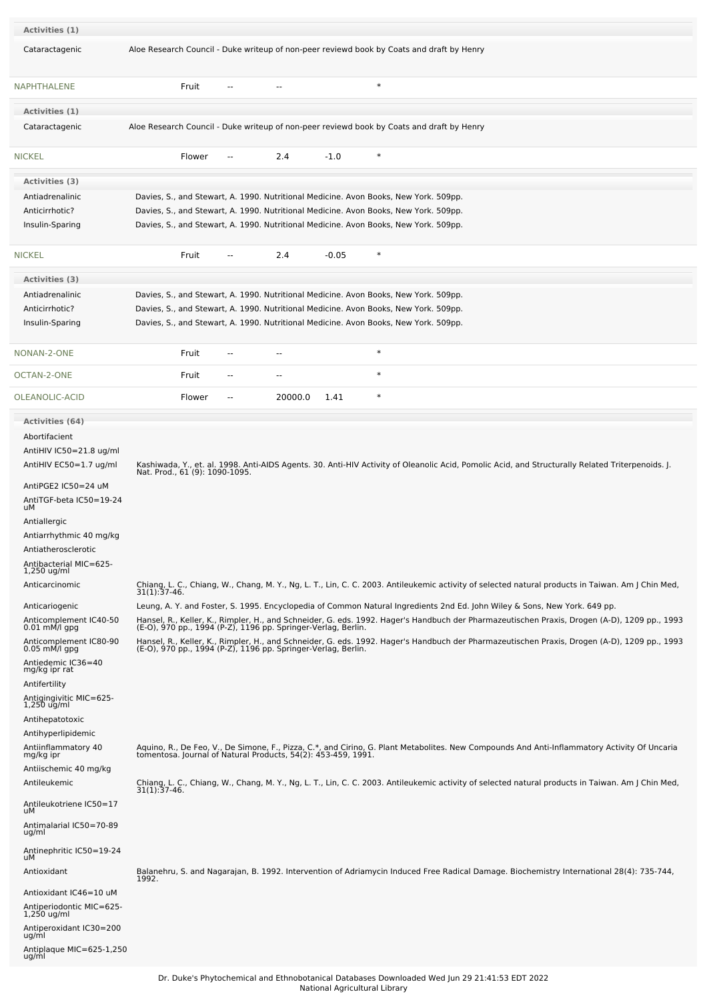| Activities (1)                                                                                                                                                                                                                                                                                                                                                                                                                                                                                            |       |        |                |                          |                                                               |        |                                                                                                                                                                                                                                                                                                                                                                                                                                                                                                                                                                                                                                                                                                                                                                                                                                                    |  |
|-----------------------------------------------------------------------------------------------------------------------------------------------------------------------------------------------------------------------------------------------------------------------------------------------------------------------------------------------------------------------------------------------------------------------------------------------------------------------------------------------------------|-------|--------|----------------|--------------------------|---------------------------------------------------------------|--------|----------------------------------------------------------------------------------------------------------------------------------------------------------------------------------------------------------------------------------------------------------------------------------------------------------------------------------------------------------------------------------------------------------------------------------------------------------------------------------------------------------------------------------------------------------------------------------------------------------------------------------------------------------------------------------------------------------------------------------------------------------------------------------------------------------------------------------------------------|--|
| Cataractagenic                                                                                                                                                                                                                                                                                                                                                                                                                                                                                            |       |        |                |                          |                                                               |        | Aloe Research Council - Duke writeup of non-peer reviewd book by Coats and draft by Henry                                                                                                                                                                                                                                                                                                                                                                                                                                                                                                                                                                                                                                                                                                                                                          |  |
| <b>NAPHTHALENE</b>                                                                                                                                                                                                                                                                                                                                                                                                                                                                                        |       | Fruit  |                |                          |                                                               | $\ast$ |                                                                                                                                                                                                                                                                                                                                                                                                                                                                                                                                                                                                                                                                                                                                                                                                                                                    |  |
| Activities (1)                                                                                                                                                                                                                                                                                                                                                                                                                                                                                            |       |        |                |                          |                                                               |        |                                                                                                                                                                                                                                                                                                                                                                                                                                                                                                                                                                                                                                                                                                                                                                                                                                                    |  |
| Cataractagenic                                                                                                                                                                                                                                                                                                                                                                                                                                                                                            |       |        |                |                          |                                                               |        | Aloe Research Council - Duke writeup of non-peer reviewd book by Coats and draft by Henry                                                                                                                                                                                                                                                                                                                                                                                                                                                                                                                                                                                                                                                                                                                                                          |  |
| <b>NICKEL</b>                                                                                                                                                                                                                                                                                                                                                                                                                                                                                             |       | Flower |                | 2.4                      | $-1.0$                                                        | $\ast$ |                                                                                                                                                                                                                                                                                                                                                                                                                                                                                                                                                                                                                                                                                                                                                                                                                                                    |  |
| Activities (3)                                                                                                                                                                                                                                                                                                                                                                                                                                                                                            |       |        |                |                          |                                                               |        |                                                                                                                                                                                                                                                                                                                                                                                                                                                                                                                                                                                                                                                                                                                                                                                                                                                    |  |
| Antiadrenalinic                                                                                                                                                                                                                                                                                                                                                                                                                                                                                           |       |        |                |                          |                                                               |        | Davies, S., and Stewart, A. 1990. Nutritional Medicine. Avon Books, New York. 509pp.                                                                                                                                                                                                                                                                                                                                                                                                                                                                                                                                                                                                                                                                                                                                                               |  |
| Anticirrhotic?<br>Insulin-Sparing                                                                                                                                                                                                                                                                                                                                                                                                                                                                         |       |        |                |                          |                                                               |        | Davies, S., and Stewart, A. 1990. Nutritional Medicine. Avon Books, New York. 509pp.<br>Davies, S., and Stewart, A. 1990. Nutritional Medicine. Avon Books, New York. 509pp.                                                                                                                                                                                                                                                                                                                                                                                                                                                                                                                                                                                                                                                                       |  |
|                                                                                                                                                                                                                                                                                                                                                                                                                                                                                                           |       |        |                |                          |                                                               |        |                                                                                                                                                                                                                                                                                                                                                                                                                                                                                                                                                                                                                                                                                                                                                                                                                                                    |  |
| <b>NICKEL</b>                                                                                                                                                                                                                                                                                                                                                                                                                                                                                             |       | Fruit  | --             | 2.4                      | $-0.05$                                                       | $\ast$ |                                                                                                                                                                                                                                                                                                                                                                                                                                                                                                                                                                                                                                                                                                                                                                                                                                                    |  |
| Activities (3)                                                                                                                                                                                                                                                                                                                                                                                                                                                                                            |       |        |                |                          |                                                               |        |                                                                                                                                                                                                                                                                                                                                                                                                                                                                                                                                                                                                                                                                                                                                                                                                                                                    |  |
| Antiadrenalinic                                                                                                                                                                                                                                                                                                                                                                                                                                                                                           |       |        |                |                          |                                                               |        | Davies, S., and Stewart, A. 1990. Nutritional Medicine. Avon Books, New York. 509pp.                                                                                                                                                                                                                                                                                                                                                                                                                                                                                                                                                                                                                                                                                                                                                               |  |
| Anticirrhotic?<br>Insulin-Sparing                                                                                                                                                                                                                                                                                                                                                                                                                                                                         |       |        |                |                          |                                                               |        | Davies, S., and Stewart, A. 1990. Nutritional Medicine. Avon Books, New York. 509pp.<br>Davies, S., and Stewart, A. 1990. Nutritional Medicine. Avon Books, New York. 509pp.                                                                                                                                                                                                                                                                                                                                                                                                                                                                                                                                                                                                                                                                       |  |
|                                                                                                                                                                                                                                                                                                                                                                                                                                                                                                           |       |        |                |                          |                                                               |        |                                                                                                                                                                                                                                                                                                                                                                                                                                                                                                                                                                                                                                                                                                                                                                                                                                                    |  |
| NONAN-2-ONE                                                                                                                                                                                                                                                                                                                                                                                                                                                                                               |       | Fruit  | $-$            | $\overline{\phantom{a}}$ |                                                               | $\ast$ |                                                                                                                                                                                                                                                                                                                                                                                                                                                                                                                                                                                                                                                                                                                                                                                                                                                    |  |
| OCTAN-2-ONE                                                                                                                                                                                                                                                                                                                                                                                                                                                                                               |       | Fruit  | $\overline{a}$ | $\overline{\phantom{a}}$ |                                                               | $\ast$ |                                                                                                                                                                                                                                                                                                                                                                                                                                                                                                                                                                                                                                                                                                                                                                                                                                                    |  |
| OLEANOLIC-ACID                                                                                                                                                                                                                                                                                                                                                                                                                                                                                            |       | Flower | --             | 20000.0                  | 1.41                                                          | $\ast$ |                                                                                                                                                                                                                                                                                                                                                                                                                                                                                                                                                                                                                                                                                                                                                                                                                                                    |  |
| Activities (64)<br>Abortifacient<br>AntiHIV IC50=21.8 ug/ml<br>AntiHIV EC50=1.7 ug/ml<br>AntiPGE2 IC50=24 uM<br>AntiTGF-beta IC50=19-24<br>uМ<br>Antiallergic<br>Antiarrhythmic 40 mg/kg<br>Antiatherosclerotic<br>Antibacterial MIC=625-<br>1,250 ug/ml<br>Anticarcinomic<br>Anticariogenic<br>Anticomplement IC40-50<br>0.01 mM/l gpg<br>Anticomplement IC80-90<br>0.05 mM/l gpg<br>Antiedemic IC36=40<br>mg/kg ipr rat<br>Antifertility<br>Antigingivitic MIC=625-<br>$1,250$ ug/ml<br>Antihepatotoxic |       |        |                |                          | (E-O), 970 pp., 1994 (P-Z), 1196 pp. Springer-Verlag, Berlin. |        | Kashiwada, Y., et. al. 1998. Anti-AIDS Agents. 30. Anti-HIV Activity of Oleanolic Acid, Pomolic Acid, and Structurally Related Triterpenoids. J.<br>Nat. Prod., 61 (9): 1090-1095.<br>Chiang, L. C., Chiang, W., Chang, M. Y., Ng, L. T., Lin, C. C. 2003. Antileukemic activity of selected natural products in Taiwan. Am J Chin Med, 31(1):37-46.<br>Leung, A. Y. and Foster, S. 1995. Encyclopedia of Common Natural Ingredients 2nd Ed. John Wiley & Sons, New York. 649 pp.<br>Hansel, R., Keller, K., Rimpler, H., and Schneider, G. eds. 1992. Hager's Handbuch der Pharmazeutischen Praxis, Drogen (A-D), 1209 pp., 1993<br>(E-O), 970 pp., 1994 (P-Z), 1196 pp. Springer-Verlag, Berlin.<br>Hansel, R., Keller, K., Rimpler, H., and Schneider, G. eds. 1992. Hager's Handbuch der Pharmazeutischen Praxis, Drogen (A-D), 1209 pp., 1993 |  |
| Antihyperlipidemic<br>Antiinflammatory 40<br>mg/kg ipr<br>Antiischemic 40 mg/kg<br>Antileukemic<br>Antileukotriene IC50=17<br>uМ<br>Antimalarial IC50=70-89<br>ug/ml<br>Antinephritic IC50=19-24<br>uМ<br>Antioxidant<br>Antioxidant IC46=10 uM<br>Antiperiodontic MIC=625-<br>1,250 ug/ml<br>Antiperoxidant IC30=200<br>ug/ml<br>Antiplaque MIC=625-1,250<br>ug/ml                                                                                                                                       | 1992. |        |                |                          | tomentosa. Journal of Natural Products, 54(2): 453-459, 1991. |        | Aquino, R., De Feo, V., De Simone, F., Pizza, C.*, and Cirino, G. Plant Metabolites. New Compounds And Anti-Inflammatory Activity Of Uncaria<br>Chiang, L. C., Chiang, W., Chang, M. Y., Ng, L. T., Lin, C. C. 2003. Antileukemic activity of selected natural products in Taiwan. Am J Chin Med,<br>31(1):37-46.<br>Balanehru, S. and Nagarajan, B. 1992. Intervention of Adriamycin Induced Free Radical Damage. Biochemistry International 28(4): 735-744,                                                                                                                                                                                                                                                                                                                                                                                      |  |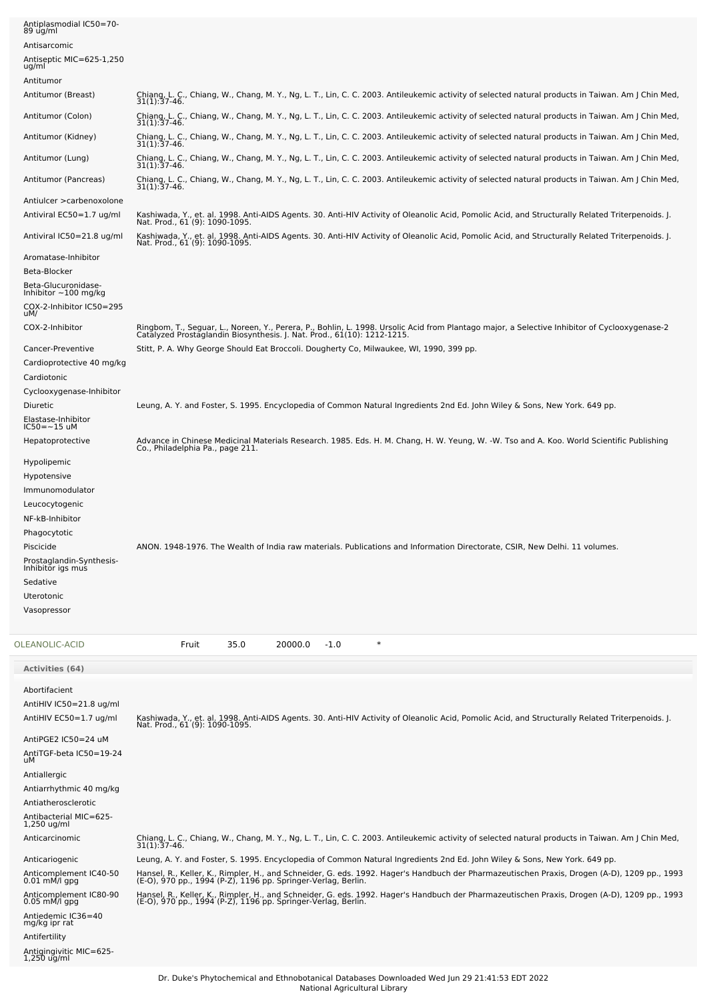| Antiplasmodial IC50=70-<br>89 ug/ml<br>Antisarcomic<br>Antiseptic MIC=625-1,250 |                                                                                                                                                                                                                          |
|---------------------------------------------------------------------------------|--------------------------------------------------------------------------------------------------------------------------------------------------------------------------------------------------------------------------|
| ug/ml<br>Antitumor                                                              |                                                                                                                                                                                                                          |
| Antitumor (Breast)                                                              | Chiang, L. C., Chiang, W., Chang, M. Y., Ng, L. T., Lin, C. C. 2003. Antileukemic activity of selected natural products in Taiwan. Am J Chin Med,<br>$31(1):37-46.$                                                      |
| Antitumor (Colon)                                                               | Chiang, L. C., Chiang, W., Chang, M. Y., Ng, L. T., Lin, C. C. 2003. Antileukemic activity of selected natural products in Taiwan. Am J Chin Med,<br>31(1):37-46.                                                        |
| Antitumor (Kidney)                                                              | Chiang, L. C., Chiang, W., Chang, M. Y., Ng, L. T., Lin, C. C. 2003. Antileukemic activity of selected natural products in Taiwan. Am J Chin Med,<br>31(1):37-46.                                                        |
| Antitumor (Lung)                                                                | Chiang, L. C., Chiang, W., Chang, M. Y., Ng, L. T., Lin, C. C. 2003. Antileukemic activity of selected natural products in Taiwan. Am J Chin Med,<br>31(1):37-46.                                                        |
| Antitumor (Pancreas)                                                            | Chiang, L. C., Chiang, W., Chang, M. Y., Ng, L. T., Lin, C. C. 2003. Antileukemic activity of selected natural products in Taiwan. Am J Chin Med,<br>31(1):37-46.                                                        |
| Antiulcer > carbenoxolone                                                       |                                                                                                                                                                                                                          |
| Antiviral EC50=1.7 ug/ml                                                        | Kashiwada, Y., et. al. 1998. Anti-AIDS Agents. 30. Anti-HIV Activity of Oleanolic Acid, Pomolic Acid, and Structurally Related Triterpenoids. J.<br>Nat. Prod., 61 (9): 1090-1095.                                       |
| Antiviral IC50=21.8 ug/ml                                                       | Kashiwada, Y., et. al. 1998. Anti-AIDS Agents. 30. Anti-HIV Activity of Oleanolic Acid, Pomolic Acid, and Structurally Related Triterpenoids. J.<br>Nat. Prod., 61 (9): 1090-1095.                                       |
| Aromatase-Inhibitor<br>Beta-Blocker                                             |                                                                                                                                                                                                                          |
| Beta-Glucuronidase-<br>Inhibitor $\sim$ 100 mg/kg                               |                                                                                                                                                                                                                          |
| COX-2-Inhibitor IC50=295<br>uM/                                                 |                                                                                                                                                                                                                          |
| COX-2-Inhibitor                                                                 | Ringbom, T., Seguar, L., Noreen, Y., Perera, P., Bohlin, L. 1998. Ursolic Acid from Plantago major, a Selective Inhibitor of Cyclooxygenase-2<br>Catalyzed Prostaglandin Biosynthesis. J. Nat. Prod., 61(10): 1212-1215. |
| Cancer-Preventive                                                               | Stitt, P. A. Why George Should Eat Broccoli. Dougherty Co, Milwaukee, WI, 1990, 399 pp.                                                                                                                                  |
| Cardioprotective 40 mg/kg<br>Cardiotonic                                        |                                                                                                                                                                                                                          |
| Cyclooxygenase-Inhibitor                                                        |                                                                                                                                                                                                                          |
| Diuretic<br>Elastase-Inhibitor<br>IC50=~15 uM                                   | Leung, A. Y. and Foster, S. 1995. Encyclopedia of Common Natural Ingredients 2nd Ed. John Wiley & Sons, New York. 649 pp.                                                                                                |
| Hepatoprotective                                                                | Advance in Chinese Medicinal Materials Research. 1985. Eds. H. M. Chang, H. W. Yeung, W. -W. Tso and A. Koo. World Scientific Publishing                                                                                 |
| Hypolipemic                                                                     | Co., Philadelphia Pa., page 211.                                                                                                                                                                                         |
| Hypotensive                                                                     |                                                                                                                                                                                                                          |
| Immunomodulator<br>Leucocytogenic                                               |                                                                                                                                                                                                                          |
| NF-kB-Inhibitor                                                                 |                                                                                                                                                                                                                          |
| Phagocytotic<br>Piscicide                                                       | ANON. 1948-1976. The Wealth of India raw materials. Publications and Information Directorate, CSIR, New Delhi. 11 volumes.                                                                                               |
| Prostaglandin-Synthesis-<br>Inhibitor igs mus                                   |                                                                                                                                                                                                                          |
| Sedative                                                                        |                                                                                                                                                                                                                          |
| Uterotonic<br>Vasopressor                                                       |                                                                                                                                                                                                                          |
|                                                                                 |                                                                                                                                                                                                                          |
| OLEANOLIC-ACID                                                                  | $\ast$<br>Fruit<br>35.0<br>20000.0<br>$-1.0$                                                                                                                                                                             |
| Activities (64)                                                                 |                                                                                                                                                                                                                          |
| Abortifacient                                                                   |                                                                                                                                                                                                                          |
| AntiHIV IC50=21.8 ug/ml<br>AntiHIV EC50=1.7 ug/ml                               | Kashiwada, Y., et. al. 1998. Anti-AIDS Agents. 30. Anti-HIV Activity of Oleanolic Acid, Pomolic Acid, and Structurally Related Triterpenoids. J.<br>Nat. Prod., 61 (9): 1090-1095.                                       |
| AntiPGE2 IC50=24 uM                                                             |                                                                                                                                                                                                                          |
| AntiTGF-beta IC50=19-24<br>uМ                                                   |                                                                                                                                                                                                                          |
| Antiallergic                                                                    |                                                                                                                                                                                                                          |
| Antiarrhythmic 40 mg/kg<br>Antiatherosclerotic                                  |                                                                                                                                                                                                                          |
| Antibacterial MIC=625-<br>1,250 ug/ml                                           |                                                                                                                                                                                                                          |
| Anticarcinomic                                                                  | Chiang, L. C., Chiang, W., Chang, M. Y., Ng, L. T., Lin, C. C. 2003. Antileukemic activity of selected natural products in Taiwan. Am J Chin Med,<br>$31(1):37-46.$                                                      |
| Anticariogenic                                                                  | Leung, A. Y. and Foster, S. 1995. Encyclopedia of Common Natural Ingredients 2nd Ed. John Wiley & Sons, New York. 649 pp.                                                                                                |
| Anticomplement IC40-50<br>$0.01$ mM/l gpg                                       | Hansel, R., Keller, K., Rimpler, H., and Schneider, G. eds. 1992. Hager's Handbuch der Pharmazeutischen Praxis, Drogen (A-D), 1209 pp., 1993<br>(E-O), 970 pp., 1994 (P-Z), 1196 pp. Springer-Verlag, Berlin.            |
| Anticomplement IC80-90<br>$0.05$ mM/l gpg                                       | Hansel, R., Keller, K., Rimpler, H., and Schneider, G. eds. 1992. Hager's Handbuch der Pharmazeutischen Praxis, Drogen (A-D), 1209 pp., 1993<br>(E-O), 970 pp., 1994 (P-Z), 1196 pp. Springer-Verlag, Berlin.            |
| Antiedemic IC36=40<br>mg/kg ipr rat                                             |                                                                                                                                                                                                                          |
| Antifertility<br>Antigingivitic MIC=625-                                        |                                                                                                                                                                                                                          |
| 1,250 ug/ml                                                                     |                                                                                                                                                                                                                          |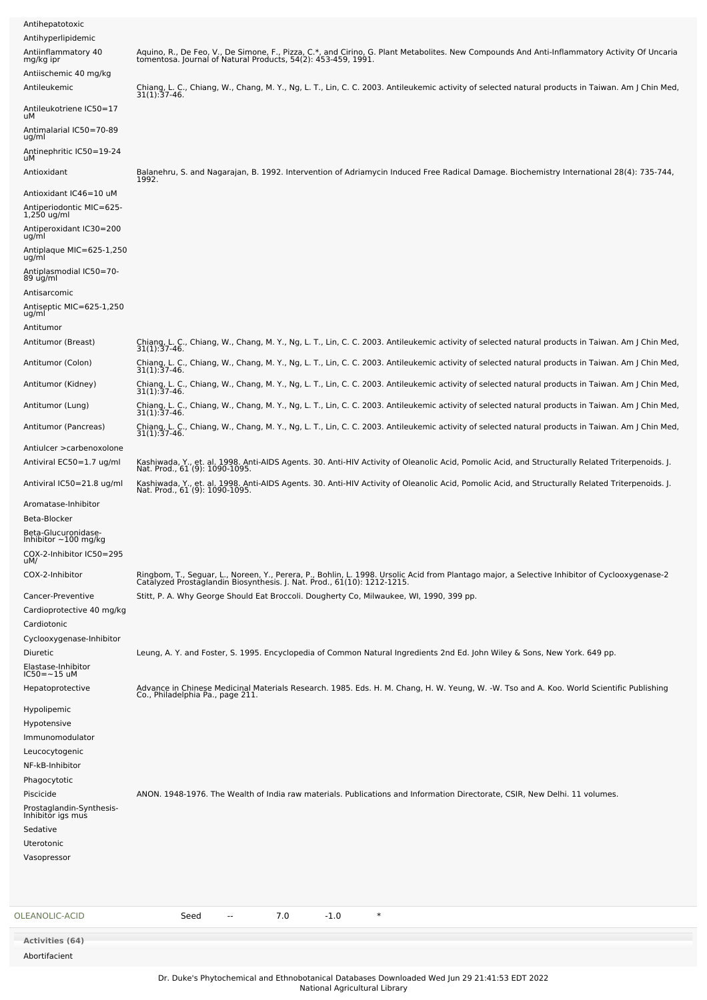|       | <b>Activities (64)</b><br>Abortifacient               |                                                                                                                                                                                                                          |
|-------|-------------------------------------------------------|--------------------------------------------------------------------------------------------------------------------------------------------------------------------------------------------------------------------------|
|       | OLEANOLIC-ACID                                        | $\ast$<br>7.0<br>$-1.0$<br>Seed<br>$\overline{\phantom{a}}$                                                                                                                                                              |
|       |                                                       |                                                                                                                                                                                                                          |
|       | Uterotonic<br>Vasopressor                             |                                                                                                                                                                                                                          |
|       | Sedative                                              |                                                                                                                                                                                                                          |
|       | Prostaglandin-Synthesis-<br>Inhibitor igs mus         |                                                                                                                                                                                                                          |
|       | Piscicide                                             | ANON. 1948-1976. The Wealth of India raw materials. Publications and Information Directorate, CSIR, New Delhi. 11 volumes.                                                                                               |
|       | NF-kB-Inhibitor<br>Phagocytotic                       |                                                                                                                                                                                                                          |
|       | Leucocytogenic                                        |                                                                                                                                                                                                                          |
|       | Hypotensive<br>Immunomodulator                        |                                                                                                                                                                                                                          |
|       | Hypolipemic                                           |                                                                                                                                                                                                                          |
|       | Hepatoprotective                                      | Advance in Chinese Medicinal Materials Research. 1985. Eds. H. M. Chang, H. W. Yeung, W. -W. Tso and A. Koo. World Scientific Publishing<br>Co., Philadelphia Pa., page 211.                                             |
|       | Elastase-Inhibitor<br>$IC50 = -15$ uM                 |                                                                                                                                                                                                                          |
|       | Diuretic                                              | Leung, A. Y. and Foster, S. 1995. Encyclopedia of Common Natural Ingredients 2nd Ed. John Wiley & Sons, New York. 649 pp.                                                                                                |
|       | Cyclooxygenase-Inhibitor                              |                                                                                                                                                                                                                          |
|       | Cardioprotective 40 mg/kg<br>Cardiotonic              |                                                                                                                                                                                                                          |
|       | Cancer-Preventive                                     | Stitt, P. A. Why George Should Eat Broccoli. Dougherty Co, Milwaukee, WI, 1990, 399 pp.                                                                                                                                  |
|       | COX-2-Inhibitor                                       | Ringbom, T., Seguar, L., Noreen, Y., Perera, P., Bohlin, L. 1998. Ursolic Acid from Plantago major, a Selective Inhibitor of Cyclooxygenase-2<br>Catalyzed Prostaglandin Biosynthesis. J. Nat. Prod., 61(10): 1212-1215. |
| uM/   | COX-2-Inhibitor IC50=295                              |                                                                                                                                                                                                                          |
|       | Beta-Glucuronidase-<br>Inhibitor $\sim$ 100 mg/kg     |                                                                                                                                                                                                                          |
|       | Beta-Blocker                                          |                                                                                                                                                                                                                          |
|       | Aromatase-Inhibitor                                   | Nat. Prod., 61 (9): 1090-1095.                                                                                                                                                                                           |
|       | Antiviral IC50=21.8 ug/ml                             | Nat. Prod., 61 (9): 1090-1095.<br>Kashiwada, Y., et. al. 1998. Anti-AIDS Agents. 30. Anti-HIV Activity of Oleanolic Acid, Pomolic Acid, and Structurally Related Triterpenoids. J.                                       |
|       | Antiulcer > carbenoxolone<br>Antiviral EC50=1.7 ug/ml | Kashiwada, Y., et. al. 1998. Anti-AIDS Agents. 30. Anti-HIV Activity of Oleanolic Acid, Pomolic Acid, and Structurally Related Triterpenoids. J.                                                                         |
|       | Antitumor (Pancreas)                                  | Chiang, L. C., Chiang, W., Chang, M. Y., Ng, L. T., Lin, C. C. 2003. Antileukemic activity of selected natural products in Taiwan. Am J Chin Med,<br>31(1):37-46.                                                        |
|       | Antitumor (Lung)                                      | Chiang, L. C., Chiang, W., Chang, M. Y., Ng, L. T., Lin, C. C. 2003. Antileukemic activity of selected natural products in Taiwan. Am J Chin Med,<br>31(1):37-46.                                                        |
|       | Antitumor (Kidney)                                    | Chiang, L. C., Chiang, W., Chang, M. Y., Ng, L. T., Lin, C. C. 2003. Antileukemic activity of selected natural products in Taiwan. Am J Chin Med,<br>31(1):37-46.                                                        |
|       | Antitumor (Colon)                                     | Chiang, L. C., Chiang, W., Chang, M. Y., Ng, L. T., Lin, C. C. 2003. Antileukemic activity of selected natural products in Taiwan. Am J Chin Med,<br>31(1):37-46.                                                        |
|       | Antitumor (Breast)                                    | Chiang, L. C., Chiang, W., Chang, M. Y., Ng, L. T., Lin, C. C. 2003. Antileukemic activity of selected natural products in Taiwan. Am J Chin Med,<br>$31(1):37-46.$                                                      |
|       | Antitumor                                             |                                                                                                                                                                                                                          |
| ug/ml | Antiseptic MIC=625-1,250                              |                                                                                                                                                                                                                          |
|       | 89 ug/ml<br>Antisarcomic                              |                                                                                                                                                                                                                          |
| ug/ml | Antiplasmodial IC50=70-                               |                                                                                                                                                                                                                          |
|       | Antiplaque MIC=625-1,250                              |                                                                                                                                                                                                                          |
| ug/ml | Antiperoxidant IC30=200                               |                                                                                                                                                                                                                          |
|       | Antiperiodontic MIC=625-<br>$1,250$ ug/ml             |                                                                                                                                                                                                                          |
|       | Antioxidant IC46=10 uM                                | 1992.                                                                                                                                                                                                                    |
| uМ    | Antioxidant                                           | Balanehru, S. and Nagarajan, B. 1992. Intervention of Adriamycin Induced Free Radical Damage. Biochemistry International 28(4): 735-744,                                                                                 |
| ug/ml | Antinephritic IC50=19-24                              |                                                                                                                                                                                                                          |
| uМ    | Antimalarial IC50=70-89                               |                                                                                                                                                                                                                          |
|       | Antileukotriene IC50=17                               | $31(1):37-46.$                                                                                                                                                                                                           |
|       | Antiischemic 40 mg/kg<br>Antileukemic                 | Chiang, L. C., Chiang, W., Chang, M. Y., Ng, L. T., Lin, C. C. 2003. Antileukemic activity of selected natural products in Taiwan. Am J Chin Med,                                                                        |
|       | mg/kg ipr                                             | Aquino, R., De Feo, V., De Simone, F., Pizza, C.*, and Cirino, G. Plant Metabolites. New Compounds And Anti-Inflammatory Activity Of Uncaria<br>tomentosa. Journal of Natural Products, 54(2): 453-459, 1991.            |
|       | Antihyperlipidemic<br>Antiinflammatory 40             |                                                                                                                                                                                                                          |
|       | Antihepatotoxic                                       |                                                                                                                                                                                                                          |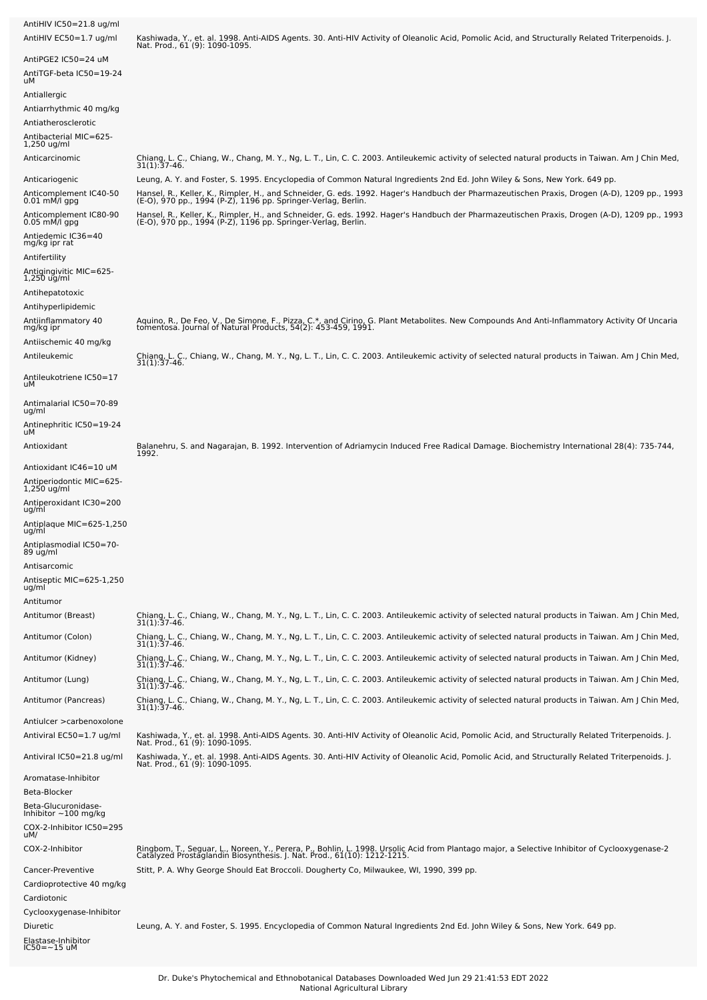| AntiHIV IC50=21.8 ug/ml<br>AntiHIV EC50=1.7 ug/ml                                                                                   | Kashiwada, Y., et. al. 1998. Anti-AIDS Agents. 30. Anti-HIV Activity of Oleanolic Acid, Pomolic Acid, and Structurally Related Triterpenoids. J.<br>Nat. Prod., 61 (9): 1090-1095.                                                                                                                                                         |
|-------------------------------------------------------------------------------------------------------------------------------------|--------------------------------------------------------------------------------------------------------------------------------------------------------------------------------------------------------------------------------------------------------------------------------------------------------------------------------------------|
| AntiPGE2 IC50=24 uM<br>AntiTGF-beta IC50=19-24<br>uМ                                                                                |                                                                                                                                                                                                                                                                                                                                            |
| Antiallergic<br>Antiarrhythmic 40 mg/kg<br>Antiatherosclerotic<br>-405-Antibacterial MIC=625<br>1,250 ug/ml                         |                                                                                                                                                                                                                                                                                                                                            |
| Anticarcinomic                                                                                                                      | Chiang, L. C., Chiang, W., Chang, M. Y., Ng, L. T., Lin, C. C. 2003. Antileukemic activity of selected natural products in Taiwan. Am J Chin Med,<br>31(1):37-46.                                                                                                                                                                          |
| Anticariogenic<br>Anticomplement IC40-50<br>0.01 mM/l gpg                                                                           | Leung, A. Y. and Foster, S. 1995. Encyclopedia of Common Natural Ingredients 2nd Ed. John Wiley & Sons, New York. 649 pp.<br>Hansel, R., Keller, K., Rimpler, H., and Schneider, G. eds. 1992. Hager's Handbuch der Pharmazeutischen Praxis, Drogen (A-D), 1209 pp., 1993<br>(E-O), 970 pp., 1994 (P-Z), 1196 pp. Springer-Verlag, Berlin. |
| Anticomplement IC80-90<br>0.05 mM/l gpg<br>Antiedemic IC36=40<br>mg/kg ipr rat<br>Antifertility                                     | Hansel, R., Keller, K., Rimpler, H., and Schneider, G. eds. 1992. Hager's Handbuch der Pharmazeutischen Praxis, Drogen (A-D), 1209 pp., 1993<br>(E-O), 970 pp., 1994 (P-Z), 1196 pp. Springer-Verlag, Berlin.                                                                                                                              |
| Antigingivitic MIC=625-<br>$1,250$ ug/ml<br>Antihepatotoxic<br>Antihyperlipidemic                                                   |                                                                                                                                                                                                                                                                                                                                            |
| Antiinflammatory 40<br>mg/kg ipr<br>Antiischemic 40 mg/kg                                                                           | Aquino, R., De Feo, V., De Simone, F., Pizza, C.*, and Cirino, G. Plant Metabolites. New Compounds And Anti-Inflammatory Activity Of Uncaria<br>tomentosa. Journal of Natural Products, 54(2): 453-459, 1991.                                                                                                                              |
| Antileukemic                                                                                                                        | Chiang, L. C., Chiang, W., Chang, M. Y., Ng, L. T., Lin, C. C. 2003. Antileukemic activity of selected natural products in Taiwan. Am J Chin Med,<br>31(1):37-46.                                                                                                                                                                          |
| Antileukotriene IC50=17<br>uМ                                                                                                       |                                                                                                                                                                                                                                                                                                                                            |
| Antimalarial IC50=70-89<br>ug/ml<br>Antinephritic IC50=19-24                                                                        |                                                                                                                                                                                                                                                                                                                                            |
| uМ<br>Antioxidant                                                                                                                   | Balanehru, S. and Nagarajan, B. 1992. Intervention of Adriamycin Induced Free Radical Damage. Biochemistry International 28(4): 735-744,<br>1992.                                                                                                                                                                                          |
| Antioxidant IC46=10 uM<br>Antiperiodontic MIC=625-<br>$1,250$ ug/ml<br>Antiperoxidant IC30=200<br>ug/ml<br>Antiplaque MIC=625-1,250 |                                                                                                                                                                                                                                                                                                                                            |
| ug/ml<br>Antiplasmodial IC50=70-<br>89 ug/ml<br>Antisarcomic                                                                        |                                                                                                                                                                                                                                                                                                                                            |
| Antiseptic MIC=625-1,250<br>ug/ml<br>Antitumor                                                                                      |                                                                                                                                                                                                                                                                                                                                            |
| Antitumor (Breast)                                                                                                                  | Chiang, L. C., Chiang, W., Chang, M. Y., Ng, L. T., Lin, C. C. 2003. Antileukemic activity of selected natural products in Taiwan. Am J Chin Med,<br>31(1):37-46.                                                                                                                                                                          |
| Antitumor (Colon)                                                                                                                   | Chiang, L. C., Chiang, W., Chang, M. Y., Ng, L. T., Lin, C. C. 2003. Antileukemic activity of selected natural products in Taiwan. Am J Chin Med,<br>31(1):37-46.                                                                                                                                                                          |
| Antitumor (Kidney)                                                                                                                  | Chiang, L. C., Chiang, W., Chang, M. Y., Ng, L. T., Lin, C. C. 2003. Antileukemic activity of selected natural products in Taiwan. Am J Chin Med,<br>31(1):37-46.                                                                                                                                                                          |
| Antitumor (Lung)                                                                                                                    | Chiang, L. C., Chiang, W., Chang, M. Y., Ng, L. T., Lin, C. C. 2003. Antileukemic activity of selected natural products in Taiwan. Am J Chin Med,<br>31(1):37-46.                                                                                                                                                                          |
| Antitumor (Pancreas)                                                                                                                | Chiang, L. C., Chiang, W., Chang, M. Y., Ng, L. T., Lin, C. C. 2003. Antileukemic activity of selected natural products in Taiwan. Am J Chin Med,<br>31(1):37-46.                                                                                                                                                                          |
| Antiulcer >carbenoxolone<br>Antiviral EC50=1.7 ug/ml                                                                                | Kashiwada, Y., et. al. 1998. Anti-AIDS Agents. 30. Anti-HIV Activity of Oleanolic Acid, Pomolic Acid, and Structurally Related Triterpenoids. J.<br>Nat. Prod., 61 (9): 1090-1095.                                                                                                                                                         |
| Antiviral IC50=21.8 ug/ml                                                                                                           | Kashiwada, Y., et. al. 1998. Anti-AIDS Agents. 30. Anti-HIV Activity of Oleanolic Acid, Pomolic Acid, and Structurally Related Triterpenoids. J.<br>Nat. Prod., 61 (9): 1090-1095.                                                                                                                                                         |
| Aromatase-Inhibitor<br>Beta-Blocker<br>Beta-Glucuronidase-<br>Inhibitor $\sim$ 100 mg/kg                                            |                                                                                                                                                                                                                                                                                                                                            |
| COX-2-Inhibitor IC50=295<br>uM/                                                                                                     |                                                                                                                                                                                                                                                                                                                                            |
| COX-2-Inhibitor                                                                                                                     | Ringbom, T., Seguar, L., Noreen, Y., Perera, P., Bohlin, L. 1998. Ursolic Acid from Plantago major, a Selective Inhibitor of Cyclooxygenase-2<br>Catalyzed Prostaglandin Biosynthesis. J. Nat. Prod., 61(10): 1212-1215.                                                                                                                   |
| Cancer-Preventive<br>Cardioprotective 40 mg/kg<br>Cardiotonic                                                                       | Stitt, P. A. Why George Should Eat Broccoli. Dougherty Co, Milwaukee, WI, 1990, 399 pp.                                                                                                                                                                                                                                                    |
| Cyclooxygenase-Inhibitor<br>Diuretic<br>Elastase-Inhibitor<br>IC50=~15 uM                                                           | Leung, A. Y. and Foster, S. 1995. Encyclopedia of Common Natural Ingredients 2nd Ed. John Wiley & Sons, New York. 649 pp.                                                                                                                                                                                                                  |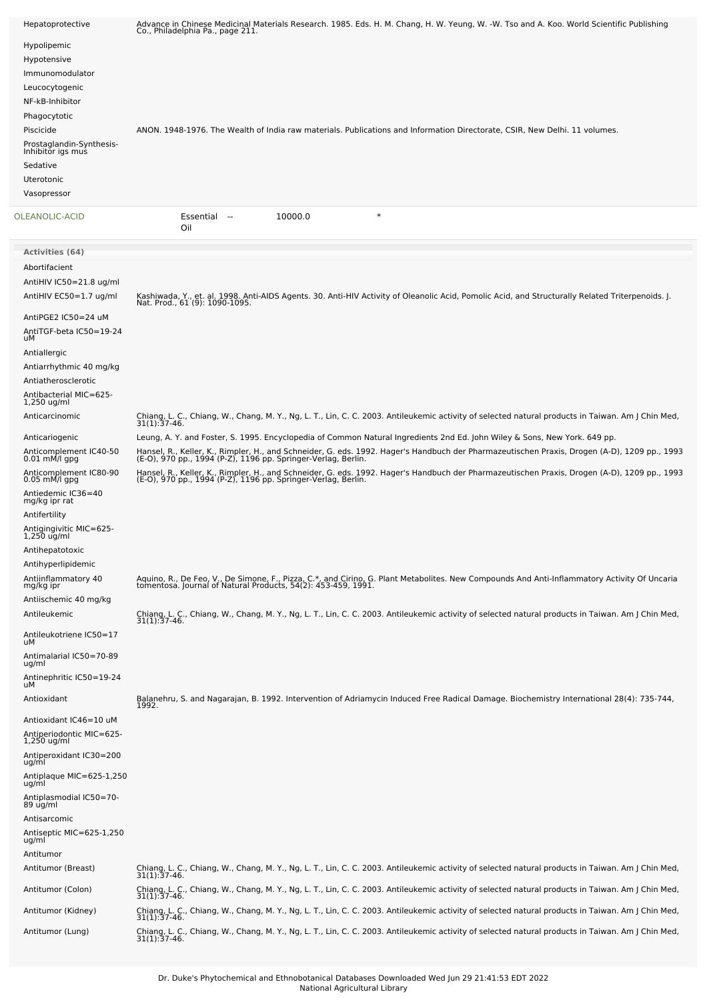| Hepatoprotective                                                                                                                                                | Advance in Chinese Medicinal Materials Research. 1985. Eds. H. M. Chang, H. W. Yeung, W. -W. Tso and A. Koo. World Scientific Publishing<br>Co., Philadelphia Pa., page 211.                                                                                                                                                                                                                                                                                                                                                                                |
|-----------------------------------------------------------------------------------------------------------------------------------------------------------------|-------------------------------------------------------------------------------------------------------------------------------------------------------------------------------------------------------------------------------------------------------------------------------------------------------------------------------------------------------------------------------------------------------------------------------------------------------------------------------------------------------------------------------------------------------------|
| Hypolipemic<br>Hypotensive<br>Immunomodulator<br>Leucocytogenic                                                                                                 |                                                                                                                                                                                                                                                                                                                                                                                                                                                                                                                                                             |
| NF-kB-Inhibitor<br>Phagocytotic<br>Piscicide<br>Prostaglandin-Synthesis-<br>Inhibitor igs mus<br>Sedative                                                       | ANON. 1948-1976. The Wealth of India raw materials. Publications and Information Directorate, CSIR, New Delhi. 11 volumes.                                                                                                                                                                                                                                                                                                                                                                                                                                  |
| <b>Uterotonic</b><br>Vasopressor                                                                                                                                |                                                                                                                                                                                                                                                                                                                                                                                                                                                                                                                                                             |
| OLEANOLIC-ACID                                                                                                                                                  | $\ast$<br>10000.0<br>Essential<br>$\sim$<br>Oil                                                                                                                                                                                                                                                                                                                                                                                                                                                                                                             |
| Activities (64)                                                                                                                                                 |                                                                                                                                                                                                                                                                                                                                                                                                                                                                                                                                                             |
| Abortifacient<br>AntiHIV IC50=21.8 ug/ml<br>AntiHIV EC50=1.7 ug/ml                                                                                              | Kashiwada, Y., et. al. 1998. Anti-AIDS Agents. 30. Anti-HIV Activity of Oleanolic Acid, Pomolic Acid, and Structurally Related Triterpenoids. J.<br>Nat. Prod., 61 (9): 1090-1095.                                                                                                                                                                                                                                                                                                                                                                          |
| AntiPGE2 IC50=24 uM<br>AntiTGF-beta IC50=19-24<br>uМ<br>Antiallergic<br>Antiarrhythmic 40 mg/kg<br>Antiatherosclerotic<br>Antibacterial MIC=625-<br>1,250 ug/ml |                                                                                                                                                                                                                                                                                                                                                                                                                                                                                                                                                             |
| Anticarcinomic                                                                                                                                                  | Chiang, L. C., Chiang, W., Chang, M. Y., Ng, L. T., Lin, C. C. 2003. Antileukemic activity of selected natural products in Taiwan. Am J Chin Med,<br>$31(1):37-46.$                                                                                                                                                                                                                                                                                                                                                                                         |
| Anticariogenic<br>Anticomplement IC40-50<br>0.01 mM/l gpg<br>Anticomplement IC80-90<br>$0.05$ mM/l gpg<br>Antiedemic IC36=40<br>mg/kg ipr rat<br>Antifertility  | Leung, A. Y. and Foster, S. 1995. Encyclopedia of Common Natural Ingredients 2nd Ed. John Wiley & Sons, New York. 649 pp.<br>Hansel, R., Keller, K., Rimpler, H., and Schneider, G. eds. 1992. Hager's Handbuch der Pharmazeutischen Praxis, Drogen (A-D), 1209 pp., 1993<br>(E-O), 970 pp., 1994 (P-Z), 1196 pp. Springer-Verlag, Berlin.<br>Hansel, R., Keller, K., Rimpler, H., and Schneider, G. eds. 1992. Hager's Handbuch der Pharmazeutischen Praxis, Drogen (A-D), 1209 pp., 1993<br>(E-O), 970 pp., 1994 (P-Z), 1196 pp. Springer-Verlag, Berlin. |
| Antigingivitic MIC=625-<br>$1,250$ ug/ml<br>Antihepatotoxic<br>Antihyperlipidemic                                                                               |                                                                                                                                                                                                                                                                                                                                                                                                                                                                                                                                                             |
| Antiinflammatory 40<br>mg/kg ipr<br>Antiischemic 40 mg/kg                                                                                                       | Aquino, R., De Feo, V., De Simone, F., Pizza, C.*, and Cirino, G. Plant Metabolites. New Compounds And Anti-Inflammatory Activity Of Uncaria<br>tomentosa. Journal of Natural Products, 54(2): 453-459, 1991.                                                                                                                                                                                                                                                                                                                                               |
| Antileukemic                                                                                                                                                    | Chiang, L. C., Chiang, W., Chang, M. Y., Ng, L. T., Lin, C. C. 2003. Antileukemic activity of selected natural products in Taiwan. Am J Chin Med,<br>31(1):37-46.                                                                                                                                                                                                                                                                                                                                                                                           |
| Antileukotriene IC50=17<br>uМ                                                                                                                                   |                                                                                                                                                                                                                                                                                                                                                                                                                                                                                                                                                             |
| Antimalarial IC50=70-89<br>ug/ml<br>Antinephritic IC50=19-24                                                                                                    |                                                                                                                                                                                                                                                                                                                                                                                                                                                                                                                                                             |
| uМ<br>Antioxidant                                                                                                                                               | Balanehru, S. and Nagarajan, B. 1992. Intervention of Adriamycin Induced Free Radical Damage. Biochemistry International 28(4): 735-744,                                                                                                                                                                                                                                                                                                                                                                                                                    |
| Antioxidant IC46=10 uM<br>Antiperiodontic MIC=625-<br>$1,250$ ug/ml                                                                                             | 1992.                                                                                                                                                                                                                                                                                                                                                                                                                                                                                                                                                       |
| Antiperoxidant IC30=200<br>ug/ml                                                                                                                                |                                                                                                                                                                                                                                                                                                                                                                                                                                                                                                                                                             |
| Antiplaque MIC=625-1,250<br>ug/ml                                                                                                                               |                                                                                                                                                                                                                                                                                                                                                                                                                                                                                                                                                             |
| Antiplasmodial IC50=70-<br>89 ug/ml                                                                                                                             |                                                                                                                                                                                                                                                                                                                                                                                                                                                                                                                                                             |
| Antisarcomic<br>Antiseptic MIC=625-1,250<br>ug/ml                                                                                                               |                                                                                                                                                                                                                                                                                                                                                                                                                                                                                                                                                             |
| Antitumor                                                                                                                                                       |                                                                                                                                                                                                                                                                                                                                                                                                                                                                                                                                                             |
| Antitumor (Breast)                                                                                                                                              | Chiang, L. C., Chiang, W., Chang, M. Y., Ng, L. T., Lin, C. C. 2003. Antileukemic activity of selected natural products in Taiwan. Am J Chin Med,<br>$31(1):37-46.$                                                                                                                                                                                                                                                                                                                                                                                         |
| Antitumor (Colon)                                                                                                                                               | Chiang, L. C., Chiang, W., Chang, M. Y., Ng, L. T., Lin, C. C. 2003. Antileukemic activity of selected natural products in Taiwan. Am J Chin Med,<br>$31(1):37-46.$                                                                                                                                                                                                                                                                                                                                                                                         |
| Antitumor (Kidney)                                                                                                                                              | Chiang, L. C., Chiang, W., Chang, M. Y., Ng, L. T., Lin, C. C. 2003. Antileukemic activity of selected natural products in Taiwan. Am J Chin Med,<br>$31(1):37-46.$                                                                                                                                                                                                                                                                                                                                                                                         |
| Antitumor (Lung)                                                                                                                                                | Chiang, L. C., Chiang, W., Chang, M. Y., Ng, L. T., Lin, C. C. 2003. Antileukemic activity of selected natural products in Taiwan. Am J Chin Med,<br>$31(1):37-46.$                                                                                                                                                                                                                                                                                                                                                                                         |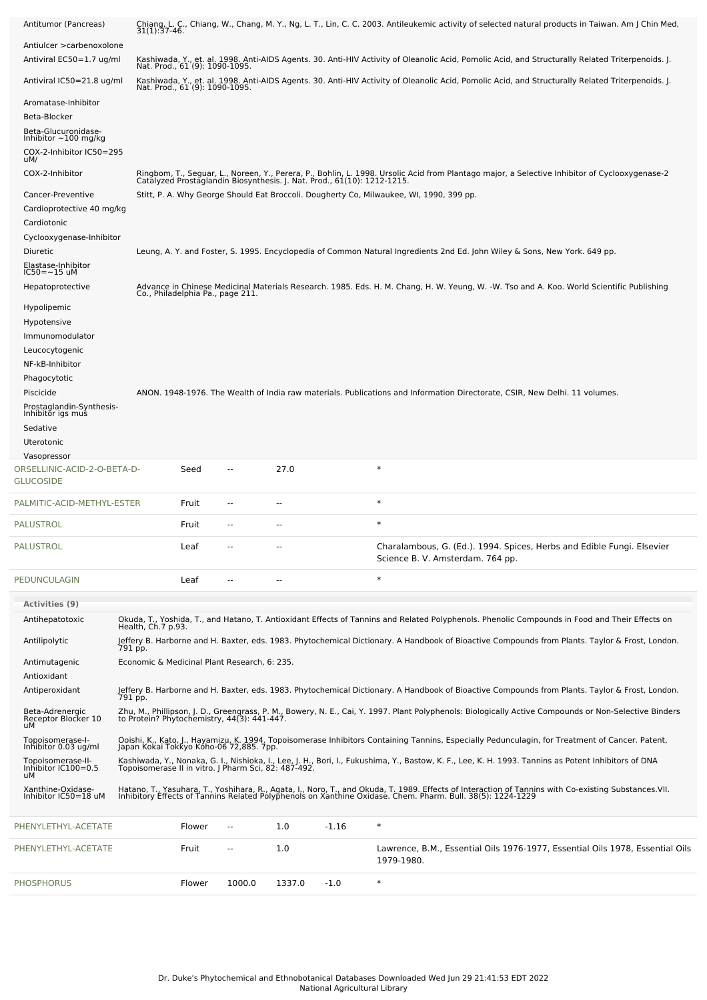|                                                   | $31(1):37-46.$                                       |                                  |      |                          |         | Chiang, L. C., Chiang, W., Chang, M. Y., Ng, L. T., Lin, C. C. 2003. Antileukemic activity of selected natural products in Taiwan. Am J Chin Med,                                                                                 |
|---------------------------------------------------|------------------------------------------------------|----------------------------------|------|--------------------------|---------|-----------------------------------------------------------------------------------------------------------------------------------------------------------------------------------------------------------------------------------|
| Antiulcer > carbenoxolone                         |                                                      |                                  |      |                          |         |                                                                                                                                                                                                                                   |
| Antiviral EC50=1.7 ug/ml                          |                                                      |                                  |      |                          |         | Kashiwada, Y., et. al. 1998. Anti-AIDS Agents. 30. Anti-HIV Activity of Oleanolic Acid, Pomolic Acid, and Structurally Related Triterpenoids. J.                                                                                  |
| Antiviral IC50=21.8 ug/ml                         |                                                      | Nat. Prod., 61 (9): 1090-1095.   |      |                          |         | Kashiwada, Y., et. al. 1998. Anti-AIDS Agents. 30. Anti-HIV Activity of Oleanolic Acid, Pomolic Acid, and Structurally Related Triterpenoids. J.<br>Nat. Prod., 61 (9): 1090-1095.                                                |
|                                                   |                                                      |                                  |      |                          |         |                                                                                                                                                                                                                                   |
| Aromatase-Inhibitor<br>Beta-Blocker               |                                                      |                                  |      |                          |         |                                                                                                                                                                                                                                   |
| Beta-Glucuronidase-<br>Inhibitor $\sim$ 100 mg/kg |                                                      |                                  |      |                          |         |                                                                                                                                                                                                                                   |
| COX-2-Inhibitor IC50=295                          |                                                      |                                  |      |                          |         |                                                                                                                                                                                                                                   |
| uM/                                               |                                                      |                                  |      |                          |         |                                                                                                                                                                                                                                   |
| COX-2-Inhibitor                                   |                                                      |                                  |      |                          |         | Ringbom, T., Seguar, L., Noreen, Y., Perera, P., Bohlin, L. 1998. Ursolic Acid from Plantago major, a Selective Inhibitor of Cyclooxygenase-2<br>Catalyzed Prostaglandin Biosynthesis. J. Nat. Prod., 61(10): 1212-1215.          |
| Cancer-Preventive                                 |                                                      |                                  |      |                          |         | Stitt, P. A. Why George Should Eat Broccoli. Dougherty Co, Milwaukee, WI, 1990, 399 pp.                                                                                                                                           |
| Cardioprotective 40 mg/kg                         |                                                      |                                  |      |                          |         |                                                                                                                                                                                                                                   |
| Cardiotonic                                       |                                                      |                                  |      |                          |         |                                                                                                                                                                                                                                   |
| Cyclooxygenase-Inhibitor                          |                                                      |                                  |      |                          |         |                                                                                                                                                                                                                                   |
| Diuretic                                          |                                                      |                                  |      |                          |         | Leung, A. Y. and Foster, S. 1995. Encyclopedia of Common Natural Ingredients 2nd Ed. John Wiley & Sons, New York. 649 pp.                                                                                                         |
| Elastase-Inhibitor<br>IC50=~15 uM                 |                                                      |                                  |      |                          |         |                                                                                                                                                                                                                                   |
| Hepatoprotective                                  |                                                      | Co., Philadelphia Pa., page 211. |      |                          |         | Advance in Chinese Medicinal Materials Research. 1985. Eds. H. M. Chang, H. W. Yeung, W. -W. Tso and A. Koo. World Scientific Publishing                                                                                          |
| Hypolipemic                                       |                                                      |                                  |      |                          |         |                                                                                                                                                                                                                                   |
| Hypotensive                                       |                                                      |                                  |      |                          |         |                                                                                                                                                                                                                                   |
| Immunomodulator                                   |                                                      |                                  |      |                          |         |                                                                                                                                                                                                                                   |
| Leucocytogenic                                    |                                                      |                                  |      |                          |         |                                                                                                                                                                                                                                   |
|                                                   |                                                      |                                  |      |                          |         |                                                                                                                                                                                                                                   |
| NF-kB-Inhibitor                                   |                                                      |                                  |      |                          |         |                                                                                                                                                                                                                                   |
| Phagocytotic                                      |                                                      |                                  |      |                          |         |                                                                                                                                                                                                                                   |
| Piscicide                                         |                                                      |                                  |      |                          |         | ANON. 1948-1976. The Wealth of India raw materials. Publications and Information Directorate, CSIR, New Delhi. 11 volumes.                                                                                                        |
| Prostaglandin-Synthesis-<br>Inhibitor igs mus     |                                                      |                                  |      |                          |         |                                                                                                                                                                                                                                   |
| Sedative                                          |                                                      |                                  |      |                          |         |                                                                                                                                                                                                                                   |
| Uterotonic                                        |                                                      |                                  |      |                          |         |                                                                                                                                                                                                                                   |
| Vasopressor                                       |                                                      |                                  |      |                          |         |                                                                                                                                                                                                                                   |
| ORSELLINIC-ACID-2-O-BETA-D-<br><b>GLUCOSIDE</b>   |                                                      | Seed                             | --   | 27.0                     |         | $\ast$                                                                                                                                                                                                                            |
| PALMITIC-ACID-METHYL-ESTER                        |                                                      | Fruit                            | ۰.   | $\overline{\phantom{a}}$ |         | $\ast$                                                                                                                                                                                                                            |
| <b>PALUSTROL</b>                                  |                                                      | Fruit                            |      |                          |         | $\ast$                                                                                                                                                                                                                            |
|                                                   |                                                      |                                  |      |                          |         |                                                                                                                                                                                                                                   |
|                                                   |                                                      |                                  |      |                          |         |                                                                                                                                                                                                                                   |
| PALUSTROL                                         |                                                      | Leaf                             |      |                          |         | Charalambous, G. (Ed.). 1994. Spices, Herbs and Edible Fungi. Elsevier<br>Science B. V. Amsterdam. 764 pp.                                                                                                                        |
| PEDUNCULAGIN                                      |                                                      | Leaf                             |      |                          |         | $\ast$                                                                                                                                                                                                                            |
| <b>Activities (9)</b>                             |                                                      |                                  |      |                          |         |                                                                                                                                                                                                                                   |
| Antihepatotoxic                                   | Health, Ch.7 p.93.                                   |                                  |      |                          |         | Okuda, T., Yoshida, T., and Hatano, T. Antioxidant Effects of Tannins and Related Polyphenols. Phenolic Compounds in Food and Their Effects on                                                                                    |
| Antilipolytic                                     | 791 pp.                                              |                                  |      |                          |         | Jeffery B. Harborne and H. Baxter, eds. 1983. Phytochemical Dictionary. A Handbook of Bioactive Compounds from Plants. Taylor & Frost, London.                                                                                    |
| Antimutagenic                                     | Economic & Medicinal Plant Research, 6: 235.         |                                  |      |                          |         |                                                                                                                                                                                                                                   |
| Antioxidant                                       |                                                      |                                  |      |                          |         |                                                                                                                                                                                                                                   |
| Antiperoxidant                                    | 791 pp.                                              |                                  |      |                          |         | Jeffery B. Harborne and H. Baxter, eds. 1983. Phytochemical Dictionary. A Handbook of Bioactive Compounds from Plants. Taylor & Frost, London.                                                                                    |
| Beta-Adrenergic<br>Receptor Blocker 10<br>uЙ      |                                                      |                                  |      |                          |         | Zhu, M., Phillipson, J. D., Greengrass, P. M., Bowery, N. E., Cai, Y. 1997. Plant Polyphenols: Biologically Active Compounds or Non-Selective Binders<br>to Protein? Phytochemistry, 44(3): 441-447.                              |
| Topoisomerase-I-<br>Inhibitor 0.03 ug/ml          | Japan Kokai Tokkyo Kóho-06 72,885. 7pp.              |                                  |      |                          |         | Ooishi, K., Kato, J., Hayamizu, K. 1994. Topoisomerase Inhibitors Containing Tannins, Especially Pedunculagin, for Treatment of Cancer. Patent,                                                                                   |
| Topoisomerase-II-<br>Inhibitor IC100=0.5<br>uМ    | Topoisomerase II in vitro. J Pharm Sci, 82: 487-492. |                                  |      |                          |         | Kashiwada, Y., Nonaka, G. I., Nishioka, I., Lee, J. H., Bori, I., Fukushima, Y., Bastow, K. F., Lee, K. H. 1993. Tannins as Potent Inhibitors of DNA                                                                              |
| Xanthine-Oxidase-<br>Inhibitor IC50=18 uM         |                                                      |                                  |      |                          |         | Hatano, T., Yasuhara, T., Yoshihara, R., Agata, I., Noro, T., and Okuda, T. 1989. Effects of Interaction of Tannins with Co-existing Substances.VII.<br>Inhibitory Effects of Tannins Related Polyphenols on Xanthine Oxidase. Ch |
| PHENYLETHYL-ACETATE                               |                                                      | Flower                           | $-1$ | 1.0                      | $-1.16$ | $\ast$                                                                                                                                                                                                                            |
| PHENYLETHYL-ACETATE                               |                                                      | Fruit                            | --   | 1.0                      |         | Lawrence, B.M., Essential Oils 1976-1977, Essential Oils 1978, Essential Oils                                                                                                                                                     |
|                                                   |                                                      |                                  |      |                          |         | 1979-1980.                                                                                                                                                                                                                        |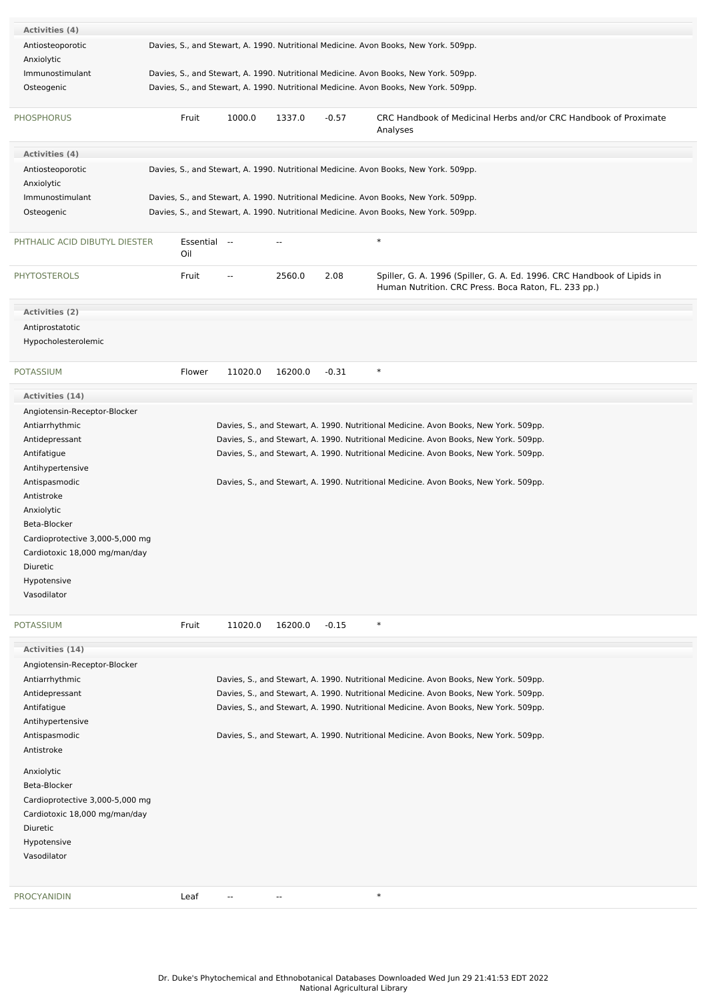| <b>Activities (4)</b>           |                     |         |                          |         |                                                                                                                                 |
|---------------------------------|---------------------|---------|--------------------------|---------|---------------------------------------------------------------------------------------------------------------------------------|
| Antiosteoporotic                |                     |         |                          |         | Davies, S., and Stewart, A. 1990. Nutritional Medicine. Avon Books, New York. 509pp.                                            |
| Anxiolytic                      |                     |         |                          |         |                                                                                                                                 |
| Immunostimulant                 |                     |         |                          |         | Davies, S., and Stewart, A. 1990. Nutritional Medicine. Avon Books, New York. 509pp.                                            |
| Osteogenic                      |                     |         |                          |         | Davies, S., and Stewart, A. 1990. Nutritional Medicine. Avon Books, New York. 509pp.                                            |
|                                 |                     |         |                          |         |                                                                                                                                 |
| <b>PHOSPHORUS</b>               | Fruit               | 1000.0  | 1337.0                   | $-0.57$ | CRC Handbook of Medicinal Herbs and/or CRC Handbook of Proximate<br>Analyses                                                    |
| <b>Activities (4)</b>           |                     |         |                          |         |                                                                                                                                 |
| Antiosteoporotic                |                     |         |                          |         | Davies, S., and Stewart, A. 1990. Nutritional Medicine. Avon Books, New York. 509pp.                                            |
| Anxiolytic                      |                     |         |                          |         |                                                                                                                                 |
| Immunostimulant                 |                     |         |                          |         | Davies, S., and Stewart, A. 1990. Nutritional Medicine. Avon Books, New York. 509pp.                                            |
| Osteogenic                      |                     |         |                          |         | Davies, S., and Stewart, A. 1990. Nutritional Medicine. Avon Books, New York. 509pp.                                            |
|                                 |                     |         |                          |         |                                                                                                                                 |
| PHTHALIC ACID DIBUTYL DIESTER   | Essential --<br>Oil |         | $\overline{a}$           |         | $\ast$                                                                                                                          |
| <b>PHYTOSTEROLS</b>             | Fruit               | --      | 2560.0                   | 2.08    | Spiller, G. A. 1996 (Spiller, G. A. Ed. 1996. CRC Handbook of Lipids in<br>Human Nutrition. CRC Press. Boca Raton, FL. 233 pp.) |
| <b>Activities (2)</b>           |                     |         |                          |         |                                                                                                                                 |
| Antiprostatotic                 |                     |         |                          |         |                                                                                                                                 |
| Hypocholesterolemic             |                     |         |                          |         |                                                                                                                                 |
|                                 |                     |         |                          |         |                                                                                                                                 |
| <b>POTASSIUM</b>                | Flower              | 11020.0 | 16200.0                  | $-0.31$ | $\ast$                                                                                                                          |
|                                 |                     |         |                          |         |                                                                                                                                 |
| <b>Activities (14)</b>          |                     |         |                          |         |                                                                                                                                 |
| Angiotensin-Receptor-Blocker    |                     |         |                          |         |                                                                                                                                 |
| Antiarrhythmic                  |                     |         |                          |         | Davies, S., and Stewart, A. 1990. Nutritional Medicine. Avon Books, New York. 509pp.                                            |
| Antidepressant                  |                     |         |                          |         | Davies, S., and Stewart, A. 1990. Nutritional Medicine. Avon Books, New York. 509pp.                                            |
| Antifatigue                     |                     |         |                          |         | Davies, S., and Stewart, A. 1990. Nutritional Medicine. Avon Books, New York. 509pp.                                            |
| Antihypertensive                |                     |         |                          |         |                                                                                                                                 |
| Antispasmodic<br>Antistroke     |                     |         |                          |         | Davies, S., and Stewart, A. 1990. Nutritional Medicine. Avon Books, New York. 509pp.                                            |
| Anxiolytic                      |                     |         |                          |         |                                                                                                                                 |
| Beta-Blocker                    |                     |         |                          |         |                                                                                                                                 |
| Cardioprotective 3,000-5,000 mg |                     |         |                          |         |                                                                                                                                 |
| Cardiotoxic 18,000 mg/man/day   |                     |         |                          |         |                                                                                                                                 |
| Diuretic                        |                     |         |                          |         |                                                                                                                                 |
| Hypotensive                     |                     |         |                          |         |                                                                                                                                 |
| Vasodilator                     |                     |         |                          |         |                                                                                                                                 |
|                                 |                     |         |                          |         |                                                                                                                                 |
| <b>POTASSIUM</b>                | Fruit               | 11020.0 | 16200.0                  | $-0.15$ | $\ast$                                                                                                                          |
| Activities (14)                 |                     |         |                          |         |                                                                                                                                 |
| Angiotensin-Receptor-Blocker    |                     |         |                          |         |                                                                                                                                 |
| Antiarrhythmic                  |                     |         |                          |         | Davies, S., and Stewart, A. 1990. Nutritional Medicine. Avon Books, New York. 509pp.                                            |
| Antidepressant                  |                     |         |                          |         | Davies, S., and Stewart, A. 1990. Nutritional Medicine. Avon Books, New York. 509pp.                                            |
| Antifatigue                     |                     |         |                          |         | Davies, S., and Stewart, A. 1990. Nutritional Medicine. Avon Books, New York. 509pp.                                            |
| Antihypertensive                |                     |         |                          |         |                                                                                                                                 |
| Antispasmodic                   |                     |         |                          |         | Davies, S., and Stewart, A. 1990. Nutritional Medicine. Avon Books, New York. 509pp.                                            |
| Antistroke                      |                     |         |                          |         |                                                                                                                                 |
| Anxiolytic                      |                     |         |                          |         |                                                                                                                                 |
| Beta-Blocker                    |                     |         |                          |         |                                                                                                                                 |
| Cardioprotective 3,000-5,000 mg |                     |         |                          |         |                                                                                                                                 |
| Cardiotoxic 18,000 mg/man/day   |                     |         |                          |         |                                                                                                                                 |
| Diuretic                        |                     |         |                          |         |                                                                                                                                 |
| Hypotensive                     |                     |         |                          |         |                                                                                                                                 |
| Vasodilator                     |                     |         |                          |         |                                                                                                                                 |
|                                 |                     |         |                          |         |                                                                                                                                 |
| <b>PROCYANIDIN</b>              | Leaf                | --      | $\overline{\phantom{a}}$ |         | $\ast$                                                                                                                          |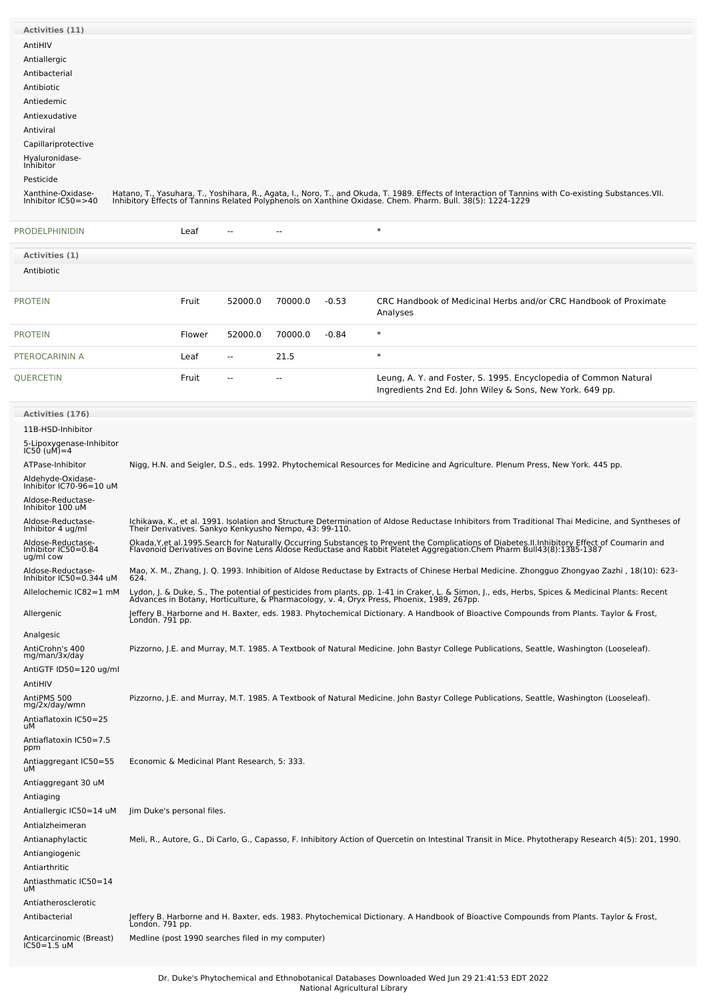| <b>Activities (11)</b>                       |                                                        |                          |         |                |         |                                                                                                                                                                                                                                   |
|----------------------------------------------|--------------------------------------------------------|--------------------------|---------|----------------|---------|-----------------------------------------------------------------------------------------------------------------------------------------------------------------------------------------------------------------------------------|
| AntiHIV                                      |                                                        |                          |         |                |         |                                                                                                                                                                                                                                   |
| Antiallergic                                 |                                                        |                          |         |                |         |                                                                                                                                                                                                                                   |
| Antibacterial                                |                                                        |                          |         |                |         |                                                                                                                                                                                                                                   |
| Antibiotic<br>Antiedemic                     |                                                        |                          |         |                |         |                                                                                                                                                                                                                                   |
| Antiexudative                                |                                                        |                          |         |                |         |                                                                                                                                                                                                                                   |
| Antiviral                                    |                                                        |                          |         |                |         |                                                                                                                                                                                                                                   |
| Capillariprotective                          |                                                        |                          |         |                |         |                                                                                                                                                                                                                                   |
| Hyaluronidase-<br>Inhibitor                  |                                                        |                          |         |                |         |                                                                                                                                                                                                                                   |
| Pesticide                                    |                                                        |                          |         |                |         |                                                                                                                                                                                                                                   |
| Xanthine-Oxidase-<br>Inhibitor IC50=>40      |                                                        |                          |         |                |         | Hatano, T., Yasuhara, T., Yoshihara, R., Agata, I., Noro, T., and Okuda, T. 1989. Effects of Interaction of Tannins with Co-existing Substances.VII.<br>Inhibitory Effects of Tannins Related Polyphenols on Xanthine Oxidase. Ch |
|                                              |                                                        |                          |         |                |         |                                                                                                                                                                                                                                   |
| PRODELPHINIDIN                               | Leaf                                                   | $\overline{\phantom{a}}$ |         | $\overline{a}$ |         | $\ast$                                                                                                                                                                                                                            |
| Activities (1)                               |                                                        |                          |         |                |         |                                                                                                                                                                                                                                   |
| Antibiotic                                   |                                                        |                          |         |                |         |                                                                                                                                                                                                                                   |
| <b>PROTEIN</b>                               | Fruit                                                  |                          | 52000.0 | 70000.0        | $-0.53$ | CRC Handbook of Medicinal Herbs and/or CRC Handbook of Proximate<br>Analyses                                                                                                                                                      |
| <b>PROTEIN</b>                               |                                                        | Flower                   | 52000.0 | 70000.0        | $-0.84$ | $\ast$                                                                                                                                                                                                                            |
| PTEROCARININ A                               | Leaf                                                   | $\sim$                   |         | 21.5           |         | $\ast$                                                                                                                                                                                                                            |
| QUERCETIN                                    | Fruit                                                  |                          |         | --             |         | Leung, A. Y. and Foster, S. 1995. Encyclopedia of Common Natural<br>Ingredients 2nd Ed. John Wiley & Sons, New York. 649 pp.                                                                                                      |
| <b>Activities (176)</b>                      |                                                        |                          |         |                |         |                                                                                                                                                                                                                                   |
| 11B-HSD-Inhibitor                            |                                                        |                          |         |                |         |                                                                                                                                                                                                                                   |
| 5-Lipoxygenase-Inhibitor<br>IC50 (uM)=4      |                                                        |                          |         |                |         |                                                                                                                                                                                                                                   |
| ATPase-Inhibitor                             |                                                        |                          |         |                |         | Nigg, H.N. and Seigler, D.S., eds. 1992. Phytochemical Resources for Medicine and Agriculture. Plenum Press, New York. 445 pp.                                                                                                    |
| Aldehyde-Oxidase-<br>Inhibitor IC70-96=10 uM |                                                        |                          |         |                |         |                                                                                                                                                                                                                                   |
| Aldose-Reductase-                            |                                                        |                          |         |                |         |                                                                                                                                                                                                                                   |
| Inhibitor 100 uM<br>Aldose-Reductase-        |                                                        |                          |         |                |         | Ichikawa, K., et al. 1991. Isolation and Structure Determination of Aldose Reductase Inhibitors from Traditional Thai Medicine, and Syntheses of                                                                                  |
| Inhibitor 4 ug/ml<br>Aldose-Reductase-       | Their Derivatives. Sankyo Kenkyusho Nempo, 43: 99-110. |                          |         |                |         |                                                                                                                                                                                                                                   |
| Inhibitor IC50=0.84<br>ug/ml cow             |                                                        |                          |         |                |         | Okada, Y, et al. 1995. Search for Naturally Occurring Substances to Prevent the Complications of Diabetes. II. Inhibitory Effect of Coumarin and<br>Flavonoid Derivatives on Bovine Lens Aldose Reductase and Rabbit Platelet Agg |
| Aldose-Reductase-<br>Inhibitor IC50=0.344 uM | 624.                                                   |                          |         |                |         | Mao, X. M., Zhang, J. Q. 1993. Inhibition of Aldose Reductase by Extracts of Chinese Herbal Medicine. Zhongguo Zhongyao Zazhi , 18(10): 623-                                                                                      |
| Allelochemic IC82=1 mM                       |                                                        |                          |         |                |         | Lydon, J. & Duke, S., The potential of pesticides from plants, pp. 1-41 in Craker, L. & Simon, J., eds, Herbs, Spices & Medicinal Plants: Recent<br>Advances in Botany, Horticulture, & Pharmacology, v. 4, Oryx Press, Phoenix,  |
| Allergenic                                   | London. 791 pp.                                        |                          |         |                |         | Jeffery B. Harborne and H. Baxter, eds. 1983. Phytochemical Dictionary. A Handbook of Bioactive Compounds from Plants. Taylor & Frost,                                                                                            |
| Analgesic                                    |                                                        |                          |         |                |         |                                                                                                                                                                                                                                   |
| AntiCrohn's 400<br>mg/man/3x/day             |                                                        |                          |         |                |         | Pizzorno, J.E. and Murray, M.T. 1985. A Textbook of Natural Medicine. John Bastyr College Publications, Seattle, Washington (Looseleaf).                                                                                          |
| AntiGTF ID50=120 ug/ml                       |                                                        |                          |         |                |         |                                                                                                                                                                                                                                   |
| AntiHIV<br>AntiPMS 500                       |                                                        |                          |         |                |         | Pizzorno, J.E. and Murray, M.T. 1985. A Textbook of Natural Medicine. John Bastyr College Publications, Seattle, Washington (Looseleaf).                                                                                          |
| mg/2x/day/wmn                                |                                                        |                          |         |                |         |                                                                                                                                                                                                                                   |
| Antiaflatoxin IC50=25<br>uМ                  |                                                        |                          |         |                |         |                                                                                                                                                                                                                                   |
| Antiaflatoxin IC50=7.5<br>ppm                |                                                        |                          |         |                |         |                                                                                                                                                                                                                                   |
| Antiaggregant IC50=55<br>uМ                  | Economic & Medicinal Plant Research, 5: 333.           |                          |         |                |         |                                                                                                                                                                                                                                   |
| Antiaggregant 30 uM<br>Antiaging             |                                                        |                          |         |                |         |                                                                                                                                                                                                                                   |
| Antiallergic IC50=14 uM                      | Jim Duke's personal files.                             |                          |         |                |         |                                                                                                                                                                                                                                   |
| Antialzheimeran                              |                                                        |                          |         |                |         |                                                                                                                                                                                                                                   |
| Antianaphylactic                             |                                                        |                          |         |                |         | Meli, R., Autore, G., Di Carlo, G., Capasso, F. Inhibitory Action of Quercetin on Intestinal Transit in Mice. Phytotherapy Research 4(5): 201, 1990.                                                                              |
| Antiangiogenic                               |                                                        |                          |         |                |         |                                                                                                                                                                                                                                   |
| Antiarthritic                                |                                                        |                          |         |                |         |                                                                                                                                                                                                                                   |
| Antiasthmatic IC50=14<br>uМ                  |                                                        |                          |         |                |         |                                                                                                                                                                                                                                   |

Antiatherosclerotic Antibacterial Jeffery B. Harborne and H. Baxter, eds. 1983. Phytochemical Dictionary. A Handbook of Bioactive Compounds from Plants. Taylor & Frost, London. 791 pp. Anticarcinomic (Breast) IC50=1.5 uM Medline (post 1990 searches filed in my computer)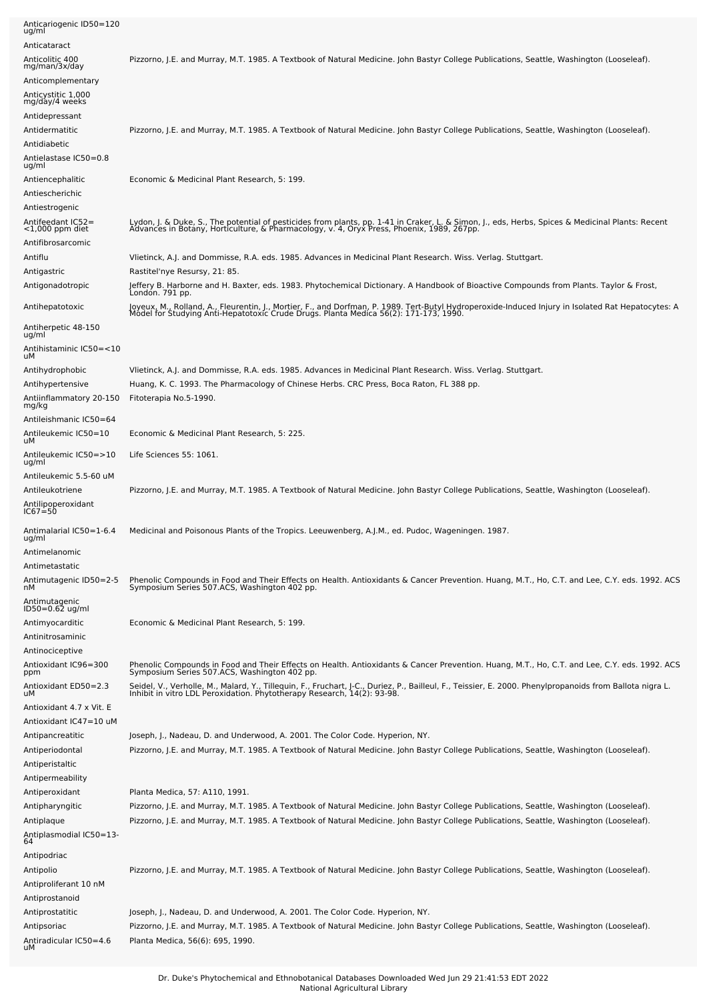| Anticariogenic ID50=120<br>ug/ml        |                                                                                                                                                                                                                                            |
|-----------------------------------------|--------------------------------------------------------------------------------------------------------------------------------------------------------------------------------------------------------------------------------------------|
| Anticataract                            |                                                                                                                                                                                                                                            |
| Anticolitic 400                         | Pizzorno, J.E. and Murray, M.T. 1985. A Textbook of Natural Medicine. John Bastyr College Publications, Seattle, Washington (Looseleaf).                                                                                                   |
| mg/man/3x/day<br>Anticomplementary      |                                                                                                                                                                                                                                            |
| Anticystitic 1,000                      |                                                                                                                                                                                                                                            |
| mg/day/4 weeks                          |                                                                                                                                                                                                                                            |
| Antidepressant                          |                                                                                                                                                                                                                                            |
| Antidermatitic                          | Pizzorno, J.E. and Murray, M.T. 1985. A Textbook of Natural Medicine. John Bastyr College Publications, Seattle, Washington (Looseleaf).                                                                                                   |
| Antidiabetic                            |                                                                                                                                                                                                                                            |
| Antielastase IC50=0.8<br>ug/ml          |                                                                                                                                                                                                                                            |
| Antiencephalitic                        | Economic & Medicinal Plant Research, 5: 199.                                                                                                                                                                                               |
| Antiescherichic                         |                                                                                                                                                                                                                                            |
| Antiestrogenic                          |                                                                                                                                                                                                                                            |
| Antifeedant IC52=<br>$<$ 1,000 ppm diet | Lydon, J. & Duke, S., The potential of pesticides from plants, pp. 1-41 in Craker, L. & Simon, J., eds, Herbs, Spices & Medicinal Plants: Recent<br>Advances in Botany, Horticulture, & Pharmacology, v. 4, Oryx Press, Phoenix,           |
| Antifibrosarcomic                       |                                                                                                                                                                                                                                            |
| Antiflu                                 | Vlietinck, A.J. and Dommisse, R.A. eds. 1985. Advances in Medicinal Plant Research. Wiss. Verlag. Stuttgart.                                                                                                                               |
| Antigastric                             | Rastitel'nye Resursy, 21: 85.                                                                                                                                                                                                              |
| Antigonadotropic                        | Jeffery B. Harborne and H. Baxter, eds. 1983. Phytochemical Dictionary. A Handbook of Bioactive Compounds from Plants. Taylor & Frost,<br>London. 791 pp.                                                                                  |
| Antihepatotoxic                         | Joyeux, M., Rolland, A., Fleurentin, J., Mortier, F., and Dorfman, P. 1989. Tert-Butyl Hydroperoxide-Induced Injury in Isolated Rat Hepatocytes: A<br>Módel for Studying Anti-Hepatotoxíc Crude Drugs. Planta Medica 56(2): 171-173, 1990. |
| Antiherpetic 48-150<br>ug/ml            |                                                                                                                                                                                                                                            |
| Antihistaminic IC50=<10                 |                                                                                                                                                                                                                                            |
| uМ<br>Antihydrophobic                   | Vlietinck, A.J. and Dommisse, R.A. eds. 1985. Advances in Medicinal Plant Research. Wiss. Verlag. Stuttgart.                                                                                                                               |
| Antihypertensive                        | Huang, K. C. 1993. The Pharmacology of Chinese Herbs. CRC Press, Boca Raton, FL 388 pp.                                                                                                                                                    |
| Antiinflammatory 20-150                 | Fitoterapia No.5-1990.                                                                                                                                                                                                                     |
| mg/kg                                   |                                                                                                                                                                                                                                            |
| Antileishmanic IC50=64                  |                                                                                                                                                                                                                                            |
| Antileukemic IC50=10<br>uМ              | Economic & Medicinal Plant Research, 5: 225.                                                                                                                                                                                               |
| Antileukemic IC50=>10<br>ug/ml          | Life Sciences 55: 1061.                                                                                                                                                                                                                    |
| Antileukemic 5.5-60 uM                  |                                                                                                                                                                                                                                            |
| Antileukotriene                         | Pizzorno, J.E. and Murray, M.T. 1985. A Textbook of Natural Medicine. John Bastyr College Publications, Seattle, Washington (Looseleaf).                                                                                                   |
| Antilipoperoxidant<br>IC67=50           |                                                                                                                                                                                                                                            |
| Antimalarial IC50=1-6.4<br>ug/ml        | Medicinal and Poisonous Plants of the Tropics. Leeuwenberg, A.J.M., ed. Pudoc, Wageningen. 1987.                                                                                                                                           |
| Antimelanomic                           |                                                                                                                                                                                                                                            |
| Antimetastatic                          |                                                                                                                                                                                                                                            |
| Antimutagenic ID50=2-5                  | Phenolic Compounds in Food and Their Effects on Health. Antioxidants & Cancer Prevention. Huang, M.T., Ho, C.T. and Lee, C.Y. eds. 1992. ACS<br>Symposium Series 507.ACS, Washington 402 pp.                                               |
| nМ<br>Antimutagenic<br>ID50=0.62 ug/ml  |                                                                                                                                                                                                                                            |
|                                         |                                                                                                                                                                                                                                            |
| Antimyocarditic                         | Economic & Medicinal Plant Research, 5: 199.                                                                                                                                                                                               |
| Antinitrosaminic<br>Antinociceptive     |                                                                                                                                                                                                                                            |
| Antioxidant IC96=300                    | Phenolic Compounds in Food and Their Effects on Health. Antioxidants & Cancer Prevention. Huang, M.T., Ho, C.T. and Lee, C.Y. eds. 1992. ACS                                                                                               |
| ppm                                     | Symposium Series 507.ACS, Washington 402 pp.                                                                                                                                                                                               |
| Antioxidant ED50=2.3<br>uМ              | Seidel, V., Verholle, M., Malard, Y., Tillequin, F., Fruchart, J-C., Duriez, P., Bailleul, F., Teissier, E. 2000. Phenylpropanoids from Ballota nigra L.<br>Inhibit in vitro LDL Peroxidation. Phytotherapy Research, 14(2): 93-9          |
| Antioxidant 4.7 x Vit. E                |                                                                                                                                                                                                                                            |
| Antioxidant IC47=10 uM                  |                                                                                                                                                                                                                                            |
| Antipancreatitic<br>Antiperiodontal     | Joseph, J., Nadeau, D. and Underwood, A. 2001. The Color Code. Hyperion, NY.<br>Pizzorno, J.E. and Murray, M.T. 1985. A Textbook of Natural Medicine. John Bastyr College Publications, Seattle, Washington (Looseleaf).                   |
| Antiperistaltic                         |                                                                                                                                                                                                                                            |
| Antipermeability                        |                                                                                                                                                                                                                                            |
| Antiperoxidant                          | Planta Medica, 57: A110, 1991.                                                                                                                                                                                                             |
| Antipharyngitic                         | Pizzorno, J.E. and Murray, M.T. 1985. A Textbook of Natural Medicine. John Bastyr College Publications, Seattle, Washington (Looseleaf).                                                                                                   |
| Antiplaque                              | Pizzorno, J.E. and Murray, M.T. 1985. A Textbook of Natural Medicine. John Bastyr College Publications, Seattle, Washington (Looseleaf).                                                                                                   |
| Antiplasmodial IC50=13-<br>64           |                                                                                                                                                                                                                                            |
| Antipodriac                             |                                                                                                                                                                                                                                            |
| Antipolio                               | Pizzorno, J.E. and Murray, M.T. 1985. A Textbook of Natural Medicine. John Bastyr College Publications, Seattle, Washington (Looseleaf).                                                                                                   |
| Antiproliferant 10 nM                   |                                                                                                                                                                                                                                            |
| Antiprostanoid                          |                                                                                                                                                                                                                                            |
| Antiprostatitic                         | Joseph, J., Nadeau, D. and Underwood, A. 2001. The Color Code. Hyperion, NY.                                                                                                                                                               |
| Antipsoriac                             | Pizzorno, J.E. and Murray, M.T. 1985. A Textbook of Natural Medicine. John Bastyr College Publications, Seattle, Washington (Looseleaf).                                                                                                   |
| Antiradicular IC50=4.6<br>uМ            | Planta Medica, 56(6): 695, 1990.                                                                                                                                                                                                           |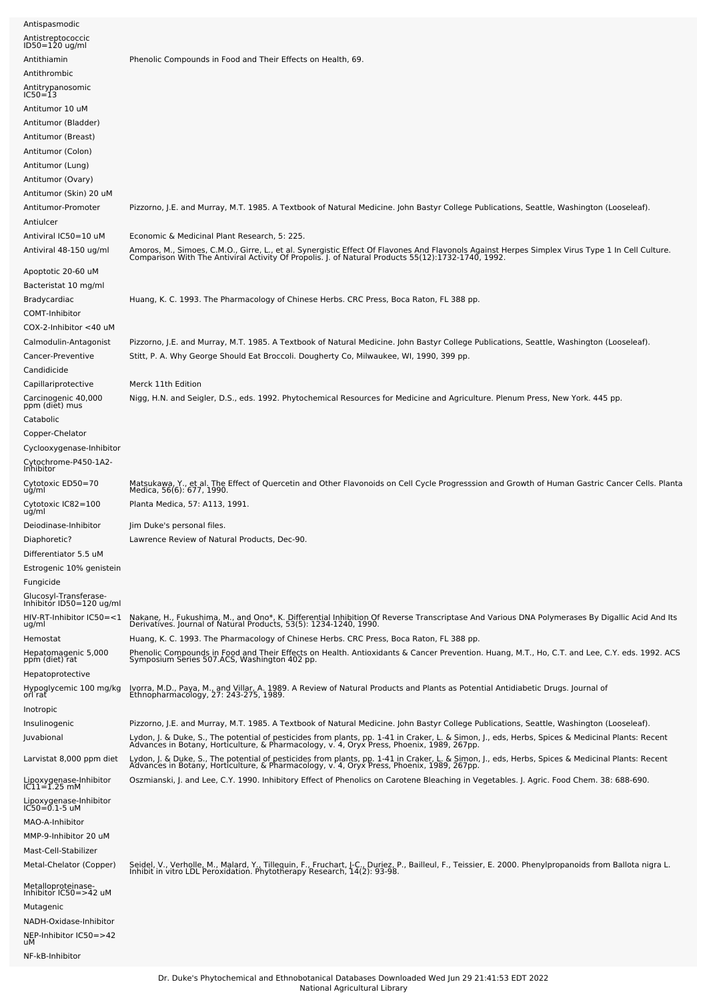| Antispasmodic                                     |                                                                                                                                                                                                                                   |
|---------------------------------------------------|-----------------------------------------------------------------------------------------------------------------------------------------------------------------------------------------------------------------------------------|
| Antistreptococcic<br>$ID50 = 120$ ug/ml           |                                                                                                                                                                                                                                   |
| Antithiamin                                       | Phenolic Compounds in Food and Their Effects on Health, 69.                                                                                                                                                                       |
| Antithrombic                                      |                                                                                                                                                                                                                                   |
| Antitrypanosomic<br>$IC50=13$                     |                                                                                                                                                                                                                                   |
| Antitumor 10 uM                                   |                                                                                                                                                                                                                                   |
| Antitumor (Bladder)                               |                                                                                                                                                                                                                                   |
| Antitumor (Breast)                                |                                                                                                                                                                                                                                   |
| Antitumor (Colon)                                 |                                                                                                                                                                                                                                   |
| Antitumor (Lung)                                  |                                                                                                                                                                                                                                   |
| Antitumor (Ovary)                                 |                                                                                                                                                                                                                                   |
| Antitumor (Skin) 20 uM<br>Antitumor-Promoter      | Pizzorno, J.E. and Murray, M.T. 1985. A Textbook of Natural Medicine. John Bastyr College Publications, Seattle, Washington (Looseleaf).                                                                                          |
| Antiulcer                                         |                                                                                                                                                                                                                                   |
| Antiviral IC50=10 uM                              | Economic & Medicinal Plant Research, 5: 225.                                                                                                                                                                                      |
| Antiviral 48-150 ug/ml                            | Amoros, M., Simoes, C.M.O., Girre, L., et al. Synergistic Effect Of Flavones And Flavonols Against Herpes Simplex Virus Type 1 In Cell Culture.<br>Comparison With The Antiviral Activity Of Propolis. J. of Natural Products 55( |
| Apoptotic 20-60 uM                                |                                                                                                                                                                                                                                   |
| Bacteristat 10 mg/ml                              |                                                                                                                                                                                                                                   |
| Bradycardiac                                      | Huang, K. C. 1993. The Pharmacology of Chinese Herbs. CRC Press, Boca Raton, FL 388 pp.                                                                                                                                           |
| COMT-Inhibitor                                    |                                                                                                                                                                                                                                   |
| $COX-2$ -Inhibitor $<$ 40 uM                      |                                                                                                                                                                                                                                   |
| Calmodulin-Antagonist                             | Pizzorno, J.E. and Murray, M.T. 1985. A Textbook of Natural Medicine. John Bastyr College Publications, Seattle, Washington (Looseleaf).                                                                                          |
| Cancer-Preventive                                 | Stitt, P. A. Why George Should Eat Broccoli. Dougherty Co, Milwaukee, WI, 1990, 399 pp.                                                                                                                                           |
| Candidicide                                       |                                                                                                                                                                                                                                   |
| Capillariprotective                               | Merck 11th Edition                                                                                                                                                                                                                |
| Carcinogenic 40,000<br>ppm (diet) mus             | Nigg, H.N. and Seigler, D.S., eds. 1992. Phytochemical Resources for Medicine and Agriculture. Plenum Press, New York. 445 pp.                                                                                                    |
| Catabolic                                         |                                                                                                                                                                                                                                   |
| Copper-Chelator                                   |                                                                                                                                                                                                                                   |
| Cyclooxygenase-Inhibitor                          |                                                                                                                                                                                                                                   |
| Cytochrome-P450-1A2-<br>Inhibitor                 |                                                                                                                                                                                                                                   |
| Cytotoxic ED50=70                                 | Matsukawa, Y., et al. The Effect of Quercetin and Other Flavonoids on Cell Cycle Progresssion and Growth of Human Gastric Cancer Cells. Planta<br>Medica, 56(6): 677, 1990.                                                       |
| ug/ml                                             |                                                                                                                                                                                                                                   |
| Cytotoxic IC82=100<br>ug/ml                       | Planta Medica, 57: A113, 1991.                                                                                                                                                                                                    |
| Deiodinase-Inhibitor                              | Jim Duke's personal files.                                                                                                                                                                                                        |
| Diaphoretic?                                      | Lawrence Review of Natural Products, Dec-90.                                                                                                                                                                                      |
| Differentiator 5.5 uM                             |                                                                                                                                                                                                                                   |
| Estrogenic 10% genistein                          |                                                                                                                                                                                                                                   |
| Fungicide                                         |                                                                                                                                                                                                                                   |
| Glucosyl-Transferase-<br>Inhibitor ID50=120 ug/ml |                                                                                                                                                                                                                                   |
| HIV-RT-Inhibitor IC50=<1                          | Nakane, H., Fukushima, M., and Ono*, K. Differential Inhibition Of Reverse Transcriptase And Various DNA Polymerases By Digallic Acid And Its Derivatives. Journal of Natural Products, 53(5): 1234-1240, 1990.                   |
| ug/ml<br>Hemostat                                 | Huang, K. C. 1993. The Pharmacology of Chinese Herbs. CRC Press, Boca Raton, FL 388 pp.                                                                                                                                           |
| Hepatomagenic 5,000                               | Phenolic Compounds in Food and Their Effects on Health. Antioxidants & Cancer Prevention. Huang, M.T., Ho, C.T. and Lee, C.Y. eds. 1992. ACS                                                                                      |
| ppm (diet) rat                                    | Symposium Series 507.ACS, Washington 402 pp.                                                                                                                                                                                      |
| Hepatoprotective                                  |                                                                                                                                                                                                                                   |
| Hypoglycemic 100 mg/kg<br>orl rat                 | Ivorra, M.D., Paya, M., and Villar, A. 1989. A Review of Natural Products and Plants as Potential Antidiabetic Drugs. Journal of<br>Ethnopharmacology, 27: 243-275, 1989.                                                         |
| Inotropic                                         |                                                                                                                                                                                                                                   |
| Insulinogenic                                     | Pizzorno, J.E. and Murray, M.T. 1985. A Textbook of Natural Medicine. John Bastyr College Publications, Seattle, Washington (Looseleaf).                                                                                          |
| Juvabional                                        | Lydon, J. & Duke, S., The potential of pesticides from plants, pp. 1-41 in Craker, L. & Simon, J., eds, Herbs, Spices & Medicinal Plants: Recent<br>Advances in Botany, Horticulture, & Pharmacology, v. 4, Oryx Press, Phoenix,  |
| Larvistat 8,000 ppm diet                          | Lydon, J. & Duke, S., The potential of pesticides from plants, pp. 1-41 in Craker, L. & Simon, J., eds, Herbs, Spices & Medicinal Plants: Recent<br>Advances in Botany, Horticulture, & Pharmacology, v. 4, Oryx Press, Phoenix,  |
| Lipoxygenase-Inhibitor<br>IC11=1.25 mM            | Oszmianski, J. and Lee, C.Y. 1990. Inhibitory Effect of Phenolics on Carotene Bleaching in Vegetables. J. Agric. Food Chem. 38: 688-690.                                                                                          |
| Lipoxygenase-Inhibitor<br>IC50=0.1-5 uM           |                                                                                                                                                                                                                                   |
| MAO-A-Inhibitor                                   |                                                                                                                                                                                                                                   |
| MMP-9-Inhibitor 20 uM                             |                                                                                                                                                                                                                                   |
| Mast-Cell-Stabilizer                              |                                                                                                                                                                                                                                   |
| Metal-Chelator (Copper)                           | Seidel, V., Verholle, M., Malard, Y., Tillequin, F., Fruchart, J-C., Duriez, P., Bailleul, F., Teissier, E. 2000. Phenylpropanoids from Ballota nigra L.                                                                          |
| Metalloproteinase-<br>Inhibitor IC50=>42 uM       | Inhibit in vitro LDL Peroxidation. Phytotherapy Research, 14(2): 93-98.                                                                                                                                                           |
| Mutagenic                                         |                                                                                                                                                                                                                                   |
| NADH-Oxidase-Inhibitor                            |                                                                                                                                                                                                                                   |
| NEP-Inhibitor IC50=>42<br>uМ                      |                                                                                                                                                                                                                                   |
| NF-kB-Inhibitor                                   |                                                                                                                                                                                                                                   |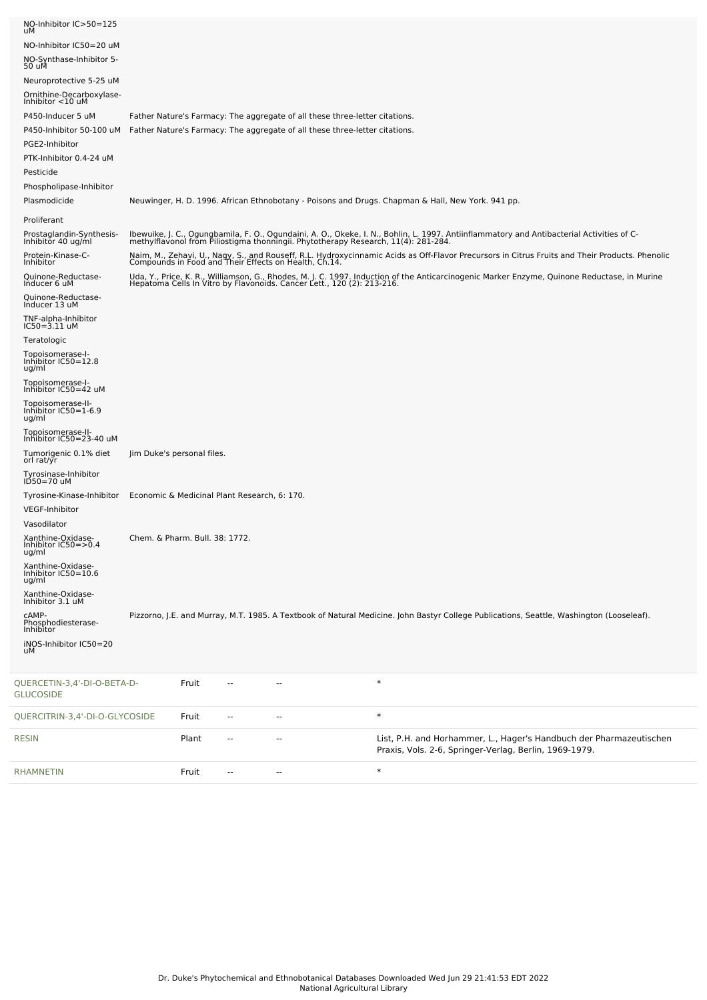| NO-Inhibitor IC>50=125<br>uМ                       |                                              |       |     |                                                                             |                                                                                                                                                                                                                                 |
|----------------------------------------------------|----------------------------------------------|-------|-----|-----------------------------------------------------------------------------|---------------------------------------------------------------------------------------------------------------------------------------------------------------------------------------------------------------------------------|
| NO-Inhibitor IC50=20 uM                            |                                              |       |     |                                                                             |                                                                                                                                                                                                                                 |
| NO-Synthase-Inhibitor 5-<br>50 uM                  |                                              |       |     |                                                                             |                                                                                                                                                                                                                                 |
| Neuroprotective 5-25 uM                            |                                              |       |     |                                                                             |                                                                                                                                                                                                                                 |
| Ornithine-Decarboxylase-<br>Inhibitor <10 uM       |                                              |       |     |                                                                             |                                                                                                                                                                                                                                 |
| P450-Inducer 5 uM                                  |                                              |       |     | Father Nature's Farmacy: The aggregate of all these three-letter citations. |                                                                                                                                                                                                                                 |
| P450-Inhibitor 50-100 uM<br>PGE2-Inhibitor         |                                              |       |     | Father Nature's Farmacy: The aggregate of all these three-letter citations. |                                                                                                                                                                                                                                 |
| PTK-Inhibitor 0.4-24 uM                            |                                              |       |     |                                                                             |                                                                                                                                                                                                                                 |
| Pesticide                                          |                                              |       |     |                                                                             |                                                                                                                                                                                                                                 |
| Phospholipase-Inhibitor<br>Plasmodicide            |                                              |       |     |                                                                             | Neuwinger, H. D. 1996. African Ethnobotany - Poisons and Drugs. Chapman & Hall, New York. 941 pp.                                                                                                                               |
| Proliferant                                        |                                              |       |     |                                                                             |                                                                                                                                                                                                                                 |
| Prostaglandin-Synthesis-<br>Inhibitor 40 ug/ml     |                                              |       |     |                                                                             | Ibewuike, J. C., Ogungbamila, F. O., Ogundaini, A. O., Okeke, I. N., Bohlin, L. 1997. Antiinflammatory and Antibacterial Activities of C-<br>methylflavonol from Piliostigma thonningii. Phytotherapy Research, 11(4): 281-284. |
| Protein-Kinase-C-                                  |                                              |       |     |                                                                             | Naim, M., Zehavi, U., Nagy, S., and Rouseff, R.L. Hydroxycinnamic Acids as Off-Flavor Precursors in Citrus Fruits and Their Products. Phenolic<br>Compounds in Food and Their Effects on Health, Ch.14.                         |
| Inhibitor<br>Quinone-Reductase-<br>Inducer 6 uM    |                                              |       |     |                                                                             | Uda, Y., Price, K. R., Williamson, G., Rhodes, M. J. C. 1997. Induction of the Anticarcinogenic Marker Enzyme, Quinone Reductase, in Murine<br>Hepatoma Cells In Vitro by Flavonoids. Cancer Lett., 120 (2): 213-216.           |
|                                                    |                                              |       |     |                                                                             |                                                                                                                                                                                                                                 |
| Quinone-Reductase-<br>Inducer 13 uM                |                                              |       |     |                                                                             |                                                                                                                                                                                                                                 |
| TNF-alpha-Inhibitor<br>IC50=3.11 uM                |                                              |       |     |                                                                             |                                                                                                                                                                                                                                 |
| Teratologic<br>Topoisomerase-I-                    |                                              |       |     |                                                                             |                                                                                                                                                                                                                                 |
| Inhibitor IC50=12.8<br>ug/ml                       |                                              |       |     |                                                                             |                                                                                                                                                                                                                                 |
| Topoisomerase-I-<br>Inhibitor IC50=42 uM           |                                              |       |     |                                                                             |                                                                                                                                                                                                                                 |
| Topoisomerase-II-<br>Inhibitor IC50=1-6.9<br>ug/ml |                                              |       |     |                                                                             |                                                                                                                                                                                                                                 |
| Topoisomerase-II-<br>Inhibitor IC50=23-40 uM       |                                              |       |     |                                                                             |                                                                                                                                                                                                                                 |
| Tumorigenic 0.1% diet<br>orl rat/yr                | Jim Duke's personal files.                   |       |     |                                                                             |                                                                                                                                                                                                                                 |
| Tyrosinase-Inhibitor<br>ID50=70 uM                 |                                              |       |     |                                                                             |                                                                                                                                                                                                                                 |
| Tyrosine-Kinase-Inhibitor                          | Economic & Medicinal Plant Research, 6: 170. |       |     |                                                                             |                                                                                                                                                                                                                                 |
| <b>VEGF-Inhibitor</b><br>Vasodilator               |                                              |       |     |                                                                             |                                                                                                                                                                                                                                 |
| Xanthine-Oxidase-                                  | Chem. & Pharm. Bull. 38: 1772.               |       |     |                                                                             |                                                                                                                                                                                                                                 |
| Inhibitor IC50=>0.4<br>ug/ml                       |                                              |       |     |                                                                             |                                                                                                                                                                                                                                 |
| Xanthine-Oxidase-<br>Inhibitor IC50=10.6<br>ug/ml  |                                              |       |     |                                                                             |                                                                                                                                                                                                                                 |
| Xanthine-Oxidase-<br>Inhibitor 3.1 uM              |                                              |       |     |                                                                             |                                                                                                                                                                                                                                 |
| CAMP-<br>Phosphodiesterase-<br>Inhibitor           |                                              |       |     |                                                                             | Pizzorno, J.E. and Murray, M.T. 1985. A Textbook of Natural Medicine. John Bastyr College Publications, Seattle, Washington (Looseleaf).                                                                                        |
| iNOS-Inhibitor IC50=20<br>uМ                       |                                              |       |     |                                                                             |                                                                                                                                                                                                                                 |
| QUERCETIN-3,4'-DI-O-BETA-D-<br><b>GLUCOSIDE</b>    |                                              | Fruit |     |                                                                             | $\ast$                                                                                                                                                                                                                          |
| QUERCITRIN-3,4'-DI-O-GLYCOSIDE                     |                                              | Fruit | $-$ | ٠.                                                                          | $\ast$                                                                                                                                                                                                                          |
| <b>RESIN</b>                                       |                                              | Plant | --  | --                                                                          | List, P.H. and Horhammer, L., Hager's Handbuch der Pharmazeutischen<br>Praxis, Vols. 2-6, Springer-Verlag, Berlin, 1969-1979.                                                                                                   |
| <b>RHAMNETIN</b>                                   |                                              | Fruit | --  | --                                                                          | $\ast$                                                                                                                                                                                                                          |

L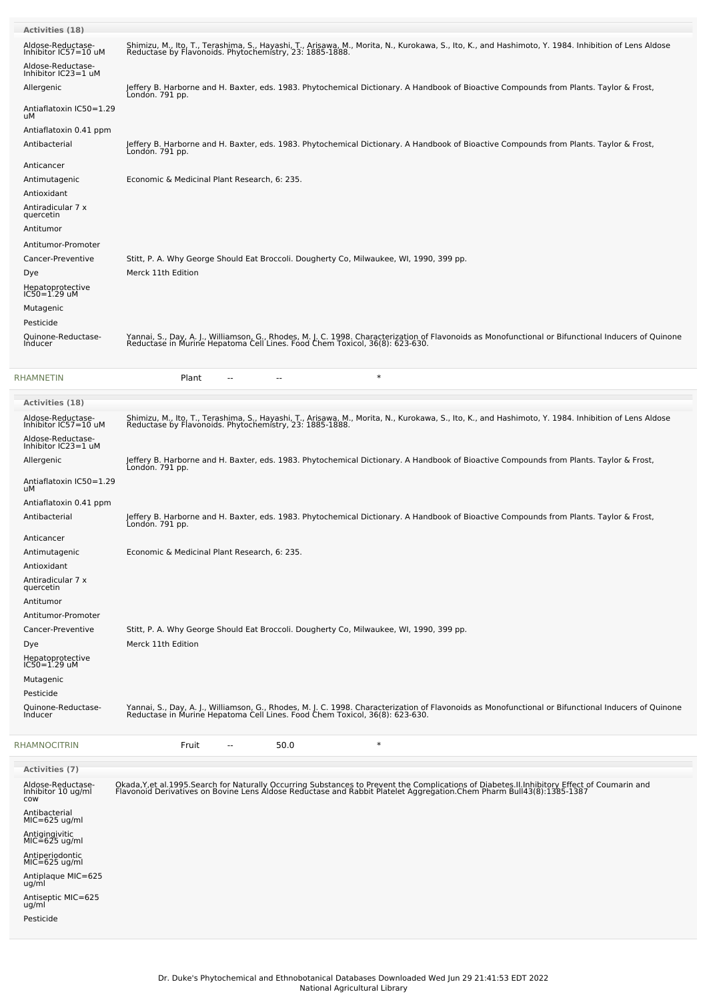| <b>Activities (18)</b>                                         |                                                                                                                                                                                                                                   |
|----------------------------------------------------------------|-----------------------------------------------------------------------------------------------------------------------------------------------------------------------------------------------------------------------------------|
| Aldose-Reductase-<br>Inhibitor IC57=10 uM<br>Aldose-Reductase- | Shimizu, M., Ito, T., Terashima, S., Hayashi, T., Arisawa, M., Morita, N., Kurokawa, S., Ito, K., and Hashimoto, Y. 1984. Inhibition of Lens Aldose<br>Reductase by Flavonoids. Phytochemistry, 23: 1885-1888.                    |
| Inhibitor IC23=1 uM<br>Allergenic                              | Jeffery B. Harborne and H. Baxter, eds. 1983. Phytochemical Dictionary. A Handbook of Bioactive Compounds from Plants. Taylor & Frost,<br>Londón. 791 pp.                                                                         |
| Antiaflatoxin IC50=1.29                                        |                                                                                                                                                                                                                                   |
| uМ<br>Antiaflatoxin 0.41 ppm                                   |                                                                                                                                                                                                                                   |
| Antibacterial                                                  | Jeffery B. Harborne and H. Baxter, eds. 1983. Phytochemical Dictionary. A Handbook of Bioactive Compounds from Plants. Taylor & Frost,<br>London. 791 pp.                                                                         |
| Anticancer                                                     |                                                                                                                                                                                                                                   |
| Antimutagenic<br>Antioxidant                                   | Economic & Medicinal Plant Research, 6: 235.                                                                                                                                                                                      |
| Antiradicular 7 x                                              |                                                                                                                                                                                                                                   |
| quercetin<br>Antitumor                                         |                                                                                                                                                                                                                                   |
| Antitumor-Promoter                                             |                                                                                                                                                                                                                                   |
| Cancer-Preventive                                              | Stitt, P. A. Why George Should Eat Broccoli. Dougherty Co, Milwaukee, WI, 1990, 399 pp.                                                                                                                                           |
| Dye                                                            | Merck 11th Edition                                                                                                                                                                                                                |
| Hepatoprotective<br>$IC50 = 1.29$ uM                           |                                                                                                                                                                                                                                   |
| Mutagenic                                                      |                                                                                                                                                                                                                                   |
| Pesticide<br>Quinone-Reductase-                                | Yannai, S., Day, A. J., Williamson, G., Rhodes, M. J. C. 1998. Characterization of Flavonoids as Monofunctional or Bifunctional Inducers of Quinone                                                                               |
| Inducer                                                        | Reductase in Murine Hepatoma Cell Lines. Food Chem Toxicol, 36(8): 623-630.                                                                                                                                                       |
| RHAMNETIN                                                      | $\ast$<br>Plant<br>--<br>$\sim$                                                                                                                                                                                                   |
| <b>Activities (18)</b>                                         |                                                                                                                                                                                                                                   |
| Aldose-Reductase-<br>Inhibitor IC57=10 uM                      | Shimizu, M., Ito, T., Terashima, S., Hayashi, T., Arisawa, M., Morita, N., Kurokawa, S., Ito, K., and Hashimoto, Y. 1984. Inhibition of Lens Aldose<br>Reductase by Flavonoids. Phytochemistry, 23: 1885-1888.                    |
| Aldose-Reductase-<br>Inhibitor IC23=1 uM                       |                                                                                                                                                                                                                                   |
| Allergenic                                                     | Jeffery B. Harborne and H. Baxter, eds. 1983. Phytochemical Dictionary. A Handbook of Bioactive Compounds from Plants. Taylor & Frost,<br>London. 791 pp.                                                                         |
| Antiaflatoxin IC50=1.29<br>uМ                                  |                                                                                                                                                                                                                                   |
| Antiaflatoxin 0.41 ppm<br>Antibacterial                        | Jeffery B. Harborne and H. Baxter, eds. 1983. Phytochemical Dictionary. A Handbook of Bioactive Compounds from Plants. Taylor & Frost,<br>Londón. 791 pp.                                                                         |
| Anticancer                                                     |                                                                                                                                                                                                                                   |
| Antimutagenic                                                  | Economic & Medicinal Plant Research, 6: 235.                                                                                                                                                                                      |
| Antioxidant<br>Antiradicular 7 x                               |                                                                                                                                                                                                                                   |
| quercetin<br>Antitumor                                         |                                                                                                                                                                                                                                   |
| Antitumor-Promoter                                             |                                                                                                                                                                                                                                   |
| Cancer-Preventive                                              | Stitt, P. A. Why George Should Eat Broccoli. Dougherty Co, Milwaukee, WI, 1990, 399 pp.                                                                                                                                           |
| Dye                                                            | Merck 11th Edition                                                                                                                                                                                                                |
| Hepatoprotective<br>$IC50 = 1.29$ uM                           |                                                                                                                                                                                                                                   |
| Mutagenic<br>Pesticide                                         |                                                                                                                                                                                                                                   |
| Quinone-Reductase-                                             | Yannai, S., Day, A. J., Williamson, G., Rhodes, M. J. C. 1998. Characterization of Flavonoids as Monofunctional or Bifunctional Inducers of Quinone<br>Reductase in Murine Hepatoma Cell Lines. Food Chem Toxicol, 36(8): 623-630 |
| Inducer                                                        |                                                                                                                                                                                                                                   |
| RHAMNOCITRIN                                                   | $\ast$<br>Fruit<br>50.0<br>$-$                                                                                                                                                                                                    |
| <b>Activities (7)</b>                                          |                                                                                                                                                                                                                                   |
| Aldose-Reductase-<br>Inhibitor 10 ug/ml<br>cow                 | Okada, Y, et al. 1995. Search for Naturally Occurring Substances to Prevent the Complications of Diabetes. II. Inhibitory Effect of Coumarin and<br>Flavonoid Derivatives on Bovine Lens Aldose Reductase and Rabbit Platelet Agg |
| Antibacterial<br>$MIC=625$ ug/ml                               |                                                                                                                                                                                                                                   |
| Antigingivitic<br>MIC=625 ug/ml                                |                                                                                                                                                                                                                                   |
| Antiperiodontic                                                |                                                                                                                                                                                                                                   |
| $MIC=625$ ug/ml<br>Antiplaque MIC=625                          |                                                                                                                                                                                                                                   |
| ug/ml                                                          |                                                                                                                                                                                                                                   |
| Antiseptic MIC=625<br>ug/ml                                    |                                                                                                                                                                                                                                   |
| Pesticide                                                      |                                                                                                                                                                                                                                   |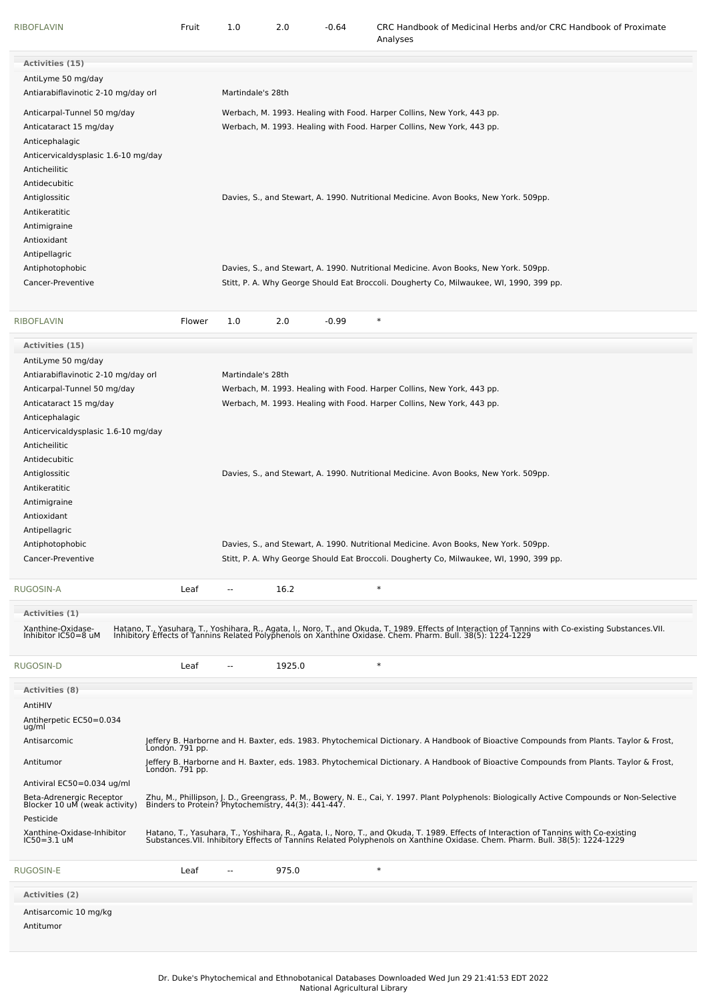| <b>RIBOFLAVIN</b>                                         | Fruit           | 1.0                      | 2.0    | $-0.64$ | CRC Handbook of Medicinal Herbs and/or CRC Handbook of Proximate<br>Analyses                                                                                                                                                      |
|-----------------------------------------------------------|-----------------|--------------------------|--------|---------|-----------------------------------------------------------------------------------------------------------------------------------------------------------------------------------------------------------------------------------|
| <b>Activities (15)</b>                                    |                 |                          |        |         |                                                                                                                                                                                                                                   |
| AntiLyme 50 mg/day<br>Antiarabiflavinotic 2-10 mg/day orl |                 | Martindale's 28th        |        |         |                                                                                                                                                                                                                                   |
| Anticarpal-Tunnel 50 mg/day                               |                 |                          |        |         | Werbach, M. 1993. Healing with Food. Harper Collins, New York, 443 pp.                                                                                                                                                            |
| Anticataract 15 mg/day                                    |                 |                          |        |         | Werbach, M. 1993. Healing with Food. Harper Collins, New York, 443 pp.                                                                                                                                                            |
| Anticephalagic                                            |                 |                          |        |         |                                                                                                                                                                                                                                   |
| Anticervicaldysplasic 1.6-10 mg/day                       |                 |                          |        |         |                                                                                                                                                                                                                                   |
| Anticheilitic                                             |                 |                          |        |         |                                                                                                                                                                                                                                   |
| Antidecubitic                                             |                 |                          |        |         |                                                                                                                                                                                                                                   |
| Antiglossitic                                             |                 |                          |        |         | Davies, S., and Stewart, A. 1990. Nutritional Medicine. Avon Books, New York. 509pp.                                                                                                                                              |
| Antikeratitic                                             |                 |                          |        |         |                                                                                                                                                                                                                                   |
| Antimigraine                                              |                 |                          |        |         |                                                                                                                                                                                                                                   |
| Antioxidant                                               |                 |                          |        |         |                                                                                                                                                                                                                                   |
| Antipellagric                                             |                 |                          |        |         |                                                                                                                                                                                                                                   |
| Antiphotophobic                                           |                 |                          |        |         | Davies, S., and Stewart, A. 1990. Nutritional Medicine. Avon Books, New York. 509pp.                                                                                                                                              |
| Cancer-Preventive                                         |                 |                          |        |         | Stitt, P. A. Why George Should Eat Broccoli. Dougherty Co, Milwaukee, WI, 1990, 399 pp.                                                                                                                                           |
| <b>RIBOFLAVIN</b>                                         | Flower          | 1.0                      | 2.0    | $-0.99$ | $\ast$                                                                                                                                                                                                                            |
| Activities (15)                                           |                 |                          |        |         |                                                                                                                                                                                                                                   |
| AntiLyme 50 mg/day                                        |                 |                          |        |         |                                                                                                                                                                                                                                   |
| Antiarabiflavinotic 2-10 mg/day orl                       |                 | Martindale's 28th        |        |         |                                                                                                                                                                                                                                   |
| Anticarpal-Tunnel 50 mg/day                               |                 |                          |        |         | Werbach, M. 1993. Healing with Food. Harper Collins, New York, 443 pp.                                                                                                                                                            |
| Anticataract 15 mg/day                                    |                 |                          |        |         | Werbach, M. 1993. Healing with Food. Harper Collins, New York, 443 pp.                                                                                                                                                            |
| Anticephalagic                                            |                 |                          |        |         |                                                                                                                                                                                                                                   |
| Anticervicaldysplasic 1.6-10 mg/day                       |                 |                          |        |         |                                                                                                                                                                                                                                   |
| Anticheilitic                                             |                 |                          |        |         |                                                                                                                                                                                                                                   |
| Antidecubitic                                             |                 |                          |        |         |                                                                                                                                                                                                                                   |
| Antiglossitic                                             |                 |                          |        |         | Davies, S., and Stewart, A. 1990. Nutritional Medicine. Avon Books, New York. 509pp.                                                                                                                                              |
| Antikeratitic                                             |                 |                          |        |         |                                                                                                                                                                                                                                   |
| Antimigraine                                              |                 |                          |        |         |                                                                                                                                                                                                                                   |
| Antioxidant                                               |                 |                          |        |         |                                                                                                                                                                                                                                   |
| Antipellagric<br>Antiphotophobic                          |                 |                          |        |         | Davies, S., and Stewart, A. 1990. Nutritional Medicine. Avon Books, New York. 509pp.                                                                                                                                              |
| Cancer-Preventive                                         |                 |                          |        |         | Stitt, P. A. Why George Should Eat Broccoli. Dougherty Co, Milwaukee, WI, 1990, 399 pp.                                                                                                                                           |
|                                                           |                 |                          |        |         | $\ast$                                                                                                                                                                                                                            |
| RUGOSIN-A                                                 | Leaf            | $\overline{\phantom{a}}$ | 16.2   |         |                                                                                                                                                                                                                                   |
| Activities (1)<br>Xanthine-Oxidase-                       |                 |                          |        |         |                                                                                                                                                                                                                                   |
| Inhibitor IC50=8 uM                                       |                 |                          |        |         | Hatano, T., Yasuhara, T., Yoshihara, R., Agata, I., Noro, T., and Okuda, T. 1989. Effects of Interaction of Tannins with Co-existing Substances.VII.<br>Inhibitory Effects of Tannins Related Polyphenols on Xanthine Oxidase. Ch |
| RUGOSIN-D                                                 | Leaf            | $\overline{a}$           | 1925.0 |         | $\ast$                                                                                                                                                                                                                            |
| <b>Activities (8)</b>                                     |                 |                          |        |         |                                                                                                                                                                                                                                   |
| AntiHIV                                                   |                 |                          |        |         |                                                                                                                                                                                                                                   |
| Antiherpetic EC50=0.034<br>ug/ml                          |                 |                          |        |         |                                                                                                                                                                                                                                   |
| Antisarcomic                                              | Londón. 791 pp. |                          |        |         | Jeffery B. Harborne and H. Baxter, eds. 1983. Phytochemical Dictionary. A Handbook of Bioactive Compounds from Plants. Taylor & Frost,                                                                                            |
| Antitumor                                                 | Londón. 791 pp. |                          |        |         | Jeffery B. Harborne and H. Baxter, eds. 1983. Phytochemical Dictionary. A Handbook of Bioactive Compounds from Plants. Taylor & Frost,                                                                                            |
| Antiviral EC50=0.034 ug/ml                                |                 |                          |        |         |                                                                                                                                                                                                                                   |
| Beta-Adrenergic Receptor<br>Blocker 10 uM (weak activity) |                 |                          |        |         | Zhu, M., Phillipson, J. D., Greengrass, P. M., Bowery, N. E., Cai, Y. 1997. Plant Polyphenols: Biologically Active Compounds or Non-Selective<br>Binders to Protein? Phytochemistry, 44(3): 441-447.                              |
| Pesticide                                                 |                 |                          |        |         |                                                                                                                                                                                                                                   |
| Xanthine-Oxidase-Inhibitor<br>$IC50 = 3.1$ uM             |                 |                          |        |         | Hatano, T., Yasuhara, T., Yoshihara, R., Agata, I., Noro, T., and Okuda, T. 1989. Effects of Interaction of Tannins with Co-existing<br>Substances.VII. Inhibitory Effects of Tannins Related Polyphenols on Xanthine Oxidase. Ch |
| RUGOSIN-E                                                 | Leaf            | $-$                      | 975.0  |         | $\ast$                                                                                                                                                                                                                            |
| Activities (2)                                            |                 |                          |        |         |                                                                                                                                                                                                                                   |
| Antisarcomic 10 mg/kg                                     |                 |                          |        |         |                                                                                                                                                                                                                                   |
| Antitumor                                                 |                 |                          |        |         |                                                                                                                                                                                                                                   |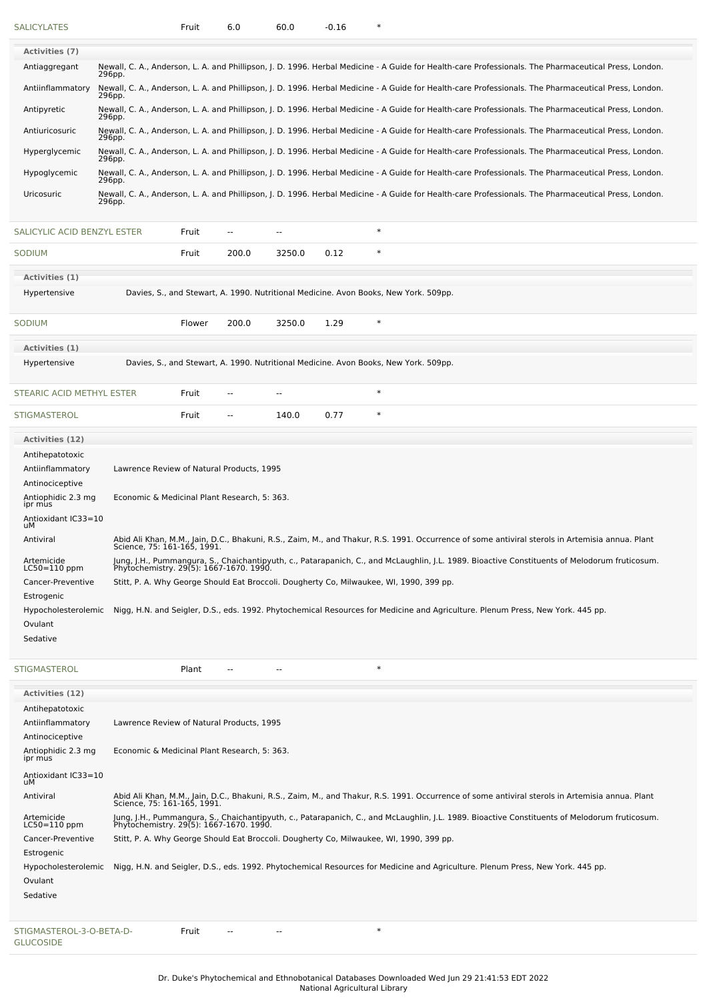| <b>SALICYLATES</b>                           |                                              | Fruit  | 6.0   | 60.0           | $-0.16$ | ∗                                                                                                                                                                                        |
|----------------------------------------------|----------------------------------------------|--------|-------|----------------|---------|------------------------------------------------------------------------------------------------------------------------------------------------------------------------------------------|
| <b>Activities (7)</b>                        |                                              |        |       |                |         |                                                                                                                                                                                          |
| Antiaggregant                                |                                              |        |       |                |         | Newall, C. A., Anderson, L. A. and Phillipson, J. D. 1996. Herbal Medicine - A Guide for Health-care Professionals. The Pharmaceutical Press, London.                                    |
| Antiinflammatory                             | 296pp.<br>296pp.                             |        |       |                |         | Newall, C. A., Anderson, L. A. and Phillipson, J. D. 1996. Herbal Medicine - A Guide for Health-care Professionals. The Pharmaceutical Press, London.                                    |
| Antipyretic                                  | 296pp.                                       |        |       |                |         | Newall, C. A., Anderson, L. A. and Phillipson, J. D. 1996. Herbal Medicine - A Guide for Health-care Professionals. The Pharmaceutical Press, London.                                    |
| Antiuricosuric                               |                                              |        |       |                |         | Newall, C. A., Anderson, L. A. and Phillipson, J. D. 1996. Herbal Medicine - A Guide for Health-care Professionals. The Pharmaceutical Press, London.                                    |
| Hyperglycemic                                | 296pp.                                       |        |       |                |         | Newall, C. A., Anderson, L. A. and Phillipson, J. D. 1996. Herbal Medicine - A Guide for Health-care Professionals. The Pharmaceutical Press, London.                                    |
| Hypoglycemic                                 | 296pp.                                       |        |       |                |         | Newall, C. A., Anderson, L. A. and Phillipson, J. D. 1996. Herbal Medicine - A Guide for Health-care Professionals. The Pharmaceutical Press, London.                                    |
| Uricosuric                                   | 296pp.                                       |        |       |                |         | Newall, C. A., Anderson, L. A. and Phillipson, J. D. 1996. Herbal Medicine - A Guide for Health-care Professionals. The Pharmaceutical Press, London.                                    |
|                                              | 296pp.                                       |        |       |                |         |                                                                                                                                                                                          |
| SALICYLIC ACID BENZYL ESTER                  |                                              | Fruit  | --    | --             |         | $\ast$                                                                                                                                                                                   |
| SODIUM                                       |                                              | Fruit  | 200.0 | 3250.0         | 0.12    | $\ast$                                                                                                                                                                                   |
| Activities (1)                               |                                              |        |       |                |         |                                                                                                                                                                                          |
| Hypertensive                                 |                                              |        |       |                |         | Davies, S., and Stewart, A. 1990. Nutritional Medicine. Avon Books, New York. 509pp.                                                                                                     |
| <b>SODIUM</b>                                |                                              | Flower | 200.0 | 3250.0         | 1.29    | $\ast$                                                                                                                                                                                   |
| Activities (1)                               |                                              |        |       |                |         |                                                                                                                                                                                          |
| Hypertensive                                 |                                              |        |       |                |         | Davies, S., and Stewart, A. 1990. Nutritional Medicine. Avon Books, New York. 509pp.                                                                                                     |
| STEARIC ACID METHYL ESTER                    |                                              | Fruit  |       | ٠.             |         | $\ast$                                                                                                                                                                                   |
| <b>STIGMASTEROL</b>                          |                                              | Fruit  | --    | 140.0          | 0.77    | $\ast$                                                                                                                                                                                   |
| <b>Activities (12)</b>                       |                                              |        |       |                |         |                                                                                                                                                                                          |
| Antihepatotoxic                              |                                              |        |       |                |         |                                                                                                                                                                                          |
| Antiinflammatory                             | Lawrence Review of Natural Products, 1995    |        |       |                |         |                                                                                                                                                                                          |
| Antinociceptive                              |                                              |        |       |                |         |                                                                                                                                                                                          |
| Antiophidic 2.3 mg<br>ipr mus                | Economic & Medicinal Plant Research, 5: 363. |        |       |                |         |                                                                                                                                                                                          |
| Antioxidant IC33=10<br>uМ                    |                                              |        |       |                |         |                                                                                                                                                                                          |
| Antiviral                                    | Science, 75: 161-165, 1991.                  |        |       |                |         | Abid Ali Khan, M.M., Jain, D.C., Bhakuni, R.S., Zaim, M., and Thakur, R.S. 1991. Occurrence of some antiviral sterols in Artemisia annua. Plant                                          |
| Artemicide<br>$LC50 = 110$ ppm               |                                              |        |       |                |         | Jung, J.H., Pummangura, S., Chaichantipyuth, c., Patarapanich, C., and McLaughlin, J.L. 1989. Bioactive Constituents of Melodorum fruticosum.<br>Phytochemistry. 29(5): 1667-1670. 1990. |
| Cancer-Preventive                            |                                              |        |       |                |         | Stitt, P. A. Why George Should Eat Broccoli. Dougherty Co, Milwaukee, WI, 1990, 399 pp.                                                                                                  |
| Estrogenic                                   |                                              |        |       |                |         |                                                                                                                                                                                          |
| Hypocholesterolemic                          |                                              |        |       |                |         | Nigg, H.N. and Seigler, D.S., eds. 1992. Phytochemical Resources for Medicine and Agriculture. Plenum Press, New York. 445 pp.                                                           |
| Ovulant<br>Sedative                          |                                              |        |       |                |         |                                                                                                                                                                                          |
|                                              |                                              |        |       |                |         |                                                                                                                                                                                          |
| <b>STIGMASTEROL</b>                          |                                              | Plant  |       | $\overline{a}$ |         | $\ast$                                                                                                                                                                                   |
| Activities (12)                              |                                              |        |       |                |         |                                                                                                                                                                                          |
| Antihepatotoxic<br>Antiinflammatory          | Lawrence Review of Natural Products, 1995    |        |       |                |         |                                                                                                                                                                                          |
| Antinociceptive                              |                                              |        |       |                |         |                                                                                                                                                                                          |
| Antiophidic 2.3 mg<br>ipr mus                | Economic & Medicinal Plant Research, 5: 363. |        |       |                |         |                                                                                                                                                                                          |
| Antioxidant IC33=10<br>uМ                    |                                              |        |       |                |         |                                                                                                                                                                                          |
| Antiviral                                    | Science, 75: 161-165, 1991.                  |        |       |                |         | Abid Ali Khan, M.M., Jain, D.C., Bhakuni, R.S., Zaim, M., and Thakur, R.S. 1991. Occurrence of some antiviral sterols in Artemisia annua. Plant                                          |
| Artemicide<br>LC50=110 ppm                   |                                              |        |       |                |         | Jung, J.H., Pummangura, S., Chaichantipyuth, c., Patarapanich, C., and McLaughlin, J.L. 1989. Bioactive Constituents of Melodorum fruticosum.<br>Phytochemistry. 29(5): 1667-1670. 1990. |
| Cancer-Preventive                            |                                              |        |       |                |         | Stitt, P. A. Why George Should Eat Broccoli. Dougherty Co, Milwaukee, WI, 1990, 399 pp.                                                                                                  |
| Estrogenic                                   |                                              |        |       |                |         |                                                                                                                                                                                          |
| Hypocholesterolemic<br>Ovulant               |                                              |        |       |                |         | Nigg, H.N. and Seigler, D.S., eds. 1992. Phytochemical Resources for Medicine and Agriculture. Plenum Press, New York. 445 pp.                                                           |
| Sedative                                     |                                              |        |       |                |         |                                                                                                                                                                                          |
|                                              |                                              |        |       |                |         |                                                                                                                                                                                          |
| STIGMASTEROL-3-O-BETA-D-<br><b>GLUCOSIDE</b> |                                              | Fruit  |       | н.             |         | $\ast$                                                                                                                                                                                   |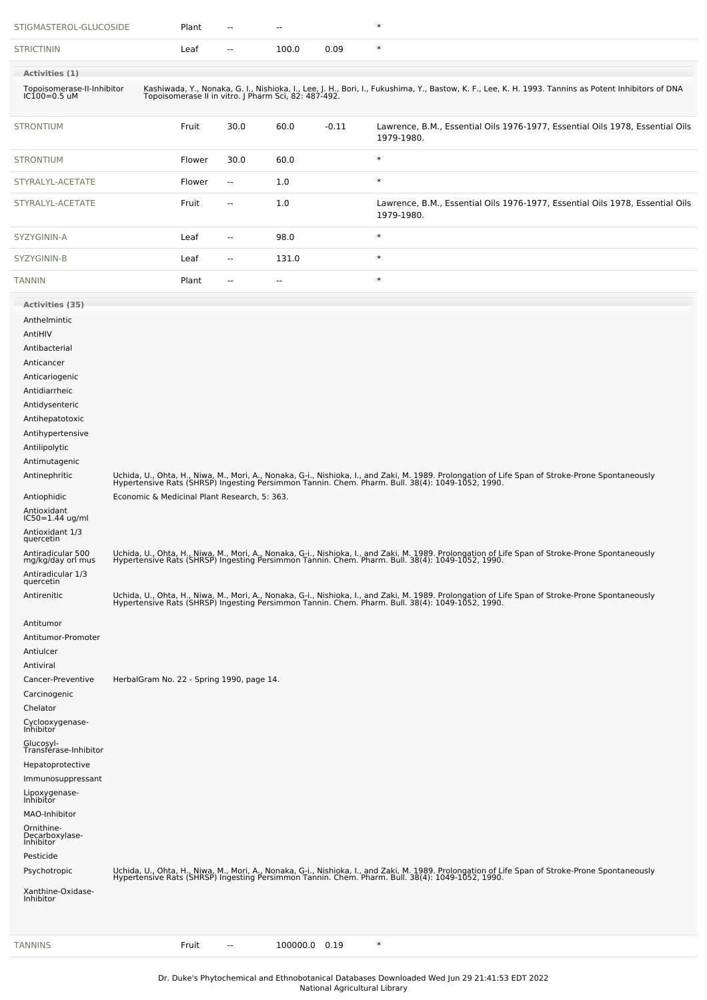| STIGMASTEROL-GLUCOSIDE                                                                                                                                                                                                                                                                                                                                                                                                                                                                                                                                                                                                                                                                                                                                                                       |                                                                                                                                                                                                                                                            | Plant  |                          | --            |         | $\ast$                                                                                                                                                                                                                                                                                                                                                                                                                                                                                                                                                                                                                                                                                                                                                                                                                                                                                                                                           |  |  |  |
|----------------------------------------------------------------------------------------------------------------------------------------------------------------------------------------------------------------------------------------------------------------------------------------------------------------------------------------------------------------------------------------------------------------------------------------------------------------------------------------------------------------------------------------------------------------------------------------------------------------------------------------------------------------------------------------------------------------------------------------------------------------------------------------------|------------------------------------------------------------------------------------------------------------------------------------------------------------------------------------------------------------------------------------------------------------|--------|--------------------------|---------------|---------|--------------------------------------------------------------------------------------------------------------------------------------------------------------------------------------------------------------------------------------------------------------------------------------------------------------------------------------------------------------------------------------------------------------------------------------------------------------------------------------------------------------------------------------------------------------------------------------------------------------------------------------------------------------------------------------------------------------------------------------------------------------------------------------------------------------------------------------------------------------------------------------------------------------------------------------------------|--|--|--|
| <b>STRICTININ</b>                                                                                                                                                                                                                                                                                                                                                                                                                                                                                                                                                                                                                                                                                                                                                                            |                                                                                                                                                                                                                                                            | Leaf   | $\overline{\phantom{a}}$ | 100.0         | 0.09    | $\ast$                                                                                                                                                                                                                                                                                                                                                                                                                                                                                                                                                                                                                                                                                                                                                                                                                                                                                                                                           |  |  |  |
| Activities (1)                                                                                                                                                                                                                                                                                                                                                                                                                                                                                                                                                                                                                                                                                                                                                                               |                                                                                                                                                                                                                                                            |        |                          |               |         |                                                                                                                                                                                                                                                                                                                                                                                                                                                                                                                                                                                                                                                                                                                                                                                                                                                                                                                                                  |  |  |  |
|                                                                                                                                                                                                                                                                                                                                                                                                                                                                                                                                                                                                                                                                                                                                                                                              | Kashiwada, Y., Nonaka, G. I., Nishioka, I., Lee, J. H., Bori, I., Fukushima, Y., Bastow, K. F., Lee, K. H. 1993. Tannins as Potent Inhibitors of DNA<br>Topoisomerase II in vitro. J Pharm Sci, 82: 487-492.<br>Topoisomerase-II-Inhibitor<br>IC100=0.5 uM |        |                          |               |         |                                                                                                                                                                                                                                                                                                                                                                                                                                                                                                                                                                                                                                                                                                                                                                                                                                                                                                                                                  |  |  |  |
| <b>STRONTIUM</b>                                                                                                                                                                                                                                                                                                                                                                                                                                                                                                                                                                                                                                                                                                                                                                             |                                                                                                                                                                                                                                                            | Fruit  | 30.0                     | 60.0          | $-0.11$ | Lawrence, B.M., Essential Oils 1976-1977, Essential Oils 1978, Essential Oils<br>1979-1980.                                                                                                                                                                                                                                                                                                                                                                                                                                                                                                                                                                                                                                                                                                                                                                                                                                                      |  |  |  |
| <b>STRONTIUM</b>                                                                                                                                                                                                                                                                                                                                                                                                                                                                                                                                                                                                                                                                                                                                                                             |                                                                                                                                                                                                                                                            | Flower | 30.0                     | 60.0          |         | $\ast$                                                                                                                                                                                                                                                                                                                                                                                                                                                                                                                                                                                                                                                                                                                                                                                                                                                                                                                                           |  |  |  |
| STYRALYL-ACETATE                                                                                                                                                                                                                                                                                                                                                                                                                                                                                                                                                                                                                                                                                                                                                                             |                                                                                                                                                                                                                                                            | Flower | $\overline{\phantom{a}}$ | 1.0           |         | $\ast$                                                                                                                                                                                                                                                                                                                                                                                                                                                                                                                                                                                                                                                                                                                                                                                                                                                                                                                                           |  |  |  |
| STYRALYL-ACETATE                                                                                                                                                                                                                                                                                                                                                                                                                                                                                                                                                                                                                                                                                                                                                                             |                                                                                                                                                                                                                                                            | Fruit  | $\overline{a}$           | 1.0           |         | Lawrence, B.M., Essential Oils 1976-1977, Essential Oils 1978, Essential Oils<br>1979-1980.                                                                                                                                                                                                                                                                                                                                                                                                                                                                                                                                                                                                                                                                                                                                                                                                                                                      |  |  |  |
| SYZYGININ-A                                                                                                                                                                                                                                                                                                                                                                                                                                                                                                                                                                                                                                                                                                                                                                                  |                                                                                                                                                                                                                                                            | Leaf   | н.                       | 98.0          |         | $\ast$                                                                                                                                                                                                                                                                                                                                                                                                                                                                                                                                                                                                                                                                                                                                                                                                                                                                                                                                           |  |  |  |
| SYZYGININ-B                                                                                                                                                                                                                                                                                                                                                                                                                                                                                                                                                                                                                                                                                                                                                                                  |                                                                                                                                                                                                                                                            | Leaf   | --                       | 131.0         |         | $\ast$                                                                                                                                                                                                                                                                                                                                                                                                                                                                                                                                                                                                                                                                                                                                                                                                                                                                                                                                           |  |  |  |
| <b>TANNIN</b>                                                                                                                                                                                                                                                                                                                                                                                                                                                                                                                                                                                                                                                                                                                                                                                |                                                                                                                                                                                                                                                            | Plant  | $\overline{\phantom{a}}$ | --            |         | $\ast$                                                                                                                                                                                                                                                                                                                                                                                                                                                                                                                                                                                                                                                                                                                                                                                                                                                                                                                                           |  |  |  |
| Activities (35)<br>Anthelmintic<br>AntiHIV<br>Antibacterial<br>Anticancer<br>Anticariogenic<br>Antidiarrheic<br>Antidysenteric<br>Antihepatotoxic<br>Antihypertensive<br>Antilipolytic<br>Antimutagenic<br>Antinephritic<br>Antiophidic<br>Antioxidant<br>IC50=1.44 ug/ml<br>Antioxidant 1/3<br>quercetin<br>Antiradicular 500<br>mg/kg/day orl mus<br>Antiradicular 1/3<br>quercetin<br>Antirenitic<br>Antitumor<br>Antitumor-Promoter<br>Antiulcer<br>Antiviral<br>Cancer-Preventive<br>Carcinogenic<br>Chelator<br>Cyclooxygenase-<br>Inhibitor<br>Glucosyl-<br>Transférase-Inhibitor<br>Hepatoprotective<br>Immunosuppressant<br>Lipoxygenase-<br>Inhibitor<br>MAO-Inhibitor<br>Ornithine-<br>Decarboxylase-<br>Inhibitor<br>Pesticide<br>Psychotropic<br>Xanthine-Oxidase-<br>Inhibitor | Economic & Medicinal Plant Research, 5: 363.<br>HerbalGram No. 22 - Spring 1990, page 14.                                                                                                                                                                  |        |                          |               |         | Uchida, U., Ohta, H., Niwa, M., Mori, A., Nonaka, G-i., Nishioka, I., and Zaki, M. 1989. Prolongation of Life Span of Stroke-Prone Spontaneously<br>Hypertensive Rats (SHRSP) Ingesting Persimmon Tannin. Chem. Pharm. Bull. 38(4<br>Uchida, U., Ohta, H., Niwa, M., Mori, A., Nonaka, G-i., Nishioka, I., and Zaki, M. 1989. Prolongation of Life Span of Stroke-Prone Spontaneously<br>Hypertensive Rats (SHRSP) Ingesting Persimmon Tannin. Chem. Pharm. Bull. 38(4<br>Uchida, U., Ohta, H., Niwa, M., Mori, A., Nonaka, G-i., Nishioka, I., and Zaki, M. 1989. Prolongation of Life Span of Stroke-Prone Spontaneously<br>Hypertensive Rats (SHRSP) Ingesting Persimmon Tannin. Chem. Pharm. Bull. 38(4<br>Uchida, U., Ohta, H., Niwa, M., Mori, A., Nonaka, G-i., Nishioka, I., and Zaki, M. 1989. Prolongation of Life Span of Stroke-Prone Spontaneously<br>Hypertensive Rats (SHRSP) Ingesting Persimmon Tannin. Chem. Pharm. Bull. 38(4 |  |  |  |
| <b>TANNINS</b>                                                                                                                                                                                                                                                                                                                                                                                                                                                                                                                                                                                                                                                                                                                                                                               |                                                                                                                                                                                                                                                            | Fruit  | $\overline{\phantom{a}}$ | 100000.0 0.19 |         | $\ast$                                                                                                                                                                                                                                                                                                                                                                                                                                                                                                                                                                                                                                                                                                                                                                                                                                                                                                                                           |  |  |  |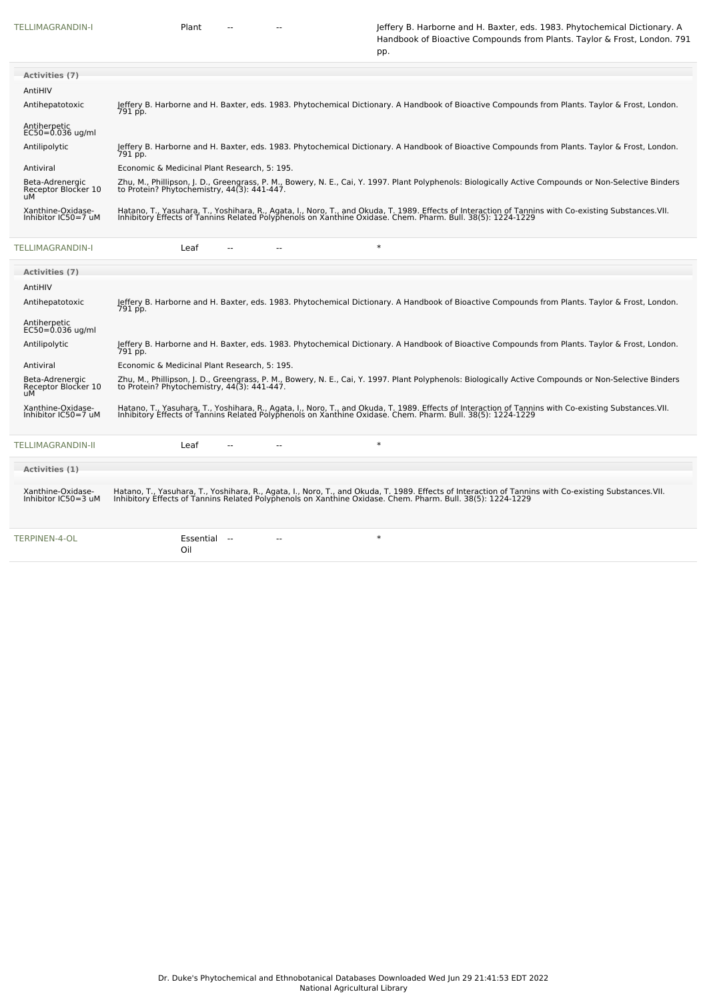[TELLIMAGRANDIN-I](file:///phytochem/chemicals/show/16874) Plant -- - - - - Jeffery B. Harborne and H. Baxter, eds. 1983. Phytochemical Dictionary. A Handbook of Bioactive Compounds from Plants. Taylor & Frost, London. 791

|                                              | pp.                                                                                                                                                                                                                                                                |
|----------------------------------------------|--------------------------------------------------------------------------------------------------------------------------------------------------------------------------------------------------------------------------------------------------------------------|
| <b>Activities (7)</b>                        |                                                                                                                                                                                                                                                                    |
| AntiHIV                                      |                                                                                                                                                                                                                                                                    |
| Antihepatotoxic                              | Jeffery B. Harborne and H. Baxter, eds. 1983. Phytochemical Dictionary. A Handbook of Bioactive Compounds from Plants. Taylor & Frost, London.<br>791 pp.                                                                                                          |
| Antiherpetic<br>$EC50=0.036$ ug/ml           |                                                                                                                                                                                                                                                                    |
| Antilipolytic                                | Jeffery B. Harborne and H. Baxter, eds. 1983. Phytochemical Dictionary. A Handbook of Bioactive Compounds from Plants. Taylor & Frost, London.<br>791 pp.                                                                                                          |
| Antiviral                                    | Economic & Medicinal Plant Research, 5: 195.                                                                                                                                                                                                                       |
| Beta-Adrenergic<br>Receptor Blocker 10<br>uМ | Zhu, M., Phillipson, J. D., Greengrass, P. M., Bowery, N. E., Cai, Y. 1997. Plant Polyphenols: Biologically Active Compounds or Non-Selective Binders<br>to Protein? Phytochemistry, 44(3): 441-447.                                                               |
| Xanthine-Oxidase-<br>Inhibitor IC50=7 uM     | Hatano, T., Yasuhara, T., Yoshihara, R., Agata, I., Noro, T., and Okuda, T. 1989. Effects of Interaction of Tannins with Co-existing Substances.VII.<br>Inhibitory Effects of Tannins Related Polyphenols on Xanthine Oxidase. Ch                                  |
| TELLIMAGRANDIN-I                             | $\ast$<br>Leaf                                                                                                                                                                                                                                                     |
| <b>Activities (7)</b>                        |                                                                                                                                                                                                                                                                    |
| AntiHIV                                      |                                                                                                                                                                                                                                                                    |
| Antihepatotoxic                              | Jeffery B. Harborne and H. Baxter, eds. 1983. Phytochemical Dictionary. A Handbook of Bioactive Compounds from Plants. Taylor & Frost, London.<br>791 pp.                                                                                                          |
| Antiherpetic<br>$EC50 = 0.036$ ug/ml         |                                                                                                                                                                                                                                                                    |
| Antilipolytic                                | Jeffery B. Harborne and H. Baxter, eds. 1983. Phytochemical Dictionary. A Handbook of Bioactive Compounds from Plants. Taylor & Frost, London.<br>791 pp.                                                                                                          |
| Antiviral                                    | Economic & Medicinal Plant Research, 5: 195.                                                                                                                                                                                                                       |
| Beta-Adrenergic<br>Receptor Blocker 10<br>uМ | Zhu, M., Phillipson, J. D., Greengrass, P. M., Bowery, N. E., Cai, Y. 1997. Plant Polyphenols: Biologically Active Compounds or Non-Selective Binders<br>to Protein? Phytochemistry, 44(3): 441-447.                                                               |
| Xanthine-Oxidase-<br>Inhibitor IC50=7 uM     | Hatano, T., Yasuhara, T., Yoshihara, R., Agata, I., Noro, T., and Okuda, T. 1989. Effects of Interaction of Tannins with Co-existing Substances.VII.<br>Inhibitory Effects of Tannins Related Polyphenols on Xanthine Oxidase. Chem. Pharm. Bull. 38(5): 1224-1229 |
| TELLIMAGRANDIN-II                            | $\ast$<br>Leaf                                                                                                                                                                                                                                                     |
| Activities (1)                               |                                                                                                                                                                                                                                                                    |
| Xanthine-Oxidase-<br>Inhibitor IC50=3 uM     | Hatano, T., Yasuhara, T., Yoshihara, R., Agata, I., Noro, T., and Okuda, T. 1989. Effects of Interaction of Tannins with Co-existing Substances.VII.<br>Inhibitory Effects of Tannins Related Polyphenols on Xanthine Oxidase. Ch                                  |
| TERPINEN-4-OL                                | $\ast$<br>Essential<br>- - -                                                                                                                                                                                                                                       |

Oil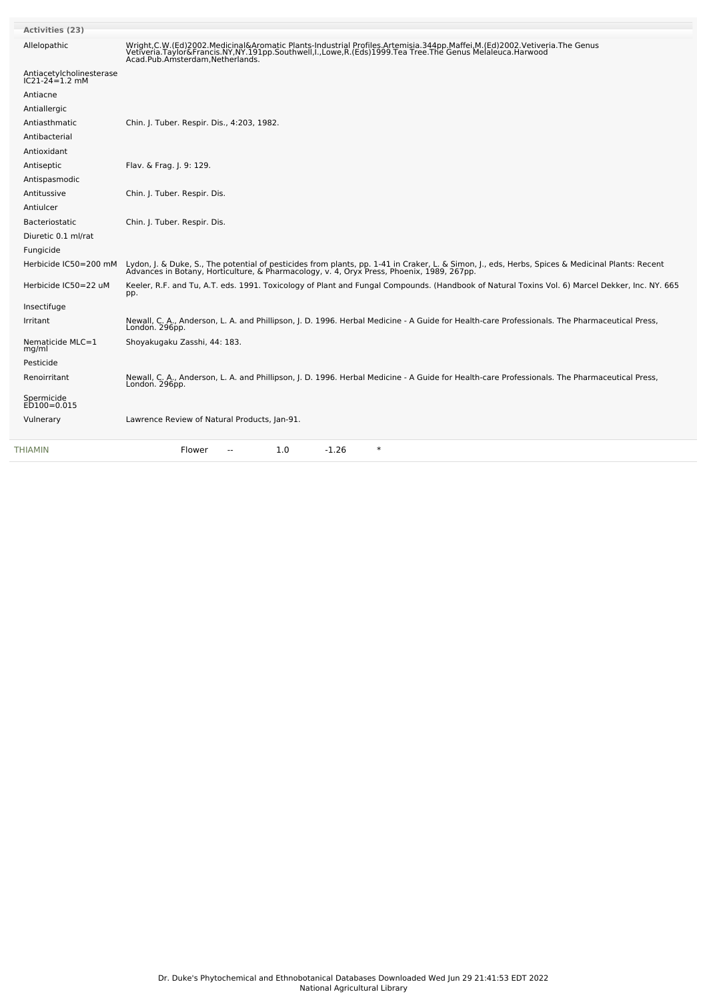| <b>Activities (23)</b>                     |                                                                                                                                                                                                                                                                                   |
|--------------------------------------------|-----------------------------------------------------------------------------------------------------------------------------------------------------------------------------------------------------------------------------------------------------------------------------------|
| Allelopathic                               | Wright, C.W. (Ed) 2002. Medicinal&Aromatic Plants-Industrial Profiles. Artemisia. 344pp. Maffei, M. (Ed) 2002. Vetiveria. The Genus<br>Vetiveria.Taylor&Francis.NY,NY.191pp.Southwell,I.,Lowe,R.(Eds)1999.Tea Tree.The Genus Melaleuca.Harwood<br>Acad.Pub.Amsterdam,Netherlands. |
| Antiacetylcholinesterase<br>IC21-24=1.2 mM |                                                                                                                                                                                                                                                                                   |
| Antiacne                                   |                                                                                                                                                                                                                                                                                   |
| Antiallergic                               |                                                                                                                                                                                                                                                                                   |
| Antiasthmatic                              | Chin. J. Tuber. Respir. Dis., 4:203, 1982.                                                                                                                                                                                                                                        |
| Antibacterial                              |                                                                                                                                                                                                                                                                                   |
| Antioxidant                                |                                                                                                                                                                                                                                                                                   |
| Antiseptic                                 | Flav. & Frag. J. 9: 129.                                                                                                                                                                                                                                                          |
| Antispasmodic                              |                                                                                                                                                                                                                                                                                   |
| Antitussive                                | Chin. J. Tuber. Respir. Dis.                                                                                                                                                                                                                                                      |
| Antiulcer                                  |                                                                                                                                                                                                                                                                                   |
| Bacteriostatic                             | Chin. J. Tuber. Respir. Dis.                                                                                                                                                                                                                                                      |
| Diuretic 0.1 ml/rat                        |                                                                                                                                                                                                                                                                                   |
| Fungicide                                  |                                                                                                                                                                                                                                                                                   |
| Herbicide IC50=200 mM                      | Lydon, J. & Duke, S., The potential of pesticides from plants, pp. 1-41 in Craker, L. & Simon, J., eds, Herbs, Spices & Medicinal Plants: Recent<br>Advances in Botany, Horticulture, & Pharmacology, v. 4, Oryx Press, Phoenix,                                                  |
| Herbicide IC50=22 uM                       | Keeler, R.F. and Tu, A.T. eds. 1991. Toxicology of Plant and Fungal Compounds. (Handbook of Natural Toxins Vol. 6) Marcel Dekker, Inc. NY. 665<br>pp.                                                                                                                             |
| Insectifuge                                |                                                                                                                                                                                                                                                                                   |
| Irritant                                   | Newall, C. A., Anderson, L. A. and Phillipson, J. D. 1996. Herbal Medicine - A Guide for Health-care Professionals. The Pharmaceutical Press,<br>London. 296pp.                                                                                                                   |
| Nematicide MLC=1<br>mg/ml                  | Shoyakugaku Zasshi, 44: 183.                                                                                                                                                                                                                                                      |
| Pesticide                                  |                                                                                                                                                                                                                                                                                   |
| Renoirritant                               | Newall, C. A., Anderson, L. A. and Phillipson, J. D. 1996. Herbal Medicine - A Guide for Health-care Professionals. The Pharmaceutical Press,<br>London. 296pp.                                                                                                                   |
| Spermicide<br>ED100=0.015                  |                                                                                                                                                                                                                                                                                   |
| Vulnerary                                  | Lawrence Review of Natural Products, Jan-91.                                                                                                                                                                                                                                      |
| THIAMIN                                    | $\ast$<br>1.0<br>$-1.26$<br>Flower                                                                                                                                                                                                                                                |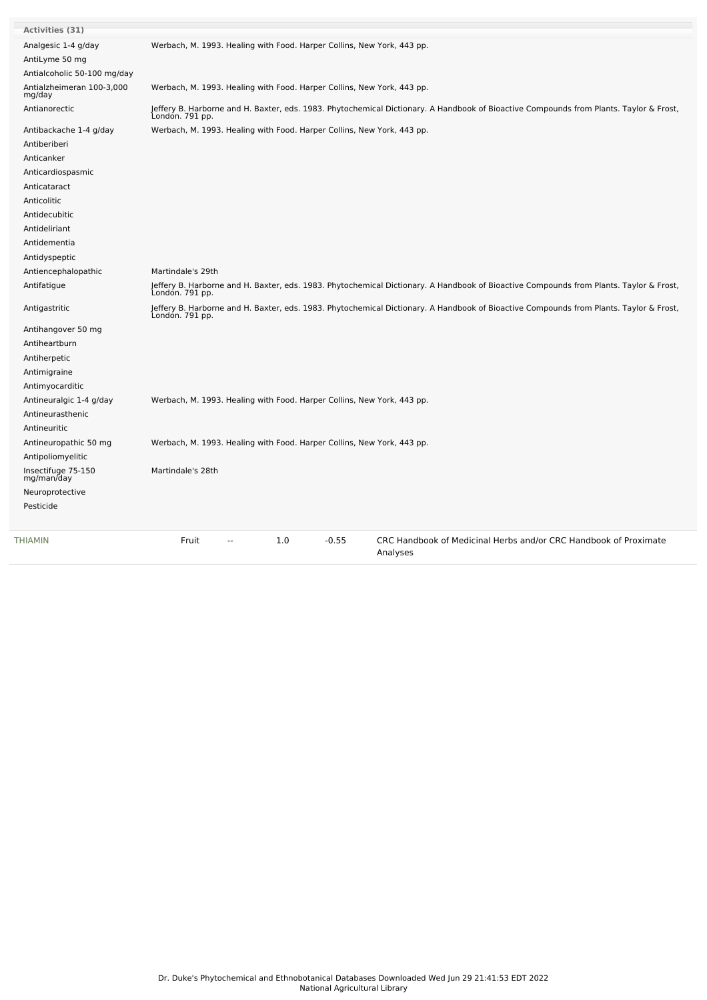| Activities (31)                     |                                                                                                                                                           |
|-------------------------------------|-----------------------------------------------------------------------------------------------------------------------------------------------------------|
| Analgesic 1-4 g/day                 | Werbach, M. 1993. Healing with Food. Harper Collins, New York, 443 pp.                                                                                    |
| AntiLyme 50 mg                      |                                                                                                                                                           |
| Antialcoholic 50-100 mg/day         |                                                                                                                                                           |
| Antialzheimeran 100-3,000<br>mg/day | Werbach, M. 1993. Healing with Food. Harper Collins, New York, 443 pp.                                                                                    |
| Antianorectic                       | Jeffery B. Harborne and H. Baxter, eds. 1983. Phytochemical Dictionary. A Handbook of Bioactive Compounds from Plants. Taylor & Frost,<br>Londón. 791 pp. |
| Antibackache 1-4 g/day              | Werbach, M. 1993. Healing with Food. Harper Collins, New York, 443 pp.                                                                                    |
| Antiberiberi                        |                                                                                                                                                           |
| Anticanker                          |                                                                                                                                                           |
| Anticardiospasmic                   |                                                                                                                                                           |
| Anticataract                        |                                                                                                                                                           |
| Anticolitic                         |                                                                                                                                                           |
| Antidecubitic                       |                                                                                                                                                           |
| Antideliriant                       |                                                                                                                                                           |
| Antidementia                        |                                                                                                                                                           |
| Antidyspeptic                       |                                                                                                                                                           |
| Antiencephalopathic                 | Martindale's 29th                                                                                                                                         |
| Antifatigue                         | Jeffery B. Harborne and H. Baxter, eds. 1983. Phytochemical Dictionary. A Handbook of Bioactive Compounds from Plants. Taylor & Frost,<br>Londón. 791 pp. |
| Antigastritic                       | Jeffery B. Harborne and H. Baxter, eds. 1983. Phytochemical Dictionary. A Handbook of Bioactive Compounds from Plants. Taylor & Frost,<br>Londón. 791 pp. |
| Antihangover 50 mg                  |                                                                                                                                                           |
| Antiheartburn                       |                                                                                                                                                           |
| Antiherpetic                        |                                                                                                                                                           |
| Antimigraine                        |                                                                                                                                                           |
| Antimyocarditic                     |                                                                                                                                                           |
| Antineuralgic 1-4 g/day             | Werbach, M. 1993. Healing with Food. Harper Collins, New York, 443 pp.                                                                                    |
| Antineurasthenic                    |                                                                                                                                                           |
| Antineuritic                        |                                                                                                                                                           |
| Antineuropathic 50 mg               | Werbach, M. 1993. Healing with Food. Harper Collins, New York, 443 pp.                                                                                    |
| Antipoliomyelitic                   |                                                                                                                                                           |
| Insectifuge 75-150<br>mg/man/day    | Martindale's 28th                                                                                                                                         |
| Neuroprotective                     |                                                                                                                                                           |
| Pesticide                           |                                                                                                                                                           |
| <b>THIAMIN</b>                      | Fruit<br>1.0<br>$-0.55$<br>CRC Handbook of Medicinal Herbs and/or CRC Handbook of Proximate<br>Analyses                                                   |

 $\sim$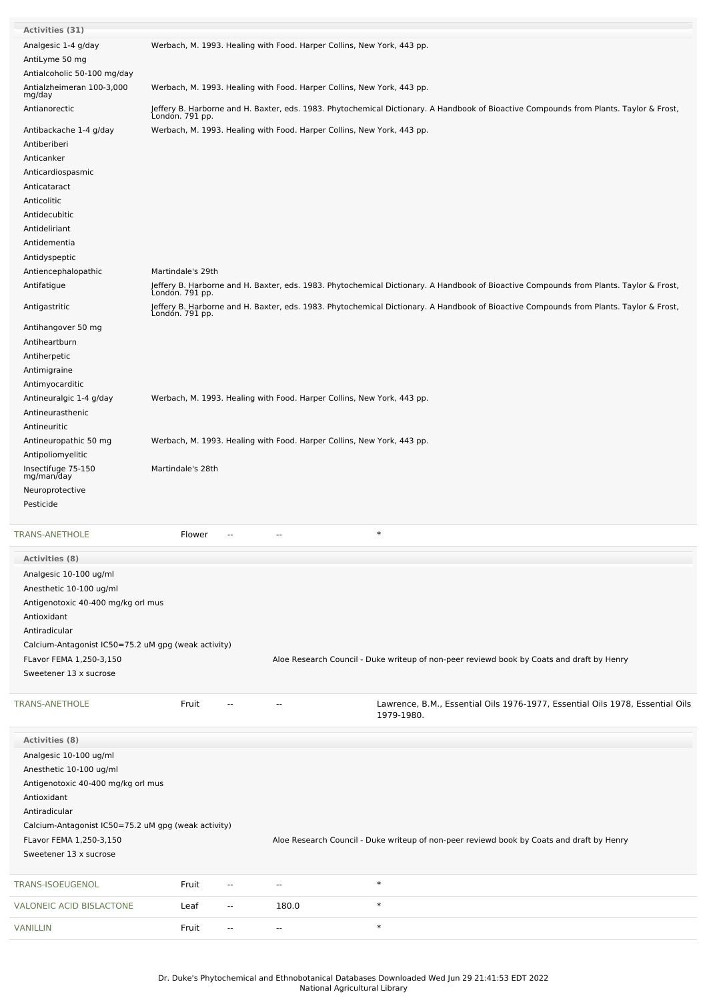| Activities (31)                                     |                   |                          |                          |                                                                                                                                                           |
|-----------------------------------------------------|-------------------|--------------------------|--------------------------|-----------------------------------------------------------------------------------------------------------------------------------------------------------|
| Analgesic 1-4 g/day                                 |                   |                          |                          | Werbach, M. 1993. Healing with Food. Harper Collins, New York, 443 pp.                                                                                    |
| AntiLyme 50 mg                                      |                   |                          |                          |                                                                                                                                                           |
| Antialcoholic 50-100 mg/day                         |                   |                          |                          |                                                                                                                                                           |
| Antialzheimeran 100-3,000<br>mg/day                 |                   |                          |                          | Werbach, M. 1993. Healing with Food. Harper Collins, New York, 443 pp.                                                                                    |
| Antianorectic                                       | Londón. 791 pp.   |                          |                          | Jeffery B. Harborne and H. Baxter, eds. 1983. Phytochemical Dictionary. A Handbook of Bioactive Compounds from Plants. Taylor & Frost,                    |
| Antibackache 1-4 g/day                              |                   |                          |                          | Werbach, M. 1993. Healing with Food. Harper Collins, New York, 443 pp.                                                                                    |
| Antiberiberi                                        |                   |                          |                          |                                                                                                                                                           |
| Anticanker                                          |                   |                          |                          |                                                                                                                                                           |
| Anticardiospasmic                                   |                   |                          |                          |                                                                                                                                                           |
| Anticataract                                        |                   |                          |                          |                                                                                                                                                           |
| Anticolitic                                         |                   |                          |                          |                                                                                                                                                           |
| Antidecubitic                                       |                   |                          |                          |                                                                                                                                                           |
| Antideliriant                                       |                   |                          |                          |                                                                                                                                                           |
| Antidementia                                        |                   |                          |                          |                                                                                                                                                           |
| Antidyspeptic                                       |                   |                          |                          |                                                                                                                                                           |
| Antiencephalopathic                                 | Martindale's 29th |                          |                          |                                                                                                                                                           |
| Antifatigue                                         |                   |                          |                          | Jeffery B. Harborne and H. Baxter, eds. 1983. Phytochemical Dictionary. A Handbook of Bioactive Compounds from Plants. Taylor & Frost,<br>London. 791 pp. |
| Antigastritic                                       | Londón. 791 pp.   |                          |                          | Jeffery B. Harborne and H. Baxter, eds. 1983. Phytochemical Dictionary. A Handbook of Bioactive Compounds from Plants. Taylor & Frost,                    |
| Antihangover 50 mg                                  |                   |                          |                          |                                                                                                                                                           |
| Antiheartburn                                       |                   |                          |                          |                                                                                                                                                           |
| Antiherpetic                                        |                   |                          |                          |                                                                                                                                                           |
| Antimigraine                                        |                   |                          |                          |                                                                                                                                                           |
| Antimyocarditic                                     |                   |                          |                          |                                                                                                                                                           |
| Antineuralgic 1-4 g/day                             |                   |                          |                          | Werbach, M. 1993. Healing with Food. Harper Collins, New York, 443 pp.                                                                                    |
| Antineurasthenic                                    |                   |                          |                          |                                                                                                                                                           |
| Antineuritic                                        |                   |                          |                          |                                                                                                                                                           |
| Antineuropathic 50 mg                               |                   |                          |                          | Werbach, M. 1993. Healing with Food. Harper Collins, New York, 443 pp.                                                                                    |
| Antipoliomyelitic                                   |                   |                          |                          |                                                                                                                                                           |
| Insectifuge 75-150<br>mg/man/day                    | Martindale's 28th |                          |                          |                                                                                                                                                           |
| Neuroprotective                                     |                   |                          |                          |                                                                                                                                                           |
| Pesticide                                           |                   |                          |                          |                                                                                                                                                           |
|                                                     |                   |                          |                          |                                                                                                                                                           |
| <b>TRANS-ANETHOLE</b>                               | Flower            | --                       | --                       | $\ast$                                                                                                                                                    |
| <b>Activities (8)</b>                               |                   |                          |                          |                                                                                                                                                           |
| Analgesic 10-100 ug/ml                              |                   |                          |                          |                                                                                                                                                           |
| Anesthetic 10-100 ug/ml                             |                   |                          |                          |                                                                                                                                                           |
| Antigenotoxic 40-400 mg/kg orl mus                  |                   |                          |                          |                                                                                                                                                           |
| Antioxidant                                         |                   |                          |                          |                                                                                                                                                           |
| Antiradicular                                       |                   |                          |                          |                                                                                                                                                           |
| Calcium-Antagonist IC50=75.2 uM gpg (weak activity) |                   |                          |                          |                                                                                                                                                           |
| FLavor FEMA 1,250-3,150                             |                   |                          |                          | Aloe Research Council - Duke writeup of non-peer reviewd book by Coats and draft by Henry                                                                 |
| Sweetener 13 x sucrose                              |                   |                          |                          |                                                                                                                                                           |
|                                                     |                   |                          |                          |                                                                                                                                                           |
| TRANS-ANETHOLE                                      | Fruit             |                          | $\overline{a}$           | Lawrence, B.M., Essential Oils 1976-1977, Essential Oils 1978, Essential Oils<br>1979-1980.                                                               |
|                                                     |                   |                          |                          |                                                                                                                                                           |
| <b>Activities (8)</b>                               |                   |                          |                          |                                                                                                                                                           |
| Analgesic 10-100 ug/ml                              |                   |                          |                          |                                                                                                                                                           |
| Anesthetic 10-100 ug/ml                             |                   |                          |                          |                                                                                                                                                           |
| Antigenotoxic 40-400 mg/kg orl mus                  |                   |                          |                          |                                                                                                                                                           |
| Antioxidant                                         |                   |                          |                          |                                                                                                                                                           |
| Antiradicular                                       |                   |                          |                          |                                                                                                                                                           |
| Calcium-Antagonist IC50=75.2 uM gpg (weak activity) |                   |                          |                          |                                                                                                                                                           |
| FLavor FEMA 1,250-3,150                             |                   |                          |                          | Aloe Research Council - Duke writeup of non-peer reviewd book by Coats and draft by Henry                                                                 |
| Sweetener 13 x sucrose                              |                   |                          |                          |                                                                                                                                                           |
| TRANS-ISOEUGENOL                                    | Fruit             | $\overline{\phantom{a}}$ | $\overline{\phantom{a}}$ | $\ast$                                                                                                                                                    |
| VALONEIC ACID BISLACTONE                            | Leaf              | $\overline{\phantom{a}}$ | 180.0                    | $\ast$                                                                                                                                                    |
| <b>VANILLIN</b>                                     | Fruit             | $\overline{\phantom{a}}$ | --                       | $\ast$                                                                                                                                                    |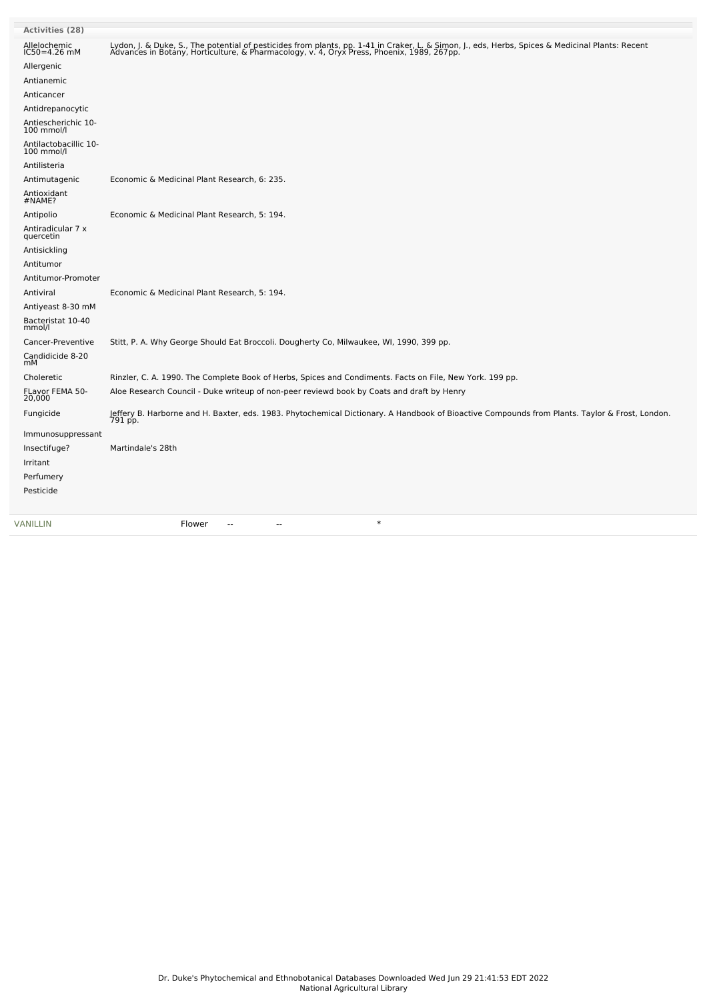| <b>Activities (28)</b>              |                                                                                                                                                                                                                                  |
|-------------------------------------|----------------------------------------------------------------------------------------------------------------------------------------------------------------------------------------------------------------------------------|
| Allelochemic                        | Lydon, J. & Duke, S., The potential of pesticides from plants, pp. 1-41 in Craker, L. & Simon, J., eds, Herbs, Spices & Medicinal Plants: Recent<br>Advances in Botany, Horticulture, & Pharmacology, v. 4, Oryx Press, Phoenix, |
| $IC50 = 4.26$ mM<br>Allergenic      |                                                                                                                                                                                                                                  |
| Antianemic                          |                                                                                                                                                                                                                                  |
| Anticancer                          |                                                                                                                                                                                                                                  |
| Antidrepanocytic                    |                                                                                                                                                                                                                                  |
|                                     |                                                                                                                                                                                                                                  |
| Antiescherichic 10-<br>100 mmol/l   |                                                                                                                                                                                                                                  |
| Antilactobacillic 10-<br>100 mmol/l |                                                                                                                                                                                                                                  |
| Antilisteria                        |                                                                                                                                                                                                                                  |
| Antimutagenic                       | Economic & Medicinal Plant Research, 6: 235.                                                                                                                                                                                     |
| Antioxidant<br>#NAME?               |                                                                                                                                                                                                                                  |
| Antipolio                           | Economic & Medicinal Plant Research, 5: 194.                                                                                                                                                                                     |
| Antiradicular 7 x<br>quercetin      |                                                                                                                                                                                                                                  |
| Antisickling                        |                                                                                                                                                                                                                                  |
| Antitumor                           |                                                                                                                                                                                                                                  |
| Antitumor-Promoter                  |                                                                                                                                                                                                                                  |
| Antiviral                           | Economic & Medicinal Plant Research, 5: 194.                                                                                                                                                                                     |
| Antiyeast 8-30 mM                   |                                                                                                                                                                                                                                  |
| Bacteristat 10-40<br>mmol/l         |                                                                                                                                                                                                                                  |
| Cancer-Preventive                   | Stitt, P. A. Why George Should Eat Broccoli. Dougherty Co, Milwaukee, WI, 1990, 399 pp.                                                                                                                                          |
| Candidicide 8-20<br>mМ              |                                                                                                                                                                                                                                  |
| Choleretic                          | Rinzler, C. A. 1990. The Complete Book of Herbs, Spices and Condiments. Facts on File, New York. 199 pp.                                                                                                                         |
| FLavor FEMA 50-<br>20,000           | Aloe Research Council - Duke writeup of non-peer reviewd book by Coats and draft by Henry                                                                                                                                        |
| Fungicide                           | Jeffery B. Harborne and H. Baxter, eds. 1983. Phytochemical Dictionary. A Handbook of Bioactive Compounds from Plants. Taylor & Frost, London.<br>791 pp.                                                                        |
| Immunosuppressant                   |                                                                                                                                                                                                                                  |
| Insectifuge?                        | Martindale's 28th                                                                                                                                                                                                                |
| Irritant                            |                                                                                                                                                                                                                                  |
| Perfumery                           |                                                                                                                                                                                                                                  |
| Pesticide                           |                                                                                                                                                                                                                                  |
| VANILLIN                            | $\ast$<br>Flower<br>٠.<br>--                                                                                                                                                                                                     |
|                                     |                                                                                                                                                                                                                                  |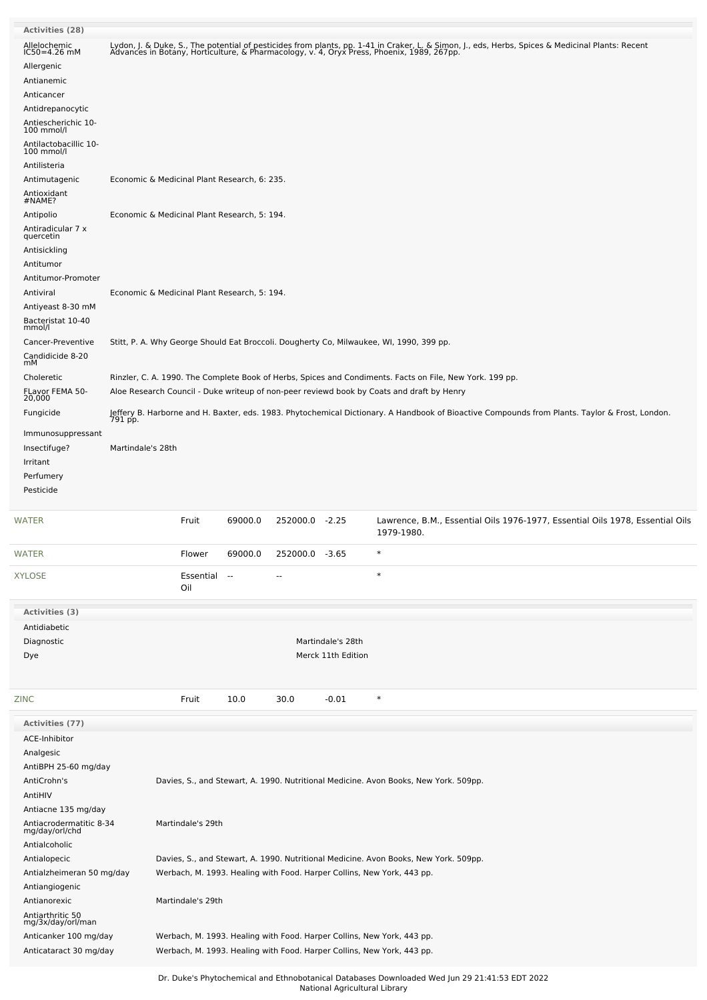| <b>Activities (28)</b>                    |                                                                                      |                                              |         |                |                    |                                                                                                                                                                                                                                  |  |  |
|-------------------------------------------|--------------------------------------------------------------------------------------|----------------------------------------------|---------|----------------|--------------------|----------------------------------------------------------------------------------------------------------------------------------------------------------------------------------------------------------------------------------|--|--|
| Allelochemic<br>IC50=4.26 mM              |                                                                                      |                                              |         |                |                    | Lydon, J. & Duke, S., The potential of pesticides from plants, pp. 1-41 in Craker, L. & Simon, J., eds, Herbs, Spices & Medicinal Plants: Recent<br>Advances in Botany, Horticulture, & Pharmacology, v. 4, Oryx Press, Phoenix, |  |  |
| Allergenic                                |                                                                                      |                                              |         |                |                    |                                                                                                                                                                                                                                  |  |  |
| Antianemic                                |                                                                                      |                                              |         |                |                    |                                                                                                                                                                                                                                  |  |  |
| Anticancer                                |                                                                                      |                                              |         |                |                    |                                                                                                                                                                                                                                  |  |  |
| Antidrepanocytic                          |                                                                                      |                                              |         |                |                    |                                                                                                                                                                                                                                  |  |  |
| Antiescherichic 10-<br>100 mmol/l         |                                                                                      |                                              |         |                |                    |                                                                                                                                                                                                                                  |  |  |
| Antilactobacillic 10-<br>100 mmol/l       |                                                                                      |                                              |         |                |                    |                                                                                                                                                                                                                                  |  |  |
| Antilisteria                              |                                                                                      |                                              |         |                |                    |                                                                                                                                                                                                                                  |  |  |
| Antimutagenic                             | Economic & Medicinal Plant Research, 6: 235.                                         |                                              |         |                |                    |                                                                                                                                                                                                                                  |  |  |
| Antioxidant<br>#NAME?                     |                                                                                      |                                              |         |                |                    |                                                                                                                                                                                                                                  |  |  |
| Antipolio                                 |                                                                                      |                                              |         |                |                    |                                                                                                                                                                                                                                  |  |  |
| Antiradicular 7 x                         | Economic & Medicinal Plant Research, 5: 194.                                         |                                              |         |                |                    |                                                                                                                                                                                                                                  |  |  |
| quercetin                                 |                                                                                      |                                              |         |                |                    |                                                                                                                                                                                                                                  |  |  |
| Antisickling                              |                                                                                      |                                              |         |                |                    |                                                                                                                                                                                                                                  |  |  |
| Antitumor                                 |                                                                                      |                                              |         |                |                    |                                                                                                                                                                                                                                  |  |  |
| Antitumor-Promoter<br>Antiviral           |                                                                                      | Economic & Medicinal Plant Research, 5: 194. |         |                |                    |                                                                                                                                                                                                                                  |  |  |
| Antiyeast 8-30 mM                         |                                                                                      |                                              |         |                |                    |                                                                                                                                                                                                                                  |  |  |
| Bacteristat 10-40                         |                                                                                      |                                              |         |                |                    |                                                                                                                                                                                                                                  |  |  |
| mmol/l                                    |                                                                                      |                                              |         |                |                    |                                                                                                                                                                                                                                  |  |  |
| Cancer-Preventive                         |                                                                                      |                                              |         |                |                    | Stitt, P. A. Why George Should Eat Broccoli. Dougherty Co, Milwaukee, WI, 1990, 399 pp.                                                                                                                                          |  |  |
| Candidicide 8-20<br>mМ                    |                                                                                      |                                              |         |                |                    |                                                                                                                                                                                                                                  |  |  |
| Choleretic                                |                                                                                      |                                              |         |                |                    | Rinzler, C. A. 1990. The Complete Book of Herbs, Spices and Condiments. Facts on File, New York. 199 pp.                                                                                                                         |  |  |
| FLavor FEMA 50-<br>20,000                 |                                                                                      |                                              |         |                |                    | Aloe Research Council - Duke writeup of non-peer reviewd book by Coats and draft by Henry                                                                                                                                        |  |  |
| Fungicide                                 |                                                                                      |                                              |         |                |                    |                                                                                                                                                                                                                                  |  |  |
|                                           |                                                                                      |                                              |         |                |                    | Jeffery B. Harborne and H. Baxter, eds. 1983. Phytochemical Dictionary. A Handbook of Bioactive Compounds from Plants. Taylor & Frost, London.<br>791 pp.                                                                        |  |  |
| Immunosuppressant                         |                                                                                      |                                              |         |                |                    |                                                                                                                                                                                                                                  |  |  |
| Insectifuge?                              | Martindale's 28th                                                                    |                                              |         |                |                    |                                                                                                                                                                                                                                  |  |  |
| Irritant                                  |                                                                                      |                                              |         |                |                    |                                                                                                                                                                                                                                  |  |  |
| Perfumery                                 |                                                                                      |                                              |         |                |                    |                                                                                                                                                                                                                                  |  |  |
| Pesticide                                 |                                                                                      |                                              |         |                |                    |                                                                                                                                                                                                                                  |  |  |
| WATER                                     |                                                                                      | Fruit                                        | 69000.0 | 252000.0 -2.25 |                    | Lawrence, B.M., Essential Oils 1976-1977, Essential Oils 1978, Essential Oils<br>1979-1980.                                                                                                                                      |  |  |
| WATER                                     |                                                                                      | Flower                                       | 69000.0 | 252000.0 -3.65 |                    | $\ast$                                                                                                                                                                                                                           |  |  |
|                                           |                                                                                      |                                              |         |                |                    | $\ast$                                                                                                                                                                                                                           |  |  |
| XYLOSE                                    |                                                                                      | Essential<br>Oil                             | $\sim$  |                |                    |                                                                                                                                                                                                                                  |  |  |
| Activities (3)                            |                                                                                      |                                              |         |                |                    |                                                                                                                                                                                                                                  |  |  |
| Antidiabetic                              |                                                                                      |                                              |         |                |                    |                                                                                                                                                                                                                                  |  |  |
| Diagnostic                                |                                                                                      |                                              |         |                | Martindale's 28th  |                                                                                                                                                                                                                                  |  |  |
| Dye                                       |                                                                                      |                                              |         |                | Merck 11th Edition |                                                                                                                                                                                                                                  |  |  |
|                                           |                                                                                      |                                              |         |                |                    |                                                                                                                                                                                                                                  |  |  |
| ZINC                                      |                                                                                      | Fruit                                        | 10.0    | 30.0           | $-0.01$            | $\ast$                                                                                                                                                                                                                           |  |  |
| Activities (77)                           |                                                                                      |                                              |         |                |                    |                                                                                                                                                                                                                                  |  |  |
| ACE-Inhibitor                             |                                                                                      |                                              |         |                |                    |                                                                                                                                                                                                                                  |  |  |
| Analgesic                                 |                                                                                      |                                              |         |                |                    |                                                                                                                                                                                                                                  |  |  |
| AntiBPH 25-60 mg/day                      |                                                                                      |                                              |         |                |                    |                                                                                                                                                                                                                                  |  |  |
| AntiCrohn's                               | Davies, S., and Stewart, A. 1990. Nutritional Medicine. Avon Books, New York. 509pp. |                                              |         |                |                    |                                                                                                                                                                                                                                  |  |  |
| AntiHIV                                   |                                                                                      |                                              |         |                |                    |                                                                                                                                                                                                                                  |  |  |
| Antiacne 135 mg/day                       |                                                                                      |                                              |         |                |                    |                                                                                                                                                                                                                                  |  |  |
| Antiacrodermatitic 8-34<br>mg/day/orl/chd | Martindale's 29th                                                                    |                                              |         |                |                    |                                                                                                                                                                                                                                  |  |  |
| Antialcoholic                             |                                                                                      |                                              |         |                |                    |                                                                                                                                                                                                                                  |  |  |
| Antialopecic                              | Davies, S., and Stewart, A. 1990. Nutritional Medicine. Avon Books, New York. 509pp. |                                              |         |                |                    |                                                                                                                                                                                                                                  |  |  |
| Antialzheimeran 50 mg/day                 | Werbach, M. 1993. Healing with Food. Harper Collins, New York, 443 pp.               |                                              |         |                |                    |                                                                                                                                                                                                                                  |  |  |
| Antiangiogenic                            |                                                                                      |                                              |         |                |                    |                                                                                                                                                                                                                                  |  |  |
| Antianorexic                              |                                                                                      | Martindale's 29th                            |         |                |                    |                                                                                                                                                                                                                                  |  |  |
| Antiarthritic 50                          |                                                                                      |                                              |         |                |                    |                                                                                                                                                                                                                                  |  |  |
| mg/3x/day/orl/man                         | Werbach, M. 1993. Healing with Food. Harper Collins, New York, 443 pp.               |                                              |         |                |                    |                                                                                                                                                                                                                                  |  |  |
|                                           |                                                                                      |                                              |         |                |                    |                                                                                                                                                                                                                                  |  |  |
| Anticanker 100 mg/day                     |                                                                                      |                                              |         |                |                    |                                                                                                                                                                                                                                  |  |  |
| Anticataract 30 mg/day                    |                                                                                      |                                              |         |                |                    | Werbach, M. 1993. Healing with Food. Harper Collins, New York, 443 pp.                                                                                                                                                           |  |  |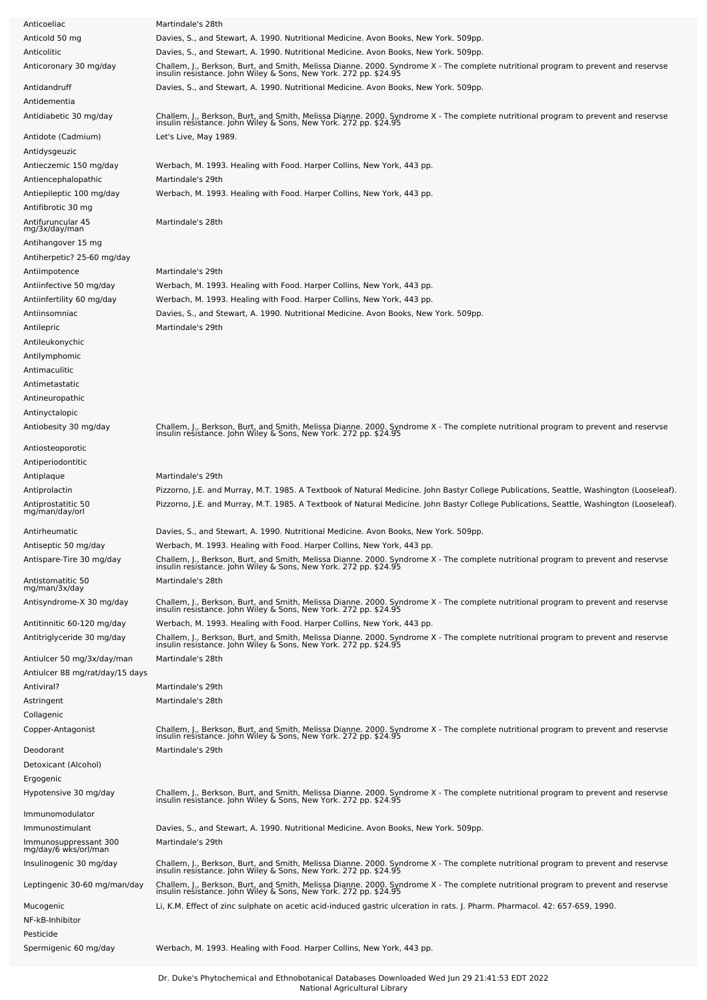| Anticoeliac                                   | Martindale's 28th                                                                                                                                                                                      |
|-----------------------------------------------|--------------------------------------------------------------------------------------------------------------------------------------------------------------------------------------------------------|
| Anticold 50 mg                                | Davies, S., and Stewart, A. 1990. Nutritional Medicine. Avon Books, New York. 509pp.                                                                                                                   |
| Anticolitic                                   | Davies, S., and Stewart, A. 1990. Nutritional Medicine. Avon Books, New York. 509pp.                                                                                                                   |
| Anticoronary 30 mg/day                        | Challem, J., Berkson, Burt, and Smith, Melissa Dianne. 2000. Syndrome X - The complete nutritional program to prevent and reservse<br>insulin resistance. John Wiley & Sons, New York. 272 pp. \$24.95 |
| Antidandruff                                  | Davies, S., and Stewart, A. 1990. Nutritional Medicine. Avon Books, New York. 509pp.                                                                                                                   |
| Antidementia                                  |                                                                                                                                                                                                        |
|                                               |                                                                                                                                                                                                        |
| Antidiabetic 30 mg/day                        | Challem, J., Berkson, Burt, and Smith, Melissa Dianne. 2000. Syndrome X - The complete nutritional program to prevent and reservse<br>insulin resistance. John Wiley & Sons, New York. 272 pp. \$24.95 |
| Antidote (Cadmium)                            | Let's Live, May 1989.                                                                                                                                                                                  |
| Antidysgeuzic                                 |                                                                                                                                                                                                        |
| Antieczemic 150 mg/day                        | Werbach, M. 1993. Healing with Food. Harper Collins, New York, 443 pp.                                                                                                                                 |
| Antiencephalopathic                           | Martindale's 29th                                                                                                                                                                                      |
| Antiepileptic 100 mg/day                      | Werbach, M. 1993. Healing with Food. Harper Collins, New York, 443 pp.                                                                                                                                 |
| Antifibrotic 30 mg                            |                                                                                                                                                                                                        |
| Antifuruncular 45                             | Martindale's 28th                                                                                                                                                                                      |
| mg/3x/day/man                                 |                                                                                                                                                                                                        |
| Antihangover 15 mg                            |                                                                                                                                                                                                        |
| Antiherpetic? 25-60 mg/day                    |                                                                                                                                                                                                        |
| Antiimpotence                                 | Martindale's 29th                                                                                                                                                                                      |
| Antiinfective 50 mg/day                       | Werbach, M. 1993. Healing with Food. Harper Collins, New York, 443 pp.                                                                                                                                 |
| Antiinfertility 60 mg/day                     | Werbach, M. 1993. Healing with Food. Harper Collins, New York, 443 pp.                                                                                                                                 |
| Antiinsomniac                                 | Davies, S., and Stewart, A. 1990. Nutritional Medicine. Avon Books, New York. 509pp.                                                                                                                   |
| Antilepric                                    | Martindale's 29th                                                                                                                                                                                      |
| Antileukonychic                               |                                                                                                                                                                                                        |
| Antilymphomic                                 |                                                                                                                                                                                                        |
| Antimaculitic                                 |                                                                                                                                                                                                        |
| Antimetastatic                                |                                                                                                                                                                                                        |
| Antineuropathic                               |                                                                                                                                                                                                        |
| Antinyctalopic                                |                                                                                                                                                                                                        |
| Antiobesity 30 mg/day                         | Challem, J., Berkson, Burt, and Smith, Melissa Dianne. 2000. Syndrome X - The complete nutritional program to prevent and reservse<br>insulin resistance. John Wiley & Sons, New York. 272 pp. \$24.95 |
|                                               |                                                                                                                                                                                                        |
| Antiosteoporotic                              |                                                                                                                                                                                                        |
| Antiperiodontitic                             |                                                                                                                                                                                                        |
| Antiplaque                                    | Martindale's 29th                                                                                                                                                                                      |
| Antiprolactin                                 | Pizzorno, J.E. and Murray, M.T. 1985. A Textbook of Natural Medicine. John Bastyr College Publications, Seattle, Washington (Looseleaf).                                                               |
| Antiprostatitic 50<br>mg/man/day/orl          | Pizzorno, J.E. and Murray, M.T. 1985. A Textbook of Natural Medicine. John Bastyr College Publications, Seattle, Washington (Looseleaf).                                                               |
|                                               |                                                                                                                                                                                                        |
| Antirheumatic                                 | Davies, S., and Stewart, A. 1990. Nutritional Medicine. Avon Books, New York. 509pp.                                                                                                                   |
| Antiseptic 50 mg/day                          | Werbach, M. 1993. Healing with Food. Harper Collins, New York, 443 pp                                                                                                                                  |
| Antispare-Tire 30 mg/day                      | Challem, J., Berkson, Burt, and Smith, Melissa Dianne. 2000. Syndrome X - The complete nutritional program to prevent and reservse<br>insulin resistance. John Wiley & Sons, New York. 272 pp. \$24.95 |
| Antistomatitic 50                             | Martindale's 28th                                                                                                                                                                                      |
| mg/man/3x/day                                 |                                                                                                                                                                                                        |
| Antisyndrome-X 30 mg/day                      | Challem, J., Berkson, Burt, and Smith, Melissa Dianne. 2000. Syndrome X - The complete nutritional program to prevent and reservse<br>insulin resistance. John Wiley & Sons, New York. 272 pp. \$24.95 |
| Antitinnitic 60-120 mg/day                    | Werbach, M. 1993. Healing with Food. Harper Collins, New York, 443 pp.                                                                                                                                 |
| Antitriglyceride 30 mg/day                    |                                                                                                                                                                                                        |
|                                               | Challem, J., Berkson, Burt, and Smith, Melissa Dianne. 2000. Syndrome X - The complete nutritional program to prevent and reservse<br>insulin resistance. John Wiley & Sons, New York. 272 pp. \$24.95 |
| Antiulcer 50 mg/3x/day/man                    | Martindale's 28th                                                                                                                                                                                      |
| Antiulcer 88 mg/rat/day/15 days               |                                                                                                                                                                                                        |
| Antiviral?                                    | Martindale's 29th                                                                                                                                                                                      |
| Astringent                                    | Martindale's 28th                                                                                                                                                                                      |
| Collagenic                                    |                                                                                                                                                                                                        |
| Copper-Antagonist                             | Challem, J., Berkson, Burt, and Smith, Melissa Dianne. 2000. Syndrome X - The complete nutritional program to prevent and reservse<br>insulin resistance. John Wiley & Sons, New York. 272 pp. \$24.95 |
|                                               |                                                                                                                                                                                                        |
| Deodorant                                     | Martindale's 29th                                                                                                                                                                                      |
| Detoxicant (Alcohol)                          |                                                                                                                                                                                                        |
| Ergogenic                                     |                                                                                                                                                                                                        |
| Hypotensive 30 mg/day                         | Challem, J., Berkson, Burt, and Smith, Melissa Dianne. 2000. Syndrome X - The complete nutritional program to prevent and reservse<br>insulin resistance. John Wiley & Sons, New York. 272 pp. \$24.95 |
| Immunomodulator                               |                                                                                                                                                                                                        |
| Immunostimulant                               | Davies, S., and Stewart, A. 1990. Nutritional Medicine. Avon Books, New York. 509pp.                                                                                                                   |
| Immunosuppressant 300<br>mg/day/6 wks/orl/man | Martindale's 29th                                                                                                                                                                                      |
|                                               |                                                                                                                                                                                                        |
| Insulinogenic 30 mg/day                       | Challem, J., Berkson, Burt, and Smith, Melissa Dianne. 2000. Syndrome X - The complete nutritional program to prevent and reservse<br>insulin resistance. John Wiley & Sons, New York. 272 pp. \$24.95 |
| Leptingenic 30-60 mg/man/day                  |                                                                                                                                                                                                        |
|                                               | Challem, J., Berkson, Burt, and Smith, Melissa Dianne. 2000. Syndrome X - The complete nutritional program to prevent and reservse<br>insulin resistance. John Wiley & Sons, New York. 272 pp. \$24.95 |
| Mucogenic                                     | Li, K.M. Effect of zinc sulphate on acetic acid-induced gastric ulceration in rats. J. Pharm. Pharmacol. 42: 657-659, 1990.                                                                            |
| NF-kB-Inhibitor                               |                                                                                                                                                                                                        |
| Pesticide                                     |                                                                                                                                                                                                        |
| Spermigenic 60 mg/day                         | Werbach, M. 1993. Healing with Food. Harper Collins, New York, 443 pp.                                                                                                                                 |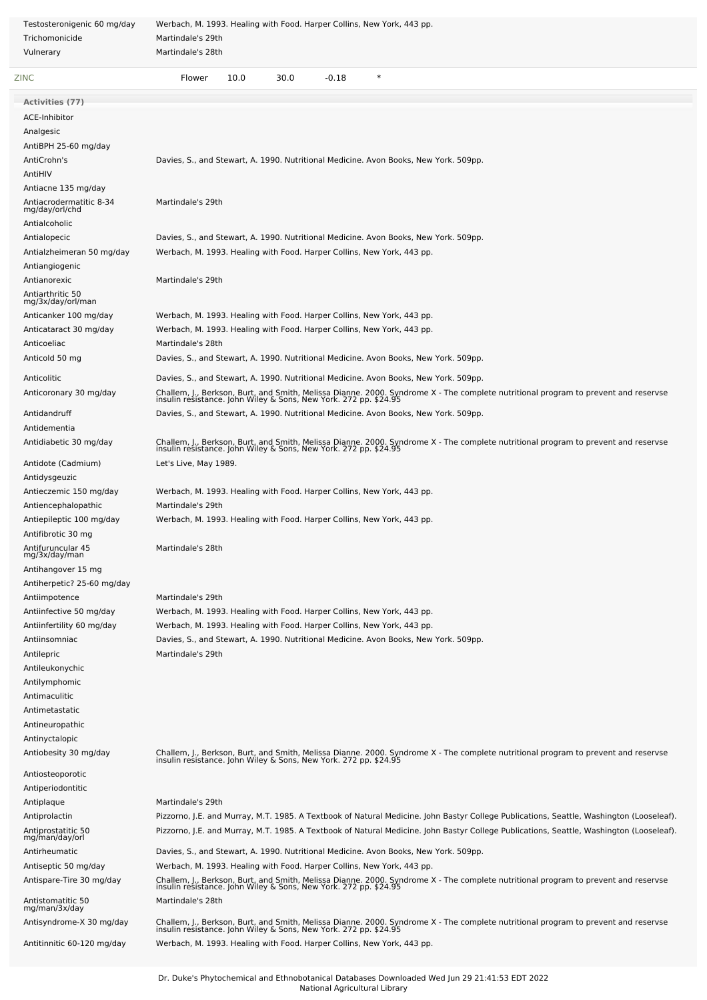| Testosteronigenic 60 mg/day               | Werbach, M. 1993. Healing with Food. Harper Collins, New York, 443 pp.                                                                                                                                 |
|-------------------------------------------|--------------------------------------------------------------------------------------------------------------------------------------------------------------------------------------------------------|
| Trichomonicide                            | Martindale's 29th                                                                                                                                                                                      |
| Vulnerary                                 | Martindale's 28th                                                                                                                                                                                      |
| ZINC                                      | $\ast$<br>10.0<br>30.0<br>$-0.18$<br>Flower                                                                                                                                                            |
| <b>Activities (77)</b>                    |                                                                                                                                                                                                        |
| ACE-Inhibitor                             |                                                                                                                                                                                                        |
| Analgesic                                 |                                                                                                                                                                                                        |
| AntiBPH 25-60 mg/day                      |                                                                                                                                                                                                        |
| AntiCrohn's                               | Davies, S., and Stewart, A. 1990. Nutritional Medicine. Avon Books, New York. 509pp.                                                                                                                   |
| AntiHIV                                   |                                                                                                                                                                                                        |
| Antiacne 135 mg/day                       |                                                                                                                                                                                                        |
| Antiacrodermatitic 8-34<br>mg/day/orl/chd | Martindale's 29th                                                                                                                                                                                      |
| Antialcoholic                             |                                                                                                                                                                                                        |
| Antialopecic                              | Davies, S., and Stewart, A. 1990. Nutritional Medicine. Avon Books, New York. 509pp.                                                                                                                   |
| Antialzheimeran 50 mg/day                 | Werbach, M. 1993. Healing with Food. Harper Collins, New York, 443 pp.                                                                                                                                 |
| Antiangiogenic                            |                                                                                                                                                                                                        |
| Antianorexic                              | Martindale's 29th                                                                                                                                                                                      |
| Antiarthritic 50                          |                                                                                                                                                                                                        |
| mg/3x/day/orl/man                         | Werbach, M. 1993. Healing with Food. Harper Collins, New York, 443 pp.                                                                                                                                 |
| Anticanker 100 mg/day                     |                                                                                                                                                                                                        |
| Anticataract 30 mg/day<br>Anticoeliac     | Werbach, M. 1993. Healing with Food. Harper Collins, New York, 443 pp.<br>Martindale's 28th                                                                                                            |
|                                           |                                                                                                                                                                                                        |
| Anticold 50 mg                            | Davies, S., and Stewart, A. 1990. Nutritional Medicine. Avon Books, New York. 509pp.                                                                                                                   |
| Anticolitic                               | Davies, S., and Stewart, A. 1990. Nutritional Medicine. Avon Books, New York. 509pp.                                                                                                                   |
| Anticoronary 30 mg/day                    | Challem, J., Berkson, Burt, and Smith, Melissa Dianne. 2000. Syndrome X - The complete nutritional program to prevent and reservse<br>insulin resistance. John Wiley & Sons, New York. 272 pp. \$24.95 |
| Antidandruff                              | Davies, S., and Stewart, A. 1990. Nutritional Medicine. Avon Books, New York. 509pp.                                                                                                                   |
| Antidementia                              |                                                                                                                                                                                                        |
| Antidiabetic 30 mg/day                    |                                                                                                                                                                                                        |
|                                           | Challem, J., Berkson, Burt, and Smith, Melissa Dianne. 2000. Syndrome X - The complete nutritional program to prevent and reservse<br>insulin resistance. John Wiley & Sons, New York. 272 pp. \$24.95 |
| Antidote (Cadmium)                        | Let's Live, May 1989.                                                                                                                                                                                  |
| Antidysgeuzic                             |                                                                                                                                                                                                        |
| Antieczemic 150 mg/day                    | Werbach, M. 1993. Healing with Food. Harper Collins, New York, 443 pp.                                                                                                                                 |
| Antiencephalopathic                       | Martindale's 29th                                                                                                                                                                                      |
| Antiepileptic 100 mg/day                  | Werbach, M. 1993. Healing with Food. Harper Collins, New York, 443 pp.                                                                                                                                 |
| Antifibrotic 30 mg                        |                                                                                                                                                                                                        |
| Antifuruncular 45<br>mg/3x/day/man        | Martindale's 28th                                                                                                                                                                                      |
| Antihangover 15 mg                        |                                                                                                                                                                                                        |
| Antiherpetic? 25-60 mg/day                |                                                                                                                                                                                                        |
| Antiimpotence                             | Martindale's 29th                                                                                                                                                                                      |
| Antiinfective 50 mg/day                   | Werbach, M. 1993. Healing with Food. Harper Collins, New York, 443 pp.                                                                                                                                 |
| Antiinfertility 60 mg/day                 | Werbach, M. 1993. Healing with Food. Harper Collins, New York, 443 pp.                                                                                                                                 |
| Antiinsomniac                             | Davies, S., and Stewart, A. 1990. Nutritional Medicine. Avon Books, New York. 509pp.                                                                                                                   |
| Antilepric                                | Martindale's 29th                                                                                                                                                                                      |
| Antileukonychic                           |                                                                                                                                                                                                        |
| Antilymphomic                             |                                                                                                                                                                                                        |
| Antimaculitic                             |                                                                                                                                                                                                        |
| Antimetastatic                            |                                                                                                                                                                                                        |
| Antineuropathic                           |                                                                                                                                                                                                        |
| Antinyctalopic                            |                                                                                                                                                                                                        |
| Antiobesity 30 mg/day                     | Challem, J., Berkson, Burt, and Smith, Melissa Dianne. 2000. Syndrome X - The complete nutritional program to prevent and reservse<br>insulin resistance. John Wiley & Sons, New York. 272 pp. \$24.95 |
| Antiosteoporotic                          |                                                                                                                                                                                                        |
| Antiperiodontitic                         |                                                                                                                                                                                                        |
| Antiplaque                                | Martindale's 29th                                                                                                                                                                                      |
| Antiprolactin                             | Pizzorno, J.E. and Murray, M.T. 1985. A Textbook of Natural Medicine. John Bastyr College Publications, Seattle, Washington (Looseleaf).                                                               |
| Antiprostatitic 50                        | Pizzorno, J.E. and Murray, M.T. 1985. A Textbook of Natural Medicine. John Bastyr College Publications, Seattle, Washington (Looseleaf).                                                               |
| mg/man/day/orl                            |                                                                                                                                                                                                        |
| Antirheumatic                             | Davies, S., and Stewart, A. 1990. Nutritional Medicine. Avon Books, New York. 509pp.                                                                                                                   |
| Antiseptic 50 mg/day                      | Werbach, M. 1993. Healing with Food. Harper Collins, New York, 443 pp.                                                                                                                                 |
| Antispare-Tire 30 mg/day                  | Challem, J., Berkson, Burt, and Smith, Melissa Dianne. 2000. Syndrome X - The complete nutritional program to prevent and reservse<br>insulin resistance. John Wiley & Sons, New York. 272 pp. \$24.95 |
| Antistomatitic 50                         | Martindale's 28th                                                                                                                                                                                      |
| mg/man/3x/day                             |                                                                                                                                                                                                        |
| Antisyndrome-X 30 mg/day                  | Challem, J., Berkson, Burt, and Smith, Melissa Dianne. 2000. Syndrome X - The complete nutritional program to prevent and reservse<br>insulin resistance. John Wiley & Sons, New York. 272 pp. \$24.95 |
| Antitinnitic 60-120 mg/day                | Werbach, M. 1993. Healing with Food. Harper Collins, New York, 443 pp.                                                                                                                                 |
|                                           |                                                                                                                                                                                                        |